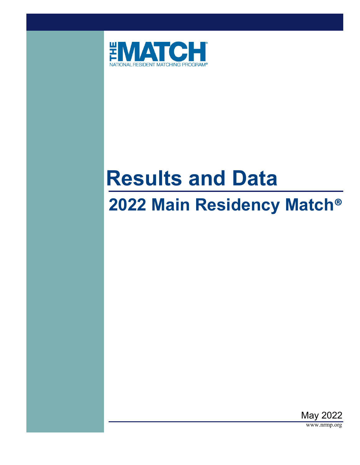

# **Results and Data**

# **2022 Main Residency Match®**



www.nrmp.org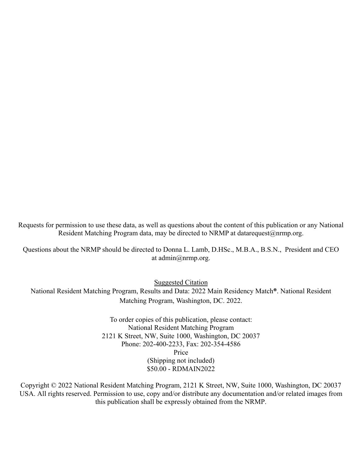Requests for permission to use these data, as well as questions about the content of this publication or any National Resident Matching Program data, may be directed to NRMP at datarequest@nrmp.org.

Questions about the NRMP should be directed to Donna L. Lamb, D.HSc., M.B.A., B.S.N., President and CEO at admin@nrmp.org.

Suggested Citation

National Resident Matching Program, Results and Data: 2022 Main Residency Match**®**. National Resident Matching Program, Washington, DC. 2022.

> To order copies of this publication, please contact: National Resident Matching Program 2121 K Street, NW, Suite 1000, Washington, DC 20037 Phone: 202-400-2233, Fax: 202-354-4586 Price (Shipping not included) \$50.00 - RDMAIN2022

Copyright © 2022 National Resident Matching Program, 2121 K Street, NW, Suite 1000, Washington, DC 20037 USA. All rights reserved. Permission to use, copy and/or distribute any documentation and/or related images from this publication shall be expressly obtained from the NRMP.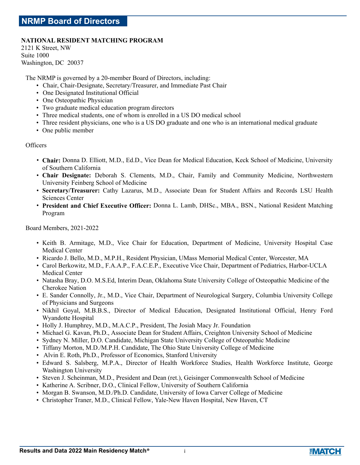### **NATIONAL RESIDENT MATCHING PROGRAM**

2121 K Street, NW Suite 1000 Washington, DC 20037

The NRMP is governed by a 20-member Board of Directors, including:

- Chair, Chair-Designate, Secretary/Treasurer, and Immediate Past Chair
- One Designated Institutional Official
- One Osteopathic Physician
- Two graduate medical education program directors
- Three medical students, one of whom is enrolled in a US DO medical school
- Three resident physicians, one who is a US DO graduate and one who is an international medical graduate
- One public member

### **Officers**

- **Chair:** Donna D. Elliott, M.D., Ed.D., Vice Dean for Medical Education, Keck School of Medicine, University of Southern California
- **Chair Designate:** Deborah S. Clements, M.D., Chair, Family and Community Medicine, Northwestern University Feinberg School of Medicine
- **Secretary/Treasurer:** Cathy Lazarus, M.D., Associate Dean for Student Affairs and Records LSU Health Sciences Center
- **President and Chief Executive Officer:** Donna L. Lamb, DHSc., MBA., BSN., National Resident Matching Program

Board Members, 2021-2022

- Keith B. Armitage, M.D., Vice Chair for Education, Department of Medicine, University Hospital Case Medical Center
- Ricardo J. Bello, M.D., M.P.H., Resident Physician, UMass Memorial Medical Center, Worcester, MA
- Carol Berkowitz, M.D., F.A.A.P., F.A.C.E.P., Executive Vice Chair, Department of Pediatrics, Harbor-UCLA Medical Center
- Natasha Bray, D.O. M.S.Ed, Interim Dean, Oklahoma State University College of Osteopathic Medicine of the Cherokee Nation
- E. Sander Connolly, Jr., M.D., Vice Chair, Department of Neurological Surgery, Columbia University College of Physicians and Surgeons
- Nikhil Goyal, M.B.B.S., Director of Medical Education, Designated Institutional Official, Henry Ford Wyandotte Hospital
- Holly J. Humphrey, M.D., M.A.C.P., President, The Josiah Macy Jr. Foundation
- Michael G. Kavan, Ph.D., Associate Dean for Student Affairs, Creighton University School of Medicine
- Sydney N. Miller, D.O. Candidate, Michigan State University College of Osteopathic Medicine
- Tiffany Morton, M.D./M.P.H. Candidate, The Ohio State University College of Medicine
- Alvin E. Roth, Ph.D., Professor of Economics, Stanford University
- Edward S. Salsberg, M.P.A., Director of Health Workforce Studies, Health Workforce Institute, George Washington University
- Steven J. Scheinman, M.D., President and Dean (ret.), Geisinger Commonwealth School of Medicine
- Katherine A. Scribner, D.O., Clinical Fellow, University of Southern California
- Morgan B. Swanson, M.D./Ph.D. Candidate, University of Iowa Carver College of Medicine
- Christopher Traner, M.D., Clinical Fellow, Yale-New Haven Hospital, New Haven, CT



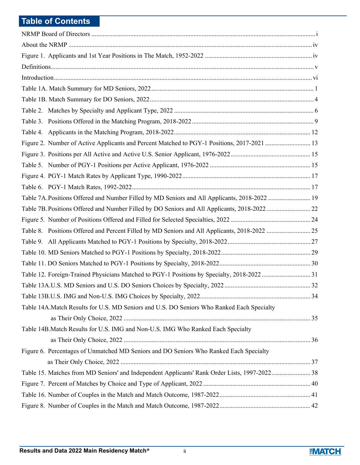## **Table of Contents**

| Figure 2. Number of Active Applicants and Percent Matched to PGY-1 Positions, 2017-2021  13   |  |
|-----------------------------------------------------------------------------------------------|--|
|                                                                                               |  |
|                                                                                               |  |
|                                                                                               |  |
|                                                                                               |  |
| Table 7A. Positions Offered and Number Filled by MD Seniors and All Applicants, 2018-2022  19 |  |
|                                                                                               |  |
|                                                                                               |  |
|                                                                                               |  |
|                                                                                               |  |
|                                                                                               |  |
|                                                                                               |  |
| Table 12. Foreign-Trained Physicians Matched to PGY-1 Positions by Specialty, 2018-2022  31   |  |
|                                                                                               |  |
|                                                                                               |  |
| Table 14A. Match Results for U.S. MD Seniors and U.S. DO Seniors Who Ranked Each Specialty    |  |
|                                                                                               |  |
| Table 14B. Match Results for U.S. IMG and Non-U.S. IMG Who Ranked Each Specialty              |  |
|                                                                                               |  |
| Figure 6. Percentages of Unmatched MD Seniors and DO Seniors Who Ranked Each Specialty        |  |
|                                                                                               |  |
| Table 15. Matches from MD Seniors' and Independent Applicants' Rank Order Lists, 1997-2022 38 |  |
|                                                                                               |  |
|                                                                                               |  |
|                                                                                               |  |

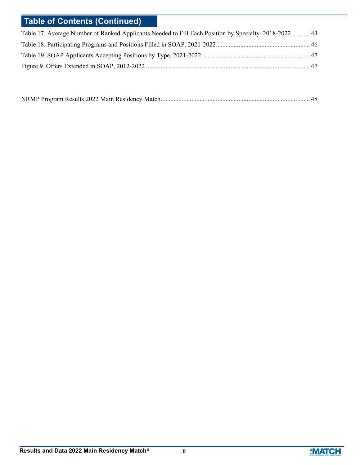# **Table of Contents (Continued)**

| Table 17. Average Number of Ranked Applicants Needed to Fill Each Position by Specialty, 2018-2022  43 |  |
|--------------------------------------------------------------------------------------------------------|--|
|                                                                                                        |  |
|                                                                                                        |  |
|                                                                                                        |  |

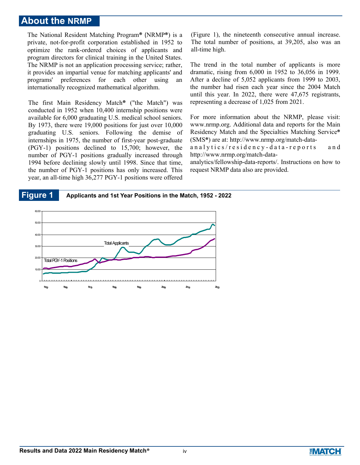## **About the NRMP**

The National Resident Matching Program**®** (NRMP**®**) is a private, not-for-profit corporation established in 1952 to optimize the rank-ordered choices of applicants and program directors for clinical training in the United States. The NRMP is not an application processing service; rather, it provides an impartial venue for matching applicants' and programs' preferences for each other using an internationally recognized mathematical algorithm.

The first Main Residency Match**®** ("the Match") was conducted in 1952 when 10,400 internship positions were available for 6,000 graduating U.S. medical school seniors. By 1973, there were 19,000 positions for just over 10,000 graduating U.S. seniors. Following the demise of internships in 1975, the number of first-year post-graduate (PGY-1) positions declined to 15,700; however, the number of PGY-1 positions gradually increased through 1994 before declining slowly until 1998. Since that time, the number of PGY-1 positions has only increased. This year, an all-time high 36,277 PGY-1 positions were offered (Figure 1), the nineteenth consecutive annual increase. The total number of positions, at 39,205, also was an all-time high.

The trend in the total number of applicants is more dramatic, rising from 6,000 in 1952 to 36,056 in 1999. After a decline of 5,052 applicants from 1999 to 2003, the number had risen each year since the 2004 Match until this year. In 2022, there were 47,675 registrants, representing a decrease of 1,025 from 2021.

For more information about the NRMP, please visit: www.nrmp.org. Additional data and reports for the Main Residency Match and the Specialties Matching Service**®** (SMS**®**) are at: http://www.nrmp.org/match-data-

a n a l y t i c s / r e s i d e n c y - d a t a - r e p o r t s a n d http://www.nrmp.org/match-data-

analytics/fellowship-data-reports/. Instructions on how to request NRMP data also are provided.

### **Figure 1 Applicants and 1st Year Positions in the Match, 1952 - 2022**



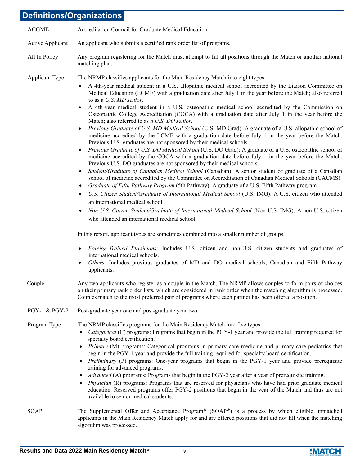## **Definitions/Organizations**

| <b>ACGME</b>            | Accreditation Council for Graduate Medical Education.                                                                                                                                                                                                                                                                                                                                                                                                                                                                                                                                                                                                                                                                                                                                                                                                                                                                                                                                                                                                                                                                                                                                                                                                                                                                                                                                                                                                                                                                                                                                                                                                                                                                                                                                                                                                                                                                                                                                          |
|-------------------------|------------------------------------------------------------------------------------------------------------------------------------------------------------------------------------------------------------------------------------------------------------------------------------------------------------------------------------------------------------------------------------------------------------------------------------------------------------------------------------------------------------------------------------------------------------------------------------------------------------------------------------------------------------------------------------------------------------------------------------------------------------------------------------------------------------------------------------------------------------------------------------------------------------------------------------------------------------------------------------------------------------------------------------------------------------------------------------------------------------------------------------------------------------------------------------------------------------------------------------------------------------------------------------------------------------------------------------------------------------------------------------------------------------------------------------------------------------------------------------------------------------------------------------------------------------------------------------------------------------------------------------------------------------------------------------------------------------------------------------------------------------------------------------------------------------------------------------------------------------------------------------------------------------------------------------------------------------------------------------------------|
| <b>Active Applicant</b> | An applicant who submits a certified rank order list of programs.                                                                                                                                                                                                                                                                                                                                                                                                                                                                                                                                                                                                                                                                                                                                                                                                                                                                                                                                                                                                                                                                                                                                                                                                                                                                                                                                                                                                                                                                                                                                                                                                                                                                                                                                                                                                                                                                                                                              |
| All In Policy           | Any program registering for the Match must attempt to fill all positions through the Match or another national<br>matching plan.                                                                                                                                                                                                                                                                                                                                                                                                                                                                                                                                                                                                                                                                                                                                                                                                                                                                                                                                                                                                                                                                                                                                                                                                                                                                                                                                                                                                                                                                                                                                                                                                                                                                                                                                                                                                                                                               |
| Applicant Type          | The NRMP classifies applicants for the Main Residency Match into eight types:<br>A 4th-year medical student in a U.S. allopathic medical school accredited by the Liaison Committee on<br>$\bullet$<br>Medical Education (LCME) with a graduation date after July 1 in the year before the Match; also referred<br>to as a U.S. MD senior.<br>A 4th-year medical student in a U.S. osteopathic medical school accredited by the Commission on<br>$\bullet$<br>Osteopathic College Accreditation (COCA) with a graduation date after July 1 in the year before the<br>Match; also referred to as a U.S. DO senior.<br>Previous Graduate of U.S. MD Medical School (U.S. MD Grad): A graduate of a U.S. allopathic school of<br>$\bullet$<br>medicine accredited by the LCME with a graduation date before July 1 in the year before the Match.<br>Previous U.S. graduates are not sponsored by their medical schools.<br>Previous Graduate of U.S. DO Medical School (U.S. DO Grad): A graduate of a U.S. osteopathic school of<br>$\bullet$<br>medicine accredited by the COCA with a graduation date before July 1 in the year before the Match.<br>Previous U.S. DO graduates are not sponsored by their medical schools.<br>Student/Graduate of Canadian Medical School (Canadian): A senior student or graduate of a Canadian<br>$\bullet$<br>school of medicine accredited by the Committee on Accreditation of Canadian Medical Schools (CACMS).<br>Graduate of Fifth Pathway Program (5th Pathway): A graduate of a U.S. Fifth Pathway program.<br>$\bullet$<br>U.S. Citizen Student/Graduate of International Medical School (U.S. IMG): A U.S. citizen who attended<br>$\bullet$<br>an international medical school.<br>Non-U.S. Citizen Student/Graduate of International Medical School (Non-U.S. IMG): A non-U.S. citizen<br>$\bullet$<br>who attended an international medical school.<br>In this report, applicant types are sometimes combined into a smaller number of groups. |
|                         | Foreign-Trained Physicians: Includes U.S. citizen and non-U.S. citizen students and graduates of<br>$\bullet$<br>international medical schools.<br>Others: Includes previous graduates of MD and DO medical schools, Canadian and Fifth Pathway<br>٠<br>applicants.                                                                                                                                                                                                                                                                                                                                                                                                                                                                                                                                                                                                                                                                                                                                                                                                                                                                                                                                                                                                                                                                                                                                                                                                                                                                                                                                                                                                                                                                                                                                                                                                                                                                                                                            |
| Couple                  | Any two applicants who register as a couple in the Match. The NRMP allows couples to form pairs of choices<br>on their primary rank order lists, which are considered in rank order when the matching algorithm is processed.<br>Couples match to the most preferred pair of programs where each partner has been offered a position.                                                                                                                                                                                                                                                                                                                                                                                                                                                                                                                                                                                                                                                                                                                                                                                                                                                                                                                                                                                                                                                                                                                                                                                                                                                                                                                                                                                                                                                                                                                                                                                                                                                          |
| PGY-1 & PGY-2           | Post-graduate year one and post-graduate year two.                                                                                                                                                                                                                                                                                                                                                                                                                                                                                                                                                                                                                                                                                                                                                                                                                                                                                                                                                                                                                                                                                                                                                                                                                                                                                                                                                                                                                                                                                                                                                                                                                                                                                                                                                                                                                                                                                                                                             |
| Program Type            | The NRMP classifies programs for the Main Residency Match into five types:<br>Categorical (C) programs: Programs that begin in the PGY-1 year and provide the full training required for<br>specialty board certification.<br>Primary (M) programs: Categorical programs in primary care medicine and primary care pediatrics that<br>$\bullet$<br>begin in the PGY-1 year and provide the full training required for specialty board certification.<br>Preliminary (P) programs: One-year programs that begin in the PGY-1 year and provide prerequisite<br>$\bullet$<br>training for advanced programs.<br>Advanced (A) programs: Programs that begin in the PGY-2 year after a year of prerequisite training.<br>$\bullet$<br>Physician (R) programs: Programs that are reserved for physicians who have had prior graduate medical<br>٠<br>education. Reserved programs offer PGY-2 positions that begin in the year of the Match and thus are not<br>available to senior medical students.                                                                                                                                                                                                                                                                                                                                                                                                                                                                                                                                                                                                                                                                                                                                                                                                                                                                                                                                                                                                |
| <b>SOAP</b>             | The Supplemental Offer and Acceptance Program <sup>®</sup> (SOAP <sup>®</sup> ) is a process by which eligible unmatched<br>applicants in the Main Residency Match apply for and are offered positions that did not fill when the matching                                                                                                                                                                                                                                                                                                                                                                                                                                                                                                                                                                                                                                                                                                                                                                                                                                                                                                                                                                                                                                                                                                                                                                                                                                                                                                                                                                                                                                                                                                                                                                                                                                                                                                                                                     |

algorithm was processed.

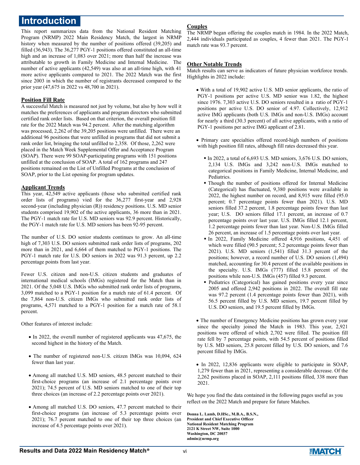## **Introduction**

This report summarizes data from the National Resident Matching Program (NRMP) 2022 Main Residency Match, the largest in NRMP history when measured by the number of positions offered (39,205) and filled (36,943). The 36,277 PGY-1 positions offered constituted an all-time high and an increase of 1,083 over 2021; more than half the increase was attributable to growth in Family Medicine and Internal Medicine. The number of active applicants (42,549) was also at an all-time high, with 41 more active applicants compared to 2021. The 2022 Match was the first since 2003 in which the number of registrants decreased compared to the prior year (47,675 in 2022 vs 48,700 in 2021).

#### **Position Fill Rate**

A successful Match is measured not just by volume, but also by how well it matches the preferences of applicants and program directors who submitted certified rank order lists. Based on that criterion, the overall position fill rate for the 2022 Match was 94.2 percent. After the matching algorithm was processed, 2,262 of the 39,205 positions were unfilled. There were an additional 96 positions that were unfilled in programs that did not submit a rank order list, bringing the total unfilled to 2,358. Of those, 2,262 were placed in the Match Week Supplemental Offer and Acceptance Program (SOAP). There were 99 SOAP-participating programs with 151 positions unfilled at the conclusion of SOAP. A total of 162 programs and 247 positions remained on the List of Unfilled Programs at the conclusion of SOAP, prior to the List opening for program updates.

### **Applicant Trends**

This year, 42,549 active applicants (those who submitted certified rank order lists of programs) vied for the 36,277 first-year and 2,928 second-year (including physician (R)) residency positions. U.S. MD senior students comprised 19,902 of the active applicants, 36 more than in 2021. The PGY-1 match rate for U.S. MD seniors was 92.9 percent. Historically, the PGY-1 match rate for U.S. MD seniors has been 92-95 percent.

The number of U.S. DO senior students continues to grow. An all-time high of 7,303 U.S. DO seniors submitted rank order lists of programs, 202 more than in 2021, and 6,664 of them matched to PGY-1 positions. The PGY-1 match rate for U.S. DO seniors in 2022 was 91.3 percent, up 2.2 percentage points from last year.

Fewer U.S. citizen and non-U.S. citizen students and graduates of international medical schools (IMGs) registered for the Match than in 2021. Of the 5,048 U.S. IMGs who submitted rank order lists of programs, 3,099 matched to a PGY-1 position for a match rate of 61.4 percent. Of the 7,864 non-U.S. citizen IMGs who submitted rank order lists of programs, 4,571 matched to a PGY-1 position for a match rate of 58.1 percent.

Other features of interest include:

- $\bullet$  In 2022, the overall number of registered applicants was 47,675, the second highest in the history of the Match.
- The number of registered non-U.S. citizen IMGs was 10,094, 624 fewer than last year.
- Among all matched U.S. MD seniors, 48.5 percent matched to their first-choice programs (an increase of 2.1 percentage points over 2021); 74.5 percent of U.S. MD seniors matched to one of their top three choices (an increase of 2.2 percentage points over 2021).
- Among all matched U.S. DO seniors, 47.7 percent matched to their first-choice programs (an increase of 5.3 percentage points over 2021); 76.7 percent matched to one of their top three choices (an increase of 4.5 percentage points over 2021).

### **Couples**

The NRMP began offering the couples match in 1984. In the 2022 Match, 2,444 individuals participated as couples, 4 fewer than 2021. The PGY-1 match rate was 93.7 percent.

#### **Other Notable Trends**

Match results can serve as indicators of future physician workforce trends. Highlights in 2022 include:

- With a total of 19,902 active U.S. MD senior applicants, the ratio of PGY-1 positions per active U.S. MD senior was 1.82, the highest since 1976. 7,303 active U.S. DO seniors resulted in a ratio of PGY-1 positions per active U.S. DO senior of 4.97. Collectively, 12,912 active IMG applicants (both U.S. IMGs and non-U.S. IMGs) account for nearly a third (30.3 percent) of all active applicants, with a ratio of PGY-1 positions per active IMG applicant of 2.81.
- Primary care specialties offered record-high numbers of positions with high position fill rates, although fill rates decreased this year.
	- In 2022, a total of 6,693 U.S. MD seniors, 3,676 U.S. DO seniors, 2,134 U.S. IMGs and 3,242 non-U.S. IMGs matched to categorical positions in Family Medicine, Internal Medicine, and Pediatrics.
	- Though the number of positions offered for Internal Medicine (Categorical) has fluctuated, 9,380 positions were available in 2022, the highest number on record, and 8,915 were filled (95.0 percent; 0.7 percentage points fewer than 2021). U.S. MD seniors filled 37.2 percent, 1.8 percentage points fewer than last year; U.S. DO seniors filled 17.1 percent, an increase of 0.7 percentage points over last year. U.S. IMGs filled 12.1 percent, 1.2 percentage points fewer than last year. Non-U.S. IMGs filled 26 percent, an increase of 1.5 percentage points over last year.
	- In 2022, Family Medicine offered 4,916 positions, 4,451 of which were filled (90.5 percent; 5.2 percentage points fewer than 2021). U.S. MD seniors (1,541) filled 31.3 percent of the positions; however, a record number of U.S. DO seniors (1,494) matched, accounting for 30.4 percent of the available positions in the specialty. U.S. IMGs (777) filled 15.8 percent of the positions while non-U.S. IMGs (457) filled 9.3 percent.
	- Pediatrics (Categorical) has gained positions every year since 2005 and offered 2,942 positions in 2022. The overall fill rate was 97.2 percent (1.4 percentage points fewer than 2021), with 56.5 percent filled by U.S. MD seniors, 19.7 percent filled by U.S. DO seniors, and 19.5 percent filled by IMGs.

 The number of Emergency Medicine positions has grown every year since the specialty joined the Match in 1983. This year, 2,921 positions were offered of which 2,702 were filled. The position fill rate fell by 7 percentage points, with 54.5 percent of positions filled by U.S. MD seniors, 25.8 percent filled by U.S. DO seniors, and 7.6 percent filled by IMGs.

 In 2022, 12,836 applicants were eligible to participate in SOAP, 1,279 fewer than in 2021, representing a considerable decrease. Of the 2,262 positions placed in SOAP, 2,111 positions filled, 338 more than 2021.

We hope you find the data contained in the following pages useful as you reflect on the 2022 Match and prepare for future Matches.

**Donna L. Lamb, D.HSc., M.B.A., B.S.N., President and Chief Executive Officer National Resident Matching Program 2121 K Street NW, Suite 1000 Washington, DC 20037 admin@nrmp.org**

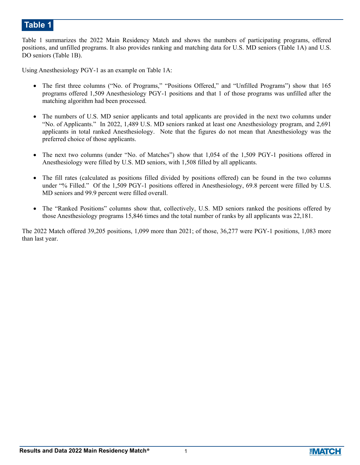Table 1 summarizes the 2022 Main Residency Match and shows the numbers of participating programs, offered positions, and unfilled programs. It also provides ranking and matching data for U.S. MD seniors (Table 1A) and U.S. DO seniors (Table 1B).

Using Anesthesiology PGY-1 as an example on Table 1A:

- The first three columns ("No. of Programs," "Positions Offered," and "Unfilled Programs") show that 165 programs offered 1,509 Anesthesiology PGY-1 positions and that 1 of those programs was unfilled after the matching algorithm had been processed.
- The numbers of U.S. MD senior applicants and total applicants are provided in the next two columns under "No. of Applicants." In 2022, 1,489 U.S. MD seniors ranked at least one Anesthesiology program, and 2,691 applicants in total ranked Anesthesiology. Note that the figures do not mean that Anesthesiology was the preferred choice of those applicants.
- The next two columns (under "No. of Matches") show that 1,054 of the 1,509 PGY-1 positions offered in Anesthesiology were filled by U.S. MD seniors, with 1,508 filled by all applicants.
- The fill rates (calculated as positions filled divided by positions offered) can be found in the two columns under "% Filled." Of the 1,509 PGY-1 positions offered in Anesthesiology, 69.8 percent were filled by U.S. MD seniors and 99.9 percent were filled overall.
- The "Ranked Positions" columns show that, collectively, U.S. MD seniors ranked the positions offered by those Anesthesiology programs 15,846 times and the total number of ranks by all applicants was 22,181.

The 2022 Match offered 39,205 positions, 1,099 more than 2021; of those, 36,277 were PGY-1 positions, 1,083 more than last year.

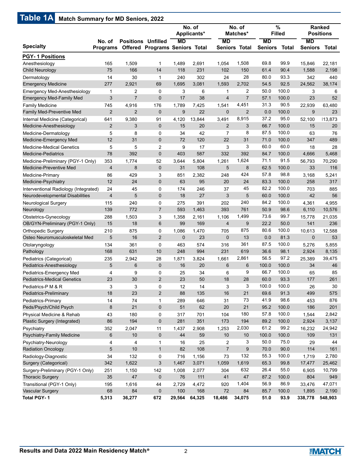# **Table 1A Match Summary for MD Seniors, 2022**

| $m$ aton bannnar $\boldsymbol{y}$ for the botholog $\boldsymbol{z}$ |                           |                           |                                |              | No. of<br>Applicants* |                 | No. of<br>Matches*   | <b>Filled</b>               | $\%$         |                             | <b>Ranked</b><br><b>Positions</b> |
|---------------------------------------------------------------------|---------------------------|---------------------------|--------------------------------|--------------|-----------------------|-----------------|----------------------|-----------------------------|--------------|-----------------------------|-----------------------------------|
| <b>Specialty</b>                                                    | No. of<br><b>Programs</b> | <b>Positions Unfilled</b> | Offered Programs Seniors Total | <b>MD</b>    |                       | <b>MD</b>       | <b>Seniors Total</b> | <b>MD</b><br><b>Seniors</b> | <b>Total</b> | <b>MD</b><br><b>Seniors</b> | Total                             |
| <b>PGY-1 Positions</b>                                              |                           |                           |                                |              |                       |                 |                      |                             |              |                             |                                   |
| Anesthesiology                                                      | 165                       | 1,509                     | $\mathbf{1}$                   | 1,489        | 2,691                 | 1,054           | 1,508                | 69.8                        | 99.9         | 15,846                      | 22.181                            |
| Child Neurology                                                     | 75                        | 166                       | 14                             | 118          | 231                   | 102             | 150                  | 61.4                        | 90.4         | 1,588                       | 2,198                             |
| Dermatology                                                         | 14                        | 30                        | $\mathbf{1}$                   | 240          | 302                   | 24              | 28                   | 80.0                        | 93.3         | 342                         | 440                               |
| <b>Emergency Medicine</b>                                           | 277                       | 2,921                     | 69                             | 1,695        | 3,081                 | 1,593           | 2,702                | 54.5                        | 92.5         | 24,562                      | 38,174                            |
| Emergency Med-Anesthesiology                                        | 1                         | $\overline{2}$            | 0                              | 3            | 6                     | 1               | 2                    | 50.0                        | 100.0        | 3                           | 6                                 |
| <b>Emergency Med-Family Med</b>                                     | 3                         | $\overline{7}$            | $\mathbf 0$                    | 17           | 38                    | $\overline{4}$  | $\overline{7}$       | 57.1                        | 100.0        | 23                          | 52                                |
| <b>Family Medicine</b>                                              | 745                       | 4,916                     | 176                            | 1,789        | 7,425                 | 1,541           | 4,451                | 31.3                        | 90.5         | 22,939                      | 63,480                            |
| <b>Family Med-Preventive Med</b>                                    | $\overline{2}$            | $\overline{2}$            | $\mathbf 0$                    | $9\,$        | 22                    | $\mathbf 0$     | $\overline{2}$       | 0.0                         | 100.0        | 9                           | 23                                |
| Internal Medicine (Categorical)                                     | 641                       | 9,380                     | 91                             | 4,120        | 13,844                | 3,491           | 8,915                | 37.2                        | 95.0         | 52,100                      | 13,873                            |
| Medicine-Anesthesiology                                             | $\overline{2}$            | 3                         | $\mathbf 0$                    | 15           | 20                    | $\overline{2}$  | 3                    | 66.7                        | 100.0        | 15                          | 20                                |
| Medicine-Dermatology                                                | 5                         | 8                         | 0                              | 34           | 42                    | $\overline{7}$  | 8                    | 87.5                        | 100.0        | 63                          | 76                                |
| Medicine-Emergency Med                                              | 12                        | 31                        | $\mathbf 0$                    | 72           | 120                   | 22              | 31                   | 71.0                        | 100.0        | 347                         | 489                               |
| <b>Medicine-Medical Genetics</b>                                    | 5                         | 5                         | 2                              | 9            | 17                    | 3               | 3                    | 60.0                        | 60.0         | 18                          | 28                                |
| <b>Medicine-Pediatrics</b>                                          | 78                        | 392                       | 0                              | 403          | 587                   | 332             | 392                  | 84.7                        | 100.0        | 4,666                       | 5,468                             |
| Medicine-Preliminary (PGY-1 Only)                                   | 353                       | 1,774                     | 52                             | 3,644        | 5,804                 | 1,261           | 1,624                | 71.1                        | 91.5         | 56,793                      | 70,290                            |
| Medicine-Preventive Med                                             | $\overline{4}$            | 8                         | $\mathbf 0$                    | 31           | 108                   | 5               | 8                    | 62.5                        | 100.0        | 33                          | 116                               |
| Medicine-Primary                                                    | 86                        | 429                       | 3                              | 851          | 2,382                 | 248             | 424                  | 57.8                        | 98.8         | 3,168                       | 5,241                             |
| Medicine-Psychiatry                                                 | 12                        | 24                        | $\mathbf 0$                    | 63           | 95                    | 20              | 24                   | 83.3                        | 100.0        | 258                         | 317                               |
| Interventional Radiology (Integrated)                               | 24                        | 45                        | 0                              | 174          | 246                   | 37              | 45                   | 82.2                        | 100.0        | 703                         | 885                               |
| Neurodevelopmental Disabilities                                     | $\overline{4}$            | 5                         | $\mathbf 0$                    | 18           | 27                    | 3               | 5                    | 60.0                        | 100.0        | 42                          | 56                                |
| Neurological Surgery                                                | 115                       | 240                       | 0                              | 275          | 391                   | 202             | 240                  | 84.2                        | 100.0        | 4,361                       | 4,955                             |
| Neurology                                                           | 139                       | 772                       | $\overline{7}$                 | 593          | 1,463                 | 393             | 761                  | 50.9                        | 98.6         | 6,110                       | 10,576                            |
| Obstetrics-Gynecology                                               | 288                       | 1,503                     | 3                              | 1,358        | 2,161                 | 1,106           | 1,499                | 73.6                        | 99.7         | 15,778                      | 21,035                            |
| OB/GYN-Preliminary (PGY-1 Only)                                     | 15                        | 18                        | $6\phantom{1}$                 | 99           | 169                   | $\overline{4}$  | 9                    | 22.2                        | 50.0         | 141                         | 236                               |
| <b>Orthopedic Surgery</b>                                           | 210                       | 875                       | 0                              | 1,086        | 1,470                 | 705             | 875                  | 80.6                        | 100.0        | 10,613                      | 12,588                            |
| Osteo Neuromusculoskeletal Med                                      | 5                         | 16                        | $\overline{2}$                 | $\mathbf{0}$ | 23                    | $\mathbf 0$     | 13                   | 0.0                         | 81.3         | $\mathbf 0$                 | 53                                |
| Otolaryngology                                                      | 134                       | 361                       | $\mathbf 0$                    | 463          | 574                   | 316             | 361                  | 87.5                        | 100.0        | 5,276                       | 5,855                             |
| Pathology                                                           | 168                       | 631                       | 10                             | 248          | 994                   | 231             | 619                  | 36.6                        | 98.1         | 2,924                       | 8,135                             |
| Pediatrics (Categorical)                                            | 235                       | 2,942                     | 28                             | 1,871        | 3,824                 | 1,661           | 2,861                | 56.5                        | 97.2         | 25,389                      | 39,475                            |
| Pediatrics-Anesthesiology                                           | 5                         | $6\phantom{1}$            | $\mathbf 0$                    | 16           | 20                    | $6\phantom{1}6$ | 6                    | 100.0                       | 100.0        | 34                          | 46                                |
| Pediatrics-Emergency Med                                            | 4                         | 9                         | 0                              | 25           | 34                    | 6               | 9                    | 66.7                        | 100.0        | 65                          | 85                                |
| <b>Pediatrics-Medical Genetics</b>                                  | 23                        | 30                        | 2                              | 23           | 50                    | 18              | 28                   | 60.0                        | 93.3         | 177                         | 261                               |
| Pediatrics-P M & R                                                  | 3                         | 3                         | 0                              | 12           | 14                    | 3               | 3                    | 100.0                       | 100.0        | 26                          | 30                                |
| Pediatrics-Preliminary                                              | 18                        | 23                        | $\overline{c}$                 | 88           | 135                   | 16              | 21                   | 69.6                        | 91.3         | 499                         | 575                               |
| Pediatrics-Primary                                                  | 14                        | 74                        | $\mathbf{1}$                   | 289          | 646                   | 31              | 73                   | 41.9                        | 98.6         | 453                         | 876                               |
| Peds/Psych/Child Psych                                              | 8                         | 21                        | $\pmb{0}$                      | 51           | 62                    | 20              | 21                   | 95.2                        | 100.0        | 186                         | 201                               |
| Physical Medicine & Rehab                                           | 43                        | 180                       | 0                              | 317          | 701                   | 104             | 180                  | 57.8                        | 100.0        | 1,544                       | 2,842                             |
| Plastic Surgery (Integrated)                                        | 86                        | 194                       | $\pmb{0}$                      | 281          | 351                   | 173             | 194                  | 89.2                        | 100.0        | 2,924                       | 3,137                             |
| Psychiatry                                                          | 352                       | 2,047                     | 11                             | 1,437        | 2,908                 | 1,253           | 2,030                | 61.2                        | 99.2         | 16,232                      | 24,942                            |
| Psychiatry-Family Medicine                                          | 6                         | 10                        | $\pmb{0}$                      | 44           | 59                    | 10              | 10                   | 100.0                       | 100.0        | 109                         | 131                               |
| Psychiatry-Neurology                                                | 4                         | 4                         | $\mathbf{1}$                   | 16           | 25                    | $\overline{c}$  | 3                    | 50.0                        | 75.0         | 29                          | 44                                |
| <b>Radiation Oncology</b>                                           | 5                         | $10$                      | $\mathbf{1}$                   | 82           | 108                   | $\overline{7}$  | 9                    | 70.0                        | 90.0         | 114                         | 161                               |
| Radiology-Diagnostic                                                | 34                        | 132                       | 0                              | 716          | 1,156                 | 73              | 132                  | 55.3                        | 100.0        | 1,719                       | 2,780                             |
| Surgery (Categorical)                                               | 342                       | 1,622                     | 3                              | 1,467        | 3,071                 | 1,059           | 1,619                | 65.3                        | 99.8         | 17,477                      | 25,462                            |
| Surgery-Preliminary (PGY-1 Only)                                    | 251                       | 1,150                     | 142                            | 1,008        | 2,077                 | 304             | 632                  | 26.4                        | 55.0         | 6,905                       | 10,799                            |
| <b>Thoracic Surgery</b>                                             | 35                        | 47                        | $\pmb{0}$                      | 76           | 111                   | 41              | 47                   | 87.2                        | 100.0        | 804                         | 949                               |
| Transitional (PGY-1 Only)                                           | 195                       | 1,616                     | 44                             | 2,729        | 4,472                 | 920             | 1,404                | 56.9                        | 86.9         | 33,476                      | 47,071                            |
| <b>Vascular Surgery</b>                                             | 68                        | 84                        | $\pmb{0}$                      | 100          | 168                   | 72              | 84                   | 85.7                        | 100.0        | 1,895                       | 2,190                             |
| Total PGY-1                                                         | 5,313                     | 36,277                    | 672                            | 29,564       | 64,325                | 18,486          | 34,075               | 51.0                        | 93.9         | 338,778                     | 548,903                           |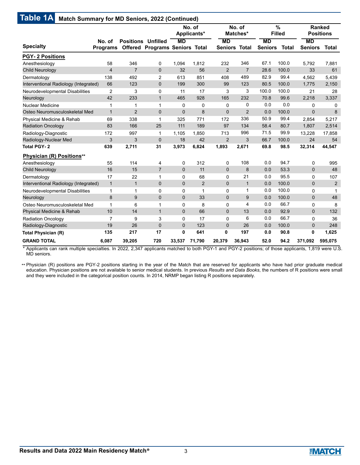|                                       |                           |                           |                                       |                | No. of<br>Applicants* |                                   | No. of<br>Matches* |                             | %<br><b>Filled</b> |                             | <b>Ranked</b><br><b>Positions</b> |
|---------------------------------------|---------------------------|---------------------------|---------------------------------------|----------------|-----------------------|-----------------------------------|--------------------|-----------------------------|--------------------|-----------------------------|-----------------------------------|
| <b>Specialty</b>                      | No. of<br><b>Programs</b> | <b>Positions Unfilled</b> | <b>Offered Programs Seniors Total</b> | <b>MD</b>      |                       | <b>MD</b><br><b>Seniors Total</b> |                    | <b>MD</b><br><b>Seniors</b> | <b>Total</b>       | <b>MD</b><br><b>Seniors</b> | Total                             |
| <b>PGY-2 Positions</b>                |                           |                           |                                       |                |                       |                                   |                    |                             |                    |                             |                                   |
| Anesthesiology                        | 58                        | 346                       | 0                                     | 1,094          | 1,812                 | 232                               | 346                | 67.1                        | 100.0              | 5,792                       | 7,881                             |
| Child Neurology                       | $\overline{\mathbf{4}}$   | $\overline{7}$            | $\mathbf 0$                           | 32             | 56                    | $\overline{2}$                    | $\overline{7}$     | 28.6                        | 100.0              | 33                          | 61                                |
| Dermatology                           | 138                       | 492                       | 2                                     | 613            | 851                   | 408                               | 489                | 82.9                        | 99.4               | 4,562                       | 5,439                             |
| Interventional Radiology (Integrated) | 66                        | 123                       | $\mathbf 0$                           | 199            | 300                   | 99                                | 123                | 80.5                        | 100.0              | 1,775                       | 2,150                             |
| Neurodevelopmental Disabilities       | 2                         | 3                         | $\mathbf 0$                           | 11             | 17                    | 3                                 | 3                  | 100.0                       | 100.0              | 21                          | 28                                |
| Neurology                             | 42                        | 233                       | $\mathbf{1}$                          | 465            | 928                   | 165                               | 232                | 70.8                        | 99.6               | 2,218                       | 3,337                             |
| Nuclear Medicine                      | 1                         | 1                         | 1                                     | 0              | 0                     | 0                                 | 0                  | 0.0                         | 0.0                | 0                           | 0                                 |
| Osteo Neuromusculoskeletal Med        | $\mathbf{1}$              | $\overline{2}$            | $\mathbf 0$                           | 0              | 8                     | $\mathbf 0$                       | $\overline{2}$     | 0.0                         | 100.0              | $\overline{0}$              | 8                                 |
| Physical Medicine & Rehab             | 69                        | 338                       | 1                                     | 325            | 771                   | 172                               | 336                | 50.9                        | 99.4               | 2,854                       | 5,217                             |
| <b>Radiation Oncology</b>             | 83                        | 166                       | 25                                    | 111            | 189                   | 97                                | 134                | 58.4                        | 80.7               | 1,807                       | 2,514                             |
| Radiology-Diagnostic                  | 172                       | 997                       | 1                                     | 1,105          | 1.850                 | 713                               | 996                | 71.5                        | 99.9               | 13,228                      | 17,858                            |
| Radiology-Nuclear Med                 | 3                         | 3                         | $\mathbf 0$                           | 18             | 42                    | $\overline{2}$                    | 3                  | 66.7                        | 100.0              | 24                          | 54                                |
| <b>Total PGY-2</b>                    | 639                       | 2,711                     | 31                                    | 3,973          | 6,824                 | 1,893                             | 2,671              | 69.8                        | 98.5               | 32,314                      | 44,547                            |
| Physician (R) Positions**             |                           |                           |                                       |                |                       |                                   |                    |                             |                    |                             |                                   |
| Anesthesiology                        | 55                        | 114                       | 4                                     | 0              | 312                   | 0                                 | 108                | 0.0                         | 94.7               | 0                           | 995                               |
| Child Neurology                       | 16                        | 15                        | $\overline{7}$                        | $\overline{0}$ | 11                    | $\mathbf 0$                       | 8                  | 0.0                         | 53.3               | $\mathbf 0$                 | 48                                |
| Dermatology                           | 17                        | 22                        | 1                                     | 0              | 68                    | 0                                 | 21                 | 0.0                         | 95.5               | 0                           | 107                               |
| Interventional Radiology (Integrated) | $\mathbf{1}$              | $\mathbf{1}$              | $\mathbf 0$                           | $\overline{0}$ | $\overline{2}$        | $\mathbf 0$                       | $\mathbf{1}$       | 0.0                         | 100.0              | $\mathbf 0$                 | 2                                 |
| Neurodevelopmental Disabilities       | 1                         | $\mathbf{1}$              | $\Omega$                              | 0              | $\mathbf 1$           | 0                                 | 1                  | 0.0                         | 100.0              | 0                           | 1                                 |
| Neurology                             | 8                         | 9                         | $\mathbf 0$                           | 0              | 33                    | $\mathbf 0$                       | 9                  | 0.0                         | 100.0              | $\mathbf 0$                 | 48                                |
| Osteo Neuromusculoskeletal Med        | 1                         | 6                         | 1                                     | 0              | 8                     | 0                                 | 4                  | 0.0                         | 66.7               | 0                           | 8                                 |
| Physical Medicine & Rehab             | 10                        | 14                        | $\mathbf{1}$                          | 0              | 66                    | $\mathbf 0$                       | 13                 | 0.0                         | 92.9               | $\mathbf 0$                 | 132                               |
| <b>Radiation Oncology</b>             | $\overline{7}$            | 9                         | 3                                     | 0              | 17                    | $\mathbf 0$                       | 6                  | 0.0                         | 66.7               | 0                           | 36                                |
| Radiology-Diagnostic                  | 19                        | 26                        | $\overline{0}$                        | 0              | 123                   | $\pmb{0}$                         | 26                 | 0.0                         | 100.0              | $\mathbf 0$                 | 248                               |
| <b>Total Physician (R)</b>            | 135                       | 217                       | 17                                    | 0              | 641                   | 0                                 | 197                | 0.0                         | 90.8               | $\mathbf 0$                 | 1,625                             |
| <b>GRAND TOTAL</b>                    | 6,087                     | 39,205                    | 720                                   | 33,537         | 71,790                | 20,379                            | 36,943             | 52.0                        | 94.2               | 371,092                     | 595,075                           |

Applicants can rank multiple specialties. In 2022, 2,347 applicants matched to both PGY-1 and PGY-2 positions; of those applicants, 1,819 were U.S. MD seniors. \*

 $\cdot$  Physician (R) positions are PGY-2 positions starting in the year of the Match that are reserved for applicants who have had prior graduate medical education. Physician positions are not available to senior medical students. In previous *Results and Data Books*, the numbers of R positions were small and they were included in the categorical position counts. In 2014, NRMP began listing R positions separately.

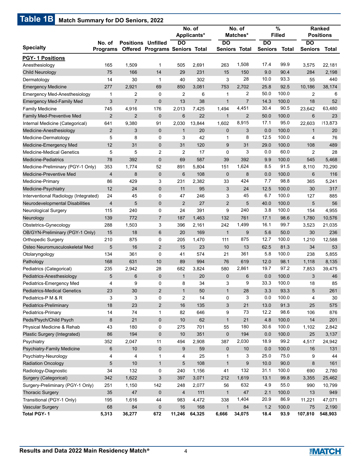# **Table 1B Match Summary for DO Seniors, 2022**

|                                               |                           |                           |                                       |                         | No. of<br>Applicants* |                           | No. of<br>Matches*   |                     | %<br><b>Filled</b> |                                  | <b>Ranked</b><br><b>Positions</b> |
|-----------------------------------------------|---------------------------|---------------------------|---------------------------------------|-------------------------|-----------------------|---------------------------|----------------------|---------------------|--------------------|----------------------------------|-----------------------------------|
| <b>Specialty</b>                              | No. of<br><b>Programs</b> | <b>Positions Unfilled</b> | <b>Offered Programs Seniors Total</b> | DO                      |                       | DO                        | <b>Seniors Total</b> | DO<br>Seniors Total |                    | $\overline{D}$<br><b>Seniors</b> | Total                             |
| <b>PGY-1 Positions</b>                        |                           |                           |                                       |                         |                       |                           |                      |                     |                    |                                  |                                   |
| Anesthesiology                                | 165                       | 1,509                     | $\mathbf{1}$                          | 505                     | 2,691                 | 263                       | 1,508                | 17.4                | 99.9               | 3,575                            | 22,181                            |
| Child Neurology                               | 75                        | 166                       | 14                                    | 29                      | 231                   | 15                        | 150                  | 9.0                 | 90.4               | 284                              | 2,198                             |
| Dermatology                                   | 14                        | 30                        | $\mathbf{1}$                          | 40                      | 302                   | 3                         | 28                   | 10.0                | 93.3               | 55                               | 440                               |
| <b>Emergency Medicine</b>                     | 277                       | 2,921                     | 69                                    | 850                     | 3,081                 | 753                       | 2,702                | 25.8                | 92.5               | 10,186                           | 38,174                            |
| <b>Emergency Med-Anesthesiology</b>           | 1                         | $\overline{2}$            | 0                                     | $\overline{2}$          | 6                     | 1                         | 2                    | 50.0                | 100.0              | 2                                | 6                                 |
| <b>Emergency Med-Family Med</b>               | 3                         | $\overline{7}$            | $\mathbf 0$                           | 13                      | 38                    | 1                         | $\overline{7}$       | 14.3                | 100.0              | 18                               | 52                                |
| <b>Family Medicine</b>                        | 745                       | 4,916                     | 176                                   | 2,013                   | 7,425                 | 1,494                     | 4,451                | 30.4                | 90.5               | 23,642                           | 63,480                            |
| <b>Family Med-Preventive Med</b>              | 2                         | $\overline{2}$            | $\mathbf 0$                           | $6\phantom{1}6$         | 22                    | $\mathbf{1}$              | $\overline{2}$       | 50.0                | 100.0              | 6                                | 23                                |
| Internal Medicine (Categorical)               | 641                       | 9,380                     | 91                                    | 2,030                   | 13,844                | 1,602                     | 8,915                | 17.1                | 95.0               | 22,603                           | 13,873                            |
| Medicine-Anesthesiology                       | $\overline{2}$            | 3                         | $\mathbf 0$                           | $\mathbf{1}$            | 20                    | $\mathbf 0$               | 3                    | 0.0                 | 100.0              | $\mathbf{1}$                     | 20                                |
| Medicine-Dermatology                          | 5                         | 8                         | 0                                     | 3                       | 42                    | 1                         | 8                    | 12.5                | 100.0              | 4                                | 76                                |
| Medicine-Emergency Med                        | 12                        | 31                        | $\mathbf 0$                           | 31                      | 120                   | 9                         | 31                   | 29.0                | 100.0              | 108                              | 489                               |
| <b>Medicine-Medical Genetics</b>              | 5                         | 5                         | $\overline{2}$                        | 2                       | 17                    | 0                         | 3                    | 0.0                 | 60.0               | 2                                | 28                                |
| <b>Medicine-Pediatrics</b>                    | 78                        | 392                       | $\mathbf 0$                           | 69                      | 587                   | 39                        | 392                  | 9.9                 | 100.0              | 545                              | 5,468                             |
| Medicine-Preliminary (PGY-1 Only)             | 353                       | 1,774                     | 52                                    | 891                     | 5,804                 | 151                       | 1,624                | 8.5                 | 91.5               | 8,110                            | 70,290                            |
| Medicine-Preventive Med                       | $\overline{4}$            | 8                         | $\mathbf 0$                           | $6\phantom{1}6$         | 108                   | $\mathbf 0$               | 8                    | 0.0                 | 100.0              | 6                                | 116                               |
| Medicine-Primary                              | 86                        | 429                       | 3                                     | 231                     | 2,382                 | 33                        | 424                  | 7.7                 | 98.8               | 365                              | 5,241                             |
| Medicine-Psychiatry                           | 12                        | 24                        | $\mathbf 0$                           | 11                      | 95                    | 3                         | 24                   | 12.5                | 100.0              | 30                               | 317                               |
| Interventional Radiology (Integrated)         | 24                        | 45                        | 0                                     | 47                      | 246                   | 3                         | 45                   | 6.7                 | 100.0              | 127                              | 885                               |
| Neurodevelopmental Disabilities               | $\overline{\mathbf{4}}$   | 5                         | $\mathbf 0$                           | $\overline{2}$          | 27                    | 2                         | 5                    | 40.0                | 100.0              | 5                                | 56                                |
| Neurological Surgery                          | 115                       | 240                       | 0                                     | 24                      | 391                   | 9                         | 240                  | 3.8                 | 100.0              | 154                              | 4,955                             |
| Neurology                                     | 139                       | 772                       | $\overline{7}$                        | 187                     | 1,463                 | 132                       | 761                  | 17.1                | 98.6               | 1,780                            | 10,576                            |
| Obstetrics-Gynecology                         | 288                       | 1,503                     | 3                                     | 396                     | 2,161                 | 242                       | 1,499                | 16.1                | 99.7               | 3,523                            | 21,035                            |
| OB/GYN-Preliminary (PGY-1 Only)               | 15                        | 18                        | 6                                     | 20                      | 169                   | 1                         | 9                    | 5.6                 | 50.0               | 30                               | 236                               |
| <b>Orthopedic Surgery</b>                     | 210                       | 875                       | 0                                     | 205                     | 1,470                 | 111                       | 875                  | 12.7                | 100.0              | 1,210                            | 12,588                            |
| Osteo Neuromusculoskeletal Med                | 5                         | 16                        | 2                                     | 15                      | 23                    | 10                        | 13                   | 62.5                | 81.3               | 34                               | 53                                |
| Otolaryngology                                | 134                       | 361                       | $\mathbf 0$                           | 41                      | 574                   | 21                        | 361                  | 5.8                 | 100.0              | 238                              | 5,855                             |
| Pathology                                     | 168                       | 631                       | 10                                    | 89                      | 994                   | 76                        | 619                  | 12.0                | 98.1               | 1,118                            | 8,135                             |
| Pediatrics (Categorical)                      | 235                       | 2,942                     | 28                                    | 682                     | 3,824                 | 580                       | 2,861                | 19.7                | 97.2               | 7,853                            | 39,475                            |
| Pediatrics-Anesthesiology                     | 5                         | 6                         | $\mathbf 0$                           | $\mathbf{1}$            | 20                    | $\mathbf 0$               | 6                    | 0.0                 | 100.0              | 3                                | 46                                |
| Pediatrics-Emergency Med                      | 4                         | 9                         | $\mathbf 0$                           | 8                       | 34                    | 3                         | 9                    | 33.3                | 100.0              | 18                               | 85                                |
| <b>Pediatrics-Medical Genetics</b>            | 23                        | $30\,$                    | $\sqrt{2}$                            | $\mathbf{1}$            | 50                    | $\mathbf{1}$              | 28                   | 3.3                 | 93.3               | 5                                | 261                               |
| Pediatrics-P M & R                            | 3                         | 3                         | 0                                     | $\overline{\mathbf{c}}$ | 14                    | 0                         | 3                    | 0.0                 | 100.0              | 4                                | 30                                |
| Pediatrics-Preliminary                        | 18                        | 23                        | $\sqrt{2}$                            | 16                      | 135                   | $\ensuremath{\mathsf{3}}$ | 21                   | 13.0                | 91.3               | 25                               | 575                               |
| Pediatrics-Primary                            | 14                        | 74                        | $\mathbf{1}$                          | 82                      | 646                   | 9                         | 73                   | 12.2                | 98.6               | 106                              | 876                               |
| Peds/Psych/Child Psych                        | $\bf 8$                   | 21                        | $\pmb{0}$                             | 10                      | 62                    | $\mathbf{1}$              | 21                   | 4.8                 | 100.0              | 14                               | 201                               |
| Physical Medicine & Rehab                     | 43                        | 180                       | 0                                     | 275                     | 701                   | 55                        | 180                  | 30.6                | 100.0              | 1,102                            | 2,842                             |
| Plastic Surgery (Integrated)                  | 86                        | 194                       | $\boldsymbol{0}$                      | 10                      | 351                   | $\mathbf 0$               | 194                  | 0.0                 | 100.0              | 25                               | 3,137                             |
|                                               |                           |                           |                                       | 494                     |                       |                           | 2,030                | 18.9                | 99.2               |                                  |                                   |
| Psychiatry                                    | 352<br>6                  | 2,047<br>10               | 11<br>$\pmb{0}$                       | 9                       | 2,908<br>59           | 387                       |                      |                     | 100.0              | 4,517<br>16                      | 24,942                            |
| Psychiatry-Family Medicine                    |                           |                           |                                       |                         |                       | $\pmb{0}$                 | 10<br>3              | 0.0<br>25.0         | 75.0               |                                  | 131<br>44                         |
| Psychiatry-Neurology                          | 4                         | 4                         | $\mathbf{1}$                          | 4                       | 25                    | 1                         |                      |                     |                    | 9                                |                                   |
| <b>Radiation Oncology</b>                     | 5                         | 10                        | $\mathbf{1}$                          | 5                       | 108                   | $\mathbf{1}$              | 9                    | 10.0                | 90.0               | 8                                | 161                               |
| Radiology-Diagnostic                          | 34                        | 132                       | 0                                     | 240                     | 1,156                 | 41                        | 132                  | 31.1                | 100.0              | 690                              | 2,780                             |
| Surgery (Categorical)                         | 342                       | 1,622                     | $\mathfrak{Z}$                        | 397                     | 3,071                 | 212                       | 1,619                | 13.1                | 99.8               | 3,355                            | 25,462                            |
| Surgery-Preliminary (PGY-1 Only)              | 251                       | 1,150                     | 142                                   | 248                     | 2,077                 | 56                        | 632                  | 4.9                 | 55.0               | 990                              | 10,799                            |
| <b>Thoracic Surgery</b>                       | 35                        | 47                        | $\pmb{0}$                             | $\overline{4}$          | 111                   | $\mathbf{1}$              | 47                   | 2.1                 | 100.0              | 13                               | 949                               |
| Transitional (PGY-1 Only)                     | 195                       | 1,616                     | 44                                    | 983                     | 4,472                 | 338                       | 1,404                | 20.9                | 86.9               | 11,221                           | 47,071                            |
| <b>Vascular Surgery</b><br><b>Total PGY-1</b> | 68<br>5,313               | 84<br>36,277              | $\boldsymbol{0}$<br>672               | 16<br>11,246            | 168<br>64,325         | $\mathbf{1}$<br>6,666     | 84<br>34,075         | 1.2<br>18.4         | 100.0<br>93.9      | 75<br>107,810                    | 2,190<br>548,903                  |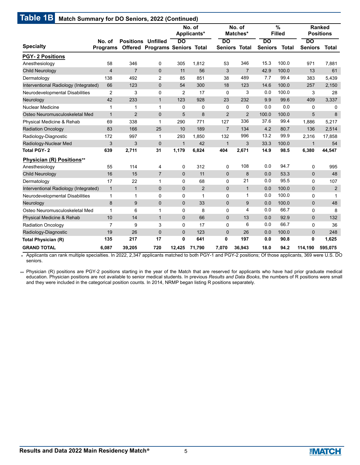|                                       |                           |                           |                                       |              | No. of<br>Applicants* |                            | No. of<br>Matches* |                             | $\%$<br><b>Filled</b> |                      | <b>Ranked</b><br><b>Positions</b> |
|---------------------------------------|---------------------------|---------------------------|---------------------------------------|--------------|-----------------------|----------------------------|--------------------|-----------------------------|-----------------------|----------------------|-----------------------------------|
| <b>Specialty</b>                      | No. of<br><b>Programs</b> | <b>Positions Unfilled</b> | <b>Offered Programs Seniors Total</b> | DO           |                       | DO<br><b>Seniors Total</b> |                    | <b>DO</b><br><b>Seniors</b> | <b>Total</b>          | DO<br><b>Seniors</b> | Total                             |
| <b>PGY-2 Positions</b>                |                           |                           |                                       |              |                       |                            |                    |                             |                       |                      |                                   |
| Anesthesiology                        | 58                        | 346                       | 0                                     | 305          | 1,812                 | 53                         | 346                | 15.3                        | 100.0                 | 971                  | 7,881                             |
| <b>Child Neurology</b>                | $\overline{4}$            | $\overline{7}$            | $\mathbf 0$                           | 11           | 56                    | 3                          | $\overline{7}$     | 42.9                        | 100.0                 | 13                   | 61                                |
| Dermatology                           | 138                       | 492                       | 2                                     | 85           | 851                   | 38                         | 489                | 7.7                         | 99.4                  | 383                  | 5,439                             |
| Interventional Radiology (Integrated) | 66                        | 123                       | $\mathbf 0$                           | 54           | 300                   | 18                         | 123                | 14.6                        | 100.0                 | 257                  | 2,150                             |
| Neurodevelopmental Disabilities       | 2                         | 3                         | $\mathbf 0$                           | 2            | 17                    | $\mathbf 0$                | 3                  | 0.0                         | 100.0                 | 3                    | 28                                |
| Neurology                             | 42                        | 233                       | $\mathbf{1}$                          | 123          | 928                   | 23                         | 232                | 9.9                         | 99.6                  | 409                  | 3,337                             |
| Nuclear Medicine                      | 1                         | $\mathbf{1}$              | 1                                     | $\Omega$     | $\Omega$              | $\mathbf 0$                | 0                  | 0.0                         | 0.0                   | 0                    | $\mathbf{0}$                      |
| Osteo Neuromusculoskeletal Med        | $\mathbf{1}$              | $\overline{2}$            | $\mathbf 0$                           | 5            | 8                     | $\overline{2}$             | $\overline{2}$     | 100.0                       | 100.0                 | 5                    | 8                                 |
| Physical Medicine & Rehab             | 69                        | 338                       | 1                                     | 290          | 771                   | 127                        | 336                | 37.6                        | 99.4                  | 1,886                | 5,217                             |
| <b>Radiation Oncology</b>             | 83                        | 166                       | 25                                    | 10           | 189                   | $\overline{7}$             | 134                | 4.2                         | 80.7                  | 136                  | 2,514                             |
| Radiology-Diagnostic                  | 172                       | 997                       | $\mathbf{1}$                          | 293          | 1.850                 | 132                        | 996                | 13.2                        | 99.9                  | 2.316                | 17,858                            |
| Radiology-Nuclear Med                 | 3                         | 3                         | $\mathbf 0$                           | $\mathbf{1}$ | 42                    | $\mathbf{1}$               | 3                  | 33.3                        | 100.0                 | $\mathbf{1}$         | 54                                |
| <b>Total PGY-2</b>                    | 639                       | 2,711                     | 31                                    | 1,179        | 6,824                 | 404                        | 2,671              | 14.9                        | 98.5                  | 6,380                | 44,547                            |
| Physician (R) Positions**             |                           |                           |                                       |              |                       |                            |                    |                             |                       |                      |                                   |
| Anesthesiology                        | 55                        | 114                       | 4                                     | 0            | 312                   | $\mathbf 0$                | 108                | 0.0                         | 94.7                  | $\mathbf 0$          | 995                               |
| Child Neurology                       | 16                        | 15                        | $\overline{7}$                        | 0            | 11                    | $\mathbf 0$                | 8                  | 0.0                         | 53.3                  | $\mathbf 0$          | 48                                |
| Dermatology                           | 17                        | 22                        | 1                                     | 0            | 68                    | $\mathbf 0$                | 21                 | 0.0                         | 95.5                  | 0                    | 107                               |
| Interventional Radiology (Integrated) | $\mathbf{1}$              | $\mathbf{1}$              | $\mathbf 0$                           | $\mathbf{0}$ | $\overline{2}$        | $\mathbf 0$                | $\mathbf{1}$       | 0.0                         | 100.0                 | $\mathbf{0}$         | 2                                 |
| Neurodevelopmental Disabilities       | 1                         | $\mathbf{1}$              | $\mathbf 0$                           | 0            | $\mathbf 1$           | $\mathbf 0$                | $\mathbf{1}$       | 0.0                         | 100.0                 | 0                    | $\mathbf{1}$                      |
| Neurology                             | 8                         | 9                         | $\mathbf{0}$                          | 0            | 33                    | $\mathbf 0$                | 9                  | 0.0                         | 100.0                 | $\mathbf 0$          | 48                                |
| Osteo Neuromusculoskeletal Med        | 1                         | 6                         | 1                                     | 0            | 8                     | 0                          | 4                  | 0.0                         | 66.7                  | 0                    | 8                                 |
| Physical Medicine & Rehab             | 10                        | 14                        | $\mathbf{1}$                          | 0            | 66                    | $\mathbf{0}$               | 13                 | 0.0                         | 92.9                  | $\mathbf{0}$         | 132                               |
| <b>Radiation Oncology</b>             | $\overline{7}$            | 9                         | 3                                     | 0            | 17                    | 0                          | 6                  | 0.0                         | 66.7                  | 0                    | 36                                |
| Radiology-Diagnostic                  | 19                        | 26                        | $\mathbf 0$                           | 0            | 123                   | $\mathbf 0$                | 26                 | 0.0                         | 100.0                 | $\mathbf{0}$         | 248                               |
| <b>Total Physician (R)</b>            | 135                       | 217                       | 17                                    | 0            | 641                   | 0                          | 197                | 0.0                         | 90.8                  | 0                    | 1,625                             |
| <b>GRAND TOTAL</b>                    | 6,087                     | 39,205                    | 720                                   | 12,425       | 71,790                | 7,070                      | 36,943             | 18.0                        | 94.2                  | 114,190              | 595,075                           |

Applicants can rank multiple specialties. In 2022, 2,347 applicants matched to both PGY-1 and PGY-2 positions; Of those applicants, 369 were U.S. DO \* seniors.

\*\* Physician (R) positions are PGY-2 positions starting in the year of the Match that are reserved for applicants who have had prior graduate medical education. Physician positions are not available to senior medical students. In previous *Results and Data Books*, the numbers of R positions were small and they were included in the categorical position counts. In 2014, NRMP began listing R positions separately.

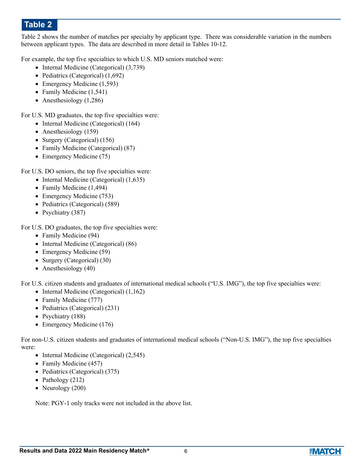Table 2 shows the number of matches per specialty by applicant type. There was considerable variation in the numbers between applicant types. The data are described in more detail in Tables 10-12.

For example, the top five specialties to which U.S. MD seniors matched were:

- Internal Medicine (Categorical) (3,739)
- Pediatrics (Categorical) (1,692)
- Emergency Medicine (1,593)
- Family Medicine (1,541)
- Anesthesiology  $(1,286)$

For U.S. MD graduates, the top five specialties were:

- Internal Medicine (Categorical) (164)
- Anesthesiology (159)
- Surgery (Categorical) (156)
- Family Medicine (Categorical) (87)
- Emergency Medicine (75)

For U.S. DO seniors, the top five specialties were:

- Internal Medicine (Categorical) (1,635)
- Family Medicine (1,494)
- Emergency Medicine (753)
- Pediatrics (Categorical) (589)
- Psychiatry (387)

For U.S. DO graduates, the top five specialties were:

- Family Medicine (94)
- Internal Medicine (Categorical) (86)
- Emergency Medicine (59)
- Surgery (Categorical) (30)
- Anesthesiology (40)

For U.S. citizen students and graduates of international medical schools ("U.S. IMG"), the top five specialties were:

- Internal Medicine (Categorical) (1,162)
- Family Medicine (777)
- Pediatrics (Categorical) (231)
- Psychiatry (188)
- Emergency Medicine (176)

For non-U.S. citizen students and graduates of international medical schools ("Non-U.S. IMG"), the top five specialties were:

- Internal Medicine (Categorical) (2,545)
- Family Medicine (457)
- Pediatrics (Categorical) (375)
- Pathology (212)
- Neurology  $(200)$

Note: PGY-1 only tracks were not included in the above list.

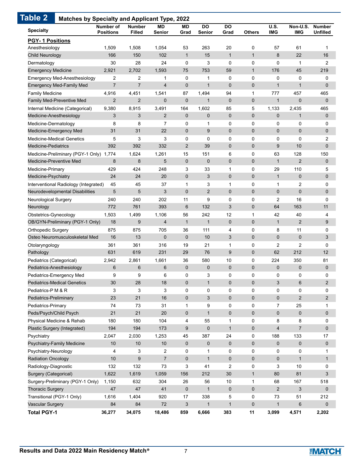| <b>PGY-1 Positions</b><br>1,508<br>263<br>Anesthesiology<br>1,509<br>1,054<br>53<br>20<br>0<br>57<br>61<br>$\mathbf{1}$<br>$\mathbf{1}$<br>$\mathbf{1}$<br>166<br>150<br>102<br>15<br>8<br>22<br>Child Neurology<br>30<br>0<br>$\mathbf 0$<br>0<br>0<br>Dermatology<br>28<br>24<br>3<br>1<br>$\mathbf{1}$<br><b>Emergency Medicine</b><br>2,921<br>2,702<br>1,593<br>75<br>753<br>59<br>176<br>45<br>$\overline{c}$<br>2<br>0<br>Emergency Med-Anesthesiology<br>0<br>1<br>0<br>0<br>0<br>1<br>$\overline{7}$<br>$\overline{7}$<br>$\mathbf 0$<br>$\mathbf{1}$<br>$\mathbf 0$<br>$\overline{0}$<br>$\mathbf{1}$<br><b>Emergency Med-Family Med</b><br>4<br>$\mathbf{1}$<br><b>Family Medicine</b><br>94<br>4,916<br>4,451<br>1,541<br>87<br>1,494<br>$\mathbf{1}$<br>777<br>457<br>$\overline{2}$<br>$\overline{2}$<br>$\mathbf 0$<br>$\mathbf 0$<br>$\mathbf 0$<br>0<br>$\mathbf{1}$<br>$\mathbf 0$<br><b>Family Med-Preventive Med</b><br>1<br>164<br>85<br>5<br>Internal Medicine (Categorical)<br>9,380<br>8,915<br>3,491<br>1,602<br>1,133<br>2,435<br>3<br>$\overline{2}$<br>$\overline{0}$<br>$\mathbf{0}$<br>Medicine-Anesthesiology<br>3<br>0<br>$\mathbf 0$<br>$\mathbf 0$<br>$\mathbf{1}$<br>Medicine-Dermatology<br>8<br>8<br>7<br>$\mathbf 0$<br>$\mathbf 0$<br>$\mathbf 0$<br>0<br>0<br>$\mathbf{1}$<br>31<br>31<br>22<br>$\mathbf{0}$<br>9<br>$\mathbf 0$<br>$\overline{0}$<br>$\mathbf{0}$<br>$\mathbf 0$<br>Medicine-Emergency Med<br><b>Medicine-Medical Genetics</b><br>5<br>3<br>3<br>$\mathbf 0$<br>$\mathbf 0$<br>$\mathbf 0$<br>0<br>0<br>0<br>$\overline{2}$<br>$\mathbf 0$<br>$\overline{0}$<br>9<br>10<br><b>Medicine-Pediatrics</b><br>392<br>392<br>332<br>39<br>6<br>0<br>63<br>128<br>Medicine-Preliminary (PGY-1 Only) 1,774<br>1,624<br>1,261<br>15<br>151<br>$\overline{2}$<br>8<br>5<br>$\mathbf 0$<br>$\mathbf 0$<br>$\overline{0}$<br>Medicine-Preventive Med<br>8<br>$\mathbf 0$<br>$\mathbf{1}$<br>0<br>Medicine-Primary<br>429<br>424<br>248<br>3<br>33<br>$\mathbf 1$<br>29<br>110<br>$\mathbf 0$<br>24<br>24<br>20<br>$\mathbf 0$<br>0<br>$\mathbf{1}$<br>$\pmb{0}$<br>Medicine-Psychiatry<br>3<br>$\mathbf 0$<br>$\overline{c}$<br>Interventional Radiology (Integrated)<br>45<br>45<br>37<br>$\mathbf{1}$<br>3<br>1<br>1<br>5<br>5<br>3<br>$\mathbf 0$<br>$\overline{2}$<br>$\mathbf 0$<br>0<br>0<br>$\pmb{0}$<br>Neurodevelopmental Disabilities<br>240<br>240<br>202<br>11<br>9<br>$\mathbf 0$<br>0<br>2<br>16<br>Neurological Surgery<br>761<br>393<br>6<br>132<br>3<br>$\overline{0}$<br>64<br>163<br>Neurology<br>772<br>56<br>12<br>$\mathbf{1}$<br>Obstetrics-Gynecology<br>1,503<br>1,499<br>1,106<br>242<br>42<br>40<br>$\mathbf{1}$<br>18<br>9<br>$\overline{4}$<br>$\mathbf{1}$<br>$\mathbf 0$<br>$\overline{0}$<br>$\mathbf{1}$<br>$\overline{2}$<br>OB/GYN-Preliminary (PGY-1 Only)<br>$\mathbf 0$<br><b>Orthopedic Surgery</b><br>875<br>875<br>705<br>36<br>111<br>4<br>8<br>11<br>3<br>$\overline{0}$<br>$\mathbf{0}$<br>$\mathbf 0$<br>Osteo Neuromusculoskeletal Med<br>16<br>13<br>$\boldsymbol{0}$<br>$\mathbf 0$<br>10<br>Otolaryngology<br>361<br>19<br>0<br>2<br>2<br>361<br>316<br>21<br>$\mathbf 1$<br>Pathology<br>631<br>619<br>231<br>29<br>76<br>9<br>0<br>62<br>212<br>36<br>580<br>10<br>0<br>224<br>350<br>Pediatrics (Categorical)<br>2,942<br>2,861<br>1,661<br>$6\phantom{1}6$<br>6<br>$6\phantom{1}6$<br>$\mathbf 0$<br>$\mathbf 0$<br>0<br>0<br>$\pmb{0}$<br>Pediatrics-Anesthesiology<br>$\mathbf 0$<br>9<br>9<br>6<br>3<br>Pediatrics-Emergency Med<br>0<br>0<br>0<br>0<br>0<br>30<br>28<br>18<br>0<br>$\mathbf{1}$<br>$\mathbf 0$<br>0<br>3<br>6<br><b>Pediatrics-Medical Genetics</b><br>3<br>3<br>3<br>Pediatrics-P M & R<br>0<br>0<br>$\mathbf 0$<br>0<br>0<br>0<br>$\mathbf 0$<br>23<br>21<br>16<br>3<br>$\mathbf 0$<br>0<br>0<br>2<br>Pediatrics-Preliminary<br>9<br>$\mathbf 0$<br>0<br>7<br>25<br>Pediatrics-Primary<br>74<br>73<br>31<br>$\mathbf{1}$<br>21<br>21<br>$\mathbf 0$<br>Peds/Psych/Child Psych<br>$20\,$<br>$\pmb{0}$<br>0<br>0<br>$\pmb{0}$<br>$\mathbf{1}$<br>Physical Medicine & Rehab<br>180<br>180<br>104<br>4<br>0<br>8<br>8<br>55<br>1<br>194<br>9<br>4<br>$\boldsymbol{7}$<br>Plastic Surgery (Integrated)<br>194<br>173<br>$\mathbf 0$<br>$\mathbf{1}$<br>0<br>Psychiatry<br>2,030<br>387<br>24<br>0<br>133<br>2,047<br>1,253<br>45<br>188<br>$\pmb{0}$<br>$\pmb{0}$<br>Psychiatry-Family Medicine<br>$10$<br>10<br>$\mathbf 0$<br>$\pmb{0}$<br>0<br>0<br>10<br>Psychiatry-Neurology<br>4<br>3<br>2<br>0<br>$\mathbf 0$<br>0<br>0<br>0<br>1<br>10<br>9<br>$\overline{7}$<br>$\mathbf 0$<br>0<br><b>Radiation Oncology</b><br>$\mathbf{1}$<br>$\mathbf 0$<br>0<br>$\mathbf{1}$<br>0<br>Radiology-Diagnostic<br>132<br>132<br>73<br>3<br>41<br>2<br>3<br>10<br>Surgery (Categorical)<br>1,622<br>1,059<br>212<br>30<br>$\mathbf{1}$<br>80<br>81<br>1,619<br>156<br>Surgery-Preliminary (PGY-1 Only)<br>1,150<br>632<br>304<br>26<br>10<br>167<br>56<br>1<br>68<br><b>Thoracic Surgery</b><br>47<br>47<br>$\pmb{0}$<br>0<br>$\overline{2}$<br>$\ensuremath{\mathsf{3}}$<br>41<br>$\mathbf{1}$<br>$\boldsymbol{0}$<br>5<br>Transitional (PGY-1 Only)<br>1,616<br>1,404<br>920<br>17<br>338<br>0<br>73<br>51<br>84<br>$72\,$<br>$\ensuremath{\mathsf{3}}$<br>0<br>$\,6$<br><b>Vascular Surgery</b><br>84<br>$\mathbf{1}$<br>$\mathbf{1}$<br>$\mathbf{1}$ | <b>Specialty</b> | Number of<br><b>Positions</b> | <b>Number</b><br>Filled | MD<br>Senior | ΜD<br>Grad | DO<br><b>Senior</b> | <b>DO</b><br>Grad | <b>Others</b> | U.S.<br><b>IMG</b> | Non-U.S.<br><b>IMG</b> | <b>Number</b><br>Unfilled |
|---------------------------------------------------------------------------------------------------------------------------------------------------------------------------------------------------------------------------------------------------------------------------------------------------------------------------------------------------------------------------------------------------------------------------------------------------------------------------------------------------------------------------------------------------------------------------------------------------------------------------------------------------------------------------------------------------------------------------------------------------------------------------------------------------------------------------------------------------------------------------------------------------------------------------------------------------------------------------------------------------------------------------------------------------------------------------------------------------------------------------------------------------------------------------------------------------------------------------------------------------------------------------------------------------------------------------------------------------------------------------------------------------------------------------------------------------------------------------------------------------------------------------------------------------------------------------------------------------------------------------------------------------------------------------------------------------------------------------------------------------------------------------------------------------------------------------------------------------------------------------------------------------------------------------------------------------------------------------------------------------------------------------------------------------------------------------------------------------------------------------------------------------------------------------------------------------------------------------------------------------------------------------------------------------------------------------------------------------------------------------------------------------------------------------------------------------------------------------------------------------------------------------------------------------------------------------------------------------------------------------------------------------------------------------------------------------------------------------------------------------------------------------------------------------------------------------------------------------------------------------------------------------------------------------------------------------------------------------------------------------------------------------------------------------------------------------------------------------------------------------------------------------------------------------------------------------------------------------------------------------------------------------------------------------------------------------------------------------------------------------------------------------------------------------------------------------------------------------------------------------------------------------------------------------------------------------------------------------------------------------------------------------------------------------------------------------------------------------------------------------------------------------------------------------------------------------------------------------------------------------------------------------------------------------------------------------------------------------------------------------------------------------------------------------------------------------------------------------------------------------------------------------------------------------------------------------------------------------------------------------------------------------------------------------------------------------------------------------------------------------------------------------------------------------------------------------------------------------------------------------------------------------------------------------------------------------------------------------------------------------------------------------------------------------------------------------------------------------------------------------------------------------------------------------------------------------------------------------------------------------------------------------------------------------------------------------------------------------------------------------------------------------------------------------------------------------------------------------------------------------------------------------------------------------------------------------------------------------------------------------------------------------------------------------------------------------------------------------------------------|------------------|-------------------------------|-------------------------|--------------|------------|---------------------|-------------------|---------------|--------------------|------------------------|---------------------------|
|                                                                                                                                                                                                                                                                                                                                                                                                                                                                                                                                                                                                                                                                                                                                                                                                                                                                                                                                                                                                                                                                                                                                                                                                                                                                                                                                                                                                                                                                                                                                                                                                                                                                                                                                                                                                                                                                                                                                                                                                                                                                                                                                                                                                                                                                                                                                                                                                                                                                                                                                                                                                                                                                                                                                                                                                                                                                                                                                                                                                                                                                                                                                                                                                                                                                                                                                                                                                                                                                                                                                                                                                                                                                                                                                                                                                                                                                                                                                                                                                                                                                                                                                                                                                                                                                                                                                                                                                                                                                                                                                                                                                                                                                                                                                                                                                                                                                                                                                                                                                                                                                                                                                                                                                                                                                                                                                                                     |                  |                               |                         |              |            |                     |                   |               |                    |                        |                           |
|                                                                                                                                                                                                                                                                                                                                                                                                                                                                                                                                                                                                                                                                                                                                                                                                                                                                                                                                                                                                                                                                                                                                                                                                                                                                                                                                                                                                                                                                                                                                                                                                                                                                                                                                                                                                                                                                                                                                                                                                                                                                                                                                                                                                                                                                                                                                                                                                                                                                                                                                                                                                                                                                                                                                                                                                                                                                                                                                                                                                                                                                                                                                                                                                                                                                                                                                                                                                                                                                                                                                                                                                                                                                                                                                                                                                                                                                                                                                                                                                                                                                                                                                                                                                                                                                                                                                                                                                                                                                                                                                                                                                                                                                                                                                                                                                                                                                                                                                                                                                                                                                                                                                                                                                                                                                                                                                                                     |                  |                               |                         |              |            |                     |                   |               |                    |                        | 1                         |
|                                                                                                                                                                                                                                                                                                                                                                                                                                                                                                                                                                                                                                                                                                                                                                                                                                                                                                                                                                                                                                                                                                                                                                                                                                                                                                                                                                                                                                                                                                                                                                                                                                                                                                                                                                                                                                                                                                                                                                                                                                                                                                                                                                                                                                                                                                                                                                                                                                                                                                                                                                                                                                                                                                                                                                                                                                                                                                                                                                                                                                                                                                                                                                                                                                                                                                                                                                                                                                                                                                                                                                                                                                                                                                                                                                                                                                                                                                                                                                                                                                                                                                                                                                                                                                                                                                                                                                                                                                                                                                                                                                                                                                                                                                                                                                                                                                                                                                                                                                                                                                                                                                                                                                                                                                                                                                                                                                     |                  |                               |                         |              |            |                     |                   |               |                    |                        | 16                        |
|                                                                                                                                                                                                                                                                                                                                                                                                                                                                                                                                                                                                                                                                                                                                                                                                                                                                                                                                                                                                                                                                                                                                                                                                                                                                                                                                                                                                                                                                                                                                                                                                                                                                                                                                                                                                                                                                                                                                                                                                                                                                                                                                                                                                                                                                                                                                                                                                                                                                                                                                                                                                                                                                                                                                                                                                                                                                                                                                                                                                                                                                                                                                                                                                                                                                                                                                                                                                                                                                                                                                                                                                                                                                                                                                                                                                                                                                                                                                                                                                                                                                                                                                                                                                                                                                                                                                                                                                                                                                                                                                                                                                                                                                                                                                                                                                                                                                                                                                                                                                                                                                                                                                                                                                                                                                                                                                                                     |                  |                               |                         |              |            |                     |                   |               |                    |                        | 2                         |
|                                                                                                                                                                                                                                                                                                                                                                                                                                                                                                                                                                                                                                                                                                                                                                                                                                                                                                                                                                                                                                                                                                                                                                                                                                                                                                                                                                                                                                                                                                                                                                                                                                                                                                                                                                                                                                                                                                                                                                                                                                                                                                                                                                                                                                                                                                                                                                                                                                                                                                                                                                                                                                                                                                                                                                                                                                                                                                                                                                                                                                                                                                                                                                                                                                                                                                                                                                                                                                                                                                                                                                                                                                                                                                                                                                                                                                                                                                                                                                                                                                                                                                                                                                                                                                                                                                                                                                                                                                                                                                                                                                                                                                                                                                                                                                                                                                                                                                                                                                                                                                                                                                                                                                                                                                                                                                                                                                     |                  |                               |                         |              |            |                     |                   |               |                    |                        | 219                       |
|                                                                                                                                                                                                                                                                                                                                                                                                                                                                                                                                                                                                                                                                                                                                                                                                                                                                                                                                                                                                                                                                                                                                                                                                                                                                                                                                                                                                                                                                                                                                                                                                                                                                                                                                                                                                                                                                                                                                                                                                                                                                                                                                                                                                                                                                                                                                                                                                                                                                                                                                                                                                                                                                                                                                                                                                                                                                                                                                                                                                                                                                                                                                                                                                                                                                                                                                                                                                                                                                                                                                                                                                                                                                                                                                                                                                                                                                                                                                                                                                                                                                                                                                                                                                                                                                                                                                                                                                                                                                                                                                                                                                                                                                                                                                                                                                                                                                                                                                                                                                                                                                                                                                                                                                                                                                                                                                                                     |                  |                               |                         |              |            |                     |                   |               |                    |                        | 0                         |
|                                                                                                                                                                                                                                                                                                                                                                                                                                                                                                                                                                                                                                                                                                                                                                                                                                                                                                                                                                                                                                                                                                                                                                                                                                                                                                                                                                                                                                                                                                                                                                                                                                                                                                                                                                                                                                                                                                                                                                                                                                                                                                                                                                                                                                                                                                                                                                                                                                                                                                                                                                                                                                                                                                                                                                                                                                                                                                                                                                                                                                                                                                                                                                                                                                                                                                                                                                                                                                                                                                                                                                                                                                                                                                                                                                                                                                                                                                                                                                                                                                                                                                                                                                                                                                                                                                                                                                                                                                                                                                                                                                                                                                                                                                                                                                                                                                                                                                                                                                                                                                                                                                                                                                                                                                                                                                                                                                     |                  |                               |                         |              |            |                     |                   |               |                    |                        | $\mathbf{0}$              |
|                                                                                                                                                                                                                                                                                                                                                                                                                                                                                                                                                                                                                                                                                                                                                                                                                                                                                                                                                                                                                                                                                                                                                                                                                                                                                                                                                                                                                                                                                                                                                                                                                                                                                                                                                                                                                                                                                                                                                                                                                                                                                                                                                                                                                                                                                                                                                                                                                                                                                                                                                                                                                                                                                                                                                                                                                                                                                                                                                                                                                                                                                                                                                                                                                                                                                                                                                                                                                                                                                                                                                                                                                                                                                                                                                                                                                                                                                                                                                                                                                                                                                                                                                                                                                                                                                                                                                                                                                                                                                                                                                                                                                                                                                                                                                                                                                                                                                                                                                                                                                                                                                                                                                                                                                                                                                                                                                                     |                  |                               |                         |              |            |                     |                   |               |                    |                        | 465                       |
|                                                                                                                                                                                                                                                                                                                                                                                                                                                                                                                                                                                                                                                                                                                                                                                                                                                                                                                                                                                                                                                                                                                                                                                                                                                                                                                                                                                                                                                                                                                                                                                                                                                                                                                                                                                                                                                                                                                                                                                                                                                                                                                                                                                                                                                                                                                                                                                                                                                                                                                                                                                                                                                                                                                                                                                                                                                                                                                                                                                                                                                                                                                                                                                                                                                                                                                                                                                                                                                                                                                                                                                                                                                                                                                                                                                                                                                                                                                                                                                                                                                                                                                                                                                                                                                                                                                                                                                                                                                                                                                                                                                                                                                                                                                                                                                                                                                                                                                                                                                                                                                                                                                                                                                                                                                                                                                                                                     |                  |                               |                         |              |            |                     |                   |               |                    |                        | $\mathbf 0$               |
|                                                                                                                                                                                                                                                                                                                                                                                                                                                                                                                                                                                                                                                                                                                                                                                                                                                                                                                                                                                                                                                                                                                                                                                                                                                                                                                                                                                                                                                                                                                                                                                                                                                                                                                                                                                                                                                                                                                                                                                                                                                                                                                                                                                                                                                                                                                                                                                                                                                                                                                                                                                                                                                                                                                                                                                                                                                                                                                                                                                                                                                                                                                                                                                                                                                                                                                                                                                                                                                                                                                                                                                                                                                                                                                                                                                                                                                                                                                                                                                                                                                                                                                                                                                                                                                                                                                                                                                                                                                                                                                                                                                                                                                                                                                                                                                                                                                                                                                                                                                                                                                                                                                                                                                                                                                                                                                                                                     |                  |                               |                         |              |            |                     |                   |               |                    |                        | 465                       |
|                                                                                                                                                                                                                                                                                                                                                                                                                                                                                                                                                                                                                                                                                                                                                                                                                                                                                                                                                                                                                                                                                                                                                                                                                                                                                                                                                                                                                                                                                                                                                                                                                                                                                                                                                                                                                                                                                                                                                                                                                                                                                                                                                                                                                                                                                                                                                                                                                                                                                                                                                                                                                                                                                                                                                                                                                                                                                                                                                                                                                                                                                                                                                                                                                                                                                                                                                                                                                                                                                                                                                                                                                                                                                                                                                                                                                                                                                                                                                                                                                                                                                                                                                                                                                                                                                                                                                                                                                                                                                                                                                                                                                                                                                                                                                                                                                                                                                                                                                                                                                                                                                                                                                                                                                                                                                                                                                                     |                  |                               |                         |              |            |                     |                   |               |                    |                        | $\mathbf 0$               |
|                                                                                                                                                                                                                                                                                                                                                                                                                                                                                                                                                                                                                                                                                                                                                                                                                                                                                                                                                                                                                                                                                                                                                                                                                                                                                                                                                                                                                                                                                                                                                                                                                                                                                                                                                                                                                                                                                                                                                                                                                                                                                                                                                                                                                                                                                                                                                                                                                                                                                                                                                                                                                                                                                                                                                                                                                                                                                                                                                                                                                                                                                                                                                                                                                                                                                                                                                                                                                                                                                                                                                                                                                                                                                                                                                                                                                                                                                                                                                                                                                                                                                                                                                                                                                                                                                                                                                                                                                                                                                                                                                                                                                                                                                                                                                                                                                                                                                                                                                                                                                                                                                                                                                                                                                                                                                                                                                                     |                  |                               |                         |              |            |                     |                   |               |                    |                        | 0                         |
|                                                                                                                                                                                                                                                                                                                                                                                                                                                                                                                                                                                                                                                                                                                                                                                                                                                                                                                                                                                                                                                                                                                                                                                                                                                                                                                                                                                                                                                                                                                                                                                                                                                                                                                                                                                                                                                                                                                                                                                                                                                                                                                                                                                                                                                                                                                                                                                                                                                                                                                                                                                                                                                                                                                                                                                                                                                                                                                                                                                                                                                                                                                                                                                                                                                                                                                                                                                                                                                                                                                                                                                                                                                                                                                                                                                                                                                                                                                                                                                                                                                                                                                                                                                                                                                                                                                                                                                                                                                                                                                                                                                                                                                                                                                                                                                                                                                                                                                                                                                                                                                                                                                                                                                                                                                                                                                                                                     |                  |                               |                         |              |            |                     |                   |               |                    |                        | $\mathbf 0$               |
|                                                                                                                                                                                                                                                                                                                                                                                                                                                                                                                                                                                                                                                                                                                                                                                                                                                                                                                                                                                                                                                                                                                                                                                                                                                                                                                                                                                                                                                                                                                                                                                                                                                                                                                                                                                                                                                                                                                                                                                                                                                                                                                                                                                                                                                                                                                                                                                                                                                                                                                                                                                                                                                                                                                                                                                                                                                                                                                                                                                                                                                                                                                                                                                                                                                                                                                                                                                                                                                                                                                                                                                                                                                                                                                                                                                                                                                                                                                                                                                                                                                                                                                                                                                                                                                                                                                                                                                                                                                                                                                                                                                                                                                                                                                                                                                                                                                                                                                                                                                                                                                                                                                                                                                                                                                                                                                                                                     |                  |                               |                         |              |            |                     |                   |               |                    |                        | 2                         |
|                                                                                                                                                                                                                                                                                                                                                                                                                                                                                                                                                                                                                                                                                                                                                                                                                                                                                                                                                                                                                                                                                                                                                                                                                                                                                                                                                                                                                                                                                                                                                                                                                                                                                                                                                                                                                                                                                                                                                                                                                                                                                                                                                                                                                                                                                                                                                                                                                                                                                                                                                                                                                                                                                                                                                                                                                                                                                                                                                                                                                                                                                                                                                                                                                                                                                                                                                                                                                                                                                                                                                                                                                                                                                                                                                                                                                                                                                                                                                                                                                                                                                                                                                                                                                                                                                                                                                                                                                                                                                                                                                                                                                                                                                                                                                                                                                                                                                                                                                                                                                                                                                                                                                                                                                                                                                                                                                                     |                  |                               |                         |              |            |                     |                   |               |                    |                        | $\mathbf 0$               |
|                                                                                                                                                                                                                                                                                                                                                                                                                                                                                                                                                                                                                                                                                                                                                                                                                                                                                                                                                                                                                                                                                                                                                                                                                                                                                                                                                                                                                                                                                                                                                                                                                                                                                                                                                                                                                                                                                                                                                                                                                                                                                                                                                                                                                                                                                                                                                                                                                                                                                                                                                                                                                                                                                                                                                                                                                                                                                                                                                                                                                                                                                                                                                                                                                                                                                                                                                                                                                                                                                                                                                                                                                                                                                                                                                                                                                                                                                                                                                                                                                                                                                                                                                                                                                                                                                                                                                                                                                                                                                                                                                                                                                                                                                                                                                                                                                                                                                                                                                                                                                                                                                                                                                                                                                                                                                                                                                                     |                  |                               |                         |              |            |                     |                   |               |                    |                        | 150                       |
|                                                                                                                                                                                                                                                                                                                                                                                                                                                                                                                                                                                                                                                                                                                                                                                                                                                                                                                                                                                                                                                                                                                                                                                                                                                                                                                                                                                                                                                                                                                                                                                                                                                                                                                                                                                                                                                                                                                                                                                                                                                                                                                                                                                                                                                                                                                                                                                                                                                                                                                                                                                                                                                                                                                                                                                                                                                                                                                                                                                                                                                                                                                                                                                                                                                                                                                                                                                                                                                                                                                                                                                                                                                                                                                                                                                                                                                                                                                                                                                                                                                                                                                                                                                                                                                                                                                                                                                                                                                                                                                                                                                                                                                                                                                                                                                                                                                                                                                                                                                                                                                                                                                                                                                                                                                                                                                                                                     |                  |                               |                         |              |            |                     |                   |               |                    |                        | $\mathbf 0$               |
|                                                                                                                                                                                                                                                                                                                                                                                                                                                                                                                                                                                                                                                                                                                                                                                                                                                                                                                                                                                                                                                                                                                                                                                                                                                                                                                                                                                                                                                                                                                                                                                                                                                                                                                                                                                                                                                                                                                                                                                                                                                                                                                                                                                                                                                                                                                                                                                                                                                                                                                                                                                                                                                                                                                                                                                                                                                                                                                                                                                                                                                                                                                                                                                                                                                                                                                                                                                                                                                                                                                                                                                                                                                                                                                                                                                                                                                                                                                                                                                                                                                                                                                                                                                                                                                                                                                                                                                                                                                                                                                                                                                                                                                                                                                                                                                                                                                                                                                                                                                                                                                                                                                                                                                                                                                                                                                                                                     |                  |                               |                         |              |            |                     |                   |               |                    |                        | 5                         |
|                                                                                                                                                                                                                                                                                                                                                                                                                                                                                                                                                                                                                                                                                                                                                                                                                                                                                                                                                                                                                                                                                                                                                                                                                                                                                                                                                                                                                                                                                                                                                                                                                                                                                                                                                                                                                                                                                                                                                                                                                                                                                                                                                                                                                                                                                                                                                                                                                                                                                                                                                                                                                                                                                                                                                                                                                                                                                                                                                                                                                                                                                                                                                                                                                                                                                                                                                                                                                                                                                                                                                                                                                                                                                                                                                                                                                                                                                                                                                                                                                                                                                                                                                                                                                                                                                                                                                                                                                                                                                                                                                                                                                                                                                                                                                                                                                                                                                                                                                                                                                                                                                                                                                                                                                                                                                                                                                                     |                  |                               |                         |              |            |                     |                   |               |                    |                        | 0                         |
|                                                                                                                                                                                                                                                                                                                                                                                                                                                                                                                                                                                                                                                                                                                                                                                                                                                                                                                                                                                                                                                                                                                                                                                                                                                                                                                                                                                                                                                                                                                                                                                                                                                                                                                                                                                                                                                                                                                                                                                                                                                                                                                                                                                                                                                                                                                                                                                                                                                                                                                                                                                                                                                                                                                                                                                                                                                                                                                                                                                                                                                                                                                                                                                                                                                                                                                                                                                                                                                                                                                                                                                                                                                                                                                                                                                                                                                                                                                                                                                                                                                                                                                                                                                                                                                                                                                                                                                                                                                                                                                                                                                                                                                                                                                                                                                                                                                                                                                                                                                                                                                                                                                                                                                                                                                                                                                                                                     |                  |                               |                         |              |            |                     |                   |               |                    |                        | 0                         |
|                                                                                                                                                                                                                                                                                                                                                                                                                                                                                                                                                                                                                                                                                                                                                                                                                                                                                                                                                                                                                                                                                                                                                                                                                                                                                                                                                                                                                                                                                                                                                                                                                                                                                                                                                                                                                                                                                                                                                                                                                                                                                                                                                                                                                                                                                                                                                                                                                                                                                                                                                                                                                                                                                                                                                                                                                                                                                                                                                                                                                                                                                                                                                                                                                                                                                                                                                                                                                                                                                                                                                                                                                                                                                                                                                                                                                                                                                                                                                                                                                                                                                                                                                                                                                                                                                                                                                                                                                                                                                                                                                                                                                                                                                                                                                                                                                                                                                                                                                                                                                                                                                                                                                                                                                                                                                                                                                                     |                  |                               |                         |              |            |                     |                   |               |                    |                        | $\mathbf 0$               |
|                                                                                                                                                                                                                                                                                                                                                                                                                                                                                                                                                                                                                                                                                                                                                                                                                                                                                                                                                                                                                                                                                                                                                                                                                                                                                                                                                                                                                                                                                                                                                                                                                                                                                                                                                                                                                                                                                                                                                                                                                                                                                                                                                                                                                                                                                                                                                                                                                                                                                                                                                                                                                                                                                                                                                                                                                                                                                                                                                                                                                                                                                                                                                                                                                                                                                                                                                                                                                                                                                                                                                                                                                                                                                                                                                                                                                                                                                                                                                                                                                                                                                                                                                                                                                                                                                                                                                                                                                                                                                                                                                                                                                                                                                                                                                                                                                                                                                                                                                                                                                                                                                                                                                                                                                                                                                                                                                                     |                  |                               |                         |              |            |                     |                   |               |                    |                        | $\mathbf 0$               |
|                                                                                                                                                                                                                                                                                                                                                                                                                                                                                                                                                                                                                                                                                                                                                                                                                                                                                                                                                                                                                                                                                                                                                                                                                                                                                                                                                                                                                                                                                                                                                                                                                                                                                                                                                                                                                                                                                                                                                                                                                                                                                                                                                                                                                                                                                                                                                                                                                                                                                                                                                                                                                                                                                                                                                                                                                                                                                                                                                                                                                                                                                                                                                                                                                                                                                                                                                                                                                                                                                                                                                                                                                                                                                                                                                                                                                                                                                                                                                                                                                                                                                                                                                                                                                                                                                                                                                                                                                                                                                                                                                                                                                                                                                                                                                                                                                                                                                                                                                                                                                                                                                                                                                                                                                                                                                                                                                                     |                  |                               |                         |              |            |                     |                   |               |                    |                        | 11                        |
|                                                                                                                                                                                                                                                                                                                                                                                                                                                                                                                                                                                                                                                                                                                                                                                                                                                                                                                                                                                                                                                                                                                                                                                                                                                                                                                                                                                                                                                                                                                                                                                                                                                                                                                                                                                                                                                                                                                                                                                                                                                                                                                                                                                                                                                                                                                                                                                                                                                                                                                                                                                                                                                                                                                                                                                                                                                                                                                                                                                                                                                                                                                                                                                                                                                                                                                                                                                                                                                                                                                                                                                                                                                                                                                                                                                                                                                                                                                                                                                                                                                                                                                                                                                                                                                                                                                                                                                                                                                                                                                                                                                                                                                                                                                                                                                                                                                                                                                                                                                                                                                                                                                                                                                                                                                                                                                                                                     |                  |                               |                         |              |            |                     |                   |               |                    |                        | 4                         |
|                                                                                                                                                                                                                                                                                                                                                                                                                                                                                                                                                                                                                                                                                                                                                                                                                                                                                                                                                                                                                                                                                                                                                                                                                                                                                                                                                                                                                                                                                                                                                                                                                                                                                                                                                                                                                                                                                                                                                                                                                                                                                                                                                                                                                                                                                                                                                                                                                                                                                                                                                                                                                                                                                                                                                                                                                                                                                                                                                                                                                                                                                                                                                                                                                                                                                                                                                                                                                                                                                                                                                                                                                                                                                                                                                                                                                                                                                                                                                                                                                                                                                                                                                                                                                                                                                                                                                                                                                                                                                                                                                                                                                                                                                                                                                                                                                                                                                                                                                                                                                                                                                                                                                                                                                                                                                                                                                                     |                  |                               |                         |              |            |                     |                   |               |                    |                        | 9                         |
|                                                                                                                                                                                                                                                                                                                                                                                                                                                                                                                                                                                                                                                                                                                                                                                                                                                                                                                                                                                                                                                                                                                                                                                                                                                                                                                                                                                                                                                                                                                                                                                                                                                                                                                                                                                                                                                                                                                                                                                                                                                                                                                                                                                                                                                                                                                                                                                                                                                                                                                                                                                                                                                                                                                                                                                                                                                                                                                                                                                                                                                                                                                                                                                                                                                                                                                                                                                                                                                                                                                                                                                                                                                                                                                                                                                                                                                                                                                                                                                                                                                                                                                                                                                                                                                                                                                                                                                                                                                                                                                                                                                                                                                                                                                                                                                                                                                                                                                                                                                                                                                                                                                                                                                                                                                                                                                                                                     |                  |                               |                         |              |            |                     |                   |               |                    |                        | 0                         |
|                                                                                                                                                                                                                                                                                                                                                                                                                                                                                                                                                                                                                                                                                                                                                                                                                                                                                                                                                                                                                                                                                                                                                                                                                                                                                                                                                                                                                                                                                                                                                                                                                                                                                                                                                                                                                                                                                                                                                                                                                                                                                                                                                                                                                                                                                                                                                                                                                                                                                                                                                                                                                                                                                                                                                                                                                                                                                                                                                                                                                                                                                                                                                                                                                                                                                                                                                                                                                                                                                                                                                                                                                                                                                                                                                                                                                                                                                                                                                                                                                                                                                                                                                                                                                                                                                                                                                                                                                                                                                                                                                                                                                                                                                                                                                                                                                                                                                                                                                                                                                                                                                                                                                                                                                                                                                                                                                                     |                  |                               |                         |              |            |                     |                   |               |                    |                        | 3                         |
|                                                                                                                                                                                                                                                                                                                                                                                                                                                                                                                                                                                                                                                                                                                                                                                                                                                                                                                                                                                                                                                                                                                                                                                                                                                                                                                                                                                                                                                                                                                                                                                                                                                                                                                                                                                                                                                                                                                                                                                                                                                                                                                                                                                                                                                                                                                                                                                                                                                                                                                                                                                                                                                                                                                                                                                                                                                                                                                                                                                                                                                                                                                                                                                                                                                                                                                                                                                                                                                                                                                                                                                                                                                                                                                                                                                                                                                                                                                                                                                                                                                                                                                                                                                                                                                                                                                                                                                                                                                                                                                                                                                                                                                                                                                                                                                                                                                                                                                                                                                                                                                                                                                                                                                                                                                                                                                                                                     |                  |                               |                         |              |            |                     |                   |               |                    |                        | 0                         |
|                                                                                                                                                                                                                                                                                                                                                                                                                                                                                                                                                                                                                                                                                                                                                                                                                                                                                                                                                                                                                                                                                                                                                                                                                                                                                                                                                                                                                                                                                                                                                                                                                                                                                                                                                                                                                                                                                                                                                                                                                                                                                                                                                                                                                                                                                                                                                                                                                                                                                                                                                                                                                                                                                                                                                                                                                                                                                                                                                                                                                                                                                                                                                                                                                                                                                                                                                                                                                                                                                                                                                                                                                                                                                                                                                                                                                                                                                                                                                                                                                                                                                                                                                                                                                                                                                                                                                                                                                                                                                                                                                                                                                                                                                                                                                                                                                                                                                                                                                                                                                                                                                                                                                                                                                                                                                                                                                                     |                  |                               |                         |              |            |                     |                   |               |                    |                        | 12                        |
|                                                                                                                                                                                                                                                                                                                                                                                                                                                                                                                                                                                                                                                                                                                                                                                                                                                                                                                                                                                                                                                                                                                                                                                                                                                                                                                                                                                                                                                                                                                                                                                                                                                                                                                                                                                                                                                                                                                                                                                                                                                                                                                                                                                                                                                                                                                                                                                                                                                                                                                                                                                                                                                                                                                                                                                                                                                                                                                                                                                                                                                                                                                                                                                                                                                                                                                                                                                                                                                                                                                                                                                                                                                                                                                                                                                                                                                                                                                                                                                                                                                                                                                                                                                                                                                                                                                                                                                                                                                                                                                                                                                                                                                                                                                                                                                                                                                                                                                                                                                                                                                                                                                                                                                                                                                                                                                                                                     |                  |                               |                         |              |            |                     |                   |               |                    |                        | 81                        |
|                                                                                                                                                                                                                                                                                                                                                                                                                                                                                                                                                                                                                                                                                                                                                                                                                                                                                                                                                                                                                                                                                                                                                                                                                                                                                                                                                                                                                                                                                                                                                                                                                                                                                                                                                                                                                                                                                                                                                                                                                                                                                                                                                                                                                                                                                                                                                                                                                                                                                                                                                                                                                                                                                                                                                                                                                                                                                                                                                                                                                                                                                                                                                                                                                                                                                                                                                                                                                                                                                                                                                                                                                                                                                                                                                                                                                                                                                                                                                                                                                                                                                                                                                                                                                                                                                                                                                                                                                                                                                                                                                                                                                                                                                                                                                                                                                                                                                                                                                                                                                                                                                                                                                                                                                                                                                                                                                                     |                  |                               |                         |              |            |                     |                   |               |                    |                        | $\mathbf 0$               |
|                                                                                                                                                                                                                                                                                                                                                                                                                                                                                                                                                                                                                                                                                                                                                                                                                                                                                                                                                                                                                                                                                                                                                                                                                                                                                                                                                                                                                                                                                                                                                                                                                                                                                                                                                                                                                                                                                                                                                                                                                                                                                                                                                                                                                                                                                                                                                                                                                                                                                                                                                                                                                                                                                                                                                                                                                                                                                                                                                                                                                                                                                                                                                                                                                                                                                                                                                                                                                                                                                                                                                                                                                                                                                                                                                                                                                                                                                                                                                                                                                                                                                                                                                                                                                                                                                                                                                                                                                                                                                                                                                                                                                                                                                                                                                                                                                                                                                                                                                                                                                                                                                                                                                                                                                                                                                                                                                                     |                  |                               |                         |              |            |                     |                   |               |                    |                        | 0                         |
|                                                                                                                                                                                                                                                                                                                                                                                                                                                                                                                                                                                                                                                                                                                                                                                                                                                                                                                                                                                                                                                                                                                                                                                                                                                                                                                                                                                                                                                                                                                                                                                                                                                                                                                                                                                                                                                                                                                                                                                                                                                                                                                                                                                                                                                                                                                                                                                                                                                                                                                                                                                                                                                                                                                                                                                                                                                                                                                                                                                                                                                                                                                                                                                                                                                                                                                                                                                                                                                                                                                                                                                                                                                                                                                                                                                                                                                                                                                                                                                                                                                                                                                                                                                                                                                                                                                                                                                                                                                                                                                                                                                                                                                                                                                                                                                                                                                                                                                                                                                                                                                                                                                                                                                                                                                                                                                                                                     |                  |                               |                         |              |            |                     |                   |               |                    |                        | 2                         |
|                                                                                                                                                                                                                                                                                                                                                                                                                                                                                                                                                                                                                                                                                                                                                                                                                                                                                                                                                                                                                                                                                                                                                                                                                                                                                                                                                                                                                                                                                                                                                                                                                                                                                                                                                                                                                                                                                                                                                                                                                                                                                                                                                                                                                                                                                                                                                                                                                                                                                                                                                                                                                                                                                                                                                                                                                                                                                                                                                                                                                                                                                                                                                                                                                                                                                                                                                                                                                                                                                                                                                                                                                                                                                                                                                                                                                                                                                                                                                                                                                                                                                                                                                                                                                                                                                                                                                                                                                                                                                                                                                                                                                                                                                                                                                                                                                                                                                                                                                                                                                                                                                                                                                                                                                                                                                                                                                                     |                  |                               |                         |              |            |                     |                   |               |                    |                        |                           |
|                                                                                                                                                                                                                                                                                                                                                                                                                                                                                                                                                                                                                                                                                                                                                                                                                                                                                                                                                                                                                                                                                                                                                                                                                                                                                                                                                                                                                                                                                                                                                                                                                                                                                                                                                                                                                                                                                                                                                                                                                                                                                                                                                                                                                                                                                                                                                                                                                                                                                                                                                                                                                                                                                                                                                                                                                                                                                                                                                                                                                                                                                                                                                                                                                                                                                                                                                                                                                                                                                                                                                                                                                                                                                                                                                                                                                                                                                                                                                                                                                                                                                                                                                                                                                                                                                                                                                                                                                                                                                                                                                                                                                                                                                                                                                                                                                                                                                                                                                                                                                                                                                                                                                                                                                                                                                                                                                                     |                  |                               |                         |              |            |                     |                   |               |                    |                        | 0<br>2                    |
|                                                                                                                                                                                                                                                                                                                                                                                                                                                                                                                                                                                                                                                                                                                                                                                                                                                                                                                                                                                                                                                                                                                                                                                                                                                                                                                                                                                                                                                                                                                                                                                                                                                                                                                                                                                                                                                                                                                                                                                                                                                                                                                                                                                                                                                                                                                                                                                                                                                                                                                                                                                                                                                                                                                                                                                                                                                                                                                                                                                                                                                                                                                                                                                                                                                                                                                                                                                                                                                                                                                                                                                                                                                                                                                                                                                                                                                                                                                                                                                                                                                                                                                                                                                                                                                                                                                                                                                                                                                                                                                                                                                                                                                                                                                                                                                                                                                                                                                                                                                                                                                                                                                                                                                                                                                                                                                                                                     |                  |                               |                         |              |            |                     |                   |               |                    |                        |                           |
|                                                                                                                                                                                                                                                                                                                                                                                                                                                                                                                                                                                                                                                                                                                                                                                                                                                                                                                                                                                                                                                                                                                                                                                                                                                                                                                                                                                                                                                                                                                                                                                                                                                                                                                                                                                                                                                                                                                                                                                                                                                                                                                                                                                                                                                                                                                                                                                                                                                                                                                                                                                                                                                                                                                                                                                                                                                                                                                                                                                                                                                                                                                                                                                                                                                                                                                                                                                                                                                                                                                                                                                                                                                                                                                                                                                                                                                                                                                                                                                                                                                                                                                                                                                                                                                                                                                                                                                                                                                                                                                                                                                                                                                                                                                                                                                                                                                                                                                                                                                                                                                                                                                                                                                                                                                                                                                                                                     |                  |                               |                         |              |            |                     |                   |               |                    |                        | 1                         |
|                                                                                                                                                                                                                                                                                                                                                                                                                                                                                                                                                                                                                                                                                                                                                                                                                                                                                                                                                                                                                                                                                                                                                                                                                                                                                                                                                                                                                                                                                                                                                                                                                                                                                                                                                                                                                                                                                                                                                                                                                                                                                                                                                                                                                                                                                                                                                                                                                                                                                                                                                                                                                                                                                                                                                                                                                                                                                                                                                                                                                                                                                                                                                                                                                                                                                                                                                                                                                                                                                                                                                                                                                                                                                                                                                                                                                                                                                                                                                                                                                                                                                                                                                                                                                                                                                                                                                                                                                                                                                                                                                                                                                                                                                                                                                                                                                                                                                                                                                                                                                                                                                                                                                                                                                                                                                                                                                                     |                  |                               |                         |              |            |                     |                   |               |                    |                        | 0                         |
|                                                                                                                                                                                                                                                                                                                                                                                                                                                                                                                                                                                                                                                                                                                                                                                                                                                                                                                                                                                                                                                                                                                                                                                                                                                                                                                                                                                                                                                                                                                                                                                                                                                                                                                                                                                                                                                                                                                                                                                                                                                                                                                                                                                                                                                                                                                                                                                                                                                                                                                                                                                                                                                                                                                                                                                                                                                                                                                                                                                                                                                                                                                                                                                                                                                                                                                                                                                                                                                                                                                                                                                                                                                                                                                                                                                                                                                                                                                                                                                                                                                                                                                                                                                                                                                                                                                                                                                                                                                                                                                                                                                                                                                                                                                                                                                                                                                                                                                                                                                                                                                                                                                                                                                                                                                                                                                                                                     |                  |                               |                         |              |            |                     |                   |               |                    |                        | 0                         |
|                                                                                                                                                                                                                                                                                                                                                                                                                                                                                                                                                                                                                                                                                                                                                                                                                                                                                                                                                                                                                                                                                                                                                                                                                                                                                                                                                                                                                                                                                                                                                                                                                                                                                                                                                                                                                                                                                                                                                                                                                                                                                                                                                                                                                                                                                                                                                                                                                                                                                                                                                                                                                                                                                                                                                                                                                                                                                                                                                                                                                                                                                                                                                                                                                                                                                                                                                                                                                                                                                                                                                                                                                                                                                                                                                                                                                                                                                                                                                                                                                                                                                                                                                                                                                                                                                                                                                                                                                                                                                                                                                                                                                                                                                                                                                                                                                                                                                                                                                                                                                                                                                                                                                                                                                                                                                                                                                                     |                  |                               |                         |              |            |                     |                   |               |                    |                        | 0                         |
|                                                                                                                                                                                                                                                                                                                                                                                                                                                                                                                                                                                                                                                                                                                                                                                                                                                                                                                                                                                                                                                                                                                                                                                                                                                                                                                                                                                                                                                                                                                                                                                                                                                                                                                                                                                                                                                                                                                                                                                                                                                                                                                                                                                                                                                                                                                                                                                                                                                                                                                                                                                                                                                                                                                                                                                                                                                                                                                                                                                                                                                                                                                                                                                                                                                                                                                                                                                                                                                                                                                                                                                                                                                                                                                                                                                                                                                                                                                                                                                                                                                                                                                                                                                                                                                                                                                                                                                                                                                                                                                                                                                                                                                                                                                                                                                                                                                                                                                                                                                                                                                                                                                                                                                                                                                                                                                                                                     |                  |                               |                         |              |            |                     |                   |               |                    |                        | 17                        |
|                                                                                                                                                                                                                                                                                                                                                                                                                                                                                                                                                                                                                                                                                                                                                                                                                                                                                                                                                                                                                                                                                                                                                                                                                                                                                                                                                                                                                                                                                                                                                                                                                                                                                                                                                                                                                                                                                                                                                                                                                                                                                                                                                                                                                                                                                                                                                                                                                                                                                                                                                                                                                                                                                                                                                                                                                                                                                                                                                                                                                                                                                                                                                                                                                                                                                                                                                                                                                                                                                                                                                                                                                                                                                                                                                                                                                                                                                                                                                                                                                                                                                                                                                                                                                                                                                                                                                                                                                                                                                                                                                                                                                                                                                                                                                                                                                                                                                                                                                                                                                                                                                                                                                                                                                                                                                                                                                                     |                  |                               |                         |              |            |                     |                   |               |                    |                        | $\pmb{0}$                 |
|                                                                                                                                                                                                                                                                                                                                                                                                                                                                                                                                                                                                                                                                                                                                                                                                                                                                                                                                                                                                                                                                                                                                                                                                                                                                                                                                                                                                                                                                                                                                                                                                                                                                                                                                                                                                                                                                                                                                                                                                                                                                                                                                                                                                                                                                                                                                                                                                                                                                                                                                                                                                                                                                                                                                                                                                                                                                                                                                                                                                                                                                                                                                                                                                                                                                                                                                                                                                                                                                                                                                                                                                                                                                                                                                                                                                                                                                                                                                                                                                                                                                                                                                                                                                                                                                                                                                                                                                                                                                                                                                                                                                                                                                                                                                                                                                                                                                                                                                                                                                                                                                                                                                                                                                                                                                                                                                                                     |                  |                               |                         |              |            |                     |                   |               |                    |                        | 1                         |
|                                                                                                                                                                                                                                                                                                                                                                                                                                                                                                                                                                                                                                                                                                                                                                                                                                                                                                                                                                                                                                                                                                                                                                                                                                                                                                                                                                                                                                                                                                                                                                                                                                                                                                                                                                                                                                                                                                                                                                                                                                                                                                                                                                                                                                                                                                                                                                                                                                                                                                                                                                                                                                                                                                                                                                                                                                                                                                                                                                                                                                                                                                                                                                                                                                                                                                                                                                                                                                                                                                                                                                                                                                                                                                                                                                                                                                                                                                                                                                                                                                                                                                                                                                                                                                                                                                                                                                                                                                                                                                                                                                                                                                                                                                                                                                                                                                                                                                                                                                                                                                                                                                                                                                                                                                                                                                                                                                     |                  |                               |                         |              |            |                     |                   |               |                    |                        | $\mathbf{1}$              |
|                                                                                                                                                                                                                                                                                                                                                                                                                                                                                                                                                                                                                                                                                                                                                                                                                                                                                                                                                                                                                                                                                                                                                                                                                                                                                                                                                                                                                                                                                                                                                                                                                                                                                                                                                                                                                                                                                                                                                                                                                                                                                                                                                                                                                                                                                                                                                                                                                                                                                                                                                                                                                                                                                                                                                                                                                                                                                                                                                                                                                                                                                                                                                                                                                                                                                                                                                                                                                                                                                                                                                                                                                                                                                                                                                                                                                                                                                                                                                                                                                                                                                                                                                                                                                                                                                                                                                                                                                                                                                                                                                                                                                                                                                                                                                                                                                                                                                                                                                                                                                                                                                                                                                                                                                                                                                                                                                                     |                  |                               |                         |              |            |                     |                   |               |                    |                        | 0                         |
|                                                                                                                                                                                                                                                                                                                                                                                                                                                                                                                                                                                                                                                                                                                                                                                                                                                                                                                                                                                                                                                                                                                                                                                                                                                                                                                                                                                                                                                                                                                                                                                                                                                                                                                                                                                                                                                                                                                                                                                                                                                                                                                                                                                                                                                                                                                                                                                                                                                                                                                                                                                                                                                                                                                                                                                                                                                                                                                                                                                                                                                                                                                                                                                                                                                                                                                                                                                                                                                                                                                                                                                                                                                                                                                                                                                                                                                                                                                                                                                                                                                                                                                                                                                                                                                                                                                                                                                                                                                                                                                                                                                                                                                                                                                                                                                                                                                                                                                                                                                                                                                                                                                                                                                                                                                                                                                                                                     |                  |                               |                         |              |            |                     |                   |               |                    |                        | 3                         |
|                                                                                                                                                                                                                                                                                                                                                                                                                                                                                                                                                                                                                                                                                                                                                                                                                                                                                                                                                                                                                                                                                                                                                                                                                                                                                                                                                                                                                                                                                                                                                                                                                                                                                                                                                                                                                                                                                                                                                                                                                                                                                                                                                                                                                                                                                                                                                                                                                                                                                                                                                                                                                                                                                                                                                                                                                                                                                                                                                                                                                                                                                                                                                                                                                                                                                                                                                                                                                                                                                                                                                                                                                                                                                                                                                                                                                                                                                                                                                                                                                                                                                                                                                                                                                                                                                                                                                                                                                                                                                                                                                                                                                                                                                                                                                                                                                                                                                                                                                                                                                                                                                                                                                                                                                                                                                                                                                                     |                  |                               |                         |              |            |                     |                   |               |                    |                        | 518                       |
|                                                                                                                                                                                                                                                                                                                                                                                                                                                                                                                                                                                                                                                                                                                                                                                                                                                                                                                                                                                                                                                                                                                                                                                                                                                                                                                                                                                                                                                                                                                                                                                                                                                                                                                                                                                                                                                                                                                                                                                                                                                                                                                                                                                                                                                                                                                                                                                                                                                                                                                                                                                                                                                                                                                                                                                                                                                                                                                                                                                                                                                                                                                                                                                                                                                                                                                                                                                                                                                                                                                                                                                                                                                                                                                                                                                                                                                                                                                                                                                                                                                                                                                                                                                                                                                                                                                                                                                                                                                                                                                                                                                                                                                                                                                                                                                                                                                                                                                                                                                                                                                                                                                                                                                                                                                                                                                                                                     |                  |                               |                         |              |            |                     |                   |               |                    |                        | 0                         |
|                                                                                                                                                                                                                                                                                                                                                                                                                                                                                                                                                                                                                                                                                                                                                                                                                                                                                                                                                                                                                                                                                                                                                                                                                                                                                                                                                                                                                                                                                                                                                                                                                                                                                                                                                                                                                                                                                                                                                                                                                                                                                                                                                                                                                                                                                                                                                                                                                                                                                                                                                                                                                                                                                                                                                                                                                                                                                                                                                                                                                                                                                                                                                                                                                                                                                                                                                                                                                                                                                                                                                                                                                                                                                                                                                                                                                                                                                                                                                                                                                                                                                                                                                                                                                                                                                                                                                                                                                                                                                                                                                                                                                                                                                                                                                                                                                                                                                                                                                                                                                                                                                                                                                                                                                                                                                                                                                                     |                  |                               |                         |              |            |                     |                   |               |                    |                        | 212                       |
| <b>Total PGY-1</b>                                                                                                                                                                                                                                                                                                                                                                                                                                                                                                                                                                                                                                                                                                                                                                                                                                                                                                                                                                                                                                                                                                                                                                                                                                                                                                                                                                                                                                                                                                                                                                                                                                                                                                                                                                                                                                                                                                                                                                                                                                                                                                                                                                                                                                                                                                                                                                                                                                                                                                                                                                                                                                                                                                                                                                                                                                                                                                                                                                                                                                                                                                                                                                                                                                                                                                                                                                                                                                                                                                                                                                                                                                                                                                                                                                                                                                                                                                                                                                                                                                                                                                                                                                                                                                                                                                                                                                                                                                                                                                                                                                                                                                                                                                                                                                                                                                                                                                                                                                                                                                                                                                                                                                                                                                                                                                                                                  |                  |                               |                         |              |            |                     |                   |               |                    |                        | $\mathbf 0$               |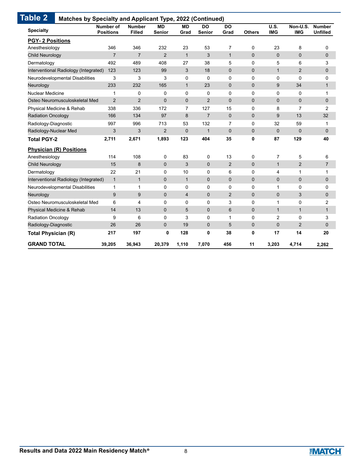| <b>Specialty</b>                      | Number of<br><b>Positions</b> | <b>Number</b><br><b>Filled</b> | <b>MD</b><br><b>Senior</b> | <b>MD</b><br>Grad | <b>DO</b><br>Senior | <b>DO</b><br>Grad | <b>Others</b>  | U.S.<br><b>IMG</b> | Non-U.S.<br><b>IMG</b> | <b>Number</b><br><b>Unfilled</b> |
|---------------------------------------|-------------------------------|--------------------------------|----------------------------|-------------------|---------------------|-------------------|----------------|--------------------|------------------------|----------------------------------|
| <b>PGY-2 Positions</b>                |                               |                                |                            |                   |                     |                   |                |                    |                        |                                  |
| Anesthesiology                        | 346                           | 346                            | 232                        | 23                | 53                  | $\overline{7}$    | 0              | 23                 | 8                      | 0                                |
| Child Neurology                       | $\overline{7}$                | $\overline{7}$                 | $\overline{2}$             | $\mathbf{1}$      | 3                   | $\mathbf{1}$      | $\mathbf{0}$   | $\mathbf{0}$       | $\mathbf 0$            | $\mathbf 0$                      |
| Dermatology                           | 492                           | 489                            | 408                        | 27                | 38                  | 5                 | 0              | 5                  | 6                      | 3                                |
| Interventional Radiology (Integrated) | 123                           | 123                            | 99                         | 3                 | 18                  | $\mathbf 0$       | $\mathbf{0}$   | $\mathbf{1}$       | 2                      | 0                                |
| Neurodevelopmental Disabilities       | 3                             | 3                              | 3                          | $\Omega$          | $\mathbf{0}$        | $\Omega$          | $\Omega$       | $\mathbf{0}$       | $\Omega$               | $\mathbf 0$                      |
| Neurology                             | 233                           | 232                            | 165                        | $\mathbf{1}$      | 23                  | $\mathbf{0}$      | $\Omega$       | 9                  | 34                     | $\mathbf{1}$                     |
| <b>Nuclear Medicine</b>               | $\mathbf{1}$                  | 0                              | 0                          | $\Omega$          | 0                   | $\Omega$          | $\Omega$       | $\mathbf{0}$       | 0                      | 1                                |
| Osteo Neuromusculoskeletal Med        | 2                             | $\overline{2}$                 | $\mathbf 0$                | $\overline{0}$    | $\overline{2}$      | $\overline{0}$    | $\overline{0}$ | $\overline{0}$     | $\mathbf 0$            | $\mathbf 0$                      |
| Physical Medicine & Rehab             | 338                           | 336                            | 172                        | 7                 | 127                 | 15                | 0              | 8                  | 7                      | 2                                |
| <b>Radiation Oncology</b>             | 166                           | 134                            | 97                         | 8                 | $\overline{7}$      | $\mathbf{0}$      | $\mathbf{0}$   | 9                  | 13                     | 32                               |
| Radiology-Diagnostic                  | 997                           | 996                            | 713                        | 53                | 132                 | $\overline{7}$    | $\Omega$       | 32                 | 59                     | $\mathbf{1}$                     |
| Radiology-Nuclear Med                 | 3                             | 3                              | $\overline{2}$             | $\Omega$          | $\mathbf{1}$        | $\Omega$          | $\mathbf{0}$   | $\mathbf{0}$       | $\mathbf{0}$           | $\Omega$                         |
| <b>Total PGY-2</b>                    | 2,711                         | 2,671                          | 1,893                      | 123               | 404                 | 35                | 0              | 87                 | 129                    | 40                               |
| <b>Physician (R) Positions</b>        |                               |                                |                            |                   |                     |                   |                |                    |                        |                                  |
| Anesthesiology                        | 114                           | 108                            | 0                          | 83                | 0                   | 13                | 0              | $\overline{7}$     | 5                      | 6                                |
| Child Neurology                       | 15                            | 8                              | $\mathbf 0$                | 3                 | $\mathbf 0$         | 2                 | $\mathbf{0}$   | $\mathbf{1}$       | $\overline{2}$         | $\overline{7}$                   |
| Dermatology                           | 22                            | 21                             | 0                          | 10                | 0                   | 6                 | 0              | 4                  | 1                      | 1                                |
| Interventional Radiology (Integrated) | $\mathbf{1}$                  | $\mathbf{1}$                   | $\mathbf 0$                | $\mathbf{1}$      | $\mathbf{0}$        | $\mathbf{0}$      | $\mathbf{0}$   | $\mathbf{0}$       | $\mathbf 0$            | $\mathbf 0$                      |
| Neurodevelopmental Disabilities       | $\mathbf{1}$                  | $\mathbf{1}$                   | $\mathbf 0$                | $\Omega$          | $\Omega$            | $\Omega$          | $\Omega$       | $\mathbf{1}$       | 0                      | 0                                |
| Neurology                             | 9                             | 9                              | $\mathbf{0}$               | $\overline{4}$    | $\mathbf 0$         | $\overline{2}$    | $\Omega$       | $\Omega$           | 3                      | $\mathbf{0}$                     |
| Osteo Neuromusculoskeletal Med        | 6                             | 4                              | 0                          | 0                 | $\mathbf 0$         | 3                 | 0              | 1                  | 0                      | 2                                |
| Physical Medicine & Rehab             | 14                            | 13                             | $\mathbf 0$                | 5                 | $\mathbf{0}$        | 6                 | $\mathbf{0}$   | $\mathbf{1}$       | $\mathbf{1}$           | $\mathbf{1}$                     |
| <b>Radiation Oncology</b>             | 9                             | 6                              | $\mathbf 0$                | 3                 | 0                   | $\mathbf{1}$      | 0              | 2                  | $\mathbf 0$            | 3                                |
| Radiology-Diagnostic                  | 26                            | 26                             | $\mathbf 0$                | 19                | $\mathbf{0}$        | 5                 | $\mathbf{0}$   | $\mathbf{0}$       | $\overline{2}$         | $\mathbf 0$                      |
| <b>Total Physician (R)</b>            | 217                           | 197                            | 0                          | 128               | 0                   | 38                | 0              | 17                 | 14                     | 20                               |
| <b>GRAND TOTAL</b>                    | 39,205                        | 36,943                         | 20,379                     | 1,110             | 7,070               | 456               | 11             | 3,203              | 4,714                  | 2,262                            |

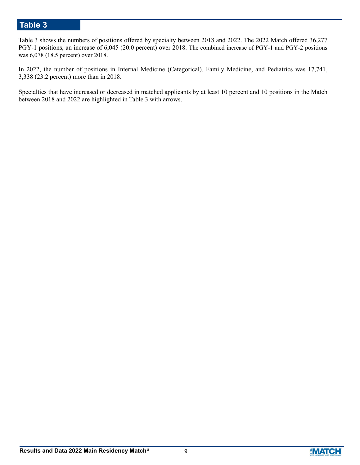Table 3 shows the numbers of positions offered by specialty between 2018 and 2022. The 2022 Match offered 36,277 PGY-1 positions, an increase of 6,045 (20.0 percent) over 2018. The combined increase of PGY-1 and PGY-2 positions was 6,078 (18.5 percent) over 2018.

In 2022, the number of positions in Internal Medicine (Categorical), Family Medicine, and Pediatrics was 17,741, 3,338 (23.2 percent) more than in 2018.

Specialties that have increased or decreased in matched applicants by at least 10 percent and 10 positions in the Match between 2018 and 2022 are highlighted in Table 3 with arrows.

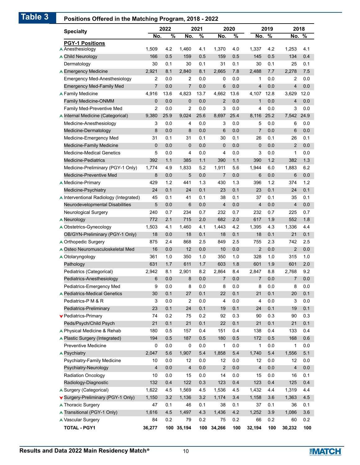| <b>Specialty</b>                        | 2022           | 2021          |                | 2020          |                | 2019          | 2018           |               |                         |      |
|-----------------------------------------|----------------|---------------|----------------|---------------|----------------|---------------|----------------|---------------|-------------------------|------|
|                                         | No.            | $\frac{9}{6}$ | No.            | $\frac{9}{6}$ | No.            | $\frac{9}{6}$ | No.            | $\frac{9}{6}$ | No.                     | %    |
| <b>PGY-1 Positions</b>                  |                |               |                |               |                |               |                |               |                         |      |
| A Anesthesiology                        | 1,509          | 4.2           | 1,460          | 4.1           | 1,370          | 4.0           | 1,337          | 4.2           | 1,253                   | 4.1  |
| ▲ Child Neurology                       | 166            | 0.5           | 159            | 0.5           | 159            | 0.5           | 145            | 0.5           | 134                     | 0.4  |
| Dermatology                             | 30             | 0.1           | 30             | 0.1           | 31             | 0.1           | 30             | 0.1           | 25                      | 0.1  |
| ▲ Emergency Medicine                    | 2,921          | 8.1           | 2,840          | 8.1           | 2,665          | 7.8           | 2,488          | 7.7           | 2,278                   | 7.5  |
| <b>Emergency Med-Anesthesiology</b>     | 2              | 0.0           | 2              | 0.0           | 0              | 0.0           | 1              | 0.0           | 2                       | 0.0  |
| <b>Emergency Med-Family Med</b>         | $\overline{7}$ | 0.0           | $\overline{7}$ | 0.0           | 6              | 0.0           | $\overline{4}$ | 0.0           | $\overline{\mathbf{4}}$ | 0.0  |
| <b>A Family Medicine</b>                | 4,916          | 13.6          | 4,823          | 13.7          | 4,662          | 13.6          | 4,107          | 12.8          | 3,629                   | 12.0 |
| <b>Family Medicine-ONMM</b>             | 0              | 0.0           | 0              | 0.0           | 2              | 0.0           | 1              | 0.0           | 4                       | 0.0  |
| Family Med-Preventive Med               | 2              | 0.0           | 2              | 0.0           | 3              | 0.0           | 4              | 0.0           | 3                       | 0.0  |
| A Internal Medicine (Categorical)       | 9,380          | 25.9          | 9,024          | 25.6          | 8,697          | 25.4          | 8,116          | 25.2          | 7,542                   | 24.9 |
| Medicine-Anesthesiology                 | 3              | 0.0           | 4              | 0.0           | 3              | 0.0           | 5              | 0.0           | 6                       | 0.0  |
| Medicine-Dermatology                    | 8              | 0.0           | 8              | 0.0           | 6              | 0.0           | 7              | 0.0           | 6                       | 0.0  |
| Medicine-Emergency Med                  | 31             | 0.1           | 31             | 0.1           | 30             | 0.1           | 26             | 0.1           | 26                      | 0.1  |
| <b>Medicine-Family Medicine</b>         | $\pmb{0}$      | 0.0           | 0              | 0.0           | 0              | 0.0           | 0              | 0.0           | $\overline{2}$          | 0.0  |
| <b>Medicine-Medical Genetics</b>        | 5              | 0.0           | 4              | 0.0           | 4              | 0.0           | 3              | 0.0           | 1                       | 0.0  |
| <b>Medicine-Pediatrics</b>              | 392            | 1.1           | 385            | 1.1           | 390            | 1.1           | 390            | 1.2           | 382                     | 1.3  |
| Medicine-Preliminary (PGY-1 Only)       | 1,774          | 4.9           | 1,833          | 5.2           | 1,911          | 5.6           | 1,944          | 6.0           | 1,883                   | 6.2  |
| Medicine-Preventive Med                 | 8              | 0.0           | 5              | 0.0           | 7              | 0.0           | 6              | 0.0           | 6                       | 0.0  |
| ▲ Medicine-Primary                      | 429            | 1.2           | 441            | 1.3           | 430            | 1.3           | 396            | 1.2           | 374                     | 1.2  |
| Medicine-Psychiatry                     | 24             | 0.1           | 24             | 0.1           | 23             | 0.1           | 23             | 0.1           | 24                      | 0.1  |
| ▲ Interventional Radiology (Integrated) | 45             | 0.1           | 41             | 0.1           | 38             | 0.1           | 37             | 0.1           | 35                      | 0.1  |
| Neurodevelopmental Disabilities         | 5              | 0.0           | 6              | 0.0           | 4              | 0.0           | 4              | 0.0           | 4                       | 0.0  |
| Neurological Surgery                    | 240            | 0.7           | 234            | 0.7           | 232            | 0.7           | 232            | 0.7           | 225                     | 0.7  |
| <b>A</b> Neurology                      | 772            | 2.1           | 715            | 2.0           | 682            | 2.0           | 617            | 1.9           | 552                     | 1.8  |
| A Obstetrics-Gynecology                 | 1,503          | 4.1           | 1,460          | 4.1           | 1,443          | 4.2           | 1,395          | 4.3           | 1,336                   | 4.4  |
| OB/GYN-Preliminary (PGY-1 Only)         | 18             | 0.0           | 18             | 0.1           | 18             | 0.1           | 18             | 0.1           | 21                      | 0.1  |
| ▲ Orthopedic Surgery                    | 875            | 2.4           | 868            | 2.5           | 849            | 2.5           | 755            | 2.3           | 742                     | 2.5  |
| ▲ Osteo Neuromusculoskeletal Med        | 16             | 0.0           | 12             | 0.0           | 10             | 0.0           | $\overline{2}$ | 0.0           | $\overline{2}$          | 0.0  |
| A Otolaryngology                        | 361            | 1.0           | 350            | 1.0           | 350            | 1.0           | 328            | 1.0           | 315                     | 1.0  |
| Pathology                               | 631            | 1.7           | 611            | 1.7           | 603            | 1.8           | 601            | 1.9           | 601                     | 2.0  |
| Pediatrics (Categorical)                | 2,942          | 8.1           | 2,901          | 8.2           | 2.864          | 8.4           | 2,847          | 8.8           | 2,768                   | 9.2  |
| Pediatrics-Anesthesiology               | 6              | 0.0           | 8              | 0.0           | $\overline{7}$ | 0.0           | $\overline{7}$ | 0.0           | 7                       | 0.0  |
| Pediatrics-Emergency Med                | 9              | 0.0           | 8              | 0.0           | 8              | 0.0           | 8              | 0.0           | 8                       | 0.0  |
| ▲ Pediatrics-Medical Genetics           | 30             | 0.1           | 27             | 0.1           | 22             | 0.1           | 21             | 0.1           | 20                      | 0.1  |
| Pediatrics-P M & R                      | 3              | 0.0           | 2              | 0.0           | 4              | 0.0           | 4              | 0.0           | 3                       | 0.0  |
| Pediatrics-Preliminary                  | 23             | 0.1           | 24             | 0.1           | 19             | 0.1           | 24             | 0.1           | 19                      | 0.1  |
| ▼ Pediatrics-Primary                    | 74             | 0.2           | 75             | 0.2           | 92             | 0.3           | 90             | 0.3           | 90                      | 0.3  |
| Peds/Psych/Child Psych                  | 21             | 0.1           | 21             | 0.1           | 22             | 0.1           | 21             | 0.1           | 21                      | 0.1  |
| ▲ Physical Medicine & Rehab             | 180            | 0.5           | 157            | 0.4           | 151            | 0.4           | 138            | 0.4           | 133                     | 0.4  |
| ▲ Plastic Surgery (Integrated)          | 194            | 0.5           | 187            | 0.5           | 180            | 0.5           | 172            | 0.5           | 168                     | 0.6  |
| Preventive Medicine                     | 0              | 0.0           | 0              | 0.0           | 1              | 0.0           | 1              | 0.0           | 1                       | 0.0  |
| <b>A Psychiatry</b>                     | 2,047          | 5.6           | 1,907          | 5.4           | 1,858          | 5.4           | 1,740          | 5.4           | 1,556                   | 5.1  |
| Psychiatry-Family Medicine              | 10             | 0.0           | 12             | 0.0           | 12             | 0.0           | 12             | 0.0           | 12                      | 0.0  |
| Psychiatry-Neurology                    | 4              | 0.0           | 4              | 0.0           | $\overline{c}$ | 0.0           | $\overline{4}$ | 0.0           | 4                       | 0.0  |
| <b>Radiation Oncology</b>               | 10             | 0.0           | 15             | 0.0           | 14             | 0.0           | 15             | 0.0           | 16                      | 0.1  |
| Radiology-Diagnostic                    | 132            | 0.4           | 122            | 0.3           | 123            | 0.4           | 123            | 0.4           | 125                     | 0.4  |
| ▲ Surgery (Categorical)                 | 1,622          | 4.5           | 1,569          | 4.5           | 1,536          | 4.5           | 1,432          | 4.4           | 1,319                   | 4.4  |
| ▼ Surgery-Preliminary (PGY-1 Only)      | 1,150          | 3.2           | 1,136          | 3.2           | 1,174          | 3.4           | 1,158          | 3.6           | 1,363                   | 4.5  |
| ▲ Thoracic Surgery                      | 47             | 0.1           | 46             | 0.1           | 38             | 0.1           | 37             | 0.1           | 36                      | 0.1  |
| ▲ Transitional (PGY-1 Only)             | 1,616          | 4.5           | 1,497          | 4.3           | 1,436          | 4.2           | 1,252          | 3.9           | 1,086                   | 3.6  |
| ▲ Vascular Surgery                      | 84             | 0.2           | 79             | 0.2           | 75             | 0.2           | 66             | 0.2           | 60                      | 0.2  |
|                                         | 36,277         |               | 100 35,194     |               | 100 34,266     | 100           | 32,194         | 100           | 30,232                  | 100  |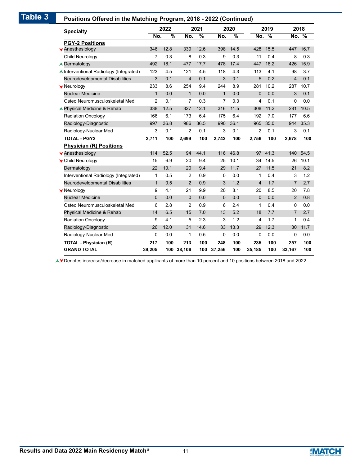### **Positions Offered in the Matching Program, 2018 - 2022 (Continued)**

| rositions Onered in the Matering Frogram, 2010 - 2022 (Continued) |                | 2022          |                | 2021          |              | 2020 |                         | 2019 |                | 2018 |
|-------------------------------------------------------------------|----------------|---------------|----------------|---------------|--------------|------|-------------------------|------|----------------|------|
| <b>Specialty</b>                                                  | No.            | $\frac{9}{6}$ | No.            | $\frac{9}{6}$ | No.          | %    | No.                     | %    | No.            | %    |
| <b>PGY-2 Positions</b>                                            |                |               |                |               |              |      |                         |      |                |      |
| <b>Y</b> Anesthesiology                                           | 346            | 12.8          | 339            | 12.6          | 398          | 14.5 | 428                     | 15.5 | 447            | 16.7 |
| Child Neurology                                                   | $\overline{7}$ | 0.3           | 8              | 0.3           | 9            | 0.3  | 11                      | 0.4  | 8              | 0.3  |
| <b>▲ Dermatology</b>                                              | 492            | 18.1          | 477            | 17.7          | 478          | 17.4 | 447                     | 16.2 | 426            | 15.9 |
| ▲ Interventional Radiology (Integrated)                           | 123            | 4.5           | 121            | 4.5           | 118          | 4.3  | 113                     | 4.1  | 98             | 3.7  |
| Neurodevelopmental Disabilities                                   | 3              | 0.1           | $\overline{4}$ | 0.1           | 3            | 0.1  | 5                       | 0.2  | $\overline{4}$ | 0.1  |
| <b>V</b> Neurology                                                | 233            | 8.6           | 254            | 9.4           | 244          | 8.9  | 281                     | 10.2 | 287            | 10.7 |
| <b>Nuclear Medicine</b>                                           | $\mathbf{1}$   | 0.0           | $\mathbf{1}$   | 0.0           | $\mathbf{1}$ | 0.0  | $\mathbf 0$             | 0.0  | 3              | 0.1  |
| Osteo Neuromusculoskeletal Med                                    | 2              | 0.1           | $\overline{7}$ | 0.3           | 7            | 0.3  | 4                       | 0.1  | 0              | 0.0  |
| ▲ Physical Medicine & Rehab                                       | 338            | 12.5          | 327            | 12.1          | 316          | 11.5 | 308                     | 11.2 | 281            | 10.5 |
| <b>Radiation Oncology</b>                                         | 166            | 6.1           | 173            | 6.4           | 175          | 6.4  | 192                     | 7.0  | 177            | 6.6  |
| Radiology-Diagnostic                                              | 997            | 36.8          | 986            | 36.5          | 990          | 36.1 | 965                     | 35.0 | 944            | 35.3 |
| Radiology-Nuclear Med                                             | 3              | 0.1           | 2              | 0.1           | 3            | 0.1  | 2                       | 0.1  | 3              | 0.1  |
| <b>TOTAL - PGY2</b>                                               | 2,711          | 100           | 2,699          | 100           | 2,742        | 100  | 2,756                   | 100  | 2,678          | 100  |
| <b>Physician (R) Positions</b>                                    |                |               |                |               |              |      |                         |      |                |      |
| <b>Y</b> Anesthesiology                                           | 114            | 52.5          | 94             | 44.1          | 116          | 46.8 | 97                      | 41.3 | 140            | 54.5 |
| ▼ Child Neurology                                                 | 15             | 6.9           | 20             | 9.4           | 25           | 10.1 | 34                      | 14.5 | 26             | 10.1 |
| Dermatology                                                       | 22             | 10.1          | 20             | 9.4           | 29           | 11.7 | 27                      | 11.5 | 21             | 8.2  |
| Interventional Radiology (Integrated)                             | 1              | 0.5           | 2              | 0.9           | 0            | 0.0  | 1                       | 0.4  | 3              | 1.2  |
| Neurodevelopmental Disabilities                                   | $\mathbf{1}$   | 0.5           | 2              | 0.9           | 3            | 1.2  | $\overline{\mathbf{4}}$ | 1.7  | $\overline{7}$ | 2.7  |
| <b>V</b> Neurology                                                | 9              | 4.1           | 21             | 9.9           | 20           | 8.1  | 20                      | 8.5  | 20             | 7.8  |
| <b>Nuclear Medicine</b>                                           | 0              | 0.0           | 0              | 0.0           | 0            | 0.0  | $\mathbf 0$             | 0.0  | $\overline{2}$ | 0.8  |
| Osteo Neuromusculoskeletal Med                                    | 6              | 2.8           | 2              | 0.9           | 6            | 2.4  | 1                       | 0.4  | 0              | 0.0  |
| Physical Medicine & Rehab                                         | 14             | 6.5           | 15             | 7.0           | 13           | 5.2  | 18                      | 7.7  | 7              | 2.7  |
| <b>Radiation Oncology</b>                                         | 9              | 4.1           | 5              | 2.3           | 3            | 1.2  | 4                       | 1.7  | 1              | 0.4  |
| Radiology-Diagnostic                                              | 26             | 12.0          | 31             | 14.6          | 33           | 13.3 | 29                      | 12.3 | 30             | 11.7 |
| Radiology-Nuclear Med                                             | 0              | 0.0           | 1              | 0.5           | 0            | 0.0  | 0                       | 0.0  | 0              | 0.0  |
| <b>TOTAL - Physician (R)</b>                                      | 217            | 100           | 213            | 100           | 248          | 100  | 235                     | 100  | 257            | 100  |
| <b>GRAND TOTAL</b>                                                | 39,205         | 100           | 38,106         | 100           | 37,256       | 100  | 35,185                  | 100  | 33,167         | 100  |

Denotes increase/decrease in matched applicants of more than 10 percent and 10 positions between 2018 and 2022.

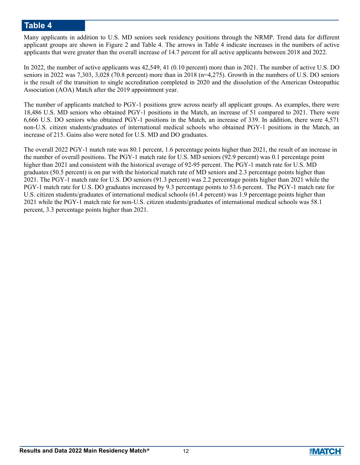Many applicants in addition to U.S. MD seniors seek residency positions through the NRMP. Trend data for different applicant groups are shown in Figure 2 and Table 4. The arrows in Table 4 indicate increases in the numbers of active applicants that were greater than the overall increase of 14.7 percent for all active applicants between 2018 and 2022.

In 2022, the number of active applicants was 42,549, 41 (0.10 percent) more than in 2021. The number of active U.S. DO seniors in 2022 was 7,303, 3,028 (70.8 percent) more than in 2018 (n=4,275). Growth in the numbers of U.S. DO seniors is the result of the transition to single accreditation completed in 2020 and the dissolution of the American Osteopathic Association (AOA) Match after the 2019 appointment year.

The number of applicants matched to PGY-1 positions grew across nearly all applicant groups. As examples, there were 18,486 U.S. MD seniors who obtained PGY-1 positions in the Match, an increase of 51 compared to 2021. There were 6,666 U.S. DO seniors who obtained PGY-1 positions in the Match, an increase of 339. In addition, there were 4,571 non-U.S. citizen students/graduates of international medical schools who obtained PGY-1 positions in the Match, an increase of 215. Gains also were noted for U.S. MD and DO graduates.

The overall 2022 PGY-1 match rate was 80.1 percent, 1.6 percentage points higher than 2021, the result of an increase in the number of overall positions. The PGY-1 match rate for U.S. MD seniors (92.9 percent) was 0.1 percentage point higher than 2021 and consistent with the historical average of 92-95 percent. The PGY-1 match rate for U.S. MD graduates (50.5 percent) is on par with the historical match rate of MD seniors and 2.3 percentage points higher than 2021. The PGY-1 match rate for U.S. DO seniors (91.3 percent) was 2.2 percentage points higher than 2021 while the PGY-1 match rate for U.S. DO graduates increased by 9.3 percentage points to 53.6 percent. The PGY-1 match rate for U.S. citizen students/graduates of international medical schools (61.4 percent) was 1.9 percentage points higher than 2021 while the PGY-1 match rate for non-U.S. citizen students/graduates of international medical schools was 58.1 percent, 3.3 percentage points higher than 2021.

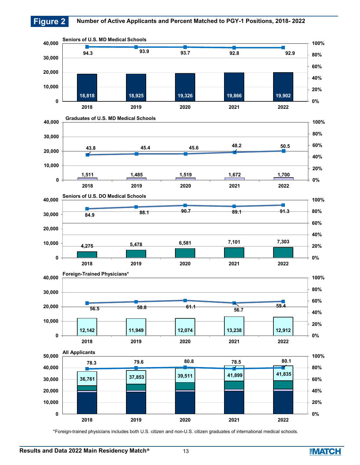

\*Foreign-trained physicians includes both U.S. citizen and non-U.S. citizen graduates of international medical schools.

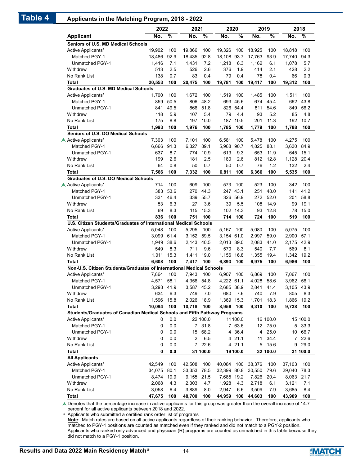### **Table 4 Applicants in the Matching Program, 2018 - 2022**

|                                                                           | 2022       |      | 2021       |               | 2020        |          |        | 2019          |            | 2018          |
|---------------------------------------------------------------------------|------------|------|------------|---------------|-------------|----------|--------|---------------|------------|---------------|
| <b>Applicant</b>                                                          | No.        | %    | No.        | $\frac{9}{6}$ | No.         | %        | No.    | $\frac{9}{6}$ | No.        | $\frac{1}{6}$ |
| Seniors of U.S. MD Medical Schools                                        |            |      |            |               |             |          |        |               |            |               |
| Active Applicants*                                                        | 19,902     | 100  | 19,866     | 100           | 19,326      | 100      | 18,925 | 100           | 18.818     | 100           |
| Matched PGY-1                                                             | 18,486     | 92.9 | 18,435     | 92.8          | 18,108      | 93.7     | 17,763 | 93.9          | 17,740     | 94.3          |
| Unmatched PGY-1                                                           | 1,416      | 7.1  | 1,431      | 7.2           | 1,218       | 6.3      | 1,162  | 6.1           | 1,078      | 5.7           |
| Withdrew                                                                  | 513        | 2.5  | 526        | 2.6           | 376         | 1.9      | 414    | 2.1           | 428        | 2.2           |
| No Rank List                                                              | 138        | 0.7  | 83         | 0.4           | 79          | 0.4      | 78     | 0.4           | 66         | 0.3           |
| Total                                                                     | 20,553     | 100  | 20,475     | 100           | 19,781      | 100      | 19.417 | 100           | 19,312     | 100           |
| <b>Graduates of U.S. MD Medical Schools</b>                               |            |      |            |               |             |          |        |               |            |               |
| Active Applicants*                                                        | 1,700      | 100  | 1,672      | 100           | 1,519       | 100      | 1,485  | 100           | 1,511      | 100           |
| Matched PGY-1                                                             | 859        | 50.5 | 806        | 48.2          |             | 693 45.6 | 674    | 45.4          | 662        | 43.8          |
| Unmatched PGY-1                                                           | 841        | 49.5 | 866        | 51.8          |             | 826 54.4 | 811    | 54.6          | 849        | 56.2          |
| Withdrew                                                                  | 118        | 5.9  | 107        | 5.4           | 79          | 4.4      | 93     | 5.2           | 85         | 4.8           |
| No Rank List                                                              | 175        | 8.8  | 197        | 10.0          | 187         | 10.5     | 201    | 11.3          | 192        | 10.7          |
| Total                                                                     | 1,993      | 100  | 1,976      | 100           | 1,785       | 100      | 1,779  | 100           | 1,788      | 100           |
| Seniors of U.S. DO Medical Schools                                        |            |      |            |               |             |          |        |               |            |               |
| A Active Applicants*                                                      | 7,303      | 100  | 7,101      | 100           | 6,581       | 100      | 5,478  | 100           | 4,275      | 100           |
| Matched PGY-1                                                             | 6,666      | 91.3 | 6,327      | 89.1          | 5.968       | 90.7     | 4,825  | 88.1          | 3,630      | 84.9          |
| Unmatched PGY-1                                                           | 637        | 8.7  | 774        | 10.9          | 613         | 9.3      | 653    | 11.9          | 645        | 15.1          |
| Withdrew                                                                  | 199        | 2.6  | 181        | 2.5           | 180         | 2.6      | 812    | 12.8          | 1,128      | 20.4          |
| No Rank List                                                              | 64         | 0.8  | 50         | 0.7           | 50          | 0.7      | 76     | 1.2           | 132        | 2.4           |
| Total                                                                     | 7.566      | 100  | 7,332      | 100           | 6,811       | 100      | 6,366  | 100           | 5,535      | 100           |
| <b>Graduates of U.S. DO Medical Schools</b>                               |            |      |            |               |             |          |        |               |            |               |
| A Active Applicants*                                                      | 714        | 100  | 609        | 100           | 573         | 100      | 523    | 100           | 342        | 100           |
| <b>Matched PGY-1</b>                                                      | 383        | 53.6 | 270        | 44.3          |             | 247 43.1 | 251    | 48.0          | 141        | 41.2          |
| Unmatched PGY-1                                                           | 331        | 46.4 | 339        | 55.7          | 326         | 56.9     | 272    | 52.0          | 201        | 58.8          |
| Withdrew                                                                  | 53         | 6.3  | 27         | 3.6           | 39          | 5.5      | 108    | 14.9          | 99         | 19.1          |
| No Rank List                                                              | 69         | 8.3  | 115        | 15.3          | 102         | 14.3     | 93     | 12.8          | 78         | 15.0          |
| <b>Total</b>                                                              | 836        | 100  | 751        | 100           | 714         | 100      | 724    | 100           | 519        | 100           |
| U.S. Citizen Students/Graduates of International Medical Schools          |            |      |            |               |             |          |        |               |            |               |
| Active Applicants*                                                        | 5,048      | 100  | 5,295      | 100           | 5,167       | 100      | 5,080  | 100           | 5,075      | 100           |
| <b>Matched PGY-1</b>                                                      | 3.099      | 61.4 | 3,152 59.5 |               | 3,154 61.0  |          | 2,997  | 59.0          | 2,900      | 57.1          |
| Unmatched PGY-1                                                           | 1,949      | 38.6 | 2,143      | 40.5          | 2,013 39.0  |          | 2,083  | 41.0          | 2,175      | 42.9          |
| Withdrew                                                                  | 549        | 8.3  | 711        | 9.6           | 570         | 8.3      | 540    | 7.7           | 569        | 8.1           |
| No Rank List                                                              | 1,011      | 15.3 | 1,411      | 19.0          | 1,156       | 16.8     | 1,355  | 19.4          | 1,342      | 19.2          |
| <b>Total</b>                                                              | 6,608      | 100  | 7.417      | 100           | 6,893       | 100      | 6,975  | 100           | 6,986      | 100           |
| Non-U.S. Citizen Students/Graduates of International Medical Schools      |            |      |            |               |             |          |        |               |            |               |
| Active Applicants*                                                        | 7,864      | 100  | 7,943      | 100           | 6,907       | 100      | 6.869  | 100           | 7,067      | 100           |
| Matched PGY-1                                                             | 4,571      | 58.1 | 4.356      | 54.8          | 4,222 61.1  |          | 4.028  | 58.6          | 3,962      | 56.1          |
| Unmatched PGY-1                                                           | 3,293 41.9 |      | 3,587 45.2 |               | 2,685 38.9  |          | 2,841  | 41.4          | 3,105 43.9 |               |
| Withdrew                                                                  | 634        | 6.3  | 749        | 7.0           | 680         | 7.6      | 740    | 7.9           | 805        | 8.3           |
| No Rank List                                                              | 1,596      | 15.8 | 2,026      | 18.9          | 1,369 15.3  |          | 1,701  | 18.3          | 1,866      | 19.2          |
| Total                                                                     | 10,094     | 100  | 10,718     | 100           | 8,956       | 100      | 9,310  | 100           | 9,738      | 100           |
| Students/Graduates of Canadian Medical Schools and Fifth Pathway Programs |            |      |            |               |             |          |        |               |            |               |
| Active Applicants*                                                        | 0          | 0.0  |            | 22 100.0      |             | 11 100.0 |        | 16 100.0      |            | 15 100.0      |
| Matched PGY-1                                                             | 0          | 0.0  |            | 7 31.8        |             | 7 63.6   |        | 12 75.0       | 5          | 33.3          |
| Unmatched PGY-1                                                           | 0          | 0.0  |            | 15 68.2       |             | 4 36.4   | 4      | 25.0          |            | 10 66.7       |
| Withdrew                                                                  | 0          | 0.0  | 2          | 6.5           |             | 4 21.1   | 11     | 34.4          |            | 7 22.6        |
| No Rank List                                                              | 0          | 0.0  |            | 7 22.6        |             | 4 21.1   | 5      | 15.6          | 9          | 29.0          |
| Total                                                                     | 0          | 0.0  |            | 31 100.0      |             | 19100.0  |        | 32 100.0      |            | 31 100.0      |
| <b>All Applicants</b>                                                     |            |      |            |               |             |          |        |               |            |               |
| Active Applicants*                                                        | 42,549     | 100  | 42,508     | 100           | 40,084      | 100      | 38,376 | 100           | 37,103     | 100           |
| Matched PGY-1                                                             | 34,075     | 80.1 | 33,353     | 78.5          | 32,399 80.8 |          | 30,550 | 79.6          | 29,040     | 78.3          |
| Unmatched PGY-1                                                           | 8,474      | 19.9 | 9,155 21.5 |               | 7,685 19.2  |          | 7,826  | 20.4          | 8,063 21.7 |               |
| Withdrew                                                                  | 2,068      | 4.3  | 2,303      | 4.7           | 1,928       | 4.3      | 2,718  | 6.1           | 3,121      | 7.1           |
| No Rank List                                                              | 3,058      | 6.4  | 3,889      | 8.0           | 2,947       | 6.6      | 3,509  | 7.9           | 3,685      | 8.4           |
| Total                                                                     | 47,675     | 100  | 48,700     | 100           | 44,959      | 100      | 44,603 | 100           | 43,909     | 100           |
|                                                                           |            |      |            |               |             |          |        |               |            |               |

Denotes that the percentage increase in active applicants for this group was greater than the overall increase of 14.7 percent for all active applicants between 2018 and 2022.

Applicants who submitted a certified rank order list of programs \*

**Note**: Match rates are based on all active applicants regardless of their ranking behavior. Therefore, applicants who matched to PGY-1 positions are counted as matched even if they ranked and did not match to a PGY-2 position. Applicants who ranked only advanced and physician (R) programs are counted as unmatched in this table because they did not match to a PGY-1 position.

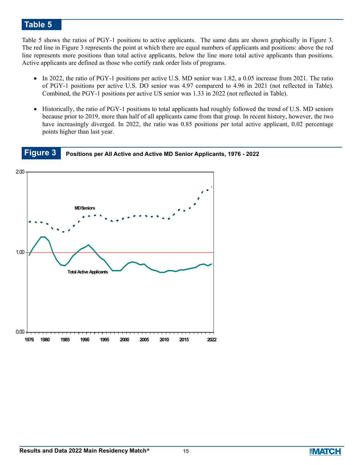Table 5 shows the ratios of PGY-1 positions to active applicants. The same data are shown graphically in Figure 3. The red line in Figure 3 represents the point at which there are equal numbers of applicants and positions: above the red line represents more positions than total active applicants, below the line more total active applicants than positions. Active applicants are defined as those who certify rank order lists of programs.

- In 2022, the ratio of PGY-1 positions per active U.S. MD senior was 1.82, a 0.05 increase from 2021. The ratio of PGY-1 positions per active U.S. DO senior was 4.97 comparerd to 4.96 in 2021 (not reflected in Table). Combined, the PGY-1 positions per active US senior was 1.33 in 2022 (not reflected in Table).
- Historically, the ratio of PGY-1 positions to total applicants had roughly followed the trend of U.S. MD seniors because prior to 2019, more than half of all applicants came from that group. In recent history, however, the two have increasingly diverged. In 2022, the ratio was 0.85 positions per total active applicant, 0.02 percentage points higher than last year.

**Figure 3 Positions per All Active and Active MD Senior Applicants, 1976 - 2022**



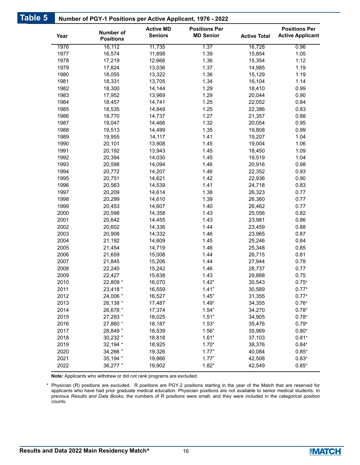| Table 5 |              | Number of PGY-1 Positions per Active Applicant, 1976 - 2022 |                                    |                                          |                     |                                                 |
|---------|--------------|-------------------------------------------------------------|------------------------------------|------------------------------------------|---------------------|-------------------------------------------------|
|         | Year         | Number of<br><b>Positions</b>                               | <b>Active MD</b><br><b>Seniors</b> | <b>Positions Per</b><br><b>MD Senior</b> | <b>Active Total</b> | <b>Positions Per</b><br><b>Active Applicant</b> |
|         | 1976         | 16,112                                                      | 11,735                             | 1.37                                     | 16,728              | 0.96                                            |
|         | 1977         | 16,574                                                      | 11,898                             | 1.39                                     | 15,854              | 1.05                                            |
|         | 1978         | 17,219                                                      | 12,666                             | 1.36                                     | 15,354              | 1.12                                            |
|         | 1979         | 17,824                                                      | 13,036                             | 1.37                                     | 14,985              | 1.19                                            |
|         | 1980         | 18,055                                                      | 13,322                             | 1.36                                     | 15,129              | 1.19                                            |
|         | 1981         | 18,331                                                      | 13,705                             | 1.34                                     | 16,104              | 1.14                                            |
|         | 1982         | 18,300                                                      | 14,144                             | 1.29                                     | 18,410              | 0.99                                            |
|         | 1983         | 17,952                                                      | 13,969                             | 1.29                                     | 20,044              | 0.90                                            |
|         | 1984         | 18,457                                                      | 14,741                             | 1.25                                     | 22,052              | 0.84                                            |
|         | 1985         | 18,535                                                      | 14,849                             | 1.25                                     | 22,386              | 0.83                                            |
|         | 1986         | 18,770                                                      | 14,737                             | 1.27                                     | 21,357              | 0.88                                            |
|         | 1987         | 19,047                                                      | 14,466                             | 1.32                                     | 20,054              | 0.95                                            |
|         | 1988         | 19,513                                                      | 14,499                             | 1.35                                     | 19,808              | 0.99                                            |
|         | 1989         | 19,955                                                      | 14,117                             | 1.41                                     | 19,207              | 1.04                                            |
|         | 1990         | 20,101                                                      | 13,908                             | 1.45                                     | 19,004              | 1.06                                            |
|         | 1991         | 20,192                                                      | 13,943                             | 1.45                                     | 18,450              | 1.09                                            |
|         | 1992         | 20,394                                                      | 14,030                             | 1.45                                     | 19,519              | 1.04                                            |
|         | 1993         | 20,598                                                      | 14,094                             | 1.46                                     | 20,916              | 0.98                                            |
|         | 1994         | 20,772                                                      | 14,207                             | 1.46                                     | 22,352              | 0.93                                            |
|         | 1995         | 20,751                                                      | 14,621                             | 1.42                                     | 22,936              | 0.90                                            |
|         | 1996         | 20,563                                                      | 14,539                             | 1.41                                     | 24,718              | 0.83                                            |
|         | 1997         | 20,209                                                      | 14,614                             | 1.38                                     | 26,323              | 0.77                                            |
|         | 1998         | 20,299                                                      | 14,610                             | 1.39                                     | 26,360              | 0.77                                            |
|         | 1999         | 20,453                                                      | 14,607                             | 1.40                                     | 26,462              | 0.77                                            |
|         | 2000         | 20,598                                                      | 14,358                             | 1.43                                     | 25,056              | 0.82                                            |
|         | 2001         | 20,642                                                      | 14,455                             | 1.43                                     | 23,981              | 0.86                                            |
|         | 2002         | 20,602                                                      | 14,336                             | 1.44                                     | 23,459              | 0.88                                            |
|         | 2003         | 20,908                                                      | 14,332                             | 1.46                                     | 23,965              | 0.87                                            |
|         | 2004         | 21,192                                                      | 14,609                             | 1.45                                     | 25,246              | 0.84                                            |
|         | 2005         | 21,454                                                      | 14,719                             | 1.46                                     | 25,348              | 0.85                                            |
|         | 2006         | 21,659                                                      | 15,008                             | 1.44                                     | 26,715              | 0.81                                            |
|         | 2007         | 21,845                                                      | 15,206<br>15,242                   | 1.44                                     | 27,944              | 0.78                                            |
|         | 2008         | 22,240                                                      |                                    | 1.46                                     | 28,737              | 0.77                                            |
|         | 2009         | 22,427                                                      | 15,638                             | 1.43                                     | 29,888              | 0.75                                            |
|         | 2010<br>2011 | 22,809 *                                                    | 16,070                             | $1.42*$<br>$1.41*$                       | 30,543              | $0.75*$<br>$0.77*$                              |
|         |              | 23,418 *<br>24,006 *                                        | 16,559                             |                                          | 30,589              | $0.77*$                                         |
|         | 2012<br>2013 | 26,138 *                                                    | 16,527<br>17,487                   | $1.45*$<br>$1.49*$                       | 31,355<br>34,355    | $0.76*$                                         |
|         | 2014         | 26,678 *                                                    | 17,374                             | $1.54*$                                  | 34,270              | $0.78*$                                         |
|         | 2015         | 27,293 *                                                    | 18,025                             | $1.51*$                                  | 34,905              | $0.78*$                                         |
|         | 2016         | 27,860 *                                                    | 18,187                             | $1.53*$                                  | 35,476              | $0.79*$                                         |
|         | 2017         | 28,849 *                                                    | 18,539                             | $1.56*$                                  | 35,969              | $0.80*$                                         |
|         | 2018         | 30,232 *                                                    | 18,818                             | $1.61*$                                  | 37,103              | $0.81*$                                         |
|         | 2019         | 32,194 *                                                    | 18,925                             | $1.70*$                                  | 38,376              | $0.84*$                                         |
|         | 2020         | 34,266 *                                                    | 19,326                             | $1.77*$                                  | 40,084              | $0.85*$                                         |
|         | 2021         | 35,194 *                                                    | 19,866                             | $1.77*$                                  | 42,508              | $0.83*$                                         |
|         | 2022         | 36,277 *                                                    | 19,902                             | $1.82*$                                  | 42,549              | $0.85*$                                         |

**Note:** Applicants who withdrew or did not rank programs are excluded.

Physician (R) positions are excluded. R positions are PGY-2 positions starting in the year of the Match that are reserved for applicants who have had prior graduate medical education. Physician positions are not available to senior medical students. In previous *Results and Data Books*, the numbers of R positions were small, and they were included in the categorical position counts. \*

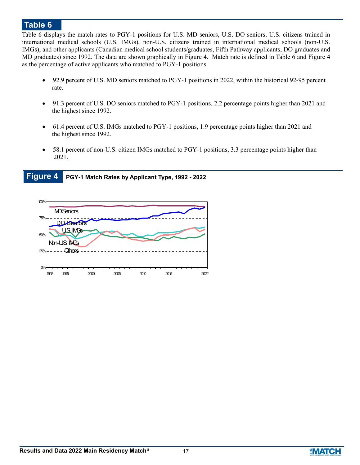Table 6 displays the match rates to PGY-1 positions for U.S. MD seniors, U.S. DO seniors, U.S. citizens trained in international medical schools (U.S. IMGs), non-U.S. citizens trained in international medical schools (non-U.S. IMGs), and other applicants (Canadian medical school students/graduates, Fifth Pathway applicants, DO graduates and MD graduates) since 1992. The data are shown graphically in Figure 4. Match rate is defined in Table 6 and Figure 4 as the percentage of active applicants who matched to PGY-1 positions.

- 92.9 percent of U.S. MD seniors matched to PGY-1 positions in 2022, within the historical 92-95 percent rate.
- 91.3 percent of U.S. DO seniors matched to PGY-1 positions, 2.2 percentage points higher than 2021 and the highest since 1992.
- 61.4 percent of U.S. IMGs matched to PGY-1 positions, 1.9 percentage points higher than 2021 and the highest since 1992.
- 58.1 percent of non-U.S. citizen IMGs matched to PGY-1 positions, 3.3 percentage points higher than 2021.

**Figure 4 PGY-1 Match Rates by Applicant Type, 1992 - 2022**



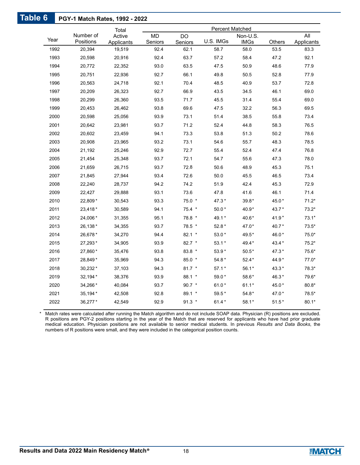### **PGY-1 Match Rates, 1992 - 2022 Table 6**

|      |           | Total                |                 |                 | Percent Matched |                     |         |                    |
|------|-----------|----------------------|-----------------|-----------------|-----------------|---------------------|---------|--------------------|
| Year | Number of | Active               | <b>MD</b>       | <b>DO</b>       |                 | Non-U.S.            |         | All                |
| 1992 | Positions | Applicants<br>19,519 | Seniors<br>92.4 | Seniors<br>62.1 | U.S. IMGs       | <b>IMGs</b><br>58.0 | Others  | Applicants<br>83.3 |
|      | 20,394    |                      |                 |                 | 58.7            |                     | 53.5    |                    |
| 1993 | 20,598    | 20,916               | 92.4            | 63.7            | 57.2            | 58.4                | 47.2    | 92.1               |
| 1994 | 20,772    | 22,352               | 93.0            | 63.5            | 47.5            | 50.9                | 48.6    | 77.9               |
| 1995 | 20,751    | 22,936               | 92.7            | 66.1            | 49.8            | 50.5                | 52.8    | 77.9               |
| 1996 | 20,563    | 24,718               | 92.1            | 70.4            | 48.5            | 40.9                | 53.7    | 72.8               |
| 1997 | 20,209    | 26,323               | 92.7            | 66.9            | 43.5            | 34.5                | 46.1    | 69.0               |
| 1998 | 20,299    | 26,360               | 93.5            | 71.7            | 45.5            | 31.4                | 55.4    | 69.0               |
| 1999 | 20,453    | 26,462               | 93.8            | 69.6            | 47.5            | 32.2                | 56.3    | 69.5               |
| 2000 | 20,598    | 25,056               | 93.9            | 73.1            | 51.4            | 38.5                | 55.8    | 73.4               |
| 2001 | 20,642    | 23,981               | 93.7            | 71.2            | 52.4            | 44.8                | 58.3    | 76.5               |
| 2002 | 20,602    | 23,459               | 94.1            | 73.3            | 53.8            | 51.3                | 50.2    | 78.6               |
| 2003 | 20,908    | 23,965               | 93.2            | 73.1            | 54.6            | 55.7                | 48.3    | 78.5               |
| 2004 | 21,192    | 25,246               | 92.9            | 72.7            | 55.4            | 52.4                | 47.4    | 76.8               |
| 2005 | 21,454    | 25,348               | 93.7            | 72.1            | 54.7            | 55.6                | 47.3    | 78.0               |
| 2006 | 21,659    | 26,715               | 93.7            | 72.8            | 50.6            | 48.9                | 45.3    | 75.1               |
| 2007 | 21,845    | 27,944               | 93.4            | 72.6            | 50.0            | 45.5                | 46.5    | 73.4               |
| 2008 | 22,240    | 28,737               | 94.2            | 74.2            | 51.9            | 42.4                | 45.3    | 72.9               |
| 2009 | 22,427    | 29,888               | 93.1            | 73.6            | 47.8            | 41.6                | 46.1    | 71.4               |
| 2010 | 22,809*   | 30,543               | 93.3            | 75.0 *          | 47.3 *          | $39.8*$             | 45.0*   | $71.2*$            |
| 2011 | 23,418*   | 30,589               | 94.1            | 75.4 *          | $50.0*$         | 40.9*               | 43.7*   | $73.2*$            |
| 2012 | 24,006*   | 31,355               | 95.1            | 78.8 *          | 49.1*           | 40.6*               | $41.9*$ | $73.1*$            |
| 2013 | 26,138 *  | 34,355               | 93.7            | 78.5 *          | 52.8 *          | 47.0*               | 40.7*   | $73.5*$            |
| 2014 | 26,678*   | 34,270               | 94.4            | $82.1$ *        | $53.0*$         | 49.5*               | 46.0*   | $75.0*$            |
| 2015 | 27,293*   | 34,905               | 93.9            | 82.7 *          | $53.1*$         | 49.4*               | 43.4 *  | $75.2*$            |
| 2016 | 27,860*   | 35,476               | 93.8            | 83.8 *          | 53.9*           | $50.5*$             | 47.3*   | 75.6*              |
| 2017 | 28,849*   | 35,969               | 94.3            | $85.0*$         | $54.8*$         | $52.4*$             | 44.9*   | $77.0*$            |
| 2018 | 30,232*   | 37,103               | 94.3            | $81.7$ *        | $57.1*$         | $56.1*$             | $43.3*$ | $78.3*$            |
| 2019 | 32,194 *  | 38,376               | 93.9            | 88.1 *          | 59.0*           | 58.6*               | 46.3*   | 79.6*              |
| 2020 | 34,266 *  | 40,084               | 93.7            | $90.7$ *        | $61.0*$         | $61.1*$             | 45.0*   | $80.8*$            |
| 2021 | 35,194 *  | 42,508               | 92.8            | $89.1*$         | 59.5*           | $54.8*$             | 47.0*   | 78.5*              |
| 2022 | 36,277*   | 42,549               | 92.9            | $91.3$ *        | $61.4*$         | $58.1*$             | $51.5*$ | $80.1*$            |

Match rates were calculated after running the Match algorithm and do not include SOAP data. Physician (R) positions are excluded. \* R positions are PGY-2 positions starting in the year of the Match that are reserved for applicants who have had prior graduate medical education. Physician positions are not available to senior medical students. In previous *Results and Data Books*, the numbers of R positions were small, and they were included in the categorical position counts.

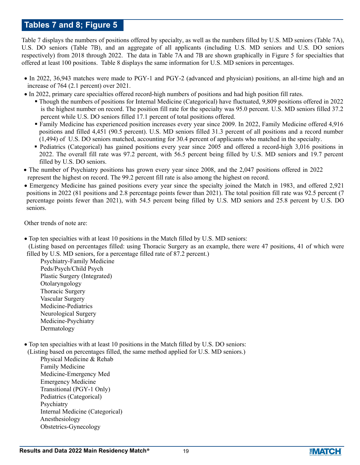### **Tables 7 and 8; Figure 5**

Table 7 displays the numbers of positions offered by specialty, as well as the numbers filled by U.S. MD seniors (Table 7A), U.S. DO seniors (Table 7B), and an aggregate of all applicants (including U.S. MD seniors and U.S. DO seniors respectively) from 2018 through 2022. The data in Table 7A and 7B are shown graphically in Figure 5 for specialties that offered at least 100 positions. Table 8 displays the same information for U.S. MD seniors in percentages.

- In 2022, 36,943 matches were made to PGY-1 and PGY-2 (advanced and physician) positions, an all-time high and an increase of 764 (2.1 percent) over 2021.
- In 2022, primary care specialties offered record-high numbers of positions and had high position fill rates.
	- Though the numbers of positions for Internal Medicine (Categorical) have fluctuated, 9,809 positions offered in 2022 is the highest number on record. The position fill rate for the specialty was 95.0 percent. U.S. MD seniors filled 37.2 percent while U.S. DO seniors filled 17.1 percent of total positions offered.
	- Family Medicine has experienced position increases every year since 2009. In 2022, Family Medicine offered 4,916 positions and filled 4,451 (90.5 percent). U.S. MD seniors filled 31.3 percent of all positions and a record number (1,494) of U.S. DO seniors matched, accounting for 30.4 percent of applicants who matched in the specialty.
	- Pediatrics (Categorical) has gained positions every year since 2005 and offered a record-high 3,016 positions in 2022. The overall fill rate was 97.2 percent, with 56.5 percent being filled by U.S. MD seniors and 19.7 percent filled by U.S. DO seniors.
- The number of Psychiatry positions has grown every year since 2008, and the 2,047 positions offered in 2022 represent the highest on record. The 99.2 percent fill rate is also among the highest on record.
- Emergency Medicine has gained positions every year since the specialty joined the Match in 1983, and offered 2,921 positions in 2022 (81 positions and 2.8 percentage points fewer than 2021). The total position fill rate was 92.5 percent (7 percentage points fewer than 2021), with 54.5 percent being filled by U.S. MD seniors and 25.8 percent by U.S. DO seniors.

Other trends of note are:

- Top ten specialties with at least 10 positions in the Match filled by U.S. MD seniors:
- (Listing based on percentages filled: using Thoracic Surgery as an example, there were 47 positions, 41 of which were filled by U.S. MD seniors, for a percentage filled rate of 87.2 percent.)

 Psychiatry-Family Medicine Peds/Psych/Child Psych Plastic Surgery (Integrated) Otolaryngology Thoracic Surgery Vascular Surgery Medicine-Pediatrics Neurological Surgery Medicine-Psychiatry Dermatology

Top ten specialties with at least 10 positions in the Match filled by U.S. DO seniors:

(Listing based on percentages filled, the same method applied for U.S. MD seniors.)

 Physical Medicine & Rehab Family Medicine Medicine-Emergency Med Emergency Medicine Transitional (PGY-1 Only) Pediatrics (Categorical) Psychiatry Internal Medicine (Categorical) Anesthesiology Obstetrics-Gynecology

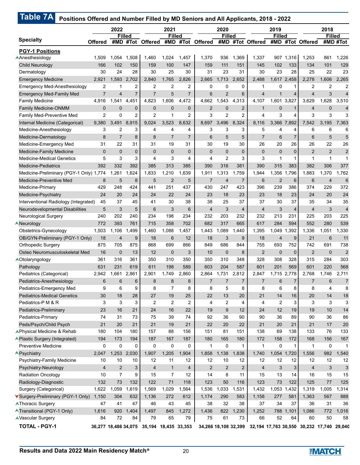|                                         |                | 2022           |                |                                           | 2021           |                |                | 2020           |                |                                                                | 2019           |                         |                 | 2018            |                           |
|-----------------------------------------|----------------|----------------|----------------|-------------------------------------------|----------------|----------------|----------------|----------------|----------------|----------------------------------------------------------------|----------------|-------------------------|-----------------|-----------------|---------------------------|
| <b>Specialty</b>                        |                |                | <b>Filled</b>  |                                           | <b>Filled</b>  |                |                | <b>Filled</b>  |                |                                                                | <b>Filled</b>  |                         |                 | <b>Filled</b>   |                           |
|                                         | <b>Offered</b> | #MD            | #Tot           | <b>Offered</b>                            | #MD            | #Tot           | <b>Offered</b> | #MD            |                | #Tot Offered                                                   | #MD            |                         | #Tot Offered    |                 | #MD #Tot                  |
| <b>PGY-1 Positions</b>                  |                |                |                |                                           |                |                |                |                |                |                                                                |                |                         |                 |                 |                           |
| AAnesthesiology                         | 1,509          | 1,054          | 1,508          | 1,460                                     | 1,024          | 1,457          | 1,370          | 936            | 1,369          | 1,337                                                          | 907            | 1,316                   | 1,253           | 861             | 1,226                     |
| <b>Child Neurology</b>                  | 166            | 102            | 150            | 159                                       | 100            | 147            | 159            | 111            | 151            | 145                                                            | 102            | 133                     | 134             | 101             | 129                       |
| Dermatology                             | 30             | 24             | 28             | 30                                        | 25             | 30             | 31             | 23             | 31             | 30                                                             | 23             | 28                      | 25              | 22              | 23                        |
| <b>Emergency Medicine</b>               | 2,921          | 1,593          | 2,702          | 2,840                                     | 1,765          | 2,826          | 2,665          | 1,713          | 2,652          | 2,488                                                          |                | 1,617 2,458             | 2.278           | 1,606           | 2,265                     |
| <b>Emergency Med-Anesthesiology</b>     | $\overline{2}$ | 1              | 2              | $\overline{2}$                            | $\overline{2}$ | 2              | 0              | 0              | 0              | 1                                                              | 0              | 1                       | $\overline{2}$  | $\overline{2}$  | $\overline{2}$            |
| <b>Emergency Med-Family Med</b>         | $\overline{7}$ | $\overline{4}$ | 7              | $\overline{7}$                            | 5              | $\overline{7}$ | 6              | $\overline{2}$ | 6              | $\overline{4}$                                                 | $\mathbf{1}$   | $\overline{4}$          | $\overline{4}$  | 3               | $\overline{4}$            |
| <b>Family Medicine</b>                  | 4,916          | .541<br>1      | 4,451          | 4,823                                     | 1,606          | 4,472          | 4,662          | 1,543          | 4,313          | 4,107                                                          | 1,601          | 3,827                   | 3,629           | 1,628           | 3,510                     |
| <b>Family Medicine-ONMM</b>             | $\mathbf 0$    | $\mathbf 0$    | 0              | $\mathbf 0$                               | $\mathbf 0$    | 0              | $\overline{2}$ | $\overline{0}$ | $\overline{2}$ | $\mathbf{1}$                                                   | 0              | $\mathbf{1}$            | $\overline{4}$  | $\mathbf 0$     | $\overline{4}$            |
| Family Med-Preventive Med               | $\overline{2}$ | $\Omega$       | $\overline{2}$ | $\overline{2}$                            | $\mathbf{1}$   | 2              | 3              | $\overline{2}$ | $\overline{2}$ | 4                                                              | 3              | 4                       | 3               | 3               | 3                         |
| Internal Medicine (Categorical)         | 9,380          | 3,491          | 8,915          | 9,024                                     | 3,523          | 8,632          | 8,697          | 3,496          | 8,324          | 8,116                                                          | 3,366          | 7,892                   | 7,542           | 3,195           | 7,363                     |
| Medicine-Anesthesiology                 | 3              | 2              | 3              | 4                                         | 4              | 4              | 3              | 3              | 3              | 5                                                              | 4              | 4                       | 6               | 6               | 6                         |
| Medicine-Dermatology                    | 8              | $\overline{7}$ | 8              | 8                                         | $\overline{7}$ | $\overline{7}$ | 6              | 5              | 5              | $\overline{7}$                                                 | 6              | $\overline{7}$          | $6\phantom{1}6$ | 5               | 5                         |
| Medicine-Emergency Med                  | 31             | 22             | 31             | 31                                        | 19             | 31             | 30             | 19             | 30             | 26                                                             | 20             | 26                      | 26              | 22              | 26                        |
| Medicine-Family Medicine                | $\mathbf{0}$   | $\Omega$       | $\overline{0}$ | $\mathbf{0}$                              | $\mathbf{0}$   | $\mathbf{0}$   | $\mathbf{0}$   | $\mathbf{0}$   | $\mathbf 0$    | $\mathbf 0$                                                    | $\overline{0}$ | $\mathbf 0$             | $\overline{2}$  | $\overline{2}$  | $\overline{2}$            |
| <b>Medicine-Medical Genetics</b>        | 5              | 3              | 3              | 4                                         | 3              | 4              | 4              | $\overline{2}$ | 3              | 3                                                              | 1              | 1                       | $\mathbf{1}$    | $\mathbf{1}$    | $\mathbf 1$               |
| <b>Medicine-Pediatrics</b>              | 392            | 332            | 392            | 385                                       | 313            | 385            | 390            | 316            | 381            | 390                                                            | 315            | 383                     | 382             | 306             | 377                       |
| Medicine-Preliminary (PGY-1 Only) 1,774 |                | 1,261          | 1,624          | 1,833                                     | 1,210          | 1,639          | 1,911          | 1,313          | 1,759          | 1,944                                                          | 1,356          | 1,796                   | 1,883           | 1,370           | 1,762                     |
| Medicine-Preventive Med                 | 8              | 5              | 8              | 5                                         | $\overline{2}$ | 5              | $\overline{7}$ | 4              | $\overline{7}$ | 6                                                              | $\overline{2}$ | 6                       | 6               | $\overline{4}$  | $6\phantom{a}$            |
| Medicine-Primary                        | 429            | 248            | 424            | 441                                       | 251            | 437            | 430            | 247            | 423            | 396                                                            | 239            | 386                     | 374             | 229             | 372                       |
| Medicine-Psychiatry                     | 24             | 20             | 24             | 24                                        | 22             | 24             | 23             | 18             | 23             | 23                                                             | 18             | 23                      | 24              | 20              | 24                        |
| Interventional Radiology (Integrated)   | 45             | 37             | 45             | 41                                        | 30             | 38             | 38             | 25             | 37             | 37                                                             | 30             | 37                      | 35              | 34              | 35                        |
| Neurodevelopmental Disabilities         | 5              | 3              | 5              | 6                                         | 3              | 6              | $\overline{4}$ | 3              | $\overline{4}$ | $\overline{4}$                                                 | 3              | $\overline{\mathbf{4}}$ | $\overline{4}$  | 3               | $\overline{\mathcal{L}}$  |
| Neurological Surgery                    | 240            | 202            | 240            | 234                                       | 198            | 234            | 232            | 203            | 232            | 232                                                            | 213            | 231                     | 225             | 203             | 225                       |
| <b>A</b> Neurology                      | 772            | 393            | 761            | 715                                       | 358            | 702            | 682            | 317            | 665            | 617                                                            | 284            | 594                     | 552             | 280             | 539                       |
| Obstetrics-Gynecology                   | 1,503          | 1,106          | 1,499          | 1,460                                     | 1,088          | 1,457          | 1,443          | 1,089          | 1,440          | 1,395                                                          | 1,049          | 1,392                   | 1,336           | 1,051           | ,330                      |
| OB/GYN-Preliminary (PGY-1 Only)         | 18             | 4              | 9              | 18                                        | $6\phantom{1}$ | 12             | 18             | 3              | 9              | 18                                                             | $\overline{4}$ | 9                       | 21              | $6\phantom{1}6$ | 11                        |
| <b>Orthopedic Surgery</b>               | 875            | 705            | 875            | 868                                       | 699            | 866            | 849            | 686            | 844            | 755                                                            | 693            | 752                     | 742             | 691             | 738                       |
| Osteo Neuromusculoskeletal Med          | 16             | $\mathbf 0$    | 13             | 12                                        | $\mathbf 0$    | 3              | 10             | $\mathbf 0$    | 8              | $\overline{2}$                                                 | $\mathbf{0}$   | $\mathbf 0$             | $\overline{2}$  | $\mathbf{0}$    | $\overline{c}$            |
| AOtolaryngology                         | 361            | 316            | 361            | 350                                       | 310            | 350            | 350            | 310            | 348            | 328                                                            | 308            | 328                     | 315             | 284             | 303                       |
| Pathology                               | 631            | 231            | 619            | 611                                       | 198            | 589            | 603            | 204            | 587            | 601                                                            | 201            | 569                     | 601             | 220             | 568                       |
| Pediatrics (Categorical)                | 2,942          | 1,661          | 2,861          | 2,901                                     | 1,749          | 2.860          | 2,864          | 1,731          | 2,812          | 2,847                                                          | 1,715          | 2,778                   | 2,768           | 1.746           | 2,711                     |
| Pediatrics-Anesthesiology               | 6              | 6              | 6              | 8                                         | 8              | 8              | $\overline{7}$ | $\overline{7}$ | $\overline{7}$ | $\overline{7}$                                                 | 6              | 7                       | $\overline{7}$  | 6               | $\overline{7}$            |
| Pediatrics-Emergency Med                | 9              | 6              | 9              | 8                                         | $\overline{7}$ | 8              | 8              | 5              | 8              | 8                                                              | 6              | 8                       | 8               | 4               | 8                         |
| <b>Pediatrics-Medical Genetics</b>      | 30             | 18             | 28             | 27                                        | 19             | 25             | 22             | 13             | 20             | 21                                                             | 14             | 16                      | 20              | 14              | $18$                      |
| Pediatrics-P M & R                      | 3              | 3              | 3              | 2                                         | 2              | 2              | 4              | 2              | $\overline{4}$ | $\overline{4}$                                                 | 2              | 3                       | 3               | 3               | 3                         |
| Pediatrics-Preliminary                  | 23             | 16             | 21             | 24                                        | 16             | 22             | 19             | 9              | 12             | 24                                                             | 12             | 19                      | 19              | 10              | 14                        |
| Pediatrics-Primary                      | 74             | 31             | 73             | 75                                        | 39             | 74             | 92             | 36             | 90             | 90                                                             | 36             | 89                      | 90              | 36              | 86                        |
| Peds/Psych/Child Psych                  | 21             | 20             | 21             | 21                                        | 19             | 21             | 22             | 20             | 22             | 21                                                             | 20             | 21                      | 21              | 17              | 20                        |
| APhysical Medicine & Rehab              | 180            | 104            | 180            | 157                                       | 88             | 156            | 151            | 81             | 151            | 138                                                            | 69             | 138                     | 133             | 76              | 133                       |
| ▲ Plastic Surgery (Integrated)          | 194            | 173            | 194            | 187                                       | 167            | 187            | 180            | 165            | 180            | 172                                                            | 158            | 172                     | 168             | 156             | 167                       |
| <b>Preventive Medicine</b>              | 0              | $\mathbf 0$    | 0              | $\mathbf 0$                               | 0              | 0              | $\mathbf{1}$   | 0              | $\mathbf{1}$   | $\mathbf{1}$                                                   | $\mathbf 0$    | $\mathbf{1}$            | $\mathbf{1}$    | $\mathbf 0$     | $\mathbf 1$               |
| <b>A</b> Psychiatry                     | 2,047          | 1,253          | 2,030          | 1,907                                     | 1,205          | 1,904          | 1,858          | 1,138          | 1,838          | 1,740                                                          | 1,054          | 1,720                   | 1,556           | 982             | 1,540                     |
| Psychiatry-Family Medicine              | 10             | 10             | 10             | 12                                        | 11             | 12             | 12             | 10             | 12             | 12                                                             | 12             | 12                      | 12              | 12              | 12                        |
| Psychiatry-Neurology                    | $\overline{4}$ | $\overline{2}$ | 3              | $\overline{4}$                            | $\mathbf{1}$   | 4              | 2              | 2              | $\overline{2}$ | $\overline{4}$                                                 | 3              | 3                       | $\overline{4}$  | 3               | $\ensuremath{\mathsf{3}}$ |
| <b>Radiation Oncology</b>               | 10             | $\overline{7}$ | 9              | 15                                        | $\overline{7}$ | 12             | 14             | 8              | 11             | 15                                                             | 13             | 14                      | 16              | 15              | 15                        |
| Radiology-Diagnostic                    | 132            | 73             | 132            | 122                                       | 71             | 118            | 123            | 50             | 116            | 123                                                            | 73             | 122                     | 125             | 77              | 125                       |
| Surgery (Categorical)                   | 1,622          | 1,059          | 1,619          | 1,569                                     | 1,029          | 1,564          | 1,536          | 1,033          | 1,531          | 1,432                                                          | 1,053          | 1,432                   | 1,319           | 1,005           | 1,314                     |
| Surgery-Preliminary (PGY-1 Only)        | 1,150          | 304            | 632            | 1,136                                     | 272            | 612            | 1,174          | 290            | 583            | 1,158                                                          | 277            | 581                     | 1,363           | 567             | 888                       |
| <b>AThoracic Surgery</b>                | 47             | 41             | 47             | 46                                        | 43             | 45             | 38             | 32             | 38             | 37                                                             | 34             | 37                      | 36              | 31              | 36                        |
| <b>A Transitional (PGY-1 Only)</b>      | 1,616          | 920            | 1,404          | 1,497                                     | 845            | 1,272          | 1,436          | 822            | 1,230          | 1,252                                                          |                | 788 1,101               | 1,086           | 772             | 1,016                     |
| <b>AVascular Surgery</b>                | 84             | 72             | 84             | 79                                        | 65             | 79             | 75             | 61             | 73             | 66                                                             | 52             | 64                      | 60              | 50              | 58                        |
| <b>TOTAL - PGY-1</b>                    |                |                |                | 36,277 18,486 34,075 35,194 18,435 33,353 |                |                |                |                |                | 34,266 18,108 32,399 32,194 17,763 30,550 30,232 17,740 29,040 |                |                         |                 |                 |                           |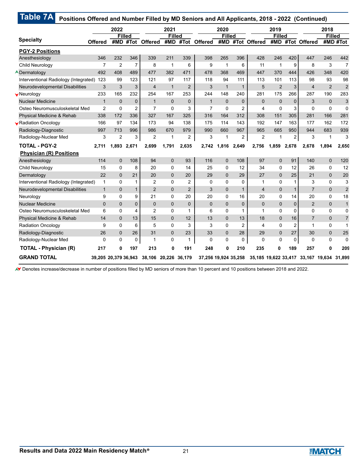|                                       |                | 2022                 |                |                      | 2021          |                |                      | 2020                 |                |                | 2019                 |                |                                           | 2018           |                |
|---------------------------------------|----------------|----------------------|----------------|----------------------|---------------|----------------|----------------------|----------------------|----------------|----------------|----------------------|----------------|-------------------------------------------|----------------|----------------|
| <b>Specialty</b>                      | <b>Offered</b> | #MD                  | <b>Filled</b>  | #Tot Offered #MD     | <b>Filled</b> | #Tot           | <b>Offered</b>       | <b>Filled</b><br>#MD |                | #Tot Offered   | <b>Filled</b><br>#MD |                | #Tot Offered                              | <b>Filled</b>  | #MD #Tot       |
| <b>PGY-2 Positions</b>                |                |                      |                |                      |               |                |                      |                      |                |                |                      |                |                                           |                |                |
| Anesthesiology                        | 346            | 232                  | 346            | 339                  | 211           | 339            | 398                  | 265                  | 396            | 428            | 246                  | 420            | 447                                       | 246            | 442            |
| Child Neurology                       | $\overline{7}$ | $\overline{2}$       | $\overline{7}$ | 8                    | $\mathbf{1}$  | 6              | 9                    | 1                    | 6              | 11             | 1                    | 9              | 8                                         | 3              | $\overline{7}$ |
| <b>ADermatology</b>                   | 492            | 408                  | 489            | 477                  | 382           | 471            | 478                  | 368                  | 469            | 447            | 370                  | 444            | 426                                       | 348            | 420            |
| Interventional Radiology (Integrated) | 123            | 99                   | 123            | 121                  | 97            | 117            | 118                  | 94                   | 111            | 113            | 101                  | 113            | 98                                        | 93             | 98             |
| Neurodevelopmental Disabilities       | 3              | 3                    | 3              | $\overline{4}$       | $\mathbf{1}$  | $\overline{2}$ | 3                    | $\mathbf{1}$         | $\mathbf{1}$   | 5              | $\overline{2}$       | 3              | $\overline{4}$                            | $\overline{2}$ | $\overline{2}$ |
| Weurology                             | 233            | 165                  | 232            | 254                  | 167           | 253            | 244                  | 148                  | 240            | 281            | 175                  | 266            | 287                                       | 190            | 283            |
| <b>Nuclear Medicine</b>               | $\mathbf{1}$   | $\Omega$             | $\mathbf 0$    | $\mathbf{1}$         | $\mathbf 0$   | $\mathbf 0$    | $\mathbf{1}$         | $\Omega$             | $\mathbf 0$    | $\Omega$       | $\Omega$             | $\mathbf 0$    | 3                                         | $\mathbf 0$    | 3              |
| Osteo Neuromusculoskeletal Med        | $\overline{2}$ | $\Omega$             | 2              | $\overline{7}$       | 0             | 3              | 7                    | 0                    | 2              | 4              | $\Omega$             | 3              | 0                                         | 0              | 0              |
| Physical Medicine & Rehab             | 338            | 172                  | 336            | 327                  | 167           | 325            | 316                  | 164                  | 312            | 308            | 151                  | 305            | 281                                       | 166            | 281            |
| <b>▼</b> Radiation Oncology           | 166            | 97                   | 134            | 173                  | 94            | 138            | 175                  | 114                  | 143            | 192            | 147                  | 163            | 177                                       | 162            | 172            |
| Radiology-Diagnostic                  | 997            | 713                  | 996            | 986                  | 670           | 979            | 990                  | 660                  | 967            | 965            | 665                  | 950            | 944                                       | 683            | 939            |
| Radiology-Nuclear Med                 | 3              | $\overline{2}$       | 3              | $\overline{2}$       | 1             | 2              | 3                    | 1                    | 2              | $\overline{2}$ | 1                    | $\overline{2}$ | 3                                         | $\mathbf{1}$   | 3              |
| <b>TOTAL - PGY-2</b>                  | 2.711          | 1.893                | 2,671          | 2.699                | 1,791         | 2.635          | 2.742                | 1.816                | 2.649          | 2.756          | 1,859                | 2.678          | 2,678                                     | 1.894          | 2.650          |
| <b>Physician (R) Positions</b>        |                |                      |                |                      |               |                |                      |                      |                |                |                      |                |                                           |                |                |
| Anesthesiology                        | 114            | $\mathbf 0$          | 108            | 94                   | $\mathbf 0$   | 93             | 116                  | 0                    | 108            | 97             | 0                    | 91             | 140                                       | $\mathbf 0$    | 120            |
| Child Neurology                       | 15             | 0                    | 8              | 20                   | 0             | 14             | 25                   | 0                    | 12             | 34             | $\mathbf 0$          | 12             | 26                                        | $\mathbf 0$    | 12             |
| Dermatology                           | 22             | $\mathbf{0}$         | 21             | 20                   | $\mathbf{0}$  | 20             | 29                   | $\mathbf{0}$         | 29             | 27             | $\mathbf{0}$         | 25             | 21                                        | $\mathbf 0$    | 20             |
| Interventional Radiology (Integrated) | $\mathbf 1$    | 0                    | 1              | 2                    | $\Omega$      | $\overline{2}$ | $\Omega$             | $\Omega$             | $\Omega$       | $\mathbf 1$    | $\Omega$             | 1              | 3                                         | $\Omega$       | 3              |
| Neurodevelopmental Disabilities       | $\mathbf{1}$   | $\Omega$             | $\mathbf{1}$   | 2                    | $\Omega$      | $\overline{2}$ | 3                    | $\Omega$             | $\mathbf{1}$   | $\overline{4}$ | $\overline{0}$       | $\mathbf{1}$   | $\overline{7}$                            | $\mathbf{0}$   | $\overline{2}$ |
| Neurology                             | 9              | $\Omega$             | 9              | 21                   | $\Omega$      | 20             | 20                   | 0                    | 16             | 20             | $\Omega$             | 14             | 20                                        | $\Omega$       | 18             |
| <b>Nuclear Medicine</b>               | $\Omega$       | $\Omega$             | $\Omega$       | $\Omega$             | $\Omega$      | $\Omega$       | $\Omega$             | $\Omega$             | $\Omega$       | $\Omega$       | $\Omega$             | $\Omega$       | 2                                         | $\Omega$       | $\mathbf{1}$   |
| Osteo Neuromusculoskeletal Med        | 6              | $\Omega$             | 4              | $\overline{2}$       | $\Omega$      | 1              | 6                    | $\Omega$             | $\mathbf{1}$   | $\mathbf{1}$   | $\Omega$             | 0              | $\Omega$                                  | $\Omega$       | 0              |
| Physical Medicine & Rehab             | 14             | $\Omega$             | 13             | 15                   | $\Omega$      | 12             | 13                   | $\Omega$             | 13             | 18             | $\Omega$             | 16             | $\overline{7}$                            | $\Omega$       | $\overline{7}$ |
| <b>Radiation Oncology</b>             | 9              | $\Omega$             | 6              | 5                    | 0             | 3              | 3                    | $\Omega$             | $\overline{2}$ | 4              | $\Omega$             | $\overline{2}$ | $\mathbf{1}$                              | 0              | 1              |
| Radiology-Diagnostic                  | 26             | $\Omega$             | 26             | 31                   | $\Omega$      | 23             | 33                   | $\Omega$             | 28             | 29             | $\Omega$             | 27             | 30                                        | $\Omega$       | 25             |
| Radiology-Nuclear Med                 | 0              | $\mathbf 0$          | 0              | 1                    | 0             | 1              | $\mathbf{0}$         | 0                    | 0              | $\mathbf 0$    | $\Omega$             | 0              | $\mathbf 0$                               | $\Omega$       | $\mathbf 0$    |
| <b>TOTAL - Physician (R)</b>          | 217            | 0                    | 197            | 213                  | 0             | 191            | 248                  | 0                    | 210            | 235            | 0                    | 189            | 257                                       | 0              | 209            |
| <b>GRAND TOTAL</b>                    |                | 39.205 20.379 36.943 |                | 38,106 20,226 36,179 |               |                | 37,256 19,924 35,258 |                      |                |                |                      |                | 35,185 19,622 33,417 33,167 19,634 31,899 |                |                |

Denotes increase/decrease in number of positions filled by MD seniors of more than 10 percent and 10 positions between 2018 and 2022.

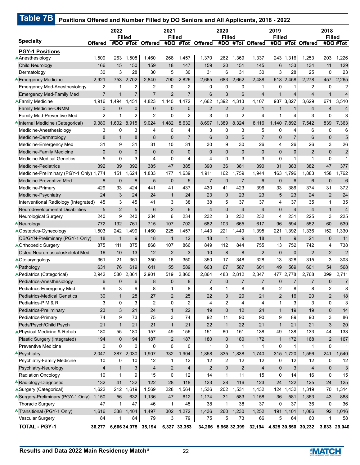|                                                            |                     | 2022           |               |                     | 2021               |                     |                     | 2020           |                |                                | 2019              |                         |                     | 2018               |                          |
|------------------------------------------------------------|---------------------|----------------|---------------|---------------------|--------------------|---------------------|---------------------|----------------|----------------|--------------------------------|-------------------|-------------------------|---------------------|--------------------|--------------------------|
| <b>Specialty</b>                                           |                     |                | <b>Filled</b> |                     | <b>Filled</b>      |                     |                     | <b>Filled</b>  |                |                                | <b>Filled</b>     |                         |                     | <b>Filled</b>      |                          |
|                                                            | <b>Offered</b>      | #DO            |               | #Tot Offered        | #DO                | #Tot                | <b>Offered</b>      | #DO            |                | #Tot Offered                   | #DO               |                         | #Tot Offered        |                    | #DO #Tot                 |
| <b>PGY-1 Positions</b>                                     |                     |                |               |                     |                    |                     |                     |                |                |                                |                   |                         |                     |                    |                          |
| AAnesthesiology                                            | 1,509               | 263            | 1,508         | 1,460               | 268                | 1,457               | 1,370               | 262            | 1,369          | 1,337                          | 243               | 1,316                   | 1,253               | 203                | 1,226                    |
| <b>Child Neurology</b>                                     | 166                 | 15             | 150           | 159                 | 18                 | 147                 | 159                 | 20             | 151            | 145                            | 6                 | 133                     | 134                 | 11                 | 129                      |
| Dermatology                                                | 30                  | 3              | 28            | 30                  | 5                  | 30                  | 31                  | 6              | 31             | 30                             | 3                 | 28                      | 25                  | $\mathbf 0$        | 23                       |
| <b>A Emergency Medicine</b>                                | 2,921               | 753<br>1       | 2,702         | 2,840               | 790<br>$\mathbf 0$ | 2,826               | 2,665               | 683            | 2,652          | 2,488                          |                   | 618 2,458               | 2,278               | 457<br>$\mathbf 0$ | 2,265                    |
| <b>Emergency Med-Anesthesiology</b>                        | 2<br>$\overline{7}$ | $\mathbf{1}$   | 2             | 2<br>$\overline{7}$ | $\overline{2}$     | 2<br>$\overline{7}$ | 0<br>6              | 0<br>3         | 0              | $\mathbf{1}$<br>$\overline{4}$ | 0<br>$\mathbf{1}$ | 1                       | 2<br>$\overline{4}$ | 1                  | $\overline{2}$           |
| <b>Emergency Med-Family Med</b><br><b>AFamily Medicine</b> | 4,916               | 1,494          | 7<br>4,451    | 4,823               | 1,440              | 4,472               | 4,662               | 1,392          | 6<br>4,313     | 4,107                          | 937               | $\overline{4}$<br>3,827 | 3,629               | 671                | $\overline{4}$<br>3,510  |
| <b>Family Medicine-ONMM</b>                                | $\mathbf 0$         | $\mathbf 0$    | $\mathbf 0$   | $\mathbf 0$         | $\mathbf 0$        | $\mathbf 0$         | $\overline{2}$      | $\overline{2}$ | $\overline{2}$ | $\mathbf{1}$                   | $\mathbf{1}$      | $\mathbf{1}$            | $\overline{4}$      | $\overline{4}$     | $\overline{\mathcal{A}}$ |
| Family Med-Preventive Med                                  | 2                   | 1              | 2             | $\overline{2}$      | $\mathbf 0$        | 2                   | 3                   | 0              | 2              | $\overline{4}$                 | 1                 | 4                       | 3                   | $\mathbf 0$        | 3                        |
| AInternal Medicine (Categorical)                           | 9,380               | 1,602          | 8,915         | 9,024               | 1,482              | 8,632               | 8,697               | 1,389          | 8,324          | 8,116                          | 1,140             | 7,892                   | 7,542               | 839                | 7,363                    |
| Medicine-Anesthesiology                                    | 3                   | 0              | 3             | 4                   | 0                  | 4                   | 3                   | 0              | 3              | 5                              | 0                 | 4                       | 6                   | 0                  | 6                        |
| Medicine-Dermatology                                       | 8                   | $\mathbf{1}$   | 8             | 8                   | $\mathbf 0$        | $\overline{7}$      | 6                   | $\mathbf{0}$   | 5              | $\overline{7}$                 | $\mathbf{0}$      | 7                       | 6                   | $\mathbf 0$        | 5                        |
| Medicine-Emergency Med                                     | 31                  | 9              | 31            | 31                  | 10                 | 31                  | 30                  | 9              | 30             | 26                             | 4                 | 26                      | 26                  | 3                  | 26                       |
| <b>Medicine-Family Medicine</b>                            | $\mathbf{0}$        | 0              | $\mathbf 0$   | $\mathbf 0$         | $\mathbf 0$        | $\mathbf{0}$        | $\mathbf{0}$        | $\overline{0}$ | $\mathbf 0$    | $\mathbf 0$                    | 0                 | $\mathbf 0$             | $\overline{2}$      | $\mathbf 0$        | $\overline{2}$           |
| <b>Medicine-Medical Genetics</b>                           | 5                   | $\mathbf 0$    | 3             | 4                   | 0                  | 4                   | 4                   | 0              | 3              | 3                              | $\mathbf 0$       | 1                       | $\mathbf 1$         | $\mathbf 0$        | $\mathbf{1}$             |
| <b>Medicine-Pediatrics</b>                                 | 392                 | 39             | 392           | 385                 | 47                 | 385                 | 390                 | 36             | 381            | 390                            | 31                | 383                     | 382                 | 47                 | 377                      |
| Medicine-Preliminary (PGY-1 Only) 1,774                    |                     | 151            | 1,624         | 1,833               | 177                | 1,639               | 1,911               | 162            | 1,759          | 1,944                          | 163               | 1,796                   | 1,883               | 158                | 1,762                    |
| Medicine-Preventive Med                                    | 8                   | $\mathbf{0}$   | 8             | 5                   | $\mathbf 0$        | 5                   | $\overline{7}$      | $\mathbf{0}$   | $\overline{7}$ | 6                              | $\mathbf 0$       | 6                       | $6\phantom{1}6$     | $\mathbf{0}$       | $6\phantom{1}6$          |
| Medicine-Primary                                           | 429                 | 33             | 424           | 441                 | 41                 | 437                 | 430                 | 41             | 423            | 396                            | 33                | 386                     | 374                 | 31                 | 372                      |
| Medicine-Psychiatry                                        | 24                  | 3              | 24            | 24                  | $\mathbf{1}$       | 24                  | 23                  | $\mathbf{0}$   | 23             | 23                             | 5                 | 23                      | 24                  | $\overline{2}$     | 24                       |
| Interventional Radiology (Integrated)                      | 45                  | 3              | 45            | 41                  | 3                  | 38                  | 38                  | 5              | 37             | 37                             | 4                 | 37                      | 35                  | $\mathbf{1}$       | 35                       |
| Neurodevelopmental Disabilities                            | 5                   | $\overline{2}$ | 5             | 6                   | $\overline{2}$     | 6                   | $\overline{4}$      | $\mathbf{0}$   | 4              | $\overline{4}$                 | $\mathbf 0$       | $\overline{4}$          | $\overline{4}$      | $\mathbf{1}$       | $\overline{4}$           |
| <b>Neurological Surgery</b>                                | 240                 | 9              | 240           | 234                 | 6                  | 234                 | 232                 | 3              | 232            | 232                            | 4                 | 231                     | 225                 | 3                  | 225                      |
| Neurology                                                  | 772                 | 132            | 761           | 715                 | 107                | 702                 | 682                 | 103            | 665            | 617                            | 96                | 594                     | 552                 | 60                 | 539                      |
| <b>AObstetrics-Gynecology</b>                              | 1,503               | 242            | 1,499         | 1,460               | 225                | 1,457               | 1,443               | 221            | 1,440          | 1,395                          | 221               | ,392<br>1.              | 1,336               | 152                | ,330                     |
| OB/GYN-Preliminary (PGY-1 Only)                            | 18                  | $\mathbf{1}$   | 9             | 18                  | $\mathbf{1}$       | 12                  | 18                  | $\mathbf{1}$   | 9              | 18                             | $\mathbf{1}$      | 9                       | 21                  | $\mathbf 0$        | 11                       |
| <b>AOrthopedic Surgery</b>                                 | 875                 | 111            | 875           | 868                 | 107                | 866                 | 849                 | 112            | 844            | 755                            | 13                | 752                     | 742                 | 4                  | 738                      |
| Osteo Neuromusculoskeletal Med                             | 16                  | 10             | 13            | 12                  | $\overline{2}$     | 3                   | 10                  | 8              | 8              | $\overline{2}$                 | $\mathbf 0$       | $\mathbf 0$             | $\overline{2}$      | $\overline{2}$     | $\overline{c}$           |
| AOtolaryngology                                            | 361                 | 21             | 361           | 350                 | 16                 | 350                 | 350                 | 17             | 348            | 328                            | 13                | 328                     | 315                 | 3                  | 303                      |
| <b>APathology</b>                                          | 631                 | 76             | 619           | 611                 | 55                 | 589                 | 603                 | 67             | 587            | 601                            | 49                | 569                     | 601                 | 54                 | 568                      |
| APediatrics (Categorical)                                  | 2,942               | 580            | 2,861         | 2,901               | 519                | 2,860               | 2,864               | 483            | 2,812          | 2,847                          | 477               | 2,778                   | 2,768               | 399                | 2,711                    |
| Pediatrics-Anesthesiology                                  | 6                   | 0              | 6             | 8                   | $\mathbf 0$        | 8                   | $\overline{7}$      | $\mathbf 0$    | $\overline{7}$ | $\overline{7}$                 | $\mathbf 0$       | $\overline{7}$          | $\overline{7}$      | $\mathbf 0$        | $\overline{7}$           |
| Pediatrics-Emergency Med                                   | 9                   | 3              | 9             | 8                   | $\mathbf{1}$       | 8                   | 8                   | 1              | 8              | 8                              | $\overline{2}$    | 8                       | 8                   | $\overline{2}$     | 8                        |
| <b>Pediatrics-Medical Genetics</b>                         | 30                  | $\mathbf{1}$   | 28            | 27                  | 2                  | 25                  | 22                  | 3              | 20             | 21                             | 2                 | 16                      | 20                  | $\overline{2}$     | 18                       |
| Pediatrics-P M & R                                         | 3                   | 0              | 3             | $\overline{2}$      | 0                  | $\overline{2}$      | 4                   | 2              | 4              | 4                              | 1                 | 3                       | 3                   | $\mathbf 0$        | 3                        |
| Pediatrics-Preliminary                                     | 23                  | 3              | 21            | 24                  | $\mathbf{1}$       | 22                  | 19                  | $\overline{0}$ | 12             | 24                             | $\mathbf{1}$      | 19                      | 19                  | $\mathbf 0$        | 14                       |
| Pediatrics-Primary                                         | 74                  | 9              | 73            | 75                  | 3                  | 74                  | 92                  | 11             | 90             | 90                             | 9                 | 89                      | 90                  | 3                  | 86                       |
| Peds/Psych/Child Psych                                     | 21                  | $\mathbf{1}$   | 21            | 21                  | $\mathbf{1}$       | 21                  | 22                  | $\mathbf{1}$   | 22             | 21                             | $\mathbf{1}$      | 21                      | 21                  | 3                  | 20                       |
| APhysical Medicine & Rehab                                 | 180                 | 55             | 180           | 157                 | 49                 | 156                 | 151                 | 60             | 151            | 138                            | 49                | 138                     | 133                 | 44                 | 133                      |
| Plastic Surgery (Integrated)                               | 194                 | 0              | 194           | 187                 | $\overline{2}$     | 187                 | 180                 | $\mathbf 0$    | 180            | 172                            | $\mathbf{1}$      | 172                     | 168                 | $\overline{2}$     | 167                      |
| <b>Preventive Medicine</b>                                 | 0                   | 0              | 0             | 0                   | $\pmb{0}$          | 0                   | $\mathbf{1}$        | 0              | $\mathbf{1}$   | $\mathbf{1}$                   | $\mathbf 0$       | $\mathbf{1}$            | $\mathbf{1}$        | $\pmb{0}$          | $\mathbf{1}$             |
| <b>A</b> Psychiatry                                        | 2,047               | 387            | 2,030         | 1,907               | 332                | 1,904               | 1,858               | 335            | 1,838          | 1,740                          | 315               | 1,720                   | 1,556               | 241                | 1,540                    |
| Psychiatry-Family Medicine                                 | 10                  | 0              | 10            | 12                  | 1                  | 12                  | 12                  | 2              | 12             | 12                             | 0                 | 12                      | 12                  | 0                  | 12                       |
| Psychiatry-Neurology                                       | $\overline{4}$      | $\mathbf{1}$   | 3             | $\overline{4}$      | $\overline{2}$     | $\overline{4}$      | $\overline{2}$      | $\mathbf{0}$   | $\overline{2}$ | $\overline{4}$                 | $\mathbf 0$       | 3                       | $\overline{4}$      | $\mathbf 0$        | 3                        |
| <b>Radiation Oncology</b>                                  | 10                  | $\mathbf{1}$   | 9             | 15                  | 0                  | 12                  | 14                  | $\mathbf{1}$   | 11             | 15                             | 0                 | 14                      | 16                  | $\mathbf 0$        | 15                       |
| <b>ARadiology-Diagnostic</b>                               | 132                 | 41             | 132           | 122                 | 28                 | 118                 | 123                 | 28             | 116            | 123                            | 24                | 122                     | 125                 | 24                 | 125                      |
| ASurgery (Categorical)                                     | 1,622               | 212            | 1,619         | 1,569               | 228                | 1,564               | 1,536               | 202            | 1,531          | 1,432                          | 124               | 1,432                   | 1,319               | 70                 | 1,314                    |
| Surgery-Preliminary (PGY-1 Only)                           | 1,150               | 56             | 632           | 1,136               | 47                 | 612                 | 1,174               | 31             | 583            | 1,158                          | 36                | 581                     | 1,363               | 43                 | 888                      |
| <b>Thoracic Surgery</b>                                    | 47                  | $\mathbf{1}$   | 47            | 46                  | $\mathbf{1}$       | 45                  | 38                  | $\mathbf{1}$   | 38             | 37                             | 0                 | 37                      | 36                  | $\mathbf 0$        | 36                       |
| Transitional (PGY-1 Only)                                  | 1,616               | 338            | 1,404         | 1,497               | 302                | 1,272               | 1,436               | 260            | 1,230          | 1,252                          | 191               | 1,101                   | 1,086               | 92                 | 1,016                    |
| Vascular Surgery                                           | 84                  | 1              | 84            | 79                  | 3                  | 79                  | 75                  | 5              | 73             | 66                             | 5                 | 64                      | 60                  | $\mathbf 1$        | 58                       |
| <b>TOTAL - PGY-1</b>                                       | 36,277              |                |               | 6,666 34,075 35,194 |                    | 6,327 33,353        | 34,266 5,968 32,399 |                |                | 32,194                         |                   |                         | 4,825 30,550 30,232 |                    | 3,633 29,040             |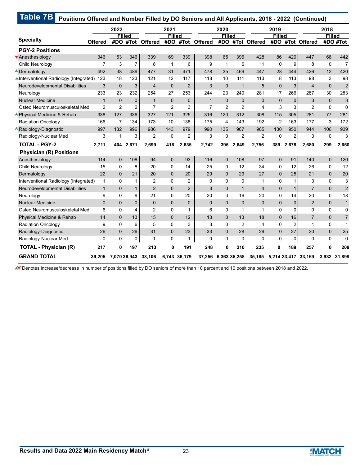|                                        |                | 2022                 |                |                | 2021                 |                |                | 2020                 |                |                | 2019                 |                  |                | 2018           |                         |
|----------------------------------------|----------------|----------------------|----------------|----------------|----------------------|----------------|----------------|----------------------|----------------|----------------|----------------------|------------------|----------------|----------------|-------------------------|
| <b>Specialty</b>                       | Offered        | <b>Filled</b><br>#DO |                | #Tot Offered   | <b>Filled</b><br>#DO | #Tot           | <b>Offered</b> | <b>Filled</b><br>#DO |                | #Tot Offered   | <b>Filled</b><br>#DO |                  | #Tot Offered   | <b>Filled</b>  | #DO #Tot                |
| <b>PGY-2 Positions</b>                 |                |                      |                |                |                      |                |                |                      |                |                |                      |                  |                |                |                         |
| <b>Anesthesiology</b>                  | 346            | 53                   | 346            | 339            | 69                   | 339            | 398            | 65                   | 396            | 428            | 86                   | 420              | 447            | 68             | 442                     |
| Child Neurology                        | $\overline{7}$ | 3                    | $\overline{7}$ | 8              | $\mathbf{1}$         | 6              | 9              | $\mathbf 1$          | 6              | 11             | $\Omega$             | 9                | 8              | $\mathbf 0$    | $\overline{7}$          |
| <b>ADermatology</b>                    | 492            | 38                   | 489            | 477            | 31                   | 471            | 478            | 35                   | 469            | 447            | 28                   | 444              | 426            | 12             | 420                     |
| AInterventional Radiology (Integrated) | 123            | 18                   | 123            | 121            | 12                   | 117            | 118            | 10                   | 111            | 113            | 8                    | 113              | 98             | 3              | 98                      |
| <b>Neurodevelopmental Disabilities</b> | 3              | $\mathbf 0$          | 3              | $\overline{4}$ | $\overline{0}$       | $\overline{2}$ | 3              | $\mathbf 0$          | $\mathbf{1}$   | 5              | $\overline{0}$       | 3                | $\overline{4}$ | $\overline{0}$ | $\overline{2}$          |
| Neurology                              | 233            | 23                   | 232            | 254            | 27                   | 253            | 244            | 23                   | 240            | 281            | 17                   | 266              | 287            | 30             | 283                     |
| <b>Nuclear Medicine</b>                | $\mathbf{1}$   | $\Omega$             | 0              | $\mathbf{1}$   | $\mathbf{0}$         | $\mathbf{0}$   | $\mathbf{1}$   | $\mathbf{0}$         | $\mathbf{0}$   | $\Omega$       | $\overline{0}$       | $\mathbf 0$      | 3              | $\mathbf 0$    | 3                       |
| Osteo Neuromusculoskeletal Med         | $\overline{2}$ | $\overline{2}$       | $\overline{2}$ | $\overline{7}$ | $\overline{2}$       | 3              | $\overline{7}$ | $\overline{2}$       | $\overline{2}$ | 4              | 3                    | 3                | $\overline{2}$ | $\mathbf 0$    | $\mathbf 0$             |
| <b>A</b> Physical Medicine & Rehab     | 338            | 127                  | 336            | 327            | 121                  | 325            | 316            | 120                  | 312            | 308            | 115                  | 305              | 281            | 77             | 281                     |
| <b>Radiation Oncology</b>              | 166            | $\overline{7}$       | 134            | 173            | 10                   | 138            | 175            | 4                    | 143            | 192            | $\overline{2}$       | 163              | 177            | 3              | 172                     |
| <b>ARadiology-Diagnostic</b>           | 997            | 132                  | 996            | 986            | 143                  | 979            | 990            | 135                  | 967            | 965            | 130                  | 950              | 944            | 106            | 939                     |
| Radiology-Nuclear Med                  | 3              | 1                    | 3              | 2              | 0                    | 2              | 3              | 0                    | 2              | $\overline{2}$ | 0                    | $\boldsymbol{2}$ | 3              | $\mathbf 0$    | 3                       |
| <b>TOTAL - PGY-2</b>                   | 2,711          | 404                  | 2,671          | 2,699          | 416                  | 2,635          | 2,742          | 395                  | 2,649          | 2,756          | 389                  | 2,678            | 2,680          | 299            | 2,650                   |
| <b>Physician (R) Positions</b>         |                |                      |                |                |                      |                |                |                      |                |                |                      |                  |                |                |                         |
| Anesthesiology                         | 114            | $\mathbf{0}$         | 108            | 94             | $\mathbf{0}$         | 93             | 116            | $\mathbf 0$          | 108            | 97             | 0                    | 91               | 140            | $\overline{0}$ | 120                     |
| Child Neurology                        | 15             | $\Omega$             | 8              | 20             | 0                    | 14             | 25             | $\Omega$             | 12             | 34             | $\mathbf 0$          | 12               | 26             | 0              | 12                      |
| Dermatology                            | 22             | $\Omega$             | 21             | 20             | $\Omega$             | 20             | 29             | $\Omega$             | 29             | 27             | $\overline{0}$       | 25               | 21             | $\Omega$       | 20                      |
| Interventional Radiology (Integrated)  | 1              | 0                    | 1              | $\overline{2}$ | 0                    | 2              | 0              | 0                    | 0              | 1              | 0                    | 1                | 3              | 0              | 3                       |
| Neurodevelopmental Disabilities        | $\mathbf{1}$   | $\Omega$             | 1              | 2              | $\Omega$             | $\overline{2}$ | 3              | $\Omega$             | $\mathbf{1}$   | 4              | $\overline{0}$       | $\mathbf{1}$     | $\overline{7}$ | $\mathbf{0}$   | $\overline{\mathbf{c}}$ |
| Neurology                              | 9              | $\Omega$             | 9              | 21             | 0                    | 20             | 20             | $\Omega$             | 16             | 20             | 0                    | 14               | 20             | 0              | 18                      |
| <b>Nuclear Medicine</b>                | $\overline{0}$ | $\Omega$             | 0              | $\mathbf{0}$   | $\mathbf{0}$         | $\Omega$       | $\mathbf 0$    | $\Omega$             | $\Omega$       | $\Omega$       | $\mathbf{0}$         | $\overline{0}$   | $\overline{2}$ | $\overline{0}$ | $\mathbf{1}$            |
| Osteo Neuromusculoskeletal Med         | 6              | $\Omega$             | 4              | $\overline{2}$ | $\Omega$             | 1              | 6              | $\Omega$             | 1              | 1              | 0                    | 0                | $\Omega$       | 0              | $\mathbf 0$             |
| Physical Medicine & Rehab              | 14             | $\Omega$             | 13             | 15             | $\Omega$             | 12             | 13             | $\Omega$             | 13             | 18             | $\Omega$             | 16               | $\overline{7}$ | $\Omega$       | $\overline{7}$          |
| <b>Radiation Oncology</b>              | 9              | $\Omega$             | 6              | 5              | 0                    | 3              | 3              | $\Omega$             | $\overline{2}$ | 4              | 0                    | 2                | $\mathbf 1$    | 0              | 1                       |
| Radiology-Diagnostic                   | 26             | $\mathbf{0}$         | 26             | 31             | $\Omega$             | 23             | 33             | $\Omega$             | 28             | 29             | $\overline{0}$       | 27               | 30             | $\mathbf{0}$   | 25                      |
| Radiology-Nuclear Med                  | 0              | $\Omega$             | 0              | 1              | 0                    | 1              | $\Omega$       | $\mathbf{0}$         | 0              | 0              | 0                    | 0                | $\mathbf{0}$   | 0              | $\mathbf 0$             |
| <b>TOTAL - Physician (R)</b>           | 217            | O                    | 197            | 213            | 0                    | 191            | 248            | $\bf{0}$             | 210            | 235            | 0                    | 189              | 257            | 0              | 209                     |
| <b>GRAND TOTAL</b>                     |                |                      |                |                |                      |                |                |                      |                |                |                      |                  |                |                |                         |

Denotes increase/decrease in number of positions filled by DO seniors of more than 10 percent and 10 positions between 2018 and 2022.

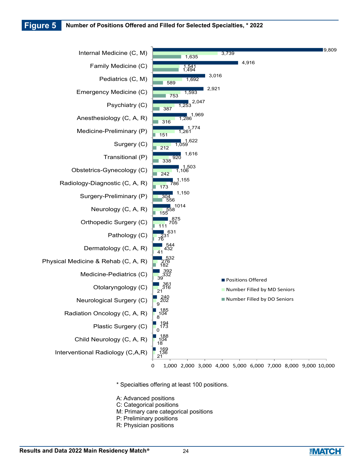**Figure 5 Number of Positions Offered and Filled for Selected Specialties, \* 2022**



\* Specialties offering at least 100 positions.

- A: Advanced positions
- C: Categorical positions
- M: Primary care categorical positions
- P: Preliminary positions
- R: Physician positions

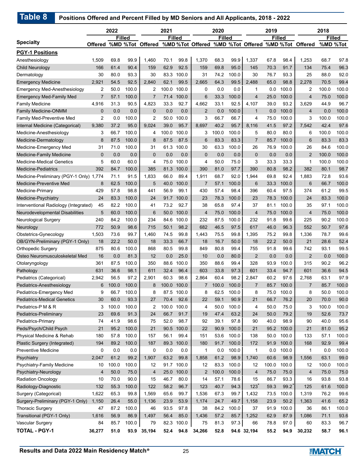|                                         |                | 2022  |               |                          | 2021  |               |                | 2020          |       |                                                    | 2019  |               |                | 2018     |               |
|-----------------------------------------|----------------|-------|---------------|--------------------------|-------|---------------|----------------|---------------|-------|----------------------------------------------------|-------|---------------|----------------|----------|---------------|
| <b>Specialty</b>                        |                |       | <b>Filled</b> |                          |       | <b>Filled</b> |                | <b>Filled</b> |       |                                                    |       | <b>Filled</b> |                |          | <b>Filled</b> |
|                                         |                |       |               | Offered %MD %Tot Offered |       |               |                |               |       | %MD %Tot Offered %MD %Tot Offered %MD %Tot Offered |       |               |                | %MD %Tot |               |
| <b>PGY-1 Positions</b>                  |                |       |               |                          |       |               |                |               |       |                                                    |       |               |                |          |               |
| Anesthesiology                          | 1,509          | 69.8  | 99.9          | 1,460                    | 70.1  | 99.8          | 1,370          | 68.3          | 99.9  | 1,337                                              | 67.8  | 98.4          | 1,253          | 68.7     | 97.8          |
| <b>Child Neurology</b>                  | 166            | 61.4  | 90.4          | 159                      | 62.9  | 92.5          | 159            | 69.8          | 95.0  | 145                                                | 70.3  | 91.7          | 134            | 75.4     | 96.3          |
| Dermatology                             | 30             | 80.0  | 93.3          | 30                       | 83.3  | 100.0         | 31             | 74.2          | 100.0 | 30                                                 | 76.7  | 93.3          | 25             | 88.0     | 92.0          |
| <b>Emergency Medicine</b>               | 2,921          | 54.5  | 92.5          | 2,840                    | 62.1  | 99.5          | 2,665          | 64.3          | 99.5  | 2,488                                              | 65.0  | 98.8          | 2,278          | 70.5     | 99.4          |
| <b>Emergency Med-Anesthesiology</b>     | 2              | 50.0  | 100.0         | 2                        | 100.0 | 100.0         | 0              | 0.0           | 0.0   | 1                                                  | 0.0   | 100.0         | 2              | 100.0    | 100.0         |
| <b>Emergency Med-Family Med</b>         | $\overline{7}$ | 57.1  | 100.0         | $\overline{7}$           | 71.4  | 100.0         | 6              | 33.3          | 100.0 | $\overline{4}$                                     | 25.0  | 100.0         | 4              | 75.0     | 100.0         |
| <b>Family Medicine</b>                  | 4,916          | 31.3  | 90.5          | 4,823                    | 33.3  | 92.7          | 4,662          | 33.1          | 92.5  | 4,107                                              | 39.0  | 93.2          | 3,629          | 44.9     | 96.7          |
| <b>Family Medicine-ONMM</b>             | $\mathbf 0$    | 0.0   | 0.0           | $\mathbf{0}$             | 0.0   | 0.0           | 2              | 0.0           | 100.0 | $\mathbf{1}$                                       | 0.0   | 100.0         | 4              | 0.0      | 100.0         |
| Family Med-Preventive Med               | 2              | 0.0   | 100.0         | 2                        | 50.0  | 100.0         | 3              | 66.7          | 66.7  | 4                                                  | 75.0  | 100.0         | 3              | 100.0    | 100.0         |
| Internal Medicine (Categorical)         | 9,380          | 37.2  | 95.0          | 9,024                    | 39.0  | 95.7          | 8,697          | 40.2          | 95.7  | 8,116                                              | 41.5  | 97.2          | 7,542          | 42.4     | 97.6          |
| Medicine-Anesthesiology                 | 3              | 66.7  | 100.0         | 4                        | 100.0 | 100.0         | 3              | 100.0         | 100.0 | 5                                                  | 80.0  | 80.0          | 6              | 100.0    | 100.0         |
| Medicine-Dermatology                    | 8              | 87.5  | 100.0         | 8                        | 87.5  | 87.5          | 6              | 83.3          | 83.3  | $\overline{7}$                                     | 85.7  | 100.0         | 6              | 83.3     | 83.3          |
| Medicine-Emergency Med                  | 31             | 71.0  | 100.0         | 31                       | 61.3  | 100.0         | 30             | 63.3          | 100.0 | 26                                                 | 76.9  | 100.0         | 26             | 84.6     | 100.0         |
| Medicine-Family Medicine                | $\mathbf{0}$   | 0.0   | 0.0           | $\mathbf{0}$             | 0.0   | 0.0           | $\mathbf 0$    | 0.0           | 0.0   | $\mathbf 0$                                        | 0.0   | 0.0           | $\overline{2}$ | 100.0    | 100.0         |
| <b>Medicine-Medical Genetics</b>        | 5              | 60.0  | 60.0          | 4                        | 75.0  | 100.0         | 4              | 50.0          | 75.0  | 3                                                  | 33.3  | 33.3          | 1              | 100.0    | 100.0         |
| <b>Medicine-Pediatrics</b>              | 392            | 84.7  | 100.0         | 385                      | 81.3  | 100.0         | 390            | 81.0          | 97.7  | 390                                                | 80.8  | 98.2          | 382            | 80.1     | 98.7          |
| Medicine-Preliminary (PGY-1 Only) 1,774 |                | 71.1  | 91.5          | 1,833                    | 66.0  | 89.4          | 1,911          | 68.7          | 92.0  | 1,944                                              | 69.8  | 92.4          | 1,883          | 72.8     | 93.6          |
| Medicine-Preventive Med                 | 8              | 62.5  | 100.0         | 5                        | 40.0  | 100.0         | $\overline{7}$ | 57.1          | 100.0 | 6                                                  | 33.3  | 100.0         | 6              | 66.7     | 100.0         |
| Medicine-Primary                        | 429            | 57.8  | 98.8          | 441                      | 56.9  | 99.1          | 430            | 57.4          | 98.4  | 396                                                | 60.4  | 97.5          | 374            | 61.2     | 99.5          |
| Medicine-Psychiatry                     | 24             | 83.3  | 100.0         | 24                       | 91.7  | 100.0         | 23             | 78.3          | 100.0 | 23                                                 | 78.3  | 100.0         | 24             | 83.3     | 100.0         |
| Interventional Radiology (Integrated)   | 45             | 82.2  | 100.0         | 41                       | 73.2  | 92.7          | 38             | 65.8          | 97.4  | 37                                                 | 81.1  | 100.0         | 35             | 97.1     | 100.0         |
| Neurodevelopmental Disabilities         | 5              | 60.0  | 100.0         | 6                        | 50.0  | 100.0         | 4              | 75.0          | 100.0 | $\overline{4}$                                     | 75.0  | 100.0         | $\overline{4}$ | 75.0     | 100.0         |
| Neurological Surgery                    | 240            | 84.2  | 100.0         | 234                      | 84.6  | 100.0         | 232            | 87.5          | 100.0 | 232                                                | 91.8  | 99.6          | 225            | 90.2     | 100.0         |
| Neurology                               | 772            | 50.9  | 98.6          | 715                      | 50.1  | 98.2          | 682            | 46.5          | 97.5  | 617                                                | 46.0  | 96.3          | 552            | 50.7     | 97.6          |
| Obstetrics-Gynecology                   | 1,503          | 73.6  | 99.7          | 1,460                    | 74.5  | 99.8          | 1,443          | 75.5          | 99.8  | 1,395                                              | 75.2  | 99.8          | 1,336          | 78.7     | 99.6          |
| OB/GYN-Preliminary (PGY-1 Only)         | 18             | 22.2  | 50.0          | 18                       | 33.3  | 66.7          | 18             | 16.7          | 50.0  | 18                                                 | 22.2  | 50.0          | 21             | 28.6     | 52.4          |
| Orthopedic Surgery                      | 875            | 80.6  | 100.0         | 868                      | 80.5  | 99.8          | 849            | 80.8          | 99.4  | 755                                                | 91.8  | 99.6          | 742            | 93.1     | 99.5          |
| Osteo Neuromusculoskeletal Med          | 16             | 0.0   | 81.3          | 12                       | 0.0   | 25.0          | 10             | 0.0           | 80.0  | $\overline{2}$                                     | 0.0   | 0.0           | $\overline{2}$ | 0.0      | 100.0         |
| Otolaryngology                          | 361            | 87.5  | 100.0         | 350                      | 88.6  | 100.0         | 350            | 88.6          | 99.4  | 328                                                | 93.9  | 100.0         | 315            | 90.2     | 96.2          |
| Pathology                               | 631            | 36.6  | 98.1          | 611                      | 32.4  | 96.4          | 603            | 33.8          | 97.3  | 601                                                | 33.4  | 94.7          | 601            | 36.6     | 94.5          |
| Pediatrics (Categorical)                | 2,942          | 56.5  | 97.2          | 2,901                    | 60.3  | 98.6          | 2,864          | 60.4          | 98.2  | 2,847                                              | 60.2  | 97.6          | 2,768          | 63.1     | 97.9          |
| Pediatrics-Anesthesiology               | 6              | 100.0 | 100.0         | 8                        |       | 100.0 100.0   | $\overline{7}$ | 100.0         | 100.0 | $\overline{7}$                                     | 85.7  | 100.0         | $\overline{7}$ | 85.7     | 100.0         |
| Pediatrics-Emergency Med                | 9              | 66.7  | 100.0         | 8                        | 87.5  | 100.0         | 8              | 62.5          | 100.0 | 8                                                  | 75.0  | 100.0         | 8              | 50.0     | 100.0         |
| <b>Pediatrics-Medical Genetics</b>      | 30             | 60.0  | 93.3          | 27                       | 70.4  | 92.6          | 22             | 59.1          | 90.9  | 21                                                 | 66.7  | 76.2          | 20             | 70.0     | 90.0          |
| Pediatrics-P M & R                      | 3              | 100.0 | 100.0         | 2                        | 100.0 | 100.0         | 4              | 50.0          | 100.0 | 4                                                  | 50.0  | 75.0          | 3              | 100.0    | 100.0         |
| Pediatrics-Preliminary                  | 23             | 69.6  | 91.3          | 24                       | 66.7  | 91.7          | 19             | 47.4          | 63.2  | 24                                                 | 50.0  | 79.2          | 19             | 52.6     | 73.7          |
| Pediatrics-Primary                      | 74             | 41.9  | 98.6          | 75                       | 52.0  | 98.7          | 92             | 39.1          | 97.8  | 90                                                 | 40.0  | 98.9          | 90             | 40.0     | 95.6          |
| Peds/Psych/Child Psych                  | 21             | 95.2  | 100.0         | 21                       | 90.5  | 100.0         | 22             | 90.9          | 100.0 | 21                                                 | 95.2  | 100.0         | 21             | 81.0     | 95.2          |
| Physical Medicine & Rehab               | 180            | 57.8  | 100.0         | 157                      | 56.1  | 99.4          | 151            | 53.6          | 100.0 | 138                                                | 50.0  | 100.0         | 133            | 57.1     | 100.0         |
| Plastic Surgery (Integrated)            | 194            | 89.2  | 100.0         | 187                      | 89.3  | 100.0         | 180            | 91.7          | 100.0 | 172                                                | 91.9  | 100.0         | 168            | 92.9     | 99.4          |
| Preventive Medicine                     | 0              | 0.0   | 0.0           | 0                        | 0.0   | 0.0           | 1              | 0.0           | 100.0 | 1                                                  | 0.0   | 100.0         | 1              | 0.0      | 100.0         |
| Psychiatry                              | 2,047          | 61.2  | 99.2          | 1,907                    | 63.2  | 99.8          | 1,858          | 61.2          | 98.9  | 1,740                                              | 60.6  | 98.9          | 1,556          | 63.1     | 99.0          |
| Psychiatry-Family Medicine              | 10             | 100.0 | 100.0         | 12                       | 91.7  | 100.0         | 12             | 83.3          | 100.0 | 12                                                 | 100.0 | 100.0         | 12             | 100.0    | 100.0         |
| Psychiatry-Neurology                    | $\overline{4}$ | 50.0  | 75.0          | $\overline{\mathcal{L}}$ | 25.0  | 100.0         | $\overline{2}$ | 100.0         | 100.0 | $\overline{4}$                                     | 75.0  | 75.0          | $\overline{4}$ | 75.0     | 75.0          |
| <b>Radiation Oncology</b>               | 10             | 70.0  | 90.0          | 15                       | 46.7  | 80.0          | 14             | 57.1          | 78.6  | 15                                                 | 86.7  | 93.3          | 16             | 93.8     | 93.8          |
| Radiology-Diagnostic                    | 132            | 55.3  | 100.0         | 122                      | 58.2  | 96.7          | 123            | 40.7          | 94.3  | 123                                                | 59.3  | 99.2          | 125            | 61.6     | 100.0         |
| Surgery (Categorical)                   | 1,622          | 65.3  | 99.8          | 1,569                    | 65.6  | 99.7          | 1,536          | 67.3          | 99.7  | 1,432                                              | 73.5  | 100.0         | 1,319          | 76.2     | 99.6          |
| Surgery-Preliminary (PGY-1 Only)        | 1,150          | 26.4  | 55.0          | 1,136                    | 23.9  | 53.9          | 1,174          | 24.7          | 49.7  | 1,158                                              | 23.9  | 50.2          | 1,363          | 41.6     | 65.2          |
| <b>Thoracic Surgery</b>                 | 47             | 87.2  | 100.0         | 46                       | 93.5  | 97.8          | 38             | 84.2          | 100.0 | 37                                                 | 91.9  | 100.0         | 36             | 86.1     | 100.0         |
| Transitional (PGY-1 Only)               | 1,616          | 56.9  | 86.9          | 1,497                    | 56.4  | 85.0          | 1,436          | 57.2          | 85.7  | 1,252                                              | 62.9  | 87.9          | 1,086          | 71.1     | 93.6          |
| Vascular Surgery                        | 84             | 85.7  | 100.0         | 79                       | 82.3  | 100.0         | 75             | 81.3          | 97.3  | 66                                                 | 78.8  | 97.0          | 60             | 83.3     | 96.7          |
| <b>TOTAL - PGY-1</b>                    | 36,277         | 51.0  |               | 93.9 35,194              | 52.4  | 94.8          | 34,266         | 52.8          |       | 94.6 32,194                                        | 55.2  | 94.9          | 30,232         | 58.7     | 96.1          |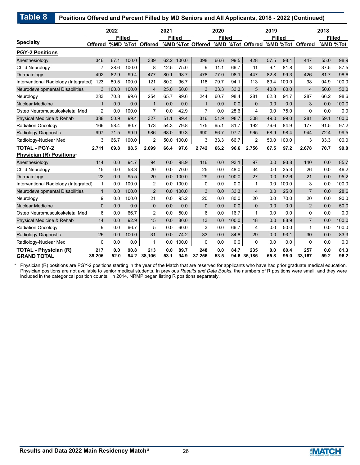| <b>Table 8</b><br>Positions Offered and Percent Filled by MD Seniors and All Applicants, 2018 - 2022 (Continued) |                |             |               |                  |             |               |                                                  |               |              |                |             |               |                |             |               |
|------------------------------------------------------------------------------------------------------------------|----------------|-------------|---------------|------------------|-------------|---------------|--------------------------------------------------|---------------|--------------|----------------|-------------|---------------|----------------|-------------|---------------|
|                                                                                                                  |                | 2022        |               |                  | 2021        |               |                                                  | 2020          |              |                | 2019        |               |                | 2018        |               |
|                                                                                                                  |                |             | <b>Filled</b> |                  |             | <b>Filled</b> |                                                  | <b>Filled</b> |              |                |             | <b>Filled</b> |                |             | <b>Filled</b> |
| <b>Specialty</b>                                                                                                 | <b>Offered</b> |             |               | %MD %Tot Offered |             |               | %MD%Tot Offered %MD %Tot Offered %MD%Tot Offered |               |              |                |             |               |                |             | %MD %Tot      |
| <b>PGY-2 Positions</b>                                                                                           |                |             |               |                  |             |               |                                                  |               |              |                |             |               |                |             |               |
| Anesthesiology                                                                                                   | 346            | 67.1        | 100.0         | 339              |             | 62.2 100.0    | 398                                              | 66.6          | 99.5         | 428            | 57.5        | 98.1          | 447            | 55.0        | 98.9          |
| Child Neurology                                                                                                  | 7              | 28.6        | 100.0         | 8                | 12.5        | 75.0          | 9                                                | 11.1          | 66.7         | 11             | 9.1         | 81.8          | 8              | 37.5        | 87.5          |
| Dermatology                                                                                                      | 492            | 82.9        | 99.4          | 477              | 80.1        | 98.7          | 478                                              | 77.0          | 98.1         | 447            | 82.8        | 99.3          | 426            | 81.7        | 98.6          |
| Interventional Radiology (Integrated) 123                                                                        |                | 80.5        | 100.0         | 121              | 80.2        | 96.7          | 118                                              | 79.7          | 94.1         | 113            | 89.4        | 100.0         | 98             | 94.9        | 100.0         |
| <b>Neurodevelopmental Disabilities</b>                                                                           | 3              | 100.0       | 100.0         | $\overline{4}$   | 25.0        | 50.0          | 3                                                | 33.3          | 33.3         | 5              | 40.0        | 60.0          | $\overline{4}$ | 50.0        | 50.0          |
| Neurology                                                                                                        | 233            | 70.8        | 99.6          | 254              | 65.7        | 99.6          | 244                                              | 60.7          | 98.4         | 281            | 62.3        | 94.7          | 287            | 66.2        | 98.6          |
| <b>Nuclear Medicine</b>                                                                                          | $\mathbf{1}$   | 0.0         | 0.0           | $\mathbf{1}$     | 0.0         | 0.0           | $\mathbf{1}$                                     | 0.0           | 0.0          | $\mathbf{0}$   | 0.0         | 0.0           | 3              | 0.0         | 100.0         |
| Osteo Neuromusculoskeletal Med                                                                                   | $\overline{2}$ | 0.0         | 100.0         | $\overline{7}$   | 0.0         | 42.9          | $\overline{7}$                                   | 0.0           | 28.6         | 4              | 0.0         | 75.0          | $\Omega$       | 0.0         | 0.0           |
| Physical Medicine & Rehab                                                                                        | 338            | 50.9        | 99.4          | 327              | 51.1        | 99.4          | 316                                              | 51.9          | 98.7         | 308            | 49.0        | 99.0          | 281            | 59.1        | 100.0         |
| <b>Radiation Oncology</b>                                                                                        | 166            | 58.4        | 80.7          | 173              | 54.3        | 79.8          | 175                                              | 65.1          | 81.7         | 192            | 76.6        | 84.9          | 177            | 91.5        | 97.2          |
| Radiology-Diagnostic                                                                                             | 997            | 71.5        | 99.9          | 986              | 68.0        | 99.3          | 990                                              | 66.7          | 97.7         | 965            | 68.9        | 98.4          | 944            | 72.4        | 99.5          |
| Radiology-Nuclear Med                                                                                            | 3              | 66.7        | 100.0         | $\overline{2}$   | 50.0        | 100.0         | 3                                                | 33.3          | 66.7         | $\overline{2}$ | 50.0        | 100.0         | 3              | 33.3        | 100.0         |
| <b>TOTAL - PGY-2</b>                                                                                             | 2,711          | 69.8        | 98.5          | 2,699            | 66.4        | 97.6          | 2,742                                            | 66.2          | 96.6         | 2,756          | 67.5        | 97.2          | 2,678          | 70.7        | 99.0          |
| Physician (R) Positions*                                                                                         |                |             |               |                  |             |               |                                                  |               |              |                |             |               |                |             |               |
| Anesthesiology                                                                                                   | 114            | 0.0         | 94.7          | 94               | 0.0         | 98.9          | 116                                              | 0.0           | 93.1         | 97             | 0.0         | 93.8          | 140            | 0.0         | 85.7          |
| Child Neurology                                                                                                  | 15             | 0.0         | 53.3          | 20               | 0.0         | 70.0          | 25                                               | 0.0           | 48.0         | 34             | 0.0         | 35.3          | 26             | 0.0         | 46.2          |
| Dermatology                                                                                                      | 22             | 0.0         | 95.5          | 20               | 0.0         | 100.0         | 29                                               | 0.0           | 100.0        | 27             | 0.0         | 92.6          | 21             | 0.0         | 95.2          |
| Interventional Radiology (Integrated)                                                                            | $\mathbf{1}$   | 0.0         | 100.0         | 2                | $0.0\,$     | 100.0         | $\Omega$                                         | 0.0           | 0.0          | 1              | 0.0         | 100.0         | 3              | 0.0         | 100.0         |
| Neurodevelopmental Disabilities                                                                                  | $\mathbf{1}$   | 0.0         | 100.0         | 2                | 0.0         | 100.0         | 3                                                | 0.0           | 33.3         | $\overline{4}$ | 0.0         | 25.0          | $\overline{7}$ | 0.0         | 28.6          |
| Neurology                                                                                                        | 9              | 0.0         | 100.0         | 21               | 0.0         | 95.2          | 20                                               | 0.0           | 80.0         | 20             | 0.0         | 70.0          | 20             | 0.0         | 90.0          |
| <b>Nuclear Medicine</b>                                                                                          | $\mathbf 0$    | 0.0         | 0.0           | $\mathbf{0}$     | 0.0         | 0.0           | $\mathbf 0$                                      | 0.0           | 0.0          | 0              | 0.0         | 0.0           | 2              | 0.0         | 50.0          |
| Osteo Neuromusculoskeletal Med                                                                                   | 6              | 0.0         | 66.7          | 2                | 0.0         | 50.0          | 6                                                | 0.0           | 16.7         | 1              | 0.0         | 0.0           | $\Omega$       | 0.0         | 0.0           |
| Physical Medicine & Rehab                                                                                        | 14             | 0.0         | 92.9          | 15               | 0.0         | 80.0          | 13                                               | 0.0           | 100.0        | 18             | 0.0         | 88.9          | $\overline{7}$ | 0.0         | 100.0         |
| <b>Radiation Oncology</b>                                                                                        | 9              | 0.0         | 66.7          | 5                | 0.0         | 60.0          | 3                                                | 0.0           | 66.7         | 4              | 0.0         | 50.0          | $\mathbf{1}$   | 0.0         | 100.0         |
| Radiology-Diagnostic                                                                                             | 26             | 0.0         | 100.0         | 31               | 0.0         | 74.2          | 33                                               | 0.0           | 84.8         | 29             | 0.0         | 93.1          | 30             | 0.0         | 83.3          |
| Radiology-Nuclear Med                                                                                            | $\Omega$       | 0.0         | 0.0           | $\mathbf{1}$     | 0.0         | 100.0         | $\Omega$                                         | 0.0           | 0.0          | 0              | 0.0         | 0.0           | $\Omega$       | 0.0         | 0.0           |
| <b>TOTAL - Physician (R)</b><br><b>GRAND TOTAL</b>                                                               | 217<br>39,205  | 0.0<br>52.0 | 90.8<br>94.2  | 213<br>38,106    | 0.0<br>53.1 | 89.7<br>94.9  | 248<br>37,256                                    | 0.0<br>53.5   | 84.7<br>94.6 | 235<br>35,185  | 0.0<br>55.8 | 80.4<br>95.0  | 257<br>33,167  | 0.0<br>59.2 | 81.3<br>96.2  |

Physician (R) positions are PGY-2 positions starting in the year of the Match that are reserved for applicants who have had prior graduate medical education. Physician positions are not available to senior medical students. In previous *Results and Data Books*, the numbers of R positions were small, and they were included in the categorical position counts. In 2014, NRMP began listing R positions separately.

\*

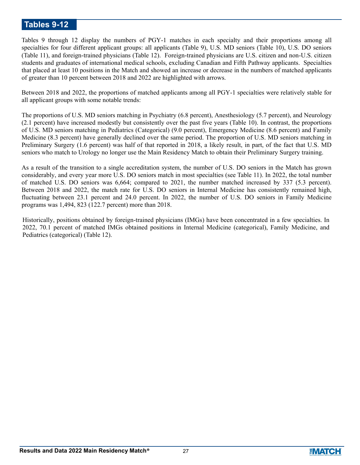## **Tables 9-12**

Tables 9 through 12 display the numbers of PGY-1 matches in each specialty and their proportions among all specialties for four different applicant groups: all applicants (Table 9), U.S. MD seniors (Table 10), U.S. DO seniors (Table 11), and foreign-trained physicians (Table 12). Foreign-trained physicians are U.S. citizen and non-U.S. citizen students and graduates of international medical schools, excluding Canadian and Fifth Pathway applicants. Specialties that placed at least 10 positions in the Match and showed an increase or decrease in the numbers of matched applicants of greater than 10 percent between 2018 and 2022 are highlighted with arrows.

Between 2018 and 2022, the proportions of matched applicants among all PGY-1 specialties were relatively stable for all applicant groups with some notable trends:

The proportions of U.S. MD seniors matching in Psychiatry (6.8 percent), Anesthesiology (5.7 percent), and Neurology (2.1 percent) have increased modestly but consistently over the past five years (Table 10). In contrast, the proportions of U.S. MD seniors matching in Pediatrics (Categorical) (9.0 percent), Emergency Medicine (8.6 percent) and Family Medicine (8.3 percent) have generally declined over the same period. The proportion of U.S. MD seniors matching in Preliminary Surgery (1.6 percent) was half of that reported in 2018, a likely result, in part, of the fact that U.S. MD seniors who match to Urology no longer use the Main Residency Match to obtain their Preliminary Surgery training.

As a result of the transition to a single accreditation system, the number of U.S. DO seniors in the Match has grown considerably, and every year more U.S. DO seniors match in most specialties (see Table 11). In 2022, the total number of matched U.S. DO seniors was 6,664; compared to 2021, the number matched increased by 337 (5.3 percent). Between 2018 and 2022, the match rate for U.S. DO seniors in Internal Medicine has consistently remained high, fluctuating between 23.1 percent and 24.0 percent. In 2022, the number of U.S. DO seniors in Family Medicine programs was 1,494, 823 (122.7 percent) more than 2018.

Historically, positions obtained by foreign-trained physicians (IMGs) have been concentrated in a few specialties. In 2022, 70.1 percent of matched IMGs obtained positions in Internal Medicine (categorical), Family Medicine, and Pediatrics (categorical) (Table 12).

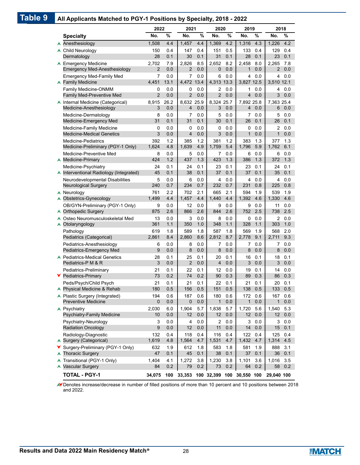### **Table 9 All Applicants Matched to PGY-1 Positions by Specialty, 2018 - 2022**

|         | $\ldots$ represents material to $\ldots$ . The control of $\mathbf{y}$ | 2022                |            | 2021                | $v_{\text{p}}\ldots v_{\text{r}}$ | 2020                | .          | 2019                |            | 2018            |            |
|---------|------------------------------------------------------------------------|---------------------|------------|---------------------|-----------------------------------|---------------------|------------|---------------------|------------|-----------------|------------|
|         | <b>Specialty</b>                                                       | No.                 | $\%$       | No.                 | $\frac{0}{0}$                     | No.                 | $\%$       | No.                 | %          | No.             | %          |
|         | Anesthesiology                                                         | 1,508               | 4.4        | 1,457               | 4.4                               | 1,369               | 4.2        | 1,316               | 4.3        | 1,226           | 4.2        |
| A.      | Child Neurology                                                        | 150                 | 0.4        | 147                 | 0.4                               | 151                 | 0.5        | 133                 | 0.4        | 129             | 0.4        |
|         | Dermatology                                                            | 28                  | 0.1        | 30                  | 0.1                               | 31                  | 0.1        | 28                  | 0.1        | 23              | 0.1        |
|         | ▲ Emergency Medicine                                                   | 2,702               | 7.9        | 2,826               | 8.5                               | 2.652               | 8.2        | 2.458               | 8.0        | 2,265           | 7.8        |
|         | <b>Emergency Med-Anesthesiology</b>                                    | $\overline{2}$      | 0.0        | 2                   | 0.0                               | $\mathbf{0}$        | 0.0        | $\mathbf{1}$        | 0.0        | $\overline{2}$  | 0.0        |
|         | <b>Emergency Med-Family Med</b>                                        | 7                   | 0.0        | 7                   | 0.0                               | 6                   | 0.0        | 4                   | 0.0        | 4               | 0.0        |
|         | ▲ Family Medicine                                                      | 4,451               | 13.1       | 4,472 13.4          |                                   | 4,313 13.3          |            | 3.827 12.5          |            | 3,510 12.1      |            |
|         | Family Medicine-ONMM<br><b>Family Med-Preventive Med</b>               | 0<br>$\overline{2}$ | 0.0<br>0.0 | 0<br>$\overline{2}$ | 0.0<br>0.0                        | 2<br>$\overline{2}$ | 0.0<br>0.0 | 1<br>$\overline{4}$ | 0.0<br>0.0 | 4<br>3          | 0.0<br>0.0 |
|         | ▲ Internal Medicine (Categorical)                                      | 8,915               | 26.2       | 8,632 25.9          |                                   | 8,324 25.7          |            | 7,892 25.8          |            | 7.363 25.4      |            |
|         | Medicine-Anesthesiology                                                | 3                   | 0.0        | 4                   | 0.0                               | 3                   | 0.0        | $\overline{4}$      | 0.0        | 6               | 0.0        |
|         | Medicine-Dermatology                                                   | 8                   | 0.0        | 7                   | 0.0                               | 5                   | 0.0        | 7                   | 0.0        | 5               | 0.0        |
|         | Medicine-Emergency Med                                                 | 31                  | 0.1        | 31                  | 0.1                               | 30                  | 0.1        | 26                  | 0.1        | 26              | 0.1        |
|         | Medicine-Family Medicine                                               | 0                   | 0.0        | 0                   | 0.0                               | 0                   | 0.0        | 0                   | 0.0        | 2               | 0.0        |
|         | <b>Medicine-Medical Genetics</b>                                       | 3                   | 0.0        | $\overline{4}$      | 0.0                               | 3                   | 0.0        | $\mathbf{1}$        | 0.0        | 1               | 0.0        |
|         | <b>Medicine-Pediatrics</b>                                             | 392                 | 1.2        | 385                 | 1.2                               | 381                 | 1.2        | 383                 | 1.3        | 377             | 1.3        |
|         | Medicine-Preliminary (PGY-1 Only)                                      | 1,624               | 4.8        | 1,639               | 4.9                               | 1,759               | 5.4        | 1,796               | 5.9        | 1,762           | 6.1        |
| A       | Medicine-Preventive Med<br>Medicine-Primary                            | 8<br>424            | 0.0<br>1.2 | 5<br>437            | 0.0<br>1.3                        | 7<br>423            | 0.0<br>1.3 | 6<br>386            | 0.0<br>1.3 | 6<br>372        | 0.0<br>1.3 |
|         | Medicine-Psychiatry                                                    | 24                  | 0.1        | 24                  | 0.1                               | 23                  | 0.1        | 23                  | 0.1        | 24              | 0.1        |
|         | ▲ Interventional Radiology (Integrated)                                | 45                  | 0.1        | 38                  | 0.1                               | 37                  | 0.1        | 37                  | 0.1        | 35              | 0.1        |
|         | Neurodevelopmental Disabilities                                        | 5                   | 0.0        | 6                   | 0.0                               | 4                   | 0.0        | 4                   | 0.0        | 4               | 0.0        |
|         | Neurological Surgery                                                   | 240                 | 0.7        | 234                 | 0.7                               | 232                 | 0.7        | 231                 | 0.8        | 225             | 0.8        |
|         | $\triangle$ Neurology                                                  | 761                 | 2.2        | 702                 | 2.1                               | 665                 | 2.1        | 594                 | 1.9        | 539             | 1.9        |
| A       | Obstetrics-Gynecology                                                  | 1,499               | 4.4        | 1,457               | 4.4                               | 1,440               | 4.4        | 1,392               | 4.6        | 1,330           | 4.6        |
|         | OB/GYN-Preliminary (PGY-1 Only)                                        | 9                   | 0.0        | 12                  | 0.0                               | 9                   | 0.0        | 9                   | 0.0        | 11              | 0.0        |
|         | <b>Orthopedic Surgery</b>                                              | 875                 | 2.6        | 866                 | 2.6                               | 844                 | 2.6        | 752                 | 2.5        | 738             | 2.5        |
| A       | Osteo Neuromusculoskeletal Med<br>Otolaryngology                       | 13<br>361           | 0.0<br>1.1 | 3<br>350            | 0.0<br>1.0                        | 8<br>348            | 0.0<br>1.1 | 0<br>328            | 0.0<br>1.1 | 2<br>303        | 0.0<br>1.0 |
|         | Pathology                                                              | 619                 | 1.8        | 589                 | 1.8                               | 587                 | 1.8        | 569                 | 1.9        | 568             | 2.0        |
|         | Pediatrics (Categorical)                                               | 2,861               | 8.4        | 2,860               | 8.6                               | 2,812               | 8.7        | 2,778               | 9.1        | 2,711           | 9.3        |
|         | Pediatrics-Anesthesiology                                              | 6                   | 0.0        | 8                   | 0.0                               | 7                   | 0.0        | 7                   | 0.0        | 7               | 0.0        |
|         | Pediatrics-Emergency Med                                               | 9                   | 0.0        | 8                   | 0.0                               | 8                   | 0.0        | 8                   | 0.0        | 8               | 0.0        |
|         | ▲ Pediatrics-Medical Genetics                                          | 28                  | 0.1        | 25                  | 0.1                               | 20                  | 0.1        | 16                  | 0.1        | 18              | 0.1        |
|         | Pediatrics-P M & R                                                     | 3                   | 0.0        | $\overline{2}$      | 0.0                               | $\overline{4}$      | 0.0        | 3                   | 0.0        | 3               | 0.0        |
|         | Pediatrics-Preliminary                                                 | 21                  | 0.1        | 22                  | 0.1                               | 12                  | 0.0        | 19                  | 0.1        | 14              | 0.0        |
| Y.      | Pediatrics-Primary                                                     | 73<br>21            | 0.2        | 74<br>21            | 0.2                               | 90<br>22            | 0.3        | 89<br>21            | 0.3        | 86              | 0.3        |
|         | Peds/Psych/Child Psych<br>▲ Physical Medicine & Rehab                  | 180                 | 0.1<br>0.5 | 156                 | 0.1<br>0.5                        | 151                 | 0.1<br>0.5 | 138                 | 0.1<br>0.5 | 20<br>133       | 0.1<br>0.5 |
|         | ▲ Plastic Surgery (Integrated)                                         | 194                 | 0.6        | 187                 | 0.6                               | 180                 | 0.6        | 172                 | 0.6        | 167             | 0.6        |
|         | <b>Preventive Medicine</b>                                             | 0                   | 0.0        | 0                   | 0.0                               | $\mathbf{1}$        | 0.0        | $\mathbf{1}$        | 0.0        | $\mathbf{1}$    | 0.0        |
|         | ▲ Psychiatry                                                           | 2,030               | 6.0        | 1,904               | 5.7                               | 1,838               | 5.7        | 1,720               | 5.6        | 1,540           | 5.3        |
|         | Psychiatry-Family Medicine                                             | 10                  | 0.0        | 12                  | 0.0                               | 12                  | 0.0        | 12                  | 0.0        | 12 <sup>2</sup> | 0.0        |
|         | Psychiatry-Neurology                                                   | 3                   | 0.0        | 4                   | 0.0                               | 2                   | 0.0        | 3                   | 0.0        | 3               | 0.0        |
|         | <b>Radiation Oncology</b>                                              | 9                   | 0.0        | 12                  | 0.0                               | 11                  | 0.0        | 14                  | 0.0        | 15              | 0.1        |
|         | Radiology-Diagnostic                                                   | 132                 | 0.4        | 118                 | 0.4                               | 116                 | 0.4        | 122                 | 0.4        | 125             | 0.4        |
| A       | Surgery (Categorical)                                                  | 1,619               | 4.8        | 1,564               | 4.7                               | 1,531               | 4.7        | 1,432               | 4.7        | 1,314           | 4.5        |
| Y.<br>A | Surgery-Preliminary (PGY-1 Only)<br><b>Thoracic Surgery</b>            | 632<br>47           | 1.9<br>0.1 | 612<br>45           | 1.8<br>0.1                        | 583<br>38           | 1.8<br>0.1 | 581<br>37           | 1.9<br>0.1 | 888<br>36       | 3.1<br>0.1 |
| A       | Transitional (PGY-1 Only)                                              | 1,404               | 4.1        | 1,272               | 3.8                               | 1,230               | 3.8        | 1,101               | 3.6        | 1,016           | 3.5        |
| A       | Vascular Surgery                                                       | 84                  | 0.2        | 79                  | 0.2                               | 73                  | 0.2        | 64                  | 0.2        | 58              | 0.2        |
|         | <b>TOTAL - PGY-1</b>                                                   | 34,075              | 100        | 33,353              |                                   | 100 32,399 100      |            | 30,550 100          |            | 29,040 100      |            |

Denotes increase/decrease in number of filled positions of more than 10 percent and 10 positions between 2018 and 2022.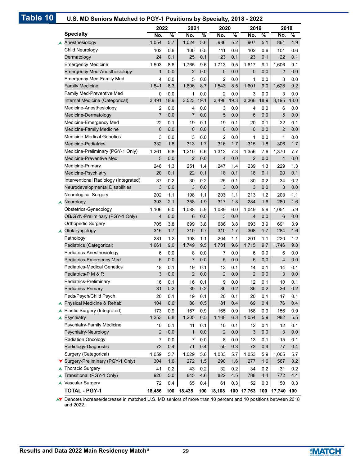| Table 10 | U.S. MD Seniors Matched to PGY-1 Positions by Specialty, 2018 - 2022 |                 |               |                |         |                         |      |                 |      |                |         |
|----------|----------------------------------------------------------------------|-----------------|---------------|----------------|---------|-------------------------|------|-----------------|------|----------------|---------|
|          |                                                                      | 2022            |               | 2021           |         | 2020                    |      | 2019            |      | 2018           |         |
|          | <b>Specialty</b>                                                     | No.             | $\frac{9}{6}$ | No.            | %       | No.                     | %    | No.             | %    | No.            | %       |
|          | Anesthesiology                                                       | 1,054           | 5.7           | 1,024          | 5.6     | 936                     | 5.2  | 907             | 5.1  | 861            | 4.9     |
|          | Child Neurology                                                      | 102             | 0.6           | 100            | 0.5     | 111                     | 0.6  | 102             | 0.6  | 101            | 0.6     |
|          | Dermatology                                                          | 24              | 0.1           | 25             | 0.1     | 23                      | 0.1  | 23              | 0.1  | 22             | 0.1     |
|          | <b>Emergency Medicine</b>                                            | 1,593           | 8.6           | 1,765          | 9.6     | 1,713                   | 9.5  | 1,617           | 9.1  | 1,606          | 9.1     |
|          | <b>Emergency Med-Anesthesiology</b>                                  | $\mathbf{1}$    | 0.0           | $\overline{2}$ | 0.0     | $\mathbf 0$             | 0.0  | $\mathbf 0$     | 0.0  | 2              | 0.0     |
|          | <b>Emergency Med-Family Med</b>                                      | 4               | 0.0           | 5              | 0.0     | 2                       | 0.0  | 1               | 0.0  | 3              | 0.0     |
|          | <b>Family Medicine</b>                                               | 1,541           | 8.3           | 1,606          | 8.7     | 1,543                   | 8.5  | 1,601           | 9.0  | 1,628          | 9.2     |
|          | Family Med-Preventive Med                                            | 0               | 0.0           | 1              | 0.0     | 2                       | 0.0  | 3               | 0.0  | 3              | 0.0     |
|          | Internal Medicine (Categorical)                                      | 3,491           | 18.9          | 3,523          | 19.1    | 3,496                   | 19.3 | 3,366           | 18.9 | 3,195          | 18.0    |
|          | Medicine-Anesthesiology                                              | 2               | 0.0           | 4              | 0.0     | 3                       | 0.0  | 4               | 0.0  | 6              | 0.0     |
|          | Medicine-Dermatology                                                 | $\overline{7}$  | 0.0           | $\overline{7}$ | 0.0     | 5                       | 0.0  | $6\phantom{1}6$ | 0.0  | 5              | 0.0     |
|          | Medicine-Emergency Med                                               | 22              | 0.1           | 19             | 0.1     | 19                      | 0.1  | 20              | 0.1  | 22             | 0.1     |
|          | Medicine-Family Medicine                                             | $\mathbf 0$     | 0.0           | $\mathbf 0$    | 0.0     | $\mathbf 0$             | 0.0  | $\mathbf 0$     | 0.0  | $\overline{2}$ | 0.0     |
|          | <b>Medicine-Medical Genetics</b>                                     | 3               | 0.0           | 3              | 0.0     | 2                       | 0.0  | 1               | 0.0  | 1              | 0.0     |
|          | <b>Medicine-Pediatrics</b>                                           | 332             | 1.8           | 313            | 1.7     | 316                     | 1.7  | 315             | 1.8  | 306            | 1.7     |
|          | Medicine-Preliminary (PGY-1 Only)                                    | 1,261           | 6.8           | 1,210          | 6.6     | 1,313                   | 7.3  | 1,356           | 7.6  | 1,370          | 7.7     |
|          | Medicine-Preventive Med                                              | 5               | 0.0           | 2              | 0.0     | $\overline{4}$          | 0.0  | $\overline{2}$  | 0.0  | 4              | 0.0     |
|          | Medicine-Primary                                                     | 248             | 1.3           | 251            | 1.4     | 247                     | 1.4  | 239             | 1.3  | 229            | 1.3     |
|          | Medicine-Psychiatry                                                  | 20              | 0.1           | 22             | 0.1     | 18                      | 0.1  | 18              | 0.1  | 20             | 0.1     |
|          | Interventional Radiology (Integrated)                                | 37              | 0.2           | 30             | 0.2     | 25                      | 0.1  | 30              | 0.2  | 34             | 0.2     |
|          | Neurodevelopmental Disabilities                                      | 3               | 0.0           | 3              | 0.0     | 3                       | 0.0  | 3               | 0.0  | 3              | 0.0     |
|          | Neurological Surgery                                                 | 202             | 1.1           | 198            | 1.1     | 203                     | 1.1  | 213             | 1.2  | 203            | 1.1     |
|          | $\triangle$ Neurology                                                | 393             | 2.1           | 358            | 1.9     | 317                     | 1.8  | 284             | 1.6  | 280            | 1.6     |
|          | Obstetrics-Gynecology                                                | 1,106           | 6.0           | 1,088          | 5.9     | 1,089                   | 6.0  | 1,049           | 5.9  | 1,051          | 5.9     |
|          | OB/GYN-Preliminary (PGY-1 Only)                                      | 4               | 0.0           | 6              | 0.0     | 3                       | 0.0  | $\overline{4}$  | 0.0  | 6              | 0.0     |
|          | Orthopedic Surgery                                                   | 705             | 3.8           | 699            | 3.8     | 686                     | 3.8  | 693             | 3.9  | 691            | 3.9     |
|          | Otolaryngology                                                       | 316             | 1.7           | 310            | 1.7     | 310                     | 1.7  | 308             | 1.7  | 284            | 1.6     |
|          | Pathology                                                            | 231             | 1.2           | 198            | 1.1     | 204                     | 1.1  | 201             | 1.1  | 220            | 1.2     |
|          | Pediatrics (Categorical)                                             | 1,661           | 9.0           | 1,749          | 9.5     | 1,731                   | 9.6  | 1,715           | 9.7  | 1,746          | 9.8     |
|          | Pediatrics-Anesthesiology                                            | 6               | 0.0           | 8              | 0.0     | 7                       | 0.0  | 6               | 0.0  | 6              | 0.0     |
|          | Pediatrics-Emergency Med                                             | $6\phantom{1}6$ | 0.0           | 7              | 0.0     | 5                       | 0.0  | 6               | 0.0  | 4              | 0.0     |
|          | <b>Pediatrics-Medical Genetics</b>                                   | 18              | 0.1           | 19             | 0.1     | 13                      | 0.1  | 14              | 0.1  | 14             | 0.1     |
|          | Pediatrics-P M & R                                                   | 3               | 0.0           | $\overline{c}$ | 0.0     | $\overline{\mathbf{c}}$ | 0.0  | $\mathbf 2$     | 0.0  | 3              | 0.0     |
|          | Pediatrics-Preliminary                                               | 16              | 0.1           | 16             | 0.1     | 9                       | 0.0  | 12              | 0.1  | 10             | 0.1     |
|          | Pediatrics-Primary                                                   | 31              | 0.2           | 39             | $0.2\,$ | 36                      | 0.2  | 36              | 0.2  | 36             | $0.2\,$ |
|          | Peds/Psych/Child Psych                                               | 20              | 0.1           | 19             | 0.1     | 20                      | 0.1  | 20              | 0.1  | 17             | 0.1     |
|          | Physical Medicine & Rehab                                            | 104             | 0.6           | 88             | 0.5     | 81                      | 0.4  | 69              | 0.4  | 76             | 0.4     |
|          | Plastic Surgery (Integrated)<br>A                                    | 173             | 0.9           | 167            | 0.9     | 165                     | 0.9  | 158             | 0.9  | 156            | 0.9     |
|          | Psychiatry<br>A                                                      | 1,253           | 6.8           | 1,205          | 6.5     | 1,138                   | 6.3  | 1,054           | 5.9  | 982            | $5.5\,$ |
|          | Psychiatry-Family Medicine                                           | 10              | 0.1           | 11             | 0.1     | 10                      | 0.1  | 12              | 0.1  | 12             | 0.1     |
|          | Psychiatry-Neurology                                                 | 2               | 0.0           | $\mathbf{1}$   | 0.0     | $\overline{2}$          | 0.0  | $\mathfrak{B}$  | 0.0  | 3              | $0.0\,$ |
|          | Radiation Oncology                                                   | 7               | 0.0           | 7              | 0.0     | 8                       | 0.0  | 13              | 0.1  | 15             | 0.1     |
|          | Radiology-Diagnostic                                                 | 73              | 0.4           | 71             | 0.4     | 50                      | 0.3  | 73              | 0.4  | $77 \,$        | 0.4     |
|          | Surgery (Categorical)                                                | 1,059           | 5.7           | 1,029          | 5.6     | 1,033                   | 5.7  | 1,053           | 5.9  | 1,005          | 5.7     |
|          | ▼ Surgery-Preliminary (PGY-1 Only)                                   | 304             | 1.6           | 272            | $1.5$   | 290                     | 1.6  | 277             | 1.6  | 567            | 3.2     |
|          | <b>Thoracic Surgery</b><br>A                                         | 41              | 0.2           | 43             | 0.2     | 32                      | 0.2  | 34              | 0.2  | 31             | 0.2     |
|          | Transitional (PGY-1 Only)                                            | 920             | $5.0\,$       | 845            | 4.6     | 822                     | 4.5  | 788             | 4.4  | 772            | 4.4     |
|          | ▲ Vascular Surgery                                                   | 72              | 0.4           | 65             | 0.4     | 61                      | 0.3  | 52              | 0.3  | 50             | 0.3     |
|          | <b>TOTAL - PGY-1</b>                                                 | 18,486          |               | 100 18,435     |         | 100 18,108              |      | 100 17,763      |      | 100 17,740 100 |         |

Denotes increase/decrease in matched U.S. MD seniors of more than 10 percent and 10 positions between 2018 **V** Denotes in<br>and 2022.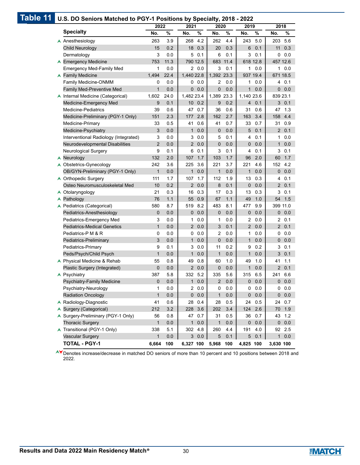| Table 11 | U.S. DO Seniors Matched to PGY-1 Positions by Specialty, 2018 - 2022 |                |      |                 |     |              |          |                |         |                |             |
|----------|----------------------------------------------------------------------|----------------|------|-----------------|-----|--------------|----------|----------------|---------|----------------|-------------|
|          |                                                                      | 2022           |      | 2021            |     | 2020         |          | 2019           |         | 2018           |             |
|          | <b>Specialty</b>                                                     | No.            | $\%$ | No.<br>$\%$     |     | No.          | $\%$     | No.            | %       | No.            | %           |
|          | A Anesthesiology                                                     | 263            | 3.9  | 268             | 4.2 | 262          | 4.4      | 243            | 5.0     | 203            | 5.6         |
|          | Child Neurology                                                      | 15             | 0.2  | 18 0.3          |     | 20           | 0.3      | 6              | 0.1     | 11             | 0.3         |
|          | Dermatology                                                          | 3              | 0.0  | 0.1<br>5        |     | 6            | 0.1      | 3              | 0.1     |                | 0.0         |
|          | ▲ Emergency Medicine                                                 | 753            | 11.3 | 790 12.5        |     |              | 683 11.4 | 618 12.8       |         |                | 457 12.6    |
|          | <b>Emergency Med-Family Med</b>                                      | 1              | 0.0  | 20.0            |     | 3            | 0.1      | 1              | 0.0     |                | 10.0        |
|          | ▲ Family Medicine                                                    | 1,494          | 22.4 | 1,440 22.8      |     | 1,392 23.3   |          | 937 19.4       |         |                | 671 18.5    |
|          | Family Medicine-ONMM                                                 | 0              | 0.0  | 0               | 0.0 | 2            | 0.0      | 1              | 0.0     | 4              | 0.1         |
|          | <b>Family Med-Preventive Med</b>                                     | $\mathbf{1}$   | 0.0  | $\overline{0}$  | 0.0 | 0            | 0.0      | $\mathbf{1}$   | 0.0     |                | 0.0         |
|          | ▲ Internal Medicine (Categorical)                                    | 1,602          | 24.0 | 1,482 23.4      |     | 1,389 23.3   |          | 1,140 23.6     |         | 839 23.1       |             |
|          | Medicine-Emergency Med                                               | 9              | 0.1  | 10 <sup>1</sup> | 0.2 | 9            | 0.2      | 4              | 0.1     |                | 30.1        |
|          | <b>Medicine-Pediatrics</b>                                           | 39             | 0.6  | 47              | 0.7 | 36           | 0.6      | 31             | 0.6     | 47             | 1.3         |
|          | Medicine-Preliminary (PGY-1 Only)                                    | 151            | 2.3  | 177             | 2.8 | 162          | 2.7      | 163            | 3.4     | 158            | 4.4         |
|          | Medicine-Primary                                                     | 33             | 0.5  | 41              | 0.6 | 41           | 0.7      | 33             | 0.7     |                | 31 0.9      |
|          | Medicine-Psychiatry                                                  | 3              | 0.0  | $\mathbf{1}$    | 0.0 | 0            | 0.0      | 5              | 0.1     | $\overline{2}$ | 0.1         |
|          | Interventional Radiology (Integrated)                                | 3              | 0.0  | 3               | 0.0 | 5            | 0.1      | 4              | 0.1     | $\mathbf{1}$   | 0.0         |
|          | Neurodevelopmental Disabilities                                      | $\overline{2}$ | 0.0  | 20.0            |     | 0            | 0.0      | $\mathbf{0}$   | 0.0     | $\mathbf{1}$   | 0.0         |
|          | Neurological Surgery                                                 | 9              | 0.1  | 6               | 0.1 | 3            | 0.1      | 4              | 0.1     | 3              | 0.1         |
|          | A Neurology                                                          | 132            | 2.0  | 107             | 1.7 | 103          | 1.7      | 96             | 2.0     | 60             | 1.7         |
|          | ▲ Obstetrics-Gynecology                                              | 242            | 3.6  | 225             | 3.6 | 221          | 3.7      | 221            | 4.6     | 152            | 4.2         |
|          | OB/GYN-Preliminary (PGY-1 Only)                                      | $\mathbf{1}$   | 0.0  | 1               | 0.0 | $\mathbf{1}$ | 0.0      | $\mathbf{1}$   | 0.0     | $\mathbf{0}$   | 0.0         |
|          | ▲ Orthopedic Surgery                                                 | 111            | 1.7  | 107             | 1.7 | 112          | 1.9      | 13             | 0.3     | 4              | 0.1         |
|          | Osteo Neuromusculoskeletal Med                                       | 10             | 0.2  | 20.0            |     | 8            | 0.1      | $\pmb{0}$      | 0.0     | $\overline{2}$ | 0.1         |
|          | A Otolaryngology                                                     | 21             | 0.3  | 16              | 0.3 | 17           | 0.3      | 13             | 0.3     | 3              | 0.1         |
|          | A Pathology                                                          | 76             | 1.1  | 55              | 0.9 | 67           | 1.1      | 49             | 1.0     | 54             | 1.5         |
|          | ▲ Pediatrics (Categorical)                                           | 580            | 8.7  | 519             | 8.2 | 483          | 8.1      | 477            | 9.9     |                | 399 11.0    |
|          | Pediatrics-Anesthesiology                                            | 0              | 0.0  | 0               | 0.0 | 0            | 0.0      | 0              | 0.0     | $\mathbf{0}$   | 0.0         |
|          | Pediatrics-Emergency Med                                             | 3              | 0.0  | 1               | 0.0 | 1            | 0.0      | 2              | 0.0     |                | 20.1        |
|          | <b>Pediatrics-Medical Genetics</b>                                   | $\mathbf{1}$   | 0.0  | $\overline{2}$  | 0.0 | 3            | 0.1      | $\overline{2}$ | 0.0     | $\overline{2}$ | 0.1         |
|          | Pediatrics-P M & R                                                   | 0              | 0.0  | 0               | 0.0 | 2            | 0.0      | 1              | 0.0     | 0              | 0.0         |
|          | Pediatrics-Preliminary                                               | 3              | 0.0  | $\mathbf{1}$    | 0.0 | $\mathbf 0$  | 0.0      | $\mathbf{1}$   | 0.0     | $\mathbf 0$    | $0.0\,$     |
|          | Pediatrics-Primary                                                   | 9              | 0.1  | 3               | 0.0 | 11           | 0.2      | 9              | 0.2     | 3              | 0.1         |
|          | Peds/Psych/Child Psych                                               | $\mathbf{1}$   | 0.0  | $\mathbf{1}$    | 0.0 | $\mathbf{1}$ | 0.0      | $\mathbf{1}$   | 0.0     | 3              | 0.1         |
|          | ▲ Physical Medicine & Rehab                                          | 55             | 0.8  | 49              | 0.8 | 60           | 1.0      | 49             | 1.0     | 41             | 1.1         |
|          | Plastic Surgery (Integrated)                                         | 0              | 0.0  | $\overline{2}$  | 0.0 | 0            | 0.0      | $\mathbf{1}$   | 0.0     | $\overline{2}$ | 0.1         |
|          | $\triangle$ Psychiatry                                               | 387            | 5.8  | 332 5.2         |     | 335          | 5.6      | 315            | 6.5     | 241            | 6.6         |
|          | Psychiatry-Family Medicine                                           | 0              | 0.0  | 1               | 0.0 | $\sqrt{2}$   | $0.0\,$  | $\mathbf 0$    | 0.0     |                | $0\ 0.0$    |
|          | Psychiatry-Neurology                                                 | 1              | 0.0  | 20.0            |     | 0            | 0.0      | 0              | 0.0     |                | 0.0         |
|          | <b>Radiation Oncology</b>                                            | $\mathbf{1}$   | 0.0  | 0.0             |     | $\mathbf{1}$ | 0.0      | $\pmb{0}$      | 0.0     |                | 0.0         |
|          | ▲ Radiology-Diagnostic                                               | 41             | 0.6  | 28              | 0.4 | 28           | 0.5      | 24             | 0.5     | 24             | 0.7         |
|          | ▲ Surgery (Categorical)                                              | 212            | 3.2  | 228 3.6         |     | 202          | $3.4$    | 124            | 2.6     | 70             | 1.9         |
|          | ▲ Surgery-Preliminary (PGY-1 Only)                                   | 56             | 0.8  | 47              | 0.7 | 31           | 0.5      | 36             | 0.7     | 43             | 1.2         |
|          | <b>Thoracic Surgery</b>                                              | $\mathbf{1}$   | 0.0  | 10.0            |     | $\mathbf{1}$ | 0.0      | $\overline{0}$ | $0.0\,$ |                | 0.0         |
|          | ▲ Transitional (PGY-1 Only)                                          | 338            | 5.1  | 302 4.8         |     | 260          | 4.4      | 191            | 4.0     |                | 92 2.5      |
|          | <b>Vascular Surgery</b>                                              | $\mathbf{1}$   | 0.0  | 30.0            |     | 5            | 0.1      | 5 <sup>5</sup> | 0.1     |                | $1\quad0.0$ |
|          | <b>TOTAL - PGY-1</b>                                                 | 6,664          | 100  | 6,327 100       |     | 5,968        | 100      | 4,825 100      |         | 3,630 100      |             |

**AV** Denotes increase/decrease in matched DO seniors of more than 10 percent and 10 positions between 2018 and 2022.

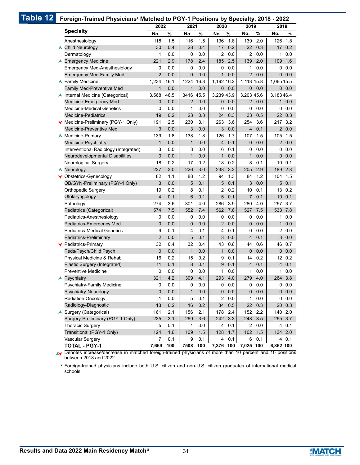| Table 12 |                                                                                                          |                | Foreign-Trained Physicians* Matched to PGY-1 Positions by Specialty, 2018 - 2022 |                |      |                |      |                     |      |            |           |
|----------|----------------------------------------------------------------------------------------------------------|----------------|----------------------------------------------------------------------------------|----------------|------|----------------|------|---------------------|------|------------|-----------|
|          |                                                                                                          | 2022           |                                                                                  | 2021           |      | 2020           |      | 2019                |      | 2018       |           |
|          | <b>Specialty</b>                                                                                         | No.            | $\%$                                                                             | No.            | $\%$ | No.            | $\%$ | No.                 | %    | No.        | %         |
|          | Anesthesiology                                                                                           | 118            | 1.5                                                                              | 116            | 1.5  | 136            | 1.8  | 139                 | 2.0  |            | 126 1.8   |
|          | ▲ Child Neurology                                                                                        | 30             | 0.4                                                                              | 28             | 0.4  | 17             | 0.2  | 22                  | 0.3  |            | 17 0.2    |
|          | Dermatology                                                                                              | 1              | 0.0                                                                              | 0              | 0.0  | 2              | 0.0  |                     | 20.0 |            | 10.0      |
|          | ▲ Emergency Medicine                                                                                     | 221            | 2.9                                                                              | 178            | 2.4  | 185            | 2.5  | 139                 | 2.0  |            | 109 1.6   |
|          | <b>Emergency Med-Anesthesiology</b>                                                                      | 0              | 0.0                                                                              | 0              | 0.0  | 0              | 0.0  | 1                   | 0.0  |            | 0.0       |
|          | <b>Emergency Med-Family Med</b>                                                                          | $\overline{2}$ | 0.0                                                                              | 0              | 0.0  | $\mathbf{1}$   | 0.0  | $\overline{2}$      | 0.0  |            | 0.0       |
|          | ▲ Family Medicine                                                                                        | 1,234          | 16.1                                                                             | 1224           | 16.3 | 1,192 16.2     |      | 1,113 15.8          |      | 1,065 15.5 |           |
|          | Family Med-Preventive Med                                                                                | $\mathbf{1}$   | 0.0                                                                              | $\mathbf{1}$   | 0.0  | $\overline{0}$ | 0.0  | $\overline{0}$      | 0.0  |            | 0.0       |
|          | ▲ Internal Medicine (Categorical)                                                                        | 3,568          | 46.5                                                                             | 3416 45.5      |      | 3,239 43.9     |      | 3,203 45.6          |      | 3,18346.4  |           |
|          | Medicine-Emergency Med                                                                                   | $\mathbf{0}$   | 0.0                                                                              | $\overline{2}$ | 0.0  | $\mathbf{0}$   | 0.0  | $\overline{2}$      | 0.0  |            | $1 \ 0.0$ |
|          | <b>Medicine-Medical Genetics</b>                                                                         | 0              | 0.0                                                                              | 1              | 0.0  | 0              | 0.0  | 0                   | 0.0  |            | 0.0       |
|          | <b>Medicine-Pediatrics</b>                                                                               | 19             | 0.2                                                                              | 23             | 0.3  | 24             | 0.3  | 33                  | 0.5  |            | 22 0.3    |
|          | ▼ Medicine-Preliminary (PGY-1 Only)                                                                      | 191            | 2.5                                                                              | 230            | 3.1  | 263            | 3.6  | 254                 | 3.6  |            | 217 3.2   |
|          | Medicine-Preventive Med                                                                                  | 3              | 0.0                                                                              | 3              | 0.0  | 3              | 0.0  | $\overline{4}$      | 0.1  |            | 20.0      |
|          | ▲ Medicine-Primary                                                                                       | 139            | 1.8                                                                              | 138            | 1.8  | 126            | 1.7  | 107                 | 1.5  | 105 1.5    |           |
|          | Medicine-Psychiatry                                                                                      | $\mathbf{1}$   | 0.0                                                                              | $\mathbf{1}$   | 0.0  | 4              | 0.1  | 0                   | 0.0  |            | 20.0      |
|          | Interventional Radiology (Integrated)                                                                    | 3              | 0.0                                                                              | 3              | 0.0  | 6              | 0.1  | 0                   | 0.0  |            | 0.0       |
|          | Neurodevelopmental Disabilities                                                                          | $\mathbf 0$    | 0.0                                                                              | $\mathbf 1$    | 0.0  | $\mathbf{1}$   | 0.0  | 1                   | 0.0  |            | 0.0       |
|          | <b>Neurological Surgery</b>                                                                              | 18             | 0.2                                                                              | 17             | 0.2  | 18             | 0.2  | 8                   | 0.1  |            | 10 0.1    |
|          | Neurology<br>A                                                                                           | 227            | 3.0                                                                              | 226            | 3.0  | 238            | 3.2  | 205                 | 2.9  |            | 189 2.8   |
|          | ▼ Obstetrics-Gynecology                                                                                  | 82             | 1.1                                                                              | 88             | 1.2  | 94             | 1.3  | 84                  | 1.2  |            | 104 1.5   |
|          | OB/GYN-Preliminary (PGY-1 Only)                                                                          | 3              | 0.0                                                                              | 5              | 0.1  | 5              | 0.1  | 3                   | 0.0  |            | 50.1      |
|          | <b>Orthopedic Surgery</b>                                                                                | 19             | 0.2                                                                              | 8              | 0.1  | 12             | 0.2  | 10                  | 0.1  |            | 13 0.2    |
|          | Otolaryngology                                                                                           | $\overline{4}$ | 0.1                                                                              | 6              | 0.1  | 5              | 0.1  | $\overline{7}$      | 0.1  |            | 10 0.1    |
|          | Pathology                                                                                                | 274            | 3.6                                                                              | 301            | 4.0  | 286            | 3.9  | 280                 | 4.0  |            | 257 3.7   |
|          | Pediatrics (Categorical)                                                                                 | 574            | 7.5                                                                              | 552            | 7.4  | 562            | 7.6  | 527                 | 7.5  |            | 533 7.8   |
|          | Pediatrics-Anesthesiology                                                                                | 0              | 0.0                                                                              | 0              | 0.0  | 0              | 0.0  | 0                   | 0.0  | 1          | 0.0       |
|          | Pediatrics-Emergency Med                                                                                 | $\mathbf 0$    | 0.0                                                                              | 0              | 0.0  | $\overline{2}$ | 0.0  | $\mathbf 0$         | 0.0  | 1          | 0.0       |
|          | <b>Pediatrics-Medical Genetics</b>                                                                       | 9              | 0.1                                                                              | 4              | 0.1  | 4              | 0.1  | 0                   | 0.0  |            | 20.0      |
|          | Pediatrics-Preliminary                                                                                   | $\overline{2}$ | 0.0                                                                              | 5              | 0.1  | 3              | 0.0  | 4                   | 0.1  |            | 30.0      |
|          | ▼ Pediatrics-Primary                                                                                     | 32             | 0.4                                                                              | 32             | 0.4  | 43             | 0.6  | 44                  | 0.6  |            | 46 0.7    |
|          | Peds/Psych/Child Psych                                                                                   | $\mathbf 0$    | 0.0                                                                              | $\mathbf 1$    | 0.0  | $\mathbf{1}$   | 0.0  | 0                   | 0.0  |            | 0.0       |
|          | Physical Medicine & Rehab                                                                                | 16             | 0.2                                                                              | 15             | 0.2  | 9              | 0.1  | 14                  | 0.2  |            | 12 0.2    |
|          | Plastic Surgery (Integrated)                                                                             | 11             | 0.1                                                                              | 8              | 0.1  | 9              | 0.1  | 4                   | 0.1  |            | 40.1      |
|          | <b>Preventive Medicine</b>                                                                               | 0              | 0.0                                                                              | $\pmb{0}$      | 0.0  | $\mathbf{1}$   | 0.0  | $\mathbf{1}$        | 0.0  |            | $1\ 0.0$  |
|          | <b>A</b> Psychiatry                                                                                      | 321            | 4.2                                                                              | 309            | 4.1  | 293            | 4.0  | 279 4.0             |      |            | 264 3.8   |
|          | Psychiatry-Family Medicine                                                                               | 0              | 0.0                                                                              | 0              | 0.0  | 0              | 0.0  | 0                   | 0.0  |            | 0.0       |
|          | Psychiatry-Neurology                                                                                     | $\mathbf 0$    | 0.0                                                                              | $\mathbf{1}$   | 0.0  | $\mathbf 0$    | 0.0  | 0                   | 0.0  |            | 0.0       |
|          | <b>Radiation Oncology</b>                                                                                | 1              | 0.0                                                                              | 5              | 0.1  | 2              | 0.0  | $\mathbf{1}$        | 0.0  |            | 0.0       |
|          | Radiology-Diagnostic                                                                                     | 13             | 0.2                                                                              | 16             | 0.2  | 34             | 0.5  | 22                  | 0.3  |            | 20 0.3    |
|          | ▲ Surgery (Categorical)                                                                                  | 161            | 2.1                                                                              | 156            | 2.1  | 178            | 2.4  | 152                 | 2.2  |            | 140 2.0   |
|          | Surgery-Preliminary (PGY-1 Only)                                                                         | 235            | 3.1                                                                              | 269            | 3.6  | 242            | 3.3  | 248                 | 3.5  |            | 255 3.7   |
|          | <b>Thoracic Surgery</b>                                                                                  | 5              | 0.1                                                                              | 1              | 0.0  | 4              | 0.1  |                     | 20.0 |            | 40.1      |
|          | Transitional (PGY-1 Only)                                                                                | 124            | 1.6                                                                              | 109            | 1.5  | 128            | 1.7  | 102                 | 1.5  |            | 134 2.0   |
|          | Vascular Surgery                                                                                         | 7              | 0.1                                                                              | 9              | 0.1  | 4              | 0.1  | 6                   | 0.1  |            | 40.1      |
|          | <b>TOTAL - PGY-1</b>                                                                                     | 7,669          | 100                                                                              | 7508           | 100  |                |      | 7,376 100 7,025 100 |      | 6,862 100  |           |
|          | Denotes increase/decrease in matched foreign-trained physicians of more than 10 percent and 10 positions |                |                                                                                  |                |      |                |      |                     |      |            |           |

 $p$ ign-trained physicians of more than 10 percent and 10 p between 2018 and 2022.  $\blacktriangle$ 

Foreign-trained physicians include both U.S. citizen and non-U.S. citizen graduates of international medical schools. \*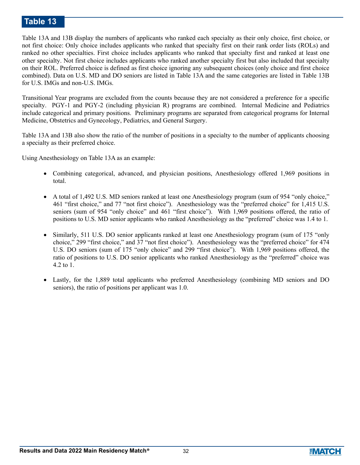# **Table 13**

Table 13A and 13B display the numbers of applicants who ranked each specialty as their only choice, first choice, or not first choice: Only choice includes applicants who ranked that specialty first on their rank order lists (ROLs) and ranked no other specialties. First choice includes applicants who ranked that specialty first and ranked at least one other specialty. Not first choice includes applicants who ranked another specialty first but also included that specialty on their ROL. Preferred choice is defined as first choice ignoring any subsequent choices (only choice and first choice combined). Data on U.S. MD and DO seniors are listed in Table 13A and the same categories are listed in Table 13B for U.S. IMGs and non-U.S. IMGs.

Transitional Year programs are excluded from the counts because they are not considered a preference for a specific specialty. PGY-1 and PGY-2 (including physician R) programs are combined. Internal Medicine and Pediatrics include categorical and primary positions. Preliminary programs are separated from categorical programs for Internal Medicine, Obstetrics and Gynecology, Pediatrics, and General Surgery.

Table 13A and 13B also show the ratio of the number of positions in a specialty to the number of applicants choosing a specialty as their preferred choice.

Using Anesthesiology on Table 13A as an example:

- Combining categorical, advanced, and physician positions, Anesthesiology offered 1,969 positions in total.
- A total of 1,492 U.S. MD seniors ranked at least one Anesthesiology program (sum of 954 "only choice," 461 "first choice," and 77 "not first choice"). Anesthesiology was the "preferred choice" for 1,415 U.S. seniors (sum of 954 "only choice" and 461 "first choice"). With 1,969 positions offered, the ratio of positions to U.S. MD senior applicants who ranked Anesthesiology as the "preferred" choice was 1.4 to 1.
- Similarly, 511 U.S. DO senior applicants ranked at least one Anesthesiology program (sum of 175 "only choice," 299 "first choice," and 37 "not first choice"). Anesthesiology was the "preferred choice" for 474 U.S. DO seniors (sum of 175 "only choice" and 299 "first choice"). With 1,969 positions offered, the ratio of positions to U.S. DO senior applicants who ranked Anesthesiology as the "preferred" choice was 4.2 to 1.
- Lastly, for the 1,889 total applicants who preferred Anesthesiology (combining MD seniors and DO seniors), the ratio of positions per applicant was 1.0.

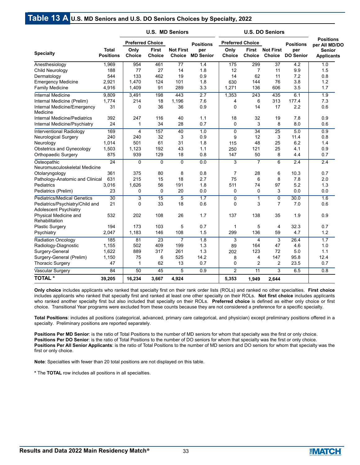# **Table 13 A U.S. MD Seniors and U.S. DO Seniors Choices by Specialty, 2022**

|                                                                 |                                  | <b>U.S. MD Seniors</b>  |                        |                                   |                         |                         |                 |                                   |                         |                                    |
|-----------------------------------------------------------------|----------------------------------|-------------------------|------------------------|-----------------------------------|-------------------------|-------------------------|-----------------|-----------------------------------|-------------------------|------------------------------------|
|                                                                 |                                  | <b>Preferred Choice</b> |                        |                                   | <b>Positions</b>        | <b>Preferred Choice</b> |                 |                                   | <b>Positions</b>        | <b>Positions</b><br>per All MD/DO  |
| <b>Specialty</b>                                                | <b>Total</b><br><b>Positions</b> | Only<br>Choice          | <b>First</b><br>Choice | <b>Not First</b><br><b>Choice</b> | per<br><b>MD Senior</b> | Only<br><b>Choice</b>   | First<br>Choice | <b>Not First</b><br><b>Choice</b> | per<br><b>DO Senior</b> | <b>Senior</b><br><b>Applicants</b> |
| Anesthesiology                                                  | 1,969                            | 954                     | 461                    | 77                                | 1.4                     | 175                     | 299             | 37                                | 4.2                     | 1.0                                |
| Child Neurology                                                 | 188                              | 77                      | 27                     | 14                                | 1.8                     | 12                      | $\overline{7}$  | 11                                | 9.9                     | 1.5                                |
| Dermatology                                                     | 544                              | 133                     | 462                    | 19                                | 0.9                     | 14                      | 62              | 11                                | 7.2                     | 0.8                                |
| <b>Emergency Medicine</b>                                       | 2,921                            | 1,470                   | 124                    | 101                               | 1.8                     | 630                     | 144             | 76                                | 3.8                     | 1.2                                |
| <b>Family Medicine</b>                                          | 4,916                            | 1,409                   | 91                     | 289                               | 3.3                     | 1,271                   | 136             | 606                               | 3.5                     | 1.7                                |
| <b>Internal Medicine</b>                                        | 9,809                            | 3,491                   | 198                    | 443                               | 2.7                     | 1,353                   | 243             | 435                               | 6.1                     | 1.9                                |
| Internal Medicine (Prelim)                                      | 1,774                            | 214                     | 18                     | 1,196                             | 7.6                     | 4                       | 6               | 313                               | 177.4                   | 7.3                                |
| Internal Medicine/Emergency<br>Medicine                         | 31                               | $\mathbf 0$             | 36                     | 36                                | 0.9                     | $\mathbf 0$             | 14              | 17                                | 2.2                     | 0.6                                |
| Internal Medicine/Pediatrics                                    | 392                              | 247                     | 116                    | 40                                | 1.1                     | 18                      | 32              | 19                                | 7.8                     | 0.9                                |
| Internal Medicine/Psychiatry                                    | 24                               | 1                       | 34                     | 28                                | 0.7                     | 0                       | 3               | 8                                 | 8.0                     | 0.6                                |
| <b>Interventional Radiology</b>                                 | 169                              | 4                       | 157                    | 40                                | 1.0                     | 0                       | $\overline{34}$ | 25                                | 5.0                     | 0.9                                |
| Neurological Surgery                                            | 240                              | 240                     | 32                     | 3                                 | 0.9                     | 9                       | 12              | 3                                 | 11.4                    | 0.8                                |
| Neurology                                                       | 1,014                            | 501                     | 61                     | 31                                | 1.8                     | 115                     | 48              | 25                                | 6.2                     | 1.4                                |
| Obstetrics and Gynecology                                       | 1,503                            | 1,123                   | 192                    | 43                                | 1.1                     | 250                     | 121             | 25                                | 4.1                     | 0.9                                |
| <b>Orthopaedic Surgery</b>                                      | 875                              | 939                     | 129                    | 18                                | 0.8                     | 147                     | 50              | 8                                 | 4.4                     | 0.7                                |
| Osteopathic<br>Neuromusculoskeletal Medicine                    | $\overline{24}$                  | $\Omega$                | $\Omega$               | $\overline{0}$                    | 0.0                     | $\overline{3}$          | 7               | 6                                 | 2.4                     | 2.4                                |
| Otolaryngology                                                  | 361                              | 375                     | 80                     | 8                                 | 0.8                     | 7                       | 28              | 6                                 | 10.3                    | 0.7                                |
| Pathology-Anatomic and Clinical                                 | 631                              | 215                     | 15                     | 18                                | 2.7                     | 75                      | 6               | 8                                 | 7.8                     | 2.0                                |
| Pediatrics                                                      | 3,016                            | 1,626                   | 56                     | 191                               | 1.8                     | 511                     | 74              | 97                                | 5.2                     | 1.3                                |
| Pediatrics (Prelim)                                             | 23                               | 0                       | $\mathbf 0$            | 20                                | 0.0                     | $\mathbf 0$             | 0               | 3                                 | 0.0                     | 0.0                                |
| <b>Pediatrics/Medical Genetics</b>                              | $\overline{30}$                  | $\overline{3}$          | $\overline{15}$        | $\overline{5}$                    | 1.7                     | $\mathbf 0$             | $\mathbf{1}$    | 0                                 | 30.0                    | 1.6                                |
| Pediatrics/Psychiatry/Child and<br><b>Adolescent Psychiatry</b> | 21                               | $\Omega$                | 33                     | 18                                | 0.6                     | $\Omega$                | 3               | $\overline{7}$                    | 7.0                     | 0.6                                |
| Physical Medicine and<br>Rehabilitation                         | 532                              | 202                     | 108                    | 26                                | 1.7                     | 137                     | 138             | 35                                | 1.9                     | 0.9                                |
| <b>Plastic Surgery</b>                                          | 194                              | 173                     | 103                    | 5                                 | 0.7                     | 1                       | 5               | 4                                 | 32.3                    | 0.7                                |
| Psychiatry                                                      | 2,047                            | 1,183                   | 146                    | 108                               | 1.5                     | 299                     | 136             | 59                                | 4.7                     | 1.2                                |
| <b>Radiation Oncology</b>                                       | 185                              | 81                      | $\overline{23}$        | $\overline{7}$                    | 1.8                     | 3                       | 4               | 3                                 | 26.4                    | 1.7                                |
| Radiology-Diagnostic                                            | 1,155                            | 502                     | 409                    | 199                               | 1.3                     | 89                      | 164             | 47                                | 4.6                     | 1.0                                |
| Surgery-General                                                 | 1,622                            | 889                     | 317                    | 261                               | 1.3                     | 202                     | 123             | 72                                | 5.0                     | 1.1                                |
| Surgery-General (Prelim)                                        | 1,150                            | 75                      | 6                      | 525                               | 14.2                    | 8                       | 4               | 147                               | 95.8                    | 12.4                               |
| <b>Thoracic Surgery</b>                                         | 47                               | $\mathbf{1}$            | 62                     | 13                                | 0.7                     | 0                       | 2               | $\overline{c}$                    | 23.5                    | 0.7                                |
| Vascular Surgery                                                | 84                               | 50                      | 45                     | 5                                 | 0.9                     | $\overline{2}$          | $\overline{11}$ | 3                                 | 6.5                     | 0.8                                |
| <b>TOTAL*</b>                                                   | 39,205                           | 16,234                  | 3,667                  | 4,924                             |                         | 5,353                   | 1,949           | 2,644                             |                         |                                    |

**Only choice** includes applicants who ranked that specialty first on their rank order lists (ROLs) and ranked no other specialties. **First choice** includes applicants who ranked that specialty first and ranked at least one other specialty on their ROLs. **Not first choice** includes applicants who ranked another specialty first but also included that specialty on their ROLs. **Preferred choice** is defined as either only choice or first choice. Transitional Year programs were excluded from these counts because they are not considered a preference for a specific specialty.

**Total Positions**: includes all positions (categorical, advanced, primary care categorical, and physician) except preliminary positions offered in a specialty. Preliminary positions are reported separately.

**Positions Per MD Senior**: is the ratio of Total Positions to the number of MD seniors for whom that specialty was the first or only choice. Positions Per DO Senior: is the ratio of Total Positions to the number of DO seniors for whom that specialty was the first or only choice. **Positions Per All Senior Applicants**: is the ratio of Total Positions to the number of MD seniors and DO seniors for whom that specialty was the first or only choice.

**Note**: Specialties with fewer than 20 total positions are not displayed on this table.

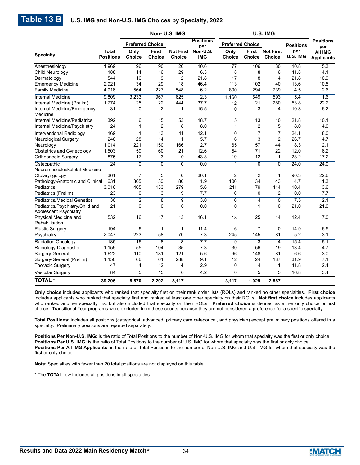|                                                                 |                                  | Non-U.S. IMG            |                               |                                   |                         |                       |                               |                                   |                  |                                            |
|-----------------------------------------------------------------|----------------------------------|-------------------------|-------------------------------|-----------------------------------|-------------------------|-----------------------|-------------------------------|-----------------------------------|------------------|--------------------------------------------|
|                                                                 |                                  | <b>Preferred Choice</b> |                               |                                   | <b>Positions</b><br>per |                       | <b>Preferred Choice</b>       |                                   | <b>Positions</b> | <b>Positions</b>                           |
| <b>Specialty</b>                                                | <b>Total</b><br><b>Positions</b> | Only<br><b>Choice</b>   | <b>First</b><br><b>Choice</b> | <b>Not First</b><br><b>Choice</b> | Non-U.S.<br><b>IMG</b>  | Only<br><b>Choice</b> | <b>First</b><br><b>Choice</b> | <b>Not First</b><br><b>Choice</b> | per<br>U.S. IMG  | per<br><b>AII IMG</b><br><b>Applicants</b> |
| Anesthesiology                                                  | 1,969                            | 96                      | 90                            | 26                                | 10.6                    | 77                    | 106                           | 30                                | 10.8             | 5.3                                        |
| Child Neurology                                                 | 188                              | 14                      | 16                            | 29                                | 6.3                     | 8                     | 8                             | 6                                 | 11.8             | 4.1                                        |
| Dermatology                                                     | 544                              | 16                      | 9                             | $\overline{2}$                    | 21.8                    | 17                    | 8                             | 4                                 | 21.8             | 10.9                                       |
| <b>Emergency Medicine</b>                                       | 2,921                            | 34                      | 29                            | 18                                | 46.4                    | 113                   | 102                           | 40                                | 13.6             | 10.5                                       |
| <b>Family Medicine</b>                                          | 4,916                            | 564                     | 227                           | 548                               | 6.2                     | 800                   | 294                           | 739                               | 4.5              | 2.6                                        |
| <b>Internal Medicine</b>                                        | 9,809                            | 3,233                   | 967                           | 625                               | 2.3                     | 1,160                 | 649                           | 593                               | 5.4              | 1.6                                        |
| Internal Medicine (Prelim)                                      | 1,774                            | 25                      | 22                            | 444                               | 37.7                    | 12                    | 21                            | 280                               | 53.8             | 22.2                                       |
| Internal Medicine/Emergency<br>Medicine                         | 31                               | 0                       | $\overline{2}$                | 1                                 | 15.5                    | $\mathbf 0$           | 3                             | 4                                 | 10.3             | 6.2                                        |
| Internal Medicine/Pediatrics                                    | 392                              | 6                       | 15                            | 53                                | 18.7                    | 5                     | 13                            | 10                                | 21.8             | 10.1                                       |
| Internal Medicine/Psychiatry                                    | 24                               | 1                       | $\overline{2}$                | 8                                 | 8.0                     | 1                     | $\overline{2}$                | 5                                 | 8.0              | 4.0                                        |
| <b>Interventional Radiology</b>                                 | 169                              | $\mathbf{1}$            | $\overline{13}$               | $\overline{11}$                   | 12.1                    | 0                     | $\overline{7}$                | $\overline{7}$                    | 24.1             | 8.0                                        |
| <b>Neurological Surgery</b>                                     | 240                              | 28                      | 14                            | $\mathbf{1}$                      | 5.7                     | 6                     | 3                             | $\overline{2}$                    | 26.7             | 4.7                                        |
| Neurology                                                       | 1.014                            | 221                     | 150                           | 166                               | 2.7                     | 65                    | 57                            | 44                                | 8.3              | 2.1                                        |
| Obstetrics and Gynecology                                       | 1,503                            | 59                      | 60                            | 21                                | 12.6                    | 54                    | 71                            | 22                                | 12.0             | 6.2                                        |
| <b>Orthopaedic Surgery</b>                                      | 875                              | 17                      | 3                             | 0                                 | 43.8                    | 19                    | 12                            | $\mathbf{1}$                      | 28.2             | 17.2                                       |
| Osteopathic                                                     | $\overline{24}$                  | $\overline{0}$          | $\overline{0}$                | $\overline{0}$                    | 0.0                     | $\mathbf{1}$          | $\overline{0}$                | $\overline{0}$                    | 24.0             | 24.0                                       |
| Neuromusculoskeletal Medicine<br>Otolaryngology                 | 361                              | $\overline{7}$          | 5                             | 0                                 | 30.1                    | $\overline{2}$        | $\overline{2}$                | $\mathbf{1}$                      | 90.3             | 22.6                                       |
| Pathology-Anatomic and Clinical                                 | 631                              | 305                     | 30                            | 80                                | 1.9                     | 100                   | 34                            | 43                                | 4.7              | 1.3                                        |
| Pediatrics                                                      | 3,016                            | 405                     | 133                           | 279                               | 5.6                     | 211                   | 79                            | 114                               | 10.4             | 3.6                                        |
| Pediatrics (Prelim)                                             | 23                               | 0                       | 3                             | 9                                 | 7.7                     | 0                     | $\Omega$                      | 2                                 | 0.0              | 7.7                                        |
| <b>Pediatrics/Medical Genetics</b>                              | $\overline{30}$                  | $\overline{2}$          | $\overline{8}$                | $\overline{9}$                    | 3.0                     | 0                     | 4                             | $\overline{0}$                    | 7.5              | 2.1                                        |
| Pediatrics/Psychiatry/Child and<br><b>Adolescent Psychiatry</b> | 21                               | $\mathbf 0$             | $\mathbf 0$                   | $\mathbf 0$                       | 0.0                     | 0                     | $\mathbf{1}$                  | 0                                 | 21.0             | 21.0                                       |
| Physical Medicine and<br>Rehabilitation                         | 532                              | 16                      | 17                            | 13                                | 16.1                    | 18                    | 25                            | 14                                | 12.4             | 7.0                                        |
| <b>Plastic Surgery</b>                                          | 194                              | 6                       | 11                            | $\mathbf{1}$                      | 11.4                    | 6                     | 7                             | 0                                 | 14.9             | 6.5                                        |
| Psychiatry                                                      | 2,047                            | 223                     | 58                            | 70                                | 7.3                     | 245                   | 145                           | 81                                | 5.2              | 3.1                                        |
| <b>Radiation Oncology</b>                                       | 185                              | 16                      | 8                             | 8                                 | 7.7                     | 9                     | 3                             | $\overline{4}$                    | 15.4             | 5.1                                        |
| Radiology-Diagnostic                                            | 1,155                            | 55                      | 104                           | 35                                | 7.3                     | 30                    | 56                            | 19                                | 13.4             | 4.7                                        |
| Surgery-General                                                 | 1,622                            | 110                     | 181                           | 121                               | 5.6                     | 96                    | 148                           | 81                                | 6.6              | 3.0                                        |
| Surgery-General (Prelim)                                        | 1,150                            | 66                      | 61                            | 288                               | 9.1                     | 12                    | 24                            | 187                               | 31.9             | 7.1                                        |
| <b>Thoracic Surgery</b>                                         | 47                               | 4                       | 12                            | $\overline{4}$                    | 2.9                     | 0                     | 4                             | $\mathbf{1}$                      | 11.8             | 2.4                                        |
| Vascular Surgery                                                | 84                               | $\overline{5}$          | $\overline{15}$               | 6                                 | $\overline{4.2}$        | $\overline{0}$        | $\overline{5}$                | $\overline{5}$                    | 16.8             | 3.4                                        |
| <b>TOTAL*</b>                                                   | 39,205                           | 5,570                   | 2,292                         | 3,117                             |                         | 3,117                 | 1,929                         | 2,587                             |                  |                                            |

**Only choice** includes applicants who ranked that specialty first on their rank order lists (ROLs) and ranked no other specialties. **First choice** includes applicants who ranked that specialty first and ranked at least one other specialty on their ROLs. **Not first choice** includes applicants who ranked another specialty first but also included that specialty on their ROLs. **Preferred choice** is defined as either only choice or first choice. Transitional Year programs were excluded from these counts because they are not considered a preference for a specific specialty.

**Total Positions**: includes all positions (categorical, advanced, primary care categorical, and physician) except preliminary positions offered in a specialty. Preliminary positions are reported separately.

**Positions Per Non-U.S. IMG:** is the ratio of Total Positions to the number of Non-U.S. IMG for whom that specialty was the first or only choice. Positions Per U.S. IMG: is the ratio of Total Positions to the number of U.S. IMG for whom that specialty was the first or only choice. **Positions Per All IMG Applicants**: is the ratio of Total Positions to the number of Non-U.S. IMG and U.S. IMG for whom that specialty was the first or only choice.

**Note**: Specialties with fewer than 20 total positions are not displayed on this table.

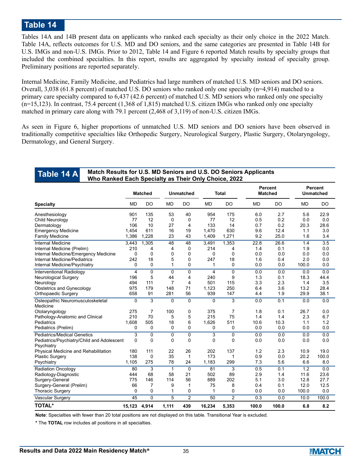# **Table 14**

Tables 14A and 14B present data on applicants who ranked each specialty as their only choice in the 2022 Match. Table 14A, reflects outcomes for U.S. MD and DO seniors, and the same categories are presented in Table 14B for U.S. IMGs and non-U.S. IMGs. Prior to 2012, Table 14 and Figure 6 reported Match results by specialty groups that included the combined specialties. In this report, results are aggregated by specialty instead of specialty group. Preliminary positions are reported separately.

Internal Medicine, Family Medicine, and Pediatrics had large numbers of matched U.S. MD seniors and DO seniors. Overall, 3,038 (61.8 percent) of matched U.S. DO seniors who ranked only one specialty (n=4,914) matched to a primary care specialty compared to 6,437 (42.6 percent) of matched U.S. MD seniors who ranked only one specialty (n=15,123). In contrast, 75.4 percent (1,368 of 1,815) matched U.S. citizen IMGs who ranked only one specialty matched in primary care along with 79.1 percent (2,468 of 3,119) of non-U.S. citizen IMGs.

As seen in Figure 6, higher proportions of unmatched U.S. MD seniors and DO seniors have been observed in traditionally competitive specialties like Orthopedic Surgery, Neurological Surgery, Plastic Surgery, Otolaryngology, Dermatology, and General Surgery.

#### **Match Results for U.S. MD Seniors and U.S. DO Seniors Applicants Who Ranked Each Specialty as Their Only Choice, 2022 Table 14 A**

|                                                          | <b>Matched</b> |                |              | <b>Unmatched</b> |             | <b>Total</b>   |           | <b>Percent</b><br><b>Matched</b> |           | <b>Percent</b><br><b>Unmatched</b> |
|----------------------------------------------------------|----------------|----------------|--------------|------------------|-------------|----------------|-----------|----------------------------------|-----------|------------------------------------|
| <b>Specialty</b>                                         | <b>MD</b>      | DO             | <b>MD</b>    | DO               | <b>MD</b>   | <b>DO</b>      | <b>MD</b> | DO                               | <b>MD</b> | <b>DO</b>                          |
| Anesthesiology                                           | 901            | 135            | 53           | 40               | 954         | 175            | 6.0       | 2.7                              | 5.6       | 22.9                               |
| Child Neurology                                          | 77             | 12             | $\Omega$     | 0                | 77          | 12             | 0.5       | 0.2                              | 0.0       | 0.0                                |
| Dermatology                                              | 106            | 10             | 27           | 4                | 133         | 14             | 0.7       | 0.2                              | 20.3      | 28.6                               |
| <b>Emergency Medicine</b>                                | 1,454          | 611            | 16           | 19               | 1,470       | 630            | 9.6       | 12.4                             | 1.1       | 3.0                                |
| <b>Family Medicine</b>                                   | 1,386          | 1.228          | 23           | 43               | 1,409       | 1,271          | 9.2       | 25.0                             | 1.6       | 3.4                                |
| <b>Internal Medicine</b>                                 | 3,443          | 1,305          | 48           | 48               | 3,491       | 1,353          | 22.8      | 26.6                             | 1.4       | $\overline{3.5}$                   |
| Internal Medicine (Prelim)                               | 210            | 4              | 4            | 0                | 214         | 4              | 1.4       | 0.1                              | 1.9       | 0.0                                |
| Internal Medicine/Emergency Medicine                     | 0              | 0              | $\mathbf 0$  | 0                | 0           | $\mathbf 0$    | 0.0       | 0.0                              | 0.0       | 0.0                                |
| Internal Medicine/Pediatrics                             | 242            | 18             | 5            | 0                | 247         | 18             | 1.6       | 0.4                              | 2.0       | 0.0                                |
| Internal Medicine/Psychiatry                             | 0              | 0              | 1            | 0                | 1           | 0              | 0.0       | 0.0                              | 100.0     | 0.0                                |
| Interventional Radiology                                 | 4              | $\overline{0}$ | $\mathbf{0}$ | $\mathbf{0}$     | 4           | $\Omega$       | 0.0       | 0.0                              | 0.0       | 0.0                                |
| <b>Neurological Surgery</b>                              | 196            | 5              | 44           | 4                | 240         | 9              | 1.3       | 0.1                              | 18.3      | 44.4                               |
| Neurology                                                | 494            | 111            | 7            | 4                | 501         | 115            | 3.3       | 2.3                              | 1.4       | 3.5                                |
| Obstetrics and Gynecology                                | 975            | 179            | 148          | 71               | 1,123       | 250            | 6.4       | 3.6                              | 13.2      | 28.4                               |
| Orthopaedic Surgery                                      | 658            | 91             | 281          | 56               | 939         | 147            | 4.4       | 1.9                              | 29.9      | 38.1                               |
| Osteopathic Neuromusculoskeletal                         | $\mathbf 0$    | $\overline{3}$ | $\mathbf 0$  | $\overline{0}$   | $\mathbf 0$ | $\overline{3}$ | 0.0       | 0.1                              | 0.0       | 0.0                                |
| Medicine                                                 |                |                |              |                  |             |                |           |                                  |           |                                    |
| Otolaryngology                                           | 275            | 7<br>70        | 100          | 0                | 375         | $\overline{7}$ | 1.8       | 0.1                              | 26.7      | 0.0                                |
| Pathology-Anatomic and Clinical                          | 210            |                | 5            | 5                | 215         | 75             | 1.4       | 1.4                              | 2.3       | 6.7                                |
| Pediatrics                                               | 1,608          | 505            | 18           | 6                | 1,626       | 511            | 10.6      | 10.3                             | 1.1       | 1.2                                |
| Pediatrics (Prelim)                                      | 0              | 0              | 0            | 0                | 0           | 0              | 0.0       | 0.0                              | 0.0       | 0.0                                |
| <b>Pediatrics/Medical Genetics</b>                       | 3              | 0              | 0            | 0                | 3           | 0              | 0.0       | 0.0                              | 0.0       | 0.0                                |
| Pediatrics/Psychiatry/Child and Adolescent<br>Psychiatry | $\Omega$       | 0              | $\Omega$     | 0                | $\Omega$    | $\Omega$       | 0.0       | 0.0                              | 0.0       | 0.0                                |
| Physical Medicine and Rehabilitation                     | 180            | 111            | 22           | 26               | 202         | 137            | 1.2       | 2.3                              | 10.9      | 19.0                               |
| <b>Plastic Surgery</b>                                   | 138            | 0              | 35           | $\mathbf{1}$     | 173         | 1              | 0.9       | 0.0                              | 20.2      | 100.0                              |
| Psychiatry                                               | 1,105          | 275            | 78           | 24               | 1,183       | 299            | 7.3       | 5.6                              | 6.6       | 8.0                                |
| <b>Radiation Oncology</b>                                | 80             | 3              | 1            | $\mathbf 0$      | 81          | 3              | 0.5       | 0.1                              | 1.2       | 0.0                                |
| Radiology-Diagnostic                                     | 444            | 68             | 58           | 21               | 502         | 89             | 2.9       | 1.4                              | 11.6      | 23.6                               |
| Surgery-General                                          | 775            | 146            | 114          | 56               | 889         | 202            | 5.1       | 3.0                              | 12.8      | 27.7                               |
| Surgery-General (Prelim)                                 | 66             | 7              | 9            | 1                | 75          | 8              | 0.4       | 0.1                              | 12.0      | 12.5                               |
| <b>Thoracic Surgery</b>                                  | $\Omega$       | 0              | 1            | 0                | 1           | 0              | 0.0       | 0.0                              | 100.0     | 0.0                                |
| Vascular Surgery                                         | 45             | 0              | 5            | $\overline{2}$   | 50          | $\overline{2}$ | 0.3       | 0.0                              | 10.0      | 100.0                              |
| <b>TOTAL*</b>                                            | 15,123 4,914   |                | 1,111        | 439              | 16,234      | 5,353          | 100.0     | 100.0                            | 6.8       | 8.2                                |

**Note**: Specialties with fewer than 20 total positions are not displayed on this table. Transitional Year is excluded.

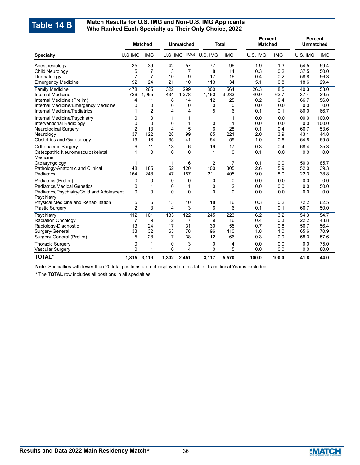#### **Match Results for U.S. IMG and Non-U.S. IMG Applicants Table 14 B** Match Results for U.S. IMG and Non-U.S. IMG Applicants<br>Who Ranked Each Specialty as Their Only Choice, 2022

|                                                                |                | <b>Matched</b><br><b>Unmatched</b> |                | <b>Total</b> |                | <b>Percent</b><br><b>Matched</b> |            | <b>Percent</b><br><b>Unmatched</b> |              |              |
|----------------------------------------------------------------|----------------|------------------------------------|----------------|--------------|----------------|----------------------------------|------------|------------------------------------|--------------|--------------|
| <b>Specialty</b>                                               | U.S.IMG        | <b>IMG</b>                         | U.S. IMG       |              | IMG U.S. IMG   | <b>IMG</b>                       | U.S. IMG   | <b>IMG</b>                         | U.S. IMG     | <b>IMG</b>   |
| Anesthesiology                                                 | 35             | 39                                 | 42             | 57           | 77             | 96                               | 1.9        | 1.3                                | 54.5         | 59.4         |
| Child Neurology                                                | 5              | 7                                  | 3              | 7            | 8              | 14                               | 0.3        | 0.2                                | 37.5         | 50.0         |
| Dermatology                                                    | $\overline{7}$ | $\overline{7}$                     | 10             | 9            | 17             | 16                               | 0.4        | 0.2                                | 58.8         | 56.3         |
| <b>Emergency Medicine</b>                                      | 92             | 24                                 | 21             | 10           | 113            | 34                               | 5.1        | 0.8                                | 18.6         | 29.4         |
| <b>Family Medicine</b>                                         | 478            | 265                                | 322            | 299          | 800            | 564                              | 26.3       | 8.5                                | 40.3         | 53.0         |
| Internal Medicine                                              | 726            | 1,955                              | 434            | 1,278        | 1,160          | 3,233                            | 40.0       | 62.7                               | 37.4         | 39.5         |
| Internal Medicine (Prelim)                                     | 4              | 11                                 | 8              | 14           | 12             | 25                               | 0.2        | 0.4                                | 66.7         | 56.0         |
| Internal Medicine/Emergency Medicine                           | 0              | $\Omega$                           | $\Omega$       | $\Omega$     | 0              | 0                                | 0.0        | 0.0                                | 0.0          | 0.0          |
| <b>Internal Medicine/Pediatrics</b>                            | 1              | $\overline{2}$                     | 4              | 4            | 5              | 6                                | 0.1        | 0.1                                | 80.0         | 66.7         |
| <b>Internal Medicine/Psychiatry</b>                            | 0              | $\Omega$                           | $\mathbf{1}$   | 1            | 1              | $\mathbf{1}$                     | 0.0        | 0.0                                | 100.0        | 100.0        |
| Interventional Radiology                                       | 0              | 0                                  | 0              | 1            | 0              | 1                                | 0.0        | 0.0                                | 0.0          | 100.0        |
| <b>Neurological Surgery</b>                                    | 2              | 13                                 | 4              | 15           | 6              | 28                               | 0.1        | 0.4                                | 66.7         | 53.6         |
| Neurology                                                      | 37             | 122                                | 28             | 99           | 65             | 221                              | 2.0        | 3.9                                | 43.1         | 44.8         |
| <b>Obstetrics and Gynecology</b>                               | 19             | 18                                 | 35             | 41           | 54             | 59                               | 1.0        | 0.6                                | 64.8         | 69.5         |
| Orthopaedic Surgery                                            | 6              | 11                                 | 13             | 6            | 19             | 17                               | 0.3        | 0.4                                | 68.4         | 35.3         |
| Osteopathic Neuromusculoskeletal                               | 1              | $\Omega$                           | $\Omega$       | 0            | 1              | $\Omega$                         | 0.1        | 0.0                                | 0.0          | 0.0          |
| Medicine                                                       |                |                                    |                |              |                |                                  |            |                                    |              |              |
| Otolaryngology                                                 | 1              | 1                                  | $\mathbf{1}$   | 6            | $\overline{2}$ | 7                                | 0.1        | 0.0                                | 50.0         | 85.7         |
| Pathology-Anatomic and Clinical                                | 48             | 185                                | 52             | 120          | 100            | 305                              | 2.6        | 5.9                                | 52.0         | 39.3         |
| Pediatrics                                                     | 164            | 248                                | 47             | 157          | 211            | 405                              | 9.0        | 8.0                                | 22.3         | 38.8         |
| Pediatrics (Prelim)                                            | 0              | $\mathbf 0$                        | $\mathbf 0$    | 0            | $\mathbf 0$    | $\mathbf 0$                      | 0.0        | 0.0                                | 0.0          | 0.0          |
| <b>Pediatrics/Medical Genetics</b>                             | 0              | 1                                  | 0              | 1            | 0              | 2                                | 0.0        | 0.0                                | 0.0          | 50.0         |
| Pediatrics/Psychiatry/Child and Adolescent                     | 0              | 0                                  | 0              | 0            | $\mathbf{0}$   | 0                                | 0.0        | 0.0                                | 0.0          | 0.0          |
| Psychiatry                                                     | 5              | 6                                  | 13             | 10           | 18             | 16                               | 0.3        | 0.2                                | 72.2         | 62.5         |
| Physical Medicine and Rehabilitation<br><b>Plastic Surgery</b> | $\overline{2}$ | 3                                  | 4              | 3            | 6              | 6                                | 0.1        | 0.1                                | 66.7         | 50.0         |
|                                                                |                |                                    |                |              |                |                                  |            |                                    |              | 54.7         |
| Psychiatry                                                     | 112            | 101<br>9                           | 133            | 122<br>7     | 245<br>9       | 223<br>16                        | 6.2<br>0.4 | $\overline{3.2}$                   | 54.3<br>22.2 | 43.8         |
| <b>Radiation Oncology</b>                                      | 7<br>13        | 24                                 | 2<br>17        | 31           | 30             | 55                               | 0.7        | 0.3<br>0.8                         | 56.7         | 56.4         |
| Radiology-Diagnostic                                           | 33             | 32                                 | 63             | 78           | 96             | 110                              | 1.8        | 1.0                                | 65.6         | 70.9         |
| Surgery-General<br>Surgery-General (Prelim)                    | 5              | 28                                 | $\overline{7}$ | 38           | 12             | 66                               | 0.3        | 0.9                                | 58.3         | 57.6         |
|                                                                |                |                                    |                |              |                |                                  |            |                                    |              |              |
| <b>Thoracic Surgery</b>                                        | 0              | 1                                  | 0              | 3<br>4       | 0<br>0         | 4<br>5                           | 0.0        | 0.0<br>0.0                         | 0.0          | 75.0<br>80.0 |
| Vascular Surgery                                               | 0              | 1                                  | $\Omega$       |              |                |                                  | 0.0        |                                    | 0.0          |              |
| <b>TOTAL*</b>                                                  | 1,815          | 3,119                              | 1,302          | 2,451        | 3,117          | 5,570                            | 100.0      | 100.0                              | 41.8         | 44.0         |

**Note**: Specialties with fewer than 20 total positions are not displayed on this table. Transitional Year is excluded.

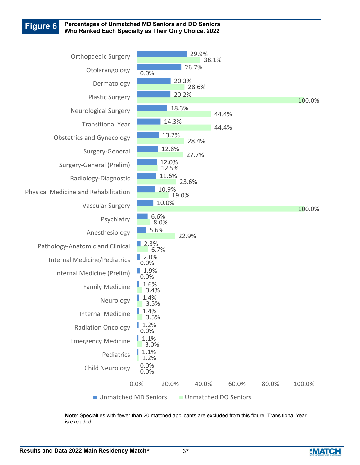#### **Figure 6 Percentages of Unmatched MD Seniors and DO Seniors Who Ranked Each Specialty as Their Only Choice, 2022**



**Note**: Specialties with fewer than 20 matched applicants are excluded from this figure. Transitional Year is excluded.

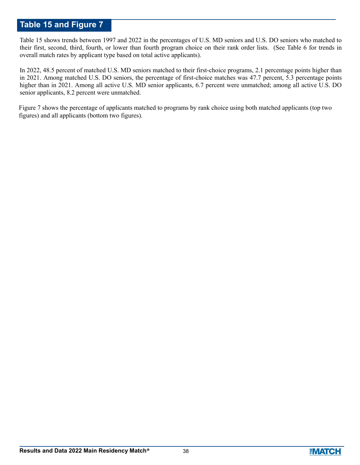# **Table 15 and Figure 7**

Table 15 shows trends between 1997 and 2022 in the percentages of U.S. MD seniors and U.S. DO seniors who matched to their first, second, third, fourth, or lower than fourth program choice on their rank order lists. (See Table 6 for trends in overall match rates by applicant type based on total active applicants).

In 2022, 48.5 percent of matched U.S. MD seniors matched to their first-choice programs, 2.1 percentage points higher than in 2021. Among matched U.S. DO seniors, the percentage of first-choice matches was 47.7 percent, 5.3 percentage points higher than in 2021. Among all active U.S. MD senior applicants, 6.7 percent were unmatched; among all active U.S. DO senior applicants, 8.2 percent were unmatched.

Figure 7 shows the percentage of applicants matched to programs by rank choice using both matched applicants (top two figures) and all applicants (bottom two figures).

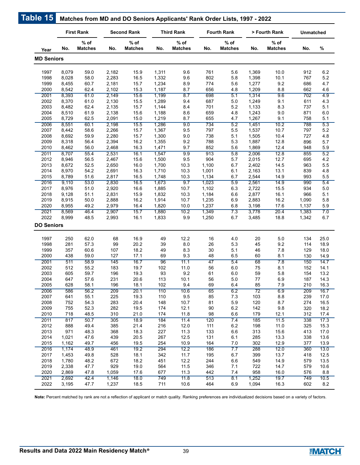|                   |                | <b>First Rank</b>        |                | <b>Second Rank</b>       |                | <b>Third Rank</b>        |            | <b>Fourth Rank</b>       |                 | > Fourth Rank            | Unmatched  |            |
|-------------------|----------------|--------------------------|----------------|--------------------------|----------------|--------------------------|------------|--------------------------|-----------------|--------------------------|------------|------------|
| Year              | No.            | $%$ of<br><b>Matches</b> | No.            | $%$ of<br><b>Matches</b> | No.            | $%$ of<br><b>Matches</b> | No.        | $%$ of<br><b>Matches</b> | No.             | $%$ of<br><b>Matches</b> | No.        | %          |
| <b>MD Seniors</b> |                |                          |                |                          |                |                          |            |                          |                 |                          |            |            |
|                   |                |                          |                |                          |                |                          |            |                          |                 |                          |            |            |
| 1997              | 8,079          | 59.0                     | 2,182          | 15.9                     | 1,311          | 9.6                      | 761        | 5.6                      | 1,369           | 10.0                     | 912        | 6.2        |
| 1998              | 8,028          | 58.0                     | 2,283          | 16.5                     | 1,332          | 9.6                      | 802        | 5.8                      | 1,398           | 10.1                     | 767        | 5.2        |
| 1999              | 8,455          | 60.7                     | 2,181          | 15.7                     | 1,234          | 8.9                      | 774        | 5.6                      | 1,277           | 9.2                      | 686        | 4.7        |
| 2000              | 8,542          | 62.4                     | 2,102          | 15.3                     | 1,187          | 8.7                      | 656        | 4.8                      | 1,209           | 8.8                      | 662        | 4.6        |
| 2001              | 8,393          | 61.0                     | 2,149          | 15.6                     | 1,199          | 8.7                      | 698        | 5.1                      | 1,314           | 9.6                      | 702        | 4.9        |
| 2002              | 8,370          | 61.0                     | 2,130          | 15.5                     | 1,289          | 9.4                      | 687        | 5.0                      | 1,249           | 9.1                      | 611        | 4.3        |
| 2003              | 8,482          | 62.4                     | 2,135          | 15.7                     | 1,144          | 8.4                      | 701        | 5.2                      | 1,133           | 8.3                      | 737        | 5.1        |
| 2004<br>2005      | 8,510<br>8,729 | 61.9<br>62.5             | 2,138<br>2,091 | 15.6<br>15.0             | 1,188<br>1,219 | 8.6<br>8.7               | 659<br>655 | 4.8<br>4.7               | 1,243<br>1,267  | 9.0<br>9.1               | 871<br>758 | 6.0<br>5.1 |
|                   |                |                          |                |                          | 1,286          |                          | 734        |                          | 1,451           | 10.2                     |            | 5.3        |
| 2006              | 8,551          | 60.1                     | 2,198          | 15.5                     |                | 9.0                      |            | 5.2                      |                 |                          | 788        |            |
| 2007              | 8,442          | 58.6                     | 2,266          | 15.7                     | 1,367<br>1,300 | 9.5                      | 797        | 5.5                      | 1,537<br>1,505  | 10.7                     | 797        | 5.2        |
| 2008<br>2009      | 8,692<br>8,318 | 59.9<br>56.4             | 2,280<br>2,394 | 15.7<br>16.2             | 1,355          | $9.0\,$<br>9.2           | 738<br>788 | 5.1<br>5.3               | 1,887           | 10.4<br>12.8             | 727<br>896 | 4.8<br>5.7 |
| 2010              | 8,462          |                          | 2,468          | 16.3                     | 1,471          | 9.7                      | 852        | 5.6                      | 1,869           | 12.4                     | 948        | 5.9        |
| 2011              | 8,707          | 56.0<br>55.4             | 2,531          | 16.1                     | 1,547          | 9.9                      | 913        | 5.8                      | 2,006           | 12.8                     | 855        | 5.2        |
| 2012              | 8,946          | 56.5                     | 2,467          | 15.6                     | 1,500          | 9.5                      | 904        | 5.7                      | 2,015           | 12.7                     | 695        | 4.2        |
| 2013              | 8,672          | 52.5                     | 2,650          | 16.0                     | 1,700          | 10.3                     | 1,100      | 6.7                      | 2,402           | 14.5                     | 963        | 5.5        |
| 2014              | 8,970          | 54.2                     | 2,691          | 16.3                     | 1,710          | 10.3                     | 1,001      | 6.1                      | 2,163           | 13.1                     | 839        | 4.8        |
| 2015              | 8,789          | 51.6                     | 2,817          | 16.5                     | 1,748          | 10.3                     | 1,134      | 6.7                      | 2,544           | 14.9                     | 993        | 5.5        |
| 2016              | 9,110          | 53.0                     | 2,830          | 16.5                     | 1,673          | 9.7                      | 1,023      | 5.9                      | 2,561           | 14.9                     | 990        | 5.4        |
| 2017              | 8,976          | 51.0                     | 2,920          | 16.6                     | 1,885          | 10.7                     | 1,102      | 6.3                      | 2,722           | 15.5                     | 934        | 5.0        |
| 2018              | 9,128          | 51.1                     | 2,831          | 15.9                     | 1,832          | 10.3                     | 1,184      | 6.6                      | 2,877           | 16.1                     | 966        | 5.1        |
| 2019              | 8,915          | 50.0                     | 2,888          | 16.2                     | 1,914          | 10.7                     | 1,235      | 6.9                      | 2,883           | 16.2                     | 1,090      | 5.8        |
| 2020              | 8,955          | 49.2                     | 2,979          | 16.4                     | 1,820          | 10.0                     | 1,237      | 6.8                      | 3,198           | 17.6                     | 1,137      | 5.9        |
| 2021              | 8,569          | 46.4                     | 2,907          | 15.7                     | 1,880          | 10.2                     | 1,349      | 7.3                      | 3,778           | 20.4                     | 1,383      | 7.0        |
| 2022              | 8,999          | 48.5                     | 2,993          | 16.1                     | 1,833          | $9.9\,$                  | 1,250      | 6.7                      | 3,485           | 18.8                     | 1,342      | 6.7        |
| <b>DO Seniors</b> |                |                          |                |                          |                |                          |            |                          |                 |                          |            |            |
| 1997              | 250            | 62.0                     | 68             | 16.9                     | 49             | 12.2                     | 16         | 4.0                      | 20              | $5.0\,$                  | 134        | 25.0       |
| 1998              | 281            | 57.3                     | 99             | 20.2                     | 39             | 8.0                      | 26         | 5.3                      | 45              | 9.2                      | 114        | 18.9       |
| 1999              | 357            | 60.6                     | 107            | 18.2                     | 49             | 8.3                      | 30         | 5.1                      | 46              | 7.8                      | 129        | 18.0       |
| 2000              | 438            | 59.0                     | 127            | 17.1                     | 69             | 9.3                      | 48         | 6.5                      | 60              | 8.1                      | 130        | 14.9       |
| 2001              | 511            | 58.9                     | 145            | 16.7                     | 96             | 11.1                     | 47         | 5.4                      | 68              | 7.8                      | 150        | 14.7       |
| 2002              | 512            | 55.2                     | 183            | 19.7                     | 102            | 11.0                     | 56         | 6.0                      | 75              | 8.1                      | 152        | 14.1       |
| 2003              | 605            | 59.7                     | 196            | 19.3                     | 93             | 9.2                      | 61         | 6.0                      | 59              | 5.8                      | 154        | 13.2       |
| 2004              | 647            | 57.6                     | 231            | 20.6                     | 113            | 10.1                     | 56         | $5.0\,$                  | $77 \,$         | 6.9                      | 187        | 14.3       |
| 2005              | 628            | 58.1                     | 196            | 18.1                     | 102            | 9.4                      | 69         | 6.4                      | 85              | 7.9                      | 210        | 16.3       |
| 2006              | 586            | 56.2                     | 209            | 20.1                     | 110            | 10.6                     | 65         | 6.2                      | $\overline{72}$ | 6.9                      | 209        | 16.7       |
| 2007              | 641            | 55.1                     | 225            | 19.3                     | 110            | $9.5\,$                  | 85         | 7.3                      | 103             | 8.8                      | 239        | 17.0       |
| 2008              | 752            | 54.3                     | 283            | 20.4                     | 148            | 10.7                     | 81         | 5.9                      | 120             | 8.7                      | 274        | 16.5       |
| 2009              | 755            | 52.3                     | 282            | 19.5                     | 174            | 12.1                     | $90\,$     | $6.2\,$                  | 142             | $9.8\,$                  | 320        | 18.2       |
| 2010              | 718            | 48.5                     | 310            | 21.0                     | 174            | 11.8                     | 98         | 6.6                      | 179             | 12.1                     | 312        | 17.4       |
| 2011              | 817            | 50.7                     | 305            | 18.9                     | 184            | 11.4                     | 120        | 7.4                      | 185             | 11.5                     | 338        | 17.3       |
| 2012              | 888            | 49.4                     | 385            | 21.4                     | 216            | 12.0                     | 111        | $6.2\,$                  | 198             | 11.0                     | 325        | 15.3       |
| 2013              | 971            | 48.3                     | 368            | 18.3                     | 227            | 11.3                     | 133        | 6.6                      | 313             | 15.6                     | 413        | 17.0       |
| 2014              | 1,021          | 47.6                     | 439            | 20.5                     | 267            | 12.5                     | 131        | 6.1                      | 285             | 13.3                     | 338        | 13.6       |
| 2015              | 1,162          | 49.7                     | 456            | 19.5                     | 254            | 10.9                     | 164        | 7.0                      | 302             | 12.9                     | 377        | 13.9       |
| 2016              | 1,174          | 48.9                     | 461            | 19.2                     | 294            | 12.2                     | 186        | 7.7                      | 288             | 12.0                     | 360        | 13.0       |
| 2017              | 1,453          | 49.8                     | 528            | 18.1                     | 342            | 11.7                     | 195        | 6.7                      | 399             | 13.7                     | 418        | 12.5       |
| 2018              | 1,780          | 48.2                     | 672            | 18.2                     | 451            | 12.2                     | 244        | 6.6                      | 549             | 14.9                     | 579        | 13.5       |
| 2019              | 2,338          | 47.7                     | 929            | 19.0                     | 564            | 11.5                     | 346        | 7.1                      | 722             | 14.7                     | 579        | 10.6       |
| 2020              | 2,869          | 47.8                     | 1,059          | 17.6                     | 677            | 11.3                     | 442        | 7.4                      | 958             | 16.0                     | 576        | 8.8        |
| 2021              | 2,692          | 42.4                     | 1,146          | 18.0                     | 749            | 11.8                     | 513        | 8.1                      | 1,252           | 19.7                     | 749        | 10.5       |
| 2022              | 3,195          | 47.7                     | 1,237          | 18.5                     | 711            | 10.6                     | 464        | 6.9                      | 1,094           | 16.3                     | 602        | 8.2        |
|                   |                |                          |                |                          |                |                          |            |                          |                 |                          |            |            |

**Note:** Percent matched by rank are not a reflection of applicant or match quality. Ranking preferences are individualized decisions based on a variety of factors.

**Table 15**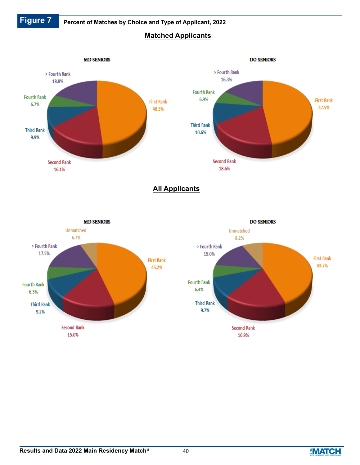

 **Figure 7 Percent of Matches by Choice and Type of Applicant, 2022**

# **Matched Applicants**



**All Applicants**



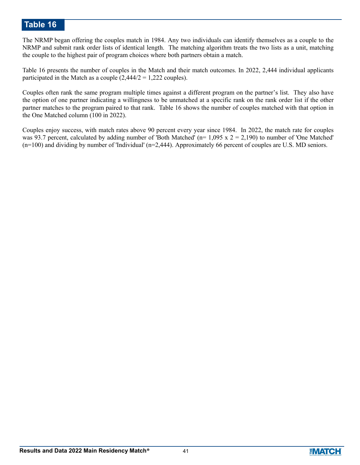# **Table 16**

The NRMP began offering the couples match in 1984. Any two individuals can identify themselves as a couple to the NRMP and submit rank order lists of identical length. The matching algorithm treats the two lists as a unit, matching the couple to the highest pair of program choices where both partners obtain a match.

Table 16 presents the number of couples in the Match and their match outcomes. In 2022, 2,444 individual applicants participated in the Match as a couple  $(2,444/2 = 1,222$  couples).

Couples often rank the same program multiple times against a different program on the partner's list. They also have the option of one partner indicating a willingness to be unmatched at a specific rank on the rank order list if the other partner matches to the program paired to that rank. Table 16 shows the number of couples matched with that option in the One Matched column (100 in 2022).

Couples enjoy success, with match rates above 90 percent every year since 1984. In 2022, the match rate for couples was 93.7 percent, calculated by adding number of 'Both Matched' ( $n= 1,095 \times 2 = 2,190$ ) to number of 'One Matched' (n=100) and dividing by number of 'Individual' (n=2,444). Approximately 66 percent of couples are U.S. MD seniors.

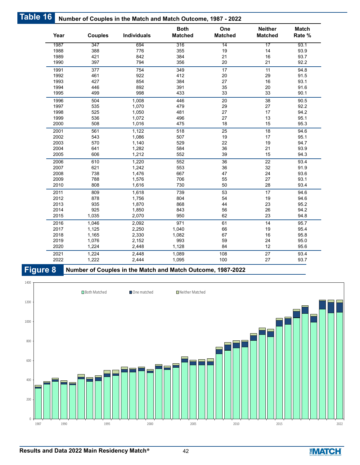| Table 16 |      |                | Number of Couples in the Match and Match Outcome, 1987 - 2022 |                               |                       |                                  |                        |
|----------|------|----------------|---------------------------------------------------------------|-------------------------------|-----------------------|----------------------------------|------------------------|
|          | Year | <b>Couples</b> | <b>Individuals</b>                                            | <b>Both</b><br><b>Matched</b> | One<br><b>Matched</b> | <b>Neither</b><br><b>Matched</b> | <b>Match</b><br>Rate % |
|          | 1987 | 347            | 694                                                           | 316                           | 14                    | 17                               | 93.1                   |
|          | 1988 | 388            | 776                                                           | 355                           | 19                    | 14                               | 93.9                   |
|          | 1989 | 421            | 842                                                           | 384                           | 21                    | 16                               | 93.7                   |
|          | 1990 | 397            | 794                                                           | 356                           | 20                    | 21                               | 92.2                   |
|          | 1991 | 377            | 754                                                           | 349                           | 17                    | 11                               | 94.8                   |
|          | 1992 | 461            | 922                                                           | 412                           | 20                    | 29                               | 91.5                   |
|          | 1993 | 427            | 854                                                           | 384                           | 27                    | 16                               | 93.1                   |
|          | 1994 | 446            | 892                                                           | 391                           | 35                    | 20                               | 91.6                   |
|          | 1995 | 499            | 998                                                           | 433                           | 33                    | 33                               | 90.1                   |
|          | 1996 | 504            | 1,008                                                         | 446                           | 20                    | 38                               | 90.5                   |
|          | 1997 | 535            | 1,070                                                         | 479                           | 29                    | 27                               | 92.2                   |
|          | 1998 | 525            | 1,050                                                         | 481                           | 27                    | 17                               | 94.2                   |
|          | 1999 | 536            | 1,072                                                         | 496                           | 27                    | 13                               | 95.1                   |
|          | 2000 | 508            | 1,016                                                         | 475                           | 18                    | 15                               | 95.3                   |
|          | 2001 | 561            | 1,122                                                         | 518                           | 25                    | 18                               | 94.6                   |
|          | 2002 | 543            | 1,086                                                         | 507                           | 19                    | 17                               | 95.1                   |
|          | 2003 | 570            | 1,140                                                         | 529                           | 22                    | 19                               | 94.7                   |
|          | 2004 | 641            | 1,282                                                         | 584                           | 36                    | 21                               | 93.9                   |
|          | 2005 | 606            | 1,212                                                         | 552                           | 39                    | 15                               | 94.3                   |
|          | 2006 | 610            | 1,220                                                         | 552                           | 36                    | 22                               | 93.4                   |
|          | 2007 | 621            | 1,242                                                         | 553                           | 36                    | 32                               | 91.9                   |
|          | 2008 | 738            | 1,476                                                         | 667                           | 47                    | 24                               | 93.6                   |
|          | 2009 | 788            | 1,576                                                         | 706                           | 55                    | 27                               | 93.1                   |
|          | 2010 | 808            | 1,616                                                         | 730                           | 50                    | 28                               | 93.4                   |
|          | 2011 | 809            | 1,618                                                         | 739                           | 53                    | 17                               | 94.6                   |
|          | 2012 | 878            | 1,756                                                         | 804                           | 54                    | 19                               | 94.6                   |
|          | 2013 | 935            | 1,870                                                         | 868                           | 44                    | 23                               | 95.2                   |
|          | 2014 | 925            | 1,850                                                         | 843                           | 56                    | 26                               | 94.2                   |
|          | 2015 | 1,035          | 2,070                                                         | 950                           | 62                    | 23                               | 94.8                   |
|          | 2016 | 1,046          | 2,092                                                         | 971                           | 61                    | 14                               | 95.7                   |
|          | 2017 | 1,125          | 2,250                                                         | 1,040                         | 66                    | 19                               | 95.4                   |
|          | 2018 | 1,165          | 2,330                                                         | 1,082                         | 67                    | 16                               | 95.8                   |
|          | 2019 | 1,076          | 2,152                                                         | 993                           | 59                    | 24                               | 95.0                   |
|          | 2020 | 1,224          | 2,448                                                         | 1,128                         | 84                    | 12                               | 95.6                   |
|          | 2021 | 1,224          | 2,448                                                         | 1,089                         | 108                   | 27                               | 93.4                   |
|          | 2022 | 1,222          | 2,444                                                         | 1,095                         | 100                   | 27                               | 93.7                   |

**Figure 8 Number of Couples in the Match and Match Outcome, 1987-2022**



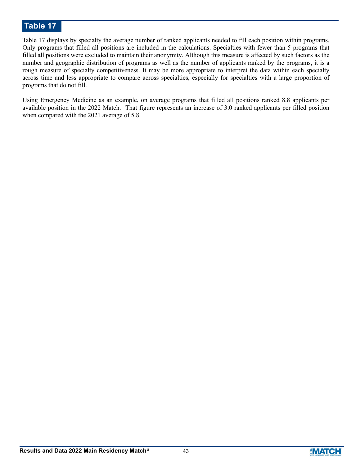# **Table 17**

Table 17 displays by specialty the average number of ranked applicants needed to fill each position within programs. Only programs that filled all positions are included in the calculations. Specialties with fewer than 5 programs that filled all positions were excluded to maintain their anonymity. Although this measure is affected by such factors as the number and geographic distribution of programs as well as the number of applicants ranked by the programs, it is a rough measure of specialty competitiveness. It may be more appropriate to interpret the data within each specialty across time and less appropriate to compare across specialties, especially for specialties with a large proportion of programs that do not fill.

Using Emergency Medicine as an example, on average programs that filled all positions ranked 8.8 applicants per available position in the 2022 Match. That figure represents an increase of 3.0 ranked applicants per filled position when compared with the 2021 average of 5.8.

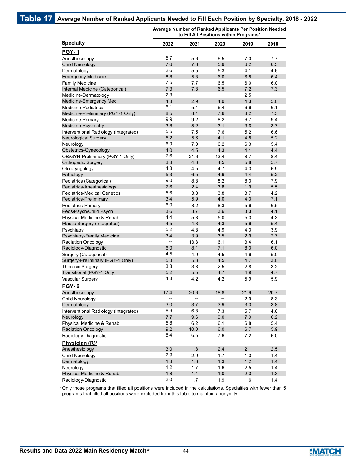|                                       |      |       |      | to Fill All Positions within Programs' |      |
|---------------------------------------|------|-------|------|----------------------------------------|------|
| <b>Specialty</b>                      | 2022 | 2021  | 2020 | 2019                                   | 2018 |
| <b>PGY-1</b>                          |      |       |      |                                        |      |
| Anesthesiology                        | 5.7  | 5.6   | 6.5  | 7.0                                    | 7.7  |
| <b>Child Neurology</b>                | 7.6  | 7.8   | 5.9  | 6.2                                    | 6.3  |
| Dermatology                           | 2.6  | 5.5   | 5.3  | 4.1                                    | 4.6  |
| <b>Emergency Medicine</b>             | 8.8  | 5.8   | 6.0  | 6.8                                    | 6.4  |
| <b>Family Medicine</b>                | 7.5  | 7.7   | 6.5  | 6.0                                    | 6.0  |
| Internal Medicine (Categorical)       | 7.3  | 7.8   | 6.5  | 7.2                                    | 7.3  |
| Medicine-Dermatology                  | 2.3  | --    | --   | 2.5                                    | --   |
| Medicine-Emergency Med                | 4.8  | 2.9   | 4.0  | 4.3                                    | 5.0  |
| <b>Medicine-Pediatrics</b>            | 6.1  | 5.4   | 6.4  | 6.6                                    | 6.1  |
| Medicine-Preliminary (PGY-1 Only)     | 8.5  | 8.4   | 7.6  | 8.2                                    | 7.5  |
| Medicine-Primary                      | 9.9  | 9.2   | 8.2  | 6.7                                    | 9.4  |
| Medicine-Psychiatry                   | 3.8  | 5.2   | 3.1  | 3.6                                    | 3.7  |
| Interventional Radiology (Integrated) | 5.5  | 7.5   | 7.6  | 5.2                                    | 6.6  |
| Neurological Surgery                  | 5.2  | 5.6   | 4.1  | 4.8                                    | 5.2  |
| Neurology                             | 6.9  | 7.0   | 6.2  | 6.3                                    | 5.4  |
| Obstetrics-Gynecology                 | 4.0  | 4.5   | 4.3  | 4.1                                    | 4.4  |
| OB/GYN-Preliminary (PGY-1 Only)       | 7.6  | 21.6  | 13.4 | 8.7                                    | 8.4  |
| <b>Orthopedic Surgery</b>             | 3.8  | 4.6   | 4.5  | 5.8                                    | 5.7  |
| Otolaryngology                        | 4.8  | 4.5   | 4.7  | 4.3                                    | 6.9  |
| Pathology                             | 5.3  | 6.5   | 4.9  | 4.4                                    | 5.2  |
| Pediatrics (Categorical)              | 9.0  | 8.8   | 8.2  | 8.3                                    | 7.9  |
| Pediatrics-Anesthesiology             | 2.6  | 2.4   | 3.8  | 1.9                                    | 5.5  |
| <b>Pediatrics-Medical Genetics</b>    | 5.6  | 3.8   | 3.8  | 3.7                                    | 4.2  |
| Pediatrics-Preliminary                | 3.4  | 5.9   | 4.0  | 4.3                                    | 7.1  |
| Pediatrics-Primary                    | 6.0  | 8.2   | 8.3  | 5.6                                    | 6.5  |
| Peds/Psych/Child Psych                | 3.6  | 3.7   | 3.6  | 3.3                                    | 4.1  |
| Physical Medicine & Rehab             | 4.4  | 5.3   | 5.0  | 5.3                                    | 4.3  |
| Plastic Surgery (Integrated)          | 4.5  | 4.3   | 4.3  | 5.6                                    | 5.4  |
| Psychiatry                            | 5.2  | 4.8   | 4.9  | 4.3                                    | 3.9  |
| Psychiatry-Family Medicine            | 3.4  | 3.9   | 3.5  | 2.9                                    | 2.7  |
| <b>Radiation Oncology</b>             | --   | 13.3  | 6.1  | 3.4                                    | 6.1  |
| Radiology-Diagnostic                  | 6.0  | 8.1   | 7.1  | 8.3                                    | 6.0  |
| Surgery (Categorical)                 | 4.5  | 4.9   | 4.5  | 4.6                                    | 5.0  |
| Surgery-Preliminary (PGY-1 Only)      | 5.3  | 5.3   | 4.5  | 4.7                                    | 3.0  |
| <b>Thoracic Surgery</b>               | 3.8  | 3.8   | 2.5  | 2.8                                    | 3.2  |
| Transitional (PGY-1 Only)             | 5.2  | 5.5   | 4.7  | 4.9                                    | 4.7  |
| Vascular Surgery                      | 4.8  | 4.2   | 4.2  | 5.9                                    | 5.9  |
| <b>PGY-2</b>                          |      |       |      |                                        |      |
| Anesthesiology                        | 17.4 | 20.6  | 18.8 | 21.9                                   | 20.7 |
| Child Neurology                       |      |       |      | 2.9                                    | 8.3  |
| Dermatology                           | 3.0  | 3.7   | 3.9  | 3.3                                    | 3.8  |
| Interventional Radiology (Integrated) | 6.9  | 6.8   | 7.3  | 5.7                                    | 4.6  |
| Neurology                             | 7.7  | 9.6   | 9.0  | 7.9                                    | 6.2  |
| Physical Medicine & Rehab             | 5.8  | 6.2   | 6.1  | 6.8                                    | 5.4  |
| <b>Radiation Oncology</b>             | 9.2  | 10.0  | 6.0  | 6.7                                    | 5.9  |
| Radiology-Diagnostic                  | 5.4  | 6.5   | 7.6  | 7.2                                    | 6.0  |
| Physician (R)*                        |      |       |      |                                        |      |
| Anesthesiology                        | 3.0  | 1.8   | 2.4  | 2.1                                    | 2.5  |
| Child Neurology                       | 2.9  | 2.9   | 1.7  | 1.3                                    | 1.4  |
| Dermatology                           | 1.8  | $1.3$ | 1.3  | 1.2                                    | 1.4  |
| Neurology                             | 1.2  | 1.7   | 1.6  | 2.5                                    | 1.4  |
| Physical Medicine & Rehab             | 1.8  | 1.4   | 1.0  | 2.3                                    | 1.3  |
| Radiology-Diagnostic                  | 2.0  | 1.7   | 1.9  | 1.6                                    | 1.4  |
|                                       |      |       |      |                                        |      |

**Average Number of Ranked Applicants Per Position Needed to Fill All Positions within Programs\***

Only those programs that filled all positions were included in the calculations. Specialties with fewer than 5 \* programs that filled all positions were excluded from this table to maintain anonymity.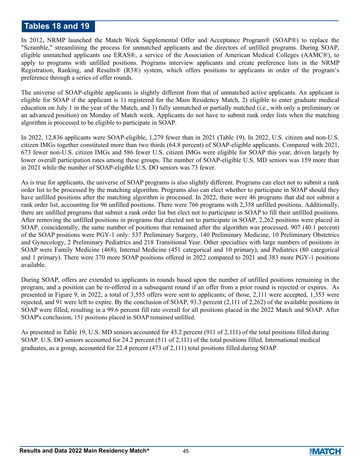# **Tables 18 and 19**

In 2012, NRMP launched the Match Week Supplemental Offer and Acceptance Program® (SOAP®) to replace the "Scramble," streamlining the process for unmatched applicants and the directors of unfilled programs. During SOAP, eligible unmatched applicants use ERAS®, a service of the Association of American Medical Colleges (AAMC®), to apply to programs with unfilled positions. Programs interview applicants and create preference lists in the NRMP Registration, Ranking, and Results® (R3®) system, which offers positions to applicants in order of the program's preference through a series of offer rounds.

The universe of SOAP-eligible applicants is slightly different from that of unmatched active applicants. An applicant is eligible for SOAP if the applicant is 1) registered for the Main Residency Match, 2) eligible to enter graduate medical education on July 1 in the year of the Match, and 3) fully unmatched or partially matched (i.e., with only a preliminary or an advanced position) on Monday of Match week. Applicants do not have to submit rank order lists when the matching algorithm is processed to be eligible to participate in SOAP.

In 2022, 12,836 applicants were SOAP-eligible, 1,279 fewer than in 2021 (Table 19). In 2022, U.S. citizen and non-U.S. citizen IMGs together constituted more than two thirds (64.8 percent) of SOAP-eligible applicants. Compared with 2021, 673 fewer non-U.S. citizen IMGs and 586 fewer U.S. citizen IMGs were eligible for SOAP this year, driven largely by lower overall participation rates among these groups. The number of SOAP-eligible U.S. MD seniors was 159 more than in 2021 while the number of SOAP-eligible U.S. DO seniors was 73 fewer.

As is true for applicants, the universe of SOAP programs is also slightly different. Programs can elect not to submit a rank order list to be processed by the matching algorithm. Programs also can elect whether to participate in SOAP should they have unfilled positions after the matching algorithm is processed. In 2022, there were 46 programs that did not submit a rank order list, accounting for 96 unfilled positions. There were 766 programs with 2,358 unfilled positions. Additionally, there are unfilled programs that submit a rank order list but elect not to participate in SOAP to fill their unfilled positions. After removing the unfilled positions in programs that elected not to participate in SOAP, 2,262 positions were placed in SOAP, coincidentally, the same number of positions that remained after the algorithm was processed. 907 (40.1 percent) of the SOAP positions were PGY-1 only: 537 Preliminary Surgery, 140 Preliminary Medicine, 10 Preliminary Obstetrics and Gynecology, 2 Preliminary Pediatrics and 218 Transitional Year. Other specialties with large numbers of positions in SOAP were Family Medicine (468), Internal Medicine (451 categorical and 10 primary), and Pediatrics (80 categorical and 1 primary). There were 370 more SOAP positions offered in 2022 compared to 2021 and 383 more PGY-1 positions available.

During SOAP, offers are extended to applicants in rounds based upon the number of unfilled positions remaining in the program, and a position can be re-offered in a subsequent round if an offer from a prior round is rejected or expires. As presented in Figure 9, in 2022, a total of 3,555 offers were sent to applicants; of those, 2,111 were accepted, 1,353 were rejected, and 91 were left to expire. By the conclusion of SOAP, 93.3 percent (2,111 of 2,262) of the available positions in SOAP were filled, resulting in a 99.6 percent fill rate overall for all positions placed in the 2022 Match and SOAP. After SOAP's conclusion, 151 positions placed in SOAP remained unfilled.

As presented in Table 19, U.S. MD seniors accounted for 43.2 percent (911 of 2,111) of the total positions filled during SOAP. U.S. DO seniors accounted for 24.2 percent (511 of 2,111) of the total positions filled. International medical graduates, as a group, accounted for 22.4 percent (473 of 2,111) total positions filled during SOAP.



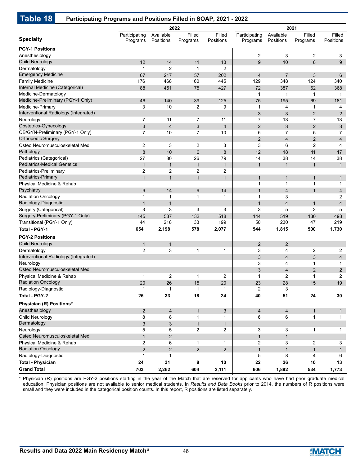# **Table 18 Participating Programs and Positions Filled in SOAP, 2021 - 2022**

|                                       |                |                | 2022           |                         | 2021           |                         |                |                         |
|---------------------------------------|----------------|----------------|----------------|-------------------------|----------------|-------------------------|----------------|-------------------------|
|                                       | Participating  | Available      | Filled         | Filled                  | Participating  | Available               | Filled         | Filled                  |
| <b>Specialty</b>                      | Programs       | Positions      | Programs       | Positions               | Programs       | Positions               | Programs       | Positions               |
| <b>PGY-1 Positions</b>                |                |                |                |                         |                |                         |                |                         |
| Anesthesiology                        |                |                |                |                         | 2              | 3                       | 2              | 3                       |
| <b>Child Neurology</b>                | 12             | 14             | 11             | 13                      | 9              | 10                      | 8              | 9                       |
| Dermatology                           | 1              | $\overline{2}$ | -1             | 2                       |                |                         |                |                         |
| <b>Emergency Medicine</b>             | 67             | 217            | 57             | 202                     | $\overline{4}$ | $\overline{7}$          | 3              | 6                       |
| <b>Family Medicine</b>                | 176            | 468            | 160            | 445                     | 129            | 348                     | 124            | 340                     |
| Internal Medicine (Categorical)       | 88             | 451            | 75             | 427                     | 72             | 387                     | 62             | 368                     |
| Medicine-Dermatology                  |                |                |                |                         | $\mathbf{1}$   | 1                       | $\mathbf{1}$   | $\mathbf{1}$            |
| Medicine-Preliminary (PGY-1 Only)     | 46             | 140            | 39             | 125                     | 75             | 195                     | 69             | 181                     |
| Medicine-Primary                      | 3              | 10             | $\overline{2}$ | 9                       | $\mathbf 1$    | 4                       | $\mathbf{1}$   | 4                       |
| Interventional Radiology (Integrated) |                |                |                |                         | 3              | 3                       | $\overline{2}$ | $\overline{2}$          |
| Neurology                             | 7              | 11             | 7              | 11                      | $\overline{7}$ | 13                      | 7              | 13                      |
| Obstetrics-Gynecology                 | 3              | $\overline{4}$ | 3              | $\overline{\mathbf{4}}$ | $\overline{2}$ | 3                       | $\overline{2}$ | $\mathfrak{S}$          |
| OB/GYN-Preliminary (PGY-1 Only)       | 7              | 10             | 7              | 10                      | 5              | $\overline{7}$          | 5              | $\overline{7}$          |
| <b>Orthopedic Surgery</b>             |                |                |                |                         | $\overline{2}$ | $\overline{4}$          | $\overline{2}$ | $\overline{4}$          |
| Osteo Neuromusculoskeletal Med        | 2              | 3              | $\overline{2}$ | 3                       | 3              | 6                       | 2              | $\overline{4}$          |
| Pathology                             | 8              | 10             | 6              | 8                       | 12             | 18                      | 11             | 17                      |
| Pediatrics (Categorical)              | 27             | 80             | 26             | 79                      | 14             | 38                      | 14             | 38                      |
| <b>Pediatrics-Medical Genetics</b>    | $\mathbf{1}$   | $\mathbf{1}$   | $\mathbf{1}$   | $\mathbf{1}$            | $\mathbf{1}$   | $\mathbf{1}$            | $\mathbf{1}$   | $\mathbf{1}$            |
| Pediatrics-Preliminary                | $\overline{c}$ | $\overline{2}$ | $\overline{c}$ | 2                       |                |                         |                |                         |
| Pediatrics-Primary                    | $\mathbf{1}$   | $\mathbf{1}$   | $\mathbf{1}$   | $\mathbf{1}$            | $\mathbf{1}$   | $\mathbf{1}$            | $\mathbf{1}$   | $\mathbf{1}$            |
| Physical Medicine & Rehab             |                |                |                |                         | $\mathbf{1}$   | $\mathbf{1}$            | $\mathbf{1}$   | $\mathbf{1}$            |
| Psychiatry                            | 9              | 14             | 9              | 14                      | $\overline{1}$ | $\overline{4}$          | $\mathbf{1}$   | $\overline{4}$          |
| <b>Radiation Oncology</b>             | 1              | 1              | 1              | 1                       | 1              | 3                       |                | 2                       |
| Radiology-Diagnostic                  | $\mathbf{1}$   | $\mathbf{1}$   |                |                         | 1              | $\overline{4}$          | $\mathbf{1}$   | $\overline{\mathbf{4}}$ |
| Surgery (Categorical)                 | 3              | 3              | 3              | 3                       | 3              | 5                       | 3              | 5                       |
| Surgery-Preliminary (PGY-1 Only)      | 145            | 537            | 132            | 518                     | 144            | 519                     | 130            | 493                     |
| Transitional (PGY-1 Only)             | 44             | 218            | 33             | 199                     | 50             | 230                     | 47             | 219                     |
| Total - PGY-1                         | 654            | 2,198          | 578            | 2,077                   | 544            | 1,815                   | 500            | 1,730                   |
| <b>PGY-2 Positions</b>                |                |                |                |                         |                |                         |                |                         |
| <b>Child Neurology</b>                | 1              | $\mathbf{1}$   |                |                         | $\overline{2}$ | $\overline{2}$          |                |                         |
| Dermatology                           | $\overline{2}$ | 3              | 1              | 1                       | 3              | 4                       | $\overline{c}$ | $\overline{c}$          |
| Interventional Radiology (Integrated) |                |                |                |                         | 3              | $\overline{4}$          | 3              | $\overline{\mathbf{4}}$ |
| Neurology                             |                |                |                |                         | 3              | 4                       | $\mathbf 1$    | $\mathbf{1}$            |
| Osteo Neuromusculoskeletal Med        |                |                |                |                         | 3              | $\overline{4}$          | $\overline{2}$ | $\overline{2}$          |
| Physical Medicine & Rehab             | $\mathbf 1$    | $\overline{2}$ | $\mathbf 1$    | 2                       | $\mathbf 1$    | 2                       | 1              | $\overline{2}$          |
| <b>Radiation Oncology</b>             | 20             | 26             | 15             | 20                      | 23             | 28                      | 15             | 19                      |
| Radiology-Diagnostic                  | 1              | $\mathbf{1}$   | $\mathbf{1}$   | 1                       | 2              | 3                       |                |                         |
| Total - PGY-2                         | 25             | 33             | 18             | 24                      | 40             | 51                      | 24             | 30                      |
| Physician (R) Positions*              |                |                |                |                         |                |                         |                |                         |
| Anesthesiology                        | $\overline{2}$ | $\overline{4}$ | $\mathbf{1}$   | 3                       | $\overline{4}$ | $\overline{\mathbf{4}}$ | $\mathbf{1}$   | $\mathbf{1}$            |
| Child Neurology                       | 8              | 8              | 1              | $\mathbf{1}$            | 6              | 6                       | 1              | $\mathbf{1}$            |
| Dermatology                           | 3              | 3              | $\mathbf{1}$   | 1                       |                |                         |                |                         |
| Neurology                             | 5              | 5              | $\overline{c}$ | $\overline{2}$          | 3              | 3                       | $\mathbf{1}$   | $\mathbf{1}$            |
| Osteo Neuromusculoskeletal Med        | $\mathbf{1}$   | 2              |                |                         | $\mathbf{1}$   | $\mathbf{1}$            |                |                         |
| Physical Medicine & Rehab             | $\overline{c}$ | 6              | $\mathbf{1}$   | 1                       | $\overline{c}$ | 3                       | $\overline{c}$ | 3                       |
| <b>Radiation Oncology</b>             | $\overline{2}$ | $\overline{2}$ | $\overline{2}$ | $\overline{2}$          | $\mathbf{1}$   | $\mathbf{1}$            | $\mathbf{1}$   | $\mathbf{1}$            |
| Radiology-Diagnostic                  | 1              | $\mathbf{1}$   |                |                         | 5              | 8                       | 4              | 6                       |
| <b>Total - Physician</b>              | 24             | 31             | 8              | 10                      | 22             | 26                      | 10             | 13                      |
| <b>Grand Total</b>                    | 703            | 2,262          | 604            | 2,111                   | 606            | 1,892                   | 534            | 1,773                   |

\* Physician (R) positions are PGY-2 positions starting in the year of the Match that are reserved for applicants who have had prior graduate medical education. Physician positions are not available to senior medical students. In *Results and Data Books* prior to 2014, the numbers of R positions were small and they were included in the categorical position counts. In this report, R positions are listed separately.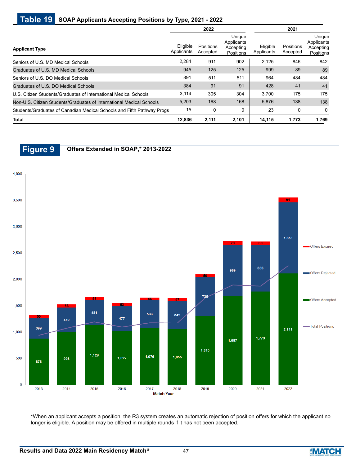# **Table 19 SOAP Applicants Accepting Positions by Type, 2021 - 2022**

|                                                                        |                        | 2022                  |                                                | 2021                   |                       |                                                |  |
|------------------------------------------------------------------------|------------------------|-----------------------|------------------------------------------------|------------------------|-----------------------|------------------------------------------------|--|
| <b>Applicant Type</b>                                                  | Eligible<br>Applicants | Positions<br>Accepted | Unique<br>Applicants<br>Accepting<br>Positions | Eligible<br>Applicants | Positions<br>Accepted | Unique<br>Applicants<br>Accepting<br>Positions |  |
| Seniors of U.S. MD Medical Schools                                     | 2.284                  | 911                   | 902                                            | 2.125                  | 846                   | 842                                            |  |
| Graduates of U.S. MD Medical Schools                                   | 945                    | 125                   | 125                                            | 999                    | 89                    | 89                                             |  |
| Seniors of U.S. DO Medical Schools                                     | 891                    | 511                   | 511                                            | 964                    | 484                   | 484                                            |  |
| Graduates of U.S. DO Medical Schools                                   | 384                    | 91                    | 91                                             | 428                    | 41                    | 41                                             |  |
| U.S. Citizen Students/Graduates of International Medical Schools       | 3,114                  | 305                   | 304                                            | 3.700                  | 175                   | 175                                            |  |
| Non-U.S. Citizen Students/Graduates of International Medical Schools   | 5,203                  | 168                   | 168                                            | 5,876                  | 138                   | 138                                            |  |
| Students/Graduates of Canadian Medical Schools and Fifth Pathway Progs | 15                     | $\mathbf 0$           | 0                                              | 23                     | 0                     | $\Omega$                                       |  |
| <b>Total</b>                                                           | 12,836                 | 2,111                 | 2,101                                          | 14,115                 | 1,773                 | 1,769                                          |  |



\*When an applicant accepts a position, the R3 system creates an automatic rejection of position offers for which the applicant no longer is eligible. A position may be offered in multiple rounds if it has not been accepted.

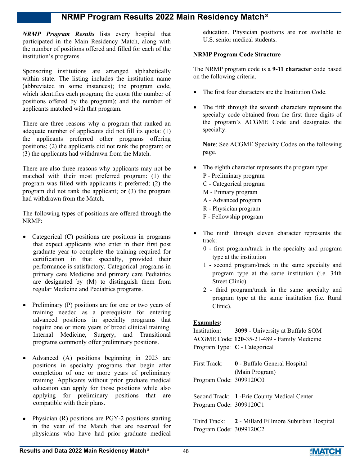*NRMP Program Results* lists every hospital that participated in the Main Residency Match, along with the number of positions offered and filled for each of the institution's programs.

Sponsoring institutions are arranged alphabetically within state. The listing includes the institution name (abbreviated in some instances); the program code, which identifies each program; the quota (the number of positions offered by the program); and the number of applicants matched with that program.

There are three reasons why a program that ranked an adequate number of applicants did not fill its quota: (1) the applicants preferred other programs offering positions; (2) the applicants did not rank the program; or (3) the applicants had withdrawn from the Match.

There are also three reasons why applicants may not be matched with their most preferred program: (1) the program was filled with applicants it preferred; (2) the program did not rank the applicant; or (3) the program had withdrawn from the Match.

The following types of positions are offered through the NRMP:

- Categorical (C) positions are positions in programs that expect applicants who enter in their first post graduate year to complete the training required for certification in that specialty, provided their performance is satisfactory. Categorical programs in primary care Medicine and primary care Pediatrics are designated by (M) to distinguish them from regular Medicine and Pediatrics programs.
- Preliminary  $(P)$  positions are for one or two years of training needed as a prerequisite for entering advanced positions in specialty programs that require one or more years of broad clinical training. Internal Medicine, Surgery, and Transitional programs commonly offer preliminary positions.
- Advanced (A) positions beginning in 2023 are positions in specialty programs that begin after completion of one or more years of preliminary training. Applicants without prior graduate medical education can apply for those positions while also applying for preliminary positions that are compatible with their plans.
- Physician (R) positions are PGY-2 positions starting in the year of the Match that are reserved for physicians who have had prior graduate medical

education. Physician positions are not available to U.S. senior medical students.

#### **NRMP Program Code Structure**

The NRMP program code is a **9-11 character** code based on the following criteria.

- The first four characters are the Institution Code.
- The fifth through the seventh characters represent the specialty code obtained from the first three digits of the program's ACGME Code and designates the specialty.

**Note**: See ACGME Specialty Codes on the following page.

- The eighth character represents the program type:
	- P Preliminary program
	- C Categorical program
	- M Primary program
	- A Advanced program
	- R Physician program
	- F Fellowship program
- The ninth through eleven character represents the track:
	- 0 first program/track in the specialty and program type at the institution
	- 1 second program/track in the same specialty and program type at the same institution (i.e. 34th Street Clinic)
	- 2 third program/track in the same specialty and program type at the same institution (i.e. Rural Clinic).

#### **Examples:**

|                         | Institution: 3099 - University at Buffalo SOM |
|-------------------------|-----------------------------------------------|
|                         | ACGME Code: 120-35-21-489 - Family Medicine   |
|                         | Program Type: C - Categorical                 |
|                         |                                               |
| First Track:            | 0 - Buffalo General Hospital                  |
|                         | (Main Program)                                |
| Program Code: 3099120C0 |                                               |
|                         |                                               |
|                         | Second Track: 1 - Erie County Medical Center  |
| Program Code: 3099120C1 |                                               |
|                         |                                               |
| T1.4.4 T2.51.7          | <b>1</b> Millard Eilmann Culture on Hagnit    |

Third Track: **2** - Millard Fillmore Suburban Hospital Program Code: 3099120C2

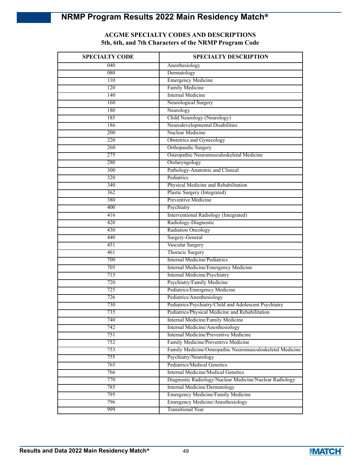# **ACGME SPECIALTY CODES AND DESCRIPTIONS 5th, 6th, and 7th Characters of the NRMP Program Code**

| <b>SPECIALTY CODE</b> | <b>SPECIALTY DESCRIPTION</b>                              |
|-----------------------|-----------------------------------------------------------|
| 040                   | Anesthesiology                                            |
| 080                   | Dermatology                                               |
| 110                   | <b>Emergency Medicine</b>                                 |
| 120                   | Family Medicine                                           |
| 140                   | Internal Medicine                                         |
| 160                   | Neurological Surgery                                      |
| 180                   | Neurology                                                 |
| 185                   | Child Neurology (Neurology)                               |
| 186                   | Neurodevelopmental Disabilities                           |
| 200                   | Nuclear Medicine                                          |
| 220                   | Obstetrics and Gynecology                                 |
| 260                   | Orthopaedic Surgery                                       |
| 275                   | Osteopathic Neuromusculoskeletal Medicine                 |
| 280                   | Otolaryngology                                            |
| 300                   | Pathology-Anatomic and Clinical                           |
| 320                   | Pediatrics                                                |
| 340                   | Physical Medicine and Rehabilitation                      |
| 362                   | Plastic Surgery (Integrated)                              |
| 380                   | Preventive Medicine                                       |
| 400                   | Psychiatry                                                |
| 416                   | Interventional Radiology (Integrated)                     |
| 420                   | Radiology-Diagnostic                                      |
| 430                   | <b>Radiation Oncology</b>                                 |
| 440                   | Surgery-General                                           |
| 451                   | Vascular Surgery                                          |
| 461                   | Thoracic Surgery                                          |
| 700                   | <b>Internal Medicine/Pediatrics</b>                       |
| 705                   | Internal Medicine/Emergency Medicine                      |
| 715                   | Internal Medicine/Psychiatry                              |
| 720                   | Psychiatry/Family Medicine                                |
| 725                   | Pediatrics/Emergency Medicine                             |
| 726                   | Pediatrics/Anesthesiology                                 |
| 730                   | Pediatrics/Psychiatry/Child and Adolescent Psychiatry     |
| 735                   | Pediatrics/Physical Medicine and Rehabilitation           |
| 740                   | Internal Medicine/Family Medicine                         |
| 742                   | Internal Medicine/Anesthesiology                          |
| 751                   | Internal Medicine/Preventive Medicine                     |
| 752                   | Family Medicine/Preventive Medicine                       |
| 753                   | Family Medicine/Osteopathic Neuromusculoskeletal Medicine |
| 755                   | Psychiatry/Neurology                                      |
| 765                   | Pediatrics/Medical Genetics                               |
| 766                   | Internal Medicine/Medical Genetics                        |
| 770                   | Diagnostic Radiology/Nuclear Medicine/Nuclear Radiology   |
| 785                   | Internal Medicine/Dermatology                             |
| 795                   | Emergency Medicine/Family Medicine                        |
| 796                   | Emergency Medicine/Anesthesiology                         |
| 999                   | <b>Transitional Year</b>                                  |

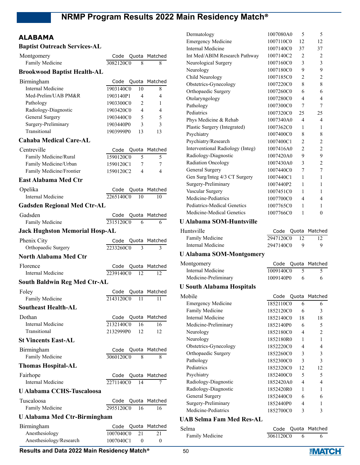# **ALABAMA**

| <b>Baptist Outreach Services-AL</b>    |                                 |               |
|----------------------------------------|---------------------------------|---------------|
| Montgomery                             | Code                            | Quota Matched |
| Family Medicine                        | 3082120C0<br>8                  | 8             |
| <b>Brookwood Baptist Health-AL</b>     |                                 |               |
| Birmingham                             | Quota<br>Code                   | Matched       |
| <b>Internal Medicine</b>               | 1903140C0<br>10                 | 8             |
| Med-Prelim/UAB PM&R                    | 1903140P1<br>4                  | 4             |
| Pathology                              | 1903300C0<br>2                  | 1             |
| Radiology-Diagnostic                   | 1903420C0<br>4                  | 4             |
| General Surgery<br>Surgery-Preliminary | 1903440C0<br>5<br>3             | 5<br>3        |
| Transitional                           | 1903440P0<br>1903999P0<br>13    | 13            |
| <b>Cahaba Medical Care-AL</b>          |                                 |               |
| Centreville                            |                                 | Matched       |
| Family Medicine/Rural                  | Quota<br>Code<br>1590120C0<br>5 | 5             |
| Family Medicine/Urban                  | 1590120C1<br>7                  | 7             |
| Family Medicine/Frontier               | 1590120C2<br>4                  | 4             |
| <b>East Alabama Med Ctr</b>            |                                 |               |
| Opelika                                | Quota<br>Code                   | Matched       |
| Internal Medicine                      | 2265140C0<br>10                 | 10            |
| <b>Gadsden Regional Med Ctr-AL</b>     |                                 |               |
| Gadsden                                | Code<br>Quota                   | Matched       |
| Family Medicine                        | 2315120C0<br>6                  | 6             |
| <b>Jack Hughston Memorial Hosp-AL</b>  |                                 |               |
| Phenix City                            | Code<br>Quota                   | Matched       |
| Orthopaedic Surgery                    | 2233260C0<br>3                  | 3             |
| <b>North Alabama Med Ctr</b>           |                                 |               |
| Florence                               | Code<br>Quota                   | Matched       |
| Internal Medicine                      | 2239140C0<br>12                 | 12            |
| <b>South Baldwin Reg Med Ctr-AL</b>    |                                 |               |
| Foley                                  | Quota<br>Code                   | Matched       |
| Family Medicine                        | 2143120C0<br>11                 | 11            |
| <b>Southeast Health-AL</b>             |                                 |               |
| Dothan                                 | Code                            | Quota Matched |
| Internal Medicine                      | 2132140C0<br>16                 | 16            |
| Transitional                           | 2132999P0<br>12                 | 12            |
| <b>St Vincents East-AL</b>             |                                 |               |
| Birmingham                             | Code<br>Quota                   | Matched       |
| Family Medicine                        | 3060120C0<br>8                  | 8             |
| <b>Thomas Hospital-AL</b>              |                                 |               |
| Fairhope                               | Code                            | Quota Matched |
| <b>Internal Medicine</b>               | 2271140C0<br>14                 | 7             |
| <b>U Alabama CCHS-Tuscaloosa</b>       |                                 |               |
| Tuscaloosa                             | Code<br>Quota                   | Matched       |
| Family Medicine                        | 2955120C0<br>16                 | 16            |
| <b>U Alabama Med Ctr-Birmingham</b>    |                                 |               |
| Birmingham                             | Code<br>Quota                   | Matched       |
| Anesthesiology                         | 1007040C0<br>21                 | 21            |

| Dermatology                      | 1007080A0 | 5              | 5              |
|----------------------------------|-----------|----------------|----------------|
| <b>Emergency Medicine</b>        | 1007110C0 | 12             | 12             |
| Internal Medicine                | 1007140C0 | 37             | 37             |
| Int Med/ABIM Research Pathway    | 1007140C2 | 2              | $\overline{2}$ |
| Neurological Surgery             | 1007160C0 | 3              | 3              |
| Neurology                        | 1007180C0 | 9              | 9              |
| Child Neurology                  | 1007185C0 | 2              | 2              |
| Obstetrics-Gynecology            | 1007220C0 | 8              | 8              |
| Orthopaedic Surgery              | 1007260C0 | 6              | 6              |
| Otolaryngology                   | 1007280C0 | 4              | 4              |
| Pathology                        | 1007300C0 | 7              | 7              |
| Pediatrics                       | 1007320C0 | 25             | 25             |
| Phys Medicine & Rehab            | 1007340A0 | $\overline{4}$ | 4              |
| Plastic Surgery (Integrated)     | 1007362C0 | $\mathbf{1}$   | 1              |
| Psychiatry                       | 1007400C0 | 8              | 8              |
| Psychiatry/Research              | 1007400C1 | $\overline{2}$ | $\overline{2}$ |
| Interventional Radiology (Integ) | 1007416A0 | $\mathfrak{D}$ | 2              |
| Radiology-Diagnostic             | 1007420A0 | 9              | 9              |
| Radiation Oncology               | 1007430A0 | 3              | $\overline{2}$ |
| General Surgery                  | 1007440C0 | 7              | 7              |
| Gen Surg/Integ 4/3 CT Surgery    | 1007440C1 | 1              | 1              |
| Surgery-Preliminary              | 1007440P2 | 1              | 1              |
| Vascular Surgery                 | 1007451C0 | 1              | 1              |
| Medicine-Pediatrics              | 1007700C0 | 4              | 4              |
| Pediatrics-Medical Genetics      | 1007765C0 | 1              | 1              |
| Medicine-Medical Genetics        | 1007766C0 | 1              | $\overline{0}$ |

#### **U Alabama SOM-Huntsville**

| Huntsville        |           |                | Code Quota Matched |
|-------------------|-----------|----------------|--------------------|
| Family Medicine   | 2947120C0 | $\frac{12}{2}$ |                    |
| Internal Medicine | 2947140C0 |                | Q                  |

### **U Alabama SOM-Montgomery**

|           |   | Code Quota Matched |
|-----------|---|--------------------|
| 1009140C0 | 5 |                    |
| 1009140P0 | 6 | 6                  |

### **U South Alabama Hospitals**

Montgomery

Internal Medicine Medicine-Preliminary

| Mobile                    |           |    | Code Quota Matched          |
|---------------------------|-----------|----|-----------------------------|
| <b>Emergency Medicine</b> | 1852110C0 | 6  | 6                           |
| Family Medicine           | 1852120C0 | 6  | 3                           |
| Internal Medicine         | 1852140C0 | 18 | 18                          |
| Medicine-Preliminary      | 1852140P0 | 6  | 5                           |
| Neurology                 | 1852180C0 | 4  | $\mathcal{D}_{\mathcal{L}}$ |
| Neurology                 | 1852180R0 | 1  | 1                           |
| Obstetrics-Gynecology     | 1852220C0 | 4  | 4                           |
| Orthopaedic Surgery       | 1852260C0 | 3  | 3                           |
| Pathology                 | 1852300C0 | 3  | 3                           |
| Pediatrics                | 1852320C0 | 12 | 12                          |
| Psychiatry                | 1852400C0 | 5  | 5                           |
| Radiology-Diagnostic      | 1852420A0 | 4  | 4                           |
| Radiology-Diagnostic      | 1852420R0 | 1  | 1                           |
| General Surgery           | 1852440C0 | 6  | 6                           |
| Surgery-Preliminary       | 1852440P0 | 4  |                             |
| Medicine-Pediatrics       | 1852700C0 | 3  | 3                           |

#### **UAB Selma Fam Med Res-AL**

| Selma           |           | Code Quota Matched |
|-----------------|-----------|--------------------|
| Family Medicine | 3061120C0 |                    |

Anesthesiology/Research 1007040C1 0 0

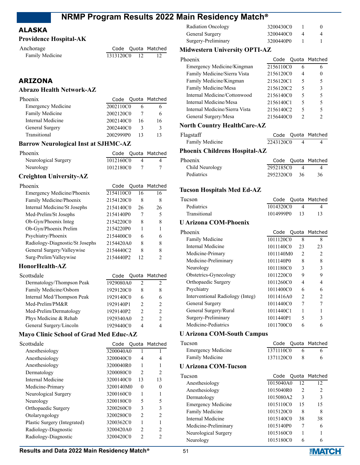# **ALASKA**

# **Providence Hospital-AK**

| Anchorage       |              | Code Quota Matched |
|-----------------|--------------|--------------------|
| Family Medicine | 1313120C0 12 |                    |

# **ARIZONA**

## **Abrazo Health Network-AZ**

| Phoenix                   |           |    | Code Quota Matched |
|---------------------------|-----------|----|--------------------|
| <b>Emergency Medicine</b> | 2002110C0 |    |                    |
| Family Medicine           | 2002120C0 |    |                    |
| Internal Medicine         | 2002140C0 | 16 | 16                 |
| General Surgery           | 2002440C0 | 3  | 3                  |
| Transitional              | 2002999P0 |    |                    |
|                           |           |    |                    |

# **Barrow Neurological Inst at SJHMC-AZ**

| Phoenix              |           | Code Quota Matched |
|----------------------|-----------|--------------------|
| Neurological Surgery | 1012160C0 |                    |
| Neurology            | 1012180C0 |                    |

# **Creighton University-AZ**

| Phoenix                         | Code      |    | Quota Matched |
|---------------------------------|-----------|----|---------------|
| Emergency Medicine/Phoenix      | 2154110C0 | 16 | 16            |
| Family Medicine/Phoenix         | 2154120C0 | 8  | 8             |
| Internal Medicine/St Josephs    | 2154140C0 | 26 | 26            |
| Med-Prelim/St Josephs           | 2154140P0 | 7  | 5             |
| Ob-Gyn/Phoenix Integ            | 2154220C0 | 8  | 8             |
| Ob-Gyn/Phoenix Prelim           | 2154220P0 | 1  |               |
| Psychiatry/Phoenix              | 2154400C0 | 6  | 6             |
| Radiology-Diagnostic/St Josephs | 2154420A0 | 8  | 8             |
| General Surgery/Valleywise      | 2154440C2 | 8  | 8             |
| Surg-Prelim/Valleywise          | 2154440P2 | 12 | 2             |

# **HonorHealth-AZ**

| Scottsdale                 |           |               | Code Quota Matched |
|----------------------------|-----------|---------------|--------------------|
| Dermatology/Thompson Peak  | 1929080A0 | 2             | $\mathcal{D}$      |
| Family Medicine/Osborn     | 1929120C0 | 8             | 8                  |
| Internal Med/Thompson Peak | 1929140C0 | 6             | 6                  |
| Med-Prelim/PM&R            | 1929140P1 | 2             | $\mathcal{P}$      |
| Med-Prelim/Dermatology     | 1929140P2 | 2             | 2                  |
| Phys Medicine & Rehab      | 1929340A0 | $\mathcal{P}$ | $\mathcal{P}$      |
| General Surgery/Lincoln    | 1929440C0 |               |                    |

# **Mayo Clinic School of Grad Med Educ-AZ**

| Scottsdale                   |           |                | Code Quota Matched |
|------------------------------|-----------|----------------|--------------------|
| Anesthesiology               | 3200040A0 |                |                    |
| Anesthesiology               | 3200040C0 | 4              | 4                  |
| Anesthesiology               | 3200040R0 | 1              |                    |
| Dermatology                  | 3200080C0 | $\mathcal{L}$  | $\mathcal{P}$      |
| Internal Medicine            | 3200140C0 | 13             | 13                 |
| Medicine-Primary             | 3200140M0 | $\theta$       | 0                  |
| Neurological Surgery         | 3200160C0 | 1              |                    |
| Neurology                    | 3200180C0 | 5              | 5                  |
| Orthopaedic Surgery          | 3200260C0 | 3              | 3                  |
| Otolaryngology               | 3200280C0 | $\mathfrak{D}$ | $\mathfrak{D}$     |
| Plastic Surgery (Integrated) | 3200362C0 | 1              | 1                  |
| Radiology-Diagnostic         | 3200420A0 | $\mathcal{P}$  | $\mathcal{P}$      |
| Radiology-Diagnostic         | 3200420C0 | 2              | 2                  |
|                              |           |                |                    |

| Radiation Oncology  | 3200430C0 |  |
|---------------------|-----------|--|
| General Surgery     | 3200440C0 |  |
| Surgery-Preliminary | 3200440P0 |  |

# **Midwestern University OPTI-AZ**

| 6 |                                                                                                                            |
|---|----------------------------------------------------------------------------------------------------------------------------|
| 4 | $\theta$                                                                                                                   |
| 5 | 5                                                                                                                          |
| 5 | ٩                                                                                                                          |
| 5 | 5                                                                                                                          |
| 5 | 5                                                                                                                          |
| 5 | 5                                                                                                                          |
| 2 |                                                                                                                            |
|   | Code Quota Matched<br>2156110C0<br>2156120C0<br>2156120C1<br>2156120C2<br>2156140C0<br>2156140C1<br>2156140C2<br>2156440C0 |

# **North Country HealthCare-AZ**

| Flagstaff       |           | Code Quota Matched |
|-----------------|-----------|--------------------|
| Family Medicine | 2243120C0 |                    |

# **Phoenix Childrens Hospital-AZ**

| Phoenix           |              | Code Quota Matched |
|-------------------|--------------|--------------------|
| Child Neurology   | 2952185C0    |                    |
| <b>Pediatrics</b> | 2952320C0 36 | 36                 |

### **Tucson Hospitals Med Ed-AZ**

| Tucson            | Code Quota Matched |
|-------------------|--------------------|
| <b>Pediatrics</b> | 1014320C0          |
| Transitional      | 1014999P0 13       |

### **U Arizona COM-Phoenix**

| Phoenix                          |           |                | Code Quota Matched |
|----------------------------------|-----------|----------------|--------------------|
| <b>Family Medicine</b>           | 1011120C0 | 8              | 8                  |
| Internal Medicine                | 1011140C0 | 23             | 23                 |
| Medicine-Primary                 | 1011140M0 | $\mathcal{L}$  | $\mathfrak{D}$     |
| Medicine-Preliminary             | 1011140P0 | 8              | 8                  |
| Neurology                        | 1011180C0 | 3              | 3                  |
| Obstetrics-Gynecology            | 1011220C0 | 9              | 9                  |
| Orthopaedic Surgery              | 1011260C0 | 4              | 4                  |
| Psychiatry                       | 1011400C0 | 6              | 6                  |
| Interventional Radiology (Integ) | 1011416A0 | $\overline{c}$ | 2                  |
| General Surgery                  | 1011440C0 | 7              |                    |
| General Surgery/Rural            | 1011440C1 |                |                    |
| Surgery-Preliminary              | 1011440P1 | 5              | 3                  |
| Medicine-Pediatrics              | 1011700C0 | 6              |                    |
|                                  |           |                |                    |

### **U Arizona COM-South Campus**

| Tucson                    | Code                        | Quota Matched  |
|---------------------------|-----------------------------|----------------|
| <b>Emergency Medicine</b> | 1371110C0<br>6              | 6              |
| <b>Family Medicine</b>    | 1371120C0<br>8              | 6              |
| U Arizona COM-Tucson      |                             |                |
| Tueson                    | Code                        | Quota Matched  |
| Anesthesiology            | 1015040A0<br>12             | 12             |
| Anesthesiology            | 1015040R0<br>$\mathfrak{D}$ | $\mathfrak{D}$ |
| Dermatology               | 3<br>1015080A2              | 3              |
| <b>Emergency Medicine</b> | 1015110C0<br>15             | 15             |
| <b>Family Medicine</b>    | 1015120C0<br>8              | 8              |
| Internal Medicine         | 1015140C0<br>38             | 38             |
| Medicine-Preliminary      | 1015140P0<br>7              | 6              |
| Neurological Surgery      | 1015160C0<br>1              |                |
| Neurology                 | 1015180C0<br>6              | 6              |
|                           |                             |                |

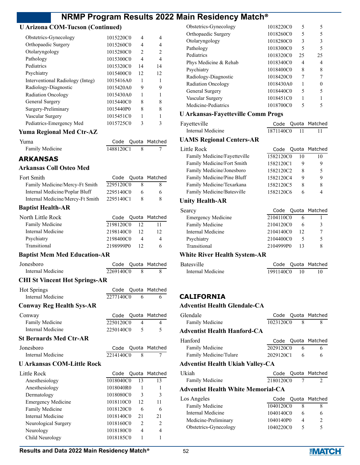### **U Arizona COM-Tucson (Continued)**

| Obstetrics-Gynecology            | 1015220C0 | 4                             |    |
|----------------------------------|-----------|-------------------------------|----|
| Orthopaedic Surgery              | 1015260C0 | 4                             | 4  |
| Otolaryngology                   | 1015280C0 | $\mathfrak{D}_{\mathfrak{p}}$ | 2  |
| Pathology                        | 1015300C0 | 4                             | 4  |
| Pediatrics                       | 1015320C0 | 14                            | 14 |
| Psychiatry                       | 1015400C0 | 12                            | 12 |
| Interventional Radiology (Integ) | 1015416A0 | 1                             |    |
| Radiology-Diagnostic             | 1015420A0 | 9                             | 9  |
| <b>Radiation Oncology</b>        | 1015430A0 |                               |    |
| General Surgery                  | 1015440C0 | 8                             | 8  |
| Surgery-Preliminary              | 1015440P0 | 8                             | 8  |
| Vascular Surgery                 | 1015451C0 |                               |    |
| Pediatrics-Emergency Med         | 1015725C0 | 3                             | 3  |
|                                  |           |                               |    |

#### **Yuma Regional Med Ctr-AZ**

| Yuma            |           | Code Quota Matched |
|-----------------|-----------|--------------------|
| Family Medicine | 1488120C1 |                    |

### **ARKANSAS**

#### **Arkansas Coll Osteo Med**

| Fort Smith                       |           |   | Code Quota Matched |
|----------------------------------|-----------|---|--------------------|
| Family Medicine/Mercy-Ft Smith   | 2295120C0 |   | 8.                 |
| Internal Medicine/Poplar Bluff   | 2295140C0 | 6 | 6.                 |
| Internal Medicine/Mercy-Ft Smith | 2295140C1 |   | 8.                 |

#### **Baptist Health-AR**

| North Little Rock      |           |    | Code Quota Matched |
|------------------------|-----------|----|--------------------|
| <b>Family Medicine</b> | 2198120C0 | 12 |                    |
| Internal Medicine      | 2198140C0 | 12 | 12                 |
| Psychiatry             | 2198400C0 |    | 4                  |
| Transitional           | 2198999P0 | 12 | 6                  |

#### **Baptist Mem Med Education-AR**

| Jonesboro                            |             |                | Code Quota Matched       |
|--------------------------------------|-------------|----------------|--------------------------|
| Internal Medicine                    | 2269140C0   | $\overline{8}$ | 8                        |
| <b>CHI St Vincent Hot Springs-AR</b> |             |                |                          |
| <b>Hot Springs</b>                   |             |                | Code Quota Matched       |
| Internal Medicine                    | 2277140C0 6 |                |                          |
| <b>Conway Reg Health Sys-AR</b>      |             |                |                          |
| Conway                               |             |                | Code Quota Matched       |
| Family Medicine                      | 2250120C0 4 |                | 4                        |
| Internal Medicine                    | 2250140C0   | 5              | $\overline{\phantom{0}}$ |
| <b>St Bernards Med Ctr-AR</b>        |             |                |                          |
| Jonesboro                            |             |                | Code Quota Matched       |
|                                      |             |                |                          |
| Internal Medicine                    | 2214140C0   | -8             |                          |

### **U Arkansas COM-Little Rock**

| Little Rock               | Code      |               | Quota Matched  |
|---------------------------|-----------|---------------|----------------|
| Anesthesiology            | 1018040C0 | 13            | 13             |
| Anesthesiology            | 1018040R0 |               |                |
| Dermatology               | 1018080C0 | 3             | 3              |
| <b>Emergency Medicine</b> | 1018110C0 | 12            | 11             |
| Family Medicine           | 1018120C0 | 6             | 6              |
| Internal Medicine         | 1018140C0 | 21            | 21             |
| Neurological Surgery      | 1018160C0 | $\mathcal{P}$ | $\overline{c}$ |
| Neurology                 | 1018180C0 | 4             | 4              |
| Child Neurology           | 1018185C0 |               |                |

| Obstetrics-Gynecology     | 1018220C0 | 5  | 5  |
|---------------------------|-----------|----|----|
| Orthopaedic Surgery       | 1018260C0 | 5  | 5  |
| Otolaryngology            | 1018280C0 | 3  | 3  |
| Pathology                 | 1018300C0 | 5  | 5  |
| Pediatrics                | 1018320C0 | 25 | 25 |
| Phys Medicine & Rehab     | 1018340C0 | 4  | 4  |
| Psychiatry                | 1018400C0 | 8  | 8  |
| Radiology-Diagnostic      | 1018420C0 |    |    |
| <b>Radiation Oncology</b> | 1018430A0 |    |    |
| General Surgery           | 1018440C0 | 5  |    |
| Vascular Surgery          | 1018451C0 |    |    |
| Medicine-Pediatrics       | 1018700C0 |    |    |

# **U Arkansas-Fayetteville Comm Progs**

| Fayetteville      |           | Code Quota Matched |
|-------------------|-----------|--------------------|
| Internal Medicine | 1871140C0 |                    |

### **UAMS Regional Centers-AR**

| Little Rock                  | Code      |    | Quota Matched |
|------------------------------|-----------|----|---------------|
| Family Medicine/Fayetteville | 1582120C0 | 10 | 10            |
| Family Medicine/Fort Smith   | 1582120C1 | 9  | 9             |
| Family Medicine/Jonesboro    | 1582120C2 | 8  | 5             |
| Family Medicine/Pine Bluff   | 1582120C4 | 9  | 9             |
| Family Medicine/Texarkana    | 1582120C5 | 8  | 8             |
| Family Medicine/Batesville   | 1582120C6 |    |               |

#### **Unity Health-AR**

| Searcy                    |           |    | Code Quota Matched |
|---------------------------|-----------|----|--------------------|
| <b>Emergency Medicine</b> | 2104110C0 |    |                    |
| Family Medicine           | 2104120C0 |    |                    |
| Internal Medicine         | 2104140C0 | 12 |                    |
| Psychiatry                | 2104400C0 |    |                    |
| Transitional              | 2104999P0 | 13 |                    |
|                           |           |    |                    |

### **White River Health System-AR**

| Batesville        |           | Code Quota Matched |
|-------------------|-----------|--------------------|
| Internal Medicine | 1991140C0 |                    |

# **CALIFORNIA**

#### **Adventist Health Glendale-CA**

| Glendale                           |             |   | Code Quota Matched |
|------------------------------------|-------------|---|--------------------|
| Family Medicine                    | 1023120C0 8 |   | 8                  |
| Adventist Health Hanford-CA        |             |   |                    |
| Hanford                            | Code        |   | Quota Matched      |
| Family Medicine                    | 2029120C0   | 6 | 6                  |
| Family Medicine/Tulare             | 2029120C1 6 |   | 6                  |
| Adventist Health Ukiah Valley-CA   |             |   |                    |
| Ukiah                              | Code        |   | Quota Matched      |
| Family Medicine                    | 2180120C0 7 |   | $\mathfrak{D}$     |
| Adventist Health White Memorial-CA |             |   |                    |
|                                    |             |   |                    |
| Los Angeles                        |             |   | Code Quota Matched |
| Family Medicine                    | 1040120C0   | 8 | 8                  |
| Internal Medicine                  | 1040140C0   | 6 | 6                  |
| Medicine-Preliminary               | 1040140P0   | 4 | 2                  |

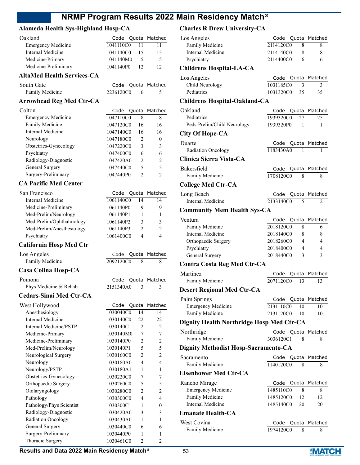#### **Alameda Health Sys-Highland Hosp-CA**

| Oakland                   |           |     | Code Quota Matched |
|---------------------------|-----------|-----|--------------------|
| <b>Emergency Medicine</b> | 1041110C0 |     |                    |
| Internal Medicine         | 1041140C0 | -15 | 15                 |
| Medicine-Primary          | 1041140M0 |     | ↖                  |
| Medicine-Preliminary      | 1041140P0 | 12  | 12                 |
|                           |           |     |                    |

# **AltaMed Health Services-CA**

| South Gate      |           | Code Quota Matched |
|-----------------|-----------|--------------------|
| Family Medicine | 2236120C0 |                    |

# **Arrowhead Reg Med Ctr-CA**

| Colton                    | Code      |               | Quota Matched  |
|---------------------------|-----------|---------------|----------------|
| <b>Emergency Medicine</b> | 1047110C0 | 8             | 8              |
| Family Medicine           | 1047120C0 | 16            | 16             |
| Internal Medicine         | 1047140C0 | 16            | 16             |
| Neurology                 | 1047180C0 | $\mathcal{L}$ | 0              |
| Obstetrics-Gynecology     | 1047220C0 | 3             | 3              |
| Psychiatry                | 1047400C0 | 6             | 6              |
| Radiology-Diagnostic      | 1047420A0 | 2             | $\mathfrak{D}$ |
| General Surgery           | 1047440C0 | 5             | 5              |
| Surgery-Preliminary       | 1047440P0 |               | っ              |

### **CA Pacific Med Center**

| San Francisco             |           |    | Code Quota Matched |
|---------------------------|-----------|----|--------------------|
| Internal Medicine         | 1061140C0 | 14 | 14                 |
| Medicine-Preliminary      | 1061140P0 | 9  | 9                  |
| Med-Prelim/Neurology      | 1061140P1 |    |                    |
| Med-Prelim/Ophthalmology  | 1061140P2 | 3  | 3                  |
| Med-Prelim/Anesthesiology | 1061140P3 | 2  | $\mathcal{P}$      |
| Psychiatry                | 1061400C0 | 4  | 4                  |
|                           |           |    |                    |

Code Quota Matched 2092120C0 8 8

### **California Hosp Med Ctr**

| Los Angeles     |  |
|-----------------|--|
| Family Medicine |  |

# **Casa Colina Hosp-CA**

Pomona **Code Quota Matched** Phys Medicine & Rehab  $2151340A0 \quad 3 \quad 3$ 

# **Cedars-Sinai Med Ctr-CA**

| West Hollywood            |           |                               | Code Quota Matched |
|---------------------------|-----------|-------------------------------|--------------------|
| Anesthesiology            | 1030040C0 | 14                            | 14                 |
| Internal Medicine         | 1030140C0 | 22                            | 22                 |
| Internal Medicine/PSTP    | 1030140C1 | $\mathfrak{D}_{\mathfrak{p}}$ | $\mathfrak{D}$     |
| Medicine-Primary          | 1030140M0 | 7                             | 7                  |
| Medicine-Preliminary      | 1030140P0 | $\overline{c}$                | $\overline{c}$     |
| Med-Prelim/Neurology      | 1030140P1 | 5                             | 5                  |
| Neurological Surgery      | 1030160C0 | 2                             | 2                  |
| Neurology                 | 1030180A0 | 4                             | 4                  |
| Neurology/PSTP            | 1030180A1 | 1                             | 1                  |
| Obstetrics-Gynecology     | 1030220C0 | 7                             | 7                  |
| Orthopaedic Surgery       | 1030260C0 | 5                             | 5                  |
| Otolaryngology            | 1030280C0 | $\mathfrak{D}$                | $\mathfrak{D}$     |
| Pathology                 | 1030300C0 | 4                             | 4                  |
| Pathology/Phys Scientist  | 1030300C1 | 1                             | $\Omega$           |
| Radiology-Diagnostic      | 1030420A0 | 3                             | 3                  |
| <b>Radiation Oncology</b> | 1030430A0 | 1                             | 1                  |
| General Surgery           | 1030440C0 | 6                             | 6                  |
| Surgery-Preliminary       | 1030440P0 | 1                             |                    |
| Thoracic Surgery          | 1030461C0 | $\mathfrak{D}$                | 2                  |
|                           |           |                               |                    |

# **Charles R Drew University-CA**

| Los Angeles                               | Code Quota                  | Matched             |
|-------------------------------------------|-----------------------------|---------------------|
| Family Medicine                           | 2114120C0                   | 8<br>8              |
| <b>Internal Medicine</b>                  | 2114140C0                   | 8<br>8              |
| Psychiatry                                | 2114400C0                   | 6<br>6              |
| Childrens Hospital-LA-CA                  |                             |                     |
| Los Angeles                               | Code Quota Matched          |                     |
| Child Neurology                           | 1031185C0                   | 3<br>3              |
| Pediatrics                                | 1031320C0<br>35             | 35                  |
| <b>Childrens Hospital-Oakland-CA</b>      |                             |                     |
| Oakland                                   | Code                        | Quota Matched       |
| Pediatrics                                | 1939320C0<br>27             | 25                  |
| Peds-Prelim/Child Neurology               | 1939320P0<br>1              | 1                   |
| <b>City Of Hope-CA</b>                    |                             |                     |
| Duarte                                    | Code Quota                  | Matched             |
| Radiation Oncology                        | 1183430A0                   | 1<br>1              |
| Clinica Sierra Vista-CA                   |                             |                     |
| Bakersfield                               | Quota<br>Code               | Matched             |
| Family Medicine                           | 1708120C0                   | 8<br>8              |
| <b>College Med Ctr-CA</b>                 |                             |                     |
| Long Beach                                | Code<br>Quota               | Matched             |
| <b>Internal Medicine</b>                  | 2133140C0                   | 5<br>2              |
| <b>Community Mem Health Sys-CA</b>        |                             |                     |
| Ventura                                   | Code Quota                  | Matched             |
| Family Medicine                           | 2018120C0                   | 8<br>6              |
| Internal Medicine                         | 2018140C0                   | 8<br>8              |
| Orthopaedic Surgery                       | 2018260C0                   | $\overline{4}$<br>4 |
| Psychiatry                                | 2018400C0<br>$\overline{4}$ | 4                   |
| General Surgery                           | 2018440C0                   | 3<br>3              |
| <b>Contra Costa Reg Med Ctr-CA</b>        |                             |                     |
| <b>Martinez</b>                           | Quota<br>Code               | Matched             |
| Family Medicine                           | 2071120C0<br>13             | 13                  |
| <b>Desert Regional Med Ctr-CA</b>         |                             |                     |
| Palm Springs                              | Quota<br>Code               | Matched             |
| <b>Emergency Medicine</b>                 | 2131110C0<br>10             | 10                  |
| Family Medicine                           | 2131120C0<br>10             | 10                  |
| Dignity Health Northridge Hosp Med Ctr-CA |                             |                     |
| Northridge                                | Quota<br>Code               | Matched             |
| Family Medicine                           | 3036120C1                   | 8<br>8              |
| Dignity Methodist Hosp-Sacramento-CA      |                             |                     |
| Sacramento                                | Quota<br>Code               | Matched             |
| Family Medicine                           | 1140120C0                   | 8<br>8              |
| Eisenhower Med Ctr-CA                     |                             |                     |
| Rancho Mirage                             | Code<br>Quota               | Matched             |
| <b>Emergency Medicine</b>                 | 1485110C0                   | 8<br>8              |
| Family Medicine                           | 1485120C0<br>12             | 12                  |
| <b>Internal Medicine</b>                  | 1485140C0<br>20             | 20                  |
| <b>Emanate Health-CA</b>                  |                             |                     |
| West Covina                               | Code                        |                     |
| <b>Family Medicine</b>                    | Quota<br>1974120C0          | Matched<br>8<br>8   |
|                                           |                             |                     |

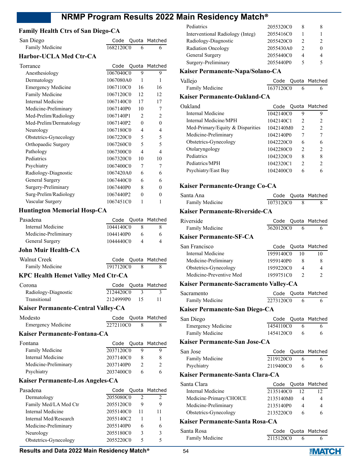| <b>Family Health Ctrs of San Diego-CA</b> |           |                |                |
|-------------------------------------------|-----------|----------------|----------------|
| San Diego                                 | Code      |                | Quota Matched  |
| Family Medicine                           | 1682120C0 | 6              | 6              |
| <b>Harbor-UCLA Med Ctr-CA</b>             |           |                |                |
| Torrance                                  | Code      |                | Quota Matched  |
| Anesthesiology                            | 1067040C0 | 9              | 9              |
| Dermatology                               | 1067080A0 | 1              | 1              |
| <b>Emergency Medicine</b>                 | 1067110C0 | 16             | 16             |
| Family Medicine                           | 1067120C0 | 12             | 12             |
| Internal Medicine                         | 1067140C0 | 17             | 17             |
| Medicine-Preliminary                      | 1067140P0 | 10             | 7              |
| Med-Prelim/Radiology                      | 1067140P1 | 2              | 2              |
| Med-Prelim/Dermatology                    | 1067140P2 | $\Omega$       | $\theta$       |
| Neurology                                 | 1067180C0 | $\overline{4}$ | 4              |
| Obstetrics-Gynecology                     | 1067220C0 | 5              | 5              |
| Orthopaedic Surgery                       | 1067260C0 | 5              | 5              |
| Pathology                                 | 1067300C0 | $\overline{4}$ | $\overline{4}$ |
| Pediatrics                                | 1067320C0 | 10             | 10             |
| Psychiatry                                | 1067400C0 | 7              | 7              |
| Radiology-Diagnostic                      | 1067420A0 | 6              | 6              |
| General Surgery                           | 1067440C0 | 6              | 6              |
| Surgery-Preliminary                       | 1067440P0 | 8              | $\theta$       |
| Surg-Prelim/Radiology                     | 1067440P2 | $\theta$       | $\theta$       |
| Vascular Surgerv                          | 1067451C0 | 1              | 1              |

### **Huntington Memorial Hosp-CA**

| Pasadena                                  |           |    | Code Quota Matched |
|-------------------------------------------|-----------|----|--------------------|
| Internal Medicine                         | 1044140C0 | 8  | 8                  |
| Medicine-Preliminary                      | 1044140P0 | 6  | 6                  |
| General Surgery                           | 1044440C0 | 4  |                    |
| John Muir Health-CA                       |           |    |                    |
| Walnut Creek                              |           |    | Code Quota Matched |
| Family Medicine                           | 1917120C0 | 8  | 8                  |
| <b>KPC Health Hemet Valley Med Ctr-CA</b> |           |    |                    |
| Corona                                    |           |    | Code Quota Matched |
| Radiology-Diagnostic                      | 2124420C0 | 3  | 3                  |
| Transitional                              | 2124999P0 | 15 |                    |

#### **Kaiser Permanente-Central Valley-CA**

| Modesto                   |           | Code Quota Matched |
|---------------------------|-----------|--------------------|
| <b>Emergency Medicine</b> | 2272110C0 |                    |

#### **Kaiser Permanente-Fontana-CA**

| Fontana              |           | Code Quota Matched |
|----------------------|-----------|--------------------|
| Family Medicine      | 2037120C0 |                    |
| Internal Medicine    | 2037140C0 |                    |
| Medicine-Preliminary | 2037140P0 |                    |
| Psychiatry           | 2037400C0 |                    |

#### **Kaiser Permanente-Los Angeles-CA**

| Pasadena              |           |    | Code Quota Matched |
|-----------------------|-----------|----|--------------------|
| Dermatology           | 2055080C0 |    | $\mathcal{D}$      |
| Family Med/LA Med Ctr | 2055120C0 | 9  |                    |
| Internal Medicine     | 2055140C0 | 11 | 11                 |
| Internal Med/Research | 2055140C2 |    |                    |
| Medicine-Preliminary  | 2055140P0 | 6  |                    |
| Neurology             | 2055180C0 | 3  |                    |
| Obstetrics-Gynecology | 2055220C0 |    |                    |

### Interventional Radiology (Integ) 2055416C0 1 1 Radiology-Diagnostic 2055420C0 2 2 Radiation Oncology 2055430A0 2 0 General Surgery 2055440C0 4 4 Surgery-Preliminary 2055440P0 5 5 **Kaiser Permanente-Napa/Solano-CA** Vallejo Code Quota Matched Family Medicine 1637120C0 6 6 **Kaiser Permanente-Oakland-CA** Oakland Code Quota Matched Internal Medicine 1042140C0 9 9 Internal Medicine/MPH 1042140C1 2 2 Med-Primary/Equity & Disparities 1042140M0 2 2 Medicine-Preliminary 1042140P0 7 7 Obstetrics-Gynecology 1042220C0 6 6 Otolaryngology 1042280C0 2 2 Pediatrics 1042320C0 8 8 Pediatrics/MPH 1042320C1 2 2 Psychiatry/East Bay 1042400C0 6 6 **Kaiser Permanente-Orange Co-CA** Santa Ana Code Quota Matched Family Medicine 1073120C0 8 8 **Kaiser Permanente-Riverside-CA** Riverside **Code Quota Matched** Family Medicine 3620120C0 6 6 **Kaiser Permanente-SF-CA** San Francisco Code Quota Matched Internal Medicine 1959140C0 10 10 Medicine-Preliminary 1959140P0 8 8 Obstetrics-Gynecology 1959220C0 4 4 Medicine-Preventive Med 1959751C0 2 2 **Kaiser Permanente-Sacramento Valley-CA** Sacramento Code Quota Matched Family Medicine 2273120C0 6 6 **Kaiser Permanente-San Diego-CA** San Diego Code Quota Matched Emergency Medicine 1454110C0 6 6 Family Medicine 1454120C0 6 6 **Kaiser Permanente-San Jose-CA** San Jose **Code Quota Matched** Family Medicine 2119120C0 6 6 Psychiatry 2119400C0 6 6 **Kaiser Permanente-Santa Clara-CA** Santa Clara **Code Quota Matched** Internal Medicine 2135140C0 12 12 Medicine-Primary/CHOICE 2135140M0 4 4 Medicine-Preliminary 2135140P0 4 4 Obstetrics-Gynecology 2135220C0 6 6 **Kaiser Permanente-Santa Rosa-CA** Santa Rosa **Code Quota Matched** Family Medicine 2115120C0 6 6

Pediatrics 2055320C0 8 8

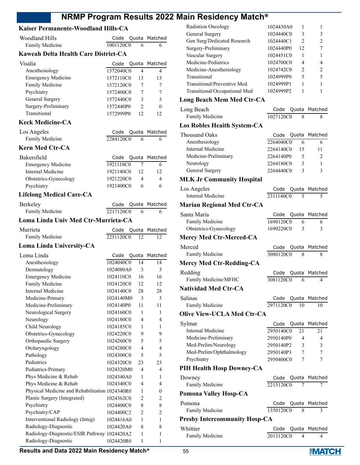# **Kaiser Permanente-Woodland Hills-CA**

| <b>Woodland Hills</b>                          | Code      | Quota                   | Matched          |
|------------------------------------------------|-----------|-------------------------|------------------|
| Family Medicine                                | 1001120C0 | 6                       | 6                |
| Kaweah Delta Health Care District-CA           |           |                         |                  |
| Visalia                                        | Code      | Quota                   | Matched          |
| Anesthesiology                                 | 1572040C0 | 4                       | 4                |
| <b>Emergency Medicine</b>                      | 1572110C0 | 13                      | 13               |
| Family Medicine                                | 1572120C0 | 7                       | 7                |
| Psychiatry                                     | 1572400C0 | 7                       | 7                |
| General Surgery                                | 1572440C0 | 3                       | 3                |
| Surgery-Preliminary                            | 1572440P0 | 2                       | $\mathbf{0}$     |
| Transitional                                   | 1572999P0 | 12                      | 12               |
| <b>Keck Medicine-CA</b>                        |           |                         |                  |
| Los Angeles                                    | Code      | Quota                   | Matched          |
| Family Medicine                                | 2284120C0 | 6                       | 6                |
| <b>Kern Med Ctr-CA</b>                         |           |                         |                  |
| Bakersfield                                    | Code      | Quota                   | Matched          |
| <b>Emergency Medicine</b>                      | 1921110C0 | $\overline{7}$          | 6                |
| Internal Medicine                              | 1921140C0 | 12                      | 12               |
| Obstetrics-Gynecology                          | 1921220C0 | 4                       | 4                |
| Psychiatry                                     | 1921400C0 | 6                       | 6                |
| <b>Lifelong Medical Care-CA</b>                |           |                         |                  |
| Berkeley                                       | Code      | Quota                   | Matched          |
| Family Medicine                                | 2217120C0 | 6                       | 6                |
| Loma Linda Univ Med Ctr-Murrieta-CA            |           |                         |                  |
| Murrieta                                       | Code      | Quota                   | Matched          |
| Family Medicine                                | 2251120C0 | 12                      | 12               |
| Loma Linda University-CA                       |           |                         |                  |
| Loma Linda                                     | Code      | Quota                   | Matched          |
| Anesthesiology                                 | 1024040C0 | 14                      | 14               |
| Dermatology                                    | 1024080A0 | 3                       | 3                |
| <b>Emergency Medicine</b>                      | 1024110C0 | 16                      | 16               |
| Family Medicine                                | 1024120C0 | 12                      | 12               |
| <b>Internal Medicine</b>                       | 1024140C0 | 28                      | 28               |
| Medicine-Primary                               | 1024140M0 | $\overline{\mathbf{3}}$ | $\overline{3}$   |
| Medicine-Preliminary                           | 1024140P0 | 11                      | 11               |
| Neurological Surgery                           | 1024160C0 | 1                       | 1                |
| Neurology                                      | 1024180C0 | 4                       | 4                |
| Child Neurology                                | 1024185C0 | 1                       | 1                |
| Obstetrics-Gynecology                          | 1024220C0 | 9                       | 9                |
| Orthopaedic Surgery                            | 1024260C0 | 5                       | 5                |
| Otolaryngology                                 | 1024280C0 | 4                       | 4                |
| Pathology                                      | 1024300C0 | 5                       | 5                |
| Pediatrics                                     | 1024320C0 | 23                      | 23               |
| Pediatrics-Primary                             | 1024320M0 | 4                       | 4                |
| Phys Medicine & Rehab                          | 1024340A0 | 1                       | 1                |
| Phys Medicine & Rehab                          | 1024340C0 | 4                       | 4                |
| Physical Medicine and Rehabilitation 1024340R0 |           | 1                       | $\boldsymbol{0}$ |
| Plastic Surgery (Integrated)                   | 1024362C0 | 2                       | 2                |
| Psychiatry                                     | 1024400C0 | 8                       | 8                |
| Psychiatry/CAP                                 | 1024400C2 | 2                       | $\overline{c}$   |
| Interventional Radiology (Integ)               | 1024416A0 | 1                       | 1                |
| Radiology-Diagnostic                           | 1024420A0 | 8                       | 8                |
| Radiology-Diagnostic/ESIR Pathway 1024420A2    |           | 1                       | 1                |
| Radiology-Diagnostic                           | 1024420R0 | 1                       | 1                |

| Radiation Oncology                   | 1024430A0<br>1          | 1                   |
|--------------------------------------|-------------------------|---------------------|
| General Surgery                      | 3<br>1024440C0          | 3                   |
| Gen Surg/Dedicated Research          | 1024440C1<br>2          | 2                   |
| Surgery-Preliminary                  | 1024440P0<br>12         | 7                   |
| Vascular Surgery                     | 1024451C0<br>1          | 1                   |
| Medicine-Pediatrics                  | 1024700C0<br>4          | 4                   |
| Medicine-Anesthesiology              | 1024742C0<br>2          | $\overline{2}$      |
| Transitional                         | 5<br>1024999P0          | 5                   |
| Transitional/Preventive Med          | 1024999P1<br>1          | 1                   |
| Transitional/Occupational Med        | 1024999P2<br>1          | 1                   |
| <b>Long Beach Mem Med Ctr-CA</b>     |                         |                     |
| Long Beach                           | Code<br>Quota           | Matched             |
| Family Medicine                      | 1027120C0<br>8          | 8                   |
| Los Robles Heaith System-CA          |                         |                     |
| <b>Thousand Oaks</b>                 | Code                    | Quota Matched       |
| Anesthesiology                       | 2264040C0<br>6          | 6                   |
| Internal Medicine                    | 2264140C0<br>15         | 11                  |
| Medicine-Preliminary                 | 2264140P0<br>5          | 2                   |
| Neurology                            | 2264180C0<br>3          | 1                   |
| General Surgery                      | 2264440C0<br>3          | 3                   |
| <b>MLK Jr Community Hospital</b>     |                         |                     |
| Los Angeles                          | Code Quota Matched      |                     |
| <b>Internal Medicine</b>             | 2311140C0<br>5          | 5                   |
| <b>Marian Regional Med Ctr-CA</b>    |                         |                     |
| Santa Maria                          | Quota<br>Code           | Matched             |
| Family Medicine                      | 1690120C0<br>6          | 6                   |
| Obstetrics-Gynecology                | 1690220C0<br>3          | 3                   |
| Mercy Med Ctr-Merced-CA              |                         |                     |
| Merced                               | Code                    | Quota Matched       |
| Family Medicine                      | 3080120C0<br>8          | 8                   |
| <b>Mercy Med Ctr-Redding-CA</b>      |                         |                     |
| Redding                              | Code<br>Quota           | Matched             |
| Family Medicine/MFHC                 | 3081120C0<br>6          | 4                   |
| <b>Natividad Med Ctr-CA</b>          |                         |                     |
| Salinas                              |                         |                     |
| Family Medicine                      | Code<br>2971120C0<br>10 | Quota Matched<br>10 |
| <b>Olive View-UCLA Med Ctr-CA</b>    |                         |                     |
|                                      |                         |                     |
| Sylmar                               | Quota<br>Code           | Matched             |
| Internal Medicine                    | 2950140C0<br>21         | 21                  |
| Medicine-Preliminary                 | 2950140P0<br>4          | 4                   |
| Med-Prelim/Neurology                 | 2950140P2<br>3          | 3                   |
| Med-Prelim/Ophthalmology             | 2950140P3<br>7          | 7                   |
| Psychiatry                           | 2950400C0<br>7          | 7                   |
| PIH Health Hosp Downey-CA            |                         |                     |
| Downey                               | Code                    | Quota Matched       |
| Family Medicine                      | 2215120C0<br>7          | 7                   |
| Pomona Valley Hosp-CA                |                         |                     |
| Pomona                               | Code                    | Quota Matched       |
| Family Medicine                      | 1350120C0<br>8          | 3                   |
| <b>Presby Intercommunity Hosp-CA</b> |                         |                     |
| Whittier                             | Quota<br>Code           | Matched             |
| Family Medicine                      | 2013120C0<br>4          | 4                   |

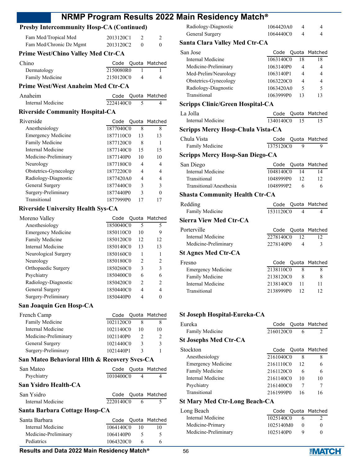### **Presby Intercommunity Hosp-CA (Continued)**

| Fam Med/Tropical Med<br>Fam Med/Chronic Dz Mgmt | 2013120C1<br>2013120C2 | $\theta$ | $\mathfrak{D}_{\mathfrak{p}}$<br>0 |
|-------------------------------------------------|------------------------|----------|------------------------------------|
| <b>Prime West/Chino Valley Med Ctr-CA</b>       |                        |          |                                    |
| Chino                                           | Code Quota Matched     |          |                                    |
| Dermatology                                     | 2150080R0              |          |                                    |
| Family Medicine                                 | 2150120C0              | 4        |                                    |

#### **Prime West/West Anaheim Med Ctr-CA**

| Anaheim           |           | Code Quota Matched |
|-------------------|-----------|--------------------|
| Internal Medicine | 2224140C0 |                    |

#### **Riverside Community Hospital-CA**

| Riverside                 |           |    | Code Quota Matched |
|---------------------------|-----------|----|--------------------|
| Anesthesiology            | 1877040C0 | 8  | 8                  |
| <b>Emergency Medicine</b> | 1877110C0 | 13 | 13                 |
| Family Medicine           | 1877120C0 | 8  |                    |
| Internal Medicine         | 1877140C0 | 15 | 15                 |
| Medicine-Preliminary      | 1877140P0 | 10 | 10                 |
| Neurology                 | 1877180C0 | 4  | 4                  |
| Obstetrics-Gynecology     | 1877220C0 | 4  | 4                  |
| Radiology-Diagnostic      | 1877420A0 | 4  |                    |
| General Surgery           | 1877440C0 | 3  |                    |
| Surgery-Preliminary       | 1877440P0 | 3  |                    |
| Transitional              | 1877999P0 |    |                    |

#### **Riverside University Health Sys-CA**

| Moreno Valley             |           |               | Code Quota Matched |
|---------------------------|-----------|---------------|--------------------|
| Anesthesiology            | 1850040C0 | 5             | 5                  |
| <b>Emergency Medicine</b> | 1850110C0 | 10            | 9                  |
| Family Medicine           | 1850120C0 | 12            | 12                 |
| Internal Medicine         | 1850140C0 | 13            | 13                 |
| Neurological Surgery      | 1850160C0 |               |                    |
| Neurology                 | 1850180C0 | $\mathcal{P}$ | $\mathcal{P}$      |
| Orthopaedic Surgery       | 1850260C0 | 3             | 3                  |
| Psychiatry                | 1850400C0 | 6             |                    |
| Radiology-Diagnostic      | 1850420C0 | $\mathcal{P}$ | $\mathfrak{D}$     |
| General Surgery           | 1850440C0 | 4             |                    |
| Surgery-Preliminary       | 1850440P0 |               |                    |

#### **San Joaquin Gen Hosp-CA**

| French Camp          | Code Quota Matched |    |               |
|----------------------|--------------------|----|---------------|
| Family Medicine      | 1021120C0          |    |               |
| Internal Medicine    | 1021140C0          | 10 | 10            |
| Medicine-Preliminary | 1021140P0          |    | $\mathcal{D}$ |
| General Surgery      | 1021440C0          | 3  | 3             |
| Surgery-Preliminary  | 1021440P1          |    |               |

#### **San Mateo Behavioral Hlth & Recovery Svcs-CA**

| San Mateo                     |           | Code Quota Matched |
|-------------------------------|-----------|--------------------|
| Psychiatry                    | 1010400C0 | $\Delta$           |
| San Ysidro Health-CA          |           |                    |
| San Ysidro                    |           | Code Quota Matched |
| Internal Medicine             | 2220140C0 |                    |
| Santa Rarhara Cattaga Haen CA |           |                    |

### **Santa Barbara Cottage Hosp-CA**

| Santa Barbara        |           |               | Code Quota Matched |
|----------------------|-----------|---------------|--------------------|
| Internal Medicine    | 1064140C0 | 10            |                    |
| Medicine-Preliminary | 1064140P0 | $\mathcal{F}$ |                    |
| Pediatrics           | 1064320C0 | 6             |                    |

| Radiology-Diagnostic | 1064420A0 |  |
|----------------------|-----------|--|
| General Surgery      | 1064440C0 |  |

#### **Santa Clara Valley Med Ctr-CA**

| San Jose              | Code      |    | Quota Matched |
|-----------------------|-----------|----|---------------|
| Internal Medicine     | 1063140C0 | 18 | 18            |
| Medicine-Preliminary  | 1063140P0 |    | 4             |
| Med-Prelim/Neurology  | 1063140P1 | 4  | 4             |
| Obstetrics-Gynecology | 1063220C0 | 4  | 4             |
| Radiology-Diagnostic  | 1063420A0 | 5  | 5             |
| Transitional          | 1063999P0 | 13 | 13            |
|                       |           |    |               |

#### **Scripps Clinic/Green Hospital-CA**

La Jolla

| a Jolla           |              | Code Quota Matched |
|-------------------|--------------|--------------------|
| Internal Medicine | 1340140C0 15 |                    |

#### **Scripps Mercy Hosp-Chula Vista-CA**

| Chula Vista                     |           |    | Code Quota Matched |
|---------------------------------|-----------|----|--------------------|
| Family Medicine                 | 1375120C0 | Q  | Q                  |
| Scripps Mercy Hosp-San Diego-CA |           |    |                    |
| San Diego                       |           |    | Code Quota Matched |
| Internal Medicine               | 1048140C0 | 14 | 14                 |
| Transitional                    | 1048999P0 | 12 | 12                 |
| Transitional/Anesthesia         | 1048999P2 | 6  | 6                  |

#### **Shasta Community Health Ctr-CA**

| Redding                   |           |                | Code Quota Matched |
|---------------------------|-----------|----------------|--------------------|
| <b>Family Medicine</b>    | 1531120C0 | $\overline{4}$ | 4                  |
| Sierra View Med Ctr-CA    |           |                |                    |
| Porterville               | Code      |                | Quota Matched      |
| Internal Medicine         | 2278140C0 | 12             | 12                 |
| Medicine-Preliminary      | 2278140P0 | $\overline{4}$ | 3                  |
| St Agnes Med Ctr-CA       |           |                |                    |
| Fresno                    |           |                | Code Quota Matched |
| <b>Emergency Medicine</b> | 2138110C0 | 8              | 8                  |
| <b>Family Medicine</b>    | 2138120C0 | 8              | 8                  |
| Internal Medicine         | 2138140C0 | 11             | 11                 |
| Transitional              | 2138999P0 | 12             | 12                 |

#### **St Joseph Hospital-Eureka-CA**

| Eureka                        | Code       |    | Quota Matched |
|-------------------------------|------------|----|---------------|
| Family Medicine               | 2160120C0  | 6  | $\mathcal{D}$ |
| <b>St Josephs Med Ctr-CA</b>  |            |    |               |
| Stockton                      | Code       |    | Quota Matched |
| Anesthesiology                | 2161040C0  | 8  | 8             |
| <b>Emergency Medicine</b>     | 2161110C0  | 12 | 6             |
| Family Medicine               | 2161120C0  | 6  | 6             |
| Internal Medicine             | 2161140C0  | 10 | 10            |
| Psychiatry                    | 2161400C0  | 7  | 7             |
| Transitional                  | 2161999P0  | 16 | 16            |
| $\blacksquare$<br>$\sim$<br>™ | $\sqrt{1}$ |    |               |

#### **St Mary Med Ctr-Long Beach-CA**

|            | Code Quota Matched |
|------------|--------------------|
|            |                    |
| $^{\circ}$ |                    |
| $^{\circ}$ |                    |
|            |                    |

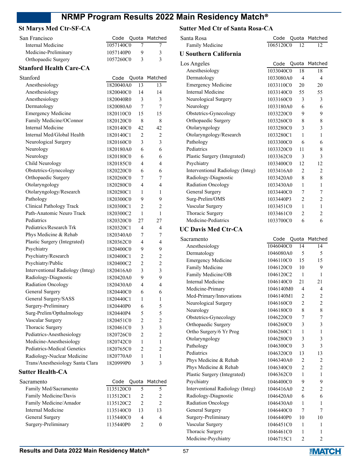#### **St Marys Med Ctr-SF-CA**

| San Francisco                  |           |   | Code Quota Matched |
|--------------------------------|-----------|---|--------------------|
| Internal Medicine              | 1057140C0 |   |                    |
| Medicine-Preliminary           | 1057140P0 |   | 3                  |
| Orthopaedic Surgery            | 1057260C0 | 3 | 3                  |
| <b>Stanford Health Care-CA</b> |           |   |                    |

| Stanford                         | Code      | Quota          | Matched                  |
|----------------------------------|-----------|----------------|--------------------------|
| Anesthesiology                   | 1820040A0 | 13             | 13                       |
| Anesthesiology                   | 1820040C0 | 14             | 14                       |
| Anesthesiology                   | 1820040R0 | 3              | 3                        |
| Dermatology                      | 1820080A0 | 7              | 7                        |
| <b>Emergency Medicine</b>        | 1820110C0 | 15             | 15                       |
| Family Medicine/OConnor          | 1820120C0 | 8              | 8                        |
| Internal Medicine                | 1820140C0 | 42             | 42                       |
| Internal Med/Global Health       | 1820140C1 | $\overline{2}$ | $\overline{2}$           |
| Neurological Surgery             | 1820160C0 | 3              | 3                        |
| Neurology                        | 1820180A0 | 6              | 6                        |
| Neurology                        | 1820180C0 | 6              | 6                        |
| Child Neurology                  | 1820185C0 | 4              | 4                        |
| Obstetrics-Gynecology            | 1820220C0 | 6              | 6                        |
| Orthopaedic Surgery              | 1820260C0 | 7              | 7                        |
| Otolaryngology                   | 1820280C0 | 4              | 4                        |
| Otolaryngology/Research          | 1820280C1 | 1              | 1                        |
| Pathology                        | 1820300C0 | 9              | 9                        |
| Clinical Pathology Track         | 1820300C1 | $\overline{c}$ | $\overline{c}$           |
| Path-Anatomic Neuro Track        | 1820300C2 | 1              | 1                        |
| Pediatrics                       | 1820320C0 | 27             | 27                       |
| Pediatrics/Research Trk          | 1820320C1 | 4              | 4                        |
| Phys Medicine & Rehab            | 1820340A0 | 7              | 7                        |
| Plastic Surgery (Integrated)     | 1820362C0 | 4              | $\overline{\mathcal{L}}$ |
| Psychiatry                       | 1820400C0 | 9              | 9                        |
| Psychiatry/Research              | 1820400C1 | $\overline{2}$ | 2                        |
| Psychiatry/Public                | 1820400C2 | 2              | $\overline{2}$           |
| Interventional Radiology (Integ) | 1820416A0 | 3              | 3                        |
| Radiology-Diagnostic             | 1820420A0 | 9              | 9                        |
| Radiation Oncology               | 1820430A0 | 4              | $\overline{4}$           |
| General Surgery                  | 1820440C0 | 6              | 6                        |
| General Surgery/SASS             | 1820440C1 | 1              | 1                        |
| Surgery-Preliminary              | 1820440P0 | 6              | 5                        |
| Surg-Prelim/Opthalmology         | 1820440P4 | 5              | 5                        |
| Vascular Surgery                 | 1820451C0 | $\overline{2}$ | $\overline{2}$           |
| Thoracic Surgery                 | 1820461C0 | 3              | 3                        |
| Pediatrics-Anesthesiology        | 1820726C0 | $\overline{c}$ | $\overline{c}$           |
| Medicine-Anesthesiology          | 1820742C0 | 1              | 1                        |
| Pediatrics-Medical Genetics      | 1820765C0 | $\overline{2}$ | $\overline{2}$           |
| Radiology-Nuclear Medicine       | 1820770A0 | $\mathbf{1}$   | 1                        |
| Trans/Anesthesiology Santa Clara | 1820999P0 | 3              | 3                        |

#### **Sutter Health-CA**

| Sacramento             |           |    | Code Quota Matched |
|------------------------|-----------|----|--------------------|
| Family Med/Sacramento  | 1135120C0 |    |                    |
| Family Medicine/Davis  | 1135120C1 |    |                    |
| Family Medicine/Amador | 1135120C2 |    |                    |
| Internal Medicine      | 1135140C0 | 13 | 13                 |
| General Surgery        | 1135440C0 | 4  |                    |
| Surgery-Preliminary    | 1135440P0 |    |                    |

#### **Sutter Med Ctr of Santa Rosa-CA**

Santa Rosa **Code Quota Matched** Family Medicine 1065120C0 12 12

| <b>U Southern California</b>     |           |                |                |
|----------------------------------|-----------|----------------|----------------|
| Los Angeles                      | Code      |                | Quota Matched  |
| Anesthesiology                   | 1033040C0 | 18             | 18             |
| Dermatology                      | 1033080A0 | 4              | 4              |
| <b>Emergency Medicine</b>        | 1033110C0 | 20             | 20             |
| <b>Internal Medicine</b>         | 1033140C0 | 55             | 55             |
| Neurological Surgery             | 1033160C0 | 3              | 3              |
| Neurology                        | 1033180A0 | 6              | 6              |
| Obstetrics-Gynecology            | 1033220C0 | 9              | 9              |
| Orthopaedic Surgery              | 1033260C0 | 8              | 8              |
| Otolaryngology                   | 1033280C0 | 3              | 3              |
| Otolaryngology/Research          | 1033280C1 | 1              | 1              |
| Pathology                        | 1033300C0 | 6              | 6              |
| Pediatrics                       | 1033320C0 | 11             | 8              |
| Plastic Surgery (Integrated)     | 1033362C0 | 3              | 3              |
| Psychiatry                       | 1033400C0 | 12             | 12             |
| Interventional Radiology (Integ) | 1033416A0 | 2              | 2              |
| Radiology-Diagnostic             | 1033420A0 | 8              | 8              |
| Radiation Oncology               | 1033430A0 | 1              | 1              |
| General Surgery                  | 1033440C0 | 7              | 7              |
| Surg-Prelim/OMS                  | 1033440P3 | $\overline{2}$ | $\overline{c}$ |
| Vascular Surgery                 | 1033451C0 | 1              | 1              |
| Thoracic Surgery                 | 1033461C0 | $\overline{c}$ | 2              |
| Medicine-Pediatrics              | 1033700C0 | 6              | 6              |
| <b>UC Davis Med Ctr-CA</b>       |           |                |                |
| Sacramento                       | Code      | Quota          | Matched        |
| Anesthesiology                   | 1046040C0 | 14             | 14             |
| Dermatology                      | 1046080A0 | 5              | 5              |
| <b>Emergency Medicine</b>        | 1046110C0 | 15             | 15             |
| Family Medicine                  | 1046120C0 | 10             | 9              |
| Family Medicine/OB               | 1046120C2 | 1              | 1              |
| Internal Medicine                | 1046140C0 | 21             | 21             |
| Medicine-Primary                 | 1046140M0 | 4              | 4              |
| Med-Primary/Innovations          | 1046140M1 | 2              | 2              |
| Neurological Surgery             | 1046160C0 | 2              | 2              |
| Neurology                        | 1046180C0 | 8              | 8              |
| Obstetrics-Gynecology            | 1046220C0 | 7              | 7              |
| Orthopaedic Surgery              | 1046260C0 | $\mathfrak{Z}$ | 3              |
| Ortho Surgery/6 Yr Prog          | 1046260C1 | $\mathbf{1}$   | $\mathbf{1}$   |
| Otolaryngology                   | 1046280C0 | 3              | 3              |
| Pathology                        | 1046300C0 | 3              | 3              |
| Pediatrics                       | 1046320C0 | 13             | 13             |
| Phys Medicine & Rehab            | 1046340A0 | $\overline{c}$ | 2              |
| Phys Medicine & Rehab            | 1046340C0 | $\overline{c}$ | $\overline{c}$ |
| Plastic Surgery (Integrated)     | 1046362C0 | 1              | $\mathbf{1}$   |
| Psychiatry                       | 1046400C0 | 9              | 9              |
| Interventional Radiology (Integ) | 1046416A0 | $\overline{c}$ | $\sqrt{2}$     |
| Radiology-Diagnostic             | 1046420A0 | 6              | 6              |
| Radiation Oncology               | 1046430A0 | $\mathbf{1}$   | $\mathbf{1}$   |
| General Surgery                  | 1046440C0 | 7              | 7              |
| Surgery-Preliminary              | 1046440P0 | 10             | 10             |
| Vascular Surgery                 | 1046451C0 | 1              | 1              |
| Thoracic Surgery                 | 1046461C0 | 1              | 1              |
| Medicine-Psychiatry              | 1046715C1 | $\overline{c}$ | $\overline{c}$ |
|                                  |           |                |                |

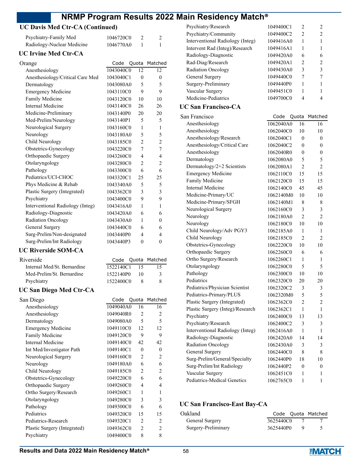| NRMP Program Results 202               |           |                |                |
|----------------------------------------|-----------|----------------|----------------|
| <b>UC Davis Med Ctr-CA (Continued)</b> |           |                |                |
| Psychiatry-Family Med                  | 1046720C0 | 2              | 2              |
| Radiology-Nuclear Medicine             | 1046770A0 | 1              | 1              |
| <b>UC Irvine Med Ctr-CA</b>            |           |                |                |
| Orange                                 | Code      | Quota          | Matched        |
| Anesthesiology                         | 1043040C0 | 12             | 12             |
| Anesthesiology/Critical Care Med       | 1043040C1 | 0              | 0              |
| Dermatology                            | 1043080A0 | 5              | 5              |
| <b>Emergency Medicine</b>              | 1043110C0 | 9              | 9              |
| Family Medicine                        | 1043120C0 | 10             | 10             |
| <b>Internal Medicine</b>               | 1043140C0 | 26             | 26             |
| Medicine-Preliminary                   | 1043140P0 | 20             | 20             |
| Med-Prelim/Neurology                   | 1043140P1 | 5              | 5              |
| Neurological Surgery                   | 1043160C0 | 1              | 1              |
| Neurology                              | 1043180A0 | 5              | 5              |
| Child Neurology                        | 1043185C0 | $\overline{2}$ | $\overline{c}$ |
| Obstetrics-Gynecology                  | 1043220C0 | 7              | $\overline{7}$ |
| Orthopaedic Surgery                    | 1043260C0 | 4              | 4              |
| Otolaryngology                         | 1043280C0 | $\overline{2}$ | $\overline{2}$ |
| Pathology                              | 1043300C0 | 6              | 6              |
| Pediatrics/UCI-CHOC                    | 1043320C1 | 25             | 25             |
| Phys Medicine & Rehab                  | 1043340A0 | 5              | 5              |
| Plastic Surgery (Integrated)           | 1043362C0 | 3              | 3              |
| Psychiatry                             | 1043400C0 | 9              | 9              |
| Interventional Radiology (Integ)       | 1043416A0 | 1              | 1              |
| Radiology-Diagnostic                   | 1043420A0 | 6              | 6              |
| Radiation Oncology                     | 1043430A0 | 1              | 0              |
| General Surgery                        | 1043440C0 | 6              | 6              |
| Surg-Prelim/Non-designated             | 1043440P0 | 4              | 4              |
| Surg-Prelim/Int Radiology              | 1043440P3 | $\theta$       | $\theta$       |
| <b>UC Riverside SOM-CA</b>             |           |                |                |
| Riverside                              | Code      | Quota          | Matched        |
| Internal Med/St. Bernardine            | 1522140C1 | 15             | 15             |
| Med-Prelim/St. Bernardine              | 1522140P0 | 10             | 3              |
| Psychiatry                             | 1522400C0 | 8              | 8              |
| UC San Diego Med Ctr-CA                |           |                |                |
| San Diego                              | Code      | Quota          | Matched        |
| Anesthesiology                         | 1049040A0 | 16             | 16             |
| Anesthesiology                         | 1049040R0 | 2              | 2              |
| Dermatology                            | 1049080A0 | 5              | 5              |
| <b>Emergency Medicine</b>              | 1049110C0 | 12             | 12             |

| Code      |                | Matched                                          | C                      |
|-----------|----------------|--------------------------------------------------|------------------------|
| 1522140C1 | 15             | 15                                               | C                      |
| 1522140P0 | 10             | 3                                                | $\overline{P}$         |
| 1522400C0 | 8              | 8                                                | P                      |
|           |                |                                                  | P<br>P                 |
| Code      |                |                                                  | P                      |
| 1049040A0 | 16             | 16                                               | P                      |
| 1049040R0 | $\overline{c}$ | $\overline{2}$                                   | P                      |
| 1049080A0 | 5              | 5                                                | P                      |
|           | 12             | 12                                               | Ŀ                      |
| 1049120C0 | 9              | 9                                                | R                      |
|           | 42             | 42                                               | R                      |
| 1049140C1 | $\theta$       | $\theta$                                         | $\mathsf{C}$           |
| 1049160C0 | $\overline{2}$ | $\overline{c}$                                   | S                      |
| 1049180A0 | 6              | 6                                                | S                      |
|           | $\overline{2}$ | $\overline{2}$                                   | J                      |
| 1049220C0 | 6              | 6                                                | P                      |
| 1049260C0 | 4              | 4                                                |                        |
| 1049260C1 | 1              | 1                                                |                        |
| 1049280C0 | 3              | 3                                                |                        |
| 1049300C0 | 6              | 6                                                | UC                     |
|           | 15             | 15                                               | Oal                    |
| 1049320C1 | $\overline{2}$ | $\overline{2}$                                   | C                      |
| 1049362C0 | $\overline{2}$ | $\overline{c}$                                   | S                      |
| 1049400C0 | 8              | 8                                                |                        |
|           |                | 1049110C0<br>1049140C0<br>1049185C0<br>1049320C0 | Quota<br>Quota Matched |

| Psychiatry/Research              | 1049400C1 | 2                | 2              |
|----------------------------------|-----------|------------------|----------------|
| Psychiatry/Community             | 1049400C2 | $\overline{2}$   | $\overline{2}$ |
| Interventional Radiology (Integ) | 1049416A0 | 1                | 1              |
| Intervent Rad (Integ)/Research   | 1049416A1 | 1                | 1              |
| Radiology-Diagnostic             | 1049420A0 | 6                | 6              |
| Rad-Diag/Research                | 1049420A1 | $\overline{2}$   | $\overline{2}$ |
| Radiation Oncology               | 1049430A0 | 3                | 3              |
| General Surgery                  | 1049440C0 | 7                | 7              |
| Surgery-Preliminary              | 1049440P0 | 1                | 1              |
| Vascular Surgery                 | 1049451C0 | 1                | 1              |
| Medicine-Pediatrics              | 1049700C0 | 4                | 4              |
| <b>UC San Francisco-CA</b>       |           |                  |                |
| San Francisco                    | Code      | Quota            | Matched        |
| Anesthesiology                   | 1062040A0 | 16               | 16             |
| Anesthesiology                   | 1062040C0 | 10               | 10             |
| Anesthesiology/Research          | 1062040C1 | $\boldsymbol{0}$ | 0              |
| Anesthesiology/Critical Care     | 1062040C2 | 0                | 0              |
| Anesthesiology                   | 1062040R0 | 0                | 0              |
| Dermatology                      | 1062080A0 | 5                | 5              |
| Dermatology/2+2 Scientists       | 1062080A1 | $\overline{2}$   | $\overline{2}$ |
| <b>Emergency Medicine</b>        | 1062110C0 | 15               | 15             |
| Family Medicine                  | 1062120C0 | 15               | 15             |
| <b>Internal Medicine</b>         | 1062140C0 | 45               | 45             |
| Medicine-Primary/UC              | 1062140M0 | 10               | 10             |
| Medicine-Primary/SFGH            | 1062140M1 | 8                | 8              |
| Neurological Surgery             | 1062160C0 | 3                | 3              |
| Neurology                        | 1062180A0 | $\overline{2}$   | $\overline{2}$ |
| Neurology                        | 1062180C0 | 10               | 10             |
| Child Neurology/Adv PGY3         | 1062185A0 | 1                | 1              |
| Child Neurology                  | 1062185C0 | $\overline{2}$   | 2              |
| Obstetrics-Gynecology            | 1062220C0 | 10               | 10             |
| Orthopaedic Surgery              | 1062260C0 | 6                | 6              |
| Ortho Surgery/Research           | 1062260C1 | 1                | 1              |
| Otolaryngology                   | 1062280C0 | 5                | 5              |
| Pathology                        | 1062300C0 | 10               | 10             |
| Pediatrics                       | 1062320C0 | 20               | 20             |
| Pediatrics/Physician Scientist   | 1062320C2 | 3                | $\sqrt{3}$     |
| Pediatrics-Primary/PLUS          | 1062320M0 | 5                | 5              |
| Plastic Surgery (Integrated)     | 1062362C0 | $\overline{c}$   | $\overline{c}$ |
| Plastic Surgery (Integ)/Research | 1062362C1 | 1                | 1              |
| Psychiatry                       | 1062400C0 | 13               | 13             |
| Psychiatry/Research              | 1062400C2 | 3                | 3              |
| Interventional Radiology (Integ) | 1062416A0 | 1                | 1              |
| Radiology-Diagnostic             | 1062420A0 | 14               | 14             |
| Radiation Oncology               | 1062430A0 | 3                | 3              |
| General Surgery                  | 1062440C0 | 8                | 8              |
| Surg-Prelim/General/Specialty    | 1062440P0 | 18               | 10             |
| Surg-Prelim/Int Radiology        | 1062440P2 | 0                | 0              |
| Vascular Surgery                 | 1062451C0 | 1                | 1              |
| Pediatrics-Medical Genetics      | 1062765C0 | 1                | 1              |
|                                  |           |                  |                |

### **San Francisco-East Bay-CA**

| Oakland             |           | Code Quota Matched |
|---------------------|-----------|--------------------|
| General Surgery     | 3625440C0 |                    |
| Surgery-Preliminary | 3625440P0 |                    |

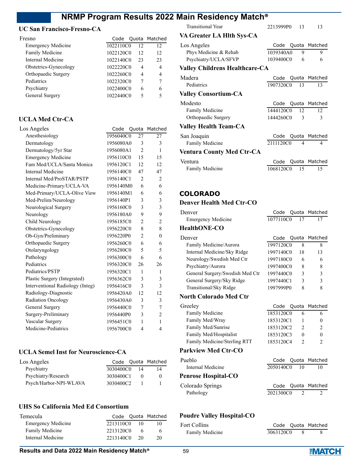### **UC San Francisco-Fresno-CA**

| Fresno                    |           |    | Code Quota Matched |
|---------------------------|-----------|----|--------------------|
| <b>Emergency Medicine</b> | 1022110C0 | 12 | 12                 |
| Family Medicine           | 1022120C0 | 12 | 12                 |
| Internal Medicine         | 1022140C0 | 23 | 23                 |
| Obstetrics-Gynecology     | 1022220C0 | 4  |                    |
| Orthopaedic Surgery       | 1022260C0 | 4  | 4                  |
| Pediatrics                | 1022320C0 |    |                    |
| Psychiatry                | 1022400C0 | 6  |                    |
| General Surgery           | 1022440C0 | 5  |                    |
|                           |           |    |                    |

### **UCLA Med Ctr-CA**

| Los Angeles                      | Code      | Quota          | Matched        |
|----------------------------------|-----------|----------------|----------------|
| Anesthesiology                   | 1956040C0 | 27             | 27             |
| Dermatology                      | 1956080A0 | 3              | 3              |
| Dermatology/5yr Star             | 1956080A1 | $\overline{2}$ | 1              |
| <b>Emergency Medicine</b>        | 1956110C0 | 15             | 15             |
| Fam Med/UCLA/Santa Monica        | 1956120C1 | 12             | 12             |
| Internal Medicine                | 1956140C0 | 47             | 47             |
| Internal Med/ProSTAR/PSTP        | 1956140C1 | $\overline{c}$ | 2              |
| Medicine-Primary/UCLA-VA         | 1956140M0 | 6              | 6              |
| Med-Primary/UCLA-Olive View      | 1956140M1 | 6              | 6              |
| Med-Prelim/Neurology             | 1956140P1 | 3              | 3              |
| Neurological Surgery             | 1956160C0 | 3              | 3              |
| Neurology                        | 1956180A0 | 9              | 9              |
| Child Neurology                  | 1956185C0 | $\overline{2}$ | $\overline{c}$ |
| Obstetrics-Gynecology            | 1956220C0 | 8              | 8              |
| Ob-Gyn/Preliminary               | 1956220P0 | $\overline{2}$ | $\overline{0}$ |
| Orthopaedic Surgery              | 1956260C0 | 6              | 6              |
| Otolaryngology                   | 1956280C0 | 5              | 5              |
| Pathology                        | 1956300C0 | 6              | 6              |
| Pediatrics                       | 1956320C0 | 26             | 26             |
| Pediatrics/PSTP                  | 1956320C1 | 1              | $\mathbf{1}$   |
| Plastic Surgery (Integrated)     | 1956362C0 | 3              | 3              |
| Interventional Radiology (Integ) | 1956416C0 | 3              | 3              |
| Radiology-Diagnostic             | 1956420A0 | 12             | 12             |
| Radiation Oncology               | 1956430A0 | 3              | 3              |
| General Surgery                  | 1956440C0 | 7              | 7              |
| Surgery-Preliminary              | 1956440P0 | 3              | $\overline{2}$ |
| Vascular Surgery                 | 1956451C0 | 1              | 1              |
| Medicine-Pediatrics              | 1956700C0 | 4              | 4              |
|                                  |           |                |                |

#### **UCLA Semel Inst for Neuroscience-CA**

| Los Angeles            |           |    | Code Quota Matched |
|------------------------|-----------|----|--------------------|
| Psychiatry             | 3030400C0 | 14 | 14                 |
| Psychiatry/Research    | 3030400C1 |    |                    |
| Psych/Harbor-NPI-WLAVA | 3030400C2 |    |                    |

### **UHS So California Med Ed Consortium**

| <b>Temecula</b>           |           |     | Code Quota Matched |
|---------------------------|-----------|-----|--------------------|
| <b>Emergency Medicine</b> | 2213110C0 | 10  |                    |
| <b>Family Medicine</b>    | 2213120C0 | 6   | 6                  |
| Internal Medicine         | 2213140C0 | -20 | 20                 |

Transitional Year 2213999P0 13 13

### **VA Greater LA Hlth Sys-CA**

| Los Angeles                           |              |                | Code Quota Matched |
|---------------------------------------|--------------|----------------|--------------------|
| Phys Medicine & Rehab                 | 1039340A0    | 9              | 9                  |
| Psychiatry/UCLA/SFVP                  | 1039400C0    | 6              | 6                  |
| <b>Valley Childrens Healthcare-CA</b> |              |                |                    |
| Madera                                |              |                | Code Quota Matched |
| Pediatrics                            | 1907320C0    | 13             | 13                 |
| <b>Valley Consortium-CA</b>           |              |                |                    |
| Modesto                               |              |                | Code Quota Matched |
| <b>Family Medicine</b>                | 1444120C0 12 |                | 12                 |
| Orthopaedic Surgery                   | 1444260C0    | 3              | 3                  |
| <b>Valley Health Team-CA</b>          |              |                |                    |
| San Joaquin                           |              |                | Code Quota Matched |
| <b>Family Medicine</b>                | 2111120C0    | $\overline{4}$ | 4                  |
| <b>Ventura County Med Ctr-CA</b>      |              |                |                    |
| Ventura                               | Code         |                | Quota Matched      |
| <b>Family Medicine</b>                | 1068120C0 15 |                | 15                 |

# **COLORADO**

# **Denver Health Med Ctr-CO**

| Denver                          | Code      |    | Quota Matched |
|---------------------------------|-----------|----|---------------|
| <b>Emergency Medicine</b>       | 1077110C0 | 17 | 17            |
| <b>HealthONE-CO</b>             |           |    |               |
| Denver                          | Code      |    | Quota Matched |
| Family Medicine/Aurora          | 1997120C0 | 8  | 8             |
| Internal Medicine/Sky Ridge     | 1997140C0 | 18 | 13            |
| Neurology/Swedish Med Ctr       | 1997180C0 | 6  | 6             |
| Psychiatry/Aurora               | 1997400C0 | 8  | 8             |
| General Surgery/Swedish Med Ctr | 1997440C0 | 3  | 3             |
| General Surgery/Sky Ridge       | 1997440C1 | 3  | 3             |
| Transitional/Sky Ridge          | 1997999P0 | 8  | 8             |
| North Colorado Med Ctr          |           |    |               |

| Greeley                      |           | Code Quota Matched |
|------------------------------|-----------|--------------------|
| <b>Family Medicine</b>       | 1853120C0 | <sub>t</sub>       |
| Family Med/Wray              | 1853120C1 | 0                  |
| Family Med/Sunrise           | 1853120C2 | $\mathcal{D}$      |
| Family Med/Hospitalist       | 1853120C3 | 0                  |
| Family Medicine/Sterling RTT | 1853120C4 |                    |
|                              |           |                    |

# **Parkview Med Ctr-CO**

| Pueblo                     | Code Quota Matched |    |
|----------------------------|--------------------|----|
| Internal Medicine          | 2050140C0 10       | 10 |
| <b>Penrose Hospital-CO</b> |                    |    |
| Colorado Springs           | Code Quota Matched |    |
| Pathology                  | 2021300C0          |    |

# **Poudre Valley Hospital-CO**

| Fort Collins    |           | Code Quota Matched |
|-----------------|-----------|--------------------|
| Family Medicine | 3063120C0 |                    |

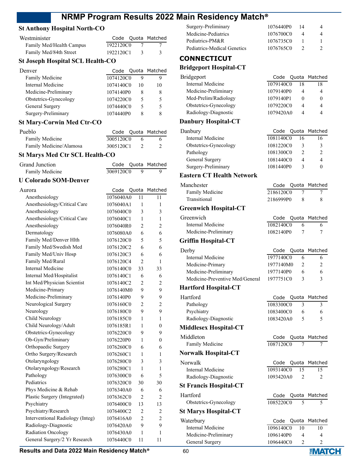# **St Anthony Hospital North-CO**

| Westminister             |           |    | Code Quota Matched |
|--------------------------|-----------|----|--------------------|
| Family Med/Health Campus | 1922120C0 |    |                    |
| Family Med/84th Street   | 1922120C1 | -3 |                    |

#### **St Joseph Hospital SCL Health-CO**

| Denver                |           |    | Code Quota Matched |
|-----------------------|-----------|----|--------------------|
| Family Medicine       | 1074120C0 |    |                    |
| Internal Medicine     | 1074140C0 | 10 | 10                 |
| Medicine-Preliminary  | 1074140P0 | 8  |                    |
| Obstetrics-Gynecology | 1074220C0 | 5  | ↖                  |
| General Surgery       | 1074440C0 | 5  |                    |
| Surgery-Preliminary   | 1074440P0 |    |                    |
|                       |           |    |                    |

#### **St Mary-Corwin Med Ctr-CO**

| Pueblo                  |           | Code Quota Matched |
|-------------------------|-----------|--------------------|
| Family Medicine         | 3005120C0 | 6                  |
| Family Medicine/Alamosa | 3005120C1 |                    |

# **St Marys Med Ctr SCL Health-CO**

| Grand Junction  |           | Code Quota Matched |
|-----------------|-----------|--------------------|
| Family Medicine | 3069120C0 |                    |

#### **U Colorado SOM-Denver**

| Aurora                           | Code      | Quota          | Matched        |
|----------------------------------|-----------|----------------|----------------|
| Anesthesiology                   | 1076040A0 | 11             | 11             |
| Anesthesiology/Critical Care     | 1076040A1 | 1              | 1              |
| Anesthesiology                   | 1076040C0 | 3              | 3              |
| Anesthesiology/Critical Care     | 1076040C1 | 1              | 1              |
| Anesthesiology                   | 1076040R0 | $\mathfrak{D}$ | $\overline{2}$ |
| Dermatology                      | 1076080A0 | 6              | 6              |
| Family Med/Denver Hlth           | 1076120C0 | 5              | 5              |
| Family Med/Swedish Med           | 1076120C2 | 6              | 6              |
| Family Med/Univ Hosp             | 1076120C3 | 6              | 6              |
| Family Med/Rural                 | 1076120C4 | $\overline{c}$ | 1              |
| <b>Internal Medicine</b>         | 1076140C0 | 33             | 33             |
| Internal Med/Hospitalist         | 1076140C1 | 6              | 6              |
| Int Med/Physician Scientist      | 1076140C2 | $\overline{2}$ | 2              |
| Medicine-Primary                 | 1076140M0 | 9              | 9              |
| Medicine-Preliminary             | 1076140P0 | 9              | 9              |
| Neurological Surgery             | 1076160C0 | $\overline{c}$ | $\overline{2}$ |
| Neurology                        | 1076180C0 | 9              | 9              |
| Child Neurology                  | 1076185C0 | 1              | $\mathbf{1}$   |
| Child Neurology/Adult            | 1076185R1 | 1              | 0              |
| Obstetrics-Gynecology            | 1076220C0 | 9              | 9              |
| Ob-Gyn/Preliminary               | 1076220P0 | 1              | 0              |
| Orthopaedic Surgery              | 1076260C0 | 6              | 6              |
| Ortho Surgery/Research           | 1076260C1 | 1              | 1              |
| Otolaryngology                   | 1076280C0 | 3              | 3              |
| Otolaryngology/Research          | 1076280C1 | 1              | 1              |
| Pathology                        | 1076300C0 | 6              | 5              |
| Pediatrics                       | 1076320C0 | 30             | 30             |
| Phys Medicine & Rehab            | 1076340A0 | 6              | 6              |
| Plastic Surgery (Integrated)     | 1076362C0 | $\overline{2}$ | 2              |
| Psychiatry                       | 1076400C0 | 13             | 13             |
| Psychiatry/Research              | 1076400C2 | $\overline{2}$ | 2              |
| Interventional Radiology (Integ) | 1076416A0 | $\overline{c}$ | $\overline{2}$ |
| Radiology-Diagnostic             | 1076420A0 | 9              | 9              |
| Radiation Oncology               | 1076430A0 | 1              | 1              |
| General Surgery/2 Yr Research    | 1076440C0 | 11             | 11             |
|                                  |           |                |                |

| 1076440P0 | 4             |
|-----------|---------------|
| 1076700C0 | 4             |
| 1076735C0 |               |
| 1076765C0 | $\mathcal{D}$ |
|           | 14            |

# **CONNECTICUT**

#### **Bridgeport Hospital-CT**

| Bridgeport            |           |    | Code Quota Matched |
|-----------------------|-----------|----|--------------------|
| Internal Medicine     | 1079140C0 | 18 | 18                 |
| Medicine-Preliminary  | 1079140P0 |    |                    |
| Med-Prelim/Radiology  | 1079140P1 |    |                    |
| Obstetrics-Gynecology | 1079220C0 | 4  |                    |
| Radiology-Diagnostic  | 1079420A0 | Δ  | 4                  |
|                       |           |    |                    |

#### **Danbury Hospital-CT**

| Danbury               |           |    | Code Quota Matched |
|-----------------------|-----------|----|--------------------|
| Internal Medicine     | 1081140C0 | 16 | 16                 |
| Obstetrics-Gynecology | 1081220C0 |    | 3                  |
| Pathology             | 1081300C0 |    | $\mathcal{D}$      |
| General Surgery       | 1081440C0 | 4  | 4                  |
| Surgery-Preliminary   | 1081440P0 | ς  |                    |
|                       |           |    |                    |

## **Eastern CT Health Network**

| Manchester                      | Code      | Quota                    | Matched        |
|---------------------------------|-----------|--------------------------|----------------|
| Family Medicine                 | 2186120C0 | 7                        | 7              |
| Transitional                    | 2186999P0 | 8                        | 8              |
| <b>Greenwich Hospital-CT</b>    |           |                          |                |
| Greenwich                       | Code      | Quota                    | Matched        |
| Internal Medicine               | 1082140C0 | 6                        | 6              |
| Medicine-Preliminary            | 1082140P0 | 7                        | 7              |
| <b>Griffin Hospital-CT</b>      |           |                          |                |
| Derby                           | Code      | Quota                    | Matched        |
| Internal Medicine               | 1977140C0 | 6                        | 6              |
| Medicine-Primary                | 1977140M0 | 2                        | 2              |
| Medicine-Preliminary            | 1977140P0 | 6                        | 6              |
| Medicine-Preventive Med/General | 1977751C0 | 3                        | 3              |
| <b>Hartford Hospital-CT</b>     |           |                          |                |
| Hartford                        | Code      | Quota                    | Matched        |
| Pathology                       | 1083300C0 | 3                        | 3              |
| Psychiatry                      | 1083400C0 | 6                        | 6              |
| Radiology-Diagnostic            | 1083420A0 | $\overline{\phantom{0}}$ | 5              |
| <b>Middlesex Hospital-CT</b>    |           |                          |                |
| Middleton                       | Code      | Quota                    | Matched        |
| Family Medicine                 | 1087120C0 | 7                        | 7              |
| <b>Norwalk Hospital-CT</b>      |           |                          |                |
| Norwalk                         | Code      | Quota                    | Matched        |
| <b>Internal Medicine</b>        | 1093140C0 | 15                       | 15             |
| Radiology-Diagnostic            | 1093420A0 | 2                        | 2              |
| <b>St Francis Hospital-CT</b>   |           |                          |                |
| Hartford                        | Code      | Quota                    | Matched        |
| Obstetrics-Gynecology           | 1085220C0 | 5                        | 5              |
| <b>St Marys Hospital-CT</b>     |           |                          |                |
| Waterbury                       | Code      | Quota                    | Matched        |
| <b>Internal Medicine</b>        | 1096140C0 | $\overline{1}0$          | 10             |
| Medicine-Preliminary            | 1096140P0 | 4                        | 4              |
| General Surgery                 | 1096440C0 | $\overline{2}$           | $\overline{c}$ |

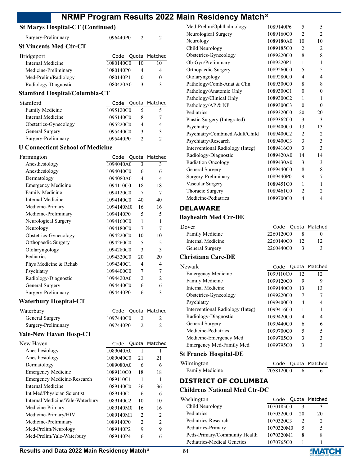# **St Marys Hospital-CT (Continued)**

| Surgery-Preliminary           | 1096440P0          |    |    |
|-------------------------------|--------------------|----|----|
| <b>St Vincents Med Ctr-CT</b> |                    |    |    |
| <b>Bridgeport</b>             | Code Quota Matched |    |    |
| Internal Medicine             | 1080140C0          | 10 | 10 |
| Medicine-Preliminary          | 1080140P0          |    |    |

Med-Prelim/Radiology 1080140P1 0 0 Radiology-Diagnostic 1080420A0 3 3

# **Stamford Hospital/Columbia-CT**

| Stamford              |           |   | Code Quota Matched |
|-----------------------|-----------|---|--------------------|
| Family Medicine       | 1095120C0 |   |                    |
| Internal Medicine     | 1095140C0 | х |                    |
| Obstetrics-Gynecology | 1095220C0 |   |                    |
| General Surgery       | 1095440C0 | 3 | κ                  |
| Surgery-Preliminary   | 1095440P0 |   |                    |

#### **U Connecticut School of Medicine**

| Farmington                | Code      |                | Quota Matched |
|---------------------------|-----------|----------------|---------------|
| Anesthesiology            | 1094040A0 | 3              | 3             |
| Anesthesiology            | 1094040C0 | 6              | 6             |
| Dermatology               | 1094080A0 | 4              | 4             |
| <b>Emergency Medicine</b> | 1094110C0 | 18             | 18            |
| Family Medicine           | 1094120C0 | 7              | 7             |
| Internal Medicine         | 1094140C0 | 40             | 40            |
| Medicine-Primary          | 1094140M0 | 16             | 16            |
| Medicine-Preliminary      | 1094140P0 | 5              | 5             |
| Neurological Surgery      | 1094160C0 | 1              | 1             |
| Neurology                 | 1094180C0 | 7              | 7             |
| Obstetrics-Gynecology     | 1094220C0 | 10             | 10            |
| Orthopaedic Surgery       | 1094260C0 | 5              | 5             |
| Otolaryngology            | 1094280C0 | 3              | 3             |
| Pediatrics                | 1094320C0 | 20             | 20            |
| Phys Medicine & Rehab     | 1094340C1 | 4              | 4             |
| Psychiatry                | 1094400C0 | 7              | 7             |
| Radiology-Diagnostic      | 1094420A0 | $\overline{c}$ | 2             |
| General Surgery           | 1094440C0 | 6              | 6             |
| Surgery-Preliminary       | 1094440P0 | 6              | 3             |

#### **Waterbury Hospital-CT**

| Waterbury           |           |  | Code Quota Matched |
|---------------------|-----------|--|--------------------|
| General Surgery     | 1097440C0 |  |                    |
| Surgery-Preliminary | 1097440P0 |  |                    |

#### **Yale-New Haven Hosp-CT**

| New Haven                        | Code      |                | Quota Matched |
|----------------------------------|-----------|----------------|---------------|
| Anesthesiology                   | 1089040A0 |                |               |
| Anesthesiology                   | 1089040C0 | 21             | 21            |
| Dermatology                      | 1089080A0 | 6              | 6             |
| <b>Emergency Medicine</b>        | 1089110C0 | 18             | 18            |
| Emergency Medicine/Research      | 1089110C1 |                |               |
| Internal Medicine                | 1089140C0 | 36             | 36            |
| Int Med/Physician Scientist      | 1089140C1 | 6              | 6             |
| Internal Medicine/Yale-Waterbury | 1089140C2 | 10             | 10            |
| Medicine-Primary                 | 1089140M0 | 16             | 16            |
| Medicine-Primary/HIV             | 1089140M1 | $\mathfrak{D}$ | 2             |
| Medicine-Preliminary             | 1089140P0 | $\mathfrak{D}$ | $\mathcal{L}$ |
| Med-Prelim/Neurology             | 1089140P2 | 9              | 9             |
| Med-Prelim/Yale-Waterbury        | 1089140P4 | 6              | 6             |
|                                  |           |                |               |

| Med-Prelim/Ophthalmology         | 1089140P6 | 5              | 5              |
|----------------------------------|-----------|----------------|----------------|
| Neurological Surgery             | 1089160C0 | $\overline{2}$ | $\overline{2}$ |
| Neurology                        | 1089180A0 | 10             | 10             |
| Child Neurology                  | 1089185C0 | $\overline{c}$ | 2              |
| Obstetrics-Gynecology            | 1089220C0 | 8              | 8              |
| Ob-Gyn/Preliminary               | 1089220P1 | 1              | 1              |
| Orthopaedic Surgery              | 1089260C0 | 5              | 5              |
| Otolaryngology                   | 1089280C0 | $\overline{4}$ | 4              |
| Pathology/Comb-Anat & Clin       | 1089300C0 | 8              | 8              |
| Pathology/Anatomic Only          | 1089300C1 | $\theta$       | $\mathbf{0}$   |
| Pathology/Clinical Only          | 1089300C2 | 1              | 1              |
| Pathology/AP & NP                | 1089300C3 | $\theta$       | $\theta$       |
| Pediatrics                       | 1089320C0 | 20             | 20             |
| Plastic Surgery (Integrated)     | 1089362C0 | 3              | 3              |
| Psychiatry                       | 1089400C0 | 13             | 13             |
| Psychiatry/Combined Adult/Child  | 1089400C2 | $\overline{c}$ | 2              |
| Psychiatry/Research              | 1089400C3 | 3              | 3              |
| Interventional Radiology (Integ) | 1089416C0 | 3              | 3              |
| Radiology-Diagnostic             | 1089420A0 | 14             | 14             |
| Radiation Oncology               | 1089430A0 | 3              | 3              |
| General Surgery                  | 1089440C0 | 8              | 8              |
| Surgery-Preliminary              | 1089440P0 | 9              | 7              |
| Vascular Surgery                 | 1089451C0 | 1              | 1              |
| Thoracic Surgery                 | 1089461C0 | $\overline{c}$ | 2              |
| Medicine-Pediatrics              | 1089700C0 | $\overline{4}$ | 4              |

## **DELAWARE**

#### **Bayhealth Med Ctr-DE**

| Dover                     | Code Quota Matched                   |
|---------------------------|--------------------------------------|
| <b>Family Medicine</b>    | 2260120C0<br>8                       |
| Internal Medicine         | 2260140C0<br>12<br>12                |
| General Surgery           | 2260440C0<br>3<br>3                  |
| Christiana Care-DE        |                                      |
| Newark                    | Quota Matched<br>Code                |
| <b>Emergency Medicine</b> | 1099110C0<br>12<br>$12 \overline{)}$ |
| Family Medicine           | 1099120C0<br>9<br>9                  |
| Internal Medicine         | 1099140C0<br>13<br>13                |

| Obstetrics-Gynecology            | 1099220C0 |   |   |
|----------------------------------|-----------|---|---|
| Psychiatry                       | 1099400C0 | 4 | 4 |
| Interventional Radiology (Integ) | 1099416C0 |   |   |
| Radiology-Diagnostic             | 1099420C0 | 4 | 4 |
| General Surgery                  | 1099440C0 | 6 | 6 |
| Medicine-Pediatrics              | 1099700C0 | 5 |   |
| Medicine-Emergency Med           | 1099705C0 | 3 | 3 |
| Emergency Med-Family Med         | 1099795C0 | 3 |   |
|                                  |           |   |   |

### **St Francis Hospital-DE**

| Wilmington      |           | Code Quota Matched |
|-----------------|-----------|--------------------|
| Family Medicine | 2058120C0 |                    |

# **DISTRICT OF COLUMBIA**

#### **Childrens National Med Ctr-DC**

| Washington                    |           |    | Code Quota Matched |
|-------------------------------|-----------|----|--------------------|
| Child Neurology               | 1070185C0 |    | 3                  |
| Pediatrics                    | 1070320C0 | 20 | 20                 |
| Pediatrics-Research           | 1070320C3 |    | $\mathcal{P}$      |
| Pediatrics-Primary            | 1070320M0 | 5  | 5                  |
| Peds-Primary/Community Health | 1070320M1 | 8  | 8                  |
| Pediatrics-Medical Genetics   | 1070765C0 |    |                    |

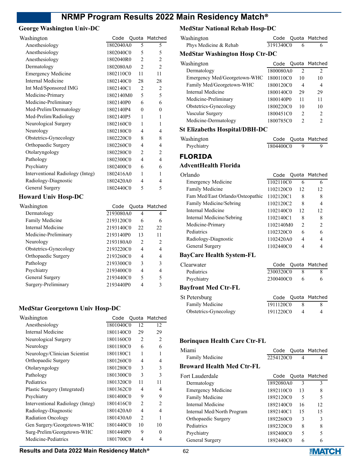# **George Washington Univ-DC**

| Washington                       | Code      |                          | Quota Matched            |
|----------------------------------|-----------|--------------------------|--------------------------|
| Anesthesiology                   | 1802040A0 | 5                        | 5                        |
| Anesthesiology                   | 1802040C0 | 5                        | 5                        |
| Anesthesiology                   | 1802040R0 | $\overline{2}$           | 2                        |
| Dermatology                      | 1802080A0 | $\overline{2}$           | $\overline{2}$           |
| <b>Emergency Medicine</b>        | 1802110C0 | 11                       | 11                       |
| Internal Medicine                | 1802140C0 | 28                       | 28                       |
| Int Med/Sponsored IMG            | 1802140C1 | 2                        | 2                        |
| Medicine-Primary                 | 1802140M0 | 5                        | 5                        |
| Medicine-Preliminary             | 1802140P0 | 6                        | 6                        |
| Med-Prelim/Dermatology           | 1802140P4 | $\overline{0}$           | $\theta$                 |
| Med-Prelim/Radiology             | 1802140P5 | 1                        | 1                        |
| Neurological Surgery             | 1802160C0 | 1                        | 1                        |
| Neurology                        | 1802180C0 | 4                        | 4                        |
| Obstetrics-Gynecology            | 1802220C0 | 8                        | 8                        |
| Orthopaedic Surgery              | 1802260C0 | 4                        | 4                        |
| Otolaryngology                   | 1802280C0 | $\overline{2}$           | $\overline{c}$           |
| Pathology                        | 1802300C0 | $\overline{\mathcal{L}}$ | $\overline{\mathcal{L}}$ |
| Psychiatry                       | 1802400C0 | 6                        | 6                        |
| Interventional Radiology (Integ) | 1802416A0 | 1                        | 1                        |
| Radiology-Diagnostic             | 1802420A0 | 4                        | 4                        |
| General Surgery                  | 1802440C0 | 5                        | 5                        |
| <b>Howard Univ Hosp-DC</b>       |           |                          |                          |
| Washington                       | Code      |                          | Quota Matched            |
| Dermatology                      | 2193080A0 | $\overline{4}$           | 4                        |
| Family Medicine                  | 2193120C0 | 6                        | 6                        |
| $\mathbf{r}$ . The $\mathbf{r}$  |           | $\sim$                   |                          |

| <b>Family Medicine</b> | 2193120C0 |               | 6             |
|------------------------|-----------|---------------|---------------|
| Internal Medicine      | 2193140C0 | 22.           | 22            |
| Medicine-Preliminary   | 2193140P0 | 13            | 11            |
| Neurology              | 2193180A0 | $\mathcal{L}$ | $\mathcal{L}$ |
| Obstetrics-Gynecology  | 2193220C0 | 4             | 4             |
| Orthopaedic Surgery    | 2193260C0 | 4             | 4             |
| Pathology              | 2193300C0 | 3             | 3             |
| Psychiatry             | 2193400C0 | 4             | 4             |
| General Surgery        | 2193440C0 | 5             | 5             |
| Surgery-Preliminary    | 2193440P0 |               | ٩             |
|                        |           |               |               |

# **MedStar Georgetown Univ Hosp-DC**

| Washington                       | Code      | Quota         | Matched        |
|----------------------------------|-----------|---------------|----------------|
| Anesthesiology                   | 1801040C0 | 12            | 12             |
| Internal Medicine                | 1801140C0 | 29            | 29             |
| Neurological Surgery             | 1801160C0 | 2             | $\overline{c}$ |
| Neurology                        | 1801180C0 | 6             | 6              |
| Neurology/Clinician Scientist    | 1801180C1 | 1             | 1              |
| Orthopaedic Surgery              | 1801260C0 | 4             | 4              |
| Otolaryngology                   | 1801280C0 | 3             | 3              |
| Pathology                        | 1801300C0 | 3             | 3              |
| Pediatrics                       | 1801320C0 | 11            | 11             |
| Plastic Surgery (Integrated)     | 1801362C0 | 4             | 4              |
| Psychiatry                       | 1801400C0 | 9             | 9              |
| Interventional Radiology (Integ) | 1801416C0 | 2             | $\overline{c}$ |
| Radiology-Diagnostic             | 1801420A0 | 4             | 4              |
| <b>Radiation Oncology</b>        | 1801430A0 | $\mathcal{L}$ | 1              |
| Gen Surgery/Georgetown-WHC       | 1801440C0 | 10            | 10             |
| Surg-Prelim/Georgetown-WHC       | 1801440P0 | 9             | $\theta$       |
| Medicine-Pediatrics              | 1801700C0 | 4             | 4              |
|                                  |           |               |                |

# **MedStar National Rehab Hosp-DC**

| Washington                            | Code       | Quota          | Matched        |
|---------------------------------------|------------|----------------|----------------|
| Phys Medicine & Rehab                 | 3191340C0  | 6              | 6              |
| <b>MedStar Washington Hosp Ctr-DC</b> |            |                |                |
| Washington                            | Code       | Quota          | Matched        |
| Dermatology                           | 1800080A0  | $\overline{2}$ | 2              |
| Emergency Med/Georgetown-WHC          | 1800110C0  | 10             | 10             |
| Family Med/Georgetown-WHC             | 1800120C0  | 4              | 4              |
| <b>Internal Medicine</b>              | 1800140C0  | 29             | 29             |
| Medicine-Preliminary                  | 1800140P0  | 11             | 11             |
| Obstetrics-Gynecology                 | 1800220C0  | 10             | 10             |
| Vascular Surgery                      | 1800451C0  | 2              | 2              |
| Medicine-Dermatology                  | 1800785C0  | $\overline{2}$ | $\mathfrak{D}$ |
| <b>St Elizabeths Hospital/DBH-DC</b>  |            |                |                |
| Washington                            | Code       | Quota          | Matched        |
| Psychiatry                            | 1804400C0  | 9              | 9              |
| <b>FLORIDA</b>                        |            |                |                |
| <b>AdventHealth Florida</b>           |            |                |                |
| Orlando                               | Code       | Quota          | Matched        |
| <b>Emergency Medicine</b>             | 1102110C0  | 6              | 6              |
| Family Medicine                       | 1102120C0  | 12             | 12             |
| Fam Med/East Orlando/Osteopathic      | 1102120C1  | 8              | 8              |
| Family Medicine/Sebring               | 1102120C2  | 8              | 4              |
| <b>Internal Medicine</b>              | 1102140C0  | 12             | 12             |
| Internal Medicine/Sebring             | 1102140C1  | 8              | 8              |
| Medicine-Primary                      | 1102140M0  | $\overline{2}$ | 2              |
| Pediatrics                            | 1102320C0  | 6              | 6              |
| Radiology-Diagnostic                  | 1102420A0  | 4              | 4              |
| General Surgery                       | 1102440C0  | 4              | 4              |
| <b>BayCare Health System-FL</b>       |            |                |                |
| Clearwater                            | Code       | Quota          | Matched        |
| Pediatrics                            | 2300320C0  | 8              | 8              |
| Psychiatry                            | 2300400C0  | 6              | 6              |
| <b>Bayfront Med Ctr-FL</b>            |            |                |                |
| St Petersburg                         | Code       |                | Quota Matched  |
| Family Medicine                       | 1911120C0  | 8              | 8              |
| Obstetrics-Gynecology                 | 1911220C0  | 4              | 4              |
|                                       |            |                |                |
| <b>Borinquen Health Care Ctr-FL</b>   |            |                |                |
| Miami                                 | Code Quota |                | Matched        |
| Family Medicine                       | 2254120C0  | 4              | 4              |
| <b>Reaward Hoalth Mod Ctr. FL</b>     |            |                |                |

### **Broward Health Med Ctr-FL**

| Fort Lauderdale            |           |    | Code Quota Matched |
|----------------------------|-----------|----|--------------------|
| Dermatology                | 1892080A0 | 3  | 3                  |
| <b>Emergency Medicine</b>  | 1892110C0 | 13 | 8                  |
| Family Medicine            | 1892120C0 | 5  | 5                  |
| Internal Medicine          | 1892140C0 | 16 | 12                 |
| Internal Med/North Program | 1892140C1 | 15 | 15                 |
| Orthopaedic Surgery        | 1892260C0 | 3  | 3                  |
| Pediatrics                 | 1892320C0 | 8  | 8                  |
| Psychiatry                 | 1892400C0 | 5  | 5                  |
| General Surgery            | 1892440C0 | 6  | 6                  |

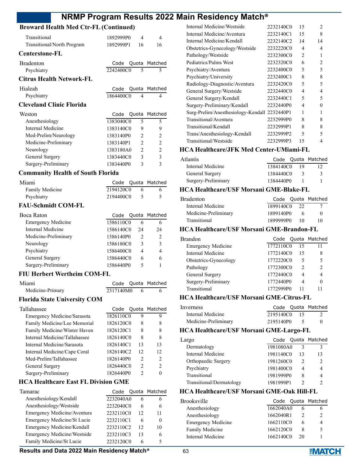# **Broward Health Med Ctr-FL (Continued)**

| Droward Health Med Cu-FL (Continued)     |               |                                  |
|------------------------------------------|---------------|----------------------------------|
| Transitional                             | 1892999P0     | $\overline{4}$<br>4              |
| Transitional/North Program               | 1892999P1     | 16<br>16                         |
| <b>Centerstone-FL</b>                    |               |                                  |
| <b>Bradenton</b>                         | Code<br>Quota | Matched                          |
| Psychiatry                               | 2242400C0     | 5<br>5                           |
| <b>Citrus Health Network-FL</b>          |               |                                  |
| Hialeah                                  | Code<br>Quota | Matched                          |
| Psychiatry                               | 1864400C0     | 4<br>4                           |
| <b>Cleveland Clinic Florida</b>          |               |                                  |
| Weston                                   | Code<br>Quota | Matched                          |
| Anesthesiology                           | 1383040C0     | 5<br>5                           |
| Internal Medicine                        | 1383140C0     | 9<br>9                           |
| Med-Prelim/Neurology                     | 1383140P0     | $\overline{c}$<br>$\overline{2}$ |
| Medicine-Preliminary                     | 1383140P1     | $\overline{c}$<br>$\overline{2}$ |
| Neurology                                | 1383180A0     | $\overline{c}$<br>$\overline{c}$ |
| General Surgery                          | 1383440C0     | $\overline{3}$<br>3              |
| Surgery-Preliminary                      | 1383440P0     | $\mathcal{E}$<br>3               |
| <b>Community Health of South Florida</b> |               |                                  |
| Miami                                    | Code<br>Quota | Matched                          |
| Family Medicine                          | 2194120C0     | 6<br>6                           |
| Psychiatry                               | 2194400C0     | 5<br>5                           |
| <b>FAU-Schmidt COM-FL</b>                |               |                                  |
| Boca Raton                               | Quota<br>Code | Matched                          |
| <b>Emergency Medicine</b>                | 1586110C0     | 6<br>6                           |
| <b>Internal Medicine</b>                 | 1586140C0     | 24<br>24                         |
| Medicine-Preliminary                     | 1586140P0     | $\overline{2}$<br>2              |
| Neurology                                | 1586180C0     | 3<br>3                           |
| Psychiatry                               | 1586400C0     | $\overline{4}$<br>$\overline{4}$ |
| General Surgery                          | 1586440C0     | 6<br>6                           |

# Surgery-Preliminary 1586440P0 5 1

### **FIU Herbert Wertheim COM-FL**

| Miami            |             | Code Quota Matched |
|------------------|-------------|--------------------|
| Medicine-Primary | 2317140M0 6 |                    |

#### **Florida State University COM**

| Code |                | Quota Matched                                                                                                     |
|------|----------------|-------------------------------------------------------------------------------------------------------------------|
|      | 9              |                                                                                                                   |
|      | 8              | 8                                                                                                                 |
|      | 8              | 8                                                                                                                 |
|      | 8              | 8                                                                                                                 |
|      | 13             | 13                                                                                                                |
|      | 12             | 12                                                                                                                |
|      | $\mathcal{P}$  | $\mathcal{P}$                                                                                                     |
|      | $\mathfrak{D}$ | $\mathcal{P}$                                                                                                     |
|      | 2              |                                                                                                                   |
|      |                | 1826110C0<br>1826120C0<br>1826120C1<br>1826140C0<br>1826140C1<br>1826140C2<br>1826140P0<br>1826440C0<br>1826440P0 |

### **HCA Healthcare East FL Division GME**

| Tamarac                     | Code      |    | Quota Matched |
|-----------------------------|-----------|----|---------------|
| Anesthesiology/Kendall      | 2232040A0 | 6  | h             |
| Anesthesiology/Westside     | 2232040C0 | 6  | 6             |
| Emergency Medicine/Aventura | 2232110C0 | 12 | 11            |
| Emergency Medicine/St Lucie | 2232110C1 | 6  | 0             |
| Emergency Medicine/Kendall  | 2232110C2 | 12 | 10            |
| Emergency Medicine/Westside | 2232110C3 | 13 | 6             |
| Family Medicine/St Lucie    | 2232120C0 | 6  |               |

| Internal Medicine/Westside         | 2232140C0 | 15                       | $\mathfrak{D}$                |
|------------------------------------|-----------|--------------------------|-------------------------------|
| Internal Medicine/Aventura         | 2232140C1 | 15                       | 8                             |
| Internal Medicine/Kendall          | 2232140C2 | 14                       | 14                            |
| Obstetrics-Gynecology/Westside     | 2232220C0 | 4                        | 4                             |
| Pathology/Westside                 | 2232300C0 | 2                        | 1                             |
| Pediatrics/Palms West              | 2232320C0 | 6                        | $\mathfrak{D}_{\mathfrak{p}}$ |
| Psychiatry/Aventura                | 2232400C0 | $\overline{\phantom{0}}$ | 5                             |
| Psychiatry/University              | 2232400C1 | 8                        | 8                             |
| Radiology-Diagnostic/Aventura      | 2232420C0 | 5                        | $\overline{\phantom{0}}$      |
| General Surgery/Westside           | 2232440C0 | 4                        | 4                             |
| General Surgery/Kendall            | 2232440C1 | 5                        | 5                             |
| Surgery-Preliminary/Kendall        | 2232440P0 | 4                        | 0                             |
| Surg-Prelim/Anesthesiology-Kendall | 2232440P1 | 1                        | 1                             |
| Transitional/Aventura              | 2232999P0 | 8                        | 8                             |
| Transitional/Kendall               | 2232999P1 | 8                        | 8                             |
| Trans/Anesthesiology-Kendall       | 2232999P2 | 5                        | 5                             |
| Transitional/Westside              | 2232999P3 | 15                       | 4                             |

### **HCA Healthcare/JFK Med Center-UMiami-FL**

| Atlantis            |           |    | Code Quota Matched |
|---------------------|-----------|----|--------------------|
| Internal Medicine   | 1384140C0 | 19 |                    |
| General Surgery     | 1384440C0 |    | 3                  |
| Surgery-Preliminary | 1384440P0 |    |                    |

#### **HCA Healthcare/USF Morsani GME-Blake-FL**

| Bradenton            |           |                 | Code Quota Matched |
|----------------------|-----------|-----------------|--------------------|
| Internal Medicine    | 1899140C0 | 22              |                    |
| Medicine-Preliminary | 1899140P0 |                 |                    |
| Transitional         | 1899999P0 | $\overline{10}$ | 10                 |

#### **HCA Healthcare/USF Morsani GME-Brandon-FL**

| Brandon                   |           |               | Code Quota Matched |
|---------------------------|-----------|---------------|--------------------|
| <b>Emergency Medicine</b> | 1772110C0 | 15            |                    |
| Internal Medicine         | 1772140C0 | 15            | 8                  |
| Obstetrics-Gynecology     | 1772220C0 | 5             | 5                  |
| Pathology                 | 1772300C0 | $\mathcal{P}$ | $\mathcal{D}$      |
| General Surgery           | 1772440C0 | 4             | 4                  |
| Surgery-Preliminary       | 1772440P0 | 4             |                    |
| Transitional              | 1772999P0 |               |                    |
|                           |           |               |                    |

### **HCA Healthcare/USF Morsani GME-Citrus-FL**

| <i>Inverness</i>     |              |          | Code Quota Matched |
|----------------------|--------------|----------|--------------------|
| Internal Medicine    | 2195140C0 15 |          |                    |
| Medicine-Preliminary | 2195140P0    | $\sim$ 5 |                    |

#### **HCA Healthcare/USF Morsani GME-Largo-FL**

| Largo                    |           |    | Code Quota Matched |
|--------------------------|-----------|----|--------------------|
| Dermatology              | 1981080A0 |    | ٩                  |
| Internal Medicine        | 1981140C0 | 13 | 13                 |
| Orthopaedic Surgery      | 1981260C0 | 2  |                    |
| Psychiatry               | 1981400C0 | 4  |                    |
| Transitional             | 1981999P0 | 8  |                    |
| Transitional/Dermatology | 1981999P1 |    |                    |
|                          |           |    |                    |

### **HCA Healthcare/USF Morsani GME-Oak Hill-FL**

| x  |                                                                                     |
|----|-------------------------------------------------------------------------------------|
| 20 |                                                                                     |
|    | Code Quota Matched<br>1662040A0<br>1662040R1<br>1662110C0<br>1662120C0<br>1662140C0 |

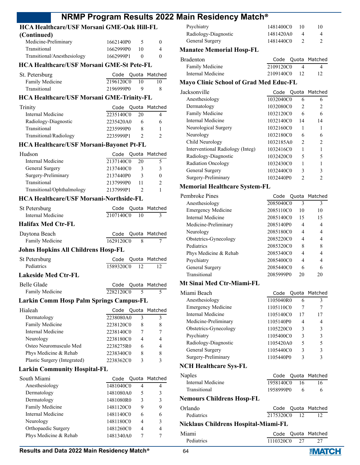#### **HCA Healthcare/USF Morsani GME-Oak Hill-FL (Continued)**

| Continued)                  |           |    |             |
|-----------------------------|-----------|----|-------------|
| Medicine-Preliminary        | 1662140P0 |    | $^{\prime}$ |
| Transitional                | 1662999P0 | 10 | 4           |
| Transitional/Anesthesiology | 1662999P1 |    |             |

#### **HCA Healthcare/USF Morsani GME-St Pete-FL**

| St. Petersburg  |           |                 | Code Quota Matched |
|-----------------|-----------|-----------------|--------------------|
| Family Medicine | 2196120C0 | $\overline{10}$ | 10                 |
| Transitional    | 2196999P0 |                 | X.                 |

#### **HCA Healthcare/USF Morsani GME-Trinity-FL**

| Trinity                |           |    | Code Quota Matched |
|------------------------|-----------|----|--------------------|
| Internal Medicine      | 2235140C0 | 20 |                    |
| Radiology-Diagnostic   | 2235420A0 |    |                    |
| Transitional           | 2235999P0 |    |                    |
| Transitional/Radiology | 2235999P1 |    |                    |
|                        |           |    |                    |

#### **HCA Healthcare/USF Morsani-Bayonet Pt-FL**

| Hudson                     |           |    | Code Quota Matched |
|----------------------------|-----------|----|--------------------|
| Internal Medicine          | 2137140C0 | 20 |                    |
| General Surgery            | 2137440C0 | 3  | 3                  |
| Surgery-Preliminary        | 2137440P0 | κ  |                    |
| Transitional               | 2137999P0 |    | 2                  |
| Transitional/Ophthalmology | 2137999P1 |    |                    |

#### **HCA Healthcare/USF Morsani-Northside-FL**

| <b>St Petersburg</b>                           | Code      |    | Quota Matched |
|------------------------------------------------|-----------|----|---------------|
| Internal Medicine                              | 2107140C0 | 10 | 3             |
| <b>Halifax Med Ctr-FL</b>                      |           |    |               |
| Daytona Beach                                  | Code      |    | Quota Matched |
| Family Medicine                                | 1629120C0 | 8  | 7             |
| <b>Johns Hopkins All Childrens Hosp-FL</b>     |           |    |               |
| St Petersburg                                  | Code      |    | Quota Matched |
| Pediatrics                                     | 1589320C0 | 12 | 12            |
| <b>Lakeside Med Ctr-FL</b>                     |           |    |               |
| Belle Glade                                    | Code      |    | Quota Matched |
| Family Medicine                                | 2282120C0 | 5  | 5             |
| <b>Larkin Comm Hosp Palm Springs Campus-FL</b> |           |    |               |
| Hialeah                                        | Code      |    | Quota Matched |
| Dermatology                                    | 2238080A0 | 3  | 3             |
| Family Medicine                                | 2238120C0 | 8  | 8             |
| Internal Medicine                              | 2238140C0 | 7  | 7             |
| Neurology                                      | 2238180C0 | 4  | 4             |
| Osteo Neuromusculo Med                         | 2238275R0 | 6  | 4             |
| Phys Medicine & Rehab                          | 2238340C0 | 8  | 8             |
| Plastic Surgery (Integrated)                   | 2238362C0 | 3  | 3             |

#### **Larkin Community Hospital-FL**

| South Miami           | Code      |   | Quota Matched |
|-----------------------|-----------|---|---------------|
| Anesthesiology        | 1481040C0 | 4 | 4             |
| Dermatology           | 1481080A0 | 5 | 3             |
| Dermatology           | 1481080R0 | 3 | 3             |
| Family Medicine       | 1481120C0 | 9 | 9             |
| Internal Medicine     | 1481140C0 | 6 | 6             |
| Neurology             | 1481180C0 | 4 | 3             |
| Orthopaedic Surgery   | 1481260C0 | 4 | 4             |
| Phys Medicine & Rehab | 1481340A0 |   | 7             |

#### Psychiatry 1481400C0 10 10 Radiology-Diagnostic 1481420A0 4 4 General Surgery 1481440C0 2 2

#### **Manatee Memorial Hosp-FL**

| Bradenton         |              | Code Quota Matched |
|-------------------|--------------|--------------------|
| Family Medicine   | 2109120C0    |                    |
| Internal Medicine | 2109140C0 12 |                    |

### **Mayo Clinic School of Grad Med Educ-FL**

| Jacksonville                     |           |                | Code Quota Matched |
|----------------------------------|-----------|----------------|--------------------|
| Anesthesiology                   | 1032040C0 | 6              | 6                  |
| Dermatology                      | 1032080C0 | 2              | 2                  |
| Family Medicine                  | 1032120C0 | 6              | 6                  |
| Internal Medicine                | 1032140C0 | 14             | 14                 |
| Neurological Surgery             | 1032160C0 | 1              |                    |
| Neurology                        | 1032180C0 | 6              | 6                  |
| Child Neurology                  | 1032185A0 | $\mathfrak{D}$ | $\mathcal{L}$      |
| Interventional Radiology (Integ) | 1032416C0 |                |                    |
| Radiology-Diagnostic             | 1032420C0 | 5              |                    |
| Radiation Oncology               | 1032430C0 |                |                    |
| General Surgery                  | 1032440C0 | 3              | ٩                  |
| Surgery-Preliminary              | 1032440P0 | C              |                    |
|                                  |           |                |                    |

#### **Memorial Healthcare System-FL**

| Pembroke Pines            |           |    | Code Quota Matched |
|---------------------------|-----------|----|--------------------|
| Anesthesiology            | 2085040C0 | 3  | 3                  |
| <b>Emergency Medicine</b> | 2085110C0 | 10 | 10                 |
| Internal Medicine         | 2085140C0 | 15 | 15                 |
| Medicine-Preliminary      | 2085140P0 | 4  | 4                  |
| Neurology                 | 2085180C0 | 4  | 4                  |
| Obstetrics-Gynecology     | 2085220C0 | 4  | 4                  |
| Pediatrics                | 2085320C0 | 8  | 8                  |
| Phys Medicine & Rehab     | 2085340C0 | 4  | 4                  |
| Psychiatry                | 2085400C0 | 4  | 4                  |
| General Surgery           | 2085440C0 | 6  | 6                  |
| Transitional              | 2085999P0 | 20 | 20                 |

#### **Mt Sinai Med Ctr-Miami-FL**

| Miami Beach                  |           |    | Code Quota Matched |
|------------------------------|-----------|----|--------------------|
| Anesthesiology               | 1105040R0 | 6  | 3                  |
| <b>Emergency Medicine</b>    | 1105110C0 | 7  | 7                  |
| Internal Medicine            | 1105140C0 | 17 | 17                 |
| Medicine-Preliminary         | 1105140P0 | 4  | 4                  |
| Obstetrics-Gynecology        | 1105220C0 | 3  | 3                  |
| Psychiatry                   | 1105400C0 | 3  | 3                  |
| Radiology-Diagnostic         | 1105420A0 | 5  | 5                  |
| General Surgery              | 1105440C0 | 3  | 3                  |
| Surgery-Preliminary          | 1105440P0 | 3  | 3                  |
| <b>NCH Healthcare Sys-FL</b> |           |    |                    |

| Naples                    |              |  | Code Quota Matched |
|---------------------------|--------------|--|--------------------|
| Internal Medicine         | 1958140C0 16 |  | 16                 |
| Transitional              | 1958999P0    |  | 6                  |
| Nemours Childrens Hosp-FL |              |  |                    |
| Orlando                   |              |  | Code Quota Matched |
| Pediatrics                | 2175320C0 12 |  |                    |
|                           |              |  |                    |

#### **Nicklaus Childrens Hospital-Miami-FL**

| Miami             |           | Code Quota Matched |
|-------------------|-----------|--------------------|
| <b>Pediatrics</b> | 1110320C0 |                    |

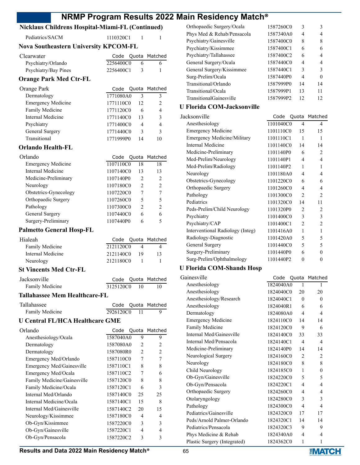### **Nicklaus Childrens Hospital-Miami-FL (Continued)**

### **Nova Southeastern University KPCOM-FL**

|  | h.                                           |
|--|----------------------------------------------|
|  |                                              |
|  | Code Quota Matched<br>2256400C0<br>2256400C1 |

## **Orange Park Med Ctr-FL**

| Orange Park               |           |    | Code Quota Matched |
|---------------------------|-----------|----|--------------------|
| Dermatology               | 1771080A0 | 3  | ζ                  |
| <b>Emergency Medicine</b> | 1771110C0 | 12 | $\mathcal{D}$      |
| Family Medicine           | 1771120C0 | 6  |                    |
| Internal Medicine         | 1771140C0 | 13 | ٩                  |
| Psychiatry                | 1771400C0 | 4  |                    |
| General Surgery           | 1771440C0 | ٩  | ٩                  |
| Transitional              | 1771999P0 |    |                    |

#### **Orlando Health-FL**

| Orlando                   |           |                               | Code Quota Matched |
|---------------------------|-----------|-------------------------------|--------------------|
| <b>Emergency Medicine</b> | 1107110C0 | 18                            | 18                 |
| Internal Medicine         | 1107140C0 | 13                            | 13                 |
| Medicine-Preliminary      | 1107140P0 | $\mathfrak{D}_{\mathfrak{p}}$ | 2                  |
| Neurology                 | 1107180C0 | $\mathfrak{D}_{\mathfrak{p}}$ | $\mathfrak{D}$     |
| Obstetrics-Gynecology     | 1107220C0 | 7                             |                    |
| Orthopaedic Surgery       | 1107260C0 | 5                             | 5                  |
| Pathology                 | 1107300C0 | 2                             | $\mathfrak{D}$     |
| General Surgery           | 1107440C0 | 6                             | 6                  |
| Surgery-Preliminary       | 1107440P0 | 6                             |                    |

#### **Palmetto General Hosp-FL**

| Hialeah           |           |      | Code Quota Matched |
|-------------------|-----------|------|--------------------|
| Family Medicine   | 2121120C0 |      |                    |
| Internal Medicine | 2121140C0 | - 19 | 13                 |
| Neurology         | 2121180C0 |      |                    |

#### **St Vincents Med Ctr-FL**

| Jacksonville    |           |      | Code Quota Matched |
|-----------------|-----------|------|--------------------|
| Family Medicine | 3125120C0 | - 10 |                    |

#### **Tallahassee Mem Healthcare-FL**

| Tallahassee     |              | Code Quota Matched |
|-----------------|--------------|--------------------|
| Family Medicine | 2926120C0 11 |                    |

### **U Central FL/HCA Healthcare GME**

| Orlando                     | Code      | Quota          | Matched        |
|-----------------------------|-----------|----------------|----------------|
| Anesthesiology/Ocala        | 1587040A0 | 9              | 9              |
| Dermatology                 | 1587080A0 | 2              | $\overline{c}$ |
| Dermatology                 | 1587080R0 | 2              | $\overline{c}$ |
| Emergency Med/Orlando       | 1587110C0 | 7              | 7              |
| Emergency Med/Gainesville   | 1587110C1 | 8              | 8              |
| Emergency Med/Ocala         | 1587110C2 | 7              | 6              |
| Family Medicine/Gainesville | 1587120C0 | 8              | 8              |
| Family Medicine/Ocala       | 1587120C1 | 6              | 3              |
| Internal Med/Orlando        | 1587140C0 | 25             | 25             |
| Internal Medicine/Ocala     | 1587140C1 | 15             | 8              |
| Internal Med/Gainesville    | 1587140C2 | 20             | 15             |
| Neurology/Kissimmee         | 1587180C0 | $\overline{4}$ | 4              |
| Ob-Gyn/Kissimmee            | 1587220C0 | 3              | 3              |
| Ob-Gyn/Gainesville          | 1587220C1 | 4              | 4              |
| Ob-Gyn/Pensacola            | 1587220C2 | 3              | 3              |

| Orthopaedic Surgery/Ocala      | 1587260C0 | 3  | 3        |
|--------------------------------|-----------|----|----------|
| Phys Med & Rehab/Pensacola     | 1587340A0 | 4  | 4        |
| Psychiatry/Gainesville         | 1587400C0 | 8  | 8        |
| Psychiatry/Kissimmee           | 1587400C1 | 6  | 6        |
| Psychiatry/Tallahassee         | 1587400C2 | 6  | 4        |
| General Surgery/Ocala          | 1587440C0 | 4  | 4        |
| General Surgery/Kissimmee      | 1587440C1 | 3  | 3        |
| Surg-Prelim/Ocala              | 1587440P0 | 4  | $\Omega$ |
| Transitional/Orlando           | 1587999P0 | 14 | 14       |
| Transitional/Ocala             | 1587999P1 | 13 | 11       |
| <b>TransitionalGainesville</b> | 1587999P2 | 12 | 12       |
| $\mathbf{m}$ . $\alpha$        |           |    |          |

#### **U Florida COM-Jacksonville**

| Jacksonville                       | Code      |                             | Quota Matched  |
|------------------------------------|-----------|-----------------------------|----------------|
| Anesthesiology                     | 1101040C0 | 4                           | 4              |
| <b>Emergency Medicine</b>          | 1101110C0 | 15                          | 15             |
| <b>Emergency Medicine/Military</b> | 1101110C1 | 1                           | 1              |
| Internal Medicine                  | 1101140C0 | 14                          | 14             |
| Medicine-Preliminary               | 1101140P0 | 6                           | $\mathcal{D}$  |
| Med-Prelim/Neurology               | 1101140P1 | 4                           | $\overline{4}$ |
| Med-Prelim/Radiology               | 1101140P2 | 1                           | 1              |
| Neurology                          | 1101180A0 | 4                           | 4              |
| Obstetrics-Gynecology              | 1101220C0 | 6                           | 6              |
| Orthopaedic Surgery                | 1101260C0 | 4                           | 4              |
| Pathology                          | 1101300C0 | $\mathcal{D}_{\mathcal{L}}$ | $\mathfrak{D}$ |
| Pediatrics                         | 1101320C0 | 14                          | 11             |
| Peds-Prelim/Child Neurology        | 1101320P0 | 2                           | 2              |
| Psychiatry                         | 1101400C0 | 3                           | 3              |
| Psychiatry/CAP                     | 1101400C1 | $\mathfrak{D}$              | $\overline{2}$ |
| Interventional Radiology (Integ)   | 1101416A0 | 1                           | $\mathbf{1}$   |
| Radiology-Diagnostic               | 1101420A0 | 5                           | 5              |
| General Surgery                    | 1101440C0 | 5                           | 5              |
| Surgery-Preliminary                | 1101440P0 | 6                           | 0              |
| Surg-Prelim/Ophthalmology          | 1101440P2 | 0                           | 0              |
|                                    |           |                             |                |

#### **U Florida COM-Shands Hosp**

| Gainesville                  | Code      |                | Quota Matched  |
|------------------------------|-----------|----------------|----------------|
| Anesthesiology               | 1824040A0 | $\mathbf{1}$   | 1              |
| Anesthesiology               | 1824040C0 | 20             | 20             |
| Anesthesiology/Research      | 1824040C1 | $\Omega$       | $\theta$       |
| Anesthesiology               | 1824040R1 | 6              | 6              |
| Dermatology                  | 1824080A0 | 4              | 4              |
| <b>Emergency Medicine</b>    | 1824110C0 | 14             | 14             |
| Family Medicine              | 1824120C0 | 9              | 6              |
| Internal Med/Gainesville     | 1824140C0 | 33             | 33             |
| Internal Med/Pensacola       | 1824140C1 | 4              | 4              |
| Medicine-Preliminary         | 1824140P0 | 14             | 14             |
| Neurological Surgery         | 1824160C0 | $\overline{c}$ | 2              |
| Neurology                    | 1824180C0 | 8              | 8              |
| Child Neurology              | 1824185C0 | 1              | $\theta$       |
| Ob-Gyn/Gainesville           | 1824220C0 | 5              | 5              |
| Ob-Gyn/Pensacola             | 1824220C1 | 4              | 4              |
| Orthopaedic Surgery          | 1824260C0 | 4              | 4              |
| Otolaryngology               | 1824280C0 | 3              | 3              |
| Pathology                    | 1824300C0 | 4              | $\overline{4}$ |
| Pediatrics/Gainesville       | 1824320C0 | 17             | 17             |
| Peds/Arnold Palmer-Orlando   | 1824320C1 | 14             | 14             |
| Pediatrics/Pensacola         | 1824320C3 | 9              | 9              |
| Phys Medicine & Rehab        | 1824340A0 | 4              | 4              |
| Plastic Surgery (Integrated) | 1824362C0 | $\mathbf{1}$   | 1              |

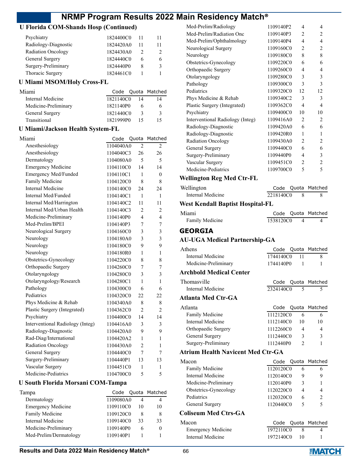### **U Florida COM-Shands Hosp (Continued)**

| Psychiatry                | 1824400C0 | 11 | 11 |
|---------------------------|-----------|----|----|
| Radiology-Diagnostic      | 1824420A0 |    | 11 |
| <b>Radiation Oncology</b> | 1824430A0 |    | 2  |
| General Surgery           | 1824440C0 | h  | 6  |
| Surgery-Preliminary       | 1824440P0 | 8  | 3  |
| Thoracic Surgery          | 1824461C0 |    |    |

### **U Miami MSOM/Holy Cross-FL**

| Miami                |           |    | Code Quota Matched |
|----------------------|-----------|----|--------------------|
| Internal Medicine    | 1821140C0 | 14 |                    |
| Medicine-Preliminary | 1821140P0 | 6  | h                  |
| General Surgery      | 1821440C0 | 3  |                    |
| Transitional         | 1821999P0 |    | 15                 |

### **U Miami/Jackson Health System-FL**

| Miami                            | Code      | Quota          | Matched        |
|----------------------------------|-----------|----------------|----------------|
| Anesthesiology                   | 1104040A0 | $\mathfrak{D}$ | $\mathfrak{D}$ |
| Anesthesiology                   | 1104040C3 | 26             | 26             |
| Dermatology                      | 1104080A0 | 5              | 5              |
| <b>Emergency Medicine</b>        | 1104110C0 | 14             | 14             |
| Emergency Med/Funded             | 1104110C1 | 1              | $\theta$       |
| Family Medicine                  | 1104120C0 | 8              | 8              |
| Internal Medicine                | 1104140C0 | 24             | 24             |
| Internal Med/Funded              | 1104140C1 | 1              | 1              |
| Internal Med/Harrington          | 1104140C2 | 11             | 11             |
| Internal Med/Urban Health        | 1104140C3 | $\overline{2}$ | 2              |
| Medicine-Preliminary             | 1104140P0 | 4              | 4              |
| Med-Prelim/BPEI                  | 1104140P3 | 7              | 7              |
| Neurological Surgery             | 1104160C0 | 3              | 3              |
| Neurology                        | 1104180A0 | 3              | 3              |
| Neurology                        | 1104180C0 | 9              | 9              |
| Neurology                        | 1104180R0 | 1              | 1              |
| Obstetrics-Gynecology            | 1104220C0 | 8              | 8              |
| Orthopaedic Surgery              | 1104260C0 | 7              | 7              |
| Otolaryngology                   | 1104280C0 | 3              | 3              |
| Otolaryngology/Research          | 1104280C1 | 1              | 1              |
| Pathology                        | 1104300C0 | 6              | 6              |
| Pediatrics                       | 1104320C0 | 22             | 22             |
| Phys Medicine & Rehab            | 1104340A0 | 8              | 8              |
| Plastic Surgery (Integrated)     | 1104362C0 | $\overline{2}$ | 2              |
| Psychiatry                       | 1104400C0 | 14             | 14             |
| Interventional Radiology (Integ) | 1104416A0 | 3              | 3              |
| Radiology-Diagnostic             | 1104420A0 | 9              | 9              |
| Rad-Diag/International           | 1104420A2 | 1              | 1              |
| <b>Radiation Oncology</b>        | 1104430A0 | $\overline{2}$ | 1              |
| General Surgery                  | 1104440C0 | 7              | 7              |
| Surgery-Preliminary              | 1104440P1 | 13             | 13             |
| Vascular Surgery                 | 1104451C0 | 1              | 1              |
| Medicine-Pediatrics              | 1104700C0 | 5              | 5              |
|                                  |           |                |                |

### **U South Florida Morsani COM-Tampa**

| Tampa                     |           |    | Code Quota Matched |
|---------------------------|-----------|----|--------------------|
| Dermatology               | 1109080A0 |    |                    |
| <b>Emergency Medicine</b> | 1109110C0 | 10 | 10                 |
| Family Medicine           | 1109120C0 | 8  |                    |
| Internal Medicine         | 1109140C0 | 33 | 33                 |
| Medicine-Preliminary      | 1109140P0 | 6  |                    |
| Med-Prelim/Dermatology    | 1109140P1 |    |                    |
|                           |           |    |                    |

| Med-Prelim/Radiology             | 1109140P2 | 4                             | 4              |
|----------------------------------|-----------|-------------------------------|----------------|
| Med-Prelim/Radiation Onc         | 1109140P3 | $\mathfrak{D}_{\mathfrak{p}}$ | 2              |
| Med-Prelim/Ophthalmology         | 1109140P4 | 4                             | 4              |
| Neurological Surgery             | 1109160C0 | $\mathcal{D}_{\mathcal{L}}$   | $\overline{c}$ |
| Neurology                        | 1109180C0 | 8                             | 8              |
| Obstetrics-Gynecology            | 1109220C0 | 6                             | 6              |
| Orthopaedic Surgery              | 1109260C0 | 4                             | 4              |
| Otolaryngology                   | 1109280C0 | 3                             | 3              |
| Pathology                        | 1109300C0 | 3                             | 3              |
| Pediatrics                       | 1109320C0 | 12                            | 12             |
| Phys Medicine & Rehab            | 1109340C2 | 3                             | 3              |
| Plastic Surgery (Integrated)     | 1109362C0 | $\overline{4}$                | 4              |
| Psychiatry                       | 1109400C0 | 10                            | 10             |
| Interventional Radiology (Integ) | 1109416A0 | $\overline{2}$                | $\overline{2}$ |
| Radiology-Diagnostic             | 1109420A0 | 6                             | 6              |
| Radiology-Diagnostic             | 1109420R0 | 1                             | 1              |
| <b>Radiation Oncology</b>        | 1109430A0 | 2                             | 2              |
| General Surgery                  | 1109440C0 | 6                             | 6              |
| Surgery-Preliminary              | 1109440P0 | 4                             | 3              |
| Vascular Surgery                 | 1109451C0 | $\mathcal{D}_{\mathcal{L}}$   | $\overline{c}$ |
| Medicine-Pediatrics              | 1109700C0 | 5                             | 5              |

### **Wellington Reg Med Ctr-FL**

| Wellington                       |           |  | Code Quota Matched |  |  |
|----------------------------------|-----------|--|--------------------|--|--|
| Internal Medicine                | 2218140C0 |  |                    |  |  |
| West Kendall Baptist Hospital-FL |           |  |                    |  |  |

### **West Kendall Baptist Hosp**

| Miami           |           | Code Quota Matched |
|-----------------|-----------|--------------------|
| Family Medicine | 1538120C0 |                    |

### **GEORGIA**

### **AU-UGA Medical Partnership-GA**

| Athens                                   | Code      |                          | Quota Matched |
|------------------------------------------|-----------|--------------------------|---------------|
| Internal Medicine                        | 1744140C0 | 11                       | 8             |
| Medicine-Preliminary                     | 1744140P0 | 1                        | 1             |
| Archbold Medical Center                  |           |                          |               |
| Thomasville                              | Code      |                          | Quota Matched |
| Internal Medicine                        | 2324140C0 | $\overline{\phantom{0}}$ | 5             |
| Atlanta Med Ctr-GA                       |           |                          |               |
| Atlanta                                  | Code      |                          | Quota Matched |
| Family Medicine                          | 1112120C0 | 6                        | 6             |
| Internal Medicine                        | 1112140C0 | 10                       | 10            |
| Orthopaedic Surgery                      | 1112260C0 | 4                        | 4             |
| General Surgery                          | 1112440C0 | 3                        | 3             |
| Surgery-Preliminary                      | 1112440P0 | $\mathfrak{D}$           | 1             |
| <b>Atrium Health Navicent Med Ctr-GA</b> |           |                          |               |
| Macon                                    | Code      |                          | Quota Matched |
| Family Medicine                          | 1120120C0 | 6                        | 6             |
| Internal Medicine                        | 1120140C0 | 9                        | 9             |
| Medicine-Preliminary                     | 1120140P0 | 3                        | $\mathbf{1}$  |
| Obstetrics-Gynecology                    | 1120220C0 | $\overline{4}$           | 4             |
| Pediatrics                               | 1120320C0 | 6                        | 2             |
| General Surgery                          | 1120440C0 | 5                        | 5             |
| Coliseum Med Ctrs-GA                     |           |                          |               |

#### Macon Code Quota Matched Emergency Medicine 1972110C0 8 4 Internal Medicine 1972140C0 10 1

#### **Results and Data 2022 Main Residency Match®** 66

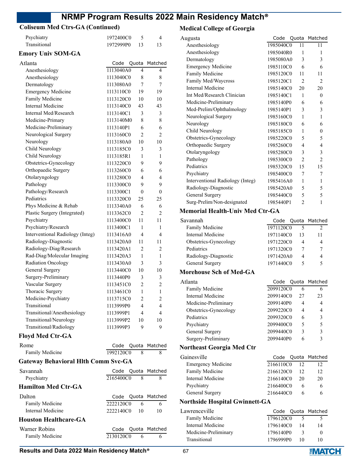### **Coliseum Med Ctrs-GA (Continued)**

| Psychiatry                                              | 1972400C0         | 5              | 4                  |
|---------------------------------------------------------|-------------------|----------------|--------------------|
| Transitional                                            | 1972999P0         | 13             | 13                 |
| <b>Emory Univ SOM-GA</b>                                |                   |                |                    |
| Atlanta                                                 | Code              | Quota          | Matched            |
| Anesthesiology                                          | 1113040A0         | 4              | 4                  |
| Anesthesiology                                          | 1113040C0         | 8              | 8                  |
| Dermatology                                             | 1113080A0         | 7              | 7                  |
| <b>Emergency Medicine</b>                               | 1113110C0         | 19             | 19                 |
| Family Medicine                                         | 1113120C0         | 10             | 10                 |
| <b>Internal Medicine</b>                                | 1113140C0         | 43             | 43                 |
| Internal Med/Research                                   | 1113140C1         | 3              | 3                  |
| Medicine-Primary                                        | 1113140M0         | 8              | 8                  |
| Medicine-Preliminary                                    | 1113140P1         | 6              | 6                  |
| Neurological Surgery                                    | 1113160C0         | $\overline{2}$ | 2                  |
| Neurology                                               | 1113180A0         | 10             | 10                 |
| Child Neurology                                         | 1113185C0         | 3              | 3                  |
| Child Neurology                                         | 1113185R1         | 1              | 1                  |
| Obstetrics-Gynecology                                   | 1113220C0         | 9              | 9                  |
| Orthopaedic Surgery                                     | 1113260C0         | 6              | 6                  |
| Otolaryngology                                          | 1113280C0         | 4              | 4                  |
| Pathology                                               | 1113300C0         | 9              | 9                  |
| Pathology/Research                                      | 1113300C1         | $\theta$       | $\boldsymbol{0}$   |
| Pediatrics                                              | 1113320C0         | 25             | 25                 |
|                                                         | 1113340A0         | 6              | 6                  |
| Phys Medicine & Rehab                                   | 1113362C0         | $\overline{c}$ | 2                  |
| Plastic Surgery (Integrated)<br>Psychiatry              | 1113400C0         | 11             | 11                 |
|                                                         |                   |                |                    |
| Psychiatry/Research<br>Interventional Radiology (Integ) | 1113400C1         | 1<br>4         | 1<br>4             |
|                                                         | 1113416A0         |                |                    |
| Radiology-Diagnostic                                    | 1113420A0         | 11             | 11                 |
| Radiology-Diag/Research<br>Rad-Diag/Molecular Imaging   | 1113420A1         | 2              | 2                  |
|                                                         | 1113420A3         | 1              | 1                  |
| Radiation Oncology                                      | 1113430A0         | 3              | 3                  |
| General Surgery                                         | 1113440C0         | 10             | 10                 |
| Surgery-Preliminary                                     | 1113440P0         | 3              | 3                  |
| Vascular Surgery                                        | 1113451C0         | $\overline{2}$ | $\overline{2}$     |
| Thoracic Surgery                                        | 1113461C0         | 1              | 1                  |
| Medicine-Psychiatry                                     | 1113715C0         | 2              | 2                  |
| Transitional                                            | 1113999P0         | 4              | 4                  |
| Transitional/Anesthesiology                             | 1113999P1         | 4              | 4                  |
| Transitional/Neurology                                  | 1113999P2         | 10             | 10                 |
| Transitional/Radiology                                  | 1113999P3         | 9              | 9                  |
| <b>Floyd Med Ctr-GA</b>                                 |                   |                |                    |
| Rome                                                    | Code              |                | Quota Matched      |
| Family Medicine                                         | 1992120C0         | 8              | 8                  |
| <b>Gateway Behavioral Hlth Comm Svc-GA</b>              |                   |                |                    |
| Savannah                                                | Code              | Quota          | Matched            |
| Psychiatry                                              | 2165400C0         | 8              | 8                  |
| <b>Hamilton Med Ctr-GA</b>                              |                   |                |                    |
| Dalton                                                  |                   |                |                    |
| Family Medicine                                         | Code<br>2222120C0 | 6              | Quota Matched<br>6 |
| <b>Internal Medicine</b>                                | 2222140C0         | 10             | 10                 |
|                                                         |                   |                |                    |
| <b>Houston Healthcare-GA</b>                            |                   |                |                    |
| Warner Robins                                           | Code              | Quota          | Matched            |
| Family Medicine                                         | 2130120C0         | 6              | 6                  |
|                                                         |                   |                |                    |

### **Medical College of Georgia**

| Augusta                                | Code      | Quota          | Matched        |
|----------------------------------------|-----------|----------------|----------------|
| Anesthesiology                         | 1985040C0 | 11             | 11             |
| Anesthesiology                         | 1985040R0 | 1              | 1              |
| Dermatology                            | 1985080A0 | 3              | 3              |
| <b>Emergency Medicine</b>              | 1985110C0 | 6              | 6              |
| Family Medicine                        | 1985120C0 | 11             | 11             |
| Family Med/Waycross                    | 1985120C1 | $\overline{2}$ | 2              |
| <b>Internal Medicine</b>               | 1985140C0 | 20             | 20             |
| Int Med/Research Clinician             | 1985140C1 | 1              | 0              |
| Medicine-Preliminary                   | 1985140P0 | 6              | 6              |
| Med-Prelim/Ophthalmology               | 1985140P1 | 3              | 3              |
| Neurological Surgery                   | 1985160C0 | 1              | 1              |
| Neurology                              | 1985180C0 | 6              | 6              |
| Child Neurology                        | 1985185C0 | 1              | 0              |
| Obstetrics-Gynecology                  | 1985220C0 | 5              | 5              |
| Orthopaedic Surgery                    | 1985260C0 | 4              | 4              |
| Otolaryngology                         | 1985280C0 | 3              | 3              |
| Pathology                              | 1985300C0 | 2              | $\overline{2}$ |
| Pediatrics                             | 1985320C0 | 15             | 15             |
| Psychiatry                             | 1985400C0 | 7              | 7              |
| Interventional Radiology (Integ)       | 1985416A0 | 1              | 1              |
| Radiology-Diagnostic                   | 1985420A0 | 5              | 5              |
| General Surgery                        | 1985440C0 | 5              | 5              |
| Surg-Prelim/Non-designated             | 1985440P1 | $\mathfrak{D}$ | 1              |
| <b>Memorial Health-Univ Med Ctr-GA</b> |           |                |                |
| Savannah                               | Code      | Quota          | Matched        |
| Family Medicine                        | 1971120C0 | 5              | $\overline{c}$ |
| <b>Internal Medicine</b>               | 1971140C0 | 13             | 11             |
| Obstetrics-Gynecology                  | 1971220C0 | 4              | 4              |
| Pediatrics                             | 1971320C0 | 7              | 7              |
| Radiology-Diagnostic                   | 1971420A0 | 4              | 4              |
| General Surgery                        | 1971440C0 | 5              | 5              |
| <b>Morehouse Sch of Med-GA</b>         |           |                |                |
| Atlanta                                | Code      | Quota          | Matched        |
| Family Medicine                        | 2099120C0 | 6              | 6              |
| Internal Medicine                      | 2099140C0 | 27             | 23             |

| <b>Family Medicine</b> | 2099120C0 | 6  |    |
|------------------------|-----------|----|----|
| Internal Medicine      | 2099140C0 | 27 | 23 |
| Medicine-Preliminary   | 2099140P0 | 4  | 4  |
| Obstetrics-Gynecology  | 2099220C0 | 4  | 4  |
| Pediatrics             | 2099320C0 | 6  | 3  |
| Psychiatry             | 2099400C0 | 5  | 5  |
| General Surgery        | 2099440C0 | 3  | 3  |
| Surgery-Preliminary    | 2099440P0 | 6  | 3  |
|                        |           |    |    |

### **Northeast Georgia Med Ctr**

| Gainesville               |           |    | Code Quota Matched |
|---------------------------|-----------|----|--------------------|
| <b>Emergency Medicine</b> | 2166110C0 | 12 | 12                 |
| <b>Family Medicine</b>    | 2166120C0 | 12 | 12                 |
| Internal Medicine         | 2166140C0 | 20 | 20                 |
| Psychiatry                | 2166400C0 | h  | 6                  |
| General Surgery           | 2166440C0 | h  | h                  |
|                           |           |    |                    |

### **Northside Hospital Gwinnett-GA**

| Lawrenceville        |           |              | Code Quota Matched |
|----------------------|-----------|--------------|--------------------|
| Family Medicine      | 1796120C0 |              |                    |
| Internal Medicine    | 1796140C0 | 14           | 14                 |
| Medicine-Preliminary | 1796140P0 | $\mathbf{R}$ | $^{\circ}$         |
| Transitional         | 1796999P0 | -10          | 10                 |

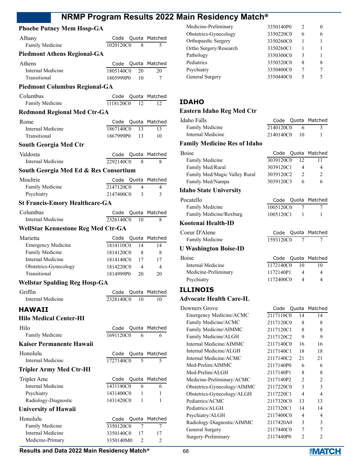### **Phoebe Putney Mem Hosp-GA**

| Albany                                    | Code                            |                | Quota Matched  |
|-------------------------------------------|---------------------------------|----------------|----------------|
| Family Medicine                           | 1020120C0                       | 8              | 5              |
| <b>Piedmont Athens Regional-GA</b>        |                                 |                |                |
| Athens                                    | Code                            |                | Quota Matched  |
| Internal Medicine                         | 1805140C0                       | 20             | 20             |
| Transitional                              | 1805999P0                       | 10             | 7              |
| <b>Piedmont Columbus Regional-GA</b>      |                                 |                |                |
| Columbus                                  | Code Quota Matched              |                |                |
| Family Medicine                           | 1118120C0                       | 12             | 12             |
| <b>Redmond Regional Med Ctr-GA</b>        |                                 |                |                |
| Rome                                      | Code                            |                | Quota Matched  |
| Internal Medicine                         | 1867140C0                       | 13             | 13             |
| Transitional                              | 1867999P0                       | 13             | 10             |
| South Georgia Med Ctr                     |                                 |                |                |
| Valdosta<br>Internal Medicine             | Code Quota Matched<br>2292140C0 | 8              | 8              |
|                                           |                                 |                |                |
| South Georgia Med Ed & Res Consortium     |                                 |                |                |
| Moultrie                                  | Code Quota Matched              |                |                |
| Family Medicine<br>Psychiatry             | 2147120C0<br>2147400C0          | 4<br>3         | 4<br>3         |
| <b>St Francis-Emory Healthcare-GA</b>     |                                 |                |                |
|                                           |                                 |                |                |
| Columbus<br>Internal Medicine             | Code<br>2326140C0               | Quota<br>10    | Matched<br>8   |
| <b>WellStar Kennestone Reg Med Ctr-GA</b> |                                 |                |                |
|                                           |                                 |                |                |
| Marietta<br><b>Emergency Medicine</b>     | Code<br>1814110C0               | Quota<br>14    | Matched<br>14  |
| Family Medicine                           | 1814120C0                       | 8              | 8              |
| Internal Medicine                         | 1814140C0 17                    |                | 17             |
| Obstetrics-Gynecology                     | 1814220C0                       | $\overline{4}$ | 4              |
| Transitional                              | 1814999P0 20                    |                | 20             |
| <b>Wellstar Spalding Reg Hosp-GA</b>      |                                 |                |                |
| Griffin                                   | Code Quota Matched              |                |                |
| Internal Medicine                         | 2328140C0 10                    |                | 10             |
| <b>HAWAII</b>                             |                                 |                |                |
| <b>Hilo Medical Center-HI</b>             |                                 |                |                |
| Hilo                                      | Code                            | Quota          | Matched        |
| Family Medicine                           | 1691120C0                       | 6              | 6              |
| Kaiser Permanente Hawaii                  |                                 |                |                |
| Honolulu                                  | Code                            | Quota          | Matched        |
| <b>Internal Medicine</b>                  | 1727140C0                       | 5              | 5              |
| <b>Tripler Army Med Ctr-HI</b>            |                                 |                |                |
| Tripler Amc                               | Code                            | Quota          | Matched        |
| <b>Internal Medicine</b>                  | 1431140C0                       | 6              | 6              |
| Psychiatry                                | 1431400C0                       | 1              | 1              |
| Radiology-Diagnostic                      | 1431420C0                       | 1              | 1              |
| <b>University of Hawaii</b>               |                                 |                |                |
| Honolulu                                  | Code                            | Quota          | Matched        |
| Family Medicine                           | 3350120C0                       | 7              | 7              |
| <b>Internal Medicine</b>                  | 3350140C0                       | 17             | 17             |
| Medicine-Primary                          | 3350140M0                       | 2              | $\overline{c}$ |

| Medicine-Preliminary   | 3350140P0 |   |   |
|------------------------|-----------|---|---|
| Obstetrics-Gynecology  | 3350220C0 | 6 |   |
| Orthopaedic Surgery    | 3350260C0 |   |   |
| Ortho Surgery/Research | 3350260C1 |   |   |
| Pathology              | 3350300C0 | 3 |   |
| Pediatrics             | 3350320C0 | 8 | 8 |
| Psychiatry             | 3350400C0 |   |   |
| General Surgery        | 3350440C0 | 5 |   |
|                        |           |   |   |

### **IDAHO**

### **Eastern Idaho Reg Med Ctr**

| Idaho Falls                  |           |     | Code Quota Matched |
|------------------------------|-----------|-----|--------------------|
| <b>Family Medicine</b>       | 2140120C0 | 6   |                    |
| Internal Medicine            | 2140140C0 | -10 |                    |
| Family Medicine Res of Idaho |           |     |                    |

# **Family Medicine Res of Idaho**

| <b>Boise</b>                  |           | Code Quota Matched |
|-------------------------------|-----------|--------------------|
| Family Medicine               | 3039120C0 |                    |
| Family Med/Rural              | 3039120C1 | 4                  |
| Family Med/Magic Valley Rural | 3039120C2 | $\mathcal{D}$      |
| Family Med/Nampa              | 3039120C3 | 6                  |
|                               |           |                    |

### **Idaho State University**

| Pocatello               |           | Code Quota Matched |
|-------------------------|-----------|--------------------|
| Family Medicine         | 1005120C0 |                    |
| Family Medicine/Rexburg | 1005120C1 |                    |

### **Kootenai Health-ID**

| Coeur D'Alene                |           |  | Code Quota Matched |
|------------------------------|-----------|--|--------------------|
| Family Medicine              | 1593120C0 |  |                    |
| <b>U Washington Boise-ID</b> |           |  |                    |

| <b>Boise</b>         |           |    | Code Quota Matched |
|----------------------|-----------|----|--------------------|
| Internal Medicine    | 1172140C0 | 10 | 10                 |
| Medicine-Preliminary | 1172140P1 |    | 4                  |
| Psychiatry           | 1172400C0 |    | 4                  |
|                      |           |    |                    |

### **ILLINOIS**

### **Advocate Health Care-IL**

| Downers Grove               | Code      |                | Quota Matched  |
|-----------------------------|-----------|----------------|----------------|
| Emergency Medicine/ACMC     | 2117110C0 | 14             | 14             |
| Family Medicine/ACMC        | 2117120C0 | 8              | 8              |
| Family Medicine/AIMMC       | 2117120C1 | 8              | 8              |
| Family Medicine/ALGH        | 2117120C2 | 9              | 9              |
| Internal Medicine/AIMMC     | 2117140C0 | 16             | 16             |
| Internal Medicine/ALGH      | 2117140C1 | 18             | 18             |
| Internal Medicine/ACMC      | 2117140C2 | 21             | 21             |
| Med-Prelim/AIMMC            | 2117140P0 | 6              | 6              |
| Med-Prelim/ALGH             | 2117140P1 | 8              | 8              |
| Medicine-Preliminary/ACMC   | 2117140P2 | $\mathfrak{D}$ | 2              |
| Obstetrics-Gynecology/AIMMC | 2117220C0 | $\mathcal{E}$  | 3              |
| Obstetrics-Gynecology/ALGH  | 2117220C1 | 4              | $\overline{4}$ |
| Pediatrics/ACMC             | 2117320C0 | 13             | 13             |
| Pediatrics/ALGH             | 2117320C1 | 14             | 14             |
| Psychiatry/ALGH             | 2117400C0 | 4              | 4              |
| Radiology-Diagnostic/AIMMC  | 2117420A0 | 3              | 3              |
| General Surgery             | 2117440C0 | 7              | 7              |
| Surgery-Preliminary         | 2117440P0 | 2              | 2              |
|                             |           |                |                |

**Results and Data 2022 Main Residency Match<sup>®</sup> 68** 

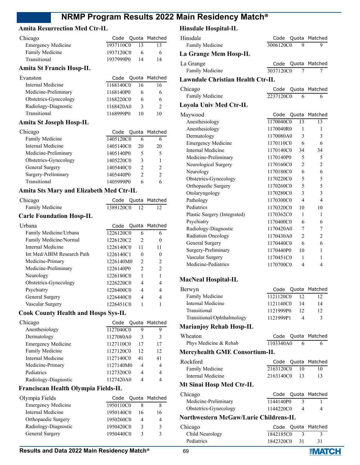#### **Amita Resurrection Med Ctr-IL**

| Chicago                   |           |    | Code Quota Matched |
|---------------------------|-----------|----|--------------------|
| <b>Emergency Medicine</b> | 1937110C0 | 13 |                    |
| Family Medicine           | 1937120C0 | 6  |                    |
| Transitional              | 1937999P0 | 14 | 14                 |

#### **Amita St Francis Hosp-IL**

| Evanston              |           |    | Code Quota Matched |
|-----------------------|-----------|----|--------------------|
| Internal Medicine     | 1168140C0 | 16 | 16                 |
| Medicine-Preliminary  | 1168140P0 | h  | 6                  |
| Obstetrics-Gynecology | 1168220C0 | h  | 6                  |
| Radiology-Diagnostic  | 1168420A0 | 3  | $\mathcal{P}$      |
| Transitional          | 1168999P0 | 10 | 10                 |
|                       |           |    |                    |

#### **Amita St Joseph Hosp-IL**

| Chicago               |           |               | Code Quota Matched |
|-----------------------|-----------|---------------|--------------------|
| Family Medicine       | 1405120C0 | 6             | 6                  |
| Internal Medicine     | 1405140C0 | 20            | 20                 |
| Medicine-Preliminary  | 1405140P0 | 5             | 5                  |
| Obstetrics-Gynecology | 1405220C0 | 3             |                    |
| General Surgery       | 1405440C0 | $\mathcal{P}$ | $\mathcal{P}$      |
| Surgery-Preliminary   | 1405440P0 | $\mathcal{P}$ | $\mathcal{D}$      |
| Transitional          | 1405999P0 |               |                    |

#### **Amita Sts Mary and Elizabeth Med Ctr-IL**

| Chicago                         |              |  | Code Quota Matched |
|---------------------------------|--------------|--|--------------------|
| Family Medicine                 | 1389120C0 12 |  |                    |
| <b>Carle Foundation Hosp-IL</b> |              |  |                    |
| Urbana                          |              |  | Code Quota Matched |

| 1226120C0 | 6                        | 6              |
|-----------|--------------------------|----------------|
| 1226120C2 | $\mathfrak{D}$           |                |
| 1226140C0 | 11                       | 11             |
| 1226140C1 | $\theta$                 |                |
| 1226140M0 | $\mathfrak{D}_{1}^{(1)}$ | $\mathfrak{D}$ |
| 1226140P0 | $\mathfrak{D}$           | 2              |
| 1226180C0 |                          |                |
| 1226220C0 | 4                        | 4              |
| 1226400C0 | 4                        | 4              |
| 1226440C0 | 4                        |                |
| 1226451C0 |                          |                |
|           |                          |                |

#### **Cook County Health and Hosps Sys-IL**

| Chicago                   |           |               | Code Quota Matched |
|---------------------------|-----------|---------------|--------------------|
| Anesthesiology            | 1127040C0 | 9             | 9                  |
| Dermatology               | 1127080A0 | $\mathcal{E}$ | 3                  |
| <b>Emergency Medicine</b> | 1127110C0 | 17            | 17                 |
| Family Medicine           | 1127120C0 | 12            | 12                 |
| Internal Medicine         | 1127140C0 | 41            | 41                 |
| Medicine-Primary          | 1127140M0 | 4             | 4                  |
| Pediatrics                | 1127320C0 | 4             | 4                  |
| Radiology-Diagnostic      | 1127420A0 |               |                    |

### **Franciscan Health Olympia Fields-IL**

| Olympia Fields            |           |    | Code Quota Matched |
|---------------------------|-----------|----|--------------------|
| <b>Emergency Medicine</b> | 1950110C0 |    |                    |
| Internal Medicine         | 1950140C0 | 16 | 16                 |
| Orthopaedic Surgery       | 1950260C0 |    |                    |
| Radiology-Diagnostic      | 1950420C0 | 3  | 2                  |
| General Surgery           | 1950440C0 | ς  |                    |

### **Hinsdale Hospital-IL**

| Hinsdale                                | Code      | Quota                   | Matched        |
|-----------------------------------------|-----------|-------------------------|----------------|
| Family Medicine                         | 3006120C0 | 9                       | 9              |
| La Grange Mem Hosp-IL                   |           |                         |                |
| La Grange                               | Code      | Quota                   | Matched        |
| Family Medicine                         | 3037120C0 | 7                       | 7              |
| <b>Lawndale Christian Health Ctr-IL</b> |           |                         |                |
| Chicago                                 | Code      | Quota                   | Matched        |
| Family Medicine                         | 2237120C0 | 6                       | 6              |
| Loyola Univ Med Ctr-IL                  |           |                         |                |
| Maywood                                 | Code      | Quota                   | Matched        |
| Anesthesiology                          | 1170040C0 | 13                      | 13             |
| Anesthesiology                          | 1170040R0 | $\mathbf{1}$            | 1              |
| Dermatology                             | 1170080A0 | 3                       | 3              |
| <b>Emergency Medicine</b>               | 1170110C0 | 6                       | 6              |
| <b>Internal Medicine</b>                | 1170140C0 | 34                      | 34             |
| Medicine-Preliminary                    | 1170140P0 | 5                       | 5              |
| Neurological Surgery                    | 1170160C0 | $\overline{c}$          | $\overline{2}$ |
| Neurology                               | 1170180C0 | 6                       | 6              |
| Obstetrics-Gynecology                   | 1170220C0 | 5                       | 5              |
| Orthopaedic Surgery                     | 1170260C0 | 5                       | 5              |
| Otolaryngology                          | 1170280C0 | 3                       | 3              |
| Pathology                               | 1170300C0 | 4                       | 4              |
| Pediatrics                              | 1170320C0 | 10                      | 10             |
| Plastic Surgery (Integrated)            | 1170362C0 | 1                       | 1              |
| Psychiatry                              | 1170400C0 | 6                       | 6              |
| Radiology-Diagnostic                    | 1170420A0 | 7                       | 7              |
| Radiation Oncology                      | 1170430A0 | $\overline{2}$          | $\overline{c}$ |
| General Surgery                         | 1170440C0 | 6                       | 6              |
| Surgery-Preliminary                     | 1170440P0 | 10                      | 1              |
| Vascular Surgery                        | 1170451C0 | 1                       | 1              |
| Medicine-Pediatrics                     | 1170700C0 | $\overline{\mathbf{4}}$ | $\overline{4}$ |
| <b>MacNeal Hosnital-IL</b>              |           |                         |                |

### **MacNeal Hospital**

| Berwyn                     |           |     | Code Quota Matched |
|----------------------------|-----------|-----|--------------------|
| Family Medicine            | 1121120C0 | 12  |                    |
| Internal Medicine          | 1121140C0 | -14 | 14                 |
| Transitional               | 1121999P0 |     | 12                 |
| Transitional/Ophthalmology | 1121999P1 |     |                    |
|                            |           |     |                    |

### **Marianjoy Rehab Hosp-IL**

| Wheaton               |           | Code Quota Matched |
|-----------------------|-----------|--------------------|
| Phys Medicine & Rehab | 1103340A0 |                    |

#### **Mercyhealth GME Consortium-IL**

| Rockford                 |              | Code Quota Matched |
|--------------------------|--------------|--------------------|
| Family Medicine          | 2163120C0 10 | 10                 |
| Internal Medicine        | 2163140C0 13 | 13                 |
| Mt Sinai Hosp Med Ctr-IL |              |                    |

| Chicago               |           | Code Quota Matched |
|-----------------------|-----------|--------------------|
| Medicine-Preliminary  | 1144140P0 |                    |
| Obstetrics-Gynecology | 1144220C0 | 4                  |

### **Northwestern McGaw/Lurie Childrens-IL**

| Chicago           |              | Code Quota Matched |
|-------------------|--------------|--------------------|
| Child Neurology   | 1842185C0    |                    |
| <b>Pediatrics</b> | 1842320C0 31 |                    |

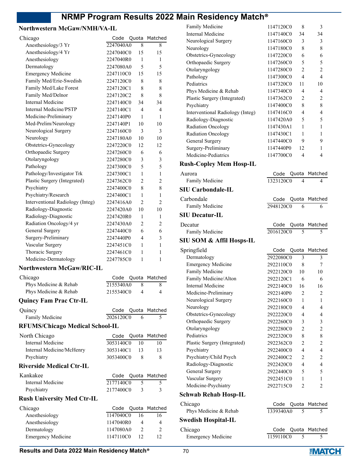### **Northwestern McGaw/NMH/VA-IL**

| Chicago                                | Code      | Quota          | Matched       |
|----------------------------------------|-----------|----------------|---------------|
| Anesthesiology/3 Yr                    | 2247040A0 | 8              | 8             |
| Anesthesiology/4 Yr                    | 2247040C0 | 15             | 15            |
| Anesthesiology                         | 2247040R0 | 1              | 1             |
| Dermatology                            | 2247080A0 | 5              | 5             |
| <b>Emergency Medicine</b>              | 2247110C0 | 15             | 15            |
| Family Med/Erie-Swedish                | 2247120C0 | 8              | 8             |
| Family Med/Lake Forest                 | 2247120C1 | 8              | 8             |
| Family Med/Delnor                      | 2247120C2 | 8              | 8             |
| <b>Internal Medicine</b>               | 2247140C0 | 34             | 34            |
| <b>Internal Medicine/PSTP</b>          | 2247140C1 | 4              | 4             |
| Medicine-Preliminary                   | 2247140P0 | 1              | 1             |
| Med-Prelim/Neurology                   | 2247140P1 | 10             | 10            |
| Neurological Surgery                   | 2247160C0 | 3              | 3             |
| Neurology                              | 2247180A0 | 10             | 10            |
| Obstetrics-Gynecology                  | 2247220C0 | 12             | 12            |
| Orthopaedic Surgery                    | 2247260C0 | 6              | 6             |
| Otolaryngology                         | 2247280C0 | 3              | 3             |
| Pathology                              | 2247300C0 | 5              | 5             |
| Pathology/Investigator Trk             | 2247300C1 | 1              | 1             |
| Plastic Surgery (Integrated)           | 2247362C0 | $\overline{2}$ | 2             |
| Psychiatry                             | 2247400C0 | 8              | 8             |
| Psychiatry/Research                    | 2247400C1 | 1              | 1             |
| Interventional Radiology (Integ)       | 2247416A0 | $\overline{2}$ | 2             |
| Radiology-Diagnostic                   | 2247420A0 | 10             | 10            |
| Radiology-Diagnostic                   | 2247420R0 | 1              | 1             |
| Radiation Oncology/4 yr                | 2247430A0 | $\overline{2}$ | 2             |
| General Surgery                        | 2247440C0 | 6              | 6             |
| Surgery-Preliminary                    | 2247440P0 | 4              | 3             |
| Vascular Surgery                       | 2247451C0 | 1              | 1             |
| Thoracic Surgery                       | 2247461C0 | 1              | 1             |
| Medicine-Dermatology                   | 2247785C0 | 1              | 1             |
|                                        |           |                |               |
| Northwestern McGaw/RIC-IL              |           |                |               |
| Chicago                                | Code      | Quota          | Matched       |
| Phys Medicine & Rehab                  | 2155340A0 | 8              | 8             |
| Phys Medicine & Rehab                  | 2155340C0 | 4              | 4             |
| <b>Quincy Fam Prac Ctr-IL</b>          |           |                |               |
| Quincy                                 | Code      | Quota          | Matched       |
| Family Medicine                        | 2026120C0 | 6              | 5             |
| <b>RFUMS/Chicago Medical School-IL</b> |           |                |               |
|                                        |           |                |               |
| North Chicago                          | Code      |                | Quota Matched |
| <b>Internal Medicine</b>               | 3053140C0 | 10             | 10            |
| Internal Medicine/McHenry              | 3053140C1 | 13             | 13            |
| Psychiatry                             | 3053400C0 | 8              | 8             |
| <b>Riverside Medical Ctr-IL</b>        |           |                |               |
| Kankakee                               | Code      | Quota          | Matched       |
| <b>Internal Medicine</b>               | 2177140C0 | 5              | 5             |
| Psychiatry                             | 2177400C0 | 3              | 3             |
| <b>Rush University Med Ctr-IL</b>      |           |                |               |
|                                        |           |                |               |
| Chicago                                | Code      | Quota          | Matched       |
| Anesthesiology                         | 1147040C0 | 16<br>4        | 16<br>4       |
| Anesthesiology                         | 1147040R0 |                |               |
| Dermatology                            | 1147080A0 | 2              | 2             |
| <b>Emergency Medicine</b>              | 1147110C0 | 12             | 12            |

| Family Medicine                     | 1147120C0    | 8                                 | 3              |
|-------------------------------------|--------------|-----------------------------------|----------------|
| Internal Medicine                   | 1147140C0    | 34                                | 34             |
| Neurological Surgery                | 1147160C0    | 3                                 | 3              |
| Neurology                           | 1147180C0    | 8                                 | 8              |
| Obstetrics-Gynecology               | 1147220C0    | 6                                 | 6              |
| Orthopaedic Surgery                 | 1147260C0    | 5                                 | 5              |
| Otolaryngology                      | 1147280C0    | 2                                 | $\overline{2}$ |
| Pathology                           | 1147300C0    | 4                                 | 4              |
| Pediatrics                          | 1147320C0    | 11                                | 10             |
| Phys Medicine & Rehab               | 1147340C0    | 4                                 | 4              |
| Plastic Surgery (Integrated)        | 1147362C0    | 2                                 | 2              |
| Psychiatry                          | 1147400C0    | 8                                 | 8              |
| Interventional Radiology (Integ)    | 1147416C0    | 4                                 | 4              |
| Radiology-Diagnostic                | 1147420A0    | 5                                 | 5              |
| Radiation Oncology                  | 1147430A1    | 1                                 | 1              |
| Radiation Oncology                  | 1147430C1    | 1                                 | 1              |
| General Surgery                     | 1147440C0    | 9                                 | 9              |
| Surgery-Preliminary                 | 1147440P0    | 12                                | 1              |
| Medicine-Pediatrics                 | 1147700C0    | 4                                 | 4              |
| <b>Rush-Copley Mem Hosp-IL</b>      |              |                                   |                |
| Aurora                              | Code         |                                   | Matched        |
| Family Medicine                     | 1323120C0    | Quota<br>$\overline{\mathcal{A}}$ | 4              |
|                                     |              |                                   |                |
| <b>SIU Carbondale-IL</b>            |              |                                   |                |
| Carbondale                          | Code         | Quota                             | Matched        |
| Family Medicine                     | 2948120C0    | 6                                 | 6              |
| <b>SIU Decatur-IL</b>               |              |                                   |                |
| Decatur                             | Code         | Quota                             | Matched        |
| Family Medicine                     | 2016120C0    | 5                                 | 5              |
|                                     |              |                                   |                |
|                                     |              |                                   |                |
| <b>SIU SOM &amp; Affil Hosps-IL</b> |              |                                   |                |
| Springfield                         | Code         | Quota                             | Matched        |
| Dermatology                         | 2922080C0    | 3                                 | 3              |
| <b>Emergency Medicine</b>           | 2922110C0    | 8                                 | 7              |
| Family Medicine                     | 2922120C0    | 10                                | 10             |
| Family Medicine/Alton               | 2922120C1    | 6                                 | 6              |
| Internal Medicine                   | 2922140C0 16 |                                   | 16             |
| Medicine-Preliminary                | 2922140P0    | 2                                 | 2              |
| Neurological Surgery                | 2922160C0    | 1                                 | 1              |
| Neurology                           | 2922180C0    | 4                                 | $\overline{4}$ |
| Obstetrics-Gynecology               | 2922220C0    | 4                                 | 4              |
| Orthopaedic Surgery                 | 2922260C0    | 3                                 | $\mathfrak{Z}$ |
| Otolaryngology                      | 2922280C0    | $\overline{c}$                    | $\overline{c}$ |
| Pediatrics                          | 2922320C0    | 8                                 | 8              |
| Plastic Surgery (Integrated)        | 2922362C0    | 2                                 | $\overline{c}$ |
| Psychiatry                          | 2922400C0    | $\overline{4}$                    | $\overline{4}$ |
| Psychiatry/Child Psych              | 2922400C2    | 2                                 | $\overline{2}$ |
| Radiology-Diagnostic                | 2922420C0    | $\overline{4}$                    | $\overline{4}$ |
| General Surgery                     | 2922440C0    | 5                                 | 5              |
| Vascular Surgery                    | 2922451C0    | 1                                 | 1              |
| Medicine-Psychiatry                 | 2922715C0    | 2                                 | $\overline{2}$ |
| <b>Schwab Rehab Hosp-IL</b>         |              |                                   |                |
|                                     | Code         | Quota                             | Matched        |
| Chicago                             | 1339340A0    | 5                                 | 5              |
| Phys Medicine & Rehab               |              |                                   |                |
| <b>Swedish Hospital-IL</b>          |              |                                   |                |
| Chicago                             | Code         | Quota                             | Matched        |
| <b>Emergency Medicine</b>           | 1159110C0    | 5                                 | 5              |

### **Results and Data 2022 Main Residency Match<sup>®</sup> 70**

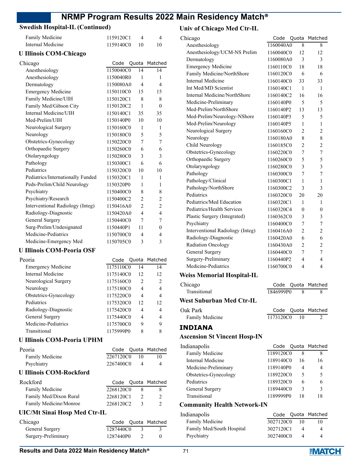### **Swedish Hospital-IL (Continued)**

| Family Medicine               |                                   | 1159120C1 | $\overline{4}$ | 4                        |
|-------------------------------|-----------------------------------|-----------|----------------|--------------------------|
| Internal Medicine             |                                   | 1159140C0 | 10             | 10                       |
| <b>U Illinois COM-Chicago</b> |                                   |           |                |                          |
| Chicago                       |                                   | Code      | Quota          | Matched                  |
| Anesthesiology                |                                   | 1150040C0 | 14             | 14                       |
| Anesthesiology                |                                   | 1150040R0 | 1              | 1                        |
| Dermatology                   |                                   | 1150080A0 | $\overline{4}$ | $\overline{4}$           |
| <b>Emergency Medicine</b>     |                                   | 1150110C0 | 15             | 15                       |
| Family Medicine/UIH           |                                   | 1150120C1 | 8              | 8                        |
| Family Med/Gibson City        |                                   | 1150120C2 | 1              | $\theta$                 |
| Internal Medicine/UIH         |                                   | 1150140C1 | 35             | 35                       |
| Med-Prelim/UIH                |                                   | 1150140P0 | 10             | 10                       |
| Neurological Surgery          |                                   | 1150160C0 | 1              | 1                        |
| Neurology                     |                                   | 1150180C0 | 5              | 5                        |
| Obstetrics-Gynecology         |                                   | 1150220C0 | 7              | 7                        |
| Orthopaedic Surgery           |                                   | 1150260C0 | 6              | 6                        |
| Otolaryngology                |                                   | 1150280C0 | 3              | 3                        |
| Pathology                     |                                   | 1150300C1 | 6              | 6                        |
| Pediatrics                    |                                   | 1150320C0 | 10             | 10                       |
|                               | Pediatrics/Internationally Funded | 1150320C1 | 1              | 1                        |
| Peds-Prelim/Child Neurology   |                                   | 1150320P0 | 1              | 1                        |
| Psychiatry                    |                                   | 1150400C0 | 8              | 8                        |
| Psychiatry/Research           |                                   | 1150400C2 | $\overline{2}$ | 2                        |
|                               | Interventional Radiology (Integ)  | 1150416A0 | $\overline{2}$ | $\overline{c}$           |
| Radiology-Diagnostic          |                                   | 1150420A0 | 4              | $\overline{\mathcal{L}}$ |
| General Surgery               |                                   | 1150440C0 | 7              | 7                        |
| Surg-Prelim/Undesignated      |                                   | 1150440P1 | 11             | $\theta$                 |
| Medicine-Pediatrics           |                                   | 1150700C0 | $\overline{4}$ | 4                        |
| Medicine-Emergency Med        |                                   | 1150705C0 | 3              | 3                        |

#### **U Illinois COM-Peoria OSF**

| Peoria                    |           |    | Code Quota Matched |
|---------------------------|-----------|----|--------------------|
| <b>Emergency Medicine</b> | 1175110C0 | 14 | 14                 |
| Internal Medicine         | 1175140C0 | 12 | 12                 |
| Neurological Surgery      | 1175160C0 | 2  | 2                  |
| Neurology                 | 1175180C0 | 4  | 4                  |
| Obstetrics-Gynecology     | 1175220C0 | 4  | 4                  |
| Pediatrics                | 1175320C0 | 12 | 12                 |
| Radiology-Diagnostic      | 1175420C0 | 4  | 4                  |
| General Surgery           | 1175440C0 | 4  | 4                  |
| Medicine-Pediatrics       | 1175700C0 | 9  | 9                  |
| Transitional              | 1175999P0 | 8  | 8                  |
|                           |           |    |                    |

### **U Illinois COM-Peoria UPHM**

| Peoria                         |           |    | Code Quota Matched |
|--------------------------------|-----------|----|--------------------|
| Family Medicine                | 2267120C0 | 10 | 10                 |
| Psychiatry                     | 2267400C0 | 4  |                    |
| <b>U Illinois COM-Rockford</b> |           |    |                    |
| Rockford                       |           |    | Code Quota Matched |
| Family Medicine                | 2268120C0 | 8  | 8                  |
| Family Med/Dixon Rural         | 2268120C1 |    |                    |

# Family Medicine/Monroe 2268120C2 3 2

### **UIC/Mt Sinai Hosp Med Ctr-IL**

| Chicago             |           |               | Code Quota Matched |
|---------------------|-----------|---------------|--------------------|
| General Surgery     | 1287440C0 | $\mathcal{L}$ |                    |
| Surgery-Preliminary | 1287440P0 |               |                    |

### **Univ of Chicago Med Ctr-IL**

| Chicago                                                | Code      | Quota                    | Matched                 |
|--------------------------------------------------------|-----------|--------------------------|-------------------------|
| Anesthesiology                                         | 1160040A0 | 8                        | 8                       |
| Anesthesiology/UCM-NS Prelim                           | 1160040C0 | 12                       | 12                      |
| Dermatology                                            | 1160080A0 | 3                        | 3                       |
| <b>Emergency Medicine</b>                              | 1160110C0 | 18                       | 18                      |
| Family Medicine/NorthShore                             | 1160120C0 | 6                        | 6                       |
| <b>Internal Medicine</b>                               | 1160140C0 | 33                       | 33                      |
| Int Med/MD Scientist                                   | 1160140C1 | 1                        | 1                       |
| Internal Medicine/NorthShore                           | 1160140C2 | 16                       | 16                      |
| Medicine-Preliminary                                   | 1160140P0 | 5                        | 5                       |
| Med-Prelim/NorthShore                                  | 1160140P2 | 13                       | 13                      |
| Med-Prelim/Neurology-NShore                            | 1160140P3 | 5                        | 5                       |
| Med-Prelim/Neurology                                   | 1160140P5 | 1                        | 1                       |
| Neurological Surgery                                   | 1160160C0 | $\overline{2}$           | $\overline{2}$          |
| Neurology                                              | 1160180A0 | 8                        | 8                       |
| Child Neurology                                        | 1160185C0 | $\overline{2}$           | $\overline{c}$          |
| Obstetrics-Gynecology                                  | 1160220C0 | 7                        | 7                       |
| Orthopaedic Surgery                                    | 1160260C0 | 5                        | 5                       |
| Otolaryngology                                         | 1160280C0 | 3                        | 3                       |
| Pathology                                              | 1160300C0 | 7                        | 7                       |
| Pathology/Clinical                                     | 1160300C1 | 1                        | 1                       |
| Pathology/NorthShore                                   | 1160300C2 | 3                        | 3                       |
| Pediatrics                                             | 1160320C0 | 20                       | 20                      |
| Pediatrics/Med Education                               | 1160320C1 | 1                        | 1                       |
| Pediatrics/Health Services                             | 1160320C4 | $\theta$                 | 0                       |
| Plastic Surgery (Integrated)                           | 1160362C0 | 3                        | 3                       |
| Psychiatry                                             | 1160400C0 | 7                        | 7                       |
| Interventional Radiology (Integ)                       | 1160416A0 | $\overline{2}$           | $\overline{c}$          |
| Radiology-Diagnostic                                   | 1160420A0 | 6                        | 6                       |
| Radiation Oncology                                     | 1160430A0 | $\overline{2}$           | $\overline{c}$          |
| General Surgery                                        | 1160440C0 | 7                        | 7                       |
| Surgery-Preliminary                                    | 1160440P2 | $\overline{\mathcal{L}}$ | $\overline{\mathbf{4}}$ |
| Medicine-Pediatrics                                    | 1160700C0 | 4                        | 4                       |
| $\mathbf{M}$ . The set of $\mathbf{M}$<br>$\mathbf{r}$ |           |                          |                         |

### **Weiss Memorial Hospital-IL**

| Chicago                  |           | Code Quota Matched |
|--------------------------|-----------|--------------------|
| Transitional             | 1846999P0 |                    |
| West Suburban Med Ctr-IL |           |                    |
| Oak Park                 |           | Code Quota Matched |
| Family Medicine          | 1173120C0 |                    |

### **INDIANA**

### **Ascension St Vincent Hosp-IN**

| Indianapolis          |           |    | Code Quota Matched |
|-----------------------|-----------|----|--------------------|
| Family Medicine       | 1189120C0 | 8  | 8                  |
| Internal Medicine     | 1189140C0 | 16 | 16                 |
| Medicine-Preliminary  | 1189140P0 | 4  | 4                  |
| Obstetrics-Gynecology | 1189220C0 | 5  | 5                  |
| Pediatrics            | 1189320C0 | 6  |                    |
| General Surgery       | 1189440C0 | ٩  |                    |
| Transitional          | 1189999P0 | 18 | 18                 |
|                       |           |    |                    |

#### **Community Health Network-IN**

| Indianapolis              |           |    | Code Quota Matched |
|---------------------------|-----------|----|--------------------|
| Family Medicine           | 3027120C0 | 10 | 10                 |
| Family Med/South Hospital | 3027120C1 |    | 4                  |
| Psychiatry                | 3027400C0 |    | 4                  |
|                           |           |    |                    |

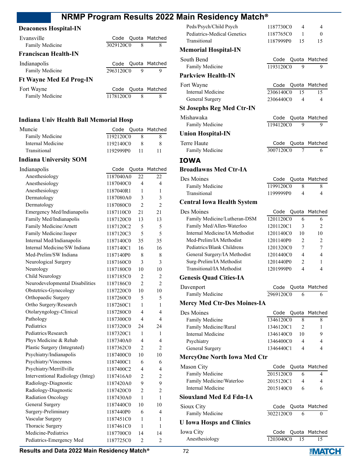### **Deaconess Hospital-IN**

| Evansville                     |           |   | Code Quota Matched |
|--------------------------------|-----------|---|--------------------|
| Family Medicine                | 3029120C0 | 8 | 8                  |
| <b>Franciscan Health-IN</b>    |           |   |                    |
| Indianapolis                   | Code      |   | Quota Matched      |
| <b>Family Medicine</b>         | 2963120C0 | 9 | Q                  |
| <b>Ft Wayne Med Ed Prog-IN</b> |           |   |                    |
| Fort Wayne                     | Code      |   | Quota Matched      |
| <b>Family Medicine</b>         | 1178120C0 | 8 | 8                  |

#### **Indiana Univ Health Ball Memorial Hosp**

| Muncie            |           |     | Code Quota Matched |
|-------------------|-----------|-----|--------------------|
| Family Medicine   | 1192120C0 |     |                    |
| Internal Medicine | 1192140C0 | x   |                    |
| Transitional      | 1192999P0 | -11 |                    |

### **Indiana University SOM**

| Indianapolis                     | Code      | Quota          | Matched        |
|----------------------------------|-----------|----------------|----------------|
| Anesthesiology                   | 1187040A0 | 22             | 22             |
| Anesthesiology                   | 1187040C0 | 4              | 4              |
| Anesthesiology                   | 1187040R1 | 1              | 1              |
| Dermatology                      | 1187080A0 | 3              | 3              |
| Dermatology                      | 1187080C0 | $\overline{2}$ | $\overline{2}$ |
| Emergency Med/Indianapolis       | 1187110C0 | 21             | 21             |
| Family Med/Indianapolis          | 1187120C0 | 13             | 13             |
| Family Medicine/Arnett           | 1187120C2 | 5              | 5              |
| Family Medicine/Jasper           | 1187120C3 | 5              | 5              |
| Internal Med/Indianapolis        | 1187140C0 | 35             | 35             |
| Internal Medicine/SW Indiana     | 1187140C1 | 16             | 16             |
| Med-Prelim/SW Indiana            | 1187140P0 | 8              | 8              |
| Neurological Surgery             | 1187160C0 | 3              | 3              |
| Neurology                        | 1187180C0 | 10             | 10             |
| Child Neurology                  | 1187185C0 | $\mathfrak{D}$ | $\mathfrak{D}$ |
| Neurodevelopmental Disabilities  | 1187186C0 | $\overline{2}$ | 2              |
| Obstetrics-Gynecology            | 1187220C0 | 10             | 10             |
| Orthopaedic Surgery              | 1187260C0 | 5              | 5              |
| Ortho Surgery/Research           | 1187260C1 | 1              | 1              |
| Otolaryngology-Clinical          | 1187280C0 | 4              | 4              |
| Pathology                        | 1187300C0 | $\overline{4}$ | 4              |
| Pediatrics                       | 1187320C0 | 24             | 24             |
| Pediatrics/Research              | 1187320C1 | 1              | 1              |
| Phys Medicine & Rehab            | 1187340A0 | 4              | 4              |
| Plastic Surgery (Integrated)     | 1187362C0 | $\mathfrak{D}$ | $\mathfrak{D}$ |
| Psychiatry/Indianapolis          | 1187400C0 | 10             | 10             |
| Psychiatry/Vincennes             | 1187400C1 | 6              | 6              |
| Psychiatry/Merrillville          | 1187400C2 | 4              | 4              |
| Interventional Radiology (Integ) | 1187416A0 | $\overline{2}$ | $\overline{2}$ |
| Radiology-Diagnostic             | 1187420A0 | 9              | 9              |
| Radiology-Diagnostic             | 1187420C0 | $\overline{c}$ | $\overline{c}$ |
| Radiation Oncology               | 1187430A0 | 1              | 1              |
| General Surgery                  | 1187440C0 | 10             | 10             |
| Surgery-Preliminary              | 1187440P0 | 6              | 4              |
| Vascular Surgery                 | 1187451C0 | 1              | 1              |
| Thoracic Surgery                 | 1187461C0 | 1              | 1              |
| Medicine-Pediatrics              | 1187700C0 | 14             | 14             |
| Pediatrics-Emergency Med         | 1187725C0 | $\overline{2}$ | 2              |

| Peds/Psych/Child Psych<br>Pediatrics-Medical Genetics | 1187730C0<br>1187765C0 | 4<br>1     | 4<br>0        |
|-------------------------------------------------------|------------------------|------------|---------------|
| Transitional                                          | 1187999P0              | 15         | 15            |
| Memorial Hospital-IN                                  |                        |            |               |
| South Bend<br>Family Medicine                         | Code<br>1193120C0      | Quota<br>9 | Matched<br>9  |
| <b>Parkview Health-IN</b>                             |                        |            |               |
| Fort Wayne                                            | Code                   |            | Quota Matched |
| <b>Internal Medicine</b>                              | 2306140C0              | 15         | 15            |
| General Surgery                                       | 2306440C0              | 4          | 4             |
| St Josephs Reg Med Ctr-IN                             |                        |            |               |
| Mishawaka                                             | Code                   | Quota      | Matched       |
| Family Medicine                                       | 1194120C0              | 9          | 9             |
| <b>Union Hospital-IN</b>                              |                        |            |               |
| Terre Haute                                           | Code                   | Quota      | Matched       |
| Family Medicine                                       | 3007120C0              | 7          | 6             |
| IOWA                                                  |                        |            |               |
| <b>Broadlawns Med Ctr-IA</b>                          |                        |            |               |
| Des Moines                                            | Code                   |            | Quota Matched |
| Family Medicine                                       | 1199120C0              | 8          | 8             |
| Transitional                                          | 1199999P0              | 4          | 4             |
| <b>Central Iowa Health System</b>                     |                        |            |               |
| Des Moines                                            | Code                   | Quota      | Matched       |
| Family Medicine/Lutheran-DSM                          | 1201120C0              | 6          | 6             |
| Family Med/Allen-Waterloo                             | 1201120C1              | 3          | 2             |
| Internal Medicine/IA Methodist                        | 1201140C0              | 10         | 10            |
| Med-Prelim/IA Methodist                               | 1201140P0              | 2          | 2             |
| Pediatrics/Blank Childrens                            | 1201320C0              | 7          | 7             |
| General Surgery/IA Methodist                          | 1201440C0              | 4          | 4             |
| Surg-Prelim/IA Methodist<br>Transitional/IA Methodist | 1201440P0<br>1201999P0 | 2<br>4     | 1<br>4        |
| <b>Genesis Quad Cities-IA</b>                         |                        |            |               |
|                                                       |                        |            |               |
| Davenport<br><b>Family Medicine</b>                   | Code<br>2969120C0      | Quota<br>6 | Matched<br>6  |
| <b>Mercy Med Ctr-Des Moines-IA</b>                    |                        |            |               |
|                                                       |                        |            |               |
| Des Moines<br>Family Medicine                         | Code<br>1346120C0      | Quota<br>8 | Matched<br>8  |
| Family Medicine/Rural                                 | 1346120C1              | 2          | 1             |
| Internal Medicine                                     | 1346140C0              | 10         | 9             |
| Psychiatry                                            | 1346400C0              | 4          | 4             |
| General Surgery                                       | 1346440C1              | 4          | 4             |
| MercyOne North Iowa Med Ctr                           |                        |            |               |
| Mason City                                            | Code                   | Quota      | Matched       |
| Family Medicine                                       | 2015120C0              | 6          | 4             |
| Family Medicine/Waterloo                              | 2015120C1              | 4          | 4             |
| Internal Medicine                                     | 2015140C0              | 6          | 6             |
| Siouxland Med Ed Fdn-IA                               |                        |            |               |
| Sioux City                                            | Code                   | Quota      | Matched       |
| Family Medicine                                       | 3022120C0              | 6          | 0             |
| <b>U</b> Iowa Hosps and Clinics                       |                        |            |               |
| Iowa City                                             | Code                   | Quota      | Matched       |
| Anesthesiology                                        | 1203040C0              | 15         | 15            |

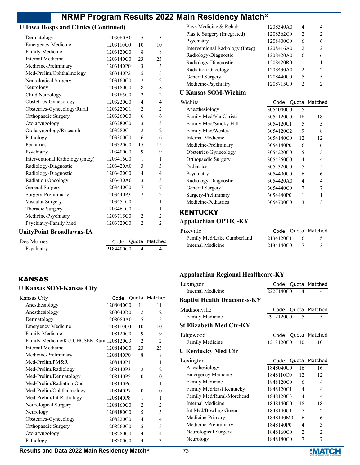### **U Iowa Hosps and Clinics (Continued)**

| Medicine-Psychiatry<br>Psychiatry-Family Med     | 1203715C0<br>1203720C0 | $\overline{2}$<br>$\overline{2}$ | 2<br>$\overline{2}$      |
|--------------------------------------------------|------------------------|----------------------------------|--------------------------|
| Thoracic Surgery                                 | 1203461C0              | 1                                | 1                        |
| Vascular Surgery                                 | 1203451C0              | 1                                | $\mathbf{1}$             |
| Surgery-Preliminary                              | 1203440P3              | $\overline{2}$                   | $\overline{c}$           |
| General Surgery                                  | 1203440C0              | 7                                | 7                        |
| <b>Radiation Oncology</b>                        | 1203430A0              | 3                                | 3                        |
| Radiology-Diagnostic                             | 1203420C0              | 4                                | $\overline{\mathcal{L}}$ |
| Radiology-Diagnostic                             | 1203420A0              | 3                                | 3                        |
| Interventional Radiology (Integ)                 | 1203416C0              | 1                                | 1                        |
| Psychiatry                                       | 1203400C0              | 9                                | 9                        |
| Pediatrics                                       | 1203320C0              | 15                               | 15                       |
| Pathology                                        | 1203300C0              | 6                                | 6                        |
| Otolaryngology/Research                          | 1203280C1              | $\overline{2}$                   | $\overline{c}$           |
| Otolaryngology                                   | 1203280C0              | 3                                | 3                        |
| Orthopaedic Surgery                              | 1203260C0              | 6                                | 6                        |
| Obstetrics-Gynecology/Rural                      | 1203220C1              | $\overline{2}$                   | 2                        |
| Obstetrics-Gynecology                            | 1203220C0              | $\overline{4}$                   | $\overline{\mathcal{L}}$ |
| Child Neurology                                  | 1203185C0              | $\overline{2}$                   | $\overline{c}$           |
| Neurology                                        | 1203180C0              | 8                                | 8                        |
| Med-Prelim/Ophthalmology<br>Neurological Surgery | 1203140P2<br>1203160C0 | 5<br>$\overline{2}$              | 5<br>$\overline{2}$      |
| Medicine-Preliminary                             | 1203140P0              | 3                                | 3                        |
| Internal Medicine                                | 1203140C0              | 23                               | 23                       |
| Family Medicine                                  | 1203120C0              | 8                                | 8                        |
| <b>Emergency Medicine</b>                        | 1203110C0              | 10                               | 10                       |
| Dermatology                                      | 1203080A0              | 5                                | 5                        |

Psychiatry 2184400C0 4 4

# **KANSAS**

### **U Kansas SOM-Kansas City**

| Kansas City                              |           |                          | Code Quota Matched       |
|------------------------------------------|-----------|--------------------------|--------------------------|
| Anesthesiology                           | 1208040C0 | 11                       | 11                       |
| Anesthesiology                           | 1208040R0 | $\mathfrak{D}$           | $\mathfrak{D}$           |
| Dermatology                              | 1208080A0 | $\overline{\phantom{0}}$ | $\overline{\phantom{0}}$ |
| <b>Emergency Medicine</b>                | 1208110C0 | 10                       | 10                       |
| Family Medicine                          | 1208120C0 | 9                        | 9                        |
| Family Medicine/KU-CHCSEK Rura 1208120C3 |           | $\mathfrak{D}$           | $\mathfrak{D}$           |
| Internal Medicine                        | 1208140C0 | 23                       | 23                       |
| Medicine-Preliminary                     | 1208140P0 | 8                        | 8                        |
| $Med-Prelim/PM\&R$                       | 1208140P1 | 1                        | 1                        |
| Med-Prelim/Radiology                     | 1208140P3 | $\mathfrak{D}$           | $\mathcal{L}$            |
| Med-Prelim/Dermatology                   | 1208140P5 | $\Omega$                 | $\Omega$                 |
| Med-Prelim/Radiation Onc                 | 1208140P6 | 1                        | 1                        |
| Med-Prelim/Ophthalmology                 | 1208140P7 | $\theta$                 | $\Omega$                 |
| Med-Prelim/Int Radiology                 | 1208140P8 | 1                        | 1                        |
| Neurological Surgery                     | 1208160C0 | $\overline{c}$           | 2                        |
| Neurology                                | 1208180C0 | $\overline{\phantom{0}}$ | 5                        |
| Obstetrics-Gynecology                    | 1208220C0 | 4                        | 4                        |
| Orthopaedic Surgery                      | 1208260C0 | 5                        | 5                        |
| Otolaryngology                           | 1208280C0 | 4                        | 4                        |
| Pathology                                | 1208300C0 | 4                        | 3                        |

| Phys Medicine & Rehab            | 1208340A0 | 4              | 4              |
|----------------------------------|-----------|----------------|----------------|
| Plastic Surgery (Integrated)     | 1208362C0 | 2              | 2              |
| Psychiatry                       | 1208400C0 | 6              | 6              |
| Interventional Radiology (Integ) | 1208416A0 | 2              | 2              |
| Radiology-Diagnostic             | 1208420A0 | 6              | 6              |
| Radiology-Diagnostic             | 1208420R0 | 1              | 1              |
| <b>Radiation Oncology</b>        | 1208430A0 | $\mathfrak{D}$ | $\mathfrak{D}$ |
| General Surgery                  | 1208440C0 | 5              | 5              |
| Medicine-Psychiatry              | 1208715C0 | 2              | $\mathfrak{D}$ |
| U Kansas SOM-Wichita             |           |                |                |
| Wichita                          | Codo      | ∩⊔∩t∍          | Matche         |

| Wichita                | Code      |    | Quota Matched |
|------------------------|-----------|----|---------------|
| Anesthesiology         | 3054040C0 | 5  | 5             |
| Family Med/Via Christi | 3054120C0 | 18 | 18            |
| Family Med/Smoky Hill  | 3054120C1 | 5  | 5             |
| Family Med/Wesley      | 3054120C2 | 9  | 8             |
| Internal Medicine      | 3054140C0 | 12 | 12            |
| Medicine-Preliminary   | 3054140P0 | 6  | 6             |
| Obstetrics-Gynecology  | 3054220C0 | 5  | 5             |
| Orthopaedic Surgery    | 3054260C0 | 4  | 4             |
| Pediatrics             | 3054320C0 | 5  | 5             |
| Psychiatry             | 3054400C0 | 6  | 6             |
| Radiology-Diagnostic   | 3054420A0 | 4  | 4             |
| General Surgery        | 3054440C0 | 7  |               |
| Surgery-Preliminary    | 3054440P0 |    |               |
| Medicine-Pediatrics    | 3054700C0 | 3  | 3             |

#### **KENTUCKY**

### **Appalachian OPTIC-KY**

| Pikeville                  |           |                | Code Quota Matched |
|----------------------------|-----------|----------------|--------------------|
| Family Med/Lake Cumberland | 2134120C1 | -6             |                    |
| Internal Medicine          | 2134140C0 | $7\phantom{0}$ |                    |

### **Appalachian Regional Healthcare-KY**

| Lexington                          | Code      |                          | Quota Matched            |
|------------------------------------|-----------|--------------------------|--------------------------|
| Internal Medicine                  | 2227140C0 | $\overline{4}$           | 4                        |
| <b>Baptist Health Deaconess-KY</b> |           |                          |                          |
| Madisonville                       | Code      |                          | Quota Matched            |
| Family Medicine                    | 2912120C0 | $\overline{\phantom{0}}$ | 5                        |
| <b>St Elizabeth Med Ctr-KY</b>     |           |                          |                          |
| Edgewood                           | Code      | Quota                    | Matched                  |
| Family Medicine                    | 1213120C0 | 10                       | 10                       |
| <b>U Kentucky Med Ctr</b>          |           |                          |                          |
| Lexington                          | Code      |                          | Quota Matched            |
| Anesthesiology                     | 1848040C0 | 16                       | 16                       |
| <b>Emergency Medicine</b>          | 1848110C0 | 12                       | 12                       |
| Family Medicine                    | 1848120C0 | 6                        | 4                        |
| Family Med/East Kentucky           | 1848120C1 | $\overline{\mathcal{A}}$ | 4                        |
| Family Med/Rural-Morehead          | 1848120C3 | 4                        | $\overline{\mathcal{A}}$ |
| Internal Medicine                  | 1848140C0 | 18                       | 18                       |
| Int Med/Bowling Green              | 1848140C1 | 7                        | 2                        |
| Medicine-Primary                   | 1848140M0 | 6                        | 6                        |
| Medicine-Preliminary               | 1848140P0 | 4                        | 3                        |
| Neurological Surgery               | 1848160C0 | 2                        | $\overline{c}$           |
| Neurology                          | 1848180C0 | 7                        | 7                        |
|                                    |           |                          |                          |

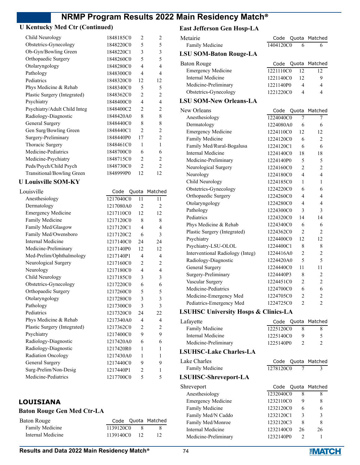### **U Kentucky Med Ctr (Continued)**

| Child Neurology              | 1848185C0 | $\mathfrak{D}$ | $\mathfrak{D}$ |
|------------------------------|-----------|----------------|----------------|
| Obstetrics-Gynecology        | 1848220C0 | 5              | 5              |
| Ob-Gyn/Bowling Green         | 1848220C1 | 3              | 3              |
| Orthopaedic Surgery          | 1848260C0 | 5              | 5              |
| Otolaryngology               | 1848280C0 | 4              | 4              |
| Pathology                    | 1848300C0 | 4              | 4              |
| Pediatrics                   | 1848320C0 | 12             | 12             |
| Phys Medicine & Rehab        | 1848340C0 | 5              | 5              |
| Plastic Surgery (Integrated) | 1848362C0 | $\mathfrak{D}$ | $\overline{c}$ |
| Psychiatry                   | 1848400C0 | 4              | 4              |
| Psychiatry/Adult Child Integ | 1848400C2 | $\mathfrak{D}$ | 2              |
| Radiology-Diagnostic         | 1848420A0 | 8              | 8              |
| General Surgery              | 1848440C0 | 8              | 8              |
| Gen Surg/Bowling Green       | 1848440C1 | 2              | $\overline{c}$ |
| Surgery-Preliminary          | 1848440P0 | 17             | $\overline{c}$ |
| Thoracic Surgery             | 1848461C0 | 1              | 1              |
| Medicine-Pediatrics          | 1848700C0 | 6              | 6              |
| Medicine-Psychiatry          | 1848715C0 | $\mathfrak{D}$ | 2              |
| Peds/Psych/Child Psych       | 1848730C0 | $\overline{c}$ | $\mathfrak{D}$ |
| Transitional/Bowling Green   | 1848999P0 | 12             | 12             |
|                              |           |                |                |

#### **U Louisville SOM-KY**

| Louisville                   | Code      |                | Quota Matched  |
|------------------------------|-----------|----------------|----------------|
| Anesthesiology               | 1217040C0 | 11             | 11             |
| Dermatology                  | 1217080A0 | $\overline{c}$ | $\overline{c}$ |
| <b>Emergency Medicine</b>    | 1217110C0 | 12             | 12             |
| Family Medicine              | 1217120C0 | 8              | 8              |
| Family Med/Glasgow           | 1217120C1 | 4              | 4              |
| Family Med/Owensboro         | 1217120C2 | 6              | 3              |
| Internal Medicine            | 1217140C0 | 24             | 24             |
| Medicine-Preliminary         | 1217140P0 | 12.            | 12             |
| Med-Prelim/Ophthalmology     | 1217140P1 | 4              | 4              |
| Neurological Surgery         | 1217160C0 | $\overline{2}$ | $\overline{c}$ |
| Neurology                    | 1217180C0 | 4              | 4              |
| Child Neurology              | 1217185C0 | 3              | 3              |
| Obstetrics-Gynecology        | 1217220C0 | 6              | 6              |
| Orthopaedic Surgery          | 1217260C0 | 5              | 5              |
| Otolaryngology               | 1217280C0 | 3              | 3              |
| Pathology                    | 1217300C0 | 3              | 3              |
| Pediatrics                   | 1217320C0 | 24             | 22             |
| Phys Medicine & Rehab        | 1217340A0 | 4              | 4              |
| Plastic Surgery (Integrated) | 1217362C0 | 2              | $\overline{2}$ |
| Psychiatry                   | 1217400C0 | 9              | 9              |
| Radiology-Diagnostic         | 1217420A0 | 6              | 6              |
| Radiology-Diagnostic         | 1217420R0 | 1              | 1              |
| Radiation Oncology           | 1217430A0 | 1              | 1              |
| General Surgery              | 1217440C0 | 9              | 9              |
| Surg-Prelim/Non-Desig        | 1217440P1 | $\overline{2}$ | 1              |
| Medicine-Pediatrics          | 1217700C0 | 5              | 5              |
|                              |           |                |                |

### **LOUISIANA**

### **Baton Rouge Gen Med Ctr-LA**

| Baton Rouge       |           |                 | Code Quota Matched |
|-------------------|-----------|-----------------|--------------------|
| Family Medicine   | 1139120C0 | - 83            |                    |
| Internal Medicine | 1139140C0 | $\overline{12}$ |                    |

### **East Jefferson Gen Hosp-LA**

| еам јенегми чен поѕр-ел              |                        |                     |                     |
|--------------------------------------|------------------------|---------------------|---------------------|
| Metairie                             | Code                   |                     | Quota Matched       |
| Family Medicine                      | 1404120C0              | 6                   | 6                   |
| <b>LSU SOM-Baton Rouge-LA</b>        |                        |                     |                     |
| <b>Baton Rouge</b>                   | Code                   |                     | Quota Matched       |
| <b>Emergency Medicine</b>            | 1221110C0              | 12                  | 12                  |
| <b>Internal Medicine</b>             | 1221140C0              | 12                  | 9                   |
| Medicine-Preliminary                 | 1221140P0              | 4                   | 4                   |
| Obstetrics-Gynecology                | 1221220C0              | 4                   | 4                   |
| <b>LSU SOM-New Orleans-LA</b>        |                        |                     |                     |
| New Orleans                          | Code                   |                     | Quota Matched       |
| Anesthesiology                       | 1224040C0              | 7                   | 7                   |
| Dermatology                          | 1224080A0              | 6                   | 6                   |
| <b>Emergency Medicine</b>            | 1224110C0              | 12                  | 12                  |
| Family Medicine                      | 1224120C0              | 6                   | 2                   |
| Family Med/Rural-Bogalusa            | 1224120C1              | 6                   | 6                   |
| <b>Internal Medicine</b>             | 1224140C0              | 18                  | 18                  |
| Medicine-Preliminary                 | 1224140P0              | 5                   | 5                   |
| Neurological Surgery                 | 1224160C0              | 2                   | $\overline{c}$      |
| Neurology                            | 1224180C0              | 4                   | 4                   |
| Child Neurology                      | 1224185C0              | 1                   | 1                   |
| Obstetrics-Gynecology                | 1224220C0              | 6                   | 6                   |
| Orthopaedic Surgery                  | 1224260C0              | 4                   | 4                   |
| Otolaryngology                       | 1224280C0              | 4                   | 4                   |
| Pathology                            | 1224300C0              | 3                   | 3                   |
| Pediatrics                           | 1224320C0              | 14                  | 14                  |
| Phys Medicine & Rehab                | 1224340C0              | 6                   | 6                   |
| Plastic Surgery (Integrated)         | 1224362C0              | $\overline{c}$      | 2                   |
| Psychiatry                           | 1224400C0              | 12                  | 12                  |
| Psychiatry-LSU-OLOL                  | 1224400C1              | 8                   | 8                   |
| Interventional Radiology (Integ)     | 1224416A0              | $\overline{2}$      | 2                   |
| Radiology-Diagnostic                 | 1224420A0              | 5                   | 5                   |
| General Surgery                      | 1224440C0              | 11                  | 11                  |
| Surgery-Preliminary                  |                        |                     |                     |
| Vascular Surgery                     | 1224440P3<br>1224451C0 | 8<br>$\overline{2}$ | 2<br>$\overline{c}$ |
| Medicine-Pediatrics                  | 1224700C0              | 6                   |                     |
|                                      |                        |                     | 6                   |
| Medicine-Emergency Med               | 1224705C0              | 2                   | 2                   |
| Pediatrics-Emergency Med             | 1224725C0              | 2                   | 2                   |
| LSUHSC University Hosps & Clinics-LA |                        |                     |                     |
| Lafayette<br>Family Medicine         | Code                   | Quota               | Matched             |
| <b>Internal Medicine</b>             | 1225120C0              | 8                   | 8                   |
|                                      | 1225140C0              | 9                   | 5                   |
| Medicine-Preliminary                 | 1225140P0              | 2                   | 2                   |
| <b>LSUHSC-Lake Charles-LA</b>        |                        |                     |                     |
| Lake Charles                         | Code                   | Quota               | Matched             |
| Family Medicine                      | 1278120C0              | 7                   | 3                   |
| LSUHSC-Shreveport-LA                 |                        |                     |                     |
| Shreveport                           | Code                   |                     | Quota Matched       |
| Anesthesiology                       | 1232040C0              | 8                   | 8                   |
| <b>Emergency Medicine</b>            | 1232110C0              | 9                   | 8                   |
| Family Medicine                      | 1232120C0              | 6                   | 6                   |
| Family Med/N Caddo                   | 1232120C1              | 3                   | 3                   |

Family Med/Monroe 1232120C3 8 8 Internal Medicine 1232140C0 26 26 Medicine-Preliminary 1232140P0 2 1

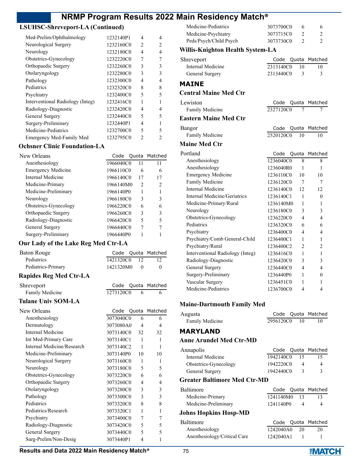### **LSUHSC-Shreveport-LA (Continued)**

| Med-Prelim/Ophthalmology         | 1232140P1 | 4              | 4              |
|----------------------------------|-----------|----------------|----------------|
| Neurological Surgery             | 1232160C0 | $\overline{c}$ | $\overline{c}$ |
| Neurology                        | 1232180C0 | 4              | 4              |
| Obstetrics-Gynecology            | 1232220C0 | 7              |                |
| Orthopaedic Surgery              | 1232260C0 | 3              | 3              |
| Otolaryngology                   | 1232280C0 | 3              | 3              |
| Pathology                        | 1232300C0 | 4              | 4              |
| Pediatrics                       | 1232320C0 | 8              | 8              |
| Psychiatry                       | 1232400C0 | 5              | 5              |
| Interventional Radiology (Integ) | 1232416C0 |                |                |
| Radiology-Diagnostic             | 1232420C0 | 4              | 4              |
| General Surgery                  | 1232440C0 | 5              | 5              |
| Surgery-Preliminary              | 1232440P1 | 4              |                |
| Medicine-Pediatrics              | 1232700C0 | 5              | 5              |
| Emergency Med-Family Med         | 1232795C0 | $\mathfrak{D}$ | 2              |

#### **Ochsner Clinic Foundation-LA**

| New Orleans               |           |                | Code Quota Matched |
|---------------------------|-----------|----------------|--------------------|
| Anesthesiology            | 1966040C0 |                | 11                 |
| <b>Emergency Medicine</b> | 1966110C0 | 6              | 6                  |
| Internal Medicine         | 1966140C0 | 17             | 17                 |
| Medicine-Primary          | 1966140M0 | $\mathfrak{D}$ | 2                  |
| Medicine-Preliminary      | 1966140P0 |                |                    |
| Neurology                 | 1966180C0 | 3              | 3                  |
| Obstetrics-Gynecology     | 1966220C0 | 6              | 6                  |
| Orthopaedic Surgery       | 1966260C0 | 3              | 3                  |
| Radiology-Diagnostic      | 1966420C0 | 5              | 5                  |
| General Surgery           | 1966440C0 | 7              |                    |
| Surgery-Preliminary       | 1966440P0 |                |                    |

### **Our Lady of the Lake Reg Med Ctr-LA**

| <b>Baton Rouge</b>            | Code      | Quota          | Matched       |
|-------------------------------|-----------|----------------|---------------|
| Pediatrics                    | 1421320C0 | 12             | 12            |
| Pediatrics-Primary            | 1421320M0 | $\Omega$       | $\theta$      |
| <b>Rapides Reg Med Ctr-LA</b> |           |                |               |
| Shreveport                    | Code      |                | Quota Matched |
| Family Medicine               | 1273120C0 | 6              | 6             |
| <b>Tulane Univ SOM-LA</b>     |           |                |               |
| New Orleans                   | Code      | Quota          | Matched       |
| Anesthesiology                | 3073040C0 | 6              | 6             |
| Dermatology                   | 3073080A0 | 4              | 4             |
| Internal Medicine             | 3073140C0 | 32             | 32            |
| Int Med-Primary Care          | 3073140C1 | 1              | 1             |
| Internal Medicine/Research    | 3073140C2 | 1              | 1             |
| Medicine-Preliminary          | 3073140P0 | 10             | 10            |
| Neurological Surgery          | 3073160C0 | 1              | 1             |
| Neurology                     | 3073180C0 | 5              | 5             |
| Obstetrics-Gynecology         | 3073220C0 | 6              | 6             |
| Orthopaedic Surgery           | 3073260C0 | 4              | 4             |
| Otolaryngology                | 3073280C0 | 3              | 3             |
| Pathology                     | 3073300C0 | 3              | 3             |
| Pediatrics                    | 3073320C0 | 8              | 8             |
| Pediatrics/Research           | 3073320C1 | 1              | 1             |
| Psychiatry                    | 3073400C0 | 7              | 7             |
| Radiology-Diagnostic          | 3073420C0 | 5              | 5             |
| General Surgery               | 3073440C0 | 5              | 5             |
| Surg-Prelim/Non-Desig         | 3073440P1 | $\overline{4}$ | 1             |

| Medicine-Pediatrics    | 3073700C0 |  |
|------------------------|-----------|--|
| Medicine-Psychiatry    | 3073715C0 |  |
| Peds/Psych/Child Psych | 3073730C0 |  |

#### **Willis-Knighton Health System-LA**

| Shreveport        |           |    | Code Quota Matched |
|-------------------|-----------|----|--------------------|
| Internal Medicine | 2313140C0 | 10 |                    |
| General Surgery   | 2313440C0 |    |                    |
|                   |           |    |                    |

### **MAINE**

### **Central Maine Med Ctr**

| Lewiston                     | Code Quota Matched                 |
|------------------------------|------------------------------------|
| Family Medicine              | 2327120C0                          |
| <b>Eastern Maine Med Ctr</b> |                                    |
| Bangor                       | Code Quota Matched                 |
| Family Medicine              | 2520120C0<br>$\overline{10}$<br>10 |
| <b>Maine Med Ctr</b>         |                                    |

| Portland                         | Code      | Quota | Matched |
|----------------------------------|-----------|-------|---------|
| Anesthesiology                   | 1236040C0 | 8     | 8       |
| Anesthesiology                   | 1236040R0 | 1     | 1       |
| <b>Emergency Medicine</b>        | 1236110C0 | 10    | 10      |
| Family Medicine                  | 1236120C0 | 7     | 7       |
| Internal Medicine                | 1236140C0 | 12    | 12      |
| Internal Medicine/Geriatrics     | 1236140C1 | 1     | 0       |
| Medicine-Primary/Rural           | 1236140M0 | 1     | 1       |
| Neurology                        | 1236180C0 | 3     | 3       |
| Obstetrics-Gynecology            | 1236220C0 | 4     | 4       |
| Pediatrics                       | 1236320C0 | 6     | 6       |
| Psychiatry                       | 1236400C0 | 4     | 4       |
| Psychiatry/Comb General-Child    | 1236400C1 | 1     | 1       |
| Psychiatry/Rural                 | 1236400C2 | 2     | 2       |
| Interventional Radiology (Integ) | 1236416C0 | 1     | 1       |
| Radiology-Diagnostic             | 1236420C0 | 3     | 3       |
| General Surgery                  | 1236440C0 | 4     | 4       |
| Surgery-Preliminary              | 1236440P0 | 1     | 0       |
| Vascular Surgery                 | 1236451C0 | 1     |         |
| Medicine-Pediatrics              | 1236700C0 | 4     | 4       |
|                                  |           |       |         |

### **Maine-Dartmouth Family Med**

| Augusta         |           | Code Quota Matched |
|-----------------|-----------|--------------------|
| Family Medicine | 2956120C0 |                    |

#### **MARYLAND**

#### **Anne Arundel Med Ctr-MD**

| 15 | 15                                                        |
|----|-----------------------------------------------------------|
|    |                                                           |
|    |                                                           |
|    | Code Quota Matched<br>1942140C0<br>1942220C0<br>1942440C0 |

#### **Greater Baltimore Med Ctr-MD**

| Baltimore             |           |                 | Code Quota Matched |
|-----------------------|-----------|-----------------|--------------------|
| Medicine-Primary      | 1241140M0 | $\overline{13}$ | 13                 |
| Medicine-Preliminary  | 1241140P0 | 4               | 4                  |
| Johns Hopkins Hosp-MD |           |                 |                    |
| Baltimore             | Code      |                 | Quota Matched      |
| Anesthesiology        | 1242040A0 | 20              | 20                 |

Anesthesiology/Critical Care 1242040A1 1 1

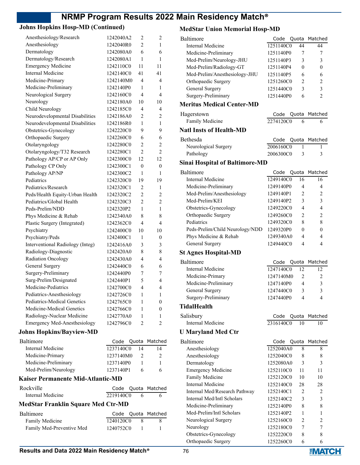### **Johns Hopkins Hosp-MD (Continued)**

| Anesthesiology/Research             | 1242040A2 | $\overline{c}$   | 2                |
|-------------------------------------|-----------|------------------|------------------|
| Anesthesiology                      | 1242040R0 | $\overline{c}$   | 1                |
| Dermatology                         | 1242080A0 | 6                | 6                |
| Dermatology/Research                | 1242080A1 | 1                | 1                |
| <b>Emergency Medicine</b>           | 1242110C0 | 11               | 11               |
| <b>Internal Medicine</b>            | 1242140C0 | 41               | 41               |
| Medicine-Primary                    | 1242140M0 | 4                | 4                |
| Medicine-Preliminary                | 1242140P0 | 1                | 1                |
| Neurological Surgery                | 1242160C0 | 4                | 4                |
| Neurology                           | 1242180A0 | 10               | 10               |
| Child Neurology                     | 1242185C0 | 4                | 4                |
| Neurodevelopmental Disabilities     | 1242186A0 | 2                | 2                |
| Neurodevelopmental Disabilities     | 1242186R0 | 1                | 1                |
| Obstetrics-Gynecology               | 1242220C0 | 9                | 9                |
| Orthopaedic Surgery                 | 1242260C0 | 6                | 6                |
| Otolaryngology                      | 1242280C0 | 2                | 2                |
| Otolaryngology/T32 Research         | 1242280C1 | $\overline{2}$   | $\overline{2}$   |
| Pathology AP/CP or AP Only          | 1242300C0 | 12               | 12               |
| Pathology CP Only                   | 1242300C1 | $\boldsymbol{0}$ | $\boldsymbol{0}$ |
| Pathology AP/NP                     | 1242300C2 | 1                | 1                |
| Pediatrics                          | 1242320C0 | 19               | 19               |
| Pediatrics/Research                 | 1242320C1 | 2                | 1                |
| Peds/Health Equity-Urban Health     | 1242320C2 | $\overline{2}$   | $\overline{c}$   |
| Pediatrics/Global Health            |           | $\overline{2}$   | $\overline{c}$   |
| Peds-Prelim/NDD                     | 1242320C3 |                  |                  |
|                                     | 1242320P2 | 1                | 1                |
| Phys Medicine & Rehab               | 1242340A0 | 8                | 8                |
| Plastic Surgery (Integrated)        | 1242362C0 | 4                | 4                |
| Psychiatry                          | 1242400C0 | 10               | 10               |
| Psychiatry/Peds                     | 1242400C1 | 1                | 0                |
| Interventional Radiology (Integ)    | 1242416A0 | 3                | 3                |
| Radiology-Diagnostic                | 1242420A0 | 8                | 8                |
| Radiation Oncology                  | 1242430A0 | 4                | 4                |
| <b>General Surgery</b>              | 1242440C0 | 6                | 6                |
| Surgery-Preliminary                 | 1242440P0 | 7                | 7                |
| Surg-Prelim/Designated              | 1242440P1 | 5                | 4                |
| Medicine-Pediatrics                 | 1242700C0 | 4                | 4                |
| Pediatrics-Anesthesiology           | 1242726C0 | $\mathbf{1}$     | $\mathbf{1}$     |
| Pediatrics-Medical Genetics         | 1242765C0 | 1                | 0                |
| Medicine-Medical Genetics           | 1242766C0 | 1                | 0                |
| Radiology-Nuclear Medicine          | 1242770A0 | 1                | 1                |
| <b>Emergency Med-Anesthesiology</b> | 1242796C0 | 2                | 2                |
| <b>Johns Hopkins/Bayview-MD</b>     |           |                  |                  |
|                                     |           |                  |                  |
| Baltimore                           | Code      | Quota            | Matched          |
| <b>Internal Medicine</b>            | 1237140C0 | 14               | 14               |
| Medicine-Primary                    | 1237140M0 | 2                | 2                |
| Medicine-Preliminary                | 1237140P0 | 1                | 1                |
| Med-Prelim/Neurology                | 1237140P1 | 6                | 6                |
| Kaiser Permanente Mid-Atlantic-MD   |           |                  |                  |
| Rockville                           | Code      |                  | Quota Matched    |
| Internal Medicine                   | 2219140C0 | 6                | 6                |
| MedStar Franklin Square Med Ctr-MD  |           |                  |                  |
| Baltimore                           | Code      | Quota            | Matched          |
| Family Medicine                     | 1240120C0 | 8                | 8                |
|                                     |           |                  |                  |

### **MedStar Union Memorial Hosp-MD**

| мсаэтаг онгон менюгтаг ноэр-мь        |           |                |         |
|---------------------------------------|-----------|----------------|---------|
| Baltimore                             | Code      | Quota          | Matched |
| <b>Internal Medicine</b>              | 1251140C0 | 44             | 44      |
| Medicine-Preliminary                  | 1251140P0 | 7              | 7       |
| Med-Prelim/Neurology-JHU              | 1251140P3 | 3              | 3       |
| Med-Prelim/Radiology-GT               | 1251140P4 | $\theta$       | 0       |
| Med-Prelim/Anesthesiology-JHU         | 1251140P5 | 6              | 6       |
| Orthopaedic Surgery                   | 1251260C0 | 2              | 2       |
| General Surgery                       | 1251440C0 | 3              | 3       |
| Surgery-Preliminary                   | 1251440P0 | 6              | 2       |
| <b>Meritus Medical Center-MD</b>      |           |                |         |
| Hagerstown                            | Code      | Quota          | Matched |
| Family Medicine                       | 2274120C0 | 6              | 6       |
| <b>Natl Insts of Health-MD</b>        |           |                |         |
| Bethesda                              |           |                |         |
|                                       | Code      | Quota          | Matched |
| Neurological Surgery                  | 2006160C0 | 1              | 1       |
| Pathology                             | 2006300C0 | 3              | 3       |
| <b>Sinai Hospital of Baltimore-MD</b> |           |                |         |
| Baltimore                             | Code      | Quota          | Matched |
| <b>Internal Medicine</b>              | 1249140C0 | 16             | 16      |
| Medicine-Preliminary                  | 1249140P0 | 4              | 4       |
| Med-Prelim/Anesthesiology             | 1249140P1 | 2              | 2       |
| Med-Prelim/KEI                        | 1249140P2 | 3              | 3       |
| Obstetrics-Gynecology                 | 1249220C0 | 4              | 4       |
| Orthopaedic Surgery                   | 1249260C0 | $\overline{2}$ | 2       |
| Pediatrics                            | 1249320C0 | 8              | 8       |
| Peds-Prelim/Child Neurology/NDD       | 1249320P0 | $\theta$       | 0       |
| Phys Medicine & Rehab                 | 1249340A0 | 4              | 4       |
| General Surgery                       | 1249440C0 | 4              | 4       |
| <b>St Agnes Hospital-MD</b>           |           |                |         |
| Baltimore                             | Code      | Quota          | Matched |
| Internal Medicine                     | 1247140C0 | 12             | 12      |
| Medicine-Primary                      | 1247140M0 | 2              | 2       |
| Medicine-Preliminary                  | 1247140P0 | 4              | 3       |
| General Surgery                       | 1247440C0 | 3              | 3       |
| Surgery-Preliminary                   | 1247440P0 | 4              | 4       |
| TidalHealth                           |           |                |         |
|                                       |           |                |         |
| Salisbury                             | Code      | Quota          | Matched |
| <b>Internal Medicine</b>              | 2316140C0 | 10             | 10      |
| <b>U Maryland Med Ctr</b>             |           |                |         |
| Baltimore                             | Code      | Quota          | Matched |
| Anesthesiology                        | 1252040A0 | 8              | 8       |
| Anesthesiology                        | 1252040C0 | 8              | 8       |
| Dermatology                           | 1252080A0 | 3              | 3       |
| <b>Emergency Medicine</b>             | 1252110C0 | 11             | 11      |
| Family Medicine                       | 1252120C0 | 10             | 10      |
| <b>Internal Medicine</b>              | 1252140C0 | 28             | 28      |
| Internal Med/Research Pathway         | 1252140C1 | 2              | 2       |
| Internal Med/Intl Scholars            | 1252140C2 | 3              | 3       |
| Medicine-Preliminary                  |           | 8              | 8       |
|                                       | 1252140P0 |                |         |
| Med-Prelim/Intl Scholars              | 1252140P2 | 1              | 1       |
| Neurological Surgery                  | 1252160C0 | 2              | 2       |
|                                       | 1252180C0 | 7              | 7       |
| Neurology<br>Obstetrics-Gynecology    | 1252220C0 | 8              | 8       |

Family Med-Preventive Med 1240752C0 1 1

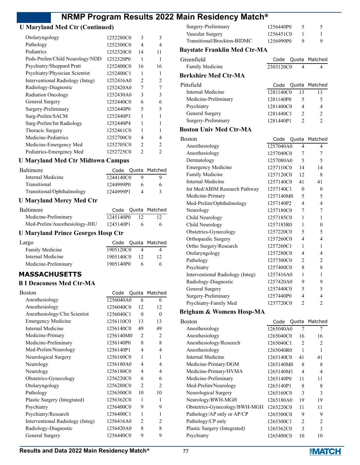### **U Maryland Med Ctr (Continued)**

| Otolaryngology                   | 1252280C0 | 3              | 3              |
|----------------------------------|-----------|----------------|----------------|
| Pathology                        | 1252300C0 | 4              | 4              |
| Pediatrics                       | 1252320C0 | 14             | 11             |
| Peds-Prelim/Child Neurology/NDD  | 1252320P0 | 1              | 1              |
| Psychiatry/Sheppard Pratt        | 1252400C0 | 16             | 16             |
| Psychiatry/Physician Scientist   | 1252400C1 | 1              | 1              |
| Interventional Radiology (Integ) | 1252416A0 | 2              | $\overline{c}$ |
| Radiology-Diagnostic             | 1252420A0 | 7              | 7              |
| <b>Radiation Oncology</b>        | 1252430A0 | 3              | 3              |
| General Surgery                  | 1252440C0 | 6              | 6              |
| Surgery-Preliminary              | 1252440P0 | 5              | 5              |
| Surg-Prelim/SACM                 | 1252440P3 | 1              |                |
| Surg-Prelim/Int Radiology        | 1252440P4 | 1              |                |
| Thoracic Surgery                 | 1252461C0 | 1              |                |
| Medicine-Pediatrics              | 1252700C0 | 4              | 4              |
| Medicine-Emergency Med           | 1252705C0 | $\mathfrak{D}$ | 2              |
| Pediatrics-Emergency Med         | 1252725C0 | $\mathfrak{D}$ | 2              |
|                                  |           |                |                |

#### **U Maryland Med Ctr Midtown Campus**

| <b>Baltimore</b>           |           |   | Code Quota Matched |
|----------------------------|-----------|---|--------------------|
| Internal Medicine          | 1244140C0 |   |                    |
| Transitional               | 1244999P0 | 6 |                    |
| Transitional/Ophthalmology | 1244999P1 |   |                    |

#### **U Maryland Mercy Med Ctr**

| Baltimore                     |           |      | Code Quota Matched |
|-------------------------------|-----------|------|--------------------|
| Medicine-Preliminary          | 1245140P0 | - 12 |                    |
| Med-Prelim/Anesthesiology-JHU | 1245140P1 |      | 6                  |

### **U Maryland Prince Georges Hosp Ctr**

| Largo                |           |    | Code Quota Matched |
|----------------------|-----------|----|--------------------|
| Family Medicine      | 1905120C0 |    |                    |
| Internal Medicine    | 1905140C0 | 12 | 12                 |
| Medicine-Preliminary | 1905140P0 |    | 6                  |

### **MASSACHUSETTS**

#### **B I Deaconess Med Ctr-MA**

| Boston                           | Code      |                          | Quota Matched  |
|----------------------------------|-----------|--------------------------|----------------|
| Anesthesiology                   | 1256040A0 | 6                        | 6              |
| Anesthesiology                   | 1256040C0 | 12                       | 12             |
| Anesthesiology/Clin Scientist    | 1256040C1 | $\theta$                 | $\theta$       |
| <b>Emergency Medicine</b>        | 1256110C0 | 13                       | 13             |
| Internal Medicine                | 1256140C0 | 49                       | 49             |
| Medicine-Primary                 | 1256140M0 | 2                        | $\overline{c}$ |
| Medicine-Preliminary             | 1256140P0 | 8                        | 8              |
| Med-Prelim/Neurology             | 1256140P1 | $\overline{\mathcal{A}}$ | 4              |
| Neurological Surgery             | 1256160C0 | 1                        | 1              |
| Neurology                        | 1256180A0 | $\overline{\mathcal{A}}$ | 4              |
| Neurology                        | 1256180C0 | $\overline{4}$           | 4              |
| Obstetrics-Gynecology            | 1256220C0 | 6                        | 6              |
| Otolaryngology                   | 1256280C0 | 2                        | $\mathfrak{D}$ |
| Pathology                        | 1256300C0 | 10                       | 10             |
| Plastic Surgery (Integrated)     | 1256362C0 | 1                        | 1              |
| Psychiatry                       | 1256400C0 | 9                        | 9              |
| Psychiatry/Research              | 1256400C1 | 1                        | 1              |
| Interventional Radiology (Integ) | 1256416A0 | 2                        | $\overline{c}$ |
| Radiology-Diagnostic             | 1256420A0 | 8                        | 8              |
| General Surgery                  | 1256440C0 | 9                        | 9              |

| Surgery-Preliminary         | 1256440P0 |   |
|-----------------------------|-----------|---|
| Vascular Surgery            | 1256451C0 |   |
| Transitional/Brockton-BIDMC | 1256999P0 | u |

### **Baystate Franklin Med Ctr-MA**

### Greenfield Code Quota Matched Family Medicine 2303120C0 4 4 **Berkshire Med Ctr-MA** Pittsfield **Code Quota Matched** Internal Medicine 1281140C0 13 13 Medicine-Preliminary 1281140P0 5 5 Psychiatry 1281400C0 4 4 General Surgery 1281440C1 2 2 Surgery-Preliminary 1281440P1 2 2

#### **Boston Univ Med Ctr-MA**

| Boston                           | Code      |                | Quota Matched  |
|----------------------------------|-----------|----------------|----------------|
| Anesthesiology                   | 1257040A0 | $\overline{4}$ | 4              |
| Anesthesiology                   | 1257040C0 | 7              | 7              |
| Dermatology                      | 1257080A0 | 5              | 5              |
| <b>Emergency Medicine</b>        | 1257110C0 | 14             | 14             |
| Family Medicine                  | 1257120C0 | 12             | 8              |
| <b>Internal Medicine</b>         | 1257140C0 | 41             | 41             |
| Int Med/ABIM Research Pathway    | 1257140C1 | $\theta$       | $\theta$       |
| Medicine-Primary                 | 1257140M0 | 5              | 5              |
| Med-Prelim/Ophthalmology         | 1257140P2 | $\overline{4}$ | 4              |
| Neurology                        | 1257180C0 | 7              | 7              |
| Child Neurology                  | 1257185C0 | 1              | 1              |
| Child Neurology                  | 1257185R0 | 1              | $\theta$       |
| Obstetrics-Gynecology            | 1257220C0 | 5              | 5              |
| Orthopaedic Surgery              | 1257260C0 | 4              | 4              |
| Ortho Surgery/Research           | 1257260C1 | 1              | $\mathbf{1}$   |
| Otolaryngology                   | 1257280C0 | 4              | 4              |
| Pathology                        | 1257300C0 | 2              | $\overline{2}$ |
| Psychiatry                       | 1257400C0 | 8              | 8              |
| Interventional Radiology (Integ) | 1257416A0 | 1              | $\mathbf{1}$   |
| Radiology-Diagnostic             | 1257420A0 | 9              | 9              |
| General Surgery                  | 1257440C0 | 5              | 5              |
| Surgery-Preliminary              | 1257440P0 | 4              | 4              |
| Psychiatry-Family Med            | 1257720C0 | $\overline{2}$ | $\overline{2}$ |

#### **Brigham & Womens Hosp-MA**

| Boston                        | Code      |                | Quota Matched |
|-------------------------------|-----------|----------------|---------------|
| Anesthesiology                | 1265040A0 | 7              | 7             |
| Anesthesiology                | 1265040C0 | 16             | 16            |
| Anesthesiology/Research       | 1265040C1 | $\overline{c}$ | 2             |
| Anesthesiology                | 1265040R0 | 1              |               |
| Internal Medicine             | 1265140C0 | 41             | 41            |
| Medicine-Primary/DGM          | 1265140M0 | 8              | 8             |
| Medicine-Primary/HVMA         | 1265140M1 | 4              | 4             |
| Medicine-Preliminary          | 1265140P0 | 11             | 11            |
| Med-Prelim/Neurology          | 1265140P1 | 8              | 8             |
| Neurological Surgery          | 1265160C0 | 3              | 3             |
| Neurology/BWH-MGH             | 1265180A0 | 19             | 19            |
| Obstetrics-Gynecology/BWH-MGH | 1265220C0 | 11             | 11            |
| Pathology/AP only or AP/CP    | 1265300C0 | 9              | 9             |
| Pathology/CP only             | 1265300C1 | $\overline{c}$ | 2             |
| Plastic Surgery (Integrated)  | 1265362C0 | 3              | 3             |
| Psychiatry                    | 1265400C0 | 10             | 10            |
|                               |           |                |               |

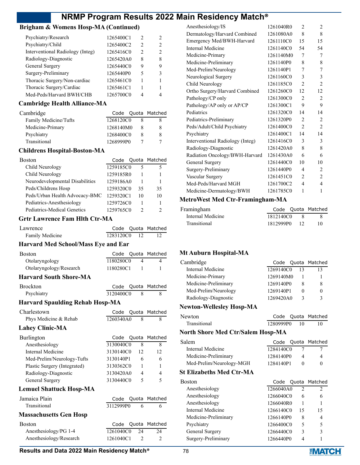### **Brigham & Womens Hosp-MA (Continued)**

| Psychiatry/Research              | 1265400C1 | $\mathcal{P}$ | $\mathcal{L}$ |
|----------------------------------|-----------|---------------|---------------|
| Psychiatry/Child                 | 1265400C2 | $\mathcal{P}$ | $\mathcal{L}$ |
| Interventional Radiology (Integ) | 1265416C0 | $\mathcal{P}$ | $\mathcal{L}$ |
| Radiology-Diagnostic             | 1265420A0 | 8             | 8             |
| General Surgery                  | 1265440C0 | 9             | 9             |
| Surgery-Preliminary              | 1265440P0 | 5             | 3             |
| Thoracic Surgery/Non-cardiac     | 1265461C0 |               |               |
| Thoracic Surgery/Cardiac         | 1265461C1 |               |               |
| Med-Peds/Harvard BWH/CHB         | 1265700C0 | Λ             |               |

#### **Cambridge Health Alliance-MA**

| Cambridge             |           |   | Code Quota Matched |
|-----------------------|-----------|---|--------------------|
| Family Medicine/Tufts | 1268120C0 |   |                    |
| Medicine-Primary      | 1268140M0 | x |                    |
| Psychiatry            | 1268400C0 |   |                    |
| Transitional          | 1268999P0 |   |                    |

#### **Childrens Hospital-Boston-MA**

| <b>Boston</b>                   | Code      |    | Quota Matched |
|---------------------------------|-----------|----|---------------|
| Child Neurology                 | 1259185C0 | 5  | 5             |
| Child Neurology                 | 1259185R0 |    |               |
| Neurodevelopmental Disabilities | 1259186A0 |    |               |
| Peds/Childrens Hosp             | 1259320C0 | 35 | 35            |
| Peds/Urban Health Advocacy-BMC  | 1259320C1 | 10 | 10            |
| Pediatrics-Anesthesiology       | 1259726C0 |    |               |
| Pediatrics-Medical Genetics     | 1259765C0 |    |               |

#### **Grtr Lawrence Fam Hlth Ctr-MA**

| Lawrence        |           |       | Code Quota Matched |
|-----------------|-----------|-------|--------------------|
| Family Medicine | 1283120C0 | - 12. |                    |

#### **Harvard Med School/Mass Eye and Ear**

| <b>Boston</b>                          | Code      |                | Quota Matched            |
|----------------------------------------|-----------|----------------|--------------------------|
| Otolaryngology                         | 1180280C0 | 4              | 4                        |
| Otolaryngology/Research                | 1180280C1 | 1              | 1                        |
| <b>Harvard South Shore-MA</b>          |           |                |                          |
| <b>Brockton</b>                        | Code      |                | Quota Matched            |
| Psychiatry                             | 3120400C0 | 8              | 8                        |
| <b>Harvard Spaulding Rehab Hosp-MA</b> |           |                |                          |
| Charlestown                            | Code      |                | Quota Matched            |
| Phys Medicine & Rehab                  | 1260340A0 | 8              | 8                        |
| <b>Lahey Clinic-MA</b>                 |           |                |                          |
| Burlington                             | Code      |                | Quota Matched            |
| Anesthesiology                         | 3130040C0 | 8              | 8                        |
| Internal Medicine                      | 3130140C0 | 12             | 12                       |
| Med-Prelim/Neurology-Tufts             | 3130140P1 | 6              | 6                        |
| Plastic Surgery (Integrated)           | 3130362C0 | 1              | 1                        |
| Radiology-Diagnostic                   | 3130420A0 | 4              | 4                        |
| General Surgery                        | 3130440C0 | 5              | $\overline{\phantom{0}}$ |
| <b>Lemuel Shattuck Hosp-MA</b>         |           |                |                          |
| Jamaica Plain                          | Code      |                | Quota Matched            |
| Transitional                           | 3112999P0 | 6              | 6                        |
| <b>Massachusetts Gen Hosp</b>          |           |                |                          |
| <b>Boston</b>                          | Code      |                | Quota Matched            |
| Anesthesiology/PG 1-4                  | 1261040C0 | 24             | 24                       |
| Anesthesiology/Research                | 1261040C1 | $\overline{2}$ | $\overline{2}$           |

|           |                                     | $\mathfrak{D}$      |
|-----------|-------------------------------------|---------------------|
|           |                                     |                     |
|           |                                     | 8                   |
|           | 15                                  | 15                  |
| 1261140C0 | 54                                  | 54                  |
| 1261140M0 | 7                                   | 7                   |
| 1261140P0 | 8                                   | 8                   |
| 1261140P1 | 7                                   | 7                   |
| 1261160C0 | 3                                   | 3                   |
| 1261185C0 | $\overline{c}$                      | $\overline{2}$      |
| 1261260C0 | 12                                  | 12                  |
| 1261300C0 | $\overline{2}$                      | $\overline{2}$      |
| 1261300C1 | 9                                   | 9                   |
| 1261320C0 | 14                                  | 14                  |
| 1261320P0 | $\mathfrak{D}$                      | $\overline{c}$      |
| 1261400C0 | $\mathfrak{D}$                      | $\mathfrak{D}$      |
| 1261400C1 | 14                                  | 14                  |
| 1261416C0 | 3                                   | 3                   |
| 1261420A0 | 8                                   | 8                   |
| 1261430A0 | 6                                   | 6                   |
| 1261440C0 | 10                                  | 10                  |
| 1261440P0 | 4                                   | $\overline{c}$      |
| 1261451C0 | $\overline{c}$                      | $\overline{c}$      |
| 1261700C2 | $\overline{4}$                      | $\overline{4}$      |
| 1261785C0 | 1                                   | 1                   |
|           | 1261040R0<br>1261080A0<br>1261110C0 | $\mathfrak{D}$<br>8 |

#### **MetroWest Med Ctr-Framingham-MA**

| Framingham        |              |     | Code Quota Matched |
|-------------------|--------------|-----|--------------------|
| Internal Medicine | 1812140C0    | - 8 |                    |
| Transitional      | 1812999P0 12 |     |                    |

#### **Mt Auburn Hospital-MA**

| Cambridge            |           |   | Code Quota Matched |
|----------------------|-----------|---|--------------------|
| Internal Medicine    | 1269140C0 |   | 13                 |
| Medicine-Primary     | 1269140M0 |   |                    |
| Medicine-Preliminary | 1269140P0 | 8 | 8                  |
| Med-Prelim/Neurology | 1269140P1 |   |                    |
| Radiology-Diagnostic | 1269420A0 | 3 | ι                  |
| . .                  |           |   |                    |

#### **Newton-Wellesley Hosp-MA**

| Newton       |           | Code Quota Matched |
|--------------|-----------|--------------------|
| Transitional | 1280999P0 |                    |

#### **North Shore Med Ctr/Salem Hosp-MA**

| Salem                    |           | Code Quota Matched |
|--------------------------|-----------|--------------------|
| Internal Medicine        | 1284140C0 |                    |
| Medicine-Preliminary     | 1284140P0 |                    |
| Med-Prelim/Neurology-MGH | 1284140P1 |                    |

#### **St Elizabeths Med Ctr-MA**

| Boston               | Code Quota Matched |                |                |
|----------------------|--------------------|----------------|----------------|
| Anesthesiology       | 1266040A0          | $\mathfrak{D}$ | $\mathfrak{D}$ |
| Anesthesiology       | 1266040C0          | 6              | 6              |
| Anesthesiology       | 1266040R0          |                |                |
| Internal Medicine    | 1266140C0          | 15             | 15             |
| Medicine-Preliminary | 1266140P0          | 8              | 4              |
| Psychiatry           | 1266400C0          | 5              | 5              |
| General Surgery      | 1266440C0          | 3              | 3              |
| Surgery-Preliminary  | 1266440P0          | 4              |                |

#### **Results and Data 2022 Main Residency Match<sup>®</sup> 78**

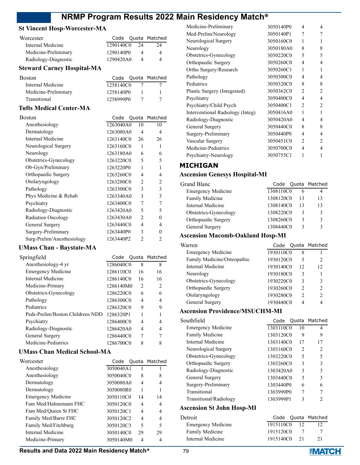### **St Vincent Hosp-Worcester-MA**

| Worcester            |           |     | Code Quota Matched |
|----------------------|-----------|-----|--------------------|
| Internal Medicine    | 1290140C0 | -24 | 24                 |
| Medicine-Preliminary | 1290140P0 |     | $\Delta$           |
| Radiology-Diagnostic | 1290420A0 |     | Δ                  |

### **Steward Carney Hospital-MA**

| Boston               |           | Code Quota Matched |
|----------------------|-----------|--------------------|
| Internal Medicine    | 1258140C0 |                    |
| Medicine-Preliminary | 1258140P0 |                    |
| Transitional         | 1258999P0 |                    |

### **Tufts Medical Center-MA**

| Boston                     | Code      |                | Quota Matched  |
|----------------------------|-----------|----------------|----------------|
| Anesthesiology             | 1263040A0 | 10             | 10             |
| Dermatology                | 1263080A0 | 4              | 4              |
| Internal Medicine          | 1263140C0 | 26             | 26             |
| Neurological Surgery       | 1263160C0 | 1              | 1              |
| Neurology                  | 1263180A0 | 6              | 6              |
| Obstetrics-Gynecology      | 1263220C0 | 5              | 5              |
| Ob-Gyn/Preliminary         | 1263220P0 | 1              |                |
| Orthopaedic Surgery        | 1263260C0 | 4              | 4              |
| Otolaryngology             | 1263280C0 | 2              | $\mathfrak{D}$ |
| Pathology                  | 1263300C0 | 3              | 3              |
| Phys Medicine & Rehab      | 1263340A0 | 3              | 3              |
| Psychiatry                 | 1263400C0 | 7              | 7              |
| Radiology-Diagnostic       | 1263420A0 | 5              | 5              |
| <b>Radiation Oncology</b>  | 1263430A0 | $\mathfrak{D}$ | $\Omega$       |
| General Surgery            | 1263440C0 | 4              | 4              |
| Surgery-Preliminary        | 1263440P0 | 3              | $\Omega$       |
| Surg-Prelim/Anesthesiology | 1263440P2 | $\overline{2}$ | $\overline{c}$ |

## **UMass Chan - Baystate-MA**

| Springfield                      |           |                | Code Quota Matched |
|----------------------------------|-----------|----------------|--------------------|
| Anesthesiology-4 yr              | 1286040C0 | 8              | 8                  |
| <b>Emergency Medicine</b>        | 1286110C0 | 16             | 16                 |
| Internal Medicine                | 1286140C0 | 16             | 16                 |
| Medicine-Primary                 | 1286140M0 | $\mathfrak{D}$ | $\mathcal{L}$      |
| Obstetrics-Gynecology            | 1286220C0 | 6              | 6                  |
| Pathology                        | 1286300C0 | 4              | 4                  |
| Pediatrics                       | 1286320C0 | 9              | 9                  |
| Peds-Prelim/Boston Childrens NDD | 1286320P1 | 1              |                    |
| Psychiatry                       | 1286400C0 | 4              | 4                  |
| Radiology-Diagnostic             | 1286420A0 | 4              | 4                  |
| General Surgery                  | 1286440C0 | 7              |                    |
| Medicine-Pediatrics              | 1286700C0 | 8              |                    |

#### **UMass Chan Medical School-MA**

| Worcester                 | Code      |    | Quota Matched            |
|---------------------------|-----------|----|--------------------------|
| Anesthesiology            | 3050040A1 |    |                          |
| Anesthesiology            | 3050040C0 | 8  | 8                        |
| Dermatology               | 3050080A0 | 4  | 4                        |
| Dermatology               | 3050080R0 |    | 1                        |
| <b>Emergency Medicine</b> | 3050110C0 | 14 | 14                       |
| Fam Med/Hahnemann FHC     | 3050120C0 | 4  | 4                        |
| Fam Med/Oueen St FHC      | 3050120C1 |    | 4                        |
| Family Med/Barre FHC      | 3050120C2 | 4  | 4                        |
| Family Med/Fitchburg      | 3050120C3 | 5  | $\overline{\mathcal{L}}$ |
| Internal Medicine         | 3050140C0 | 29 | 29                       |
| Medicine-Primary          | 3050140M0 |    |                          |

| Medicine-Preliminary             | 3050140P0 | 4              | 4              |
|----------------------------------|-----------|----------------|----------------|
|                                  |           |                |                |
| Med-Prelim/Neurology             | 3050140P1 | 7              | 7              |
| Neurological Surgery             | 3050160C0 | 1              | 1              |
| Neurology                        | 3050180A0 | 8              | 8              |
| Obstetrics-Gynecology            | 3050220C0 | 5              | 5              |
| Orthopaedic Surgery              | 3050260C0 | 4              | $\overline{4}$ |
| Ortho Surgery/Research           | 3050260C1 | 1              | 1              |
| Pathology                        | 3050300C0 | 4              | $\overline{4}$ |
| Pediatrics                       | 3050320C0 | 8              | 8              |
| Plastic Surgery (Integrated)     | 3050362C0 | $\overline{2}$ | $\overline{2}$ |
| Psychiatry                       | 3050400C0 | 4              | $\overline{4}$ |
| Psychiatry/Child Psych           | 3050400C1 | $\overline{c}$ | 2              |
| Interventional Radiology (Integ) | 3050416A0 | 1              | 1              |
| Radiology-Diagnostic             | 3050420A0 | 4              | 4              |
| General Surgery                  | 3050440C0 | 8              | 8              |
| Surgery-Preliminary              | 3050440P0 | 4              | $\overline{4}$ |
| Vascular Surgery                 | 3050451C0 | 2              | $\overline{c}$ |
| Medicine-Pediatrics              | 3050700C0 | 4              | 4              |
| Psychiatry-Neurology             | 3050755C1 | 1              | 1              |

### **MICHIGAN**

### **Ascension Genesys Hospital-MI**

| Grand Blanc               |           |    | Code Quota Matched |
|---------------------------|-----------|----|--------------------|
| <b>Emergency Medicine</b> | 1308110C0 | 6  |                    |
| <b>Family Medicine</b>    | 1308120C0 | 13 | 13                 |
| Internal Medicine         | 1308140C0 | 13 | 13                 |
| Obstetrics-Gynecology     | 1308220C0 | 3  |                    |
| Orthopaedic Surgery       | 1308260C0 | 3  |                    |
| General Surgery           | 1308440C0 | 2  |                    |
|                           |           |    |                    |

### **Ascension Macomb-Oakland Hosp-MI**

| Warren                      | Code      |    | Quota Matched |
|-----------------------------|-----------|----|---------------|
| <b>Emergency Medicine</b>   | 1930110C0 | 8  |               |
| Family Medicine/Osteopathic | 1930120C0 | 5  | $\mathcal{L}$ |
| Internal Medicine           | 1930140C0 | 12 | 12            |
| Neurology                   | 1930180C0 | 3  |               |
| Obstetrics-Gynecology       | 1930220C0 | 3  | 3             |
| Orthopaedic Surgery         | 1930260C0 | っ  | $\mathcal{D}$ |
| Otolaryngology              | 1930280C0 | っ  | $\mathcal{D}$ |
| General Surgery             | 1930440C0 | 4  |               |
|                             |           |    |               |

### **Ascension Providence/MSUCHM-MI**

| Southfield                       |           |                | Code Quota Matched |
|----------------------------------|-----------|----------------|--------------------|
| <b>Emergency Medicine</b>        | 1303110C0 | 10             | 4                  |
| Family Medicine                  | 1303120C0 | 9              | 9                  |
| Internal Medicine                | 1303140C0 | 17             | 17                 |
| Neurological Surgery             | 1303160C0 | $\mathfrak{D}$ | $\mathfrak{D}$     |
| Obstetrics-Gynecology            | 1303220C0 | 5              | 5                  |
| Orthopaedic Surgery              | 1303260C0 | 3              | 3                  |
| Radiology-Diagnostic             | 1303420A0 | 3              | 3                  |
| General Surgery                  | 1303440C0 | 3              | 3                  |
| Surgery-Preliminary              | 1303440P0 | 6              | 6                  |
| Transitional                     | 1303999P0 | 7              | 7                  |
| Transitional/Radiology           | 1303999P1 | 3              | $\mathfrak{D}$     |
| <b>Ascension St John Hosp-MI</b> |           |                |                    |
| $\sim$ $\sim$                    |           |                |                    |

| Detroit                   |           |    | Code Quota Matched |
|---------------------------|-----------|----|--------------------|
| <b>Emergency Medicine</b> | 1915110C0 | 12 |                    |
| <b>Family Medicine</b>    | 1915120C0 |    |                    |
| Internal Medicine         | 1915140C0 | 21 | 21                 |
|                           |           |    |                    |

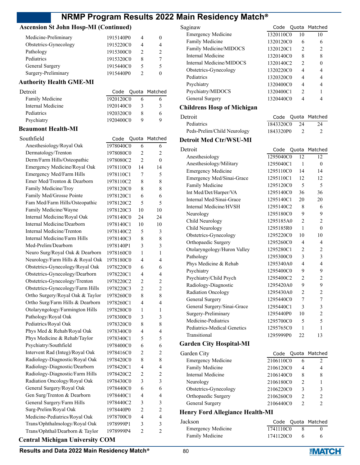### **Ascension St John Hosp-MI (Continued)**

| Medicine-Preliminary  | 1915140P0 | 4             |                               |
|-----------------------|-----------|---------------|-------------------------------|
| Obstetrics-Gynecology | 1915220C0 | 4             | 4                             |
| Pathology             | 1915300C0 | $\mathcal{L}$ | $\mathfrak{D}_{\mathfrak{p}}$ |
| Pediatrics            | 1915320C0 | 8             | 7                             |
| General Surgery       | 1915440C0 | 5             | 5                             |
| Surgery-Preliminary   | 1915440P0 |               |                               |

### **Authority Health GME-MI**

| Detroit           |           |   | Code Quota Matched |
|-------------------|-----------|---|--------------------|
| Family Medicine   | 1920120C0 |   |                    |
| Internal Medicine | 1920140C0 | 2 | 3                  |
| Pediatrics        | 1920320C0 |   | 6                  |
| Psychiatry        | 1920400C0 | Q | Q                  |
|                   |           |   |                    |

#### **Beaumont Health-MI**

| Southfield                             | Code      | Quota          | Matched        |
|----------------------------------------|-----------|----------------|----------------|
| Anesthesiology/Royal Oak               | 1978040C0 | 6              | 6              |
| Dermatology/Trenton                    | 1978080C0 | 2              | 2              |
| Derm/Farm Hills/Osteopathic            | 1978080C2 | $\overline{2}$ | 0              |
| Emergency Medicine/Royal Oak           | 1978110C0 | 14             | 14             |
| Emergency Med/Farm Hills               | 1978110C1 | 7              | 5              |
| Emer Med/Trenton & Dearborn            | 1978110C2 | 8              | 8              |
| Family Medicine/Troy                   | 1978120C0 | 8              | 8              |
| Family Med/Grosse Pointe               | 1978120C1 | 6              | 6              |
| Fam Med/Farm Hills/Osteopathic         | 1978120C2 | 5              | 5              |
| Family Medicine/Wayne                  | 1978120C3 | 10             | 10             |
| Internal Medicine/Royal Oak            | 1978140C0 | 24             | 24             |
| Internal Medicine/Dearborn             | 1978140C1 | 10             | 10             |
| Internal Medicine/Trenton              | 1978140C2 | 5              | 3              |
| Internal Medicine/Farm Hills           | 1978140C3 | 8              | 8              |
| Med-Prelim/Dearborn                    | 1978140P1 | 3              | 3              |
| Neuro Surg/Royal Oak & Dearborn        | 1978160C0 | 1              | 1              |
| Neurology/Farm Hills & Royal Oak       | 1978180C0 | 4              | 4              |
| Obstetrics-Gynecology/Royal Oak        | 1978220C0 | 6              | 6              |
| Obstetrics-Gynecology/Dearborn         | 1978220C1 | 4              | 4              |
| Obstetrics-Gynecology/Trenton          | 1978220C2 | $\overline{c}$ | $\overline{c}$ |
| Obstetrics-Gynecology/Farm Hills       | 1978220C3 | $\overline{c}$ | $\overline{2}$ |
| Ortho Surgery/Royal Oak & Taylor       | 1978260C0 | 8              | 8              |
| Ortho Surg/Farm Hills & Dearborn       | 1978260C1 | 4              | 4              |
| Otolaryngology/Farmington Hills        | 1978280C0 | 1              | 1              |
| Pathology/Royal Oak                    | 1978300C0 | 3              | 3              |
| Pediatrics/Royal Oak                   | 1978320C0 | 8              | 8              |
| Phys Med & Rehab/Royal Oak             | 1978340C0 | 4              | 4              |
| Phys Medicine & Rehab/Taylor           | 1978340C1 | 5              | 5              |
| Psychiatry/Southfield                  | 1978400C0 | 6              | 6              |
| Intervent Rad (Integ)/Royal Oak        | 1978416C0 | $\overline{c}$ | $\overline{c}$ |
| Radiology-Diagnostic/Royal Oak         | 1978420C0 | 8              | 8              |
| Radiology-Diagnostic/Dearborn          | 1978420C1 | $\overline{4}$ | 4              |
| Radiology-Diagnostic/Farm Hills        | 1978420C2 | $\overline{c}$ | $\overline{c}$ |
| Radiation Oncology/Royal Oak           | 1978430C0 | 3              | 3              |
| General Surgery/Royal Oak              | 1978440C0 | 6              | 6              |
| Gen Surg/Trenton & Dearborn            | 1978440C1 | 4              | 4              |
| General Surgery/Farm Hills             | 1978440C2 | 3              | 3              |
| Surg-Prelim/Royal Oak                  | 1978440P0 | $\overline{2}$ | 2              |
| Medicine-Pediatrics/Royal Oak          | 1978700C0 | 4              | 4              |
| Trans/Ophthalmology/Royal Oak          | 1978999P1 | 3              | 3              |
| Trans/Ophthal/Dearborn & Taylor        | 1978999P4 | $\overline{c}$ | 2              |
| <b>Central Michigan University COM</b> |           |                |                |

| Saginaw                           | Code                   | Quota          | Matched          |
|-----------------------------------|------------------------|----------------|------------------|
| <b>Emergency Medicine</b>         | 1320110C0              | 10             | 10               |
| Family Medicine                   | 1320120C0              | 6              | 6                |
| Family Medicine/MIDOCS            | 1320120C1              | 2              | 2                |
| <b>Internal Medicine</b>          | 1320140C0              | 8              | 8                |
| Internal Medicine/MIDOCS          | 1320140C2              | 2              | 0                |
| Obstetrics-Gynecology             | 1320220C0              | 4              | 4                |
| Pediatrics                        | 1320320C0              | 4              | 4                |
| Psychiatry                        | 1320400C0              | 4              | 4                |
| Psychiatry/MIDOCS                 | 1320400C1              | $\overline{2}$ | 1                |
| <b>General Surgery</b>            | 1320440C0              | $\overline{4}$ | 4                |
| <b>Childrens Hosp of Michigan</b> |                        |                |                  |
| Detroit                           | Code                   | Quota          | Matched          |
| Pediatrics                        | 1843320C0              | 24             | 24               |
| Peds-Prelim/Child Neurology       | 1843320P0              | 2              | 2                |
| <b>Detroit Med Ctr/WSU-MI</b>     |                        |                |                  |
| Detroit                           | Code                   | Quota          | Matched          |
| Anesthesiology                    | 1295040C0              | 12             | 12               |
| Anesthesiology/Military           | 1295040C1              | 1              | 0                |
| <b>Emergency Medicine</b>         | 1295110C0              | 14             | 14               |
| Emergency Med/Sinai-Grace         | 1295110C1              | 12             | 12               |
| Family Medicine                   | 1295120C0              | 5              | 5                |
| Int Med/Det/Harper/VA             | 1295140C0              | 36             | 36               |
| Internal Med/Sinai-Grace          | 1295140C1              | 20             | 20               |
| Internal Medicine/HVSH            | 1295140C2              | 8              | 6                |
| Neurology                         | 1295180C0              | 9              | 9                |
| Child Neurology                   | 1295185A0              | 2              | $\overline{2}$   |
| Child Neurology                   | 1295185R0              | 1              | $\boldsymbol{0}$ |
| Obstetrics-Gynecology             | 1295220C0              | 10             | 10               |
| Orthopaedic Surgery               | 1295260C0              | 4              | 4                |
| Otolaryngology/Huron Valley       | 1295280C1              | 2              | $\overline{c}$   |
| Pathology                         | 1295300C0              | 3              | 3                |
| Phys Medicine & Rehab             | 1295340A0              | 4              | $\overline{4}$   |
| Psychiatry                        | 1295400C0              | 9              | 9                |
| Psychiatry/Child Psych            | 1295400C2              | $\overline{c}$ | $\overline{c}$   |
| Radiology-Diagnostic              | 1295420A0              | 9              | 9                |
| Radiation Oncology                | 1295430A0              | 2              | 2                |
| General Surgery                   | 1295440C0              | 7              | 7                |
| General Surgery/Sinai-Grace       | 1295440C1              | 3              | 3                |
| Surgery-Preliminary               | 1295440P0              | 10             | $\overline{c}$   |
| Medicine-Pediatrics               |                        | 5              | 5                |
| Pediatrics-Medical Genetics       | 1295700C0<br>1295765C0 | 1              | 1                |
| Transitional                      |                        |                | 13               |
|                                   | 1295999P0              | 22             |                  |
| <b>Garden City Hospital-MI</b>    |                        |                |                  |
| Garden City                       | Code                   | Quota          | Matched          |
| <b>Emergency Medicine</b>         | 2106110C0              | 6              | 2                |
| Family Medicine                   | 2106120C0              | 4              | 4                |
| <b>Internal Medicine</b>          | 2106140C0              | 8              | 8                |
| Neurology                         | 2106180C0              | 2              | 1                |
| Obstetrics-Gynecology             | 2106220C0              | 3              | 3                |

### **Henry Ford Allegiance Health-MI**

| Jackson                   |           | Code Quota Matched |
|---------------------------|-----------|--------------------|
| <b>Emergency Medicine</b> | 1741110C0 |                    |
| Family Medicine           | 1741120C0 |                    |

Orthopaedic Surgery 2106260C0 2 2 General Surgery 2106440C0 2 2

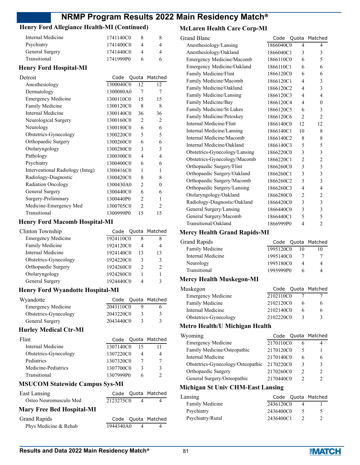### **Henry Ford Allegiance Health-MI (Continued)**

| Internal Medicine             | 1741140C0 |  |
|-------------------------------|-----------|--|
| Psychiatry                    | 1741400C0 |  |
| General Surgery               | 1741440C0 |  |
| Transitional                  | 1741999P0 |  |
| <b>Henry Ford Hospital-MI</b> |           |  |

| Detroit                          | Code      |                | Quota Matched |
|----------------------------------|-----------|----------------|---------------|
| Anesthesiology                   | 1300040C0 | 12             | 12            |
| Dermatology                      | 1300080A0 | 7              | 7             |
| Emergency Medicine               | 1300110C0 | 15             | 15            |
| Family Medicine                  | 1300120C0 | 8              | 8             |
| Internal Medicine                | 1300140C0 | 36             | 36            |
| Neurological Surgery             | 1300160C0 | 2              | 2             |
| Neurology                        | 1300180C0 | 6              | 6             |
| Obstetrics-Gynecology            | 1300220C0 | 5              | 5             |
| Orthopaedic Surgery              | 1300260C0 | 6              | 6             |
| Otolaryngology                   | 1300280C0 | 3              | 3             |
| Pathology                        | 1300300C0 | 4              | 4             |
| Psychiatry                       | 1300400C0 | 6              | 6             |
| Interventional Radiology (Integ) | 1300416C0 | 1              | 1             |
| Radiology-Diagnostic             | 1300420C0 | 8              | 8             |
| Radiation Oncology               | 1300430A0 | 2              | $\Omega$      |
| General Surgery                  | 1300440C0 | 6              | 6             |
| Surgery-Preliminary              | 1300440P0 | $\overline{c}$ | 1             |
| Medicine-Emergency Med           | 1300705C0 | $\mathfrak{D}$ | $\mathcal{D}$ |
| Transitional                     | 1300999P0 | 15             | 15            |

#### **Henry Ford Macomb Hospital-MI**

| Clinton Township          |           |    | Code Quota Matched |
|---------------------------|-----------|----|--------------------|
| <b>Emergency Medicine</b> | 1924110C0 | 8  |                    |
| Family Medicine           | 1924120C0 | 4  | 4                  |
| Internal Medicine         | 1924140C0 | 13 | 13                 |
| Obstetrics-Gynecology     | 1924220C0 | ٩  |                    |
| Orthopaedic Surgery       | 1924260C0 | 2  |                    |
| Otolaryngology            | 1924280C0 |    |                    |
| General Surgery           | 1924440C0 |    |                    |

#### **Henry Ford Wyandotte Hospital-MI**

| Wyandotte                 |           | Code Quota Matched |
|---------------------------|-----------|--------------------|
| <b>Emergency Medicine</b> | 2043110C0 |                    |
| Obstetrics-Gynecology     | 2043220C0 |                    |
| General Surgery           | 2043440C0 |                    |

#### **Hurley Medical Ctr-MI**

| Flint                 |           |   | Code Quota Matched |
|-----------------------|-----------|---|--------------------|
| Internal Medicine     | 1307140C0 |   |                    |
| Obstetrics-Gynecology | 1307220C0 |   |                    |
| Pediatrics            | 1307320C0 |   |                    |
| Medicine-Pediatrics   | 1307700C0 | κ | 3                  |
| Transitional          | 1307999P0 |   |                    |

#### **MSUCOM Statewide Campus Sys-MI**

| East Lansing                     |           | Code Quota Matched |
|----------------------------------|-----------|--------------------|
| Osteo Neuromusculo Med           | 2123275C0 |                    |
| <b>Mary Free Bed Hospital-MI</b> |           |                    |
| <b>Grand Rapids</b>              |           | Code Quota Matched |
| Phys Medicine & Rehab            | 1944340A0 |                    |

### **McLaren Health Care Corp-MI**

| Grand Blanc                   | Code      | Quota          | Matched                  |
|-------------------------------|-----------|----------------|--------------------------|
| Anesthesiology/Lansing        | 1866040C0 | 4              | 4                        |
| Anesthesiology/Oakland        | 1866040C1 | 3              | 3                        |
| Emergency Medicine/Macomb     | 1866110C0 | 6              | 5                        |
| Emergency Medicine/Oakland    | 1866110C1 | 6              | 6                        |
| Family Medicine/Flint         | 1866120C0 | 6              | 6                        |
| Family Medicine/Macomb        | 1866120C1 | 4              | 3                        |
| Family Medicine/Oakland       | 1866120C2 | 4              | 3                        |
| Family Medicine/Lansing       | 1866120C3 | 4              | $\overline{\mathcal{L}}$ |
| Family Medicine/Bay           | 1866120C4 | 4              | $\theta$                 |
| Family Medicine/St Lukes      | 1866120C5 | 6              | 3                        |
| Family Medicine/Petoskey      | 1866120C6 | $\overline{2}$ | $\overline{2}$           |
| Internal Medicine/Flint       | 1866140C0 | 12             | 12                       |
| Internal Medicine/Lansing     | 1866140C1 | 10             | 8                        |
| Internal Medicine/Macomb      | 1866140C2 | 8              | 8                        |
| Internal Medicine/Oakland     | 1866140C3 | 5              | 5                        |
| Obstetrics-Gynecology/Lansing | 1866220C0 | 3              | 3                        |
| Obstetrics-Gynecology/Macomb  | 1866220C1 | $\overline{c}$ | $\overline{2}$           |
| Orthopaedic Surgery/Flint     | 1866260C0 | 3              | 3                        |
| Orthopaedic Surgery/Oakland   | 1866260C1 | 3              | 3                        |
| Orthopaedic Surgery/Macomb    | 1866260C2 | 3              | 3                        |
| Orthopaedic Surgery/Lansing   | 1866260C3 | 4              | $\overline{4}$           |
| Otolaryngology/Oakland        | 1866280C0 | $\overline{2}$ | $\overline{c}$           |
| Radiology-Diagnostic/Oakland  | 1866420C0 | 3              | 3                        |
| General Surgery/Lansing       | 1866440C0 | 3              | 3                        |
| General Surgery/Macomb        | 1866440C1 | 5              | 5                        |
| Transitional/Oakland          | 1866999P0 | 4              | $\overline{2}$           |

#### **Mercy Health Grand Rapids-MI**

| Grand Rapids           |           |    | Code Quota Matched |
|------------------------|-----------|----|--------------------|
| <b>Family Medicine</b> | 1995120C0 | 10 | 10                 |
| Internal Medicine      | 1995140C0 |    |                    |
| Neurology              | 1995180C0 |    | 4                  |
| Transitional           | 1995999P0 |    |                    |
|                        |           |    |                    |

### **Mercy Health Muskegon-MI**

| Muskegon                  |           |   | Code Quota Matched |
|---------------------------|-----------|---|--------------------|
| <b>Emergency Medicine</b> | 2102110C0 |   |                    |
| Family Medicine           | 2102120C0 |   | 6                  |
| Internal Medicine         | 2102140C0 |   | 6                  |
| Obstetrics-Gynecology     | 2102220C0 | 3 |                    |
|                           |           |   |                    |

### **Metro Health/U Michigan Health**

| Wyoming                           |           |   | Code Quota Matched |
|-----------------------------------|-----------|---|--------------------|
| <b>Emergency Medicine</b>         | 2170110C0 | h |                    |
| Family Medicine/Osteopathic       | 2170120C0 |   |                    |
| Internal Medicine                 | 2170140C0 | 6 | 6                  |
| Obstetrics-Gynecology/Osteopathic | 2170220C0 | 3 |                    |
| Orthopaedic Surgery               | 2170260C0 | 2 |                    |
| General Surgery/Osteopathic       | 2170440C0 |   |                    |

### **Michigan St Univ CHM-East Lansing**

| Lansing          |           | Code Quota Matched |
|------------------|-----------|--------------------|
| Family Medicine  | 2436120C0 |                    |
| Psychiatry       | 2436400C0 | ৲                  |
| Psychiatry/Rural | 2436400C1 |                    |
|                  |           |                    |

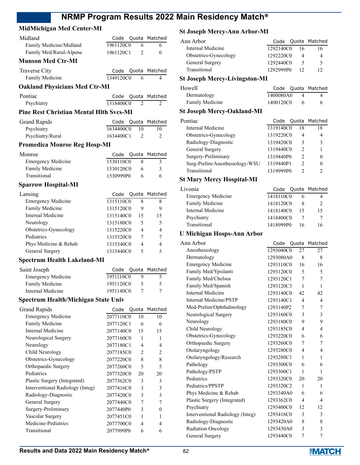### **MidMichigan Med Center-MI**

| Midland                                        | Code              | Quota                    | Matched        |
|------------------------------------------------|-------------------|--------------------------|----------------|
| Family Medicine/Midland                        | 1961120C0         | 6                        | 6              |
| Family Med/Rural-Alpena                        | 1961120C1         | $\overline{c}$           | 0              |
| <b>Munson Med Ctr-MI</b>                       |                   |                          |                |
| Traverse City                                  |                   | Code Quota               | Matched        |
| Family Medicine                                | 1349120C0         | 6                        | 4              |
| <b>Oakland Physicians Med Ctr-MI</b>           |                   |                          |                |
| Pontiac                                        |                   |                          |                |
| Psychiatry                                     | Code<br>1318400C0 | Quota<br>2               | Matched<br>2   |
|                                                |                   |                          |                |
| <b>Pine Rest Christian Mental Hlth Svcs-MI</b> |                   |                          |                |
| <b>Grand Rapids</b>                            | Code              | Quota                    | Matched        |
| Psychiatry                                     | 1634400C0         | 10                       | 10             |
| Psychiatry/Rural                               | 1634400C1         | 2                        | 2              |
| <b>Promedica Monroe Reg Hosp-MI</b>            |                   |                          |                |
| Monroe                                         |                   | Code Quota               | Matched        |
| <b>Emergency Medicine</b>                      | 1530110C0         | 8                        | 3              |
| Family Medicine                                | 1530120C0         | 6                        | 3              |
| Transitional                                   | 1530999P0         | 6                        | 6              |
| <b>Sparrow Hospital-MI</b>                     |                   |                          |                |
| Lansing                                        | Code              | Quota                    | Matched        |
| <b>Emergency Medicine</b>                      | 1315110C0         | 8                        | 8              |
| Family Medicine                                | 1315120C0         | 9                        | 9              |
| <b>Internal Medicine</b>                       | 1315140C0         | 15                       | 15             |
| Neurology                                      | 1315180C0         | 5                        | 5              |
| Obstetrics-Gynecology                          | 1315220C0         | 4                        | 4              |
| Pediatrics                                     | 1315320C0         | 7                        | 7              |
| Phys Medicine & Rehab                          | 1315340C0         | 4                        | 4              |
| General Surgery                                | 1315440C0         | 5                        | 5              |
| <b>Spectrum Health Lakeland-MI</b>             |                   |                          |                |
| Saint Joseph                                   | Code              | Quota                    | Matched        |
| <b>Emergency Medicine</b>                      | 1951110C0         | 9                        | 5              |
| Family Medicine                                | 1951120C0         | 5                        | 5              |
| <b>Internal Medicine</b>                       | 1951140C0         | 7                        | 7              |
|                                                |                   |                          |                |
| Spectrum Health/Michigan State Univ            |                   |                          |                |
| <b>Grand Rapids</b>                            | Code              | Quota                    | Matched        |
| <b>Emergency Medicine</b>                      | 2077110C0         | 10                       | 10             |
| Family Medicine                                | 2077120C1         | 6                        | 6              |
| <b>Internal Medicine</b>                       | 2077140C0         | 15                       | 15             |
| Neurological Surgery                           | 2077160C0         | 1                        | 1              |
| Neurology                                      | 2077180C1         | $\overline{\mathcal{L}}$ | 4              |
| Child Neurology                                | 2077185C0         | $\overline{c}$           | $\overline{c}$ |
| Obstetrics-Gynecology                          | 2077220C0         | 8                        | 8              |
| Orthopaedic Surgery                            | 2077260C0         | 5                        | 5              |
| Pediatrics                                     | 2077320C0         | 20                       | 20             |
| Plastic Surgery (Integrated)                   | 2077362C0         | 3                        | 3              |
| Interventional Radiology (Integ)               | 2077416C0         | 3                        | 3              |
| Radiology-Diagnostic                           | 2077420C0         | 3                        | 3              |
| General Surgery                                | 2077440C0         | 7                        | 7              |
| Surgery-Preliminary                            | 2077440P0         | 3                        | 0              |
| Vascular Surgery                               | 2077451C0         | 1                        | 1              |
| Medicine-Pediatrics                            | 2077700C0         | 4                        | 4              |
| Transitional                                   | 2077999P0         | 6                        | 6              |

### **St Joseph Mercy-Ann Arbor-MI**

| Ann Arhor             |           |    | Code Quota Matched |
|-----------------------|-----------|----|--------------------|
| Internal Medicine     | 1292140C0 | 16 | 16                 |
| Obstetrics-Gynecology | 1292220C0 |    | 4                  |
| General Surgery       | 1292440C0 |    | 5                  |
| Transitional          | 1292999P0 | 12 | 12                 |
| ∩. т<br>.             |           |    |                    |

### **St Joseph Mercy-Livingston-MI**

| Howell          |           |  | Code Quota Matched |
|-----------------|-----------|--|--------------------|
| Dermatology     | 1400080A0 |  |                    |
| Family Medicine | 1400120C0 |  |                    |

### **St Joseph Mercy-Oakland-MI**

| Pontiac                        | Code      |    | Quota Matched |
|--------------------------------|-----------|----|---------------|
| Internal Medicine              | 1319140C0 | 18 | 18            |
| Obstetrics-Gynecology          | 1319220C0 | 4  |               |
| Radiology-Diagnostic           | 1319420C0 | 3  | 3             |
| General Surgery                | 1319440C0 | 2  |               |
| Surgery-Preliminary            | 1319440P0 | 2  |               |
| Surg-Prelim/Anesthesiology-WSU | 1319440P1 | 2  |               |
| Transitional                   | 1319999P0 | ∍  |               |

### **St Mary Mercy Hospital-MI**

| Livonia                   |           |    | Code Quota Matched |
|---------------------------|-----------|----|--------------------|
| <b>Emergency Medicine</b> | 1418110C0 |    |                    |
| Family Medicine           | 1418120C0 |    |                    |
| Internal Medicine         | 1418140C0 | 15 | 15                 |
| Psychiatry                | 1418400C0 |    |                    |
| Transitional              | 1418999P0 | 16 | 16                 |

### **U Michigan Hosps-Ann Arbor**

| Ann Arbor                        | Code      | Quota          | Matched        |
|----------------------------------|-----------|----------------|----------------|
| Anesthesiology                   | 1293040C0 | 27             | 27             |
| Dermatology                      | 1293080A0 | 8              | 8              |
| <b>Emergency Medicine</b>        | 1293110C0 | 16             | 16             |
| Family Med/Ypsilanti             | 1293120C0 | 5              | 5              |
| Family Med/Chelsea               | 1293120C1 | 7              | 7              |
| Family Med/Spanish               | 1293120C3 | $\mathbf{1}$   | $\mathbf{1}$   |
| Internal Medicine                | 1293140C0 | 42             | 42             |
| <b>Internal Medicine/PSTP</b>    | 1293140C1 | $\overline{4}$ | 4              |
| Med-Prelim/Ophthalmology         | 1293140P2 | 7              | 7              |
| Neurological Surgery             | 1293160C0 | 3              | 3              |
| Neurology                        | 1293180C0 | 9              | 9              |
| Child Neurology                  | 1293185C0 | $\overline{4}$ | 4              |
| Obstetrics-Gynecology            | 1293220C0 | 6              | 6              |
| Orthopaedic Surgery              | 1293260C0 | 7              | 7              |
| Otolaryngology                   | 1293280C0 | 4              | 4              |
| Otolaryngology/Research          | 1293280C1 | 1              | 1              |
| Pathology                        | 1293300C0 | 6              | 6              |
| Pathology/PSTP                   | 1293300C1 | 1              | 1              |
| Pediatrics                       | 1293320C0 | 20             | 20             |
| Pediatrics/PPSTP                 | 1293320C2 | 1              | 1              |
| Phys Medicine & Rehab            | 1293340A0 | 6              | 6              |
| Plastic Surgery (Integrated)     | 1293362C0 | 4              | $\overline{4}$ |
| Psychiatry                       | 1293400C0 | 12             | 12             |
| Interventional Radiology (Integ) | 1293416C0 | 3              | 3              |
| Radiology-Diagnostic             | 1293420A0 | 8              | 8              |
| Radiation Oncology               | 1293430A0 | 3              | 3              |
| General Surgery                  | 1293440C0 | 7              | 7              |
|                                  |           |                |                |

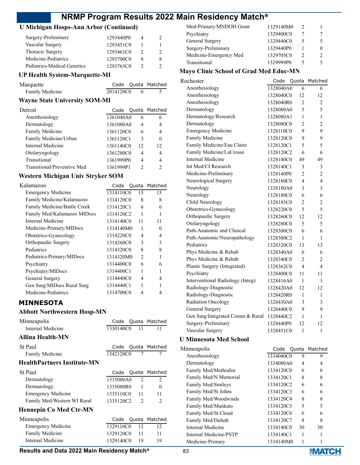### **U Michigan Hosps-Ann Arbor (Continued)**

| Surgery-Preliminary         | 1293440P0 |   |
|-----------------------------|-----------|---|
| Vascular Surgery            | 1293451C0 |   |
| Thoracic Surgery            | 1293461C0 |   |
| Medicine-Pediatrics         | 1293700C0 | x |
| Pediatrics-Medical Genetics | 1293765C0 |   |

#### **UP Health System-Marquette-MI**

| Marquette       |           | Code Quota Matched |
|-----------------|-----------|--------------------|
| Family Medicine | 2014120C0 |                    |

### **Wayne State University SOM-MI**

| Detroit                     | Code      |    | Quota Matched |
|-----------------------------|-----------|----|---------------|
| Anesthesiology              | 1361040A0 | 6  | 6             |
| Dermatology                 | 1361080A0 | 4  | 4             |
| Family Medicine             | 1361120C0 | 6  | 4             |
| Family Medicine/Urban       | 1361120C1 | 3  | $\theta$      |
| Internal Medicine           | 1361140C0 | 12 | 12            |
| Otolaryngology              | 1361280C0 | 4  | 4             |
| Transitional                | 1361999P0 | 4  | 4             |
| Transitional/Preventive Med | 1361999P1 |    | $\mathcal{D}$ |

### **Western Michigan Univ Stryker SOM**

| Kalamazoo                    |           |                | Code Quota Matched |
|------------------------------|-----------|----------------|--------------------|
| <b>Emergency Medicine</b>    | 1314110C0 | 15             | 15                 |
| Family Medicine/Kalamazoo    | 1314120C0 | 8              | 8                  |
| Family Medicine/Battle Creek | 1314120C1 | 6              | 6                  |
| Family Med/Kalamazoo MIDocs  | 1314120C2 | 1              |                    |
| Internal Medicine            | 1314140C0 | 11             | 11                 |
| Medicine-Primary/MIDocs      | 1314140M0 | 1              | 0                  |
| Obstetrics-Gynecology        | 1314220C0 | 4              | 4                  |
| Orthopaedic Surgery          | 1314260C0 | 3              | 3                  |
| Pediatrics                   | 1314320C0 | 8              | 8                  |
| Pediatrics-Primary/MIDocs    | 1314320M0 | $\mathfrak{D}$ |                    |
| Psychiatry                   | 1314400C0 | 6              | 6                  |
| Psychiatry/MIDocs            | 1314400C1 | 1              |                    |
| General Surgery              | 1314440C0 | 4              | 4                  |
| Gen Surg/MIDocs Rural Surg   | 1314440C1 | 1              |                    |
| Medicine-Pediatrics          | 1314700C0 | 4              |                    |

### **MINNESOTA**

#### **Abbott Northwestern Hosp-MN**

| Minneapolis                        | Code      |              | Quota Matched      |
|------------------------------------|-----------|--------------|--------------------|
| Internal Medicine                  | 1330140C0 | 11           | 11                 |
| Allina Health-MN                   |           |              |                    |
| St Paul                            | Code      |              | Quota Matched      |
| <b>Family Medicine</b>             | 1342120C0 | $\tau$       | 7                  |
| <b>HealthPartners Institute-MN</b> |           |              |                    |
| St Paul                            |           |              | Code Quota Matched |
| Dermatology                        | 1335080A0 | 2            | 2                  |
| Dermatology                        | 1335080R0 | $\mathbf{1}$ | $\theta$           |
| Emergency Medicine                 | 1335110C0 | 11           | 11                 |
| Family Med/Western WI Rural        | 1335120C2 | 2            | $\mathfrak{D}$     |
| <b>Hennepin Co Med Ctr-MN</b>      |           |              |                    |
| Minneapolis                        | Code      |              | Quota Matched      |
| Emergency Medicine                 | 1329110C0 | 12           | 12                 |
| Family Medicine                    | 1329120C0 | 11           | 11                 |
| Internal Medicine                  | 1329140C0 | 19           | 19                 |

| Med-Primary/MNDOH Grant | 1329140M0 | 2 |   |
|-------------------------|-----------|---|---|
| Psychiatry              | 1329400C0 |   |   |
| General Surgery         | 1329440C0 |   |   |
| Surgery-Preliminary     | 1329440P0 |   | 0 |
| Medicine-Emergency Med  | 1329705C0 | 2 | 2 |
| Transitional            | 1329999P0 |   |   |
|                         |           |   |   |

#### **Mayo Clinic School of Grad Med Educ-MN**

| Code |                | Matched                                                                                                                                                                                                                                                                                                                                                                                                                                                                      |
|------|----------------|------------------------------------------------------------------------------------------------------------------------------------------------------------------------------------------------------------------------------------------------------------------------------------------------------------------------------------------------------------------------------------------------------------------------------------------------------------------------------|
|      | 6              | 6                                                                                                                                                                                                                                                                                                                                                                                                                                                                            |
|      | 12             | 12                                                                                                                                                                                                                                                                                                                                                                                                                                                                           |
|      | 2              | 2                                                                                                                                                                                                                                                                                                                                                                                                                                                                            |
|      | 5              | 5                                                                                                                                                                                                                                                                                                                                                                                                                                                                            |
|      | 1              | 1                                                                                                                                                                                                                                                                                                                                                                                                                                                                            |
|      | 2              | $\overline{c}$                                                                                                                                                                                                                                                                                                                                                                                                                                                               |
|      | 9              | 9                                                                                                                                                                                                                                                                                                                                                                                                                                                                            |
|      | 9              | 9                                                                                                                                                                                                                                                                                                                                                                                                                                                                            |
|      | 5              | 5                                                                                                                                                                                                                                                                                                                                                                                                                                                                            |
|      | 6              | 6                                                                                                                                                                                                                                                                                                                                                                                                                                                                            |
|      | 49             | 49                                                                                                                                                                                                                                                                                                                                                                                                                                                                           |
|      | 3              | 3                                                                                                                                                                                                                                                                                                                                                                                                                                                                            |
|      | $\overline{2}$ | $\overline{2}$                                                                                                                                                                                                                                                                                                                                                                                                                                                               |
|      | 4              | $\overline{\mathbf{4}}$                                                                                                                                                                                                                                                                                                                                                                                                                                                      |
|      | 3              | 3                                                                                                                                                                                                                                                                                                                                                                                                                                                                            |
|      | 6              | 6                                                                                                                                                                                                                                                                                                                                                                                                                                                                            |
|      | $\overline{2}$ | $\overline{c}$                                                                                                                                                                                                                                                                                                                                                                                                                                                               |
|      | 5              | 5                                                                                                                                                                                                                                                                                                                                                                                                                                                                            |
|      | 12             | 12                                                                                                                                                                                                                                                                                                                                                                                                                                                                           |
|      | 5              | 5                                                                                                                                                                                                                                                                                                                                                                                                                                                                            |
|      | 6              | 6                                                                                                                                                                                                                                                                                                                                                                                                                                                                            |
|      | 1              | 1                                                                                                                                                                                                                                                                                                                                                                                                                                                                            |
|      | 13             | 13                                                                                                                                                                                                                                                                                                                                                                                                                                                                           |
|      | 6              | 6                                                                                                                                                                                                                                                                                                                                                                                                                                                                            |
|      | 2              | 2                                                                                                                                                                                                                                                                                                                                                                                                                                                                            |
|      | 4              | $\overline{\mathbf{4}}$                                                                                                                                                                                                                                                                                                                                                                                                                                                      |
|      | 11             | 11                                                                                                                                                                                                                                                                                                                                                                                                                                                                           |
|      | 1              | 1                                                                                                                                                                                                                                                                                                                                                                                                                                                                            |
|      | 12             | 12                                                                                                                                                                                                                                                                                                                                                                                                                                                                           |
|      | 1              | 1                                                                                                                                                                                                                                                                                                                                                                                                                                                                            |
|      | 3              | 3                                                                                                                                                                                                                                                                                                                                                                                                                                                                            |
|      | 9              | 9                                                                                                                                                                                                                                                                                                                                                                                                                                                                            |
|      | 1              | 1                                                                                                                                                                                                                                                                                                                                                                                                                                                                            |
|      | 12             | 12                                                                                                                                                                                                                                                                                                                                                                                                                                                                           |
|      | $\mathbf{1}$   | $\mathbf{1}$                                                                                                                                                                                                                                                                                                                                                                                                                                                                 |
|      |                | Quota<br>1328040A0<br>1328040C0<br>1328040R0<br>1328080A0<br>1328080A1<br>1328080C0<br>1328110C0<br>1328120C0<br>1328120C1<br>1328120C2<br>1328140C0<br>1328140C1<br>1328140P0<br>1328160C0<br>1328180A0<br>1328180C0<br>1328185C0<br>1328220C0<br>1328260C0<br>1328280C0<br>1328300C0<br>1328300C2<br>1328320C0<br>1328340A0<br>1328340C0<br>1328362C0<br>1328400C0<br>1328416A0<br>1328420A0<br>1328420R0<br>1328430A0<br>1328440C0<br>1328440C2<br>1328440P0<br>1328451C0 |

### **U Minnesota Med School**

| Minneapolis            |           |    | Code Quota Matched |
|------------------------|-----------|----|--------------------|
| Anesthesiology         | 1334040C0 | 9  | 9                  |
| Dermatology            | 1334080A0 | 4  | 4                  |
| Family Med/Methodist   | 1334120C0 | 6  | 6                  |
| Family Med/N Memorial  | 1334120C1 | 8  | 8                  |
| Family Med/Smileys     | 1334120C2 | 6  | 6                  |
| Family Med/St Johns    | 1334120C3 | 6  | 6                  |
| Family Med/Woodwinds   | 1334120C4 | 8  | 8                  |
| Family Med/Mankato     | 1334120C5 | 5  | 5                  |
| Family Med/St Cloud    | 1334120C6 | 6  | 6                  |
| Family Med/Duluth      | 1334120C7 | 8  | 8                  |
| Internal Medicine      | 1334140C0 | 30 | 30                 |
| Internal Medicine/PSTP | 1334140C1 |    |                    |
| Medicine-Primary       | 1334140M0 |    |                    |

#### **Results and Data 2022 Main Residency Match<sup>®</sup> 83**

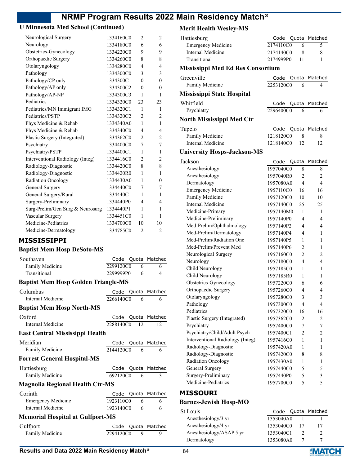## **U Minnesota Med School (Continued)**

| Neurological Surgery             | 1334160C0 | $\overline{2}$ | $\overline{2}$           |
|----------------------------------|-----------|----------------|--------------------------|
| Neurology                        | 1334180C0 | 6              | 6                        |
| Obstetrics-Gynecology            | 1334220C0 | 9              | 9                        |
| Orthopaedic Surgery              | 1334260C0 | 8              | 8                        |
| Otolaryngology                   | 1334280C0 | 4              | 4                        |
| Pathology                        | 1334300C0 | 3              | 3                        |
| Pathology/CP only                | 1334300C1 | $\theta$       | $\theta$                 |
| Pathology/AP only                | 1334300C2 | $\theta$       | $\theta$                 |
| Pathology/AP-NP                  | 1334300C3 | 1              | 1                        |
| Pediatrics                       | 1334320C0 | 23             | 23                       |
| Pediatrics/MN Immigrant IMG      | 1334320C1 | 1              | 1                        |
| Pediatrics/PSTP                  | 1334320C2 | $\overline{2}$ | $\overline{2}$           |
| Phys Medicine & Rehab            | 1334340A0 | 1              | $\mathbf{1}$             |
| Phys Medicine & Rehab            | 1334340C0 | 4              | $\overline{\mathcal{L}}$ |
| Plastic Surgery (Integrated)     | 1334362C0 | $\overline{2}$ | $\mathfrak{2}$           |
| Psychiatry                       | 1334400C0 | 7              | 7                        |
| Psychiatry/PSTP                  | 1334400C1 | 1              | 1                        |
| Interventional Radiology (Integ) | 1334416C0 | 2              | $\overline{c}$           |
| Radiology-Diagnostic             | 1334420C0 | 8              | 8                        |
| Radiology-Diagnostic             | 1334420R0 | 1              | 1                        |
| <b>Radiation Oncology</b>        | 1334430A0 | 1              | $\theta$                 |
| General Surgery                  | 1334440C0 | 7              | 7                        |
| General Surgery/Rural            | 1334440C1 | 1              | 1                        |
| Surgery-Preliminary              | 1334440P0 | 4              | $\overline{\mathcal{L}}$ |
| Surg-Prelim/Gen Surg & Neurosurg | 1334440P1 | 1              | 1                        |
| Vascular Surgery                 | 1334451C0 | 1              | 1                        |
| Medicine-Pediatrics              | 1334700C0 | 10             | 10                       |
| Medicine-Dermatology             | 1334785C0 | $\overline{2}$ | $\overline{2}$           |

### **MISSISSIPPI**

### **Baptist Mem Hosp DeSoto-MS**

| Southaven                                  | Code         |   | Quota Matched      |
|--------------------------------------------|--------------|---|--------------------|
| Family Medicine                            | 2299120C0    | 6 | 6                  |
| Transitional                               | 2299999P0    | 6 | 4                  |
| <b>Baptist Mem Hosp Golden Triangle-MS</b> |              |   |                    |
| Columbus                                   |              |   | Code Quota Matched |
| Internal Medicine                          | 2266140C0    | 6 | 6                  |
| <b>Baptist Mem Hosp North-MS</b>           |              |   |                    |
| Oxford                                     | Code         |   | Quota Matched      |
| Internal Medicine                          | 2288140C0 12 |   | 12                 |
| <b>East Central Mississippi Health</b>     |              |   |                    |
| Meridian                                   | Code         |   | Quota Matched      |
| <b>Family Medicine</b>                     | 2144120C0    | 6 | 6                  |
| <b>Forrest General Hospital-MS</b>         |              |   |                    |
| Hattiesburg                                | Code         |   | Quota Matched      |
| Family Medicine                            | 1692120C0    | 6 | 3                  |
| <b>Magnolia Regional Health Ctr-MS</b>     |              |   |                    |
| Corinth                                    | Code         |   | Quota Matched      |
| <b>Emergency Medicine</b>                  | 1923110C0    | 6 | 6                  |
| Internal Medicine                          | 1923140C0    | 6 | 6                  |
| <b>Memorial Hospital at Gulfport-MS</b>    |              |   |                    |
| Gulfport                                   | Code         |   | Quota Matched      |
| <b>Family Medicine</b>                     | 2294120C0    | 9 | 9                  |

### **Merit Health Wesley-MS**

| Hattiesburg                              | Code                   | Quota            | Matched             |
|------------------------------------------|------------------------|------------------|---------------------|
| <b>Emergency Medicine</b>                | 2174110C0              | 6                | 5                   |
| <b>Internal Medicine</b>                 | 2174140C0              | 8                | 8                   |
| Transitional                             | 2174999P0              | 11               | 1                   |
| <b>Mississippi Med Ed Res Consortium</b> |                        |                  |                     |
| Greenville                               | Code                   | Quota            | Matched             |
| Family Medicine                          | 2253120C0              | 6                | 4                   |
| <b>Mississippi State Hospital</b>        |                        |                  |                     |
| Whitfield                                | Code                   | Quota            | Matched             |
| Psychiatry                               | 2296400C0              | 6                | 6                   |
| <b>North Mississippi Med Ctr</b>         |                        |                  |                     |
| Tupelo                                   | Code                   |                  | Quota Matched       |
| Family Medicine                          | 1218120C0              | 8                | 8                   |
| <b>Internal Medicine</b>                 | 1218140C0              | 12               | 12                  |
|                                          |                        |                  |                     |
| <b>University Hosps-Jackson-MS</b>       |                        |                  |                     |
| Jackson                                  | Code                   | Quota            | Matched             |
| Anesthesiology                           | 1957040C0              | 8                | 8                   |
| Anesthesiology                           | 1957040R0              | 2<br>4           | $\overline{c}$<br>4 |
| Dermatology                              | 1957080A0              |                  |                     |
| <b>Emergency Medicine</b>                | 1957110C0<br>1957120C0 | 16               | 16                  |
| Family Medicine                          |                        | 10               | 10                  |
| <b>Internal Medicine</b>                 | 1957140C0              | 25               | 25                  |
| Medicine-Primary                         | 1957140M0              | 1                | 1                   |
| Medicine-Preliminary                     | 1957140P0              | 4                | 4                   |
| Med-Prelim/Ophthalmology                 | 1957140P2              | 4                | 4                   |
| Med-Prelim/Dermatology                   | 1957140P4              | 4                | 1                   |
| Med-Prelim/Radiation Onc                 | 1957140P5              | 1                | 1                   |
| Med-Prelim/Prevent Med                   | 1957140P6              | 2                | 1                   |
| Neurological Surgery                     | 1957160C0              | $\overline{2}$   | 2                   |
| Neurology                                | 1957180C0              | 4                | 4                   |
| Child Neurology                          | 1957185C0              | 1                | 1                   |
| Child Neurology                          | 1957185R0              | 1                | 1                   |
| Obstetrics-Gynecology                    | 1957220C0              | 6                | 6                   |
| Orthopaedic Surgery                      | 1957260C0              | 4                | 4                   |
| Otolaryngology                           | 1957280C0              | 3                | 3                   |
| Pathology                                | 1957300C0              | $\overline{4}$   | $\overline{4}$      |
| Pediatrics                               | 1957320C0              | 16               | 16                  |
| Plastic Surgery (Integrated)             | 1957362C0              | $\overline{c}$   | 2                   |
| Psychiatry                               | 1957400C0              | $\boldsymbol{7}$ | $\boldsymbol{7}$    |
| Psychiatry/Child/Adult Psych             | 1957400C1              | $\mathfrak{2}$   | $\overline{c}$      |
| Interventional Radiology (Integ)         | 1957416C0              | 1                | $\mathbf{1}$        |
| Radiology-Diagnostic                     | 1957420A0              | 1                | $\mathbf{1}$        |
| Radiology-Diagnostic                     | 1957420C0              | 8                | 8                   |
| Radiation Oncology                       | 1957430A0              | 1                | $\mathbf{1}$        |
| General Surgery                          | 1957440C0              | 5                | 5                   |
| Surgery-Preliminary                      | 1957440P0              | 5                | 3                   |
| Medicine-Pediatrics                      | 1957700C0              | 5                | 5                   |

### **MISSOURI**

### **Barnes-Jewish Hosp-MO**

| St Louis                 |           | Code Quota Matched |
|--------------------------|-----------|--------------------|
| Anesthesiology/3 yr      | 1353040A0 |                    |
| Anesthesiology/4 yr      | 1353040C0 | 17                 |
| Anesthesiology/ASAP 5 yr | 1353040C1 |                    |
| Dermatology              | 1353080A0 |                    |

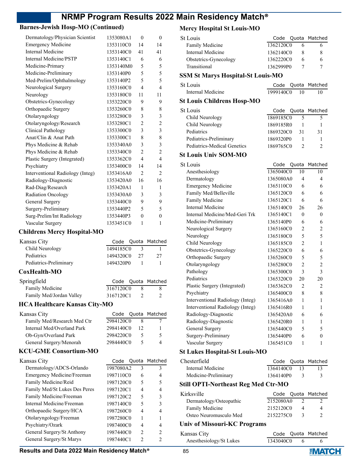### **Barnes-Jewish Hosp-MO (Continued)**

| Dermatology/Physician Scientist  | 1353080A1 | $\theta$                 | $\theta$                 |
|----------------------------------|-----------|--------------------------|--------------------------|
| <b>Emergency Medicine</b>        | 1353110C0 | 14                       | 14                       |
| Internal Medicine                | 1353140C0 | 41                       | 41                       |
| Internal Medicine/PSTP           | 1353140C1 | 6                        | 6                        |
| Medicine-Primary                 | 1353140M0 | 5                        | 5                        |
| Medicine-Preliminary             | 1353140P0 | 5                        | 5                        |
| Med-Prelim/Ophthalmology         | 1353140P2 | 5                        | 5                        |
| Neurological Surgery             | 1353160C0 | 4                        | $\overline{\mathcal{L}}$ |
| Neurology                        | 1353180C0 | 11                       | 11                       |
| Obstetrics-Gynecology            | 1353220C0 | 9                        | 9                        |
| Orthopaedic Surgery              | 1353260C0 | 8                        | 8                        |
| Otolaryngology                   | 1353280C0 | 3                        | 3                        |
| Otolaryngology/Research          | 1353280C1 | $\overline{c}$           | $\overline{c}$           |
| Clinical Pathology               | 1353300C0 | 3                        | 3                        |
| Anat/Clin & Anat Path            | 1353300C1 | 8                        | 8                        |
| Phys Medicine & Rehab            | 1353340A0 | 3                        | 3                        |
| Phys Medicine & Rehab            | 1353340C0 | $\overline{2}$           | $\overline{c}$           |
| Plastic Surgery (Integrated)     | 1353362C0 | $\overline{\mathcal{A}}$ | $\overline{\mathbf{4}}$  |
| Psychiatry                       | 1353400C0 | 14                       | 14                       |
| Interventional Radiology (Integ) | 1353416A0 | $\overline{c}$           | $\overline{c}$           |
| Radiology-Diagnostic             | 1353420A0 | 16                       | 16                       |
| Rad-Diag/Research                | 1353420A1 | 1                        | 1                        |
| Radiation Oncology               | 1353430A0 | 3                        | 3                        |
| General Surgery                  | 1353440C0 | 9                        | 9                        |
| Surgery-Preliminary              | 1353440P2 | 5                        | 5                        |
| Surg-Prelim/Int Radiology        | 1353440P3 | $\overline{0}$           | $\overline{0}$           |
| Vascular Surgery                 | 1353451C0 | 1                        | 1                        |
|                                  |           |                          |                          |

### **Childrens Mercy Hospital-MO**

| Kansas City                          | Code      |                | Quota Matched  |
|--------------------------------------|-----------|----------------|----------------|
| Child Neurology                      | 1494185C0 | 3              | 1              |
| Pediatrics                           | 1494320C0 | 27             | 27             |
| Pediatrics-Preliminary               | 1494320P0 | 1              | 1              |
| CoxHealth-MO                         |           |                |                |
| Springfield                          | Code      | Quota          | Matched        |
| Family Medicine                      | 3167120C0 | 8              | 8              |
| Family Med/Jordan Valley             | 3167120C1 | $\mathfrak{D}$ | $\mathfrak{D}$ |
| <b>HCA Healthcare Kansas City-MO</b> |           |                |                |
| Kansas City                          | Code      | Quota          | Matched        |
| Family Med/Research Med Ctr          | 2984120C0 | 8              | 7              |
| Internal Med/Overland Park           | 2984140C0 | 12             | 1              |
| Ob-Gyn/Overland Park                 | 2984220C0 | 5              | 5              |
| General Surgery/Menorah              | 2984440C0 | 5              | 4              |
| <b>KCU-GME Consortium-MO</b>         |           |                |                |
| Kansas City                          | Code      | Quota          | Matched        |
| Dermatology/ADCS-Orlando             | 1987080A2 | 3              | 3              |
| Emergency Medicine/Freeman           | 1987110C0 | 6              | 4              |
| Family Medicine/Reid                 | 1987120C0 | 5              | 5              |
| Family Med/St Lukes Des Peres        | 1987120C1 | 4              | 4              |
| Family Medicine/Freeman              | 1987120C2 | 5              | 3              |
| Internal Medicine/Freeman            | 1987140C0 | 5              | 3              |
| Orthopaedic Surgery/HCA              | 1987260C0 | $\overline{4}$ | 4              |
| Otolaryngology/Freeman               | 1987280C0 | 1              | 1              |
| Psychiatry/Ozark                     | 1987400C0 | 4              | 4              |
| General Surgery/St Anthony           | 1987440C0 | $\overline{2}$ | 2              |
| General Surgery/St Marys             | 1987440C1 | $\overline{2}$ | $\overline{2}$ |
|                                      |           |                |                |

### **Mercy Hospital St Louis-MO**

| <b>Mercy Hospital St Louis-MO</b>        |            |                |                |
|------------------------------------------|------------|----------------|----------------|
| <b>St Louis</b>                          | Code       |                | Quota Matched  |
| Family Medicine                          | 1362120C0  | 6              | 6              |
| <b>Internal Medicine</b>                 | 1362140C0  | 8              | 8              |
| Obstetrics-Gynecology                    | 1362220C0  | 6              | 6              |
| Transitional                             | 1362999P0  | 7              | 7              |
| <b>SSM St Marys Hospital-St Louis-MO</b> |            |                |                |
| <b>St Louis</b>                          | Code       | Quota          | Matched        |
| Internal Medicine                        | 1999140C0  | 10             | 10             |
| <b>St Louis Childrens Hosp-MO</b>        |            |                |                |
| St Louis                                 | Code       | Quota          | Matched        |
| Child Neurology                          | 1869185C0  | 5              | 5              |
| Child Neurology                          | 1869185R0  | 1              | 1              |
| Pediatrics                               | 1869320C0  | 31             | 31             |
| Pediatrics-Preliminary                   | 1869320P0  | 1              | 1              |
| Pediatrics-Medical Genetics              | 1869765C0  | $\overline{c}$ | $\overline{c}$ |
| <b>St Louis Univ SOM-MO</b>              |            |                |                |
| <b>St Louis</b>                          | Code Quota |                | Matched        |
| Anesthesiology                           | 1365040C0  | 10             | 10             |
| Dermatology                              | 1365080A0  | 4              | 4              |
| <b>Emergency Medicine</b>                | 1365110C0  | 6              | 6              |
| Family Med/Belleville                    | 1365120C0  | 6              | 6              |
| Family Medicine                          | 1365120C1  | 6              | 6              |
| <b>Internal Medicine</b>                 | 1365140C0  | 26             | 26             |
| Internal Medicine/Med-Geri Trk           | 1365140C1  | 0              | 0              |
| Medicine-Preliminary                     | 1365140P0  | 6              | 6              |
| Neurological Surgery                     | 1365160C0  | 2              | $\overline{2}$ |
| Neurology                                | 1365180C0  | 5              | 5              |
| Child Neurology                          | 1365185C0  | $\overline{c}$ | 1              |
| Obstetrics-Gynecology                    | 1365220C0  | 6              | 6              |
| Orthopaedic Surgery                      | 1365260C0  | 5              | 5              |
| Otolaryngology                           | 1365280C0  | 2              | $\overline{2}$ |
| Pathology                                | 1365300C0  | 3              | 3              |
| Pediatrics                               | 1365320C0  | 20             | 20             |
| Plastic Surgery (Integrated)             | 1365362C0  | $\overline{c}$ | $\overline{c}$ |
| Psychiatry                               | 1365400C0  | 8              | 8              |
| Interventional Radiology (Integ)         | 1365416A0  | 1              | 1              |
| Interventional Radiology (Integ)         | 1365416R0  | 1              | 1              |
| Radiology-Diagnostic                     | 1365420A0  | 6              | 6              |
| Radiology-Diagnostic                     | 1365420R0  | 1              | 1              |
| General Surgery                          | 1365440C0  | 5              | 5              |
| Surgery-Preliminary                      | 1365440P0  | 6              | 0              |
| Vascular Surgery                         | 1365451C0  | 1              | 1              |
| <b>St Lukes Hospital-St Louis-MO</b>     |            |                |                |

## **St Lukes Hospital-St Louis-MO**

| Chesterfield         |              |    | Code Quota Matched |
|----------------------|--------------|----|--------------------|
| Internal Medicine    | 1364140C0 13 |    | 13.                |
| Medicine-Preliminary | 1364140P0    | -3 |                    |

### **Still OPTI-Northeast Reg Med Ctr-MO**

|  | 4                                                         |
|--|-----------------------------------------------------------|
|  |                                                           |
|  | Code Quota Matched<br>2152080A0<br>2152120C0<br>2152275C0 |

### **Univ of Missouri-KC Programs**

| Kansas City             |           | Code Quota Matched |  |
|-------------------------|-----------|--------------------|--|
| Anesthesiology/St Lukes | 1343040C0 |                    |  |

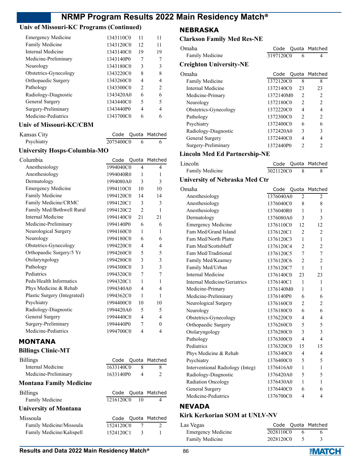### **Univ of Missouri-KC Programs (Continued)**

| <b>Emergency Medicine</b>      | 1343110C0 | 11             | 11            |
|--------------------------------|-----------|----------------|---------------|
| <b>Family Medicine</b>         | 1343120C0 | 12             | 11            |
| Internal Medicine              | 1343140C0 | 19             | 19            |
| Medicine-Preliminary           | 1343140P0 | 7              | 7             |
| Neurology                      | 1343180C0 | 3              | 3             |
| Obstetrics-Gynecology          | 1343220C0 | 8              | 8             |
| Orthopaedic Surgery            | 1343260C0 | 4              | 4             |
| Pathology                      | 1343300C0 | $\mathfrak{D}$ | $\mathcal{P}$ |
| Radiology-Diagnostic           | 1343420A0 | 6              | 6             |
| General Surgery                | 1343440C0 | 5              | 5             |
| Surgery-Preliminary            | 1343440P0 | 4              |               |
| Medicine-Pediatrics            | 1343700C0 | 6              |               |
| <b>Univ of Missouri-KC/CBM</b> |           |                |               |

### Kansas City **Code Quota Matched** Psychiatry 2075400C0 6 6

### **University Hosps-Columbia-MO**

| Columbia                       | Code      | Quota          | Matched  |
|--------------------------------|-----------|----------------|----------|
| Anesthesiology                 | 1994040C0 | 4              | 4        |
| Anesthesiology                 | 1994040R0 | 1              | 1        |
| Dermatology                    | 1994080A0 | 3              | 3        |
| <b>Emergency Medicine</b>      | 1994110C0 | 10             | 10       |
| Family Medicine                | 1994120C0 | 14             | 14       |
| Family Medicine/CRMC           | 1994120C1 | 3              | 3        |
| Family Med/Bothwell Rural      | 1994120C2 | $\mathfrak{D}$ | 1        |
| <b>Internal Medicine</b>       | 1994140C0 | 21             | 21       |
| Medicine-Preliminary           | 1994140P0 | 6              | 6        |
| Neurological Surgery           | 1994160C0 | 1              | 1        |
| Neurology                      | 1994180C0 | 6              | 6        |
| Obstetrics-Gynecology          | 1994220C0 | 4              | 4        |
| Orthopaedic Surgery/5 Yr       | 1994260C0 | 5              | 5        |
| Otolaryngology                 | 1994280C0 | 3              | 3        |
| Pathology                      | 1994300C0 | 3              | 3        |
| Pediatrics                     | 1994320C0 | 7              | 7        |
| Peds/Health Informatics        | 1994320C1 | 1              | 1        |
| Phys Medicine & Rehab          | 1994340A0 | 4              | 4        |
| Plastic Surgery (Integrated)   | 1994362C0 | 1              | 1        |
| Psychiatry                     | 1994400C0 | 10             | 10       |
| Radiology-Diagnostic           | 1994420A0 | 5              | 5        |
| General Surgery                | 1994440C0 | 4              | 4        |
| Surgery-Preliminary            | 1994440P0 | 7              | $\theta$ |
| Medicine-Pediatrics            | 1994700C0 | 4              | 4        |
| <b>MONTANA</b>                 |           |                |          |
| <b>Billings Clinic-MT</b>      |           |                |          |
| <b>Billings</b>                | Code      | Quota          | Matched  |
| <b>Internal Medicine</b>       | 1633140C0 | 8              | 8        |
| Medicine-Preliminary           | 1633140P0 | $\overline{4}$ | 2        |
| <b>Montana Family Medicine</b> |           |                |          |
| <b>Billings</b>                | Code      | Quota          | Matched  |
| Family Medicine                | 1216120C0 | 10             | 4        |
| <b>University of Montana</b>   |           |                |          |
| Missoula                       | Code      | Quota          | Matched  |
| Family Medicine/Missoula       | 1524120C0 | 7              | 2        |

### **NEBRASKA**

### **Clarkson Family Med Res-NE**

| Omaha                                | Code      |                               | Quota Matched  |
|--------------------------------------|-----------|-------------------------------|----------------|
| <b>Family Medicine</b>               | 3197120C0 | 6                             | 4              |
| <b>Creighton University-NE</b>       |           |                               |                |
| Omaha                                | Code      |                               | Quota Matched  |
| <b>Family Medicine</b>               | 1372120C0 | 8                             | 8              |
| Internal Medicine                    | 1372140C0 | 23                            | 23             |
| Medicine-Primary                     | 1372140M0 | 2                             | $\overline{c}$ |
| Neurology                            | 1372180C0 | $\mathfrak{D}_{\mathfrak{p}}$ | $\overline{2}$ |
| Obstetrics-Gynecology                | 1372220C0 | 4                             | 4              |
| Pathology                            | 1372300C0 | 2                             | $\overline{2}$ |
| Psychiatry                           | 1372400C0 | 6                             | 6              |
| Radiology-Diagnostic                 | 1372420A0 | 3                             | 3              |
| General Surgery                      | 1372440C0 | 4                             | 4              |
| Surgery-Preliminary                  | 1372440P0 | $\mathcal{D}$                 | $\mathfrak{D}$ |
| <b>Lincoln Med Ed Partnership-NE</b> |           |                               |                |
| Lincoln                              | Code      |                               | Quota Matched  |

| ncoln           |           | Code Quota Matched |
|-----------------|-----------|--------------------|
| Family Medicine | 3021120C0 |                    |

#### **University of Nebraska Med Ctr**

| Omaha                            | Code      |                | Quota Matched            |
|----------------------------------|-----------|----------------|--------------------------|
| Anesthesiology                   | 1376040A0 | 2              | $\overline{2}$           |
| Anesthesiology                   | 1376040C0 | 8              | 8                        |
| Anesthesiology                   | 1376040R0 | 1              | 1                        |
| Dermatology                      | 1376080A0 | 3              | 3                        |
| <b>Emergency Medicine</b>        | 1376110C0 | 12             | 12                       |
| Fam Med/Grand Island             | 1376120C1 | $\overline{c}$ | $\overline{2}$           |
| Fam Med/North Platte             | 1376120C3 | 1              | $\mathbf{1}$             |
| Fam Med/Scottsbluff              | 1376120C4 | 2              | $\overline{2}$           |
| Fam Med/Traditional              | 1376120C5 | 7              | 7                        |
| Family Med/Kearney               | 1376120C6 | $\overline{c}$ | $\overline{2}$           |
| Family Med/Urban                 | 1376120C7 | 1              | $\mathbf{1}$             |
| Internal Medicine                | 1376140C0 | 23             | 23                       |
| Internal Medicine/Geriatrics     | 1376140C1 | 1              | 1                        |
| Medicine-Primary                 | 1376140M0 | 1              | 1                        |
| Medicine-Preliminary             | 1376140P0 | 6              | 6                        |
| Neurological Surgery             | 1376160C0 | $\overline{c}$ | $\overline{2}$           |
| Neurology                        | 1376180C0 | 6              | 6                        |
| Obstetrics-Gynecology            | 1376220C0 | 4              | 4                        |
| Orthopaedic Surgery              | 1376260C0 | 5              | 5                        |
| Otolaryngology                   | 1376280C0 | 3              | 3                        |
| Pathology                        | 1376300C0 | $\overline{4}$ | $\overline{\mathcal{L}}$ |
| Pediatrics                       | 1376320C0 | 15             | 15                       |
| Phys Medicine & Rehab            | 1376340C0 | $\overline{4}$ | 4                        |
| Psychiatry                       | 1376400C0 | 5              | 5                        |
| Interventional Radiology (Integ) | 1376416A0 | 1              | 1                        |
| Radiology-Diagnostic             | 1376420A0 | 5              | 5                        |
| Radiation Oncology               | 1376430A0 | 1              | $\mathbf{1}$             |
| General Surgery                  | 1376440C0 | 6              | 6                        |
| Medicine-Pediatrics              | 1376700C0 | $\overline{4}$ | $\overline{4}$           |
|                                  |           |                |                          |

## **NEVADA**

### **Kirk Kerkorian SOM at UNLV-NV**

| Las Vegas                 |           |               | Code Quota Matched |
|---------------------------|-----------|---------------|--------------------|
| <b>Emergency Medicine</b> | 2028110C0 |               |                    |
| Family Medicine           | 2028120C0 | $\rightarrow$ |                    |

Family Medicine/Kalispell 1524120C1 3 1

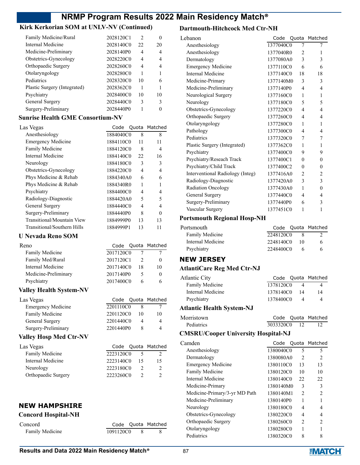### **Kirk Kerkorian SOM at UNLV-NV (Continued)**

| Family Medicine/Rural        | 2028120C1 | $\mathcal{P}$ |    |
|------------------------------|-----------|---------------|----|
| Internal Medicine            | 2028140C0 | 22            | 20 |
| Medicine-Preliminary         | 2028140P0 | 4             |    |
| Obstetrics-Gynecology        | 2028220C0 | 4             | 4  |
| Orthopaedic Surgery          | 2028260C0 | 4             |    |
| Otolaryngology               | 2028280C0 |               |    |
| Pediatrics                   | 2028320C0 | 10            |    |
| Plastic Surgery (Integrated) | 2028362C0 |               |    |
| Psychiatry                   | 2028400C0 | 10            | 10 |
| General Surgery              | 2028440C0 | 3             | 3  |
| Surgery-Preliminary          | 2028440P0 |               |    |
|                              |           |               |    |

### **Sunrise Health GME Consortium-NV**

| Las Vegas                   |           |                          | Code Quota Matched |
|-----------------------------|-----------|--------------------------|--------------------|
| Anesthesiology              | 1884040C0 | 8                        | 8                  |
| <b>Emergency Medicine</b>   | 1884110C0 | 11                       | 11                 |
| Family Medicine             | 1884120C0 | 8                        | 4                  |
| Internal Medicine           | 1884140C0 | 22                       | 16                 |
| Neurology                   | 1884180C0 | 3                        | 3                  |
| Obstetrics-Gynecology       | 1884220C0 | 4                        | 4                  |
| Phys Medicine & Rehab       | 1884340A0 | 6                        | 6                  |
| Phys Medicine & Rehab       | 1884340R0 | 1                        |                    |
| Psychiatry                  | 1884400C0 | 4                        | 4                  |
| Radiology-Diagnostic        | 1884420A0 | $\overline{\mathcal{L}}$ | 5                  |
| General Surgery             | 1884440C0 | 4                        | 4                  |
| Surgery-Preliminary         | 1884440P0 | 8                        | 0                  |
| Transitional/Mountain View  | 1884999P0 | 13                       | 13                 |
| Transitional/Southern Hills | 1884999P1 | 13                       | 11                 |

### **U Nevada Reno SOM**

| Reno                 |           |    | Code Quota Matched |
|----------------------|-----------|----|--------------------|
| Family Medicine      | 2017120C0 |    |                    |
| Family Med/Rural     | 2017120C1 |    |                    |
| Internal Medicine    | 2017140C0 | 18 | 10                 |
| Medicine-Preliminary | 2017140P0 |    |                    |
| Psychiatry           | 2017400C0 |    |                    |
|                      |           |    |                    |

### **Valley Health System-NV**

| Las Vegas                 |           |    | Code Quota Matched |
|---------------------------|-----------|----|--------------------|
| <b>Emergency Medicine</b> | 2201110C0 |    |                    |
| Family Medicine           | 2201120C0 | 10 | 10                 |
| General Surgery           | 2201440C0 |    | 4                  |
| Surgery-Preliminary       | 2201440P0 |    | 4                  |
|                           |           |    |                    |

### **Valley Hosp Med Ctr-NV**

| Las Vegas           |           |    | Code Quota Matched |
|---------------------|-----------|----|--------------------|
| Family Medicine     | 2223120C0 |    |                    |
| Internal Medicine   | 2223140C0 | 15 | 15                 |
| Neurology           | 2223180C0 |    | 2                  |
| Orthopaedic Surgery | 2223260C0 |    |                    |

### **NEW HAMPSHIRE**

#### **Concord Hospital-NH**

| Concord         |  |
|-----------------|--|
| Family Medicine |  |

#### **Dartmouth-Hitchcock Med Ctr-NH**

| Lebanon                          | Code      |                | Quota Matched            |
|----------------------------------|-----------|----------------|--------------------------|
| Anesthesiology                   | 1377040C0 | 7              | 7                        |
| Anesthesiology                   | 1377040R0 | 2              | 1                        |
| Dermatology                      | 1377080A0 | 3              | 3                        |
| <b>Emergency Medicine</b>        | 1377110C0 | 6              | 6                        |
| Internal Medicine                | 1377140C0 | 18             | 18                       |
| Medicine-Primary                 | 1377140M0 | 3              | 3                        |
| Medicine-Preliminary             | 1377140P0 | 4              | 4                        |
| Neurological Surgery             | 1377160C0 | 1              | 1                        |
| Neurology                        | 1377180C0 | 5              | $\overline{\phantom{0}}$ |
| Obstetrics-Gynecology            | 1377220C0 | 4              | $\overline{4}$           |
| Orthopaedic Surgery              | 1377260C0 | 4              | 4                        |
| Otolaryngology                   | 1377280C0 | 1              | 1                        |
| Pathology                        | 1377300C0 | 4              | 4                        |
| Pediatrics                       | 1377320C0 | 7              | 7                        |
| Plastic Surgery (Integrated)     | 1377362C0 | 1              | 1                        |
| Psychiatry                       | 1377400C0 | 9              | 9                        |
| Psychiatry/Reseach Track         | 1377400C1 | $\theta$       | $\Omega$                 |
| Psychiatry/Child Track           | 1377400C2 | $\theta$       | $\theta$                 |
| Interventional Radiology (Integ) | 1377416A0 | $\overline{2}$ | $\overline{2}$           |
| Radiology-Diagnostic             | 1377420A0 | 3              | 3                        |
| <b>Radiation Oncology</b>        | 1377430A0 | 1              | $\theta$                 |
| General Surgery                  | 1377440C0 | 4              | 4                        |
| Surgery-Preliminary              | 1377440P0 | 6              | 3                        |
| Vascular Surgery                 | 1377451C0 | $\mathbf{1}$   | 1                        |

### **Portsmouth Regional Hosp-NH**

| Portsmouth        |           |    | Code Quota Matched |
|-------------------|-----------|----|--------------------|
| Family Medicine   | 2248120C0 |    |                    |
| Internal Medicine | 2248140C0 | 10 | 6                  |
| Psychiatry        | 2248400C0 |    |                    |

### **NEW JERSEY**

### **AtlantiCare Reg Med Ctr-NJ**

| Atlantic City     |           |     | Code Quota Matched |
|-------------------|-----------|-----|--------------------|
| Family Medicine   | 1378120C0 |     |                    |
| Internal Medicine | 1378140C0 | -14 | 14                 |
| Psychiatry        | 1378400C0 |     | 4                  |
|                   |           |     |                    |

### **Atlantic Health System-NJ**

| Morristown        |           |                 | Code Quota Matched |
|-------------------|-----------|-----------------|--------------------|
| <b>Pediatrics</b> | 3033320C0 | $\overline{12}$ |                    |

### **CMSRU/Cooper University Hospital-NJ**

| Camden                        | Code      |                | Quota Matched |
|-------------------------------|-----------|----------------|---------------|
| Anesthesiology                | 1380040C0 | 5              | 5             |
| Dermatology                   | 1380080A0 | $\mathfrak{D}$ | $\mathcal{P}$ |
| <b>Emergency Medicine</b>     | 1380110C0 | 13             | 13            |
| <b>Family Medicine</b>        | 1380120C0 | 10             | 10            |
| Internal Medicine             | 1380140C0 | 22.            | 22            |
| Medicine-Primary              | 1380140M0 | 3              | 3             |
| Medicine-Primary/3-yr MD Path | 1380140M1 | $\mathfrak{D}$ | $\mathcal{P}$ |
| Medicine-Preliminary          | 1380140P0 | 1              |               |
| Neurology                     | 1380180C0 | 4              | 4             |
| Obstetrics-Gynecology         | 1380220C0 | 4              |               |
| Orthopaedic Surgery           | 1380260C0 | $\mathfrak{D}$ | $\mathcal{P}$ |
| Otolaryngology                | 1380280C0 | 1              |               |
| Pediatrics                    | 1380320C0 | 8              |               |
|                               |           |                |               |

Code Quota Matched 1091120C0 8 8

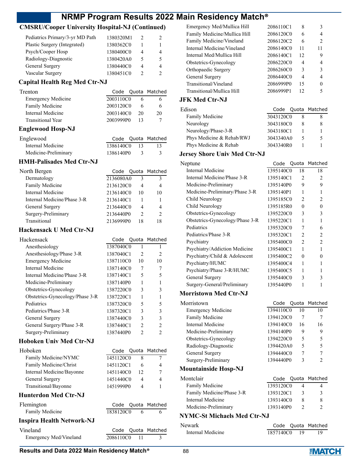### **CMSRU/Cooper University Hospital-NJ (Continued)**

| Pediatrics Primary/3-yr MD Path | 1380320M1 |   |   |
|---------------------------------|-----------|---|---|
| Plastic Surgery (Integrated)    | 1380362C0 |   |   |
| Psych/Cooper Hosp               | 1380400C0 | 4 | 4 |
| Radiology-Diagnostic            | 1380420A0 | 5 | 5 |
| General Surgery                 | 1380440C0 | 4 | 4 |
| Vascular Surgery                | 1380451C0 |   |   |

### **Capital Health Reg Med Ctr-NJ**

| 6  |                                                                        |
|----|------------------------------------------------------------------------|
| 20 | 20                                                                     |
|    |                                                                        |
|    | Code Quota Matched<br>2003110C0<br>2003120C0<br>2003140C0<br>2003999P0 |

#### **Englewood Hosp-NJ**

| Englewood            |              |    | Code Quota Matched |
|----------------------|--------------|----|--------------------|
| Internal Medicine    | 1386140C0 13 |    | 13                 |
| Medicine-Preliminary | 1386140P0    | -3 |                    |

#### **HMH-Palisades Med Ctr-NJ**

| North Bergen                |           |    | Code Quota Matched |
|-----------------------------|-----------|----|--------------------|
| Dermatology                 | 2136080A0 | ٩  | 3                  |
| Family Medicine             | 2136120C0 | 4  |                    |
| Internal Medicine           | 2136140C0 | 10 | 10                 |
| Internal Medicine/Phase 3-R | 2136140C1 |    |                    |
| General Surgery             | 2136440C0 | 4  |                    |
| Surgery-Preliminary         | 2136440P0 | 2  | $\mathcal{P}$      |
| Transitional                | 2136999P0 |    |                    |

#### **Hackensack U Med Ctr-NJ**

| Hackensack                      |           |                | Code Quota Matched |
|---------------------------------|-----------|----------------|--------------------|
| Anesthesiology                  | 1387040C0 | 1              | 1                  |
| Anesthesiology/Phase 3-R        | 1387040C1 | $\overline{2}$ | $\mathfrak{D}$     |
| <b>Emergency Medicine</b>       | 1387110C0 | 10             | 10                 |
| Internal Medicine               | 1387140C0 | 7              | 7                  |
| Internal Medicine/Phase 3-R     | 1387140C1 | 5              | 5                  |
| Medicine-Preliminary            | 1387140P0 | 1              | 1                  |
| Obstetrics-Gynecology           | 1387220C0 | 3              | 3                  |
| Obstetrics-Gynecology/Phase 3-R | 1387220C1 | 1              | 1                  |
| Pediatrics                      | 1387320C0 | 5              | 5                  |
| Pediatrics/Phase 3-R            | 1387320C1 | 3              | 3                  |
| General Surgery                 | 1387440C0 | 3              | 3                  |
| General Surgery/Phase 3-R       | 1387440C1 | $\mathfrak{D}$ | $\overline{c}$     |
| Surgery-Preliminary             | 1387440P0 | $\overline{c}$ | $\mathfrak{D}$     |
| Hoboken Univ Med Ctr-NJ         |           |                |                    |
| Hoboken                         | Code      |                | Quota Matched      |
| Family Medicine/NYMC            | 1451120C0 | 8              | 7                  |
| Family Medicine/Christ          | 1451120C1 | 6              | 4                  |
| Internal Medicine/Bayonne       | 1451140C0 | 12             | 7                  |
| General Surgery                 | 1451440C0 | 4              | 4                  |
| Transitional/Bayonne            | 1451999P0 | 4              | 1                  |
|                                 |           |                |                    |

#### **Hunt**

| THE PIECE CIT-NJ                 |           |     |                    |
|----------------------------------|-----------|-----|--------------------|
| Flemington                       |           |     | Code Quota Matched |
| Family Medicine                  | 1838120C0 |     |                    |
| <b>Inspira Health Network-NJ</b> |           |     |                    |
| Vineland                         |           |     | Code Quota Matched |
| Emergency Med/Vineland           | 2086110C0 | -11 |                    |

| Emergency Med/Mullica Hill   | 2086110C1 | 8  |                |
|------------------------------|-----------|----|----------------|
| Family Medicine/Mullica Hill | 2086120C0 | 6  | 4              |
| Family Medicine/Vineland     | 2086120C2 | 6  | $\mathfrak{D}$ |
| Internal Medicine/Vineland   | 2086140C0 | 11 | 11             |
| Internal Med/Mullica Hill    | 2086140C1 | 12 | 9              |
| Obstetrics-Gynecology        | 2086220C0 | 4  | 4              |
| Orthopaedic Surgery          | 2086260C0 | 3  | 3              |
| General Surgery              | 2086440C0 | 4  | 4              |
| Transitional/Vineland        | 2086999P0 | 15 | 0              |
| Transitional/Mullica Hill    | 2086999P1 | 12 |                |

#### **JFK Med Ctr-NJ**

| Edison                    |           |   | Code Quota Matched |
|---------------------------|-----------|---|--------------------|
| <b>Family Medicine</b>    | 3043120C0 |   |                    |
| Neurology                 | 3043180C0 | 8 | 8                  |
| Neurology/Phase-3-R       | 3043180C1 |   |                    |
| Phys Medicine & Rehab/RWJ | 3043340A0 | 5 | 5                  |
| Phys Medicine & Rehab     | 3043340R0 |   |                    |
|                           |           |   |                    |

#### **Jersey Shore Univ Med Ctr-NJ**

| Neptune                         | Code      |                | Quota Matched  |
|---------------------------------|-----------|----------------|----------------|
| Internal Medicine               | 1395140C0 | 18             | 18             |
| Internal Medicine/Phase 3-R     | 1395140C1 | $\mathfrak{D}$ | $\mathcal{P}$  |
| Medicine-Preliminary            | 1395140P0 | 9              | 9              |
| Medicine-Preliminary/Phase 3-R  | 1395140P1 | 1              |                |
| Child Neurology                 | 1395185C0 | $\mathfrak{D}$ | $\mathfrak{D}$ |
| Child Neurology                 | 1395185R0 | 0              | 0              |
| Obstetrics-Gynecology           | 1395220C0 | 3              | 3              |
| Obstetrics-Gynecology/Phase 3-R | 1395220C1 | 1              |                |
| Pediatrics                      | 1395320C0 | 7              | 6              |
| Pediatrics/Phase 3-R            | 1395320C1 | $\mathcal{L}$  | $\mathfrak{D}$ |
| Psychiatry                      | 1395400C0 | $\mathfrak{D}$ | $\mathfrak{D}$ |
| Psychiatry/Addiction Medicine   | 1395400C1 | 1              |                |
| Psychiatry/Child & Adolescent   | 1395400C2 | 0              |                |
| Psychiatry/HUMC                 | 1395400C4 | 1              |                |
| Psychiatry/Phase 3-R/HUMC       | 1395400C5 | 1              |                |
| General Surgery                 | 1395440C0 | 3              | 3              |
| Surgery-General/Preliminary     | 1395440P0 | 1              |                |
|                                 |           |                |                |

#### **Morristown Med Ctr-NJ**

| Morristown                  | Quota Matched<br>Code                         |
|-----------------------------|-----------------------------------------------|
| <b>Emergency Medicine</b>   | 1394110C0<br>10<br>10                         |
| Family Medicine             | 1394120C0<br>7<br>7                           |
| Internal Medicine           | 1394140C0<br>16<br>16                         |
| Medicine-Preliminary        | 1394140P0<br>9<br>9                           |
| Obstetrics-Gynecology       | 1394220C0<br>5<br>5                           |
| Radiology-Diagnostic        | 5<br>1394420A0<br>5                           |
| General Surgery             | 7<br>1394440C0<br>7                           |
| Surgery-Preliminary         | 1394440P0<br>3<br>っ                           |
| <b>Mountainside Hosp-NJ</b> |                                               |
| Montclair                   | Quota Matched<br>Code                         |
| <b>Family Medicine</b>      | 1393120C0<br>4<br>4                           |
| Family Medicine/Phase 3-R   | 1393120C1<br>3<br>3                           |
| Internal Medicine           | 1393140C0<br>8<br>8                           |
| Medicine-Preliminary        | 1393140P0<br>$\overline{2}$<br>$\overline{c}$ |

#### **NYMC-St Michaels Med Ctr-NJ**

| Newark            |           |      | Code Quota Matched |
|-------------------|-----------|------|--------------------|
| Internal Medicine | 1857140C0 | - 19 |                    |

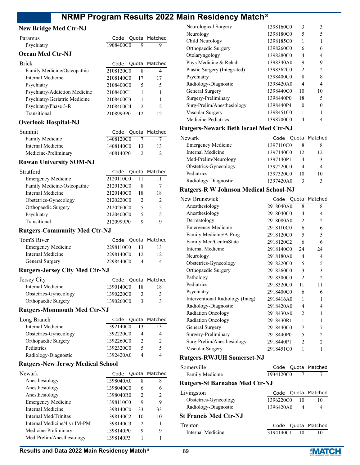Code Quota Matched

#### **New Bridge Med Ctr-NJ**

| Paramus                 |           |  | Code Quota Matche |
|-------------------------|-----------|--|-------------------|
| Psychiatry              | 1908400C0 |  |                   |
| <b>Ocean Med Ctr-NJ</b> |           |  |                   |

| <b>Brick</b>                  |           |               | Code Quota Matched |
|-------------------------------|-----------|---------------|--------------------|
| Family Medicine/Osteopathic   | 2108120C0 | 8             | 4                  |
| Internal Medicine             | 2108140C0 | 17            | 17                 |
| Psychiatry                    | 2108400C0 | 5             | 5                  |
| Psychiatry/Addiction Medicine | 2108400C1 |               |                    |
| Psychiatry/Geriatric Medicine | 2108400C3 |               |                    |
| Psychiatry/Phase 3-R          | 2108400C4 | $\mathcal{P}$ | $\mathcal{P}$      |
| Transitional                  | 2108999P0 | 12            | 12                 |
|                               |           |               |                    |

#### **Overlook Hospital-NJ**

| Summit               |           |     | Code Quota Matched |
|----------------------|-----------|-----|--------------------|
| Family Medicine      | 1408120C0 |     |                    |
| Internal Medicine    | 1408140C0 | -13 | 13                 |
| Medicine-Preliminary | 1408140P0 |     |                    |

#### **Rowan University SOM-NJ**

| Stratford                   |           |               | Code Quota Matched |
|-----------------------------|-----------|---------------|--------------------|
| <b>Emergency Medicine</b>   | 2120110C0 | 11            |                    |
| Family Medicine/Osteopathic | 2120120C0 | 8             |                    |
| Internal Medicine           | 2120140C0 | 18            | 18                 |
| Obstetrics-Gynecology       | 2120220C0 | $\mathcal{P}$ | 2                  |
| Orthopaedic Surgery         | 2120260C0 | 5             | 5                  |
| Psychiatry                  | 2120400C0 | 5             |                    |
| Transitional                | 2120999P0 | q             |                    |

#### **Rutgers-Community Med Ctr-NJ**

| Tom'S River               |           |     | Code Quota Matched |
|---------------------------|-----------|-----|--------------------|
| <b>Emergency Medicine</b> | 2298110C0 | 13  |                    |
| Internal Medicine         | 2298140C0 | -12 |                    |
| General Surgery           | 2298440C0 |     |                    |

### **Rutgers-Jersey City Med Ctr-NJ**

| Jersey City           |           |    | Code Quota Matched   |
|-----------------------|-----------|----|----------------------|
| Internal Medicine     | 1390140C0 | 18 | 18                   |
| Obstetrics-Gynecology | 1390220C0 |    | $\ddot{\phantom{0}}$ |
| Orthopaedic Surgery   | 1390260C0 |    |                      |

#### **Rutgers-Monmouth Med Ctr-NJ**

| Long Branch           | Code Quota Matched |   |               |
|-----------------------|--------------------|---|---------------|
| Internal Medicine     | 1392140C0          |   |               |
| Obstetrics-Gynecology | 1392220C0          |   | 4             |
| Orthopaedic Surgery   | 1392260C0          |   | $\mathcal{P}$ |
| Pediatrics            | 1392320C0          | 5 | 5             |
| Radiology-Diagnostic  | 1392420A0          | Δ |               |

#### **Rutgers-New Jersey Medical School**

| Code |               | Quota Matched                                                                                                     |
|------|---------------|-------------------------------------------------------------------------------------------------------------------|
|      | 8             | 8                                                                                                                 |
|      | 6             | 6                                                                                                                 |
|      | $\mathcal{L}$ | $\mathcal{L}$                                                                                                     |
|      | 9             | 9                                                                                                                 |
|      | 33            | 33                                                                                                                |
|      | 10            | 10                                                                                                                |
|      | $\mathcal{P}$ |                                                                                                                   |
|      | 9             | 9                                                                                                                 |
|      |               |                                                                                                                   |
|      |               | 1398040A0<br>1398040C0<br>1398040R0<br>1398110C0<br>1398140C0<br>1398140C2<br>1398140C3<br>1398140P0<br>1398140P3 |

| Neurological Surgery         | 1398160C0 | 3             | 3             |
|------------------------------|-----------|---------------|---------------|
| Neurology                    | 1398180C0 | 5             | 5             |
| Child Neurology              | 1398185C0 | 1             |               |
| Orthopaedic Surgery          | 1398260C0 | 6             | 6             |
| Otolaryngology               | 1398280C0 | 4             | 4             |
| Phys Medicine & Rehab        | 1398340A0 | 9             | 9             |
| Plastic Surgery (Integrated) | 1398362C0 | $\mathcal{L}$ | $\mathcal{D}$ |
| Psychiatry                   | 1398400C0 | 8             | 8             |
| Radiology-Diagnostic         | 1398420A0 | 4             | 4             |
| General Surgery              | 1398440C0 | 10            | 10            |
| Surgery-Preliminary          | 1398440P0 | 18            | 5             |
| Surg-Prelim/Anesthesiology   | 1398440P4 | 0             |               |
| Vascular Surgery             | 1398451C0 |               |               |
| Medicine-Pediatrics          | 1398700C0 |               |               |
|                              |           |               |               |

#### **Rutgers-Newark Beth Israel Med Ctr-NJ**

| Newark                    |           |    | Code Quota Matched |
|---------------------------|-----------|----|--------------------|
| <b>Emergency Medicine</b> | 1397110C0 |    |                    |
| Internal Medicine         | 1397140C0 | 12 | 12                 |
| Med-Prelim/Neurology      | 1397140P1 |    |                    |
| Obstetrics-Gynecology     | 1397220C0 |    |                    |
| Pediatrics                | 1397320C0 | 10 | 10                 |
| Radiology-Diagnostic      | 1397420A0 |    |                    |

#### **Rutgers-R W Johnson Medical School-NJ**

| New Brunswick                    | Code      |                | Quota Matched  |
|----------------------------------|-----------|----------------|----------------|
| Anesthesiology                   | 2918040A0 | 8              | 8              |
| Anesthesiology                   | 2918040C0 | 4              | 4              |
| Dermatology                      | 2918080A0 | 2              | 2              |
| <b>Emergency Medicine</b>        | 2918110C0 | 6              | 6              |
| Family Medicine/A-Prog           | 2918120C0 | 5              | 5              |
| Family Med/CentraState           | 2918120C2 | 6              | 6              |
| Internal Medicine                | 2918140C0 | 24             | 24             |
| Neurology                        | 2918180A0 | 4              | 4              |
| Obstetrics-Gynecology            | 2918220C0 | 5              | 5              |
| Orthopaedic Surgery              | 2918260C0 | 3              | 3              |
| Pathology                        | 2918300C0 | $\mathfrak{D}$ | $\overline{c}$ |
| Pediatrics                       | 2918320C0 | 11             | 11             |
| Psychiatry                       | 2918400C0 | 6              | 6              |
| Interventional Radiology (Integ) | 2918416A0 | 1              | 1              |
| Radiology-Diagnostic             | 2918420A0 | 4              | 4              |
| Radiation Oncology               | 2918430A0 | $\mathfrak{D}$ | 1              |
| <b>Radiation Oncology</b>        | 2918430R1 | 1              | 1              |
| General Surgery                  | 2918440C0 | 7              | 7              |
| Surgery-Preliminary              | 2918440P0 | 5              | 2              |
| Surg-Prelim/Anesthesiology       | 2918440P1 | 2              | $\overline{c}$ |
| Vascular Surgery                 | 2918451C0 | 1              | 1              |
|                                  |           |                |                |

#### **Rutgers-RWJUH Somerset-NJ**

| omerville :     |           | Code Quota Matched |
|-----------------|-----------|--------------------|
| Family Medicine | 1934120C0 |                    |

#### **Rutgers-St Barnabas Med Ctr-NJ**

| Livingston                   |           |    | Code Quota Matched |
|------------------------------|-----------|----|--------------------|
| Obstetrics-Gynecology        | 1396220C0 | 10 | 10                 |
| Radiology-Diagnostic         | 1396420A0 |    | 4                  |
| <b>St Francis Med Ctr-NJ</b> |           |    |                    |

### Trenton Code Quota Matched Internal Medicine 3194140C1 10 10

Somerville

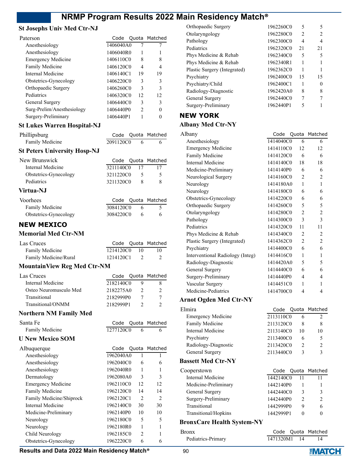#### **St Josephs Univ Med Ctr-NJ**

| Paterson                   |           |               | Code Quota Matched |
|----------------------------|-----------|---------------|--------------------|
| Anesthesiology             | 1406040A0 |               |                    |
| Anesthesiology             | 1406040R0 |               |                    |
| <b>Emergency Medicine</b>  | 1406110C0 | 8             | 8                  |
| <b>Family Medicine</b>     | 1406120C0 | 4             |                    |
| Internal Medicine          | 1406140C1 | 19            | 19                 |
| Obstetrics-Gynecology      | 1406220C0 | 3             | 3                  |
| Orthopaedic Surgery        | 1406260C0 | 3             | 3                  |
| Pediatrics                 | 1406320C0 | 12            | 12                 |
| General Surgery            | 1406440C0 | 3             | 3                  |
| Surg-Prelim/Anesthesiology | 1406440P0 | $\mathcal{P}$ |                    |
| Surgery-Preliminary        | 1406440P1 |               |                    |
|                            |           |               |                    |

#### **St Lukes Warren Hospital-NJ**

| Phillipsburg                        |           |    | Code Quota Matched |
|-------------------------------------|-----------|----|--------------------|
| Family Medicine                     | 2091120C0 | -6 | 6                  |
| <b>St Peters University Hosp-NJ</b> |           |    |                    |
| New Brunswick                       |           |    | Code Quota Matched |
| Internal Medicine                   | 3211140C0 | 17 | 17                 |
| Obstetrics-Gynecology               | 3211220C0 | 5  | 5                  |
| Pediatrics                          | 3211320C0 | 8  | 8                  |
| Virtua-NJ                           |           |    |                    |
| Voorhees                            | Code      |    | Quota Matched      |
| Family Medicine                     | 3084120C0 | 6  |                    |

| Family Medicine       | 3084120C0 |  |
|-----------------------|-----------|--|
| Obstetrics-Gynecology | 3084220C0 |  |

### **NEW MEXICO**

#### **Memorial Med Ctr-NM**

| Las Cruces            |              | Code Quota Matched |
|-----------------------|--------------|--------------------|
| Family Medicine       | 1214120C0 10 | 10                 |
| Family Medicine/Rural | 1214120C1 2  |                    |

#### **MountainView Reg Med Ctr-NM**

| Las Cruces             |           | Code Quota Matched |
|------------------------|-----------|--------------------|
| Internal Medicine      | 2182140C0 |                    |
| Osteo Neuromusculo Med | 2182275A0 |                    |
| Transitional           | 2182999P0 |                    |
| Transitional/ONMM      | 2182999P1 |                    |
|                        |           |                    |

1277120C0 6 6

### **Northern NM Family Med**

Santa Fe Code Quota Matched<br>Family Medicine 1277120C0 6 6

#### **U New Mexico SOM**

| Albuquerque               | Code      |                               | Quota Matched  |
|---------------------------|-----------|-------------------------------|----------------|
| Anesthesiology            | 1962040A0 |                               |                |
| Anesthesiology            | 1962040C0 | 6                             | 6              |
| Anesthesiology            | 1962040R0 |                               | 1              |
| Dermatology               | 1962080A0 | 3                             | 3              |
| <b>Emergency Medicine</b> | 1962110C0 | 12                            | 12             |
| Family Medicine           | 1962120C0 | 14                            | 14             |
| Family Medicine/Shiprock  | 1962120C1 | $\mathfrak{D}_{\mathfrak{p}}$ | $\overline{2}$ |
| Internal Medicine         | 1962140C0 | 30                            | 30             |
| Medicine-Preliminary      | 1962140P0 | 10                            | 10             |
| Neurology                 | 1962180C0 | 5                             | 5              |
| Neurology                 | 1962180R0 |                               |                |
| Child Neurology           | 1962185C0 | $\mathfrak{D}$                | 1              |
| Obstetrics-Gynecology     | 1962220C0 | 6                             | 6              |

| Orthopaedic Surgery          | 1962260C0 | 5  | 5  |
|------------------------------|-----------|----|----|
| Otolaryngology               | 1962280C0 | 2  | 2  |
| Pathology                    | 1962300C0 | 4  | 4  |
| Pediatrics                   | 1962320C0 | 21 | 21 |
| Phys Medicine & Rehab        | 1962340C0 | 5  | 5  |
| Phys Medicine & Rehab        | 1962340R1 | 1  | 1  |
| Plastic Surgery (Integrated) | 1962362C0 | 1  | 1  |
| Psychiatry                   | 1962400C0 | 15 | 15 |
| Psychiatry/Child             | 1962400C1 | 1  | 0  |
| Radiology-Diagnostic         | 1962420A0 | 8  | 8  |
| General Surgery              | 1962440C0 | 7  | 7  |
| Surgery-Preliminary          | 1962440P1 | 5  |    |

### **NEW YORK**

### **Albany Med Ctr-NY**

| Albany                           | Code      | Quota                       | Matched        |
|----------------------------------|-----------|-----------------------------|----------------|
| Anesthesiology                   | 1414040C0 | 6                           | 6              |
| <b>Emergency Medicine</b>        | 1414110C0 | 12                          | 12.            |
| Family Medicine                  | 1414120C0 | 6                           | 6              |
| Internal Medicine                | 1414140C0 | 18                          | 18             |
| Medicine-Preliminary             | 1414140P0 | 6                           | 6              |
| Neurological Surgery             | 1414160C0 | 2                           | $\overline{2}$ |
| Neurology                        | 1414180A0 | 1                           | 1              |
| Neurology                        | 1414180C0 | 6                           | 6              |
| Obstetrics-Gynecology            | 1414220C0 | 6                           | 6              |
| Orthopaedic Surgery              | 1414260C0 | 5                           | 5              |
| Otolaryngology                   | 1414280C0 | $\overline{c}$              | $\overline{2}$ |
| Pathology                        | 1414300C0 | 3                           | $\mathcal{E}$  |
| Pediatrics                       | 1414320C0 | 11                          | 11             |
| Phys Medicine & Rehab            | 1414340C0 | 2                           | $\overline{c}$ |
| Plastic Surgery (Integrated)     | 1414362C0 | $\mathcal{D}_{\mathcal{L}}$ | $\overline{2}$ |
| Psychiatry                       | 1414400C0 | 6                           | 6              |
| Interventional Radiology (Integ) | 1414416C0 | 1                           | 1              |
| Radiology-Diagnostic             | 1414420A0 | 5                           | 5              |
| General Surgery                  | 1414440C0 | 6                           | 6              |
| Surgery-Preliminary              | 1414440P0 | 4                           | 4              |
| Vascular Surgery                 | 1414451C0 | 1                           | 1              |
| Medicine-Pediatrics              | 1414700C0 | 4                           | 4              |
|                                  |           |                             |                |

#### **Arnot Ogden Med Ctr-NY**

| Elmira                    |           |                | Code Quota Matched          |
|---------------------------|-----------|----------------|-----------------------------|
| <b>Emergency Medicine</b> | 2113110C0 | 6              | $\mathcal{D}_{\mathcal{L}}$ |
| Family Medicine           | 2113120C0 | 8              | 8                           |
| Internal Medicine         | 2113140C0 | 10             | 10                          |
| Psychiatry                | 2113400C0 | 6              | 5                           |
| Radiology-Diagnostic      | 2113420C0 | $\overline{c}$ | $\mathfrak{D}$              |
| General Surgery           | 2113440C0 | 3              | 3                           |
| <b>Bassett Med Ctr-NY</b> |           |                |                             |
| $\sim$ $\sim$ $\sim$      |           |                | - - - - - - - -             |

| Cooperstown          |           |   | Code Quota Matched |
|----------------------|-----------|---|--------------------|
| Internal Medicine    | 1442140C0 |   |                    |
| Medicine-Preliminary | 1442140P0 |   |                    |
| General Surgery      | 1442440C0 | ٩ | ٩                  |
| Surgery-Preliminary  | 1442440P0 | 2 | $\mathcal{D}$      |
| Transitional         | 1442999P0 | Q | 6                  |
| Transitional/Hopkins | 1442999P1 | 0 |                    |

#### **BronxCare Health System-NY**

| Bronx              |              |  | Code Quota Matched |  |
|--------------------|--------------|--|--------------------|--|
| Pediatrics-Primary | 1471320M1 14 |  |                    |  |

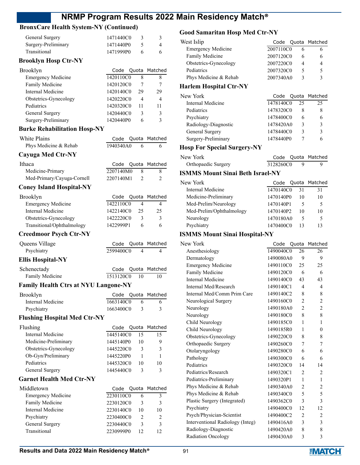### **BronxCare Health System-NY (Continued)**

| General Surgery     | 1471440C0 |   |
|---------------------|-----------|---|
| Surgery-Preliminary | 1471440P0 |   |
| Transitional        | 1471999P0 | 6 |
|                     |           |   |

#### **Brooklyn Hosp Ctr-NY**

| Brooklyn                  |           |    | Code Quota Matched |
|---------------------------|-----------|----|--------------------|
| <b>Emergency Medicine</b> | 1420110C0 | 8  | 8                  |
| Family Medicine           | 1420120C0 |    |                    |
| Internal Medicine         | 1420140C0 | 29 | 29                 |
| Obstetrics-Gynecology     | 1420220C0 | 4  | 4                  |
| Pediatrics                | 1420320C0 | 11 | 11                 |
| General Surgery           | 1420440C0 | ٩  | 3                  |
| Surgery-Preliminary       | 1420440P0 | 6  | ٩                  |
|                           |           |    |                    |

#### **Burke Rehabilitation Hosp-NY**

| White Plains          |           |  | Code Quota Matched |
|-----------------------|-----------|--|--------------------|
| Phys Medicine & Rehab | 1940340A0 |  |                    |
| Cayuga Med Ctr-NY     |           |  |                    |

| Ithaca                     |           | Code Quota Matched |
|----------------------------|-----------|--------------------|
| Medicine-Primary           | 2207140M0 |                    |
| Med-Primary/Cayuga-Cornell | 2207140M1 |                    |
|                            |           |                    |

### **Coney Island Hospital-NY**

| Brooklyn                   |           |    | Code Quota Matched |
|----------------------------|-----------|----|--------------------|
| <b>Emergency Medicine</b>  | 1422110C0 |    |                    |
| Internal Medicine          | 1422140C0 | 25 | 25                 |
| Obstetrics-Gynecology      | 1422220C0 |    | 3                  |
| Transitional/Ophthalmology | 1422999P1 |    |                    |

#### **Creedmoor Psych Ctr-NY**

| Queens Village                                                                       |           | Code Quota Matched |
|--------------------------------------------------------------------------------------|-----------|--------------------|
| Psychiatry                                                                           | 2599400C0 |                    |
| $\mathbf{F}\mathbf{B}$ is a set $\mathbf{H}\mathbf{A}$ in the $\mathbf{H}\mathbf{V}$ |           |                    |

#### **Ellis Hospital-NY**

| Schenectady     |              | Code Quota Matched |
|-----------------|--------------|--------------------|
| Family Medicine | 1513120C0 10 |                    |

#### **Family Health Ctrs at NYU Langone-NY**

| Brooklyn          |           |   | Code Quota Matched |
|-------------------|-----------|---|--------------------|
| Internal Medicine | 1663140C0 | 6 |                    |
| Psychiatry        | 1663400C0 |   |                    |

### **Flushing Hospital Med Ctr-NY**

| Flushing              |           |    | Code Quota Matched |
|-----------------------|-----------|----|--------------------|
| Internal Medicine     | 1445140C0 | 15 | 15                 |
| Medicine-Preliminary  | 1445140P0 | 10 | y                  |
| Obstetrics-Gynecology | 1445220C0 | 3  | ٩                  |
| Ob-Gyn/Preliminary    | 1445220P0 |    |                    |
| Pediatrics            | 1445320C0 | 10 | 10                 |
| General Surgery       | 1445440C0 | 3  | ς                  |
|                       |           |    |                    |

#### **Garnet Health Med Ctr-NY**

| Middletown                |           |    | Code Quota Matched |
|---------------------------|-----------|----|--------------------|
| <b>Emergency Medicine</b> | 2230110C0 |    |                    |
| Family Medicine           | 2230120C0 | 3  |                    |
| Internal Medicine         | 2230140C0 | 10 | 10                 |
| Psychiatry                | 2230400C0 |    |                    |
| General Surgery           | 2230440C0 | 3  |                    |
| Transitional              | 2230999P0 |    |                    |

### **Good Samaritan Hosp Med Ctr-NY**

| West Islip                    |           |    | Code Quota Matched |
|-------------------------------|-----------|----|--------------------|
| <b>Emergency Medicine</b>     | 2007110C0 | 6  | 6                  |
| Family Medicine               | 2007120C0 | 6  | 6                  |
| Obstetrics-Gynecology         | 2007220C0 | 4  | 4                  |
| Pediatrics                    | 2007320C0 | 5  | 5                  |
| Phys Medicine & Rehab         | 2007340A0 | 3  | 3                  |
| <b>Harlem Hospital Ctr-NY</b> |           |    |                    |
| New York                      | Code      |    | Quota Matched      |
| Internal Medicine             | 1478140C0 | 25 | 25                 |

| Internal Medicine    | 14/8140C0 |   | 25 |
|----------------------|-----------|---|----|
| Pediatrics           | 1478320C0 |   |    |
| Psychiatry           | 1478400C0 |   |    |
| Radiology-Diagnostic | 1478420A0 |   |    |
| General Surgery      | 1478440C0 | κ | 3  |
| Surgery-Preliminary  | 1478440P0 |   |    |

#### **Hosp For Special Surgery-NY**

| New York            |           | Code Quota Matched |
|---------------------|-----------|--------------------|
| Orthopaedic Surgery | 3128260C0 |                    |

### **ISMMS Mount Sinai Beth Israel-NY**

| Code |    | Quota Matched                                                              |
|------|----|----------------------------------------------------------------------------|
|      | 31 | 31                                                                         |
|      | 10 | 10                                                                         |
|      |    | 5                                                                          |
|      | 10 | 10                                                                         |
|      | 5  |                                                                            |
|      | 13 | 13                                                                         |
|      |    | 1470140C0<br>1470140P0<br>1470140P1<br>1470140P2<br>1470180A0<br>1470400C0 |

### **ISMMS Mount Sinai Hospital-NY**

| New York                         | Code      | Quota          | Matched        |
|----------------------------------|-----------|----------------|----------------|
| Anesthesiology                   | 1490040C0 | 26             | 26             |
| Dermatology                      | 1490080A0 | 9              | 9              |
| <b>Emergency Medicine</b>        | 1490110C0 | 25             | 25             |
| Family Medicine                  | 1490120C0 | 6              | 6              |
| Internal Medicine                | 1490140C0 | 43             | 43             |
| Internal Med/Research            | 1490140C1 | 4              | 4              |
| Internal Med/Comm Prim Care      | 1490140C2 | 8              | 8              |
| Neurological Surgery             | 1490160C0 | $\overline{2}$ | $\overline{2}$ |
| Neurology                        | 1490180A0 | $\overline{c}$ | 2              |
| Neurology                        | 1490180C0 | 8              | 8              |
| Child Neurology                  | 1490185C0 | 1              | 1              |
| Child Neurology                  | 1490185R0 | $\mathbf{1}$   | $\theta$       |
| Obstetrics-Gynecology            | 1490220C0 | 8              | 8              |
| Orthopaedic Surgery              | 1490260C0 | 7              | 7              |
| Otolaryngology                   | 1490280C0 | 6              | 6              |
| Pathology                        | 1490300C0 | 6              | 6              |
| Pediatrics                       | 1490320C0 | 14             | 14             |
| Pediatrics/Research              | 1490320C1 | $\overline{2}$ | 2              |
| Pediatrics-Preliminary           | 1490320P1 | $\mathbf{1}$   | 1              |
| Phys Medicine & Rehab            | 1490340A0 | $\overline{2}$ | $\overline{c}$ |
| Phys Medicine & Rehab            | 1490340C0 | 5              | 5              |
| Plastic Surgery (Integrated)     | 1490362C0 | 3              | 3              |
| Psychiatry                       | 1490400C0 | 12             | 12             |
| Psych/Physician-Scientist        | 1490400C2 | $\overline{2}$ | $\overline{2}$ |
| Interventional Radiology (Integ) | 1490416A0 | 3              | 3              |
| Radiology-Diagnostic             | 1490420A0 | 8              | 8              |
| Radiation Oncology               | 1490430A0 | 3              | 3              |
|                                  |           |                |                |

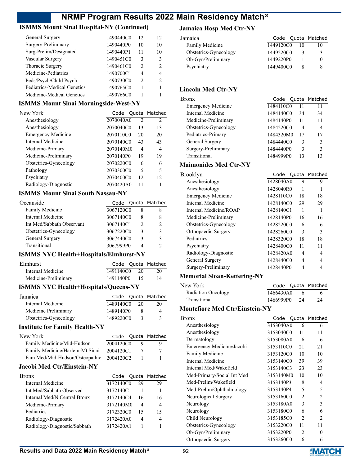### **ISMMS Mount Sinai Hospital-NY (Continued)**

| General Surgery             | 1490440C0 | 12            | 12             |
|-----------------------------|-----------|---------------|----------------|
| Surgery-Preliminary         | 1490440P0 | 10            | 10             |
| Surg-Prelim/Designated      | 1490440P1 | 11            | 10             |
| Vascular Surgery            | 1490451C0 | 3             | 3              |
| Thoracic Surgery            | 1490461C0 | $\mathcal{P}$ | $\mathfrak{D}$ |
| Medicine-Pediatrics         | 1490700C1 | 4             | 4              |
| Peds/Psych/Child Psych      | 1490730C0 | $\mathcal{P}$ | $\mathcal{L}$  |
| Pediatrics-Medical Genetics | 1490765C0 |               |                |
| Medicine-Medical Genetics   | 1490766C0 |               |                |

### **ISMMS Mount Sinai Morningside-West-NY**

| New York                  | Code      |                          | Quota Matched               |
|---------------------------|-----------|--------------------------|-----------------------------|
| Anesthesiology            | 2070040A0 | $\mathfrak{D}$           | $\mathcal{D}_{\mathcal{L}}$ |
| Anesthesiology            | 2070040C0 | 13                       | 13                          |
| <b>Emergency Medicine</b> | 2070110C0 | 20                       | 20                          |
| Internal Medicine         | 2070140C0 | 43                       | 43                          |
| Medicine-Primary          | 2070140M0 | 4                        | 4                           |
| Medicine-Preliminary      | 2070140P0 | 19                       | 19                          |
| Obstetrics-Gynecology     | 2070220C0 | 6                        | 6                           |
| Pathology                 | 2070300C0 | $\overline{\phantom{0}}$ | 5                           |
| Psychiatry                | 2070400C0 | 12                       | 12                          |
| Radiology-Diagnostic      | 2070420A0 | 11                       | 11                          |

### **ISMMS Mount Sinai South Nassau-NY**

| Oceanside                 |           |   | Code Quota Matched |
|---------------------------|-----------|---|--------------------|
| Family Medicine           | 3067120C0 | x |                    |
| Internal Medicine         | 3067140C0 | 8 | 8                  |
| Int Med/Sabbath Observant | 3067140C1 | 2 | $\mathcal{D}$      |
| Obstetrics-Gynecology     | 3067220C0 | 3 | ٩                  |
| General Surgery           | 3067440C0 | 3 | 3                  |
| Transitional              | 3067999P0 | 4 | າ                  |
|                           |           |   |                    |

### **ISMMS NYC Health+Hospitals/Elmhurst-NY**

| Elmhurst             |              |      | Code Quota Matched |
|----------------------|--------------|------|--------------------|
| Internal Medicine    | 1491140C0    | -20- | 20                 |
| Medicine-Preliminary | 1491140P0 15 |      | 14                 |

### **ISMMS NYC Health+Hospitals/Queens-NY**

| Jamaica               |           |               | Code Quota Matched |
|-----------------------|-----------|---------------|--------------------|
| Internal Medicine     | 1489140C0 | 20            | 20                 |
| Medicine Preliminary  | 1489140P0 |               | 4                  |
| Obstetrics-Gynecology | 1489220C0 | $\mathcal{R}$ |                    |

#### **Institute for Family Health-NY**

| New York                                 |           | Code Quota Matched |
|------------------------------------------|-----------|--------------------|
| Family Medicine/Mid-Hudson               | 2004120C0 |                    |
| Family Medicine/Harlem-Mt Sinai          | 2004120C1 |                    |
| Fam Med/Mid-Hudson/Osteopathic 2004120C2 |           |                    |

#### **Jacobi Med Ctr/Einstein-NY**

| <b>Bronx</b>                 |           |    | Code Quota Matched |
|------------------------------|-----------|----|--------------------|
| Internal Medicine            | 3172140C0 | 29 | 29                 |
| Int Med/Sabbath Observed     | 3172140C1 |    |                    |
| Internal Med/N Central Bronx | 3172140C4 | 16 | 16                 |
| Medicine-Primary             | 3172140M0 | 4  | 4                  |
| Pediatrics                   | 3172320C0 | 15 | 15                 |
| Radiology-Diagnostic         | 3172420A0 | 4  | 4                  |
| Radiology-Diagnostic/Sabbath | 3172420A1 |    |                    |
|                              |           |    |                    |

### **Jamaica Hosp Med Ctr-NY**

| Jamaica               |           |    | Code Quota Matched |
|-----------------------|-----------|----|--------------------|
| Family Medicine       | 1449120C0 | 10 |                    |
| Obstetrics-Gynecology | 1449220C0 | 3  |                    |
| Ob-Gyn/Preliminary    | 1449220P0 |    |                    |
| Psychiatry            | 1449400C0 |    |                    |
|                       |           |    |                    |

### **Lincoln Med Ctr-NY**

| Bronx                     | Code      |    | Quota Matched |
|---------------------------|-----------|----|---------------|
| <b>Emergency Medicine</b> | 1484110C0 |    | 11            |
| Internal Medicine         | 1484140C0 | 34 | 34            |
| Medicine-Preliminary      | 1484140P0 | 11 | 11            |
| Obstetrics-Gynecology     | 1484220C0 | 4  | 4             |
| Pediatrics-Primary        | 1484320M0 | 17 | 17            |
| General Surgery           | 1484440C0 | 3  | 3             |
| Surgery-Preliminary       | 1484440P0 | 3  | 3             |
| Transitional              | 1484999P0 |    |               |

### **Maimonides Med Ctr-NY**

| Brooklyn                  | Code      |    | Quota Matched |
|---------------------------|-----------|----|---------------|
| Anesthesiology            | 1428040A0 | 9  | 9             |
| Anesthesiology            | 1428040R0 | 1  |               |
| <b>Emergency Medicine</b> | 1428110C0 | 18 | 18            |
| Internal Medicine         | 1428140C0 | 29 | 29            |
| Internal Medicine/ROAP    | 1428140C1 | 1  |               |
| Medicine-Preliminary      | 1428140P0 | 16 | 16            |
| Obstetrics-Gynecology     | 1428220C0 | 6  | 6             |
| Orthopaedic Surgery       | 1428260C0 | 3  | 3             |
| Pediatrics                | 1428320C0 | 18 | 18            |
| Psychiatry                | 1428400C0 | 11 | 11            |
| Radiology-Diagnostic      | 1428420A0 | 4  | 4             |
| General Surgery           | 1428440C0 | 4  | 4             |
| Surgery-Preliminary       | 1428440P0 | 4  |               |
|                           |           |    |               |

### **Memorial Sloan-Kettering-NY**

| New York                  |              | Code Quota Matched |
|---------------------------|--------------|--------------------|
| <b>Radiation Oncology</b> | 1466430A0    | 6                  |
| Transitional              | 1466999P0 24 | 24                 |

### **Montefiore Med Ctr/Einstein-NY**

| Bronx                      | Code      |                | Quota Matched               |
|----------------------------|-----------|----------------|-----------------------------|
| Anesthesiology             | 3153040A0 | 6              | 6                           |
| Anesthesiology             | 3153040C0 | 11             | 11                          |
| Dermatology                | 3153080A0 | 6              | 6                           |
| Emergency Medicine/Jacobi  | 3153110C0 | 21             | 21                          |
| Family Medicine            | 3153120C0 | 10             | 10                          |
| Internal Medicine          | 3153140C0 | 39             | 39                          |
| Internal Med/Wakefield     | 3153140C3 | 23             | 23                          |
| Med-Primary/Social Int Med | 3153140M0 | 10             | 10                          |
| Med-Prelim/Wakefield       | 3153140P3 | 8              | 4                           |
| Med-Prelim/Ophthalmology   | 3153140P4 | 5              | 5                           |
| Neurological Surgery       | 3153160C0 | $\overline{2}$ | 2                           |
| Neurology                  | 3153180A0 | 3              | 3                           |
| Neurology                  | 3153180C0 | 6              | 6                           |
| Child Neurology            | 3153185C0 | $\mathfrak{D}$ | $\mathcal{D}_{\mathcal{L}}$ |
| Obstetrics-Gynecology      | 3153220C0 | 11             | 11                          |
| Ob-Gyn/Preliminary         | 3153220P0 | $\mathfrak{D}$ | 0                           |
| Orthopaedic Surgery        | 3153260C0 | 6              | 6                           |

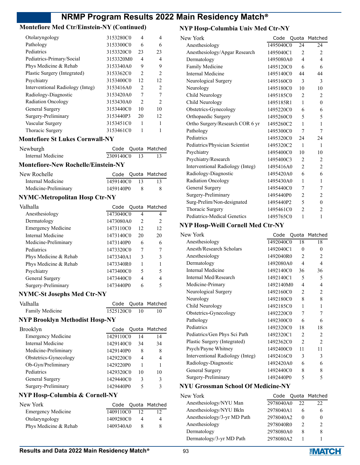### **Montefiore Med Ctr/Einstein-NY (Continued)**

| Otolaryngology                   | 3153280C0 | 4              | 4                             |
|----------------------------------|-----------|----------------|-------------------------------|
| Pathology                        | 3153300C0 | 6              | 6                             |
| Pediatrics                       | 3153320C0 | 23             | 23                            |
| Pediatrics-Primary/Social        | 3153320M0 | 4              | 4                             |
| Phys Medicine & Rehab            | 3153340A0 | 9              | 9                             |
| Plastic Surgery (Integrated)     | 3153362C0 | $\mathfrak{D}$ | $\mathcal{L}$                 |
| Psychiatry                       | 3153400C0 | 12             | 12                            |
| Interventional Radiology (Integ) | 3153416A0 | $\mathfrak{D}$ | $\mathfrak{D}_{\mathfrak{p}}$ |
| Radiology-Diagnostic             | 3153420A0 | 7              |                               |
| <b>Radiation Oncology</b>        | 3153430A0 | $\mathfrak{D}$ | $\mathcal{P}$                 |
| General Surgery                  | 3153440C0 | 10             | 10                            |
| Surgery-Preliminary              | 3153440P3 | 20             | 12                            |
| Vascular Surgery                 | 3153451C0 | 1              |                               |
| Thoracic Surgery                 | 3153461C0 |                |                               |
|                                  |           |                |                               |

#### **Montefiore St Lukes Cornwall-NY**

| Newburgh          |           |                | Code Quota Matched |
|-------------------|-----------|----------------|--------------------|
| Internal Medicine | 2309140C0 | $\frac{13}{2}$ |                    |

### **Montefiore-New Rochelle/Einstein-NY**

| New Rochelle         |              |      | Code Quota Matched |
|----------------------|--------------|------|--------------------|
| Internal Medicine    | 1459140C0 13 |      |                    |
| Medicine-Preliminary | 1459140P0    | - 83 | 8                  |

### **NYMC-Metropolitan Hosp Ctr-NY**

| Valhalla                  |           |                | Code Quota Matched |
|---------------------------|-----------|----------------|--------------------|
| Anesthesiology            | 1473040C0 | 4              | 4                  |
| Dermatology               | 1473080A0 | $\mathfrak{D}$ | 2                  |
| <b>Emergency Medicine</b> | 1473110C0 | 12             | 12                 |
| Internal Medicine         | 1473140C0 | 20             | 20                 |
| Medicine-Preliminary      | 1473140P0 | 6              | 6                  |
| Pediatrics                | 1473320C0 | 7              | 7                  |
| Phys Medicine & Rehab     | 1473340A1 | 3              | 3                  |
| Phys Medicine & Rehab     | 1473340R0 |                |                    |
| Psychiatry                | 1473400C0 | 5              | 5                  |
| General Surgery           | 1473440C0 | 4              | 4                  |
| Surgery-Preliminary       | 1473440P0 | 6              |                    |

#### **NYMC-St Josephs Med Ctr-NY**

| Valhalla        |           |      | Code Quota Matched |
|-----------------|-----------|------|--------------------|
| Family Medicine | 1525120C0 | - 10 |                    |

#### **NYP Brooklyn Methodist Hosp-NY**

| Brooklyn                  |           |                          | Code Quota Matched |
|---------------------------|-----------|--------------------------|--------------------|
| <b>Emergency Medicine</b> | 1429110C0 | 14                       | 14                 |
| Internal Medicine         | 1429140C0 | 34                       | 34                 |
| Medicine-Preliminary      | 1429140P0 | 8                        | 8                  |
| Obstetrics-Gynecology     | 1429220C0 | $\overline{\mathcal{A}}$ | 4                  |
| Ob-Gyn/Preliminary        | 1429220P0 |                          |                    |
| Pediatrics                | 1429320C0 | 10                       | 10                 |
| General Surgery           | 1429440C0 | 3                        | 3                  |
| Surgery-Preliminary       | 1429440P0 |                          | 3                  |

### **NYP Hosp-Columbia & Cornell-NY**

| New York                  |           |    | Code Quota Matched |
|---------------------------|-----------|----|--------------------|
| <b>Emergency Medicine</b> | 1409110C0 | 12 |                    |
| Otolaryngology            | 1409280C0 |    | 4                  |
| Phys Medicine & Rehab     | 1409340A0 |    |                    |

### **NYP Hosp-Columbia Univ Med Ctr-NY**

| New York                         | Code      |                | Quota Matched  |
|----------------------------------|-----------|----------------|----------------|
| Anesthesiology                   | 1495040C0 | 24             | 24             |
| Anesthesiology/Apgar Research    | 1495040C1 | $\overline{2}$ | 2              |
| Dermatology                      | 1495080A0 | $\overline{4}$ | 4              |
| Family Medicine                  | 1495120C0 | 6              | 6              |
| Internal Medicine                | 1495140C0 | 44             | 44             |
| Neurological Surgery             | 1495160C0 | 3              | 3              |
| Neurology                        | 1495180C0 | 10             | 10             |
| Child Neurology                  | 1495185C0 | $\overline{2}$ | 2              |
| Child Neurology                  | 1495185R1 | $\mathbf{1}$   | $\theta$       |
| Obstetrics-Gynecology            | 1495220C0 | 6              | 6              |
| Orthopaedic Surgery              | 1495260C0 | 5              | 5              |
| Ortho Surgery/Research COR 6 yr  | 1495260C2 | $\mathbf{1}$   | 1              |
| Pathology                        | 1495300C0 | $\tau$         | 7              |
| Pediatrics                       | 1495320C0 | 24             | 24             |
| Pediatrics/Physician Scientist   | 1495320C2 | 1              | 1              |
| Psychiatry                       | 1495400C0 | 10             | 10             |
| Psychiatry/Research              | 1495400C3 | $\overline{c}$ | 2              |
| Interventional Radiology (Integ) | 1495416A0 | 2              | 2              |
| Radiology-Diagnostic             | 1495420A0 | 6              | 6              |
| <b>Radiation Oncology</b>        | 1495430A0 | 1              | 1              |
| General Surgery                  | 1495440C0 | 7              | 7              |
| Surgery-Preliminary              | 1495440P0 | $\overline{2}$ | 2              |
| Surg-Prelim/Non-designated       | 1495440P2 | 5              | $\theta$       |
| Thoracic Surgery                 | 1495461C0 | $\overline{2}$ | $\overline{2}$ |
| Pediatrics-Medical Genetics      | 1495765C0 | 1              | 1              |
|                                  |           |                |                |

#### **NYP Hosp-Weill Cornell Med Ctr-NY**

| New York                         | Code      |                | Quota Matched  |
|----------------------------------|-----------|----------------|----------------|
| Anesthesiology                   | 1492040C0 | 18             | 18             |
| Anesth/Research Scholars         | 1492040C1 | $\theta$       | $\theta$       |
| Anesthesiology                   | 1492040R0 | 2              | 2              |
| Dermatology                      | 1492080A0 | 4              | $\overline{4}$ |
| Internal Medicine                | 1492140C0 | 36             | 36             |
| Internal Med/Research            | 1492140C1 | 5              | 5              |
| Medicine-Primary                 | 1492140M0 | 4              | 4              |
| Neurological Surgery             | 1492160C0 | 2              | $\overline{2}$ |
| Neurology                        | 1492180C0 | 8              | 8              |
| Child Neurology                  | 1492185C0 | 1              | 1              |
| Obstetrics-Gynecology            | 1492220C0 | 7              | 7              |
| Pathology                        | 1492300C0 | 6              | 6              |
| Pediatrics                       | 1492320C0 | 18             | 18             |
| Pediatrics/Gen Phys Sci Path     | 1492320C1 | 2              | 2              |
| Plastic Surgery (Integrated)     | 1492362C0 | $\overline{c}$ | $\overline{2}$ |
| Psych/Payne Whitney              | 1492400C0 | 11             | 11             |
| Interventional Radiology (Integ) | 1492416C0 | 3              | 3              |
| Radiology-Diagnostic             | 1492420A0 | 6              | 6              |
| General Surgery                  | 1492440C0 | 8              | 8              |
| Surgery-Preliminary              | 1492440P0 | 5              | 5              |

#### **NYU Grossman School Of Medicine-NY**

| New York                    | Code      |              | Quota Matched |
|-----------------------------|-----------|--------------|---------------|
| Anesthesiology/NYU Man      | 2978040A0 | 22           | 22            |
| Anesthesiology/NYU Bkln     | 2978040A1 | 6            |               |
| Anesthesiology/3-yr MD Path | 2978040A2 | $\mathbf{0}$ |               |
| Anesthesiology              | 2978040R0 | っ            |               |
| Dermatology                 | 2978080A0 | 8            | 8             |
| Dermatology/3-yr MD Path    | 2978080A2 |              |               |

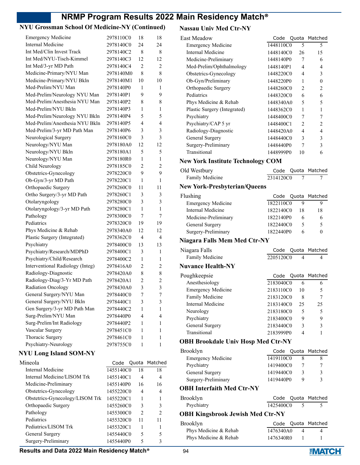### **NYU Grossman School Of Medicine-NY (Continued)**

| <b>Emergency Medicine</b>        | 2978110C0 | 18             | 18               |
|----------------------------------|-----------|----------------|------------------|
| <b>Internal Medicine</b>         | 2978140C0 | 24             | 24               |
| Int Med/Clin Invest Track        | 2978140C2 | 8              | 8                |
| Int Med/NYU-Tisch-Kimmel         | 2978140C3 | 12             | 12               |
| Int Med/3-yr MD Path             | 2978140C4 | 2              | 2                |
| Medicine-Primary/NYU Man         | 2978140M0 | 8              | 8                |
| Medicine-Primary/NYU Bkln        | 2978140M1 | 10             | 10               |
| Med-Prelim/NYU Man               | 2978140P0 | 1              | 1                |
| Med-Prelim/Neurology NYU Man     | 2978140P1 | 9              | 9                |
| Med-Prelim/Anesthesia NYU Man    | 2978140P2 | 8              | 8                |
| Med-Prelim/NYU Bkln              | 2978140P3 | 1              | 1                |
| Med-Prelim/Neurology NYU Bkln    | 2978140P4 | 5              | 5                |
| Med-Prelim/Anesthesia NYU Bkln   | 2978140P5 | 4              | 4                |
| Med-Prelim/3-yr MD Path Man      | 2978140P6 | 3              | 3                |
| Neurological Surgery             | 2978160C0 | 3              | 3                |
| Neurology/NYU Man                | 2978180A0 | 12             | 12               |
| Neurology/NYU Bkln               | 2978180A1 | 5              | 5                |
| Neurology/NYU Man                | 2978180R0 | 1              | 1                |
| Child Neurology                  | 2978185C0 | $\overline{2}$ | $\overline{2}$   |
| Obstetrics-Gynecology            | 2978220C0 | 9              | 9                |
| Ob-Gyn/3-yr MD Path              | 2978220C1 | 1              | 1                |
| Orthopaedic Surgery              | 2978260C0 | 11             | 11               |
| Ortho Surgery/3-yr MD Path       | 2978260C1 | 3              | 3                |
| Otolaryngology                   | 2978280C0 | 3              | 3                |
| Otolaryngology/3-yr MD Path      | 2978280C1 | 1              | 1                |
| Pathology                        | 2978300C0 | 7              | 7                |
| Pediatrics                       | 2978320C0 | 19             | 19               |
| Phys Medicine & Rehab            | 2978340A0 | 12             | 12               |
| Plastic Surgery (Integrated)     | 2978362C0 | 4              | 4                |
| Psychiatry                       | 2978400C0 | 13             | 13               |
| Psychiatry/Research/MDPhD        | 2978400C1 | 3              | 1                |
| Psychiatry/Child/Research        | 2978400C2 | 1              | 1                |
| Interventional Radiology (Integ) | 2978416A0 | $\overline{2}$ | 2                |
| Radiology-Diagnostic             | 2978420A0 | 8              | 8                |
| Radiology-Diag/3-Yr MD Path      | 2978420A1 | 2              | $\overline{2}$   |
| Radiation Oncology               | 2978430A0 | 3              | 3                |
| General Surgery/NYU Man          | 2978440C0 | 7              | $\boldsymbol{7}$ |
| General Surgery/NYU Bkln         | 2978440C1 | 3              | 3                |
| Gen Surgery/3-yr MD Path Man     | 2978440C2 | 1              | 1                |
| Surg-Prelim/NYU Man              | 2978440P0 | 4              | 4                |
| Surg-Prelim/Int Radiology        | 2978440P2 | 1              | 1                |
| Vascular Surgery                 | 2978451C0 | 1              | 1                |
| Thoracic Surgery                 | 2978461C0 | 1              | 1                |
| Psychiatry-Neurology             | 2978755C0 | 1              | 1                |
| <b>NYU Long Island SOM-NY</b>    |           |                |                  |
| Mineola                          | Code      | Quota          | Matched          |
| <b>Internal Medicine</b>         | 1455140C0 | 18             | 18               |
| Internal Medicine/LISOM Trk      | 1455140C1 | 4              | 4                |
| Medicine-Preliminary             | 1455140P0 | 16             | 16               |
| Obstetrics-Gynecology            | 1455220C0 | 4              | 4                |
| Obstetrics-Gynecology/LISOM Trk  | 1455220C1 | 1              | 1                |
| Orthopaedic Surgery              | 1455260C0 | 3              | 3                |
| Pathology                        | 1455300C0 | 2              | $\overline{2}$   |
| Pediatrics                       | 1455320C0 | 11             | 11               |
| Pediatrics/LISOM Trk             | 1455320C1 | 1              | 1                |
| General Surgery                  | 1455440C0 | 5              | 5                |
| Surgery-Preliminary              | 1455440P0 | 5              | 3                |

### **Nassau Univ Med Ctr-NY**

| . <b>.</b>                                |                 |                |
|-------------------------------------------|-----------------|----------------|
| <b>East Meadow</b>                        | Code<br>Quota   | Matched        |
| <b>Emergency Medicine</b>                 | 1448110C0<br>5  | 5              |
| <b>Internal Medicine</b>                  | 1448140C0<br>26 | 15             |
| Medicine-Preliminary                      | 1448140P0<br>7  | 6              |
| Med-Prelim/Ophthalmology                  | 1448140P1<br>4  | 4              |
| Obstetrics-Gynecology                     | 1448220C0<br>4  | 3              |
| Ob-Gyn/Preliminary                        | 1448220P0<br>1  | $\theta$       |
| Orthopaedic Surgery                       | 1448260C0<br>2  | 2              |
| Pediatrics                                | 1448320C0<br>6  | 6              |
| Phys Medicine & Rehab                     | 1448340A0<br>5  | 5              |
| Plastic Surgery (Integrated)              | 1448362C0<br>1  | 1              |
| Psychiatry                                | 1448400C0<br>7  | 7              |
| Psychiatry/CAP 5 yr                       | 2<br>1448400C1  | $\overline{2}$ |
| Radiology-Diagnostic                      | 1448420A0<br>4  | 4              |
| General Surgery                           | 1448440C0<br>3  | 3              |
| Surgery-Preliminary                       | 1448440P0<br>7  | 3              |
| Transitional                              | 1448999P0<br>10 | 6              |
| <b>New York Institute Technology COM</b>  |                 |                |
| Old Westbury                              | Code<br>Quota   | Matched        |
| Family Medicine                           | 2314120C0<br>7  | 7              |
| <b>New York-Presbyterian/Queens</b>       |                 |                |
| Flushing                                  | Code<br>Quota   | Matched        |
| <b>Emergency Medicine</b>                 | 1822110C0<br>9  | 9              |
| <b>Internal Medicine</b>                  | 1822140C0<br>18 | 18             |
| Medicine-Preliminary                      | 1822140P0<br>6  | 6              |
| General Surgery                           | 1822440C0<br>5  | 5              |
| Surgery-Preliminary                       | 1822440P0<br>6  | $\theta$       |
|                                           |                 |                |
| <b>Niagara Falls Mem Med Ctr-NY</b>       |                 |                |
| Niagara Falls                             | Code<br>Quota   | Matched        |
| Family Medicine                           | 2205120C0<br>4  | 4              |
| <b>Nuvance Health-NY</b>                  |                 |                |
| Poughkeepsie                              | Code<br>Quota   | Matched        |
| Anesthesiology                            | 2183040C0<br>6  | 6              |
| <b>Emergency Medicine</b>                 | 2183110C0<br>10 | 5              |
| Family Medicine                           | 2183120C0<br>8  | 7              |
| Internal Medicine                         | 25<br>2183140C0 | 25             |
| Neurology                                 | 2183180C0<br>5  | 5              |
| Psychiatry                                | 9<br>2183400C0  | 9              |
| General Surgery                           | 3<br>2183440C0  | 3              |
| Transitional                              | 4<br>2183999P0  | 1              |
| <b>OBH Brookdale Univ Hosp Med Ctr-NY</b> |                 |                |
| Brooklyn                                  | Code<br>Quota   | Matched        |
| <b>Emergency Medicine</b>                 | 1419110C0<br>8  | 8              |
| Psychiatry                                | 1419400C0<br>7  | 7              |
| General Surgery                           | 1419440C0<br>3  | 3              |
| Surgery-Preliminary                       | 1419440P0<br>9  | 3              |
|                                           |                 |                |
| <b>OBH Interfaith Med Ctr-NY</b>          |                 |                |
| Brooklyn                                  | Code<br>Quota   | Matched        |
| Psychiatry                                | 1425400C0<br>5  | 5              |
| <b>OBH Kingsbrook Jewish Med Ctr-NY</b>   |                 |                |
| Brooklyn                                  | Code<br>Quota   | Matched        |
| Phys Medicine & Rehab                     | 1476340A0<br>4  | 4              |
| Phys Medicine & Rehab                     | 1476340R0<br>1  | 1              |
|                                           |                 |                |

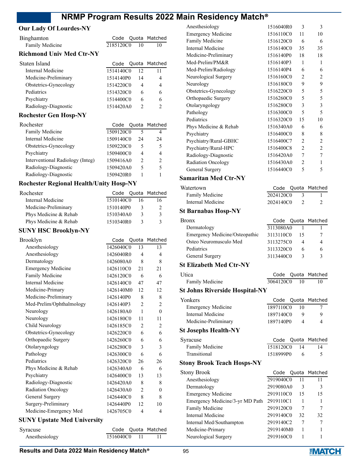#### **Our Lady Of Lourdes-NY**

| Binghamton                      |           |                | Code Quota Matched |
|---------------------------------|-----------|----------------|--------------------|
| Family Medicine                 | 2185120C0 | 10             | 10                 |
| <b>Richmond Univ Med Ctr-NY</b> |           |                |                    |
| Staten Island                   | Code      |                | Quota Matched      |
| Internal Medicine               | 1514140C0 | 12             | 11                 |
| Medicine-Preliminary            | 1514140P0 | 14             | 4                  |
| Obstetrics-Gynecology           | 1514220C0 | 4              | 4                  |
| Pediatrics                      | 1514320C0 | 6              | 6                  |
| Psychiatry                      | 1514400C0 | 6              | 6                  |
| Radiology-Diagnostic            | 1514420A0 | $\mathfrak{D}$ | $\mathfrak{D}$     |
| <b>Rochester Gen Hosp-NY</b>    |           |                |                    |

| Rochester                        | Code      |               | Quota Matched               |
|----------------------------------|-----------|---------------|-----------------------------|
| <b>Family Medicine</b>           | 1509120C0 | 5             | 4                           |
| Internal Medicine                | 1509140C0 | 24            | 24                          |
| Obstetrics-Gynecology            | 1509220C0 | 5             | 5                           |
| Psychiatry                       | 1509400C0 | 4             | 4                           |
| Interventional Radiology (Integ) | 1509416A0 | $\mathcal{L}$ | $\mathcal{D}_{\mathcal{L}}$ |
| Radiology-Diagnostic             | 1509420A0 | 5             | 5                           |
| Radiology-Diagnostic             | 1509420R0 |               |                             |

### **Rochester Regional Health/Unity Hosp-NY**

| Rochester             |           |    | Code Quota Matched |
|-----------------------|-----------|----|--------------------|
| Internal Medicine     | 1510140C0 | 16 | 16                 |
| Medicine-Preliminary  | 1510140P0 | 3  |                    |
| Phys Medicine & Rehab | 1510340A0 | 3  | 3                  |
| Phys Medicine & Rehab | 1510340R0 |    |                    |

### **SUNY HSC Brooklyn-NY**

| Brooklyn                  | Code      |     | Quota Matched  |
|---------------------------|-----------|-----|----------------|
| Anesthesiology            | 1426040C0 | 13  | 13             |
| Anesthesiology            | 1426040R0 | 4   | 4              |
| Dermatology               | 1426080A0 | 8   | 8              |
| <b>Emergency Medicine</b> | 1426110C0 | 21  | 21             |
| Family Medicine           | 1426120C0 | 6   | 6              |
| Internal Medicine         | 1426140C0 | 47  | 47             |
| Medicine-Primary          | 1426140M0 | 12. | 12.            |
| Medicine-Preliminary      | 1426140P0 | 8   | 8              |
| Med-Prelim/Ophthalmology  | 1426140P3 | 2   | $\overline{2}$ |
| Neurology                 | 1426180A0 | 1   | $\theta$       |
| Neurology                 | 1426180C0 | 11  | 11             |
| Child Neurology           | 1426185C0 | 2   | 2              |
| Obstetrics-Gynecology     | 1426220C0 | 6   | 6              |
| Orthopaedic Surgery       | 1426260C0 | 6   | 6              |
| Otolaryngology            | 1426280C0 | 3   | 3              |
| Pathology                 | 1426300C0 | 6   | 6              |
| Pediatrics                | 1426320C0 | 26  | 26             |
| Phys Medicine & Rehab     | 1426340A0 | 6   | 6              |
| Psychiatry                | 1426400C0 | 13  | 13             |
| Radiology-Diagnostic      | 1426420A0 | 8   | 8              |
| Radiation Oncology        | 1426430A0 | 2   | $\Omega$       |
| General Surgery           | 1426440C0 | 8   | 8              |
| Surgery-Preliminary       | 1426440P0 | 12  | 10             |
| Medicine-Emergency Med    | 1426705C0 | 4   | 4              |
|                           |           |     |                |

### **SUNY Upstate Med University**

| Syracuse       |           | Code Quota Matched |
|----------------|-----------|--------------------|
| Anesthesiology | 1516040C0 |                    |

| Anesthesiology                        | 1516040R0 | 3              | 3                        |
|---------------------------------------|-----------|----------------|--------------------------|
| <b>Emergency Medicine</b>             | 1516110C0 | 11             | 10                       |
| Family Medicine                       | 1516120C0 | 6              | 6                        |
| Internal Medicine                     | 1516140C0 | 35             | 35                       |
| Medicine-Preliminary                  | 1516140P0 | 18             | 18                       |
| Med-Prelim/PM&R                       | 1516140P3 | 1              | 1                        |
| Med-Prelim/Radiology                  | 1516140P4 | 6              | 6                        |
| Neurological Surgery                  | 1516160C0 | 2              | 2                        |
| Neurology                             | 1516180C0 | 9              | 9                        |
| Obstetrics-Gynecology                 | 1516220C0 | 5              | 5                        |
| Orthopaedic Surgery                   | 1516260C0 | 5              | 5                        |
| Otolaryngology                        | 1516280C0 | 3              | $\overline{\mathbf{3}}$  |
| Pathology                             | 1516300C0 | 5              | 5                        |
| Pediatrics                            | 1516320C0 | 15             | 10                       |
| Phys Medicine & Rehab                 | 1516340A0 | 6              | 6                        |
| Psychiatry                            | 1516400C0 | 8              | 8                        |
| Psychiatry/Rural-GBHC                 | 1516400C7 | $\overline{2}$ | $\overline{c}$           |
| Psychiatry/Rural-HPC                  | 1516400C8 | 2              | $\overline{c}$           |
| Radiology-Diagnostic                  | 1516420A0 | 7              | 7                        |
| <b>Radiation Oncology</b>             | 1516430A0 | $\overline{2}$ | 1                        |
| General Surgery                       | 1516440C0 | 5              | $\overline{\phantom{0}}$ |
| <b>Samaritan Med Ctr-NY</b>           |           |                |                          |
| Watertown                             | Code      | Quota          | Matched                  |
| Family Medicine                       | 2024120C0 | 3              | 1                        |
| <b>Internal Medicine</b>              | 2024140C0 | $\overline{2}$ | $\overline{2}$           |
| <b>St Barnabas Hosp-NY</b>            |           |                |                          |
| <b>Bronx</b>                          | Code      | Quota          | Matched                  |
| Dermatology                           | 3113080A0 | $\mathbf{1}$   | $\mathbf{1}$             |
| Emergency Medicine/Osteopathic        | 3113110C0 | 15             | 7                        |
| Osteo Neuromusculo Med                | 3113275C0 | 4              | 4                        |
| Pediatrics                            | 3113320C0 | 6              | 6                        |
| General Surgery                       | 3113440C0 | 3              | 3                        |
| <b>St Elizabeth Med Ctr-NY</b>        |           |                |                          |
| Utica                                 | Code      | Quota          | Matched                  |
| Family Medicine                       | 3064120C0 | 10             | 10                       |
| <b>St Johns Riverside Hospital-NY</b> |           |                |                          |
|                                       |           |                |                          |

| Yonkers                   |           |    | Code Quota Matched |
|---------------------------|-----------|----|--------------------|
| <b>Emergency Medicine</b> | 1897110C0 | 10 |                    |
| Internal Medicine         | 1897140C0 |    | Q                  |
| Medicine-Preliminary      | 1897140P0 |    | Δ                  |
|                           |           |    |                    |

### **St Josephs Health-NY**

Family Medicine Transitional

Syracuse

|           |  |    | Code Quota Matched |
|-----------|--|----|--------------------|
| 1518120C0 |  | 14 | 14                 |
| 1518999P0 |  | 6  | 5                  |

#### **Stony Brook Teach Hosps-NY**

| Stony Brook                     |           |    | Code Quota Matched |
|---------------------------------|-----------|----|--------------------|
| Anesthesiology                  | 2919040C0 | 11 | 11                 |
| Dermatology                     | 2919080A0 | 3  | 3                  |
| <b>Emergency Medicine</b>       | 2919110C0 | 15 | 15                 |
| Emergency Medicine/3-yr MD Path | 2919110C1 |    |                    |
| Family Medicine                 | 2919120C0 | 7  | 7                  |
| Internal Medicine               | 2919140C0 | 32 | 32                 |
| Internal Med/Southampton        | 2919140C2 |    |                    |
| Medicine-Primary                | 2919140M0 |    |                    |
| Neurological Surgery            | 2919160C0 |    |                    |
|                                 |           |    |                    |

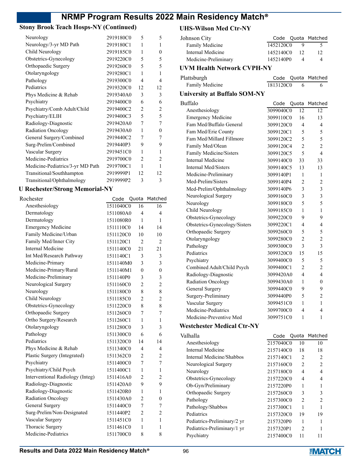### **Stony Brook Teach Hosps-NY (Continued)**

| Neurology                        | 2919180C0 | 5                        | 5                        |
|----------------------------------|-----------|--------------------------|--------------------------|
| Neurology/3-yr MD Path           | 2919180C1 | 1                        | 1                        |
| Child Neurology                  | 2919185C0 | 1                        | 0                        |
|                                  |           |                          |                          |
| Obstetrics-Gynecology            | 2919220C0 | 5                        | 5                        |
| Orthopaedic Surgery              | 2919260C0 | 5                        | $\overline{\phantom{0}}$ |
| Otolaryngology                   | 2919280C1 | 1                        | 1                        |
| Pathology                        | 2919300C0 | 4                        | 4                        |
| Pediatrics                       | 2919320C0 | 12                       | 12                       |
| Phys Medicine & Rehab            | 2919340A0 | 3                        | 3                        |
| Psychiatry                       | 2919400C0 | 6                        | 6                        |
| Psychiatry/Comb Adult/Child      | 2919400C2 | $\mathfrak{D}$           | $\mathfrak{D}$           |
| Psychiatry/ELIH                  | 2919400C3 | $\overline{\phantom{0}}$ | 5                        |
| Radiology-Diagnostic             | 2919420A0 | 7                        | 7                        |
| Radiation Oncology               | 2919430A0 | 1                        | $\theta$                 |
| General Surgery/Combined         | 2919440C2 | 7                        | 7                        |
| Surg-Prelim/Combined             | 2919440P3 | 9                        | 9                        |
| Vascular Surgery                 | 2919451C0 | 1                        | 1                        |
| Medicine-Pediatrics              | 2919700C0 | $\mathfrak{D}$           | $\overline{2}$           |
| Medicine-Pediatrics/3-yr MD Path | 2919700C1 | 1                        | 1                        |
| Transitional/Southhampton        | 2919999P1 | 12                       | 12                       |
| Transitional/Ophthalmology       | 2919999P2 | 3                        | 3                        |
|                                  |           |                          |                          |

#### **U Rochester/Strong Memorial-NY**

| Rochester                        | Code      |                | Quota Matched  |
|----------------------------------|-----------|----------------|----------------|
| Anesthesiology                   | 1511040C0 | 16             | 16             |
| Dermatology                      | 1511080A0 | 4              | 4              |
| Dermatology                      | 1511080R0 | 1              | 1              |
| <b>Emergency Medicine</b>        | 1511110C0 | 14             | 14             |
| Family Medicine/Urban            | 1511120C0 | 10             | 10             |
| Family Med/Inner City            | 1511120C1 | $\mathcal{L}$  | $\mathfrak{D}$ |
| <b>Internal Medicine</b>         | 1511140C0 | 21             | 21             |
| Int Med/Research Pathway         | 1511140C1 | 3              | 3              |
| Medicine-Primary                 | 1511140M0 | 3              | 3              |
| Medicine-Primary/Rural           | 1511140M1 | $\theta$       | $\theta$       |
| Medicine-Preliminary             | 1511140P0 | 3              | 3              |
| Neurological Surgery             | 1511160C0 | $\overline{2}$ | $\overline{c}$ |
| Neurology                        | 1511180C0 | 8              | 8              |
| Child Neurology                  | 1511185C0 | $\overline{c}$ | $\overline{c}$ |
| Obstetrics-Gynecology            | 1511220C0 | 8              | 8              |
| Orthopaedic Surgery              | 1511260C0 | 7              | 7              |
| Ortho Surgery/Research           | 1511260C1 | 1              | 1              |
| Otolaryngology                   | 1511280C0 | 3              | 3              |
| Pathology                        | 1511300C0 | 6              | 6              |
| Pediatrics                       | 1511320C0 | 14             | 14             |
| Phys Medicine & Rehab            | 1511340C0 | 4              | 4              |
| Plastic Surgery (Integrated)     | 1511362C0 | 2              | $\overline{2}$ |
| Psychiatry                       | 1511400C0 | 7              | 7              |
| Psychiatry/Child Psych           | 1511400C1 | 1              | 1              |
| Interventional Radiology (Integ) | 1511416A0 | $\overline{c}$ | $\overline{2}$ |
| Radiology-Diagnostic             | 1511420A0 | 9              | 9              |
| Radiology-Diagnostic             | 1511420R0 | 1              | 1              |
| Radiation Oncology               | 1511430A0 | $\overline{2}$ | $\theta$       |
| General Surgery                  | 1511440C0 | 7              | 7              |
| Surg-Prelim/Non-Designated       | 1511440P2 | $\overline{c}$ | $\overline{c}$ |
| Vascular Surgery                 | 1511451C0 | 1              | 1              |
| Thoracic Surgery                 | 1511461C0 | 1              | 1              |
| Medicine-Pediatrics              | 1511700C0 | 8              | 8              |
|                                  |           |                |                |

### **UHS-Wilson Med Ctr-NY**

| UHS-WIISON Med Utr-NY               |           |                |                |
|-------------------------------------|-----------|----------------|----------------|
| Johnson City                        | Code      | Quota          | Matched        |
| Family Medicine                     | 1452120C0 | 9              | 5              |
| <b>Internal Medicine</b>            | 1452140C0 | 12             | 12             |
| Medicine-Preliminary                | 1452140P0 | 4              | 4              |
| <b>UVM Health Network CVPH-NY</b>   |           |                |                |
| Plattsburgh                         | Code      | Quota          | Matched        |
| Family Medicine                     | 1813120C0 | 6              | 6              |
| <b>University at Buffalo SOM-NY</b> |           |                |                |
| Buffalo                             | Code      | Quota          | Matched        |
| Anesthesiology                      | 3099040C0 | 12             | 12             |
| <b>Emergency Medicine</b>           | 3099110C0 | 16             | 13             |
| Fam Med/Buffalo General             | 3099120C0 | 4              | 4              |
| Fam Med/Erie County                 | 3099120C1 | 5              | 5              |
| Fam Med/Millard Fillmore            | 3099120C2 | 5              | 5              |
| Family Med/Olean                    | 3099120C4 | 2              | 2              |
| Family Medicine/Sisters             | 3099120C5 | 5              | $\overline{4}$ |
| Internal Medicine                   | 3099140C0 | 33             | 33             |
| Internal Med/Sisters                | 3099140C5 | 13             | 13             |
| Medicine-Preliminary                | 3099140P1 | 1              | 1              |
| Med-Prelim/Sisters                  | 3099140P4 | $\overline{2}$ | $\overline{c}$ |
| Med-Prelim/Ophthalmology            | 3099140P6 | 3              | 3              |
| Neurological Surgery                | 3099160C0 | 3              | 3              |
| Neurology                           | 3099180C0 | 5              | 5              |
| Child Neurology                     | 3099185C0 | 1              | 1              |
| Obstetrics-Gynecology               | 3099220C0 | 9              | 9              |
| Obstetrics-Gynecology/Sisters       | 3099220C1 | 4              | 4              |
| Orthopaedic Surgery                 | 3099260C0 | 5              | 5              |
| Otolaryngology                      | 3099280C0 | $\overline{c}$ | $\overline{2}$ |
| Pathology                           | 3099300C0 | 3              | 3              |
| Pediatrics                          | 3099320C0 | 15             | 15             |
| Psychiatry                          | 3099400C0 | 5              | 5              |
| Combined Adult/Child Psych          | 3099400C1 | $\overline{2}$ | $\overline{c}$ |
| Radiology-Diagnostic                | 3099420A0 | 4              | 4              |
| Radiation Oncology                  | 3099430A0 | 1              | 0              |
| <b>General Surgery</b>              | 3099440C0 | 9              | 9              |
| Surgery-Preliminary                 | 3099440P0 | 5              | 2              |
| Vascular Surgery                    | 3099451C0 | 1              | 1              |
| Medicine-Pediatrics                 | 3099700C0 | 4              | 4              |
| Medicine-Preventive Med             | 3099751C0 | 1              | 1              |
| <b>Westchester Medical Ctr-NY</b>   |           |                |                |
| Valhalla                            | Code      | Quota          | Matched        |
| Anesthesiology                      | 2157040C0 | 10             | 10             |
| <b>Internal Medicine</b>            | 2157140C0 | 18             | 18             |
| Internal Medicine/Shabbos           | 2157140C1 | 2              | 2              |
| Neurological Surgery                | 2157160C0 | $\overline{c}$ | $\overline{c}$ |
| Neurology                           | 2157180C0 | 4              | 4              |
| Obstetrics-Gynecology               | 2157220C0 | 4              | 4              |
| Ob-Gyn/Preliminary                  | 2157220P0 | 1              | 1              |
| Orthopaedic Surgery                 | 2157260C0 | 3              | 3              |

Pathology 2157300C0 2 2 Pathology/Shabbos 2157300C1 1 1 Pediatrics 2157320C0 19 19 Pediatrics-Preliminary/2 yr 2157320P0 1 1 Pediatrics-Preliminary/1 yr 2157320P1 2 1 Psychiatry 2157400C0 11 11

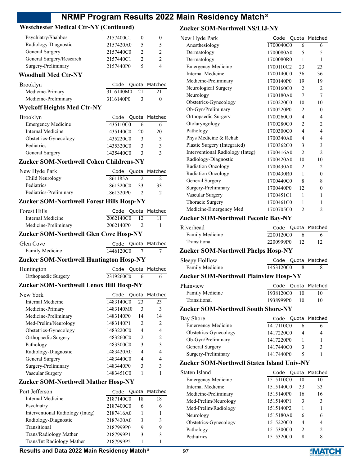### **Westchester Medical Ctr-NY (Continued)**

| Psychiatry/Shabbos<br>Radiology-Diagnostic<br>General Surgery | 2157400C1<br>2157420A0<br>2157440C0 | 5.<br>$\mathcal{P}$ |
|---------------------------------------------------------------|-------------------------------------|---------------------|
| General Surgery/Research                                      | 2157440C1                           | $\mathcal{P}$       |
| Surgery-Preliminary                                           | 2157440P0                           | 4                   |

### **Woodhull Med Ctr-NY**

| Brooklyn             |              | Code Quota Matched |
|----------------------|--------------|--------------------|
| Medicine-Primary     | 3116140M0 21 |                    |
| Medicine-Preliminary | 3116140P0    | $^{\prime}$        |

### **Wyckoff Heights Med Ctr-NY**

| Brooklyn                  |           |    | Code Quota Matched |
|---------------------------|-----------|----|--------------------|
| <b>Emergency Medicine</b> | 1435110C0 |    |                    |
| Internal Medicine         | 1435140C0 | 20 | 20                 |
| Obstetrics-Gynecology     | 1435220C0 | 3  |                    |
| Pediatrics                | 1435320C0 | 3  | 2                  |
| General Surgery           | 1435440C0 | 3  |                    |

### **Zucker SOM-Northwell Cohen Childrens-NY**

| New Hyde Park          |           |    | Code Quota Matched |
|------------------------|-----------|----|--------------------|
| Child Neurology        | 1861185A1 |    |                    |
| Pediatrics             | 1861320C0 | 33 | -33                |
| Pediatrics-Preliminary | 1861320P0 |    |                    |

### **Zucker SOM-Northwell Forest Hills Hosp-NY**

| Forest Hills         |              | Code Quota Matched |
|----------------------|--------------|--------------------|
| Internal Medicine    | 2062140C0 12 |                    |
| Medicine-Preliminary | 2062140P0 2  |                    |

### **Zucker SOM-Northwell Glen Cove Hosp-NY**

| Glen Cove       |  |           |  | Code Quota Matched |
|-----------------|--|-----------|--|--------------------|
| Family Medicine |  | 1446120C0 |  |                    |
|                 |  |           |  |                    |

### **Zucker SOM-Northwell Huntington Hosp-NY**

| Huntington          |           |  | Code Quota Matched |
|---------------------|-----------|--|--------------------|
| Orthopaedic Surgery | 2319260C0 |  |                    |

### **Zucker SOM-Northwell Lenox Hill Hosp-NY**

| New York              | Code      |               | Quota Matched                 |
|-----------------------|-----------|---------------|-------------------------------|
| Internal Medicine     | 1483140C0 | 23            | 23                            |
| Medicine-Primary      | 1483140M0 | 3             | 3                             |
| Medicine-Preliminary  | 1483140P0 | 14            | 14                            |
| Med-Prelim/Neurology  | 1483140P1 | $\mathcal{P}$ | $\mathfrak{D}_{\mathfrak{p}}$ |
| Obstetrics-Gynecology | 1483220C0 | 4             | 4                             |
| Orthopaedic Surgery   | 1483260C0 | 2             | $\mathfrak{D}$                |
| Pathology             | 1483300C0 | 3             | 3                             |
| Radiology-Diagnostic  | 1483420A0 | 4             | 4                             |
| General Surgery       | 1483440C0 | 4             | 4                             |
| Surgery-Preliminary   | 1483440P0 | 3             | 3                             |
| Vascular Surgery      | 1483451C0 |               |                               |

### **Zucker SOM-Northwell Mather Hosp-NY**

| Port Jefferson                   |           |    | Code Quota Matched |
|----------------------------------|-----------|----|--------------------|
| Internal Medicine                | 2187140C0 | 18 | 18                 |
| Psychiatry                       | 2187400C0 | 6  | 6                  |
| Interventional Radiology (Integ) | 2187416A0 |    |                    |
| Radiology-Diagnostic             | 2187420A0 | 3  | 3                  |
| Transitional                     | 2187999P0 | 9  | 9                  |
| Trans/Radiology Mather           | 2187999P1 |    | 3                  |
| Trans/Int Radiology Mather       | 2187999P2 |    |                    |

### **Zucker SOM-Northwell NS/LIJ-NY**

| New Hyde Park                    | Code      |                | Quota Matched  |
|----------------------------------|-----------|----------------|----------------|
| Anesthesiology                   | 1700040C0 | 6              | 6              |
| Dermatology                      | 1700080A0 | 5              | 5              |
| Dermatology                      | 1700080R0 | 1              | 1              |
| <b>Emergency Medicine</b>        | 1700110C2 | 23             | 23             |
| Internal Medicine                | 1700140C0 | 36             | 36             |
| Medicine-Preliminary             | 1700140P0 | 19             | 19             |
| Neurological Surgery             | 1700160C0 | $\overline{c}$ | 2              |
| Neurology                        | 1700180A0 | 7              | 7              |
| Obstetrics-Gynecology            | 1700220C0 | 10             | 10             |
| Ob-Gyn/Preliminary               | 1700220P0 | $\overline{2}$ | $\theta$       |
| Orthopaedic Surgery              | 1700260C0 | 4              | 4              |
| Otolaryngology                   | 1700280C0 | $\overline{2}$ | 2              |
| Pathology                        | 1700300C0 | 4              | 4              |
| Phys Medicine & Rehab            | 1700340A0 | 4              | 4              |
| Plastic Surgery (Integrated)     | 1700362C0 | 3              | 3              |
| Interventional Radiology (Integ) | 1700416A0 | $\overline{2}$ | $\overline{2}$ |
| Radiology-Diagnostic             | 1700420A0 | 10             | 10             |
| Radiation Oncology               | 1700430A0 | $\overline{2}$ | 2              |
| <b>Radiation Oncology</b>        | 1700430R0 | 1              | $\Omega$       |
| General Surgery                  | 1700440C0 | 8              | 8              |
| Surgery-Preliminary              | 1700440P0 | 12             | 0              |
| Vascular Surgery                 | 1700451C1 | 1              | 1              |
| Thoracic Surgery                 | 1700461C0 | 1              | 1              |
| Medicine-Emergency Med           | 1700705C0 | $\overline{c}$ | 2              |

### **Zucker SOM-Northwell Peconic Bay-NY**

| Riverhead       |              |     | Code Quota Matched |
|-----------------|--------------|-----|--------------------|
| Family Medicine | 2200120C0    | - 6 |                    |
| Transitional    | 2200999P0 12 |     |                    |

### **Zucker SOM-Northwell Phelps Hosp-NY**

| Sleepy Holllow  |           |  | Code Quota Matched |
|-----------------|-----------|--|--------------------|
| Family Medicine | 1453120C0 |  |                    |

### **Zucker SOM-Northwell Plainview Hosp-NY**

| Plainview       |           |      | Code Quota Matched |
|-----------------|-----------|------|--------------------|
| Family Medicine | 1938120C0 | - 10 |                    |
| Transitional    | 1938999P0 | -10  |                    |

### **Zucker SOM-Northwell South Shore-NY**

| Bay Shore                 |           |   | Code Quota Matched |
|---------------------------|-----------|---|--------------------|
| <b>Emergency Medicine</b> | 1417110C0 |   |                    |
| Obstetrics-Gynecology     | 1417220C0 | 4 |                    |
| Ob-Gyn/Preliminary        | 1417220P0 |   |                    |
| General Surgery           | 1417440C0 | 3 |                    |
| Surgery-Preliminary       | 1417440P0 |   |                    |
|                           |           |   |                    |

### **Zucker SOM-Northwell Staten Island Univ-NY**

| Staten Island             | Code      |                | Quota Matched |
|---------------------------|-----------|----------------|---------------|
| <b>Emergency Medicine</b> | 1515110C0 | 10             | 10            |
| Internal Medicine         | 1515140C0 | 33             | 33            |
| Medicine-Preliminary      | 1515140P0 | 16             | 16            |
| Med-Prelim/Neurology      | 1515140P1 | 3              | 3             |
| Med-Prelim/Radiology      | 1515140P2 |                |               |
| Neurology                 | 1515180A0 | 6              | 6             |
| Obstetrics-Gynecology     | 1515220C0 | 4              |               |
| Pathology                 | 1515300C0 | $\mathfrak{D}$ | 2             |
| Pediatrics                | 1515320C0 | 8              | 8             |
|                           |           |                |               |

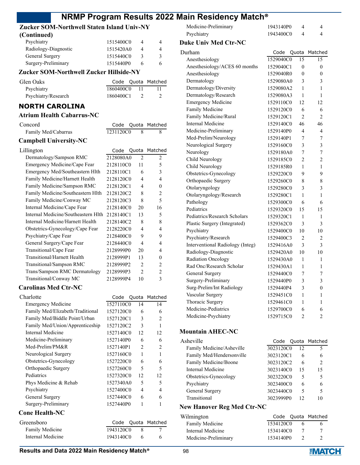## **Zucker SOM-Northwell Staten Island Univ-NY**

| (Continued)          |           |   |
|----------------------|-----------|---|
| Psychiatry           | 1515400C0 | 4 |
| Radiology-Diagnostic | 1515420A0 | 4 |
| General Surgery      | 1515440C0 | ζ |
| Surgery-Preliminary  | 1515440P0 |   |

### **Zucker SOM-Northwell Zucker Hillside-NY**

| Glen Oaks           |           |     | Code Quota Matched |
|---------------------|-----------|-----|--------------------|
| Psychiatry          | 1860400C0 | -11 |                    |
| Psychiatry/Research | 1860400C1 |     |                    |

### **NORTH CAROLINA**

| <b>Atrium Health Cabarrus-NC</b>    |           |       |                |                |
|-------------------------------------|-----------|-------|----------------|----------------|
| Concord                             | Code      | Quota |                | Matched        |
| Family Med/Cabarrus                 | 1231120C0 |       | 8              | 8              |
| <b>Campbell University-NC</b>       |           |       |                |                |
| Lillington                          | Code      | Quota |                | Matched        |
| Dermatology/Sampson RMC             | 2128080A0 |       | $\mathfrak{D}$ | $\overline{2}$ |
| Emergency Medicine/Cape Fear        | 2128110C0 |       | 11             | 5              |
| Emergency Med/Southeastern Hlth     | 2128110C1 |       | 6              | 3              |
| Family Medicine/Harnett Health      | 2128120C0 |       | 4              | 4              |
| Family Medicine/Sampson RMC         | 2128120C1 |       | 4              | $\theta$       |
| Family Medicine/Southeastern Hlth   | 2128120C2 |       | 8              | 2              |
| Family Medicine/Conway MC           | 2128120C3 |       | 8              | 5              |
| Internal Medicine/Cape Fear         | 2128140C0 |       | 20             | 16             |
| Internal Medicine/Southeastern Hlth | 2128140C1 |       | 13             | 5              |
| Internal Medicine/Harnett Health    | 2128140C2 |       | 8              | 8              |
| Obstetrics-Gynecology/Cape Fear     | 2128220C0 |       | 4              | 4              |
| Psychiatry/Cape Fear                | 2128400C0 |       | 9              | 9              |
| General Surgery/Cape Fear           | 2128440C0 |       | 4              | $\overline{4}$ |
| Transitional/Cape Fear              | 2128999P0 |       | 20             | $\overline{4}$ |
| Transitional/Harnett Health         | 2128999P1 |       | 13             | $\theta$       |
| Transitional/Sampson RMC            | 2128999P2 |       | 2              | 2              |
| Trans/Sampson RMC Dermatology       | 2128999P3 |       | $\overline{2}$ | $\overline{c}$ |
| Transitional/Conway MC              | 2128999P4 |       | 10             | 3              |
| <b>Carolinas Med Ctr-NC</b>         |           |       |                |                |

| Charlotte                        | Code      | Quota                         | Matched        |
|----------------------------------|-----------|-------------------------------|----------------|
| <b>Emergency Medicine</b>        | 1527110C0 | 14                            | 14             |
| Family Med/Elizabeth/Traditional | 1527120C0 | 6                             | 6              |
| Family Med/Biddle Point/Urban    | 1527120C1 | 3                             | $\overline{c}$ |
| Family Med/Union/Apprenticeship  | 1527120C2 | 3                             | 1              |
| Internal Medicine                | 1527140C0 | 12                            | 12             |
| Medicine-Preliminary             | 1527140P0 | 6                             | 6              |
| Med-Prelim/PM&R                  | 1527140P1 | $\mathfrak{D}_{\mathfrak{p}}$ | $\mathfrak{D}$ |
| Neurological Surgery             | 1527160C0 | 1                             | 1              |
| Obstetrics-Gynecology            | 1527220C0 | 6                             | 6              |
| Orthopaedic Surgery              | 1527260C0 | $\overline{\mathcal{L}}$      | 5              |
| Pediatrics                       | 1527320C0 | 12                            | 12             |
| Phys Medicine & Rehab            | 1527340A0 | 5                             | 5              |
| Psychiatry                       | 1527400C0 | 4                             | 4              |
| General Surgery                  | 1527440C0 | 6                             | 6              |
| Surgery-Preliminary              | 1527440P0 | 1                             | 1              |
| <b>Cone Health-NC</b>            |           |                               |                |
| Greenshoro                       | Code      | ∩⊔ota.                        | Matched        |

| Greensboro        |           |      | Code Quota Matched |
|-------------------|-----------|------|--------------------|
| Family Medicine   | 1943120C0 | - 83 |                    |
| Internal Medicine | 1943140C0 | - 6  |                    |

| Medicine-Preliminary | 1943140P0 |  |
|----------------------|-----------|--|
| Psychiatry           | 1943400C0 |  |

#### **Duke Univ Med Ctr-NC**

| Durham                           | Code      | Quota          | Matched        |
|----------------------------------|-----------|----------------|----------------|
| Anesthesiology                   | 1529040C0 | 15             | 15             |
| Anesthesiology/ACES 60 months    | 1529040C1 | $\theta$       | $\theta$       |
| Anesthesiology                   | 1529040R0 | $\theta$       | $\theta$       |
| Dermatology                      | 1529080A0 | 3              | 3              |
| Dermatology/Diversity            | 1529080A2 | 1              | 1              |
| Dermatology/Research             | 1529080A3 | 1              | 1              |
| <b>Emergency Medicine</b>        | 1529110C0 | 12             | 12             |
| Family Medicine                  | 1529120C0 | 6              | 6              |
| Family Medicine/Rural            | 1529120C1 | $\overline{c}$ | $\overline{c}$ |
| Internal Medicine                | 1529140C0 | 46             | 46             |
| Medicine-Preliminary             | 1529140P0 | 4              | 4              |
| Med-Prelim/Neurology             | 1529140P1 | 7              | 7              |
| Neurological Surgery             | 1529160C0 | 3              | 3              |
| Neurology                        | 1529180A0 | 7              | 7              |
| Child Neurology                  | 1529185C0 | 2              | 2              |
| Child Neurology                  | 1529185R0 | 1              | 1              |
| Obstetrics-Gynecology            | 1529220C0 | 9              | 9              |
| Orthopaedic Surgery              | 1529260C0 | 8              | 8              |
| Otolaryngology                   | 1529280C0 | 3              | 3              |
| Otolaryngology/Research          | 1529280C1 | 1              | 1              |
| Pathology                        | 1529300C0 | 6              | 6              |
| Pediatrics                       | 1529320C0 | 15             | 15             |
| Pediatrics/Research Scholars     | 1529320C1 | 1              | 1              |
| Plastic Surgery (Integrated)     | 1529362C0 | 3              | 3              |
| Psychiatry                       | 1529400C0 | 10             | 10             |
| Psychiatry/Research              | 1529400C3 | $\overline{c}$ | $\overline{2}$ |
| Interventional Radiology (Integ) | 1529416A0 | 3              | 3              |
| Radiology-Diagnostic             | 1529420A0 | 10             | 10             |
| Radiation Oncology               | 1529430A0 | 1              | 1              |
| Rad Onc/Research Scholar         | 1529430A1 | 1              | 1              |
| General Surgery                  | 1529440C0 | 7              | 7              |
| Surgery-Preliminary              | 1529440P0 | 3              | 3              |
| Surg-Prelim/Int Radiology        | 1529440P4 | 3              | $\theta$       |
| Vascular Surgery                 | 1529451C0 | 1              | 1              |
| Thoracic Surgery                 | 1529461C0 | 1              | 1              |
| Medicine-Pediatrics              | 1529700C0 | 6              | 6              |
| Medicine-Psychiatry              | 1529715C0 | $\overline{c}$ | $\overline{2}$ |
|                                  |           |                |                |

### **Mountain AHEC-NC**

| Asheville                 |           |    | Code Quota Matched            |
|---------------------------|-----------|----|-------------------------------|
| Family Medicine/Asheville | 3023120C0 | 12 | 5                             |
| Family Med/Hendersonville | 3023120C1 | 6  | 6                             |
| Family Medicine/Boone     | 3023120C2 | 6  | $\mathfrak{D}_{\mathfrak{p}}$ |
| Internal Medicine         | 3023140C0 | 15 | 15                            |
| Obstetrics-Gynecology     | 3023220C0 | 5  | 5                             |
| Psychiatry                | 3023400C0 | 6  | 6                             |
| General Surgery           | 3023440C0 | 5  |                               |
| Transitional              | 3023999P0 | 12 | 10                            |
|                           |           |    |                               |

### **New Hanover Reg Med Ctr-NC**

| Wilmington           |           | Code Quota Matched |
|----------------------|-----------|--------------------|
| Family Medicine      | 1534120C0 |                    |
| Internal Medicine    | 1534140C0 |                    |
| Medicine-Preliminary | 1534140P0 |                    |

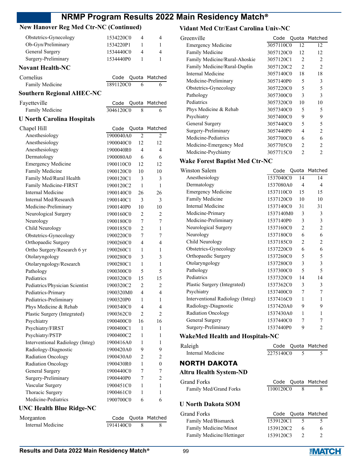### **New Hanover Reg Med Ctr-NC (Continued)**

| Obstetrics-Gynecology             | 1534220C0 | 4              | 4                |
|-----------------------------------|-----------|----------------|------------------|
| Ob-Gyn/Preliminary                | 1534220P1 | 1              | 1                |
| General Surgery                   | 1534440C0 | 4              | 4                |
| Surgery-Preliminary               | 1534440P0 | 1              | 1                |
| <b>Novant Health-NC</b>           |           |                |                  |
| Cornelius                         | Code      | Quota          | Matched          |
| Family Medicine                   | 1891120C0 | 6              | 6                |
| <b>Southern Regional AHEC-NC</b>  |           |                |                  |
| Fayetteville                      | Code      |                | Matched          |
| Family Medicine                   | 3046120C0 | Quota<br>8     | 6                |
|                                   |           |                |                  |
| <b>U North Carolina Hospitals</b> |           |                |                  |
| Chapel Hill                       | Code      | Quota          | Matched          |
| Anesthesiology                    | 1900040A0 | 2              | 2                |
| Anesthesiology                    | 1900040C0 | 12             | 12               |
| Anesthesiology                    | 1900040R0 | 4              | 4                |
| Dermatology                       | 1900080A0 | 6              | 6                |
| <b>Emergency Medicine</b>         | 1900110C0 | 12             | 12               |
| Family Medicine                   | 1900120C0 | 10             | 10               |
| Family Med/Rural Health           | 1900120C1 | 3              | 3                |
| Family Medicine-FIRST             | 1900120C2 | 1              | $\mathbf{1}$     |
| <b>Internal Medicine</b>          | 1900140C0 | 26             | 26               |
| Internal Med/Research             | 1900140C1 | 3              | 3                |
| Medicine-Preliminary              | 1900140P0 | 10             | 10               |
| Neurological Surgery              | 1900160C0 | 2              | 2                |
| Neurology                         | 1900180C0 | 7              | 7                |
| Child Neurology                   | 1900185C0 | 2              | 1                |
| Obstetrics-Gynecology             | 1900220C0 | 7              | 7                |
| Orthopaedic Surgery               | 1900260C0 | 4              | 4                |
| Ortho Surgery/Research 6 yr       | 1900260C1 | 1              | 1                |
| Otolaryngology                    | 1900280C0 | 3              | 3                |
| Otolaryngology/Research           | 1900280C1 | 1              | 1                |
| Pathology                         | 1900300C0 | 5              | 5                |
| Pediatrics                        | 1900320C0 | 15             | 15               |
| Pediatrics/Physician Scientist    | 1900320C2 | $\overline{2}$ | $\overline{c}$   |
| Pediatrics-Primary                | 1900320M0 | 4              | 4                |
| Pediatrics-Preliminary            | 1900320P0 | 1              | 1                |
| Phys Medicine & Rehab             | 1900340C0 | 4              | 4                |
| Plastic Surgery (Integrated)      | 1900362C0 | 2              | 2                |
| Psychiatry                        | 1900400C0 | 16             | 16               |
| Psychiatry/FIRST                  | 1900400C1 | 1              | 1                |
| Psychiatry/PSTP                   | 1900400C2 | 1              | 1                |
| Interventional Radiology (Integ)  | 1900416A0 | 1              | 1                |
| Radiology-Diagnostic              | 1900420A0 | 9              | 9                |
| Radiation Oncology                | 1900430A0 | 2              | 2                |
| Radiation Oncology                | 1900430R0 | 1              | $\boldsymbol{0}$ |
| General Surgery                   | 1900440C0 | 7              | 7                |
| Surgery-Preliminary               | 1900440P0 | 7              | $\overline{c}$   |
| Vascular Surgery                  | 1900451C0 | 1              | 1                |
| Thoracic Surgery                  | 1900461C0 | 1              | 1                |
| Medicine-Pediatrics               | 1900700C0 | 6              | 6                |
| <b>UNC Health Blue Ridge-NC</b>   |           |                |                  |
|                                   |           |                |                  |

#### **Vidant Med Ctr/East Carolina Univ-NC**

| Greenville                    | Code      |                | Quota Matched               |
|-------------------------------|-----------|----------------|-----------------------------|
| <b>Emergency Medicine</b>     | 3057110C0 | 12             | 12                          |
| <b>Family Medicine</b>        | 3057120C0 | 12             | 12                          |
| Family Medicine/Rural-Ahoskie | 3057120C1 | $\mathfrak{D}$ | 2                           |
| Family Medicine/Rural-Duplin  | 3057120C2 | $\mathfrak{D}$ | $\mathcal{D}_{\mathcal{L}}$ |
| Internal Medicine             | 3057140C0 | 18             | 18                          |
| Medicine-Preliminary          | 3057140P0 | 5              | 3                           |
| Obstetrics-Gynecology         | 3057220C0 | 5              | 5                           |
| Pathology                     | 3057300C0 | 3              | 3                           |
| Pediatrics                    | 3057320C0 | 10             | 10                          |
| Phys Medicine & Rehab         | 3057340C0 | 5              | 5                           |
| Psychiatry                    | 3057400C0 | 9              | 9                           |
| General Surgery               | 3057440C0 | 5              | 5                           |
| Surgery-Preliminary           | 3057440P0 | 4              | 2                           |
| Medicine-Pediatrics           | 3057700C0 | 6              | 6                           |
| Medicine-Emergency Med        | 3057705C0 | $\mathcal{D}$  | $\mathcal{P}$               |
| Medicine-Psychiatry           | 3057715C0 | $\mathcal{P}$  | 2                           |
|                               |           |                |                             |

### **Wake Forest Baptist Med Ctr-NC**

| Winston Salem                    | Code      |                | Quota Matched  |
|----------------------------------|-----------|----------------|----------------|
| Anesthesiology                   | 1537040C0 | 14             | 14             |
| Dermatology                      | 1537080A0 | 4              | 4              |
| <b>Emergency Medicine</b>        | 1537110C0 | 15             | 15             |
| Family Medicine                  | 1537120C0 | 10             | 10             |
| Internal Medicine                | 1537140C0 | 31             | 31             |
| Medicine-Primary                 | 1537140M0 | 3              | 3              |
| Medicine-Preliminary             | 1537140P0 | 3              | 3              |
| Neurological Surgery             | 1537160C0 | $\overline{2}$ | 2              |
| Neurology                        | 1537180C0 | 6              | 6              |
| Child Neurology                  | 1537185C0 | $\overline{2}$ | $\overline{c}$ |
| Obstetrics-Gynecology            | 1537220C0 | 6              | 6              |
| Orthopaedic Surgery              | 1537260C0 | 5              | 5              |
| Otolaryngology                   | 1537280C0 | 3              | 3              |
| Pathology                        | 1537300C0 | 5              | 5              |
| Pediatrics                       | 1537320C0 | 14             | 14             |
| Plastic Surgery (Integrated)     | 1537362C0 | 3              | 3              |
| Psychiatry                       | 1537400C0 | 7              | 7              |
| Interventional Radiology (Integ) | 1537416C0 | 1              | 1              |
| Radiology-Diagnostic             | 1537420A0 | 9              | 9              |
| <b>Radiation Oncology</b>        | 1537430A0 | 1              | 1              |
| General Surgery                  | 1537440C0 | 7              | 7              |
| Surgery-Preliminary              | 1537440P0 | 9              | $\overline{c}$ |
| WekeMed Health and Heenitals NC  |           |                |                |

### **WakeMed Health and Hospitals-NC**

| Raleigh                       |           |                          | Code Quota Matched |
|-------------------------------|-----------|--------------------------|--------------------|
| Internal Medicine             | 2275140C0 | $\overline{\phantom{0}}$ | 5                  |
| NORTH DAKOTA                  |           |                          |                    |
| <b>Altru Health System-ND</b> |           |                          |                    |
| Grand Forks                   |           |                          | Code Quota Matched |
| Family Med/Grand Forks        | 1100120C0 | 8                        | 8                  |
|                               |           |                          |                    |

### **U North Dakota SOM**

| Grand Forks               |           | Code Quota Matched |
|---------------------------|-----------|--------------------|
| Family Med/Bismarck       | 1539120C1 | $\Delta$           |
| Family Medicine/Minot     | 1539120C2 | 6                  |
| Family Medicine/Hettinger | 1539120C3 |                    |

Morganton Code Quota Matched Internal Medicine 1914140C0 8 8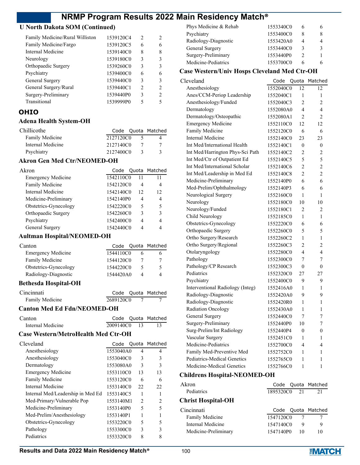### **U North Dakota SOM (Continued)**

| Family Medicine/Rural Williston | 1539120C4 | $\mathcal{D}$ | っ |
|---------------------------------|-----------|---------------|---|
| Family Medicine/Fargo           | 1539120C5 | 6             |   |
| Internal Medicine               | 1539140C0 | 8             | 8 |
| Neurology                       | 1539180C0 | 3             | 3 |
| Orthopaedic Surgery             | 1539260C0 | 3             | ٩ |
| Psychiatry                      | 1539400C0 | 6             |   |
| General Surgery                 | 1539440C0 | 3             | 3 |
| General Surgery/Rural           | 1539440C1 | $\mathcal{P}$ | 2 |
| Surgery-Preliminary             | 1539440P0 | 3             | 2 |
| Transitional                    | 1539999P0 | 5             |   |

### **OHIO**

#### **Adena Health System-OH**

| Chillicothe       |           | Code Quota Matched |
|-------------------|-----------|--------------------|
| Family Medicine   | 2127120C0 |                    |
| Internal Medicine | 2127140C0 |                    |
| Psychiatry        | 2127400C0 |                    |

#### **Akron Gen Med Ctr/NEOMED-OH**

| Akron                     |           |    | Code Quota Matched |
|---------------------------|-----------|----|--------------------|
| <b>Emergency Medicine</b> | 1542110C0 | 11 |                    |
| Family Medicine           | 1542120C0 | 4  | 4                  |
| Internal Medicine         | 1542140C0 | 12 | 12                 |
| Medicine-Preliminary      | 1542140P0 | 4  | 4                  |
| Obstetrics-Gynecology     | 1542220C0 | 5  | 5                  |
| Orthopaedic Surgery       | 1542260C0 | ٩  | ٩                  |
| Psychiatry                | 1542400C0 | 4  |                    |
| General Surgery           | 1542440C0 | 4  |                    |

### **Aultman Hospital/NEOMED-OH**

| Canton                                     | Code      |               | Quota Matched  |
|--------------------------------------------|-----------|---------------|----------------|
| <b>Emergency Medicine</b>                  | 1544110C0 | 6             | 6              |
| Family Medicine                            | 1544120C0 | 7             | 7              |
| Obstetrics-Gynecology                      | 1544220C0 | 5             | 5              |
| Radiology-Diagnostic                       | 1544420A0 | 4             | $\overline{4}$ |
| <b>Bethesda Hospital-OH</b>                |           |               |                |
| Cincinnati                                 | Code      |               | Quota Matched  |
| Family Medicine                            | 2689120C0 | 7             | 7              |
| <b>Canton Med Ed Fdn/NEOMED-OH</b>         |           |               |                |
| Canton                                     | Code      |               | Quota Matched  |
| Internal Medicine                          | 2009140C0 | 13            | 13             |
| <b>Case Western/MetroHealth Med Ctr-OH</b> |           |               |                |
| Cleveland                                  | Code      | Quota         | Matched        |
| Anesthesiology                             | 1553040A0 | 4             | 4              |
| Anesthesiology                             | 1553040C0 | 3             | 3              |
| Dermatology                                | 1553080A0 | $\mathcal{E}$ | 3              |
| <b>Emergency Medicine</b>                  | 1553110C0 | 13            | 13             |
| Family Medicine                            | 1553120C0 | 6             | 6              |
| Internal Medicine                          | 1553140C0 | 22            | 22             |
| Internal Med/Leadership in Med Ed          | 1553140C5 | 1             | 1              |
| Med-Primary/Vulnerable Pop                 | 1553140M1 | 2             | $\overline{2}$ |
| Medicine-Preliminary                       | 1553140P0 | 5             | 5              |
| Med-Prelim/Anesthesiology                  | 1553140P1 | $\mathbf{1}$  | $\mathbf{1}$   |
| Obstetrics-Gynecology                      | 1553220C0 | 5             | 5              |
| Pathology                                  | 1553300C0 | 3             | 3              |
| Pediatrics                                 | 1553320C0 | 8             | 8              |

| Phys Medicine & Rehab | 1553340C0 |   |   |
|-----------------------|-----------|---|---|
| Psychiatry            | 1553400C0 |   | 8 |
| Radiology-Diagnostic  | 1553420A0 | 4 | 4 |
| General Surgery       | 1553440C0 | 3 | 3 |
| Surgery-Preliminary   | 1553440P0 |   |   |
| Medicine-Pediatrics   | 1553700C0 |   |   |

#### **Case Western/Univ Hosps Cleveland Med Ctr-OH**

| Cleveland                        | Code      | Quota                    | Matched                  |
|----------------------------------|-----------|--------------------------|--------------------------|
| Anesthesiology                   | 1552040C0 | 12.                      | 12.                      |
| Anes/CCM-Periop Leadership       | 1552040C1 | 1                        | 1                        |
| Anesthesiology/Funded            | 1552040C3 | $\overline{2}$           | $\overline{c}$           |
| Dermatology                      | 1552080A0 | $\overline{\mathcal{L}}$ | $\overline{\mathcal{L}}$ |
| Dermatology/Osteopathic          | 1552080A1 | $\overline{2}$           | $\overline{2}$           |
| <b>Emergency Medicine</b>        | 1552110C0 | 12                       | 12                       |
| Family Medicine                  | 1552120C0 | 6                        | 6                        |
| Internal Medicine                | 1552140C0 | 23                       | 23                       |
| Int Med/International Health     | 1552140C1 | $\boldsymbol{0}$         | $\theta$                 |
| Int Med/Harrington Phys-Sci Path | 1552140C2 | 2                        | 2                        |
| Int Med/Ctr of Outpatient Ed     | 1552140C5 | 5                        | 5                        |
| Int Med/International Scholar    | 1552140C6 | $\overline{c}$           | $\overline{2}$           |
| Int Med/Leadership in Med Ed     | 1552140C8 | $\mathfrak{D}$           | $\overline{c}$           |
| Medicine-Preliminary             | 1552140P0 | 6                        | 6                        |
| Med-Prelim/Ophthalmology         | 1552140P3 | 6                        | 6                        |
| Neurological Surgery             | 1552160C0 | 1                        | 1                        |
| Neurology                        | 1552180C0 | 10                       | 10                       |
| Neurology/Funded                 | 1552180C1 | $\overline{c}$           | $\overline{c}$           |
| Child Neurology                  | 1552185C0 | 1                        | 1                        |
| Obstetrics-Gynecology            | 1552220C0 | 6                        | 6                        |
| Orthopaedic Surgery              | 1552260C0 | 5                        | 5                        |
| Ortho Surgery/Research           | 1552260C2 | 1                        | 1                        |
| Ortho Surgery/Regional           | 1552260C3 | $\overline{2}$           | $\overline{2}$           |
| Otolaryngology                   | 1552280C0 | $\overline{\mathcal{L}}$ | 4                        |
| Pathology                        | 1552300C0 | 7                        | 7                        |
| Pathology/CP Research            | 1552300C3 | $\theta$                 | $\theta$                 |
| Pediatrics                       | 1552320C0 | 27                       | 27                       |
| Psychiatry                       | 1552400C0 | 9                        | 9                        |
| Interventional Radiology (Integ) | 1552416A0 | 1                        | 1                        |
| Radiology-Diagnostic             | 1552420A0 | 9                        | 9                        |
| Radiology-Diagnostic             | 1552420R0 | 1                        | 1                        |
| <b>Radiation Oncology</b>        | 1552430A0 | 1                        | 1                        |
| General Surgery                  | 1552440C0 | 7                        | 7                        |
| Surgery-Preliminary              | 1552440P0 | 10                       | 7                        |
| Surg-Prelim/Int Radiology        | 1552440P4 | $\theta$                 | $\theta$                 |
| Vascular Surgery                 | 1552451C0 | 1                        | 1                        |
| Medicine-Pediatrics              | 1552700C0 | 4                        | $\overline{\mathcal{L}}$ |
| Family Med-Preventive Med        | 1552752C0 | 1                        | 1                        |
| Pediatrics-Medical Genetics      | 1552765C0 | 1                        | 1                        |
| Medicine-Medical Genetics        | 1552766C0 | 1                        | 1                        |
|                                  |           |                          |                          |

### **Childrens Hospital-NEOMED-OH**

| Akron                     | Code Quota Matched |
|---------------------------|--------------------|
| Pediatrics                | 1895320C0 21<br>21 |
| <b>Christ Hospital-OH</b> |                    |
| Cincinnati                | Code Quota Matched |
| Family Medicine           | 1547120C0          |
| Internal Medicine         | 1547140C0<br>9     |

Medicine-Preliminary 1547140P0 10 10

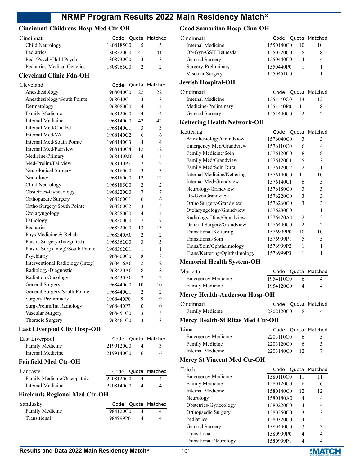# **Cincinnati Childrens Hosp Med Ctr-OH**

| Cincinnati                  |           |    | Code Quota Matched |
|-----------------------------|-----------|----|--------------------|
| Child Neurology             | 1808185C0 |    |                    |
| Pediatrics                  | 1808320C0 | 41 | 41                 |
| Peds/Psych/Child Psych      | 1808730C0 |    | 3                  |
| Pediatrics-Medical Genetics | 1808765C0 |    |                    |
|                             |           |    |                    |

#### **Cleveland Clinic Fdn-OH**

| Cleveland                         | Code      | Quota                    | Matched                  |
|-----------------------------------|-----------|--------------------------|--------------------------|
| Anesthesiology                    | 1968040C0 | 22                       | 22                       |
| Anesthesiology/South Pointe       | 1968040C1 | 3                        | 3                        |
| Dermatology                       | 1968080C0 | $\overline{\mathcal{L}}$ | 4                        |
| Family Medicine                   | 1968120C0 | 4                        | $\overline{\mathbf{4}}$  |
| Internal Medicine                 | 1968140C0 | 42                       | 42                       |
| Internal Med/Clin Ed              | 1968140C1 | 3                        | 3                        |
| Internal Med/VA                   | 1968140C2 | 6                        | 6                        |
| Internal Med/South Pointe         | 1968140C3 | 4                        | $\overline{\mathcal{L}}$ |
| Internal Med/Fairview             | 1968140C4 | 12                       | 12                       |
| Medicine-Primary                  | 1968140M0 | 4                        | 4                        |
| Med-Prelim/Fairview               | 1968140P2 | $\overline{2}$           | $\overline{2}$           |
| Neurological Surgery              | 1968160C0 | 3                        | 3                        |
| Neurology                         | 1968180C0 | 12                       | 12                       |
| Child Neurology                   | 1968185C0 | $\overline{2}$           | $\overline{2}$           |
| Obstetrics-Gynecology             | 1968220C0 | 7                        | 7                        |
| Orthopaedic Surgery               | 1968260C1 | 6                        | 6                        |
| Ortho Surgery/South Pointe        | 1968260C2 | 3                        | 3                        |
| Otolaryngology                    | 1968280C0 | 4                        | $\overline{\mathbf{4}}$  |
| Pathology                         | 1968300C0 | 7                        | 7                        |
| Pediatrics                        | 1968320C0 | 13                       | 13                       |
| Phys Medicine & Rehab             | 1968340A0 | $\overline{2}$           | $\overline{2}$           |
| Plastic Surgery (Integrated)      | 1968362C0 | 3                        | 3                        |
| Plastic Surg (Integ)/South Pointe | 1968362C1 | 1                        | 1                        |
| Psychiatry                        | 1968400C0 | 8                        | 8                        |
| Interventional Radiology (Integ)  | 1968416A0 | $\overline{2}$           | $\overline{2}$           |
| Radiology-Diagnostic              | 1968420A0 | 8                        | 8                        |
| Radiation Oncology                | 1968430A0 | $\overline{2}$           | $\overline{2}$           |
| General Surgery                   | 1968440C0 | 10                       | 10                       |
| General Surgery/South Pointe      | 1968440C1 | $\overline{2}$           | 2                        |
| Surgery-Preliminary               | 1968440P0 | 9                        | 9                        |
| Surg-Prelim/Int Radiology         | 1968440P3 | $\theta$                 | $\theta$                 |
| Vascular Surgery                  | 1968451C0 | 3                        | 3                        |
| Thoracic Surgery                  | 1968461C0 | 3                        | 3                        |

#### **East Liverpool City Hosp-OH**

| East Liverpool                       |           |   | Code Quota Matched |
|--------------------------------------|-----------|---|--------------------|
| Family Medicine                      | 2199120C0 | 4 | $\mathcal{E}$      |
| Internal Medicine                    | 2199140C0 | 6 | 6                  |
| <b>Fairfield Med Ctr-OH</b>          |           |   |                    |
| Lancaster                            | Code      |   | Quota Matched      |
| Family Medicine/Osteopathic          | 2208120C0 | 4 | 4                  |
| Internal Medicine                    | 2208140C0 | 4 |                    |
| <b>Firelands Regional Med Ctr-OH</b> |           |   |                    |
| Sandusky                             | Code      |   | Quota Matched      |

| Sandusky        |           |          | Code Quota Matched |
|-----------------|-----------|----------|--------------------|
| Family Medicine | 1984120C0 |          |                    |
| Transitional    | 1984999P0 | $\Delta$ |                    |

# **Good Samaritan Hosp-Cinn-OH**

| Cincinnati                | Code      |    | Quota Matched |
|---------------------------|-----------|----|---------------|
| Internal Medicine         | 1550140C0 | 10 | 10            |
| Ob-Gyn/GSH Bethesda       | 1550220C0 | 8  | 8             |
| General Surgery           | 1550440C0 | 4  | 4             |
| Surgery-Preliminary       | 1550440P0 |    |               |
| Vascular Surgery          | 1550451C0 |    |               |
| <b>Jewish Hospital-OH</b> |           |    |               |
| Cincinnati                | Code      |    | Quota Matched |
| Internal Medicine         | 1551140C0 | 13 |               |

Medicine-Preliminary 1551140P0 11 8

# General Surgery 1551440C0 2 2

#### **Kettering Health Network-OH**

| Kettering                     |           |                | Code Quota Matched          |
|-------------------------------|-----------|----------------|-----------------------------|
| Anesthesiology/Grandview      | 1576040C0 | 3              | 3                           |
| Emergency Med/Grandview       | 1576110C0 | 6              | 4                           |
| Family Medicine/Soin          | 1576120C0 | 8              | 8                           |
| Family Med/Grandview          | 1576120C1 | 5              | 3                           |
| Family Med/Soin Rural         | 1576120C2 | $\overline{c}$ |                             |
| Internal Medicine/Kettering   | 1576140C0 | 11             | 10                          |
| Internal Med/Grandview        | 1576140C1 | 6              | 5                           |
| Neurology/Grandview           | 1576180C0 | 3              | 3                           |
| Ob-Gyn/Grandview              | 1576220C0 | 3              | 3                           |
| Ortho Surgery/Grandview       | 1576260C0 | 3              | 3                           |
| Otolaryngology/Grandview      | 1576280C0 | 1              | 1                           |
| Radiology-Diag/Grandview      | 1576420A0 | 2              | $\mathfrak{D}$              |
| General Surgery/Grandview     | 1576440C0 | $\mathfrak{D}$ | $\mathcal{D}_{\mathcal{L}}$ |
| Transitional/Kettering        | 1576999P0 | 10             | 10                          |
| Transitional/Soin             | 1576999P1 | 5              | 5                           |
| Trans/Soin/Ophthalmology      | 1576999P2 | 1              |                             |
| Trans/Kettering/Ophthalmology | 1576999P3 |                |                             |
|                               |           |                |                             |

# **Memorial Health System-OH**

| Marietta                  |           |   | Code Quota Matched |
|---------------------------|-----------|---|--------------------|
| <b>Emergency Medicine</b> | 1954110C0 | 6 |                    |
| Family Medicine           | 1954120C0 |   |                    |

# **Mercy Health-Anderson Hosp-OH**

| Cincinnati      |           | Code Quota Matched |
|-----------------|-----------|--------------------|
| Family Medicine | 2302120C0 |                    |

### **Mercy Health-St Ritas Med Ctr-OH**

| Lima                      |           | Code Quota Matched |
|---------------------------|-----------|--------------------|
| <b>Emergency Medicine</b> | 2203110C0 |                    |
| Family Medicine           | 2203120C0 | 3                  |
| Internal Medicine         | 2203140C0 |                    |

#### **Mercy St Vincent Med Ctr-OH**

| Toledo                    |           |    | Code Quota Matched |
|---------------------------|-----------|----|--------------------|
| <b>Emergency Medicine</b> | 1580110C0 | 11 | 11                 |
| Family Medicine           | 1580120C0 | 6  | 6                  |
| Internal Medicine         | 1580140C0 | 12 | 12                 |
| Neurology                 | 1580180A0 | 4  | 4                  |
| Obstetrics-Gynecology     | 1580220C0 | 4  |                    |
| Orthopaedic Surgery       | 1580260C0 | 3  | 3                  |
| Pediatrics                | 1580320C0 | 4  | $\mathfrak{D}$     |
| General Surgery           | 1580440C0 | 3  | 3                  |
| Transitional              | 1580999P0 | 4  | 4                  |
| Transitional/Neurology    | 1580999P1 |    |                    |

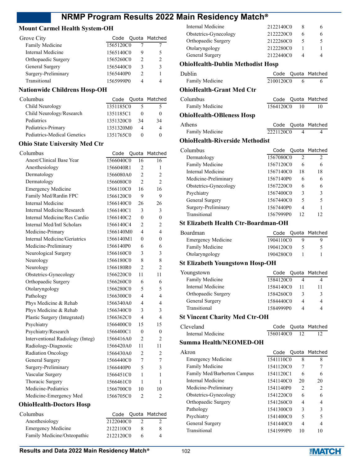# **Mount Carmel Health System-OH**

| Grove City          |           |   | Code Quota Matched |
|---------------------|-----------|---|--------------------|
| Family Medicine     | 1565120C0 |   |                    |
| Internal Medicine   | 1565140C0 | 9 |                    |
| Orthopaedic Surgery | 1565260C0 | 2 |                    |
| General Surgery     | 1565440C0 | 3 |                    |
| Surgery-Preliminary | 1565440P0 |   |                    |
| Transitional        | 1565999P0 |   |                    |

# **Nationwide Childrens Hosp-OH**

| Columbus                    |           |    | Code Quota Matched |
|-----------------------------|-----------|----|--------------------|
| Child Neurology             | 1351185C0 |    |                    |
| Child Neurology/Research    | 1351185C1 |    |                    |
| Pediatrics                  | 1351320C0 | 34 | 34                 |
| Pediatrics-Primary          | 1351320M0 |    |                    |
| Pediatrics-Medical Genetics | 1351765C0 |    |                    |

# **Ohio State University Med Ctr**

| Columbus                         | Code      | Quota                    | Matched                  |
|----------------------------------|-----------|--------------------------|--------------------------|
| Anest/Clinical Base Year         | 1566040C0 | 16                       | 16                       |
| Anesthesiology                   | 1566040R1 | $\overline{2}$           | 1                        |
| Dermatology                      | 1566080A0 | $\mathfrak{D}$           | $\overline{c}$           |
| Dermatology                      | 1566080C0 | $\overline{2}$           | $\overline{c}$           |
| <b>Emergency Medicine</b>        | 1566110C0 | 16                       | 16                       |
| Family Med/Rardin FPC            | 1566120C0 | 9                        | 9                        |
| <b>Internal Medicine</b>         | 1566140C0 | 26                       | 26                       |
| Internal Medicine/Research       | 1566140C1 | 3                        | 3                        |
| Internal Medicine/Res Cardio     | 1566140C2 | $\theta$                 | $\theta$                 |
| Internal Med/Intl Scholars       | 1566140C4 | 2                        | 2                        |
| Medicine-Primary                 | 1566140M0 | 4                        | 4                        |
| Internal Medicine/Geriatrics     | 1566140M1 | $\theta$                 | $\theta$                 |
| Medicine-Preliminary             | 1566140P0 | 6                        | 6                        |
| Neurological Surgery             | 1566160C0 | 3                        | 3                        |
| Neurology                        | 1566180C0 | 8                        | 8                        |
| Neurology                        | 1566180R0 | $\overline{2}$           | 2                        |
| Obstetrics-Gynecology            | 1566220C0 | 11                       | 11                       |
| Orthopaedic Surgery              | 1566260C0 | 6                        | 6                        |
| Otolaryngology                   | 1566280C0 | 5                        | 5                        |
| Pathology                        | 1566300C0 | 4                        | 4                        |
| Phys Medicine & Rehab            | 1566340A0 | 4                        | 4                        |
| Phys Medicine & Rehab            | 1566340C0 | 3                        | 3                        |
| Plastic Surgery (Integrated)     | 1566362C0 | $\overline{\mathcal{L}}$ | $\overline{\mathcal{L}}$ |
| Psychiatry                       | 1566400C0 | 15                       | 15                       |
| Psychiatry/Research              | 1566400C1 | $\theta$                 | $\theta$                 |
| Interventional Radiology (Integ) | 1566416A0 | $\overline{2}$           | 2                        |
| Radiology-Diagnostic             | 1566420A0 | 11                       | 11                       |
| Radiation Oncology               | 1566430A0 | $\overline{2}$           | 2                        |
| General Surgery                  | 1566440C0 | 7                        | 7                        |
| Surgery-Preliminary              | 1566440P0 | 5                        | 3                        |
| Vascular Surgery                 | 1566451C0 | 1                        | 1                        |
| Thoracic Surgery                 | 1566461C0 | 1                        | 1                        |
| Medicine-Pediatrics              | 1566700C0 | 10                       | 10                       |
| Medicine-Emergency Med           | 1566705C0 | $\overline{2}$           | $\overline{2}$           |
| <b>OhioHealth-Doctors Hosp</b>   |           |                          |                          |
| Columbus                         | Code      | Quota                    | Matched                  |
| Anesthesiology                   | 2122040C0 | $\overline{2}$           | 2                        |
| <b>Emergency Medicine</b>        | 2122110C0 | 8                        | 8                        |

| Internal Medicine                          | 2122140C0     | 8              | 6       |
|--------------------------------------------|---------------|----------------|---------|
| Obstetrics-Gynecology                      | 2122220C0     | 6              | 6       |
| Orthopaedic Surgery                        | 2122260C0     | 5              | 5       |
| Otolaryngology                             | 2122280C0     | 1              | 1       |
| General Surgery                            | 2122440C0     | 4              | 4       |
|                                            |               |                |         |
| <b>OhioHealth-Dublin Methodist Hosp</b>    |               |                |         |
| Dublin                                     | Code<br>Quota |                | Matched |
| Family Medicine                            | 2100120C0     | 6              | 6       |
| <b>OhioHealth-Grant Med Ctr</b>            |               |                |         |
|                                            |               |                |         |
| Columbus                                   | Code          | Quota          | Matched |
| Family Medicine                            | 1564120C0     | 10             | 10      |
| <b>OhioHealth-OBleness Hosp</b>            |               |                |         |
| Athens                                     | Code          | Quota          | Matched |
| <b>Family Medicine</b>                     | 2221120C0     | 4              | 4       |
|                                            |               |                |         |
| <b>OhioHealth-Riverside Methodist</b>      |               |                |         |
| Columbus                                   | Code<br>Quota |                | Matched |
| Dermatology                                | 1567080C0     | $\overline{c}$ | 2       |
| Family Medicine                            | 1567120C0     | 6              | 6       |
| <b>Internal Medicine</b>                   | 1567140C0     | 18             | 18      |
| Medicine-Preliminary                       | 1567140P0     | 6              | 6       |
| Obstetrics-Gynecology                      | 1567220C0     | 6              | 6       |
|                                            |               |                |         |
| Psychiatry                                 | 1567400C0     | 3              | 3       |
| General Surgery                            | 1567440C0     | 5              | 5       |
| Surgery-Preliminary                        | 1567440P0     | 4              | 1       |
| Transitional                               | 1567999P0     | 12             | 12      |
| <b>St Elizabeth Health Ctr-Boardman-OH</b> |               |                |         |
| Boardman                                   | Code<br>Quota |                | Matched |
|                                            |               |                |         |
| <b>Emergency Medicine</b>                  | 1904110C0     | 9              | 9       |
| Family Medicine                            | 1904120C0     | 5              | 5       |
| Otolaryngology                             | 1904280C0     | 1              | 1       |
| St Elizabeth Youngstown Hosp-OH            |               |                |         |
| Youngstown                                 | Code<br>Quota |                | Matched |
| Family Medicine                            | 1584120C0     | 4              | 4       |
| Internal Medicine                          | 1584140C0     | 11             |         |
|                                            |               |                | 11      |
| Orthopaedic Surgery                        | 1584260C0     | 3              | 3       |
| General Surgery                            | 1584440C0     | 4              | 4       |
| Transitional                               | 1584999P0     | 4              | 4       |
| <b>St Vincent Charity Med Ctr-OH</b>       |               |                |         |
| Cleveland                                  | Code          | Quota          | Matched |
| <b>Internal Medicine</b>                   | 1560140C0     | 12             | 12      |
| <b>Summa Health/NEOMED-OH</b>              |               |                |         |
|                                            |               |                |         |
| Akron                                      | Code<br>Quota |                | Matched |
| <b>Emergency Medicine</b>                  | 1541110C0     | 8              | 8       |
| Family Medicine                            | 1541120C0     | 7              | 7       |
| Family Med/Barberton Campus                | 1541120C1     | 6              | 6       |
| <b>Internal Medicine</b>                   | 1541140C0     | 20             | 20      |
| Medicine-Preliminary                       | 1541140P0     | 2              | 2       |
| Obstetrics-Gynecology                      | 1541220C0     | 6              | 6       |
| Orthopaedic Surgery                        | 1541260C0     | 4              | 4       |
| Pathology                                  | 1541300C0     | 3              | 3       |
|                                            |               |                |         |
| Psychiatry                                 | 1541400C0     | 5              | 5       |
| General Surgery                            | 1541440C0     | 4              | 4       |
| Transitional                               | 1541999P0     | 10             | 10      |
|                                            |               |                |         |

Family Medicine/Osteopathic 2122120C0 6 4

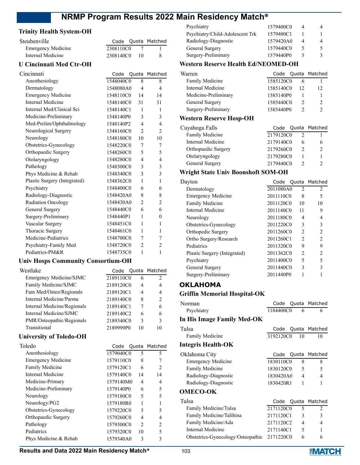# **Trinity Health System-OH**

| Steubenville              |           |               | Code Quota Matched |
|---------------------------|-----------|---------------|--------------------|
| <b>Emergency Medicine</b> | 2308110C0 |               |                    |
| Internal Medicine         | 2308140C0 | $\frac{1}{1}$ |                    |

#### **U Cincinnati Med Ctr-OH**

| Cincinnati                   | Code      |                | Quota Matched  |
|------------------------------|-----------|----------------|----------------|
| Anesthesiology               | 1548040C0 | 8              | 8              |
| Dermatology                  | 1548080A0 | 4              | 4              |
| <b>Emergency Medicine</b>    | 1548110C0 | 14             | 14             |
| Internal Medicine            | 1548140C0 | 31             | 31             |
| Internal Med/Clinical Sci    | 1548140C1 | 1              | 1              |
| Medicine-Preliminary         | 1548140P0 | 3              | 3              |
| Med-Prelim/Ophthalmology     | 1548140P2 | 4              | 4              |
| Neurological Surgery         | 1548160C0 | $\overline{2}$ | $\overline{2}$ |
| Neurology                    | 1548180C0 | 10             | 10             |
| Obstetrics-Gynecology        | 1548220C0 | 7              | 7              |
| Orthopaedic Surgery          | 1548260C0 | 5              | 5              |
| Otolaryngology               | 1548280C0 | 4              | 4              |
| Pathology                    | 1548300C0 | 3              | 3              |
| Phys Medicine & Rehab        | 1548340C0 | 3              | 3              |
| Plastic Surgery (Integrated) | 1548362C0 | 1              | 1              |
| Psychiatry                   | 1548400C0 | 6              | 6              |
| Radiology-Diagnostic         | 1548420A0 | 8              | 8              |
| Radiation Oncology           | 1548430A0 | $\overline{c}$ | $\overline{2}$ |
| General Surgery              | 1548440C0 | 6              | 6              |
| Surgery-Preliminary          | 1548440P1 | 1              | $\theta$       |
| Vascular Surgery             | 1548451C0 | 1              | 1              |
| Thoracic Surgery             | 1548461C0 | 1              | 1              |
| Medicine-Pediatrics          | 1548700C0 | 7              | 7              |
| Psychiatry-Family Med        | 1548720C0 | $\overline{2}$ | $\overline{2}$ |
| Pediatrics-PM&R              | 1548735C0 | 1              | 1              |

#### **Univ Hosps Community Consortium-OH**

| Westlake                    |           |    | Code Quota Matched |
|-----------------------------|-----------|----|--------------------|
| Emergency Medicine/SJMC     | 2189110C0 | 6  | 2                  |
| Family Medicine/SJMC        | 2189120C0 | 4  | 4                  |
| Fam Med/Osteo/Regionals     | 2189120C1 | 4  | 4                  |
| Internal Medicine/Parma     | 2189140C0 | 8  | $\mathcal{D}$      |
| Internal Medicine/Regionals | 2189140C1 |    | 6                  |
| Internal Medicine/SJMC      | 2189140C2 | 6  | 6                  |
| PMR/Osteopathic/Regionals   | 2189340C0 | 3  | 3                  |
| Transitional                | 2189999P0 | 10 | 10                 |

## **University of Toledo-OH**

| Toledo                    | Code Quota Matched |                          |                |
|---------------------------|--------------------|--------------------------|----------------|
| Anesthesiology            | 1579040C0          | 5                        | 5              |
| <b>Emergency Medicine</b> | 1579110C0          | 8                        | 7              |
| Family Medicine           | 1579120C1          | 6                        | $\mathfrak{D}$ |
| Internal Medicine         | 1579140C0          | 14                       | 14             |
| Medicine-Primary          | 1579140M0          | 4                        | 4              |
| Medicine-Preliminary      | 1579140P0          | 6                        | 5              |
| Neurology                 | 1579180C0          | 5                        | 5              |
| Neurology/PG2             | 1579180R0          |                          |                |
| Obstetrics-Gynecology     | 1579220C0          | 5                        | 5              |
| Orthopaedic Surgery       | 1579260C0          | 4                        | 4              |
| Pathology                 | 1579300C0          | $\mathfrak{D}_{1}^{(1)}$ | $\mathfrak{D}$ |
| Pediatrics                | 1579320C0          | 10                       | 5              |
| Phys Medicine & Rehab     | 1579340A0          | 3                        | 3              |

| Psychiatry                      | 1579400C0 |   |
|---------------------------------|-----------|---|
| Psychiatry/Child-Adolescent Trk | 1579400C1 |   |
| Radiology-Diagnostic            | 1579420A0 | 4 |
| General Surgery                 | 1579440C0 |   |
| Surgery-Preliminary             | 1579440P0 |   |
|                                 |           |   |

#### **Western Reserve Health Ed/NEOMED-OH**

| 12 | 12                                                                                  |
|----|-------------------------------------------------------------------------------------|
|    |                                                                                     |
|    |                                                                                     |
|    |                                                                                     |
|    | Code Quota Matched<br>1585120C0<br>1585140C0<br>1585140P0<br>1585440C0<br>1585440P0 |

#### **Western Reserve Hosp-OH**

| Cuyahoga Falls      | Code Quota Matched |   |
|---------------------|--------------------|---|
| Family Medicine     | 2179120C0          |   |
| Internal Medicine   | 2179140C0          | 6 |
| Orthopaedic Surgery | 2179260C0          |   |
| Otolaryngology      | 2179280C0          |   |
| General Surgery     | 2179440C0          |   |
|                     |                    |   |

## **Wright State Univ Boonshoft SOM-OH**

| Dayton                       |           |                | Code Quota Matched |
|------------------------------|-----------|----------------|--------------------|
| Dermatology                  | 2011080A0 | 2              | 2                  |
| <b>Emergency Medicine</b>    | 2011110C0 | 8              | 5                  |
| Family Medicine              | 2011120C0 | 10             | 10                 |
| Internal Medicine            | 2011140C0 | 11             | 9                  |
| Neurology                    | 2011180C0 | 4              | 4                  |
| Obstetrics-Gynecology        | 2011220C0 | 3              | 3                  |
| Orthopedic Surgery           | 2011260C0 | 2              | $\overline{c}$     |
| Ortho Surgery/Research       | 2011260C1 | $\mathfrak{D}$ | $\overline{c}$     |
| Pediatrics                   | 2011320C0 | 9              | 9                  |
| Plastic Surgery (Integrated) | 2011362C0 | $\overline{2}$ | 2                  |
| Psychiatry                   | 2011400C0 | 5              | 5                  |
| General Surgery              | 2011440C0 | 3              | 3                  |
| Surgery-Preliminary          | 2011440P0 |                |                    |

# **OKLAHOMA**

#### **Griffin Memorial Hospital-OK**

| Norman                            | Code      |                | Quota Matched  |
|-----------------------------------|-----------|----------------|----------------|
| Psychiatry                        | 1184400C0 | 6              | 6              |
| In His Image Family Med-OK        |           |                |                |
| Tulsa                             | Code      |                | Quota Matched  |
| <b>Family Medicine</b>            | 3192120C0 | 10             | 10             |
| <b>Integris Health-OK</b>         |           |                |                |
| Oklahoma City                     | Code      |                | Quota Matched  |
| <b>Emergency Medicine</b>         | 1830110C0 | 8              | 8              |
| <b>Family Medicine</b>            | 1830120C0 | 5              | 5              |
| Radiology-Diagnostic              | 1830420A0 | $\overline{4}$ | 4              |
| Radiology-Diagnostic              | 1830420R1 | 1              | 1              |
| <b>OMECO-OK</b>                   |           |                |                |
| Tulsa                             | Code      | Quota          | Matched        |
| Family Medicine/Tulsa             | 2171120C0 | 5              | $\overline{c}$ |
| Family Medicine/Talihina          | 2171120C1 | 3              | 3              |
| Family Medicine/Ada               | 2171120C2 | $\overline{4}$ | $\overline{4}$ |
| Internal Medicine                 | 2171140C1 | 5              | 1              |
| Obstetrics-Gynecology/Osteopathic | 2171220C0 | 6              | 6              |



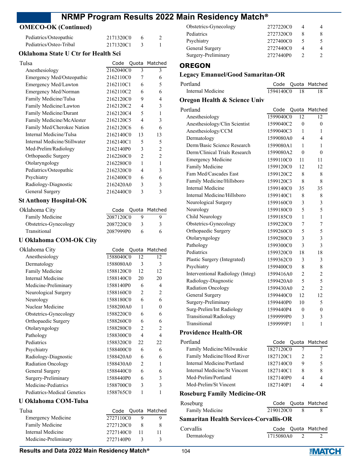# **OMECO-OK (Continued)**

| Pediatrics/Osteopathic  | 2171320C0 |  |
|-------------------------|-----------|--|
| Pediatrics/Osteo-Tribal | 2171320C1 |  |

## **Oklahoma State U Ctr for Health Sci**

| Tulsa                         |           |                | Code Quota Matched |
|-------------------------------|-----------|----------------|--------------------|
| Anesthesiology                | 2162040C0 | 3              | 3                  |
| Emergency Med/Osteopathic     | 2162110C0 | 7              | 6                  |
| Emergency Med/Lawton          | 2162110C1 | 6              | 5                  |
| Emergency Med/Norman          | 2162110C2 | 6              | 6                  |
| Family Medicine/Tulsa         | 2162120C0 | 9              | 4                  |
| Family Medicine/Lawton        | 2162120C2 | 4              | 3                  |
| Family Medicine/Durant        | 2162120C4 | 5              | 1                  |
| Family Medicine/McAlester     | 2162120C5 | 4              | 3                  |
| Family Med/Cherokee Nation    | 2162120C6 | 6              | 6                  |
| Internal Medicine/Tulsa       | 2162140C0 | 13             | 13                 |
| Internal Medicine/Stillwater  | 2162140C1 | 5              | 5                  |
| Med-Prelim/Radiology          | 2162140P0 | 3              | 2                  |
| Orthopaedic Surgery           | 2162260C0 | $\overline{2}$ | 2                  |
| Otolaryngology                | 2162280C0 | 1              | 1                  |
| Pediatrics/Osteopathic        | 2162320C0 | 4              | 3                  |
| Psychiatry                    | 2162400C0 | 6              | 6                  |
| Radiology-Diagnostic          | 2162420A0 | 3              | 3                  |
| General Surgery               | 2162440C0 | 3              | 3                  |
| <b>St Anthony Hospital-OK</b> |           |                |                    |
| $\Omega_{11}$ $\Omega_{21}$   |           |                | $C - 1 - C$        |

| Oklahoma City         |           | Code Quota Matched |
|-----------------------|-----------|--------------------|
| Family Medicine       | 2087120C0 |                    |
| Obstetrics-Gynecology | 2087220C0 | 3                  |
| Transitional          | 2087999P0 | 6                  |

# **U Oklahoma COM-OK City**

| Oklahoma City               | Code      | Quota          | Matched        |
|-----------------------------|-----------|----------------|----------------|
| Anesthesiology              | 1588040C0 | 12             | 12             |
| Dermatology                 | 1588080A0 | 3              | 3              |
| Family Medicine             | 1588120C0 | 12             | 12             |
| Internal Medicine           | 1588140C0 | 20             | 20             |
| Medicine-Preliminary        | 1588140P0 | 6              | 4              |
| Neurological Surgery        | 1588160C0 | 2              | $\mathfrak{D}$ |
| Neurology                   | 1588180C0 | 6              | 6              |
| Nuclear Medicine            | 1588200A0 | 1              | 0              |
| Obstetrics-Gynecology       | 1588220C0 | 6              | 6              |
| Orthopaedic Surgery         | 1588260C0 | 6              | 6              |
| Otolaryngology              | 1588280C0 | 2              | $\overline{c}$ |
| Pathology                   | 1588300C0 | 4              | 4              |
| Pediatrics                  | 1588320C0 | 22.            | 22.            |
| Psychiatry                  | 1588400C0 | 6              | 6              |
| Radiology-Diagnostic        | 1588420A0 | 6              | 6              |
| <b>Radiation Oncology</b>   | 1588430A0 | $\overline{c}$ | 1              |
| General Surgery             | 1588440C0 | 6              | 6              |
| Surgery-Preliminary         | 1588440P0 | 6              | 3              |
| Medicine-Pediatrics         | 1588700C0 | 3              | 3              |
| Pediatrics-Medical Genetics | 1588765C0 | 1              | 1              |

# **U Oklahoma COM-Tulsa**

| Tulsa                     |           | Code Quota Matched |
|---------------------------|-----------|--------------------|
| <b>Emergency Medicine</b> | 2727110C0 |                    |
| Family Medicine           | 2727120C0 |                    |
| Internal Medicine         | 2727140C0 |                    |
| Medicine-Preliminary      | 2727140P0 |                    |

## **OREGON**

# **Legacy Emanuel/Good Samaritan-OR**

| Portland          |           |      | Code Quota Matched |
|-------------------|-----------|------|--------------------|
| Internal Medicine | 1594140C0 | - 18 |                    |

#### **Oregon Health & Science Univ**

| Portland                                      | Code      | Quota          | Matched        |
|-----------------------------------------------|-----------|----------------|----------------|
| Anesthesiology                                | 1599040C0 | 12             | 12             |
| Anesthesiology/Clin Scientist                 | 1599040C2 | $\theta$       | $\theta$       |
| Anesthesiology/CCM                            | 1599040C3 | 1              | 1              |
| Dermatology                                   | 1599080A0 | 4              | 4              |
| Derm/Basic Science Research                   | 1599080A1 | 1              | 1              |
| Derm/Clinical Trials Research                 | 1599080A2 | $\theta$       | 0              |
| <b>Emergency Medicine</b>                     | 1599110C0 | 11             | 11             |
| Family Medicine                               | 1599120C0 | 12             | 12             |
| Fam Med/Cascades East                         | 1599120C2 | 8              | 8              |
| Family Medicine/Hillsboro                     | 1599120C3 | 8              | 8              |
| <b>Internal Medicine</b>                      | 1599140C0 | 35             | 35             |
| Internal Medicine/Hillsboro                   | 1599140C1 | 8              | 8              |
| Neurological Surgery                          | 1599160C0 | 3              | 3              |
| Neurology                                     | 1599180C0 | 5              | 5              |
| Child Neurology                               | 1599185C0 | 1              | 1              |
| Obstetrics-Gynecology                         | 1599220C0 | 7              | 7              |
| Orthopaedic Surgery                           | 1599260C0 | 5              | 5              |
| Otolaryngology                                | 1599280C0 | 3              | 3              |
| Pathology                                     | 1599300C0 | 3              | 3              |
| Pediatrics                                    | 1599320C0 | 18             | 18             |
| Plastic Surgery (Integrated)                  | 1599362C0 | 3              | 3              |
| Psychiatry                                    | 1599400C0 | 8              | 8              |
| Interventional Radiology (Integ)              | 1599416A0 | 2              | 2              |
| Radiology-Diagnostic                          | 1599420A0 | 5              | 5              |
| Radiation Oncology                            | 1599430A0 | $\mathfrak{D}$ | $\overline{2}$ |
| General Surgery                               | 1599440C0 | 12             | 12             |
| Surgery-Preliminary                           | 1599440P0 | 10             | 5              |
| Surg-Prelim/Int Radiology                     | 1599440P4 | 0              | 0              |
| Transitional/Radiology                        | 1599999P0 | 3              | 3              |
| Transitional                                  | 1599999P1 | 1              | 1              |
|                                               |           |                |                |
| <b>Providence Health-OR</b>                   |           |                |                |
| Portland                                      | Code      | Quota          | Matched        |
| Family Medicine/Milwaukie                     | 1827120C0 | 7              | 7              |
| Family Medicine/Hood River                    | 1827120C1 | 2              | 2              |
| Internal Medicine/Portland                    | 1827140C0 | 9              | 5              |
| <b>Internal Medicine/St Vincent</b>           | 1827140C1 | 8              | 8              |
| Med-Prelim/Portland                           | 1827140P0 | 4              | 4              |
| Med-Prelim/St Vincent                         | 1827140P1 | 4              | 4              |
| <b>Roseburg Family Medicine-OR</b>            |           |                |                |
| Roseburg                                      |           | Code Quota     | Matched        |
| Family Medicine                               | 2190120C0 | 8              | 8              |
| <b>Samaritan Health Services-Corvallis-OR</b> |           |                |                |
| Corvallis                                     | Code      | Quota          | Matched        |
| Dermatology                                   | 1715080A0 | 2              | 2              |

# **Results and Data 2022 Main Residency Match<sup>®</sup> 104**

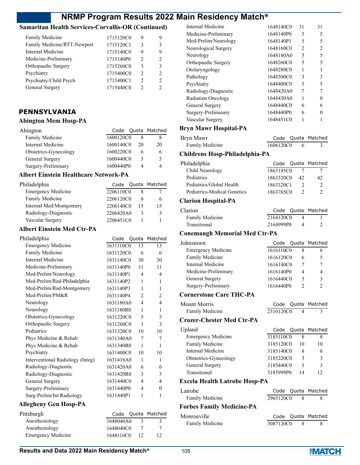# **Samaritan Health Services-Corvallis-OR (Continued)**

| Family Medicine             | 1715120C0 | 9              | 9             |
|-----------------------------|-----------|----------------|---------------|
| Family Medicine/RTT-Newport | 1715120C1 | 3              | 3             |
| Internal Medicine           | 1715140C0 | 9              | 9             |
| Medicine-Preliminary        | 1715140P0 | $\mathfrak{D}$ | $\mathcal{D}$ |
| Orthopaedic Surgery         | 1715260C0 | ٩              | 3             |
| Psychiatry                  | 1715400C0 | $\mathcal{P}$  | $\mathcal{P}$ |
| Psychiatry/Child Psych      | 1715400C1 | $\mathfrak{D}$ | $\mathcal{D}$ |
| General Surgery             | 1715440C0 | 2              | 2             |

# **PENNSYLVANIA**

# **Abington Mem Hosp-PA**

| Abington              |           |    | Code Quota Matched |
|-----------------------|-----------|----|--------------------|
| Family Medicine       | 1600120C0 |    |                    |
| Internal Medicine     | 1600140C0 | 20 | 20                 |
| Obstetrics-Gynecology | 1600220C0 |    | 6                  |
| General Surgery       | 1600440C0 |    | 5                  |
| Surgery-Preliminary   | 1600440P0 | Δ  |                    |

## **Albert Einstein Healthcare Network-PA**

| Philadelphia              |           |    | Code Quota Matched |
|---------------------------|-----------|----|--------------------|
| <b>Emergency Medicine</b> | 2206110C0 |    |                    |
| Family Medicine           | 2206120C0 |    | h                  |
| Internal Med/Montgomery   | 2206140C0 | 15 | 15                 |
| Radiology-Diagnostic      | 2206420A0 | 3  | κ                  |
| Vascular Surgery          | 2206451C0 |    |                    |

#### **Albert Einstein Med Ctr-PA**

| Philadelphia                     | Code      |                | Quota Matched  |
|----------------------------------|-----------|----------------|----------------|
| <b>Emergency Medicine</b>        | 1631110C0 | 13             | 13             |
| Family Medicine                  | 1631120C0 | 6              | 6              |
| Internal Medicine                | 1631140C0 | 30             | 30             |
| Medicine-Preliminary             | 1631140P0 | 11             | 11             |
| Med-Prelim/Neurology             | 1631140P1 | $\overline{4}$ | $\overline{4}$ |
| Med-Prelim/Rad-Philadelphia      | 1631140P2 | 1              | 1              |
| Med-Prelim/Rad-Montgomery        | 1631140P3 | 1              | 1              |
| Med-Prelim/PM&R                  | 1631140P4 | 2              | $\overline{c}$ |
| Neurology                        | 1631180A0 | 4              | 4              |
| Neurology                        | 1631180R0 | 1              | 1              |
| Obstetrics-Gynecology            | 1631220C0 | 5              | 5              |
| Orthopaedic Surgery              | 1631260C0 | 3              | 3              |
| Pediatrics                       | 1631320C0 | 10             | 10             |
| Phys Medicine & Rehab            | 1631340A0 | 7              | 7              |
| Phys Medicine & Rehab            | 1631340R0 | 1              | 1              |
| Psychiatry                       | 1631400C0 | 10             | 10             |
| Interventional Radiology (Integ) | 1631416A0 | 1              | 1              |
| Radiology-Diagnostic             | 1631420A0 | 6              | 6              |
| Radiology-Diagnostic             | 1631420R0 | 3              | 3              |
| General Surgery                  | 1631440C0 | 4              | 4              |
| Surgery-Preliminary              | 1631440P0 | 4              | $\theta$       |
| Surg-Prelim/Int Radiology        | 1631440P1 | 1              | 1              |
| Allegheny Gen Hosp-PA            |           |                |                |
| Pittsburgh                       | Code      | Ouota          | Matched        |

| Pittsburgh                |           |    | Code Quota Matched |
|---------------------------|-----------|----|--------------------|
| Anesthesiology            | 1648040A0 |    |                    |
| Anesthesiology            | 1648040C0 |    |                    |
| <b>Emergency Medicine</b> | 1648110C0 | 12 |                    |

| Internal Medicine         | 1648140C0 | 31                          | 31 |
|---------------------------|-----------|-----------------------------|----|
| Medicine-Preliminary      | 1648140P0 | 5                           | 5  |
| Med-Prelim/Neurology      | 1648140P1 | 5                           | 5  |
| Neurological Surgery      | 1648160C0 | $\mathcal{D}_{\mathcal{L}}$ | 2  |
| Neurology                 | 1648180A0 | 5                           | 5  |
| Orthopaedic Surgery       | 1648260C0 | 5                           | 5  |
| Otolaryngology            | 1648280C0 | 1                           |    |
| Pathology                 | 1648300C0 | 3                           | 3  |
| Psychiatry                | 1648400C0 | 5                           | 5  |
| Radiology-Diagnostic      | 1648420A0 | 7                           |    |
| <b>Radiation Oncology</b> | 1648430A0 |                             | 0  |
| General Surgery           | 1648440C0 | 6                           | 6  |
| Surgery-Preliminary       | 1648440P0 | 6                           | 0  |
| Vascular Surgery          | 1648451C0 |                             |    |
| $-$<br>$-$                |           |                             |    |

## **Bryn Mawr Hospital-PA**

| Bryn Mawr                            | Code      | Quota          | Matched        |
|--------------------------------------|-----------|----------------|----------------|
| Family Medicine                      | 1606120C0 | 6              | 3              |
| Childrens Hosp-Philadelphia-PA       |           |                |                |
| Philadelphia                         | Code      | Quota          | Matched        |
| Child Neurology                      | 1863185C0 | 7              | 7              |
| Pediatrics                           | 1863320C0 | 42             | 42             |
| Pediatrics/Global Health             | 1863320C1 | $\overline{2}$ | $\overline{2}$ |
| Pediatrics-Medical Genetics          | 1863765C0 | $\mathfrak{D}$ | $\mathfrak{D}$ |
| <b>Clarion Hospital-PA</b>           |           |                |                |
| Clarion                              | Code      | Quota          | Matched        |
| Family Medicine                      | 2164120C0 | 4              | 1              |
| Transitional                         | 2164999P0 | $\overline{4}$ | $\overline{c}$ |
| <b>Conemaugh Memorial Med Ctr-PA</b> |           |                |                |
| Johnstown                            | Code      | Quota          | Matched        |
| <b>Emergency Medicine</b>            | 1616110C0 | 8              | 8              |
| Family Medicine                      | 1616120C0 | 6              | 5              |
| Internal Medicine                    | 1616140C0 | 7              | 7              |
| Medicine-Preliminary                 | 1616140P0 | 4              | 4              |
| General Surgery                      | 1616440C0 | 3              | 3              |
| Surgery-Preliminary                  | 1616440P0 | $\mathfrak{D}$ | $\mathfrak{D}$ |
| <b>Cornerstone Care THC-PA</b>       |           |                |                |
| <b>Mount Morris</b>                  | Code      | Quota          | Matched        |
| Family Medicine                      | 2310120C0 | $\overline{4}$ | 3              |
| <b>Crozer-Chester Med Ctr-PA</b>     |           |                |                |
| Upland                               | Code      | Quota          | Matched        |
| <b>Emergency Medicine</b>            | 3185110C0 | 8              | 8              |
| Family Medicine                      | 3185120C0 | 10             | 10             |
| Internal Medicine                    | 3185140C0 | 8              | 8              |
| Obstetrics-Gynecology                | 3185220C0 | 3              | 3              |
| General Surgery                      | 3185440C0 | 3              | 3              |
| Transitional                         | 3185999P0 | 14             | 12             |
| <b>Excela Health Latrobe Hosp-PA</b> |           |                |                |
| Latrobe                              | Code      | Quota          | Matched        |
| Family Medicine                      | 2965120C0 | 8              | 8              |
| <b>Forbes Family Medicine-PA</b>     |           |                |                |
| Monroeville                          | Code      | Quota          | Matched        |
| <b>Family Medicine</b>               | 3087120C0 | 8              | 8              |
|                                      |           |                |                |

# **Results and Data 2022 Main Residency Match<sup>®</sup> 105**

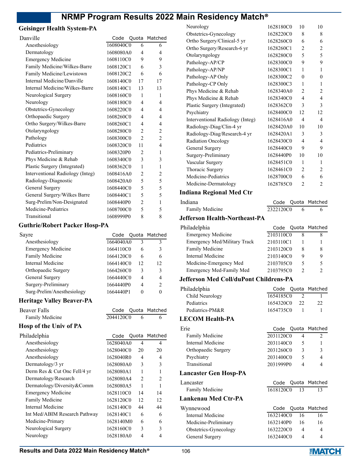#### **Geisinger Health System-PA**

| Danville                         | Code                   |                | Quota Matched  |
|----------------------------------|------------------------|----------------|----------------|
| Anesthesiology                   | $1608040\overline{CO}$ | 6              | 6              |
| Dermatology                      | 1608080A0              | 4              | 4              |
| <b>Emergency Medicine</b>        | 1608110C0              | 9              | 9              |
| Family Medicine/Wilkes-Barre     | 1608120C1              | 6              | 3              |
| Family Medicine/Lewistown        | 1608120C2              | 6              | 6              |
| Internal Medicine/Danville       | 1608140C0              | 17             | 17             |
| Internal Medicine/Wilkes-Barre   | 1608140C1              | 13             | 13             |
| Neurological Surgery             | 1608160C0              | 1              | 1              |
| Neurology                        | 1608180C0              | 4              | 4              |
| Obstetrics-Gynecology            | 1608220C0              | 4              | 4              |
| Orthopaedic Surgery              | 1608260C0              | 4              | 4              |
| Ortho Surgery/Wilkes-Barre       | 1608260C1              | 4              | 4              |
| Otolaryngology                   | 1608280C0              | $\overline{c}$ | $\overline{c}$ |
| Pathology                        | 1608300C0              | $\overline{2}$ | $\overline{c}$ |
| Pediatrics                       | 1608320C0              | 11             | 4              |
| Pediatrics-Preliminary           | 1608320P0              | $\mathfrak{D}$ | 1              |
| Phys Medicine & Rehab            | 1608340C0              | 3              | 3              |
| Plastic Surgery (Integrated)     | 1608362C0              | 1              | 1              |
| Interventional Radiology (Integ) | 1608416A0              | $\mathfrak{D}$ | $\overline{c}$ |
| Radiology-Diagnostic             | 1608420A0              | 5              | 5              |
| General Surgery                  | 1608440C0              | 5              | 5              |
| General Surgery/Wilkes Barre     | 1608440C1              | 5              | 5              |
| Surg-Prelim/Non-Designated       | 1608440P0              | $\overline{2}$ | 1              |
| Medicine-Pediatrics              | 1608700C0              | 5              | 5              |
| Transitional                     | 1608999P0              | 8              | 8              |
|                                  |                        |                |                |

#### **Guthrie/Robert Packer Hosp-PA**

| Sayre                      |           |    | Code Quota Matched |
|----------------------------|-----------|----|--------------------|
| Anesthesiology             | 1664040A0 | 3  | ٩                  |
| <b>Emergency Medicine</b>  | 1664110C0 | 6  | 3                  |
| <b>Family Medicine</b>     | 1664120C0 | 6  | 6                  |
| Internal Medicine          | 1664140C0 | 12 | 12                 |
| Orthopaedic Surgery        | 1664260C0 | 3  | 3                  |
| General Surgery            | 1664440C0 | 4  |                    |
| Surgery-Preliminary        | 1664440P0 | 4  | $\mathcal{P}$      |
| Surg-Prelim/Anesthesiology | 1664440P1 |    |                    |

Code Quota Matched 2044120C0 6 6

# **Heritage Valley Beaver-PA**

| <b>Beaver Falls</b>    |
|------------------------|
| <b>Family Medicine</b> |

## **Hosp of the Univ of PA**

| Philadelphia                  |           |                | Code Quota Matched |
|-------------------------------|-----------|----------------|--------------------|
| Anesthesiology                | 1628040A0 | 4              | 4                  |
| Anesthesiology                | 1628040C0 | 20             | 20                 |
| Anesthesiology                | 1628040R0 | 4              | 4                  |
| Dermatology/3 yr              | 1628080A0 | 3              | 3                  |
| Derm Res & Cut Onc Fell/4 yr  | 1628080A1 | 1              |                    |
| Dermatology/Research          | 1628080A4 | $\mathfrak{D}$ | $\mathfrak{D}$     |
| Dermatology/Diversity&Comm    | 1628080A5 | 1              |                    |
| <b>Emergency Medicine</b>     | 1628110C0 | 14             | 14                 |
| Family Medicine               | 1628120C0 | 12             | 12                 |
| Internal Medicine             | 1628140C0 | 44             | 44                 |
| Int Med/ABIM Research Pathway | 1628140C1 | 6              | 6                  |
| Medicine-Primary              | 1628140M0 | 6              | 6                  |
| Neurological Surgery          | 1628160C0 | 3              | 3                  |
| Neurology                     | 1628180A0 | 4              |                    |

| Neurology                        | 1628180C0 | 10             | 10             |
|----------------------------------|-----------|----------------|----------------|
| Obstetrics-Gynecology            | 1628220C0 | 8              | 8              |
| Ortho Surgery/Clinical-5 yr      | 1628260C0 | 6              | 6              |
| Ortho Surgery/Research-6 yr      | 1628260C1 | 2              | $\overline{c}$ |
| Otolaryngology                   | 1628280C0 | 5              | 5              |
| Pathology-AP/CP                  | 1628300C0 | 9              | 9              |
| Pathology-AP/NP                  | 1628300C1 | 1              | 1              |
| Pathology-AP Only                | 1628300C2 | $\theta$       | $\theta$       |
| Pathology-CP Only                | 1628300C3 | 1              | 1              |
| Phys Medicine & Rehab            | 1628340A0 | 2              | $\overline{2}$ |
| Phys Medicine & Rehab            | 1628340C0 | 4              | 4              |
| Plastic Surgery (Integrated)     | 1628362C0 | 3              | 3              |
| Psychiatry                       | 1628400C0 | 12             | 12             |
| Interventional Radiology (Integ) | 1628416A0 | 4              | 4              |
| Radiology-Diag/Clin-4 yr         | 1628420A0 | 10             | 10             |
| Radiology-Diag/Research-4 yr     | 1628420A1 | 3              | 3              |
| <b>Radiation Oncology</b>        | 1628430C0 | $\overline{4}$ | $\overline{4}$ |
| General Surgery                  | 1628440C0 | 9              | 9              |
| Surgery-Preliminary              | 1628440P0 | 10             | 10             |
| Vascular Surgery                 | 1628451C0 | 1              | 1              |
| Thoracic Surgery                 | 1628461C0 | 2              | 2              |
| Medicine-Pediatrics              | 1628700C0 | 6              | 6              |
| Medicine-Dermatology             | 1628785C0 | 2              | 2              |
|                                  |           |                |                |

#### **Indiana Regional Med Ctr**

| Indiana         |           | Code Quota Matched |
|-----------------|-----------|--------------------|
| Family Medicine | 2322120C0 |                    |

#### **Jefferson Health-Northeast-PA**

| Philadelphia                           | Code      |                               | Quota Matched  |
|----------------------------------------|-----------|-------------------------------|----------------|
| <b>Emergency Medicine</b>              | 2103110C0 | 8                             | 8              |
| <b>Emergency Med/Military Track</b>    | 2103110C1 | 1                             | 1              |
| Family Medicine                        | 2103120C0 | 8                             | 8              |
| Internal Medicine                      | 2103140C0 | 9                             | 9              |
| Medicine-Emergency Med                 | 2103705C0 | 5                             | 5              |
| Emergency Med-Family Med               | 2103795C0 | $\mathfrak{D}$                | $\mathfrak{D}$ |
| Jefferson Med Coll/duPont Childrens-PA |           |                               |                |
| Philadelphia                           | Code      |                               | Quota Matched  |
| Child Neurology                        | 1654185C0 | $\mathfrak{D}_{\mathfrak{p}}$ | 1              |
| Pediatrics                             | 1654320C0 | 22                            | 22             |
| Pediatrics-PM&R                        | 1654735C0 | 1                             | 1              |
| <b>LECOM Health-PA</b>                 |           |                               |                |
| Erie                                   | Code      |                               | Quota Matched  |
| <b>Family Medicine</b>                 | 2031120C0 | 4                             | 2              |
| Internal Medicine                      | 2031140C0 | 5                             | 1              |
| Orthopaedic Surgery                    | 2031260C0 | 3                             | 3              |
| Psychiatry                             | 2031400C0 | 5                             | 4              |

#### **Lancaster Gen Hosp-PA**

| <b>Exhibition</b> Sen Hosp 111 |           |    |               |
|--------------------------------|-----------|----|---------------|
| Lancaster                      | Code      |    | Quota Matched |
| Family Medicine                | 1618120C0 | 13 | 13            |
| Lankenau Med Ctr-PA            |           |    |               |
| Wynnewood                      | Code      |    | Quota Matched |
| Internal Medicine              | 1632140C0 | 16 | 16            |
| Medicine-Preliminary           | 1632140P0 | 16 | 16            |
| Obstetrics-Gynecology          | 1632220C0 | 4  | 4             |
| General Surgery                | 1632440C0 | 4  | 4             |

Transitional 2031999P0 4 4

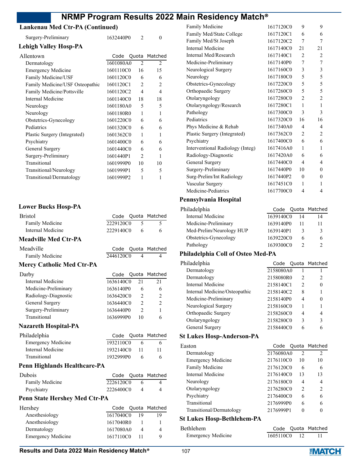#### **Lankenau Med Ctr-PA (Continued)**

| Lankenau Med Ctr-PA (Continued) |           |                |                |
|---------------------------------|-----------|----------------|----------------|
| Surgery-Preliminary             | 1632440P0 | $\overline{2}$ | $\Omega$       |
| <b>Lehigh Valley Hosp-PA</b>    |           |                |                |
| Allentown                       | Code      |                | Quota Matched  |
| Dermatology                     | 1601080A0 | $\mathcal{L}$  | $\overline{2}$ |
| <b>Emergency Medicine</b>       | 1601110C0 | 16             | 15             |
| Family Medicine/USF             | 1601120C0 | 6              | 6              |
| Family Medicine/USF Osteopathic | 1601120C1 | $\overline{2}$ | 2              |
| Family Medicine/Pottsville      | 1601120C2 | 4              | $\overline{4}$ |
| Internal Medicine               | 1601140C0 | 18             | 18             |
| Neurology                       | 1601180A0 | 5              | 5              |
| Neurology                       | 1601180R0 | 1              | 1              |
| Obstetrics-Gynecology           | 1601220C0 | 6              | 6              |
| Pediatrics                      | 1601320C0 | 6              | 6              |
| Plastic Surgery (Integrated)    | 1601362C0 | 1              | 1              |
| Psychiatry                      | 1601400C0 | 6              | 6              |
| General Surgery                 | 1601440C0 | 6              | 6              |
| Surgery-Preliminary             | 1601440P1 | $\mathcal{L}$  | 1              |
| Transitional                    | 1601999P0 | 10             | 10             |
| Transitional/Neurology          | 1601999P1 | 5              | 5              |
| Transitional/Dermatology        | 1601999P2 | 1              | 1              |

#### **Lower Bucks Hosp-PA**

| <b>Bristol</b>                       | Code      |                | Quota Matched  |
|--------------------------------------|-----------|----------------|----------------|
| Family Medicine                      | 2229120C0 | 5              | 5              |
| Internal Medicine                    | 2229140C0 | 6              | 6              |
| <b>Meadville Med Ctr-PA</b>          |           |                |                |
| Meadville                            | Code      | Quota          | Matched        |
| Family Medicine                      | 2446120C0 | 4              | 4              |
| <b>Mercy Catholic Med Ctr-PA</b>     |           |                |                |
| Darby                                | Code      | Quota          | Matched        |
| Internal Medicine                    | 1636140C0 | 2.1            | 21             |
| Medicine-Preliminary                 | 1636140P0 | 6              | 6              |
| Radiology-Diagnostic                 | 1636420C0 | $\overline{2}$ | 2              |
| General Surgery                      | 1636440C0 | $\overline{2}$ | $\overline{2}$ |
| Surgery-Preliminary                  | 1636440P0 | $\overline{2}$ | 1              |
| Transitional                         | 1636999P0 | 10             | 6              |
| <b>Nazareth Hospital-PA</b>          |           |                |                |
| Philadelphia                         | Code      | Quota          | Matched        |
| <b>Emergency Medicine</b>            | 1932110C0 | 6              | 6              |
| <b>Internal Medicine</b>             | 1932140C0 | 11             | 11             |
| Transitional                         | 1932999P0 | 6              | 6              |
| Penn Highlands Healthcare-PA         |           |                |                |
| Dubois                               | Code      | Quota          | Matched        |
| Family Medicine                      | 2226120C0 | 6              | 4              |
| Psychiatry                           | 2226400C0 | $\overline{4}$ | $\overline{4}$ |
| <b>Penn State Hershey Med Ctr-PA</b> |           |                |                |
| Hershey                              | Code      | Quota          | Matched        |
| Anesthesiology                       | 1617040C0 | 19             | 19             |
| Anesthesiology                       | 1617040R0 | 1              | 1              |
| Dermatology                          | 1617080A0 | $\overline{4}$ | 4              |
| <b>Emergency Medicine</b>            | 1617110C0 | 11             | 9              |

| Family Medicine                  | 1617120C0 | 9              | 9              |
|----------------------------------|-----------|----------------|----------------|
| Family Med/State College         | 1617120C1 | 6              | 6              |
| Family Med/St Joseph             | 1617120C2 | 7              | 7              |
| Internal Medicine                | 1617140C0 | 21             | 21             |
| Internal Med/Research            | 1617140C1 | 2              | $\overline{2}$ |
| Medicine-Preliminary             | 1617140P0 | 7              | 7              |
| Neurological Surgery             | 1617160C0 | 3              | $\mathfrak{Z}$ |
| Neurology                        | 1617180C0 | 5              | 5              |
| Obstetrics-Gynecology            | 1617220C0 | 5              | 5              |
| Orthopaedic Surgery              | 1617260C0 | 5              | 5              |
| Otolaryngology                   | 1617280C0 | 2              | $\overline{2}$ |
| Otolaryngology/Research          | 1617280C1 | $\mathbf{1}$   | $\mathbf{1}$   |
| Pathology                        | 1617300C0 | 3              | 3              |
| Pediatrics                       | 1617320C0 | 16             | 16             |
| Phys Medicine & Rehab            | 1617340A0 | 4              | 4              |
| Plastic Surgery (Integrated)     | 1617362C0 | 2              | $\overline{2}$ |
| Psychiatry                       | 1617400C0 | 6              | 6              |
| Interventional Radiology (Integ) | 1617416A0 | 1              | 1              |
| Radiology-Diagnostic             | 1617420A0 | 6              | 6              |
| General Surgery                  | 1617440C0 | 4              | 4              |
| Surgery-Preliminary              | 1617440P0 | 10             | $\mathbf{0}$   |
| Surg-Prelim/Int Radiology        | 1617440P2 | $\overline{0}$ | $\mathbf{0}$   |
| Vascular Surgery                 | 1617451C0 | 1              | 1              |
| Medicine-Pediatrics              | 1617700C0 | 4              | 4              |
| .                                |           |                |                |

## **Pennsylvania Hospital**

| 14 | 14                                                                                  |
|----|-------------------------------------------------------------------------------------|
|    | 11                                                                                  |
| 3  | 3                                                                                   |
| 6  | 6                                                                                   |
|    |                                                                                     |
|    | Code Quota Matched<br>1639140C0<br>1639140P0<br>1639140P1<br>1639220C0<br>1639300C0 |

# **Philadelphia Coll of Osteo Med-PA**

| Philadelphia                  | Code      |                | Quota Matched |
|-------------------------------|-----------|----------------|---------------|
| Dermatology                   | 2158080A0 |                |               |
| Dermatology                   | 2158080R0 | 2              | 2             |
| Internal Medicine             | 2158140C1 | $\mathfrak{D}$ | 0             |
| Internal Medicine/Osteopathic | 2158140C2 | 8              |               |
| Medicine-Preliminary          | 2158140P0 | 4              |               |
| Neurological Surgery          | 2158160C0 |                |               |
| Orthopaedic Surgery           | 2158260C0 | 4              | 4             |
| Otolaryngology                | 2158280C0 | 3              | 3             |
| General Surgery               | 2158440C0 | 6              | 6             |
|                               |           |                |               |

## **St Lukes Hosp-Anderson-PA**

| Easton                    |           |                | Code Quota Matched |
|---------------------------|-----------|----------------|--------------------|
| Dermatology               | 2176080A0 | $\overline{2}$ | $\mathfrak{D}$     |
| <b>Emergency Medicine</b> | 2176110C0 | 10             | 10                 |
| Family Medicine           | 2176120C0 | 6              | 6                  |
| Internal Medicine         | 2176140C0 | 13             | 13                 |
| Neurology                 | 2176180C0 | 4              | 4                  |
| Otolaryngology            | 2176280C0 | $\mathfrak{D}$ | $\mathcal{P}$      |
| Psychiatry                | 2176400C0 | 6              | 6                  |
| Transitional              | 2176999P0 | 6              | 6                  |
| Transitional/Dermatology  | 2176999P1 |                |                    |

## **St Lukes Hosp-Bethlehem-PA**

| Bethlehem                 |              | Code Quota Matched |
|---------------------------|--------------|--------------------|
| <b>Emergency Medicine</b> | 1605110C0 12 |                    |

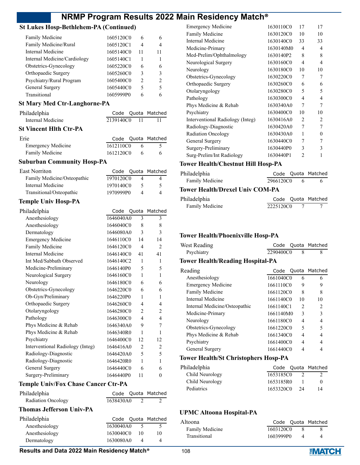# **St Lukes Hosp-Bethlehem-PA (Continued)**

| Family Medicine              | 1605120C0 | 6  | 6             |
|------------------------------|-----------|----|---------------|
| Family Medicine/Rural        | 1605120C1 | 4  |               |
| Internal Medicine            | 1605140C0 | 11 | 11            |
| Internal Medicine/Cardiology | 1605140C1 |    |               |
| Obstetrics-Gynecology        | 1605220C0 | 6  | 6             |
| Orthopaedic Surgery          | 1605260C0 | 3  | 3             |
| Psychiatry/Rural Program     | 1605400C0 | 2  | $\mathcal{P}$ |
| General Surgery              | 1605440C0 | 5  | 5             |
| Transitional                 | 1605999P0 |    |               |

## **St Mary Med Ctr-Langhorne-PA**

| Philadelphia           |              | Code Quota Matched |
|------------------------|--------------|--------------------|
| Internal Medicine      | 2139140C0 11 |                    |
| St Vincent Hlth Ctr-PA |              |                    |

| Erie                      |           | Code Quota Matched |
|---------------------------|-----------|--------------------|
| <b>Emergency Medicine</b> | 1612110C0 |                    |
| Family Medicine           | 1612120C0 | 6                  |

## **Suburban Community Hosp-PA**

| East Norriton               |           | Code Quota Matched |
|-----------------------------|-----------|--------------------|
| Family Medicine/Osteopathic | 1970120C0 | 4                  |
| Internal Medicine           | 1970140C0 | 5.                 |
| Transitional/Osteopathic    | 1970999P0 | 4                  |

## **Temple Univ Hosp-PA**

| Philadelphia                     | Code      | Quota          | Matched        |
|----------------------------------|-----------|----------------|----------------|
| Anesthesiology                   | 1646040A0 | 3              | 3              |
| Anesthesiology                   | 1646040C0 | 8              | 8              |
| Dermatology                      | 1646080A0 | 3              | 3              |
| <b>Emergency Medicine</b>        | 1646110C0 | 14             | 14             |
| Family Medicine                  | 1646120C0 | $\overline{4}$ | $\overline{2}$ |
| Internal Medicine                | 1646140C0 | 41             | 41             |
| Int Med/Sabbath Observed         | 1646140C2 | 1              | 1              |
| Medicine-Preliminary             | 1646140P0 | 5              | 5              |
| Neurological Surgery             | 1646160C0 | 1              | 1              |
| Neurology                        | 1646180C0 | 6              | 6              |
| Obstetrics-Gynecology            | 1646220C0 | 6              | 6              |
| Ob-Gyn/Preliminary               | 1646220P0 | 1              | 1              |
| Orthopaedic Surgery              | 1646260C0 | 4              | 4              |
| Otolaryngology                   | 1646280C0 | $\overline{2}$ | $\overline{c}$ |
| Pathology                        | 1646300C0 | 4              | 4              |
| Phys Medicine & Rehab            | 1646340A0 | 9              | 7              |
| Phys Medicine & Rehab            | 1646340R0 | 1              | 1              |
| Psychiatry                       | 1646400C0 | 12             | 12             |
| Interventional Radiology (Integ) | 1646416A0 | $\overline{2}$ | 2              |
| Radiology-Diagnostic             | 1646420A0 | 5              | 5              |
| Radiology-Diagnostic             | 1646420R0 | 1              | 1              |
| General Surgery                  | 1646440C0 | 6              | 6              |
| Surgery-Preliminary              | 1646440P0 | 11             | $\theta$       |
|                                  |           |                |                |

#### **Temple Univ/Fox Chase Cancer Ctr-PA**

| Philadelphia              |           |  | Code Quota Matched |
|---------------------------|-----------|--|--------------------|
| <b>Radiation Oncology</b> | 1638430A0 |  |                    |

#### **Thomas Jefferson Univ-PA**

| Philadelphia   |           |     | Code Quota Matched |
|----------------|-----------|-----|--------------------|
| Anesthesiology | 1630040A0 |     |                    |
| Anesthesiology | 1630040C0 | -10 | 10                 |
| Dermatology    | 1630080A0 |     |                    |

| <b>Emergency Medicine</b>        | 1630110C0 | 17             | 17 |
|----------------------------------|-----------|----------------|----|
| Family Medicine                  | 1630120C0 | 10             | 10 |
| Internal Medicine                | 1630140C0 | 33             | 33 |
| Medicine-Primary                 | 1630140M0 | 4              | 4  |
| Med-Prelim/Ophthalmology         | 1630140P2 | 8              | 8  |
| Neurological Surgery             | 1630160C0 | 4              | 4  |
| Neurology                        | 1630180C0 | 10             | 10 |
| Obstetrics-Gynecology            | 1630220C0 | 7              | 7  |
| Orthopaedic Surgery              | 1630260C0 | 6              | 6  |
| Otolaryngology                   | 1630280C0 | 5              | 5  |
| Pathology                        | 1630300C0 | 4              | 4  |
| Phys Medicine & Rehab            | 1630340A0 | 7              | 7  |
| Psychiatry                       | 1630400C0 | 10             | 10 |
| Interventional Radiology (Integ) | 1630416A0 | 2              | 2  |
| Radiology-Diagnostic             | 1630420A0 | 7              | 7  |
| <b>Radiation Oncology</b>        | 1630430A0 | 1              | 0  |
| General Surgery                  | 1630440C0 | 7              | 7  |
| Surgery-Preliminary              | 1630440P0 | 3              | 3  |
| Surg-Prelim/Int Radiology        | 1630440P1 | $\mathfrak{D}$ | 1  |

# **Tower Health/Chestnut Hill Hosp-PA**

| Philadelphia    |           | Code Quota Matched |
|-----------------|-----------|--------------------|
| Family Medicine | 2966120C0 |                    |

#### **Tower Health/Drexel Univ COM-PA**

| Philadelphia    |           | Code Quota Matched |
|-----------------|-----------|--------------------|
| Family Medicine | 2225120C0 |                    |

## **Tower Health/Phoenixville Hosp-PA**

| West Reading                                |           |    | Code Quota Matched |
|---------------------------------------------|-----------|----|--------------------|
| Psychiatry                                  | 2290400C0 | 8  | 8                  |
| <b>Tower Health/Reading Hospital-PA</b>     |           |    |                    |
| Reading                                     |           |    | Code Quota Matched |
| Anesthesiology                              | 1661040C0 | 6  | 6                  |
| <b>Emergency Medicine</b>                   | 1661110C0 | 9  | 9                  |
| Family Medicine                             | 1661120C0 | 8  | 8                  |
| Internal Medicine                           | 1661140C0 | 10 | 10                 |
| Internal Medicine/Osteopathic               | 1661140C1 | 2  | 2                  |
| Medicine-Primary                            | 1661140M0 | 3  | 3                  |
| Neurology                                   | 1661180C0 | 4  | 4                  |
| Obstetrics-Gynecology                       | 1661220C0 | 5  | 5                  |
| Phys Medicine & Rehab                       | 1661340C0 | 4  | 4                  |
| Psychiatry                                  | 1661400C0 | 4  | 4                  |
| General Surgery                             | 1661440C0 | 4  | 4                  |
| <b>Tower Health/St Christophers Hosp-PA</b> |           |    |                    |

| Code Quota Matched           |  |
|------------------------------|--|
| Child Neurology<br>1653185C0 |  |
| Child Neurology<br>1653185R0 |  |
| 1653320C0<br>24<br>14        |  |
|                              |  |

#### **UPMC Altoona Hospital-PA**

| Altoona         |           | Code Quota Matched |
|-----------------|-----------|--------------------|
| Family Medicine | 1603120C0 |                    |
| Transitional    | 1603999P0 |                    |

#### **Results and Data 2022 Main Residency Match<sup>®</sup> 108**

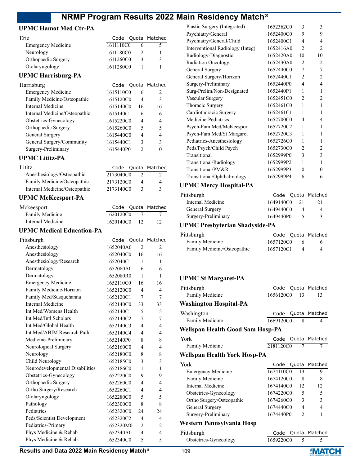Code Quota Matched

# **UPMC Hamot Med Ctr-PA**

| Erie                      |           |   | Code Quota Matched |
|---------------------------|-----------|---|--------------------|
| <b>Emergency Medicine</b> | 1611110C0 |   |                    |
| Neurology                 | 1611180C0 |   |                    |
| Orthopaedic Surgery       | 1611260C0 | 3 |                    |
| Otolaryngology            | 1611280C0 |   |                    |
|                           |           |   |                    |

# **UPMC Harrisburg-PA**

| <b>Emergency Medicine</b>     | 1615110C0 | 6             | $\mathfrak{D}$ |
|-------------------------------|-----------|---------------|----------------|
| Family Medicine/Osteopathic   | 1615120C0 | 4             | 3              |
| Internal Medicine             | 1615140C0 | 16            | 16             |
| Internal Medicine/Osteopathic | 1615140C1 | 6             | 6              |
| Obstetrics-Gynecology         | 1615220C0 | 4             | 4              |
| Orthopaedic Surgery           | 1615260C0 | 5             | 5              |
| General Surgery               | 1615440C0 | 4             | 4              |
| General Surgery/Community     | 1615440C1 | 3             | 3              |
| Surgery-Preliminary           | 1615440P0 | $\mathcal{P}$ | $\theta$       |
|                               |           |               |                |

#### **UPMC Lititz-PA**

| Lititz                        |           | Code Quota Matched |
|-------------------------------|-----------|--------------------|
| Anesthesiology/Osteopathic    | 2173040C0 | 2                  |
| Family Medicine/Osteopathic   | 2173120C0 | 4                  |
| Internal Medicine/Osteopathic | 2173140C0 | 3                  |

# **UPMC McKeesport-PA**

| Mckeesport        |              | Code Quota Matched |
|-------------------|--------------|--------------------|
| Family Medicine   | 1620120C0    |                    |
| Internal Medicine | 1620140C0 12 | 12                 |

# **UPMC Medical Education-PA**

| Pittsburgh                      | Code      |                          | Quota Matched            |
|---------------------------------|-----------|--------------------------|--------------------------|
| Anesthesiology                  | 1652040A0 | $\overline{2}$           | $\overline{2}$           |
| Anesthesiology                  | 1652040C0 | 16                       | 16                       |
| Anesthesiology/Research         | 1652040C1 | 1                        | 1                        |
| Dermatology                     | 1652080A0 | 6                        | 6                        |
| Dermatology                     | 1652080R0 | 1                        | 1                        |
| <b>Emergency Medicine</b>       | 1652110C0 | 16                       | 16                       |
| Family Medicine/Horizon         | 1652120C0 | 4                        | $\overline{\mathcal{A}}$ |
| Family Med/Susquehanna          | 1652120C1 | 7                        | 7                        |
| Internal Medicine               | 1652140C0 | 33                       | 33                       |
| Int Med/Womens Health           | 1652140C1 | $\overline{\phantom{0}}$ | 5                        |
| Int Med/Intl Scholars           | 1652140C2 | 7                        | 7                        |
| Int Med/Global Health           | 1652140C3 | 4                        | 4                        |
| Int Med/ABIM Research Path      | 1652140C4 | 4                        | 4                        |
| Medicine-Preliminary            | 1652140P0 | 8                        | 8                        |
| Neurological Surgery            | 1652160C0 | 4                        | 4                        |
| Neurology                       | 1652180C0 | 8                        | 8                        |
| Child Neurology                 | 1652185C0 | 3                        | 3                        |
| Neurodevelopmental Disabilities | 1652186C0 | 1                        | 1                        |
| Obstetrics-Gynecology           | 1652220C0 | 9                        | 9                        |
| Orthopaedic Surgery             | 1652260C0 | 4                        | 4                        |
| Ortho Surgery/Research          | 1652260C1 | 4                        | 4                        |
| Otolaryngology                  | 1652280C0 | 5                        | 5                        |
| Pathology                       | 1652300C0 | 8                        | 8                        |
| Pediatrics                      | 1652320C0 | 24                       | 24                       |
| Peds/Scientist Development      | 1652320C2 | 4                        | 4                        |
| Pediatrics-Primary              | 1652320M0 | $\overline{2}$           | $\overline{c}$           |
| Phys Medicine & Rehab           | 1652340A0 | 4                        | 4                        |
| Phys Medicine & Rehab           | 1652340C0 | 5                        | $\overline{\phantom{0}}$ |
|                                 |           |                          |                          |

| Plastic Surgery (Integrated)     | 1652362C0 | 3                           | 3              |
|----------------------------------|-----------|-----------------------------|----------------|
| Psychiatry/General               | 1652400C0 | 9                           | 9              |
| Psychiatry/General/Child         | 1652400C1 | 4                           | 4              |
| Interventional Radiology (Integ) | 1652416A0 | $\mathcal{D}_{\mathcal{L}}$ | 2              |
| Radiology-Diagnostic             | 1652420A0 | 10                          | 10             |
| <b>Radiation Oncology</b>        | 1652430A0 | $\mathcal{D}_{\mathcal{L}}$ | 2              |
| General Surgery                  | 1652440C0 | 7                           | 7              |
| General Surgery/Horizon          | 1652440C1 | $\overline{c}$              | 2              |
| Surgery-Preliminary              | 1652440P0 | $\overline{4}$              | 4              |
| Surg-Prelim/Non-Designated       | 1652440P1 | 1                           | 1              |
| Vascular Surgery                 | 1652451C0 | 2                           | 2              |
| Thoracic Surgery                 | 1652461C0 | $\mathbf{1}$                | 1              |
| Cardiothoracic Surgery           | 1652461C1 | 1                           | 1              |
| Medicine-Pediatrics              | 1652700C0 | 4                           | 4              |
| Psych-Fam Med/McKeesport         | 1652720C2 | 1                           | 1              |
| Psych-Fam Med/St Margaret        | 1652720C3 | 1                           | 1              |
| Pediatrics-Anesthesiology        | 1652726C0 | 1                           | 1              |
| Peds/Psych/Child Psych           | 1652730C0 | $\overline{c}$              | $\overline{c}$ |
| Transitional                     | 1652999P0 | 3                           | 3              |
| Transitional/Radiology           | 1652999P2 | 1                           | 1              |
| Transitional/PM&R                | 1652999P3 | $\Omega$                    | 0              |
| Transitional/Ophthalmology       | 1652999P4 | 6                           | 6              |
|                                  |           |                             |                |

# **UPMC Mercy Hospital-PA**

| Pittsburgh          |           |    | Code Quota Matched |
|---------------------|-----------|----|--------------------|
| Internal Medicine   | 1649140C0 | 21 | 21                 |
| General Surgery     | 1649440C0 |    | 4                  |
| Surgery-Preliminary | 1649440P0 |    | 3                  |

# **UPMC Presbyterian Shadyside-PA**

| Pittsburgh                  |           | Code Quota Matched |
|-----------------------------|-----------|--------------------|
| Family Medicine             | 1657120C0 |                    |
| Family Medicine/Osteopathic | 1657120C1 |                    |

#### **UPMC St Margaret-PA**

| Pittsburgh                       |           |                | Code Quota Matched |
|----------------------------------|-----------|----------------|--------------------|
| <b>Family Medicine</b>           | 1656120C0 | 13             | 13                 |
| <b>Washington Hospital-PA</b>    |           |                |                    |
| Washington                       | Code      |                | Quota Matched      |
| Family Medicine                  | 1669120C0 | 8              | 4                  |
| Wellspan Health Good Sam Hosp-PA |           |                |                    |
| York                             | Code      |                | Quota Matched      |
| <b>Family Medicine</b>           | 2181120C0 | 7              | 7                  |
| Wellspan Health York Hosp-PA     |           |                |                    |
| York                             |           |                | Code Quota Matched |
| <b>Emergency Medicine</b>        | 1674110C0 | 13             | 9                  |
| Family Medicine                  | 1674120C0 | 8              | 8                  |
| Internal Medicine                | 1674140C0 | 12             | 12                 |
| Obstetrics-Gynecology            | 1674220C0 | 5              | 5                  |
| Ortho Surgery/Osteopathic        | 1674260C0 | 3              | 3                  |
| General Surgery                  | 1674440C0 | $\overline{4}$ | 4                  |
| Surgery-Preliminary              | 1674440P0 | $\overline{2}$ | 1                  |
| Western Pennsylvania Hosp        |           |                |                    |
| Pittsburgh                       | Code      |                | Quota Matched      |
| Obstetrics-Gynecology            | 1659220C0 | 5              | 5                  |

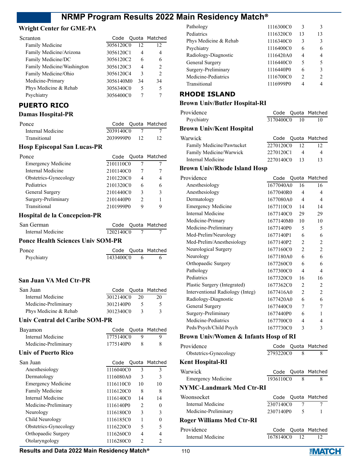#### **Wright Center for GME-PA**

| Scranton                   |           |    | Code Quota Matched |
|----------------------------|-----------|----|--------------------|
| <b>Family Medicine</b>     | 3056120C0 | 12 | 12                 |
| Family Medicine/Arizona    | 3056120C1 | 4  | 4                  |
| Family Medicine/DC         | 3056120C2 | 6  |                    |
| Family Medicine/Washington | 3056120C3 | 4  | $\mathcal{P}$      |
| Family Medicine/Ohio       | 3056120C4 | 3  | $\mathfrak{D}$     |
| Medicine-Primary           | 3056140M0 | 34 | 34                 |
| Phys Medicine & Rehab      | 3056340C0 | 5  | 5                  |
| Psychiatry                 | 3056400C0 |    |                    |
|                            |           |    |                    |

# **PUERTO RICO**

#### **Damas Hospital-PR**

| Ponce             |              | Code Quota Matched |
|-------------------|--------------|--------------------|
| Internal Medicine | 2039140C0    |                    |
| Transitional      | 2039999P0 12 |                    |

# **Hosp Episcopal San Lucas-PR**

| Ponce                     |           |               | Code Quota Matched |
|---------------------------|-----------|---------------|--------------------|
| <b>Emergency Medicine</b> | 2101110C0 |               |                    |
| Internal Medicine         | 2101140C0 |               |                    |
| Obstetrics-Gynecology     | 2101220C0 | 4             |                    |
| Pediatrics                | 2101320C0 | 6             |                    |
| General Surgery           | 2101440C0 | ٩             | ٩                  |
| Surgery-Preliminary       | 2101440P0 | $\mathcal{P}$ |                    |
| Transitional              | 2101999P0 | q             |                    |

#### **Hospital de la Concepcion-PR**

| San German                               |             | Code Quota Matched |
|------------------------------------------|-------------|--------------------|
| Internal Medicine                        | 1202140C0 7 |                    |
| <b>Ponce Health Sciences Univ SOM-PR</b> |             |                    |
| Ponce                                    |             | Code Quota Matched |

Psychiatry 1433400C0 6 6

# **San Juan VA Med Ctr-PR**

| San Juan              |           |    | Code Quota Matched |
|-----------------------|-----------|----|--------------------|
| Internal Medicine     | 3012140C0 | 20 | 20                 |
| Medicine-Preliminary  | 3012140P0 |    |                    |
| Phys Medicine & Rehab | 3012340C0 |    |                    |

### **Univ Central del Caribe SOM-PR**

| Bayamon                   | Code      |    | Quota Matched  |
|---------------------------|-----------|----|----------------|
| Internal Medicine         | 1775140C0 | 9  | 9              |
| Medicine-Preliminary      | 1775140P0 | 8  | 8              |
| Univ of Puerto Rico       |           |    |                |
| San Juan                  | Code      |    | Quota Matched  |
| Anesthesiology            | 1116040C0 | 3  | 3              |
| Dermatology               | 1116080A0 | 3  | 3              |
| <b>Emergency Medicine</b> | 1116110C0 | 10 | 10             |
| Family Medicine           | 1116120C0 | 8  | 8              |
| Internal Medicine         | 1116140C0 | 14 | 14             |
| Medicine-Preliminary      | 1116140P0 | 2  | 0              |
| Neurology                 | 1116180C0 | 3  | 3              |
| Child Neurology           | 1116185C0 | 1  | $\theta$       |
| Obstetrics-Gynecology     | 1116220C0 | 5  | 5              |
| Orthopaedic Surgery       | 1116260C0 | 4  | 4              |
| Otolaryngology            | 1116280C0 | っ  | $\mathfrak{D}$ |

| Pathology             | 1116300C0 | 3  |    |
|-----------------------|-----------|----|----|
| Pediatrics            | 1116320C0 | 13 | 13 |
| Phys Medicine & Rehab | 1116340C0 | 3  | 3  |
| Psychiatry            | 1116400C0 | 6  | 6  |
| Radiology-Diagnostic  | 1116420A0 | 4  | 4  |
| General Surgery       | 1116440C0 | 5  | 5  |
| Surgery-Preliminary   | 1116440P0 | 6  |    |
| Medicine-Pediatrics   | 1116700C0 | 2  |    |
| Transitional          | 1116999P0 |    |    |

# **RHODE ISLAND**

#### **Brown Univ/Butler Hospital-RI**

| Providence                      |           |             | Code Quota Matched |
|---------------------------------|-----------|-------------|--------------------|
| Psychiatry                      | 3170400C0 | $\sqrt{10}$ |                    |
| <b>Brown Univ/Kent Hospital</b> |           |             |                    |

| Warwick                   |           |    | Code Quota Matched |
|---------------------------|-----------|----|--------------------|
| Family Medicine/Pawtucket | 2270120C0 | 12 | 12 <sup>°</sup>    |
| Family Medicine/Warwick   | 2270120C1 |    | $\Delta$           |
| Internal Medicine         | 2270140C0 | 13 | 13                 |

## **Brown Univ/Rhode Island Hosp**

| Providence                       | Code      | Quota          | Matched        |
|----------------------------------|-----------|----------------|----------------|
| Anesthesiology                   | 1677040A0 | 16             | 16             |
| Anesthesiology                   | 1677040R0 | 4              | 4              |
| Dermatology                      | 1677080A0 | 4              | $\overline{4}$ |
| <b>Emergency Medicine</b>        | 1677110C0 | 14             | 14             |
| Internal Medicine                | 1677140C0 | 29             | 29             |
| Medicine-Primary                 | 1677140M0 | 10             | 10             |
| Medicine-Preliminary             | 1677140P0 | 5              | 5              |
| Med-Prelim/Neurology             | 1677140P1 | 6              | 6              |
| Med-Prelim/Anesthesiology        | 1677140P2 | 2              | $\overline{2}$ |
| Neurological Surgery             | 1677160C0 | 2              | $\overline{2}$ |
| Neurology                        | 1677180A0 | 6              | 6              |
| Orthopaedic Surgery              | 1677260C0 | 6              | 6              |
| Pathology                        | 1677300C0 | 4              | 4              |
| Pediatrics                       | 1677320C0 | 16             | 16             |
| Plastic Surgery (Integrated)     | 1677362C0 | 2              | 2              |
| Interventional Radiology (Integ) | 1677416A0 | $\overline{c}$ | $\overline{2}$ |
| Radiology-Diagnostic             | 1677420A0 | 6              | 6              |
| General Surgery                  | 1677440C0 | 7              | 7              |
| Surgery-Preliminary              | 1677440P0 | 6              | 1              |
| Medicine-Pediatrics              | 1677700C0 | 4              | 4              |
| Peds/Psych/Child Psych           | 1677730C0 | 3              | 3              |
|                                  |           |                |                |

# **Brown Univ/Women & Infants Hosp of RI**

| Providence                       |             |    | Code Quota Matched |
|----------------------------------|-------------|----|--------------------|
| Obstetrics-Gynecology            | 2793220C0 8 |    | 8                  |
| Kent Hospital-RI                 |             |    |                    |
| Warwick                          |             |    | Code Quota Matched |
| <b>Emergency Medicine</b>        | 1936110C0 8 |    | 8                  |
| NYMC-Landmark Med Ctr-RI         |             |    |                    |
| Woonsocket                       |             |    | Code Quota Matched |
| Internal Medicine                | 2307140C0 7 |    |                    |
| Medicine-Preliminary             | 2307140P0 5 |    |                    |
| <b>Roger Williams Med Ctr-RI</b> |             |    |                    |
| Providence                       | Code        |    | Quota Matched      |
| Internal Medicine                | 1678140C0   | 12 | 12                 |

#### **Results and Data 2022 Main Residency Match®** 110

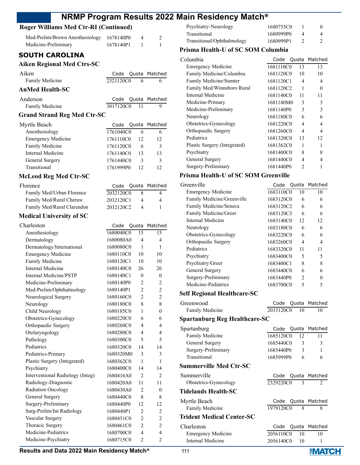# **Roger Williams Med Ctr-RI (Continued)**

| Med-Prelim/Brown Anesthesiology 1678140P0     |             | 4 |  |
|-----------------------------------------------|-------------|---|--|
| Medicine-Preliminary<br><b>SOUTH CAROLINA</b> | 1678140P1 1 |   |  |

# **Aiken Regional Med Ctrs-SC**

| Aiken                              |           |      | Code Quota Matched |
|------------------------------------|-----------|------|--------------------|
| Family Medicine                    | 2321120C0 | 6    | 6                  |
| <b>AnMed Health-SC</b>             |           |      |                    |
| Anderson                           |           |      | Code Quota Matched |
| Family Medicine                    | 3017120C0 | - 11 |                    |
| <b>Grand Strand Reg Med Ctr-SC</b> |           |      |                    |

| Myrtle Beach              |           |    | Code Quota Matched |
|---------------------------|-----------|----|--------------------|
| Anesthesiology            | 1761040C0 |    | 6                  |
| <b>Emergency Medicine</b> | 1761110C0 | 12 | 12                 |
| Family Medicine           | 1761120C0 | 6  | 3                  |
| Internal Medicine         | 1761140C0 | 13 | 13                 |
| General Surgery           | 1761440C0 | 3  | 3                  |
| Transitional              | 1761999P0 |    |                    |

## **McLeod Reg Med Ctr-SC**

| Florence                   |           | Code Quota Matched |
|----------------------------|-----------|--------------------|
| Family Med/Urban Florence  | 2032120C0 | 4                  |
| Family Med/Rural Cheraw    | 2032120C1 | 4                  |
| Family Med/Rural Clarendon | 2032120C2 |                    |

#### **Medical University of SC**

| Charleston                       | Code      | Quota          | Matched                  |
|----------------------------------|-----------|----------------|--------------------------|
| Anesthesiology                   | 1680040C0 | 15             | 15                       |
| Dermatology                      | 1680080A0 | 4              | 4                        |
| Dermatology/International        | 1680080C0 | 1              | 1                        |
| <b>Emergency Medicine</b>        | 1680110C0 | 10             | 10                       |
| Family Medicine                  | 1680120C1 | 10             | 10                       |
| <b>Internal Medicine</b>         | 1680140C0 | 26             | 26                       |
| Internal Medicine/PSTP           | 1680140C1 | $\theta$       | $\theta$                 |
| Medicine-Preliminary             | 1680140P0 | $\overline{2}$ | $\overline{c}$           |
| Med-Prelim/Ophthalmology         | 1680140P1 | $\overline{2}$ | $\overline{2}$           |
| Neurological Surgery             | 1680160C0 | $\overline{2}$ | $\overline{2}$           |
| Neurology                        | 1680180C0 | 8              | 8                        |
| Child Neurology                  | 1680185C0 | 1              | $\theta$                 |
| Obstetrics-Gynecology            | 1680220C0 | 6              | 6                        |
| Orthopaedic Surgery              | 1680260C0 | 4              | 4                        |
| Otolaryngology                   | 1680280C0 | 4              | 4                        |
| Pathology                        | 1680300C0 | 5              | 5                        |
| Pediatrics                       | 1680320C0 | 14             | 14                       |
| Pediatrics-Primary               | 1680320M0 | 3              | 3                        |
| Plastic Surgery (Integrated)     | 1680362C0 | 1              | 1                        |
| Psychiatry                       | 1680400C0 | 14             | 14                       |
| Interventional Radiology (Integ) | 1680416A0 | $\overline{2}$ | 2                        |
| Radiology-Diagnostic             | 1680420A0 | 11             | 11                       |
| <b>Radiation Oncology</b>        | 1680430A0 | $\overline{2}$ | $\theta$                 |
| <b>General Surgery</b>           | 1680440C0 | 8              | 8                        |
| Surgery-Preliminary              | 1680440P0 | 12             | 12                       |
| Surg-Prelim/Int Radiology        | 1680440P1 | $\overline{c}$ | 2                        |
| Vascular Surgery                 | 1680451C0 | $\overline{2}$ | $\overline{c}$           |
| Thoracic Surgery                 | 1680461C0 | $\overline{2}$ | $\overline{2}$           |
| Medicine-Pediatrics              | 1680700C0 | $\overline{4}$ | $\overline{\mathcal{L}}$ |
| Medicine-Psychiatry              | 1680715C0 | $\overline{2}$ | $\overline{2}$           |
|                                  |           |                |                          |

| Psychiatry-Neurology       | 1680755C0 |  |
|----------------------------|-----------|--|
| Transitional               | 1680999P0 |  |
| Transitional/Ophthalmology | 1680999P1 |  |

#### **Prisma Health-U of SC SOM Columbia**

| Columbia                     |           |                | Code Quota Matched |
|------------------------------|-----------|----------------|--------------------|
| <b>Emergency Medicine</b>    | 1681110C0 | 13             | 13                 |
| Family Medicine/Columbia     | 1681120C0 | 10             | 10                 |
| Family Medicine/Sumter       | 1681120C1 | 4              | 4                  |
| Family Med/Winnsboro Rural   | 1681120C2 | 1              | 0                  |
| Internal Medicine            | 1681140C0 | 11             | 11                 |
| Medicine-Primary             | 1681140M0 | 3              | 3                  |
| Medicine-Preliminary         | 1681140P0 | 3              | 3                  |
| Neurology                    | 1681180C0 | 6              | 6                  |
| Obstetrics-Gynecology        | 1681220C0 | 4              | 4                  |
| Orthopaedic Surgery          | 1681260C0 | 4              | 4                  |
| Pediatrics                   | 1681320C0 | 13             | 12                 |
| Plastic Surgery (Integrated) | 1681362C0 | 1              |                    |
| Psychiatry                   | 1681400C0 | 8              | 8                  |
| General Surgery              | 1681440C0 | 4              | 4                  |
| Surgery-Preliminary          | 1681440P0 | $\mathfrak{D}$ |                    |

## **Prisma Health-U of SC SOM Greenville**

| Greenville                         | Code      |                | Quota Matched |
|------------------------------------|-----------|----------------|---------------|
| <b>Emergency Medicine</b>          | 1683110C0 | 10             | 10            |
| Family Medicine/Greenville         | 1683120C0 | 6              | 6             |
| Family Medicine/Seneca             | 1683120C2 | 6              | 6             |
| Family Medicine/Greer              | 1683120C3 | 6              | 6             |
| Internal Medicine                  | 1683140C0 | 12             | 12            |
| Neurology                          | 1683180C0 | 6              | 6             |
| Obstetrics-Gynecology              | 1683220C0 | 6              | 6             |
| Orthopaedic Surgery                | 1683260C0 | 4              | 4             |
| Pediatrics                         | 1683320C0 | 11             | 11            |
| Psychiatry                         | 1683400C0 | 5              | 5             |
| Psychiatry/Greer                   | 1683400C1 | 8              | 8             |
| General Surgery                    | 1683440C0 | 6              | 6             |
| Surgery-Preliminary                | 1683440P0 | $\mathfrak{D}$ | 0             |
| Medicine-Pediatrics                | 1683700C0 | 5              | 5             |
| <b>Self Regional Healthcare-SC</b> |           |                |               |

| Greenwood                            |           |    | Code Quota Matched          |
|--------------------------------------|-----------|----|-----------------------------|
| <b>Family Medicine</b>               | 2033120C0 | 10 | 10                          |
| <b>Spartanburg Reg Healthcare-SC</b> |           |    |                             |
| Spartanburg                          | Code      |    | Quota Matched               |
| <b>Family Medicine</b>               | 1685120C0 | 12 | 11                          |
| General Surgery                      | 1685440C0 | 3  | 3                           |
| Surgery-Preliminary                  | 1685440P0 | 3  | 1                           |
| Transitional                         | 1685999P0 | 6  | 6                           |
| Summerville Med Ctr-SC               |           |    |                             |
| Summerville                          | Code      |    | Quota Matched               |
| Obstetrics-Gynecology                | 2329220C0 | 3  | $\mathcal{D}_{\mathcal{L}}$ |
| Tidelands Health-SC                  |           |    |                             |
| Myrtle Beach                         | Code      |    | Quota Matched               |
| <b>Family Medicine</b>               | 1979120C0 | 8  | 8                           |
| Trident Medical Center-SC            |           |    |                             |
| Charleston                           | Code      |    | Quota Matched               |
| <b>Emergency Medicine</b>            | 2056110C0 | 10 | 10                          |

Internal Medicine 2056140C0 10 1

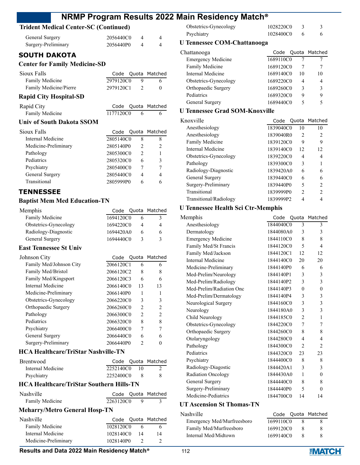# **Trident Medical Center-SC (Continued)**

| Trigent medical Center-SC (Continued) |           |                |                |
|---------------------------------------|-----------|----------------|----------------|
| General Surgery                       | 2056440C0 | $\overline{4}$ | 4              |
| Surgery-Preliminary                   | 2056440P0 | 4              | 4              |
| <b>SOUTH DAKOTA</b>                   |           |                |                |
| <b>Center for Family Medicine-SD</b>  |           |                |                |
| Sioux Falls                           | Code      |                | Quota Matched  |
| Family Medicine                       | 2979120C0 | 9              | 6              |
| Family Medicine/Pierre                | 2979120C1 | $\overline{2}$ | $\theta$       |
| <b>Rapid City Hospital-SD</b>         |           |                |                |
| Rapid City                            | Code      |                | Quota Matched  |
| Family Medicine                       | 1177120C0 | 6              | 6              |
| <b>Univ of South Dakota SSOM</b>      |           |                |                |
| Sioux Falls                           | Code      |                | Quota Matched  |
| Internal Medicine                     | 2805140C0 | 8              | 8              |
| Medicine-Preliminary                  | 2805140P0 | 2              | $\overline{2}$ |
| Pathology                             | 2805300C0 | $\overline{2}$ | 1              |
| Pediatrics                            | 2805320C0 | 6              | 3              |
| Psychiatry                            | 2805400C0 | 7              | 7              |
| General Surgery                       | 2805440C0 | 4              | 4              |
| Transitional                          | 2805999P0 | 6              | 6              |
| <b>TENNESSEE</b>                      |           |                |                |

#### **Baptist Mem Med Education-TN**

| Memphis                       | Code      |                | Quota Matched  |
|-------------------------------|-----------|----------------|----------------|
| Family Medicine               | 1694120C0 | 6              | 3              |
| Obstetrics-Gynecology         | 1694220C0 | 4              | 4              |
| Radiology-Diagnostic          | 1694420A0 | 6              | 6              |
| General Surgery               | 1694440C0 | 3              | 3              |
| <b>East Tennessee St Univ</b> |           |                |                |
| Johnson City                  | Code      |                | Quota Matched  |
| Family Med/Johnson City       | 2066120C1 | 6              | 6              |
| Family Med/Bristol            | 2066120C2 | 8              | 8              |
| Family Med/Kingsport          | 2066120C3 | 6              | 6              |
| Internal Medicine             | 2066140C0 | 13             | 13             |
| Medicine-Preliminary          | 2066140P0 | 1              | 1              |
| Obstetrics-Gynecology         | 2066220C0 | 3              | 3              |
| Orthopaedic Surgery           | 2066260C0 | $\overline{c}$ | $\overline{c}$ |
| Pathology                     | 2066300C0 | $\mathfrak{D}$ | $\overline{c}$ |
| Pediatrics                    | 2066320C0 | 8              | 8              |
| Psychiatry                    | 2066400C0 | 7              |                |
| General Surgery               | 2066440C0 | 6              | 6              |

#### **HCA Healthcare/TriStar Nashville-TN**

| Brentwood         |           |       | Code Quota Matched |
|-------------------|-----------|-------|--------------------|
| Internal Medicine | 2252140C0 | - 10- |                    |
| Psychiatry        | 2252400C0 |       |                    |

Surgery-Preliminary 2066440P0 2 0

#### **HCA Healthcare/TriStar Southern Hills-TN**

| Nashville       |           | Code Quota Matched |
|-----------------|-----------|--------------------|
| Family Medicine | 2263120C0 |                    |

# **Meharry/Metro General Hosp-TN**

| Nashville              |           |    | Code Quota Matched |
|------------------------|-----------|----|--------------------|
| <b>Family Medicine</b> | 1028120C0 |    |                    |
| Internal Medicine      | 1028140C0 | 14 | 14                 |
| Medicine-Preliminary   | 1028140P0 |    |                    |

| Obstetrics-Gynecology | 1028220C0 |  |
|-----------------------|-----------|--|
| Psychiatry            | 1028400C0 |  |

#### **U Tennessee COM-Chattanooga**

| Chattanooga               | Code      |    | Quota Matched |
|---------------------------|-----------|----|---------------|
| <b>Emergency Medicine</b> | 1689110C0 |    |               |
| Family Medicine           | 1689120C0 |    |               |
| Internal Medicine         | 1689140C0 | 10 | 10            |
| Obstetrics-Gynecology     | 1689220C0 | 4  | 4             |
| Orthopaedic Surgery       | 1689260C0 | ٦  |               |
| Pediatrics                | 1689320C0 | 9  |               |
| General Surgery           | 1689440C0 |    |               |
|                           |           |    |               |

# **U Tennessee Grad SOM-Knoxville**

| Knoxville              | Code      |                | Quota Matched  |
|------------------------|-----------|----------------|----------------|
| Anesthesiology         | 1839040C0 | 10             | 10             |
| Anesthesiology         | 1839040R0 | $\mathfrak{D}$ | $\mathcal{L}$  |
| Family Medicine        | 1839120C0 | 9              | 9              |
| Internal Medicine      | 1839140C0 | 12             | 12             |
| Obstetrics-Gynecology  | 1839220C0 | 4              | 4              |
| Pathology              | 1839300C0 | 3              |                |
| Radiology-Diagnostic   | 1839420A0 | 6              | 6              |
| General Surgery        | 1839440C0 | 6              | 6              |
| Surgery-Preliminary    | 1839440P0 | 5              | $\mathfrak{D}$ |
| Transitional           | 1839999P0 | $\mathfrak{D}$ | 2              |
| Transitional/Radiology | 1839999P2 |                |                |
|                        |           |                |                |

# **U Tennessee Health Sci Ctr-Memphis**

| Memphis                   | Code      |                | Quota Matched  |
|---------------------------|-----------|----------------|----------------|
| Anesthesiology            | 1844040C0 | 3              | 3              |
| Dermatology               | 1844080A0 | 3              | 3              |
| <b>Emergency Medicine</b> | 1844110C0 | 8              | 8              |
| Family Med/St Francis     | 1844120C0 | 5              | 4              |
| Family Med/Jackson        | 1844120C1 | 12             | 12             |
| Internal Medicine         | 1844140C0 | 20             | 20             |
| Medicine-Preliminary      | 1844140P0 | 6              | 6              |
| Med-Prelim/Neurology      | 1844140P1 | 3              | 3              |
| Med-Prelim/Radiology      | 1844140P2 | 3              | 3              |
| Med-Prelim/Radiation Onc  | 1844140P3 | $\theta$       | $\theta$       |
| Med-Prelim/Dermatology    | 1844140P4 | 3              | 3              |
| Neurological Surgery      | 1844160C0 | 3              | 3              |
| Neurology                 | 1844180A0 | 3              | 3              |
| Child Neurology           | 1844185C0 | $\overline{c}$ | 1              |
| Obstetrics-Gynecology     | 1844220C0 | 7              | 7              |
| Orthopaedic Surgery       | 1844260C0 | 8              | 8              |
| Otolaryngology            | 1844280C0 | 4              | 4              |
| Pathology                 | 1844300C0 | 2              | $\overline{c}$ |
| Pediatrics                | 1844320C0 | 23             | 23             |
| Psychiatry                | 1844400C0 | 8              | 8              |
| Radiology-Diagostic       | 1844420A1 | 3              | 3              |
| Radiation Oncology        | 1844430A0 | 1              | $\theta$       |
| General Surgery           | 1844440C0 | 8              | 8              |
| Surgery-Preliminary       | 1844440P0 | 5              | $\theta$       |
| Medicine-Pediatrics       | 1844700C0 | 14             | 14             |
|                           |           |                |                |

## **UT Ascension St Thomas-TN**

| Nashville                  |           |   | Code Quota Matched |
|----------------------------|-----------|---|--------------------|
| Emergency Med/Murfreesboro | 1699110C0 | x |                    |
| Family Med/Murfreesboro    | 1699120C0 | 8 | x                  |
| Internal Med/Midtown       | 1699140C0 | × |                    |
|                            |           |   |                    |

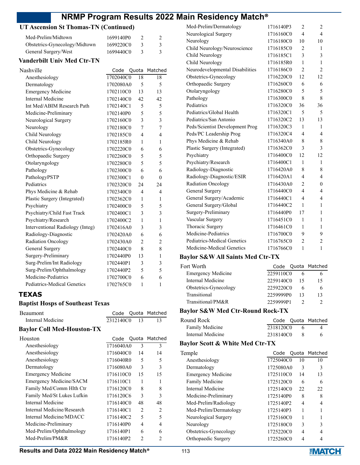# **UT Ascension St Thomas-TN (Continued)**

| Med-Prelim/Midtown            | 1699140P0 |  |
|-------------------------------|-----------|--|
| Obstetrics-Gynecology/Midtown | 1699220C0 |  |
| General Surgery/West          | 1699440C0 |  |

#### **Vanderbilt Univ Med Ctr-TN**

| Nashville                          | Code      | Quota          | Matched        |
|------------------------------------|-----------|----------------|----------------|
| Anesthesiology                     | 1702040C0 | 18             | 18             |
| Dermatology                        | 1702080A0 | 5              | 5              |
| <b>Emergency Medicine</b>          | 1702110C0 | 13             | 13             |
| Internal Medicine                  | 1702140C0 | 42             | 42             |
| Int Med/ABIM Research Path         | 1702140C1 | 5              | 5              |
| Medicine-Preliminary               | 1702140P0 | 5              | 5              |
| Neurological Surgery               | 1702160C0 | 3              | 3              |
| Neurology                          | 1702180C0 | 7              | 7              |
| Child Neurology                    | 1702185C0 | 4              | 4              |
| Child Neurology                    | 1702185R0 | 1              | 1              |
| Obstetrics-Gynecology              | 1702220C0 | 6              | 6              |
| Orthopaedic Surgery                | 1702260C0 | 5              | 5              |
| Otolaryngology                     | 1702280C0 | 5              | 5              |
| Pathology                          | 1702300C0 | 6              | 6              |
| PathologyPSTP                      | 1702300C1 | $\theta$       | $\theta$       |
| Pediatrics                         | 1702320C0 | 24             | 24             |
| Phys Medicine & Rehab              | 1702340C0 | 4              | 4              |
| Plastic Surgery (Integrated)       | 1702362C0 | 1              | 1              |
| Psychiatry                         | 1702400C0 | 5              | 5              |
| Psychiatry/Child Fast Track        | 1702400C1 | 3              | 3              |
| Psychiatry/Research                | 1702400C2 | 1              | 1              |
| Interventional Radiology (Integ)   | 1702416A0 | 3              | 3              |
| Radiology-Diagnostic               | 1702420A0 | 6              | 6              |
| Radiation Oncology                 | 1702430A0 | $\overline{2}$ | $\overline{2}$ |
| General Surgery                    | 1702440C0 | 8              | 8              |
| Surgery-Preliminary                | 1702440P0 | 13             | $\mathbf{1}$   |
| Surg-Prelim/Int Radiology          | 1702440P1 | 3              | 3              |
| Surg-Prelim/Ophthalmology          | 1702440P2 | 5              | 5              |
| Medicine-Pediatrics                | 1702700C0 | 6              | 6              |
| <b>Pediatrics-Medical Genetics</b> | 1702765C0 | 1              | $\mathbf{1}$   |

# **TEXAS**

#### **Baptist Hosps of Southeast Texas**

| <b>Beaumont</b>   |           |                | Code Quota Matched |
|-------------------|-----------|----------------|--------------------|
| Internal Medicine | 2312140C0 | $\frac{13}{2}$ |                    |

#### **Baylor Coll Med-Houston-TX**

| Houston                    | Code      |               | Quota Matched  |
|----------------------------|-----------|---------------|----------------|
| Anesthesiology             | 1716040A0 | $\mathcal{F}$ | 3              |
| Anesthesiology             | 1716040C0 | 14            | 14             |
| Anesthesiology             | 1716040R0 | 5             | 5              |
| Dermatology                | 1716080A0 | 3             | 3              |
| <b>Emergency Medicine</b>  | 1716110C0 | 15            | 15             |
| Emergency Medicine/SACM    | 1716110C1 | 1             | 1              |
| Family Med/Comm Hlth Ctr   | 1716120C0 | 8             | 8              |
| Family Med/St Lukes Lufkin | 1716120C6 | 3             | 3              |
| Internal Medicine          | 1716140C0 | 48            | 48             |
| Internal Medicine/Research | 1716140C1 | 2             | $\overline{c}$ |
| Internal Medicine/MDACC    | 1716140C2 | 5             | 5              |
| Medicine-Preliminary       | 1716140P0 | 4             | 4              |
| Med-Prelim/Ophthalmology   | 1716140P1 | 6             | 6              |
| Med-Prelim/PM&R            | 1716140P2 | 2             | $\mathfrak{D}$ |

| Med-Prelim/Dermatology          | 1716140P3 | $\overline{c}$          | 2              |
|---------------------------------|-----------|-------------------------|----------------|
| Neurological Surgery            | 1716160C0 | $\overline{\mathbf{4}}$ | $\overline{4}$ |
| Neurology                       | 1716180C0 | 10                      | 10             |
| Child Neurology/Neuroscience    | 1716185C0 | $\overline{2}$          | 1              |
| Child Neurology                 | 1716185C1 | 3                       | 3              |
| Child Neurology                 | 1716185R0 | 1                       | 1              |
| Neurodevelopmental Disabilities | 1716186C0 | $\overline{c}$          | 2              |
| Obstetrics-Gynecology           | 1716220C0 | 12                      | 12             |
| Orthopaedic Surgery             | 1716260C0 | 6                       | 6              |
| Otolaryngology                  | 1716280C0 | 5                       | 5              |
| Pathology                       | 1716300C0 | 8                       | 8              |
| Pediatrics                      | 1716320C0 | 36                      | 36             |
| Pediatrics/Global Health        | 1716320C1 | 5                       | 5              |
| Pediatrics/San Antonio          | 1716320C2 | 13                      | 13             |
| Peds/Scientist Development Prog | 1716320C3 | 1                       | 1              |
| Peds/PC Leadership Prog         | 1716320C4 | 4                       | 4              |
| Phys Medicine & Rehab           | 1716340A0 | 8                       | 8              |
| Plastic Surgery (Integrated)    | 1716362C0 | 3                       | 3              |
| Psychiatry                      | 1716400C0 | 12                      | 12             |
| Psychiatry/Research             | 1716400C1 | 1                       | 1              |
| Radiology-Diagnostic            | 1716420A0 | 8                       | 8              |
| Radiology-Diagnostic/ESIR       | 1716420A1 | 4                       | 4              |
| Radiation Oncology              | 1716430A0 | 2                       | $\theta$       |
| General Surgery                 | 1716440C0 | $\overline{4}$          | 4              |
| General Surgery/Academic        | 1716440C1 | $\overline{4}$          | 4              |
| General Surgery/Global          | 1716440C2 | 1                       | 1              |
| Surgery-Preliminary             | 1716440P0 | 17                      | 1              |
| Vascular Surgery                | 1716451C0 | 1                       | 1              |
| Thoracic Surgery                | 1716461C0 | 1                       | 1              |
| Medicine-Pediatrics             | 1716700C0 | 9                       | 9              |
| Pediatrics-Medical Genetics     | 1716765C0 | $\overline{c}$          | 2              |
| Medicine-Medical Genetics       | 1716766C0 | $\mathbf{1}$            | $\mathbf{1}$   |

#### **Baylor S&W All Saints Med Ctr-TX**

| Fort Worth.               |           | Code Quota Matched |
|---------------------------|-----------|--------------------|
| <b>Emergency Medicine</b> | 2259110C0 |                    |
| Internal Medicine         | 2259140C0 | 15                 |
| Obstetrics-Gynecology     | 2259220C0 |                    |
| Transitional              | 2259999P0 | 13                 |
| Transitional/PM&R         | 2259999P1 |                    |
|                           |           |                    |

# **Baylor S&W Med Ctr-Round Rock-TX**

| Round Rock        |           | Code Quota Matched |
|-------------------|-----------|--------------------|
| Family Medicine   | 2318120C0 |                    |
| Internal Medicine | 2318140C0 | 6                  |

# **Baylor Scott & White Med Ctr-TX**

| Temple                    | Code      |    | Quota Matched |
|---------------------------|-----------|----|---------------|
| Anesthesiology            | 1725040C0 | 10 | 10            |
| Dermatology               | 1725080A0 | 3  | 3             |
| <b>Emergency Medicine</b> | 1725110C0 | 14 | 13            |
| Family Medicine           | 1725120C0 | 6  | 6             |
| Internal Medicine         | 1725140C0 | 22 | 22            |
| Medicine-Preliminary      | 1725140P0 | 8  | 8             |
| Med-Prelim/Radiology      | 1725140P2 | 4  | 4             |
| Med-Prelim/Dermatology    | 1725140P3 |    |               |
| Neurological Surgery      | 1725160C0 |    |               |
| Neurology                 | 1725180C0 | 3  | 3             |
| Obstetrics-Gynecology     | 1725220C0 | 4  |               |
| Orthopaedic Surgery       | 1725260C0 |    |               |

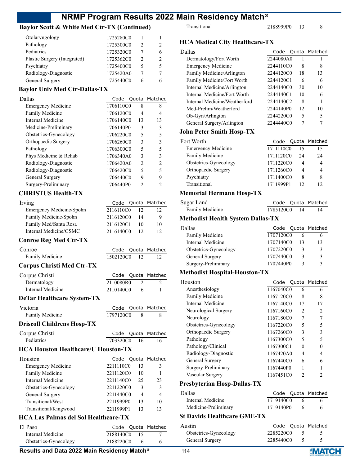# **Baylor Scott & White Med Ctr-TX (Continued)**

| Otolaryngology               | 1725280C0 |   |   |
|------------------------------|-----------|---|---|
| Pathology                    | 1725300C0 | 2 |   |
| Pediatrics                   | 1725320C0 |   | 6 |
| Plastic Surgery (Integrated) | 1725362C0 | 2 | 2 |
| Psychiatry                   | 1725400C0 | 5 |   |
| Radiology-Diagnostic         | 1725420A0 |   |   |
| General Surgery              | 1725440C0 |   |   |

# **Baylor Univ Med Ctr-Dallas-TX**

| Dallas                    |           |    | Code Quota Matched |
|---------------------------|-----------|----|--------------------|
| <b>Emergency Medicine</b> | 1706110C0 | 8  | 8                  |
| <b>Family Medicine</b>    | 1706120C0 | 4  | 4                  |
| Internal Medicine         | 1706140C0 | 13 | 13                 |
| Medicine-Preliminary      | 1706140P0 | 3  | 3                  |
| Obstetrics-Gynecology     | 1706220C0 | 5  | 5                  |
| Orthopaedic Surgery       | 1706260C0 | 3  | 3                  |
| Pathology                 | 1706300C0 | 5  | 5                  |
| Phys Medicine & Rehab     | 1706340A0 | 3  | 3                  |
| Radiology-Diagnostic      | 1706420A0 | 2  | $\mathfrak{D}$     |
| Radiology-Diagnostic      | 1706420C0 | 5  | 5                  |
| General Surgery           | 1706440C0 | 9  | 9                  |
| Surgery-Preliminary       | 1706440P0 | っ  |                    |
|                           |           |    |                    |

# **CHRISTUS Health-TX**

| Irving                   |           |    | Code Quota Matched |
|--------------------------|-----------|----|--------------------|
| Emergency Medicine/Spohn | 2116110C0 | 12 |                    |
| Family Medicine/Spohn    | 2116120C0 | 14 | 9                  |
| Family Med/Santa Rosa    | 2116120C1 | 10 | 10                 |
| Internal Medicine/GSMC   | 2116140C0 | 12 | 12                 |
|                          |           |    |                    |

# **Conroe Reg Med Ctr-TX**

| Code |    | Quota Matched                                                                                                                                                                                                                                                                                                             |
|------|----|---------------------------------------------------------------------------------------------------------------------------------------------------------------------------------------------------------------------------------------------------------------------------------------------------------------------------|
|      | 12 | 12                                                                                                                                                                                                                                                                                                                        |
|      |    |                                                                                                                                                                                                                                                                                                                           |
| Code |    | Quota Matched                                                                                                                                                                                                                                                                                                             |
|      |    | 2                                                                                                                                                                                                                                                                                                                         |
|      | 6  | 1                                                                                                                                                                                                                                                                                                                         |
|      |    |                                                                                                                                                                                                                                                                                                                           |
| Code |    | Quota Matched                                                                                                                                                                                                                                                                                                             |
|      |    | 8                                                                                                                                                                                                                                                                                                                         |
|      |    |                                                                                                                                                                                                                                                                                                                           |
| Code |    | Quota Matched                                                                                                                                                                                                                                                                                                             |
|      |    | 16                                                                                                                                                                                                                                                                                                                        |
|      |    |                                                                                                                                                                                                                                                                                                                           |
| Code |    | Matched                                                                                                                                                                                                                                                                                                                   |
|      | 13 | 3                                                                                                                                                                                                                                                                                                                         |
|      | 10 | 1                                                                                                                                                                                                                                                                                                                         |
|      |    | 23                                                                                                                                                                                                                                                                                                                        |
|      | 3  | 3                                                                                                                                                                                                                                                                                                                         |
|      |    | $\overline{4}$                                                                                                                                                                                                                                                                                                            |
|      |    | 10                                                                                                                                                                                                                                                                                                                        |
|      | 13 | 13                                                                                                                                                                                                                                                                                                                        |
|      |    |                                                                                                                                                                                                                                                                                                                           |
|      |    | 1502120C0<br>2110080R0<br>$\mathfrak{D}$<br>2110140C0<br>1797120C0<br>8<br>1703320C0<br>16<br><b>HCA Houston Healthcare/U Houston-TX</b><br>Quota<br>2211110C0<br>2211120C0<br>2211140C0<br>25<br>2211220C0<br>2211440C0<br>$\overline{4}$<br>2211999P0<br>13<br>2211999P1<br><b>HCA Las Palmas del Sol Healthcare-TX</b> |

| El Paso               |           |     | Code Quota Matched |
|-----------------------|-----------|-----|--------------------|
| Internal Medicine     | 2188140C0 | -15 |                    |
| Obstetrics-Gynecology | 2188220C0 |     |                    |
|                       |           |     |                    |

# **Results and Data 2022 Main Residency Match®** 114

Transitional 2188999P0 13 8

# **HCA Medical City Healthcare-TX**

| Dallas                                   |           |        | Code Quota Matched |
|------------------------------------------|-----------|--------|--------------------|
| Dermatology/Fort Worth                   | 2244080A0 | 1      | 1                  |
| <b>Emergency Medicine</b>                | 2244110C0 | 8      | 8                  |
| Family Medicine/Arlington                | 2244120C0 | 18     | 13                 |
| Family Medicine/Fort Worth               | 2244120C1 | 6      | 6                  |
| Internal Medicine/Arlington              | 2244140C0 | 30     | 10                 |
| Internal Medicine/Fort Worth             | 2244140C1 | 10     | 6                  |
| Internal Medicine/Weatherford            | 2244140C2 | 8      | 1                  |
| Med-Prelim/Weatherford                   | 2244140P0 | 12     | 10                 |
| Ob-Gyn/Arlington                         | 2244220C0 | 5      | 5                  |
| General Surgery/Arlington                | 2244440C0 | 7      | 7                  |
| <b>John Peter Smith Hosp-TX</b>          |           |        |                    |
| Fort Worth                               | Code      | Quota  | Matched            |
| <b>Emergency Medicine</b>                | 1711110C0 | 15     | 15                 |
| Family Medicine                          | 1711120C0 | 24     | 24                 |
| Obstetrics-Gynecology                    | 1711220C0 | 4      | 4                  |
| Orthopaedic Surgery                      | 1711260C0 | 4      | 4                  |
| Psychiatry                               | 1711400C0 | 8      | 8                  |
| Transitional                             | 1711999P1 | 12     | 12                 |
|                                          |           |        |                    |
| <b>Memorial Hermann Hosp-TX</b>          |           |        |                    |
| Sugar Land                               | Code      | Quota  | Matched            |
| Family Medicine                          | 1785120C0 | 14     | 14                 |
| <b>Methodist Health System Dallas-TX</b> |           |        |                    |
| Dallas                                   | Code      | Quota  | Matched            |
| Family Medicine                          | 1707120C0 | 6      | 6                  |
| <b>Internal Medicine</b>                 | 1707140C0 | 13     | 13                 |
| Obstetrics-Gynecology                    | 1707220C0 | 3      | 3                  |
| General Surgery                          | 1707440C0 | 3      | 3                  |
| Surgery-Preliminary                      | 1707440P0 | 3      | 3                  |
| <b>Methodist Hospital-Houston-TX</b>     |           |        |                    |
| Houston                                  | Code      | Quota  | Matched            |
| Anesthesiology                           | 1167040C0 | 6      | 6                  |
| Family Medicine                          | 1167120C0 | 8      | 8                  |
| <b>Internal Medicine</b>                 | 1167140C0 | 17     | 17                 |
| Neurological Surgery                     | 1167160C0 |        |                    |
| Neurology                                | 1167180C0 | 2<br>7 | 2<br>7             |
| Obstetrics-Gynecology                    | 1167220C0 | 5      | 5                  |
|                                          | 1167260C0 | 3      | 3                  |
| Orthopaedic Surgery                      | 1167300C0 | 5      | 5                  |
| Pathology                                |           |        |                    |
| Pathology/Clinical                       | 1167300C1 | 0      | 0                  |
| Radiology-Diagnostic                     | 1167420A0 | 4      | 4                  |
| General Surgery                          | 1167440C0 | 6      | 6                  |
| Surgery-Preliminary                      | 1167440P0 | 1      | 1                  |
| Vascular Surgery                         | 1167451C0 | 2      | 2                  |
| Presbyterian Hosp-Dallas-TX              |           |        |                    |
| Dallas                                   |           |        | Code Quota Matched |
| Internal Medicine                        | 1719140C0 | 6      | 6                  |
| Medicine-Preliminary                     | 1719140P0 | 6      | 6                  |
| <b>St Davids Healthcare GME-TX</b>       |           |        |                    |
| Austin                                   | Code      | Quota  | Matched            |
| Obstetrics-Gynecology                    | 2285220C0 | 5      | 5                  |

General Surgery 2285440C0 5 5

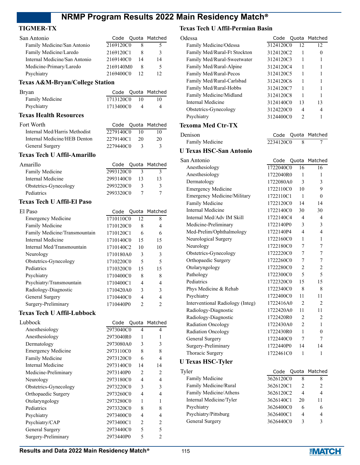## **TIGMER-TX**

| San Antonio                   | Code Quota Matched |    |    |
|-------------------------------|--------------------|----|----|
| Family Medicine/San Antonio   | 2169120C0          |    | 5  |
| Family Medicine/Laredo        | 2169120C1          |    | 3  |
| Internal Medicine/San Antonio | 2169140C0          | 14 | 14 |
| Medicine-Primary/Laredo       | 2169140M0          | 8  | 5  |
| Psychiatry                    | 2169400C0          |    |    |

# **Texas A&M-Bryan/College Station**

| Bryan           |           |    | Code Quota Matched |
|-----------------|-----------|----|--------------------|
| Family Medicine | 1713120C0 | 10 | 10                 |
| Psychiatry      | 1713400C0 |    |                    |

#### **Texas Health Resources**

| Internal Med/Harris Methodist<br>2279140C0<br>10      | Code Quota Matched |
|-------------------------------------------------------|--------------------|
|                                                       | 10                 |
| Internal Medicine/HEB Denton<br>2279140C1<br>20<br>20 |                    |
| 2279440C0<br>General Surgery<br>$\mathcal{R}$         | 3                  |

#### **Texas Tech U Affil-Amarillo**

| Amarillo              |           | Code Quota Matched |
|-----------------------|-----------|--------------------|
| Family Medicine       | 2993120C0 |                    |
| Internal Medicine     | 2993140C0 | 13                 |
| Obstetrics-Gynecology | 2993220C0 | 3                  |
| Pediatrics            | 2993320C0 |                    |
|                       |           |                    |

## **Texas Tech U Affil-El Paso**

| El Paso                       | Code      |               | Quota Matched |
|-------------------------------|-----------|---------------|---------------|
| <b>Emergency Medicine</b>     | 1710110C0 | 12            | 8             |
| Family Medicine               | 1710120C0 | 8             | 4             |
| Family Medicine/Transmountain | 1710120C1 | 6             | 6             |
| Internal Medicine             | 1710140C0 | 15            | 15            |
| Internal Med/Transmountain    | 1710140C2 | 10            | 10            |
| Neurology                     | 1710180A0 | 3             | 3             |
| Obstetrics-Gynecology         | 1710220C0 | 5             | 5             |
| Pediatrics                    | 1710320C0 | 15            | 15            |
| Psychiatry                    | 1710400C0 | 8             | 8             |
| Psychiatry/Transmountain      | 1710400C1 | 4             | 4             |
| Radiology-Diagnostic          | 1710420A0 | 3             | 3             |
| General Surgery               | 1710440C0 | 4             | 4             |
| Surgery-Preliminary           | 1710440P0 | $\mathcal{P}$ | 2             |
|                               |           |               |               |

### **Texas Tech U Affil-Lubbock**

| Lubbock                   | Code      |                          | Quota Matched  |
|---------------------------|-----------|--------------------------|----------------|
| Anesthesiology            | 2973040C0 | 4                        | 4              |
| Anesthesiology            | 2973040R0 | 1                        | 1              |
| Dermatology               | 2973080A0 | 3                        | 3              |
| <b>Emergency Medicine</b> | 2973110C0 | 8                        | 8              |
| Family Medicine           | 2973120C0 | 6                        | $\overline{4}$ |
| Internal Medicine         | 2973140C0 | 14                       | 14             |
| Medicine-Preliminary      | 2973140P0 | 2                        | $\overline{2}$ |
| Neurology                 | 2973180C0 | 4                        | 4              |
| Obstetrics-Gynecology     | 2973220C0 | 3                        | 3              |
| Orthopaedic Surgery       | 2973260C0 | 4                        | 4              |
| Otolaryngology            | 2973280C0 | 1                        | 1              |
| Pediatrics                | 2973320C0 | 8                        | 8              |
| Psychiatry                | 2973400C0 | 4                        | 4              |
| Psychiatry/CAP            | 2973400C1 | 2                        | $\overline{2}$ |
| General Surgery           | 2973440C0 | $\overline{\mathcal{L}}$ | 5              |
| Surgery-Preliminary       | 2973440P0 | 5                        | $\overline{c}$ |

## **Texas Tech U Affil-Permian Basin**

| Texas Tech U Affil-Permian Basin |           |                |                |
|----------------------------------|-----------|----------------|----------------|
| Odessa                           | Code      | Quota          | Matched        |
| Family Medicine/Odessa           | 3124120C0 | 12             | 12             |
| Family Med/Rural-Ft Stockton     | 3124120C2 | 1              | 0              |
| Family Med/Rural-Sweetwater      | 3124120C3 | 1              | 1              |
| Family Med/Rural-Alpine          | 3124120C4 | 1              | 1              |
| Family Med/Rural-Pecos           | 3124120C5 | 1              | 1              |
| Family Med/Rural-Carlsbad        | 3124120C6 | 1              | 1              |
| Family Med/Rural-Hobbs           | 3124120C7 | 1              | 1              |
| Family Medicine/Midland          | 3124120C8 | 1              | 1              |
| <b>Internal Medicine</b>         | 3124140C0 | 13             | 13             |
| Obstetrics-Gynecology            | 3124220C0 | 4              | 4              |
| Psychiatry                       | 3124400C0 | $\overline{2}$ | 1              |
| Texoma Med Ctr-TX                |           |                |                |
| Denison                          | Code      | Quota          | Matched        |
| Family Medicine                  | 2234120C0 | 8              | 7              |
| <b>U Texas HSC-San Antonio</b>   |           |                |                |
| San Antonio                      | Code      | Quota          | Matched        |
| Anesthesiology                   | 1722040C0 | 16             | 16             |
| Anesthesiology                   | 1722040R0 | 1              | 1              |
| Dermatology                      | 1722080A0 | 3              | 3              |
| <b>Emergency Medicine</b>        | 1722110C0 | 10             | 9              |
| Emergency Medicine/Military      | 1722110C1 | 1              | 0              |
| Family Medicine                  | 1722120C0 | 14             | 14             |
| <b>Internal Medicine</b>         | 1722140C0 | 30             | 30             |
| Internal Med/Adv IM Skill        | 1722140C4 | 4              | 4              |
| Medicine-Preliminary             | 1722140P0 | 3              | 3              |
| Med-Prelim/Ophthalmology         | 1722140P4 | 4              | 4              |
| Neurological Surgery             | 1722160C0 | 1              | 1              |
| Neurology                        | 1722180C0 | 7              | 7              |
| Obstetrics-Gynecology            | 1722220C0 | 7              | 7              |
| Orthopaedic Surgery              | 1722260C0 | 7              | 7              |
| Otolaryngology                   | 1722280C0 | $\overline{2}$ | 2              |
| Pathology                        | 1722300C0 | 5              | 5              |
| Pediatrics                       | 1722320C0 | 15             | 15             |
| Phys Medicine & Rehab            | 1722340C0 | 8              | 8              |
| Psychiatry                       | 1722400C0 | 11             | 11             |
| Interventional Radiology (Integ) | 1722416A0 | 2              | 2              |
| Radiology-Diagnostic             | 1722420A0 | 11             | 11             |
| Radiology-Diagnostic             | 1722420R0 | 2              | 2              |
| Radiation Oncology               | 1722430A0 | $\overline{2}$ | 1              |
| Radiation Oncology               | 1722430R0 | 1              | 0              |
| General Surgery                  | 1722440C0 | 7              | 7              |
| Surgery-Preliminary              | 1722440P0 | 14             | 14             |
| Thoracic Surgery                 | 1722461C0 | 1              | 1              |
| <b>U Texas HSC-Tyler</b>         |           |                |                |
| Tyler                            | Code      | Quota          | Matched        |
| Family Medicine                  | 3626120C0 | 8              | 8              |
| Family Medicine/Rural            | 3626120C1 | 2              | $\overline{c}$ |
| Family Medicine/Athens           | 3626120C2 | 4              | 4              |
| Internal Medicine/Tyler          | 3626140C1 | 20             | 11             |

Psychiatry 3626400C0 6 6 Psychiatry/Pittsburg 3626400C1 4 4 General Surgery 3626440C0 3 3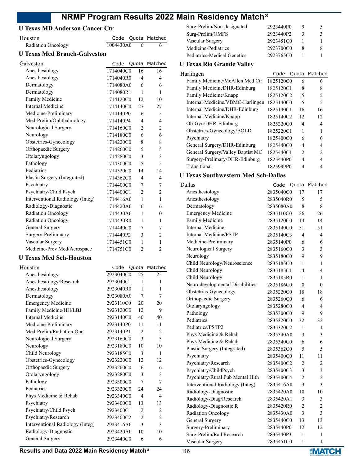# **U Texas MD Anderson Cancer Ctr**

| Houston                             | Code      | Quota          | Matched        |
|-------------------------------------|-----------|----------------|----------------|
| Radiation Oncology                  | 1004430A0 | 6              | 6              |
| <b>U Texas Med Branch-Galveston</b> |           |                |                |
| Galveston                           | Code      | Quota          | Matched        |
| Anesthesiology                      | 1714040C0 | 16             | 16             |
| Anesthesiology                      | 1714040R0 | 4              | 4              |
| Dermatology                         | 1714080A0 | 6              | 6              |
| Dermatology                         | 1714080R1 | 1              | 1              |
| Family Medicine                     | 1714120C0 | 12             | 10             |
| <b>Internal Medicine</b>            | 1714140C0 | 27             | 27             |
| Medicine-Preliminary                | 1714140P0 | 6              | 5              |
| Med-Prelim/Ophthalmology            | 1714140P4 | 4              | 4              |
| Neurological Surgery                | 1714160C0 | $\overline{2}$ | $\overline{2}$ |
| Neurology                           | 1714180C0 | 6              | 6              |
| Obstetrics-Gynecology               | 1714220C0 | 8              | 8              |
| Orthopaedic Surgery                 | 1714260C0 | 5              | 5              |
| Otolaryngology                      | 1714280C0 | 3              | 3              |
| Pathology                           | 1714300C0 | 5              | 5              |
| Pediatrics                          | 1714320C0 | 14             | 14             |
| Plastic Surgery (Integrated)        | 1714362C0 | $\overline{4}$ | 4              |
| Psychiatry                          | 1714400C0 | 7              | 7              |
| Psychiatry/Child Psych              | 1714400C1 | $\overline{2}$ | $\overline{2}$ |
| Interventional Radiology (Integ)    | 1714416A0 | $\mathbf{1}$   | 1              |
| Radiology-Diagnostic                | 1714420A0 | 6              | 6              |
| Radiation Oncology                  | 1714430A0 | 1              | 0              |
| Radiation Oncology                  | 1714430R0 | 1              | 1              |
| General Surgery                     | 1714440C0 | 7              | 7              |
| Surgery-Preliminary                 | 1714440P2 | 3              | $\overline{2}$ |
| Vascular Surgery                    | 1714451C0 | 1              | 1              |
| Medicine-Prev Med/Aerospace         | 1714751C0 | $\overline{2}$ | $\overline{2}$ |
| <b>U Texas Med Sch-Houston</b>      |           |                |                |
| Houston                             | Code      | Quota          | Matched        |

| Houston                          | Code      |                | Quota Matched |
|----------------------------------|-----------|----------------|---------------|
| Anesthesiology                   | 2923040C0 | 25             | 25            |
| Anesthesiology/Research          | 2923040C1 | $\mathbf{1}$   | 1             |
| Anesthesiology                   | 2923040R0 | 1              | 1             |
| Dermatology                      | 2923080A0 | 7              | 7             |
| <b>Emergency Medicine</b>        | 2923110C0 | 20             | 20            |
| Family Medicine/HH/LBJ           | 2923120C0 | 12             | 9             |
| Internal Medicine                | 2923140C0 | 40             | 40            |
| Medicine-Preliminary             | 2923140P0 | 11             | 11            |
| Med-Prelim/Radiation Onc         | 2923140P1 | 2              | 2             |
| Neurological Surgery             | 2923160C0 | 3              | 3             |
| Neurology                        | 2923180C0 | 10             | 10            |
| Child Neurology                  | 2923185C0 | 3              | 1             |
| Obstetrics-Gynecology            | 2923220C0 | 12             | 12            |
| Orthopaedic Surgery              | 2923260C0 | 6              | 6             |
| Otolaryngology                   | 2923280C0 | 3              | 3             |
| Pathology                        | 2923300C0 | 7              | 7             |
| Pediatrics                       | 2923320C0 | 24             | 24            |
| Phys Medicine & Rehab            | 2923340C0 | 4              | 4             |
| Psychiatry                       | 2923400C0 | 13             | 13            |
| Psychiatry/Child Psych           | 2923400C1 | 2              | 2             |
| Psychiatry/Research              | 2923400C2 | $\overline{2}$ | 2             |
| Interventional Radiology (Integ) | 2923416A0 | 3              | 3             |
| Radiology-Diagnostic             | 2923420A0 | 10             | 10            |
| General Surgery                  | 2923440C0 | 6              | 6             |
|                                  |           |                |               |

| Surg-Prelim/Non-designated  | 2923440P0 |   |  |
|-----------------------------|-----------|---|--|
| Surg-Prelim/OMFS            | 2923440P2 | 3 |  |
| Vascular Surgery            | 2923451C0 |   |  |
| Medicine-Pediatrics         | 2923700C0 | 8 |  |
| Pediatrics-Medical Genetics | 2923765C0 |   |  |

# **U Texas Rio Grande Valley**

| Harlingen                         | Code      |                | Quota Matched |
|-----------------------------------|-----------|----------------|---------------|
| Family Medicine/McAllen Med Ctr   | 1825120C0 | 6              | 6             |
| Family MedicineDHR-Edinburg       | 1825120C1 | 8              | 8             |
| Family Medicine/Knapp             | 1825120C2 | 5              | 5             |
| Internal Medicine/VBMC-Harlingen  | 1825140C0 | 5              | 5             |
| Internal Medicine/DHR-Edinburg    | 1825140C1 | 16             | 16            |
| Internal Medicine/Knapp           | 1825140C2 | 12             | 12            |
| Ob-Gyn/DHR-Edinburg               | 1825220C0 | 4              | 4             |
| Obstetrics-Gynecology/BOLD        | 1825220C1 | 1              |               |
| Psychiatry                        | 1825400C0 | 6              | 6             |
| General Surgery/DHR-Edinburg      | 1825440C0 | 4              | 4             |
| General Surgery/Valley Baptist MC | 1825440C1 | $\mathfrak{D}$ | 2             |
| Surgery-Prelimary/DHR-Edinburg    | 1825440P0 | 4              |               |
| Transitional                      | 1825999P0 |                |               |

# **U Texas Southwestern Med Sch-Dallas**

| Dallas                           | Code      | Quota          | Matched        |
|----------------------------------|-----------|----------------|----------------|
| Anesthesiology                   | 2835040C0 | 17             | 17             |
| Anesthesiology                   | 2835040R0 | 5              | 5              |
| Dermatology                      | 2835080A0 | 8              | 8              |
| <b>Emergency Medicine</b>        | 2835110C0 | 26             | 26             |
| Family Medicine                  | 2835120C0 | 14             | 14             |
| <b>Internal Medicine</b>         | 2835140C0 | 51             | 51             |
| <b>Internal Medicine/PSTP</b>    | 2835140C3 | 4              | 4              |
| Medicine-Preliminary             | 2835140P0 | 6              | 6              |
| Neurological Surgery             | 2835160C0 | 3              | 3              |
| Neurology                        | 2835180C0 | 9              | 9              |
| Child Neurology/Neuroscience     | 2835185C0 | 1              | 1              |
| Child Neurology                  | 2835185C1 | 4              | 4              |
| Child Neurology                  | 2835185R0 | 1              | 1              |
| Neurodevelopmental Disabilities  | 2835186C0 | $\theta$       | $\theta$       |
| Obstetrics-Gynecology            | 2835220C0 | 18             | 18             |
| Orthopaedic Surgery              | 2835260C0 | 6              | 6              |
| Otolaryngology                   | 2835280C0 | 4              | 4              |
| Pathology                        | 2835300C0 | 9              | 9              |
| Pediatrics                       | 2835320C0 | 32             | 32             |
| Pediatrics/PSTP2                 | 2835320C2 | 1              | 1              |
| Phys Medicine & Rehab            | 2835340A0 | 3              | 3              |
| Phys Medicine & Rehab            | 2835340C0 | 6              | 6              |
| Plastic Surgery (Integrated)     | 2835362C0 | 5              | 5              |
| Psychiatry                       | 2835400C0 | 11             | 11             |
| Psychiatry/Research              | 2835400C2 | 2              | $\overline{c}$ |
| Psychiatry/ChildPsych            | 2835400C3 | 3              | 3              |
| Psychiatry/Rural Pub Mental Hlth | 2835400C4 | $\overline{2}$ | $\overline{c}$ |
| Interventional Radiology (Integ) | 2835416A0 | 3              | 3              |
| Radiology-Diagnostic             | 2835420A0 | 10             | 10             |
| Radiology-Diag/Research          | 2835420A1 | 3              | 3              |
| Radiology-Diagnostic R           | 2835420R0 | $\overline{2}$ | $\overline{2}$ |
| Radiation Oncology               | 2835430A0 | 3              | 3              |
| General Surgery                  | 2835440C0 | 13             | 13             |
| Surgery-Preliminary              | 2835440P0 | 12             | 12             |
| Surg-Prelim/Rad Research         | 2835440P3 | 1              | 1              |
| Vascular Surgery                 | 2835451C0 | 1              | 1              |

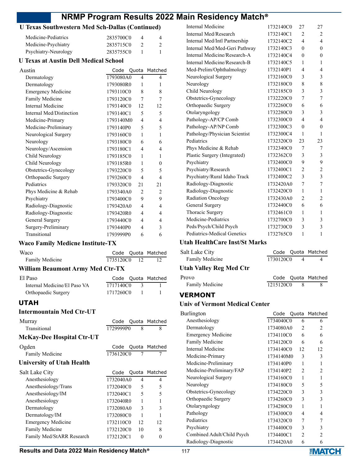# **U Texas Southwestern Med Sch-Dallas (Continued)**

| Medicine-Pediatrics  | 2835700C0 | 4 |
|----------------------|-----------|---|
| Medicine-Psychiatry  | 2835715C0 |   |
| Psychiatry-Neurology | 2835755C0 |   |

#### **U Texas at Austin Dell Medical School**

| Austin                    | Code      |                          | Quota Matched  |
|---------------------------|-----------|--------------------------|----------------|
| Dermatology               | 1793080A0 | 4                        | $\overline{4}$ |
| Dermatology               | 1793080R0 | 1                        | 1              |
| <b>Emergency Medicine</b> | 1793110C0 | 8                        | 8              |
| Family Medicine           | 1793120C0 | 7                        | 7              |
| Internal Medicine         | 1793140C0 | 12                       | 12             |
| Internal Med/Distinction  | 1793140C1 | 5                        | 5              |
| Medicine-Primary          | 1793140M0 | 4                        | 4              |
| Medicine-Preliminary      | 1793140P0 | $\overline{\phantom{0}}$ | 5              |
| Neurological Surgery      | 1793160C0 | 1                        | 1              |
| Neurology                 | 1793180C0 | 6                        | 6              |
| Neurology/Ascension       | 1793180C1 | 4                        | 4              |
| Child Neurology           | 1793185C0 | 1                        | 1              |
| Child Neurology           | 1793185R0 | 1                        | 0              |
| Obstetrics-Gynecology     | 1793220C0 | 5                        | 5              |
| Orthopaedic Surgery       | 1793260C0 | 4                        | $\overline{4}$ |
| Pediatrics                | 1793320C0 | 21                       | 21             |
| Phys Medicine & Rehab     | 1793340A0 | $\overline{2}$           | $\overline{c}$ |
| Psychiatry                | 1793400C0 | 9                        | 9              |
| Radiology-Diagnostic      | 1793420A0 | 4                        | 4              |
| Radiology-Diagnostic      | 1793420R0 | 4                        | 4              |
| General Surgery           | 1793440C0 | 4                        | 4              |
| Surgery-Preliminary       | 1793440P0 | 4                        | 3              |
| Transitional              | 1793999P0 | 6                        | 6              |

# **Waco Family Medicne Institute-TX**

| Waco                                    |           |                | Code Quota Matched |
|-----------------------------------------|-----------|----------------|--------------------|
| Family Medicine                         | 1735120C0 | 12             | 12                 |
| <b>William Beaumont Army Med Ctr-TX</b> |           |                |                    |
| El Paso                                 |           |                | Code Quota Matched |
| Internal Medicine/El Paso VA            | 1717140C0 | 3              |                    |
| Orthopaedic Surgery                     | 1717260C0 | $\overline{1}$ |                    |
| UTAH                                    |           |                |                    |

#### **Intermountain Med Ctr-UT**

| Murray                           | Code      |                | Quota Matched |
|----------------------------------|-----------|----------------|---------------|
| Transitional                     | 1729999P0 | 8              | 8             |
| <b>McKay-Dee Hospital Ctr-UT</b> |           |                |               |
| Ogden                            | Code      |                | Quota Matched |
| Family Medicine                  | 1736120C0 | $\overline{7}$ | 7             |
| <b>University of Utah Health</b> |           |                |               |
| Salt Lake City                   | Code      |                | Quota Matched |
| Anesthesiology                   | 1732040A0 | 4              | 4             |
| Anesthesiology/Trans             | 1732040C0 | 5              | 5             |
| Anesthesiology/IM                | 1732040C1 | 5              | 5             |
| Anesthesiology                   | 1732040R0 | 1              | 1             |
| Dermatology                      | 1732080A0 | 3              | 3             |
| Dermatology/IM                   | 1732080C0 | 1              |               |
| Emergency Medicine               | 1732110C0 | 12             | 12            |
| Family Medicine                  | 1732120C0 | 10             | 8             |
| Family Med/StARR Research        | 1732120C1 | $\Omega$       | 0             |

| Internal Medicine             | 1732140C0 | 27             | 27                      |
|-------------------------------|-----------|----------------|-------------------------|
| Internal Med/Research         | 1732140C1 | 2              | 2                       |
| Internal Med/Intl Partnership | 1732140C2 | $\overline{4}$ | $\overline{\mathbf{4}}$ |
| Internal Med/Med-Geri Pathway | 1732140C3 | $\theta$       | $\theta$                |
| Internal Medicine/Research-A  | 1732140C4 | $\theta$       | $\theta$                |
| Internal Medicine/Research-B  | 1732140C5 | 1              | 1                       |
| Med-Prelim/Ophthalmology      | 1732140P1 | 4              | 4                       |
| Neurological Surgery          | 1732160C0 | 3              | 3                       |
| Neurology                     | 1732180C0 | 8              | 8                       |
| Child Neurology               | 1732185C0 | 3              | 3                       |
| Obstetrics-Gynecology         | 1732220C0 | 7              | 7                       |
| Orthopaedic Surgery           | 1732260C0 | 6              | 6                       |
| Otolaryngology                | 1732280C0 | 3              | 3                       |
| Pathology-AP/CP Comb          | 1732300C0 | $\overline{4}$ | 4                       |
| Pathology-AP/NP Comb          | 1732300C3 | $\theta$       | $\theta$                |
| Pathology/Physician Scientist | 1732300C4 | $\mathbf{1}$   | 1                       |
| Pediatrics                    | 1732320C0 | 23             | 23                      |
| Phys Medicine & Rehab         | 1732340C0 | 7              | 7                       |
| Plastic Surgery (Integrated)  | 1732362C0 | 3              | 3                       |
| Psychiatry                    | 1732400C0 | 9              | 9                       |
| Psychiatry/Research           | 1732400C1 | $\overline{2}$ | 2                       |
| Psychiatry/Rural Idaho Track  | 1732400C2 | 3              | $\overline{\mathbf{3}}$ |
| Radiology-Diagnostic          | 1732420A0 | 7              | 7                       |
| Radiology-Diagnostic          | 1732420C0 | 1              | 1                       |
| Radiation Oncology            | 1732430A0 | $\overline{2}$ | 2                       |
| General Surgery               | 1732440C0 | 6              | 6                       |
| Thoracic Surgery              | 1732461C0 | 1              | 1                       |
| Medicine-Pediatrics           | 1732700C0 | 3              | 3                       |
| Peds/Psych/Child Psych        | 1732730C0 | 3              | 3                       |
| Pediatrics-Medical Genetics   | 1732765C0 | $\mathbf{1}$   | $\mathbf{1}$            |
|                               |           |                |                         |

# **Utah HealthCare Inst/St Marks**

| Salt Lake City                 |           | Code Quota Matched |
|--------------------------------|-----------|--------------------|
| Family Medicine                | 1730120C0 |                    |
| <b>Utah Valley Reg Med Ctr</b> |           |                    |
| Provo                          |           | Code Quota Matched |

| ovo             |           | Code Quota Matched |
|-----------------|-----------|--------------------|
| Family Medicine | 1215120C0 |                    |

# **VERMONT**

#### **Univ of Vermont Medical Center**

| Burlington                 | Code      |                | Quota Matched                 |
|----------------------------|-----------|----------------|-------------------------------|
| Anesthesiology             | 1734040C0 | 6              | 6                             |
| Dermatology                | 1734080A0 | 2              | $\mathfrak{D}_{\mathfrak{p}}$ |
| <b>Emergency Medicine</b>  | 1734110C0 | 6              | 6                             |
| Family Medicine            | 1734120C0 | 6              | 6                             |
| Internal Medicine          | 1734140C0 | 12             | 12                            |
| Medicine-Primary           | 1734140M0 | 3              | 3                             |
| Medicine-Preliminary       | 1734140P0 | 1              |                               |
| Medicine-Preliminary/FAP   | 1734140P2 | $\mathfrak{D}$ | $\mathcal{D}_{\mathcal{L}}$   |
| Neurological Surgery       | 1734160C0 | 1              | 1                             |
| Neurology                  | 1734180C0 | 5              | 5                             |
| Obstetrics-Gynecology      | 1734220C0 | 3              | 3                             |
| Orthopaedic Surgery        | 1734260C0 | 3              | 3                             |
| Otolaryngology             | 1734280C0 | 1              | 1                             |
| Pathology                  | 1734300C0 | 4              | 4                             |
| Pediatrics                 | 1734320C0 | 7              | 7                             |
| Psychiatry                 | 1734400C0 | 3              | 3                             |
| Combined Adult/Child Psych | 1734400C1 | 2              | 2                             |
| Radiology-Diagnostic       | 1734420A0 | 6              | 6                             |

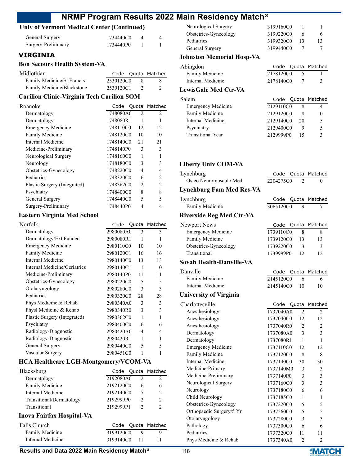# **Univ of Vermont Medical Center (Continued)**

| General Surgery     | 1734440C0 |  |
|---------------------|-----------|--|
| Surgery-Preliminary | 1734440P0 |  |

## **VIRGINIA**

#### **Bon Secours Health System-VA**

| Midlothian                 |           | Code Quota Matched |
|----------------------------|-----------|--------------------|
| Family Medicine/St Francis | 2530120C0 | X.                 |
| Family Medicine/Blackstone | 2530120C1 |                    |

### **Carilion Clinic-Virginia Tech Carilion SOM**

| Roanoke                      | Code      |                | Quota Matched  |
|------------------------------|-----------|----------------|----------------|
| Dermatology                  | 1748080A0 | 2              | $\mathfrak{D}$ |
| Dermatology                  | 1748080R1 |                |                |
| <b>Emergency Medicine</b>    | 1748110C0 | 12             | 12             |
| Family Medicine              | 1748120C0 | 10             | 10             |
| Internal Medicine            | 1748140C0 | 21             | 21             |
| Medicine-Preliminary         | 1748140P0 | 3              | 3              |
| Neurological Surgery         | 1748160C0 | 1              |                |
| Neurology                    | 1748180C0 | 3              | 3              |
| Obstetrics-Gynecology        | 1748220C0 | 4              | 4              |
| Pediatrics                   | 1748320C0 | 6              | $\mathfrak{D}$ |
| Plastic Surgery (Integrated) | 1748362C0 | $\mathfrak{D}$ | $\overline{c}$ |
| Psychiatry                   | 1748400C0 | 8              | 8              |
| General Surgery              | 1748440C0 | 5              | 5              |
| Surgery-Preliminary          | 1748440P0 |                | 4              |

# **Eastern Virginia Med School**

| Norfolk                      | Code      |    | Quota Matched |
|------------------------------|-----------|----|---------------|
| Dermatology                  | 2980080A0 | 3  | 3             |
| Dermatology/Ext Funded       | 2980080R1 | 1  |               |
| <b>Emergency Medicine</b>    | 2980110C0 | 10 | 10            |
| Family Medicine              | 2980120C1 | 16 | 16            |
| Internal Medicine            | 2980140C0 | 13 | 13            |
| Internal Medicine/Geriatrics | 2980140C1 | 1  | $\Omega$      |
| Medicine-Preliminary         | 2980140P0 | 11 | 11            |
| Obstetrics-Gynecology        | 2980220C0 | 5  | 5             |
| Otolaryngology               | 2980280C0 | 3  | 3             |
| Pediatrics                   | 2980320C0 | 28 | 28            |
| Phys Medicine & Rehab        | 2980340A0 | 3  | 3             |
| Physl Medicine & Rehab       | 2980340R0 | 3  | 3             |
| Plastic Surgery (Integrated) | 2980362C0 | 1  | 1             |
| Psychiatry                   | 2980400C0 | 6  | 6             |
| Radiology-Diagnostic         | 2980420A0 | 4  | 4             |
| Radiology-Diagnostic         | 2980420R1 | 1  | 1             |
| General Surgery              | 2980440C0 | 5  | 5             |
| Vascular Surgery             | 2980451C0 | 1  |               |
|                              |           |    |               |

#### **HCA Healthcare LGH-Montgomery/VCOM-VA**

| Blacksburg               |           |   | Code Quota Matched |
|--------------------------|-----------|---|--------------------|
| Dermatology              | 2192080A0 |   |                    |
| Family Medicine          | 2192120C0 | 6 |                    |
| Internal Medicine        | 2192140C0 |   |                    |
| Transitional/Dermatology | 2192999P0 |   |                    |
| Transitional             | 2192999P1 |   |                    |
|                          |           |   |                    |

#### **Inova Fairfax Hospital-VA**

| Falls Church      |              |     | Code Quota Matched |
|-------------------|--------------|-----|--------------------|
| Family Medicine   | 3199120C0    | — Q |                    |
| Internal Medicine | 3199140C0 11 |     |                    |

| Neurological Surgery  | 3199160C0 |    |  |
|-----------------------|-----------|----|--|
| Obstetrics-Gynecology | 3199220C0 | 6  |  |
| Pediatrics            | 3199320C0 | 13 |  |
| General Surgery       | 3199440C0 |    |  |

# **Johnston Memorial Hosp-VA**

| Abingdon               |           | Code Quota Matched |
|------------------------|-----------|--------------------|
| <b>Family Medicine</b> | 2178120C0 |                    |
| Internal Medicine      | 2178140C0 |                    |
| LewisGale Med Ctr-VA   |           |                    |

| Salem                     |           |    | Code Quota Matched |
|---------------------------|-----------|----|--------------------|
| <b>Emergency Medicine</b> | 2129110C0 |    |                    |
| Family Medicine           | 2129120C0 |    |                    |
| Internal Medicine         | 2129140C0 | 20 |                    |
| Psychiatry                | 2129400C0 |    | 5                  |
| <b>Transitional Year</b>  | 2129999P0 |    |                    |

#### **Liberty Univ COM-VA**

| Lynchburg                       | Code      | Quota          | Matched        |
|---------------------------------|-----------|----------------|----------------|
| Osteo Neuromusculo Med          | 2204275C0 | $\mathfrak{D}$ | $\theta$       |
| <b>Lynchburg Fam Med Res-VA</b> |           |                |                |
| Lynchburg                       | Code      | Quota          | Matched        |
| Family Medicine                 | 3065120C0 | 9              | 7              |
| <b>Riverside Reg Med Ctr-VA</b> |           |                |                |
| Newport News                    | Code      | Quota          | Matched        |
| <b>Emergency Medicine</b>       | 1739110C0 | 8              | 8              |
| Family Medicine                 | 1739120C0 | 13             | 13             |
| Obstetrics-Gynecology           | 1739220C0 | 3              | 3              |
| Transitional                    | 1739999P0 | 12             | 12             |
| Sovah Health-Danville-VA        |           |                |                |
| Danville                        | Code      | Quota          | Matched        |
| Family Medicine                 | 2145120C0 | 6              | 6              |
| Internal Medicine               | 2145140C0 | 10             | 10             |
| <b>University of Virginia</b>   |           |                |                |
| Charlottesville                 | Code      | Quota          | Matched        |
| Anesthesiology                  | 1737040A0 | 2              | 2              |
| Anesthesiology                  | 1737040C0 | 12             | 12             |
| Anesthesiology                  | 1737040R0 | $\overline{2}$ | $\overline{2}$ |
| Dermatology                     | 1737080A0 | 3              | 3              |
| Dermatology                     | 1737080R1 | 1              | 1              |
| <b>Emergency Medicine</b>       | 1737110C0 | 12             | 12             |
| Family Medicine                 | 1737120C0 | 8              | 8              |
| Internal Medicine               | 1737140C0 | 30             | 30             |
| Medicine-Primary                | 1737140M0 | 3              | 3              |
| Medicine-Preliminary            | 1737140P0 | 3              | 3              |
| Neurological Surgery            | 1737160C0 | 3              | 3              |
| Neurology                       | 1737180C0 | 6              | 6              |
| Child Neurology                 | 1737185C0 | 1              | 1              |
| Obstetrics-Gynecology           | 1737220C0 | 5              | 5              |
| Orthopaedic Surgery/5 Yr        | 1737260C0 | 5              | 5              |
| Otolaryngology                  | 1737280C0 | 3              | 3              |
| Pathology                       | 1737300C0 | 6              | 6              |
| Pediatrics                      | 1737320C0 | 11             | 11             |
| Phys Medicine & Rehab           | 1737340A0 | $\overline{2}$ | $\overline{2}$ |

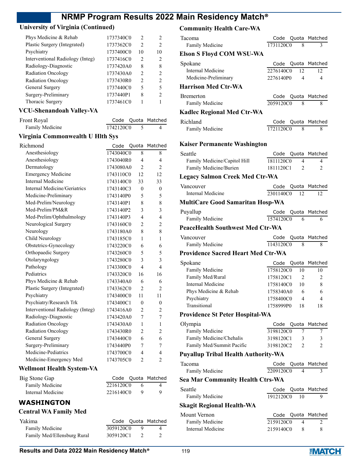# **University of Virginia (Continued)**

| Phys Medicine & Rehab            | 1737340C0 | $\mathcal{L}$  | 2  |
|----------------------------------|-----------|----------------|----|
| Plastic Surgery (Integrated)     | 1737362C0 | $\overline{2}$ | 2  |
| Psychiatry                       | 1737400C0 | 10             | 10 |
| Interventional Radiology (Integ) | 1737416C0 | $\overline{2}$ | 2  |
| Radiology-Diagnostic             | 1737420A0 | 8              | 8  |
| <b>Radiation Oncology</b>        | 1737430A0 | $\mathfrak{D}$ | 2  |
| <b>Radiation Oncology</b>        | 1737430R0 | $\mathfrak{D}$ | 2  |
| General Surgery                  | 1737440C0 | 5              | 5  |
| Surgery-Preliminary              | 1737440P1 | 8              | 2  |
| Thoracic Surgery                 | 1737461C0 |                |    |

## **VCU-Shenandoah Valley-VA**

| Front Royal     |           | Code Quota Matched |
|-----------------|-----------|--------------------|
| Family Medicine | 1742120C0 |                    |

# **Virginia Commonwealth U Hlth Sys**

| Richmond                         | Code      | Quota          | Matched                  |
|----------------------------------|-----------|----------------|--------------------------|
| Anesthesiology                   | 1743040C0 | 8              | 8                        |
| Anesthesiology                   | 1743040R0 | 4              | 4                        |
| Dermatology                      | 1743080A0 | $\overline{2}$ | $\overline{2}$           |
| <b>Emergency Medicine</b>        | 1743110C0 | 12.            | 12                       |
| <b>Internal Medicine</b>         | 1743140C0 | 33             | 33                       |
| Internal Medicine/Geriatrics     | 1743140C3 | $\theta$       | $\theta$                 |
| Medicine-Preliminary             | 1743140P0 | 5              | 5                        |
| Med-Prelim/Neurology             | 1743140P1 | 8              | 8                        |
| Med-Prelim/PM&R                  | 1743140P2 | 3              | 3                        |
| Med-Prelim/Ophthalmology         | 1743140P3 | 4              | $\overline{4}$           |
| Neurological Surgery             | 1743160C0 | $\overline{c}$ | $\overline{2}$           |
| Neurology                        | 1743180A0 | 8              | 8                        |
| Child Neurology                  | 1743185C0 | $\mathbf{1}$   | 1                        |
| Obstetrics-Gynecology            | 1743220C0 | 6              | 6                        |
| Orthopaedic Surgery              | 1743260C0 | 5              | 5                        |
| Otolaryngology                   | 1743280C0 | 3              | 3                        |
| Pathology                        | 1743300C0 | 4              | $\overline{\mathcal{L}}$ |
| Pediatrics                       | 1743320C0 | 16             | 16                       |
| Phys Medicine & Rehab            | 1743340A0 | 6              | 6                        |
| Plastic Surgery (Integrated)     | 1743362C0 | $\overline{2}$ | $\overline{2}$           |
| Psychiatry                       | 1743400C0 | 11             | 11                       |
| Psychiatry/Research Trk          | 1743400C1 | $\theta$       | $\theta$                 |
| Interventional Radiology (Integ) | 1743416A0 | $\overline{2}$ | 2                        |
| Radiology-Diagnostic             | 1743420A0 | 7              | 7                        |
| <b>Radiation Oncology</b>        | 1743430A0 | 1              | 1                        |
| <b>Radiation Oncology</b>        | 1743430R0 | $\overline{c}$ | $\overline{c}$           |
| General Surgery                  | 1743440C0 | 6              | 6                        |
| Surgery-Preliminary              | 1743440P0 | 7              | 7                        |
| Medicine-Pediatrics              | 1743700C0 | 4              | 4                        |
| Medicine-Emergency Med           | 1743705C0 | $\overline{2}$ | $\overline{2}$           |

# **Wellmont Health System-VA**

| Big Stone Gap     |           | Code Quota Matched |
|-------------------|-----------|--------------------|
| Family Medicine   | 2216120C0 | 4                  |
| Internal Medicine | 2216140C0 |                    |

#### **WASHINGTON**

# **Central WA Family Med**

| Yakima                      |           |     | Code Quota Matched |
|-----------------------------|-----------|-----|--------------------|
| Family Medicine             | 3059120C0 | ∣ Q |                    |
| Family Med/Ellensburg Rural | 3059120C1 |     |                    |

# **Community Health Care-WA**

| Tacoma                                    | Code Quota Matched      |                                           |
|-------------------------------------------|-------------------------|-------------------------------------------|
| Family Medicine                           | 1731120C0               | 3<br>8                                    |
| <b>Elson S Floyd COM WSU-WA</b>           |                         |                                           |
| Spokane                                   | Code                    | Quota Matched                             |
| Internal Medicine<br>Medicine-Preliminary | 2276140C0<br>2276140P0  | 12<br>12<br>$\overline{\mathcal{A}}$<br>4 |
| <b>Harrison Med Ctr-WA</b>                |                         |                                           |
| <b>B</b> remerton                         | Code<br>Quota           | Matched                                   |
| Family Medicine                           | 2059120C0               | 8<br>8                                    |
| Kadlec Regional Med Ctr-WA                |                         |                                           |
| Richland                                  | Code Quota Matched      |                                           |
| Family Medicine                           | 1721120C0               | 8<br>8                                    |
| Kaiser Permanente Washington              |                         |                                           |
| Seattle                                   | Quota<br>Code           | Matched                                   |
| Family Medicine/Capitol Hill              | 1811120C0               | 4<br>4                                    |
| Family Medicine/Burien                    | 1811120C1               | $\mathfrak{D}$<br>2                       |
| Legacy Salmon Creek Med Ctr-WA            |                         |                                           |
| Vancouver                                 | Code Quota Matched      |                                           |
| Internal Medicine                         | 2301140C0               | 12<br>12                                  |
| <b>MultiCare Good Samaritan Hosp-WA</b>   |                         |                                           |
| Puyallup                                  | Quota<br>Code           | Matched                                   |
| Family Medicine                           | 1574120C0               | 6<br>6                                    |
| <b>PeaceHealth Southwest Med Ctr-WA</b>   |                         |                                           |
|                                           | Code<br>Quota           | Matched                                   |
| Vancouver                                 |                         |                                           |
| Family Medicine                           | 1143120C0               | 8<br>8                                    |
| Providence Sacred Heart Med Ctr-WA        |                         |                                           |
| Spokane                                   | Quota<br>Code           | Matched                                   |
| Family Medicine                           | 1758120 $\overline{CO}$ | 10<br>10                                  |
| Family Med/Rural                          | 1758120C1               | $\overline{c}$<br>2                       |
| Internal Medicine                         | 1758140C0               | 10<br>8                                   |
| Phys Medicine & Rehab                     | 1758340A0               | 6<br>6                                    |
| Psychiatry<br>Transitional                | 1758400C0<br>1758999P0  | 4<br>4<br>18<br>18                        |
| <b>Providence St Peter Hospital-WA</b>    |                         |                                           |
| Olympia                                   | Code<br>Quota           | Matched                                   |
| Family Medicine                           | 3198120C0               | 7<br>7                                    |
| Family Medicine/Chehalis                  | 3198120C1               | 3<br>3                                    |
| Family Med/Summit Pacific                 | 3198120C2               | 2<br>$\mathfrak{D}$                       |
| Puyallup Tribal Health Authority-WA       |                         |                                           |
| Tacoma                                    | Code<br>Quota           | Matched                                   |
| Family Medicine                           | 2209120C0               | 3<br>4                                    |
| Sea Mar Community Health Ctrs-WA          |                         |                                           |
| Seattle                                   | Quota<br>Code           | Matched                                   |
| Family Medicine                           | 1912120C0               | 9<br>10                                   |
| Skagit Regional Health-WA                 |                         |                                           |
| Mount Vernon                              | Code                    | Quota Matched                             |
| Family Medicine<br>Internal Medicine      | 2159120C0<br>2159140C0  | 4<br>2<br>8<br>8                          |

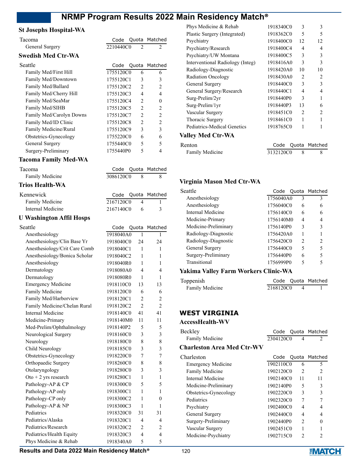Code Quota Matched

Code Quota Matched Family Media 2086120C0 8 8

#### **St Josephs Hospital-WA**

| General Surgery    | 2210440C0         |  |
|--------------------|-------------------|--|
| Swedish Med Ctr-WA |                   |  |
| <b>Seattle</b>     | Code Quota Matche |  |

| eattle                   | Code      |                | Quota Matched                 |
|--------------------------|-----------|----------------|-------------------------------|
| Family Med/First Hill    | 1755120C0 | 6              | 6                             |
| Family Med/Downtown      | 1755120C1 | 3              | 3                             |
| Family Med/Ballard       | 1755120C2 | $\mathfrak{D}$ | 2                             |
| Family Med/Cherry Hill   | 1755120C3 | 4              | 4                             |
| Family Med/SeaMar        | 1755120C4 | $\mathfrak{D}$ | 0                             |
| Family Med/SIHB          | 1755120C5 | $\overline{c}$ | 2                             |
| Family Med/Carolyn Downs | 1755120C7 | $\mathfrak{D}$ | 2                             |
| Family Med/ID Clinic     | 1755120C8 | $\mathcal{D}$  | $\mathfrak{D}_{\mathfrak{p}}$ |
| Family Medicine/Rural    | 1755120C9 | 3              | 3                             |
| Obstetrics-Gynecology    | 1755220C0 | 6              | 6                             |
| General Surgery          | 1755440C0 | 5              | 5                             |
| Surgery-Preliminary      | 1755440P0 | 5              |                               |

#### **Tacoma Family Med-WA**

| Tacoma          |  |
|-----------------|--|
| Family Medicine |  |

#### **Trios Health-WA**

| Kennewick         |           |            | Code Quota Matched |
|-------------------|-----------|------------|--------------------|
| Family Medicine   | 2167120C0 | -4         |                    |
| Internal Medicine | 2167140C0 | $\sqrt{2}$ |                    |

#### **U Washington Affil Hosps**

| Seattle                       | Code      | Quota                    | Matched        |
|-------------------------------|-----------|--------------------------|----------------|
| Anesthesiology                | 1918040A0 | 1                        | 1              |
| Anesthesiology/Clin Base Yr   | 1918040C0 | 24                       | 24             |
| Anesthesiology/Crit Care Comb | 1918040C1 | 1                        | 1              |
| Anesthesiology/Bonica Scholar | 1918040C2 | 1                        | 1              |
| Anesthesiology                | 1918040R0 | 1                        | 1              |
| Dermatology                   | 1918080A0 | 4                        | $\overline{4}$ |
| Dermatology                   | 1918080R0 | 1                        | 1              |
| <b>Emergency Medicine</b>     | 1918110C0 | 13                       | 13             |
| Family Medicine               | 1918120C0 | 6                        | 6              |
| Family Med/Harborview         | 1918120C1 | $\overline{2}$           | $\overline{2}$ |
| Family Medicine/Chelan Rural  | 1918120C2 | $\overline{2}$           | $\overline{2}$ |
| <b>Internal Medicine</b>      | 1918140C0 | 41                       | 41             |
| Medicine-Primary              | 1918140M0 | 11                       | 11             |
| Med-Prelim/Ophthalmology      | 1918140P2 | 5                        | 5              |
| Neurological Surgery          | 1918160C0 | 3                        | 3              |
| Neurology                     | 1918180C0 | 8                        | 8              |
| Child Neurology               | 1918185C0 | 3                        | 3              |
| Obstetrics-Gynecology         | 1918220C0 | 7                        | 7              |
| Orthopaedic Surgery           | 1918260C0 | 8                        | 8              |
| Otolaryngology                | 1918280C0 | 3                        | 3              |
| $Oto + 2$ yrs research        | 1918280C1 | 1                        | 1              |
| Pathology-AP & CP             | 1918300C0 | 5                        | 5              |
| Pathology-AP only             | 1918300C1 | 1                        | 1              |
| Pathology-CP only             | 1918300C2 | 1                        | $\theta$       |
| Pathology-AP & NP             | 1918300C3 | 1                        | 1              |
| Pediatrics                    | 1918320C0 | 31                       | 31             |
| Pediatrics/Alaska             | 1918320C1 | 4                        | 4              |
| Pediatrics/Research           | 1918320C2 | 2                        | 2              |
| Pediatrics/Health Equity      | 1918320C3 | $\overline{\mathcal{L}}$ | $\overline{4}$ |
| Phys Medicine & Rehab         | 1918340A0 | 5                        | 5              |

| Phys Medicine & Rehab            | 1918340C0 | 3              | 3              |
|----------------------------------|-----------|----------------|----------------|
| Plastic Surgery (Integrated)     | 1918362C0 | 5              | 5              |
| Psychiatry                       | 1918400C0 | 12             | 12             |
| Psychiatry/Research              | 1918400C4 | 4              | 4              |
| Psychiatry/UW Montana            | 1918400C5 | 3              | 3              |
| Interventional Radiology (Integ) | 1918416A0 | 3              | 3              |
| Radiology-Diagnostic             | 1918420A0 | 10             | 10             |
| Radiation Oncology               | 1918430A0 | 2              | 2              |
| General Surgery                  | 1918440C0 | 3              | 3              |
| General Surgery/Research         | 1918440C1 | 4              | 4              |
| $Surg-Prelim/2yr$                | 1918440P0 | 3              | 1              |
| Surg-Prelim/1yr                  | 1918440P3 | 13             | 6              |
| Vascular Surgery                 | 1918451C0 | $\mathfrak{D}$ | $\mathfrak{D}$ |
| Thoracic Surgery                 | 1918461C0 | 1              |                |
| Pediatrics-Medical Genetics      | 1918765C0 | 1              |                |
| <b>Valley Med Ctr-WA</b>         |           |                |                |
| Renton                           | Code      | Quota          | Matched        |
| <b>Family Medicine</b>           | 3132120C0 | 8              | 8              |

#### **Virginia Mason Med Ctr-WA**

| Seattle              |           |   | Code Quota Matched |
|----------------------|-----------|---|--------------------|
| Anesthesiology       | 1756040A0 | 3 | 3                  |
| Anesthesiology       | 1756040C0 | 6 | 6                  |
| Internal Medicine    | 1756140C0 | 6 | 6                  |
| Medicine-Primary     | 1756140M0 | 4 | 4                  |
| Medicine-Preliminary | 1756140P0 | 3 | 3                  |
| Radiology-Diagnostic | 1756420A0 |   |                    |
| Radiology-Diagnostic | 1756420C0 | 2 | 2                  |
| General Surgery      | 1756440C0 | 5 | 5                  |
| Surgery-Preliminary  | 1756440P0 | 6 | 5                  |
| Transitional         | 1756999P0 | 5 |                    |
|                      |           |   |                    |

## **Yakima Valley Farm Workers Clinic-WA**

| Toppenish       |           | Code Quota Matched |
|-----------------|-----------|--------------------|
| Family Medicine | 2168120C0 |                    |

# **WEST VIRGINIA**

#### **AccessHealth-WV**

| Beckley                    | Code      |                | Quota Matched  |
|----------------------------|-----------|----------------|----------------|
| <b>Family Medicine</b>     | 2304120C0 | $\overline{4}$ | $\mathfrak{D}$ |
| Charleston Area Med Ctr-WV |           |                |                |
| Charleston                 | Code      |                | Quota Matched  |
| <b>Emergency Medicine</b>  | 1902110C0 | 6              | 5              |
| Family Medicine            | 1902120C0 | $\mathfrak{D}$ | $\mathcal{D}$  |
| Internal Medicine          | 1902140C0 | 11             | 11             |
| Medicine-Preliminary       | 1902140P0 | 5              | 3              |
| Obstetrics-Gynecology      | 1902220C0 | 3              | 3              |
| Pediatrics                 | 1902320C0 | 7              |                |
| Psychiatry                 | 1902400C0 | 4              | 4              |
| General Surgery            | 1902440C0 | 4              |                |
| Surgery-Preliminary        | 1902440P0 | $\overline{c}$ | 0              |
| Vascular Surgery           | 1902451C0 | 1              |                |
| Medicine-Psychiatry        | 1902715C0 | 2              |                |
|                            |           |                |                |

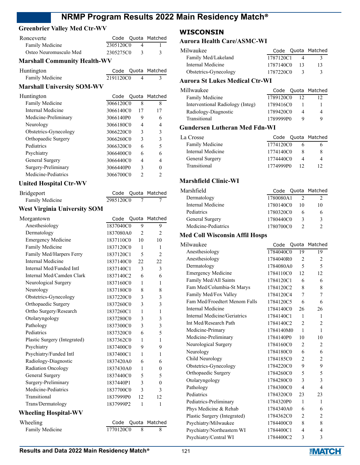# **Greenbrier Valley Med Ctr-WV**

| Ronceverte             |           | Code Quota Matched |
|------------------------|-----------|--------------------|
| Family Medicine        | 2305120C0 |                    |
| Osteo Neuromusculo Med | 2305275C0 |                    |

## **Marshall Community Health-WV**

| Huntington      |           | Code Quota Matched |
|-----------------|-----------|--------------------|
| Family Medicine | 2191120C0 |                    |

### **Marshall University SOM-WV**

| Huntington            | Code      |    | Quota Matched |
|-----------------------|-----------|----|---------------|
| Family Medicine       | 3066120C0 | 8  | 8             |
| Internal Medicine     | 3066140C0 | 17 | 17            |
| Medicine-Preliminary  | 3066140P0 | 9  | 6             |
| Neurology             | 3066180C0 | 4  | 4             |
| Obstetrics-Gynecology | 3066220C0 | 3  | 3             |
| Orthopaedic Surgery   | 3066260C0 | 3  | 3             |
| Pediatrics            | 3066320C0 | 6  | 5             |
| Psychiatry            | 3066400C0 | 6  | 6             |
| General Surgery       | 3066440C0 | 4  | 4             |
| Surgery-Preliminary   | 3066440P0 | 3  | 0             |
| Medicine-Pediatrics   | 3066700C0 | っ  | 2             |

#### **United Hospital Ctr-WV**

| Bridgeport      |           | Code Quota Matched |
|-----------------|-----------|--------------------|
| Family Medicine | 2985120C0 |                    |

# **West Virginia University SOM**

| Morgantown                   | Code      | Quota          | Matched        |
|------------------------------|-----------|----------------|----------------|
| Anesthesiology               | 1837040C0 | 9              | 9              |
| Dermatology                  | 1837080A0 | $\overline{2}$ | $\overline{c}$ |
| <b>Emergency Medicine</b>    | 1837110C0 | 10             | 10             |
| Family Medicine              | 1837120C0 | 1              | 1              |
| Family Med/Harpers Ferry     | 1837120C1 | 5              | $\overline{c}$ |
| <b>Internal Medicine</b>     | 1837140C0 | 22             | 22             |
| Internal Med/Funded Intl     | 1837140C1 | 3              | 3              |
| Internal Med/Camden Clark    | 1837140C2 | 6              | 6              |
| Neurological Surgery         | 1837160C0 | 1              | 1              |
| Neurology                    | 1837180C0 | 8              | 8              |
| Obstetrics-Gynecology        | 1837220C0 | 3              | 3              |
| Orthopaedic Surgery          | 1837260C0 | 3              | 3              |
| Ortho Surgery/Research       | 1837260C1 | 1              | 1              |
| Otolaryngology               | 1837280C0 | 3              | 3              |
| Pathology                    | 1837300C0 | 3              | 3              |
| Pediatrics                   | 1837320C0 | 6              | 5              |
| Plastic Surgery (Integrated) | 1837362C0 | 1              | 1              |
| Psychiatry                   | 1837400C0 | 9              | 9              |
| Psychiatry/Funded Intl       | 1837400C1 | 1              | 1              |
| Radiology-Diagnostic         | 1837420A0 | 6              | 6              |
| <b>Radiation Oncology</b>    | 1837430A0 | 1              | $\theta$       |
| General Surgery              | 1837440C0 | 5              | 5              |
| Surgery-Preliminary          | 1837440P1 | 3              | $\theta$       |
| Medicine-Pediatrics          | 1837700C0 | 3              | 3              |
| Transitional                 | 1837999P0 | 12             | 12             |
| Trans/Dermatology            | 1837999P2 | 1              | 1              |
| <b>Wheeling Hospital-WV</b>  |           |                |                |
| Wheeling                     | Code      | Quota          | Matched        |
| Family Medicine              | 1770120C0 | 8              | 8              |
|                              |           |                |                |

# **WISCONSIN**

#### **Aurora Health Care/ASMC-WI**

| Milwaukee                      |           |    | Code Quota Matched |
|--------------------------------|-----------|----|--------------------|
| Family Med/Lakeland            | 1787120C1 |    |                    |
| Internal Medicine              | 1787140C0 | 13 | 13                 |
| Obstetrics-Gynecology          | 1787220C0 |    | 3                  |
| Aurora St Lukes Medical Ctr_WI |           |    |                    |

# **Aurora St Lukes Medical Ctr-WI**

| Millwaukee                       |           | Code Quota Matched |
|----------------------------------|-----------|--------------------|
| Family Medicine                  | 1789120C0 |                    |
| Interventional Radiology (Integ) | 1789416C0 |                    |
| Radiology-Diagnostic             | 1789420C0 |                    |
| Transitional                     | 1789999P0 |                    |
|                                  |           |                    |

# **Gundersen Lutheran Med Fdn-WI**

| La Crosse         |           |    | Code Quota Matched |
|-------------------|-----------|----|--------------------|
| Family Medicine   | 1774120C0 |    |                    |
| Internal Medicine | 1774140C0 |    | 8                  |
| General Surgery   | 1774440C0 |    | 4                  |
| Transitional      | 1774999P0 | 12 |                    |

## **Marshfield Clinic-WI**

| Marshfield          |           |    | Code Quota Matched |
|---------------------|-----------|----|--------------------|
| Dermatology         | 1780080A1 |    |                    |
| Internal Medicine   | 1780140C0 | 10 | 10                 |
| Pediatrics          | 1780320C0 |    |                    |
| General Surgery     | 1780440C0 | 3  | κ                  |
| Medicine-Pediatrics | 1780700C0 |    |                    |

# **Med Coll Wisconsin Affil Hosps**

| Milwaukee                     | Code      | Quota          | Matched        |
|-------------------------------|-----------|----------------|----------------|
| Anesthesiology                | 1784040C0 | 19             | 19             |
| Anesthesiology                | 1784040R0 | 2              | 2              |
| Dermatology                   | 1784080A0 | 5              | 5              |
| <b>Emergency Medicine</b>     | 1784110C0 | 12             | 12             |
| Family Med/All Saints         | 1784120C1 | 6              | 6              |
| Fam Med/Columbia-St Marys     | 1784120C2 | 8              | 8              |
| Family Med/Fox Valley         | 1784120C4 | 7              | 7              |
| Fam Med/Froedtert Menom Falls | 1784120C5 | 6              | 6              |
| Internal Medicine             | 1784140C0 | 26             | 26             |
| Internal Medicine/Geriatrics  | 1784140C1 | 1              | 1              |
| Int Med/Research Path         | 1784140C2 | $\overline{2}$ | 2              |
| Medicine-Primary              | 1784140M0 | 1              | $\mathbf{1}$   |
| Medicine-Preliminary          | 1784140P0 | 10             | 10             |
| Neurological Surgery          | 1784160C0 | $\overline{2}$ | $\overline{2}$ |
| Neurology                     | 1784180C0 | 6              | 6              |
| Child Neurology               | 1784185C0 | $\overline{2}$ | 2              |
| Obstetrics-Gynecology         | 1784220C0 | 9              | 9              |
| Orthopaedic Surgery           | 1784260C0 | 5              | 5              |
| Otolaryngology                | 1784280C0 | 3              | 3              |
| Pathology                     | 1784300C0 | 4              | $\overline{4}$ |
| Pediatrics                    | 1784320C0 | 23             | 23             |
| Pediatrics-Preliminary        | 1784320P0 | 1              | 1              |
| Phys Medicine & Rehab         | 1784340A0 | 6              | 6              |
| Plastic Surgery (Integrated)  | 1784362C0 | $\overline{2}$ | $\overline{2}$ |
| Psychiatry/Milwaukee          | 1784400C0 | 8              | 8              |
| Psychiatry/Northeastern WI    | 1784400C1 | 4              | $\overline{4}$ |
| Psychiatry/Central WI         | 1784400C2 | 3              | 3              |
|                               |           |                |                |